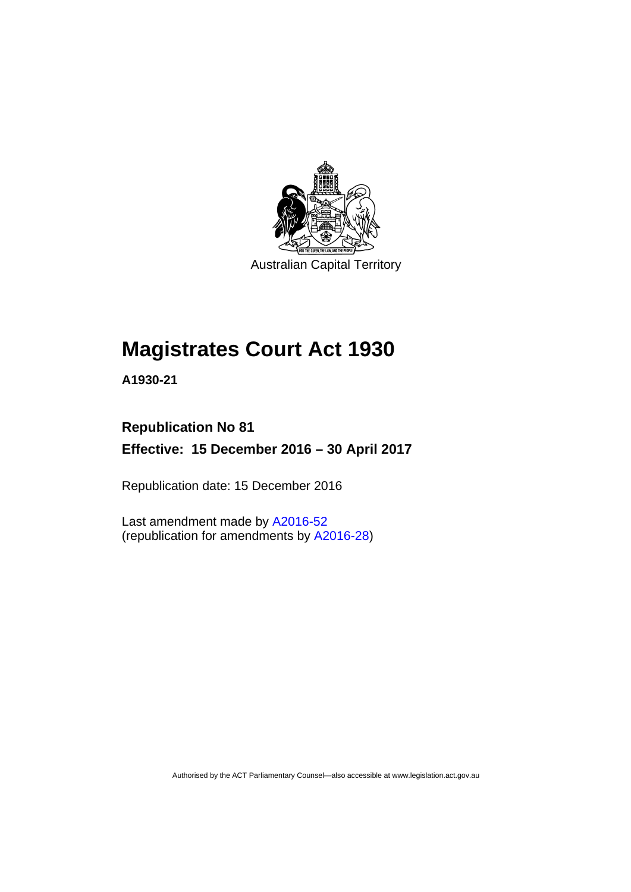

Australian Capital Territory

# **Magistrates Court Act 1930**

**A1930-21** 

# **Republication No 81 Effective: 15 December 2016 – 30 April 2017**

Republication date: 15 December 2016

Last amendment made by [A2016-52](http://www.legislation.act.gov.au/a/2016-52/default.asp) (republication for amendments by [A2016-28](http://www.legislation.act.gov.au/a/2016-28/default.asp))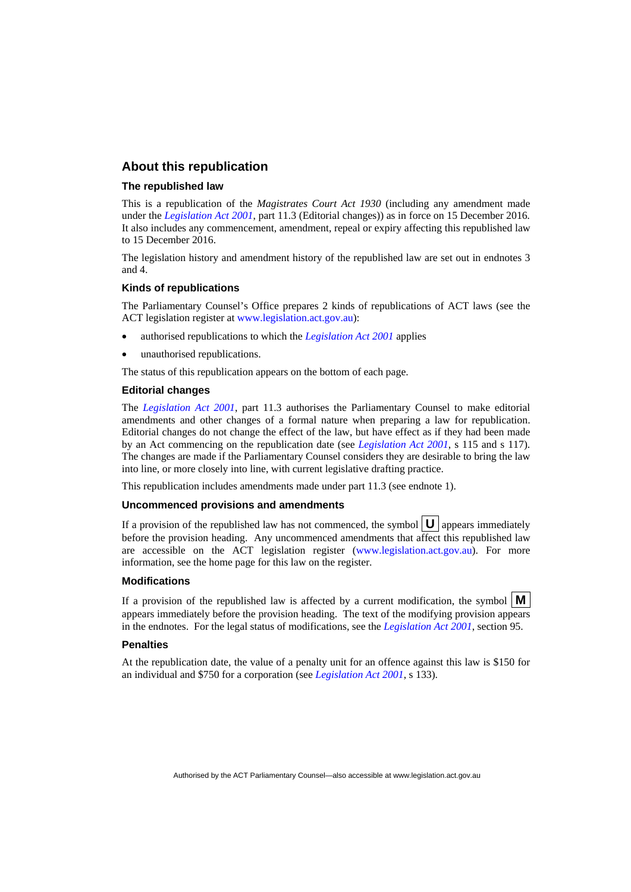#### **About this republication**

#### **The republished law**

This is a republication of the *Magistrates Court Act 1930* (including any amendment made under the *[Legislation Act 2001](http://www.legislation.act.gov.au/a/2001-14)*, part 11.3 (Editorial changes)) as in force on 15 December 2016*.*  It also includes any commencement, amendment, repeal or expiry affecting this republished law to 15 December 2016.

The legislation history and amendment history of the republished law are set out in endnotes 3 and 4.

#### **Kinds of republications**

The Parliamentary Counsel's Office prepares 2 kinds of republications of ACT laws (see the ACT legislation register at [www.legislation.act.gov.au](http://www.legislation.act.gov.au/)):

- authorised republications to which the *[Legislation Act 2001](http://www.legislation.act.gov.au/a/2001-14)* applies
- unauthorised republications.

The status of this republication appears on the bottom of each page.

#### **Editorial changes**

The *[Legislation Act 2001](http://www.legislation.act.gov.au/a/2001-14)*, part 11.3 authorises the Parliamentary Counsel to make editorial amendments and other changes of a formal nature when preparing a law for republication. Editorial changes do not change the effect of the law, but have effect as if they had been made by an Act commencing on the republication date (see *[Legislation Act 2001](http://www.legislation.act.gov.au/a/2001-14)*, s 115 and s 117). The changes are made if the Parliamentary Counsel considers they are desirable to bring the law into line, or more closely into line, with current legislative drafting practice.

This republication includes amendments made under part 11.3 (see endnote 1).

#### **Uncommenced provisions and amendments**

If a provision of the republished law has not commenced, the symbol  $\mathbf{U}$  appears immediately before the provision heading. Any uncommenced amendments that affect this republished law are accessible on the ACT legislation register [\(www.legislation.act.gov.au\)](http://www.legislation.act.gov.au/). For more information, see the home page for this law on the register.

#### **Modifications**

If a provision of the republished law is affected by a current modification, the symbol  $\mathbf{M}$ appears immediately before the provision heading. The text of the modifying provision appears in the endnotes. For the legal status of modifications, see the *[Legislation Act 2001](http://www.legislation.act.gov.au/a/2001-14)*, section 95.

#### **Penalties**

At the republication date, the value of a penalty unit for an offence against this law is \$150 for an individual and \$750 for a corporation (see *[Legislation Act 2001](http://www.legislation.act.gov.au/a/2001-14)*, s 133).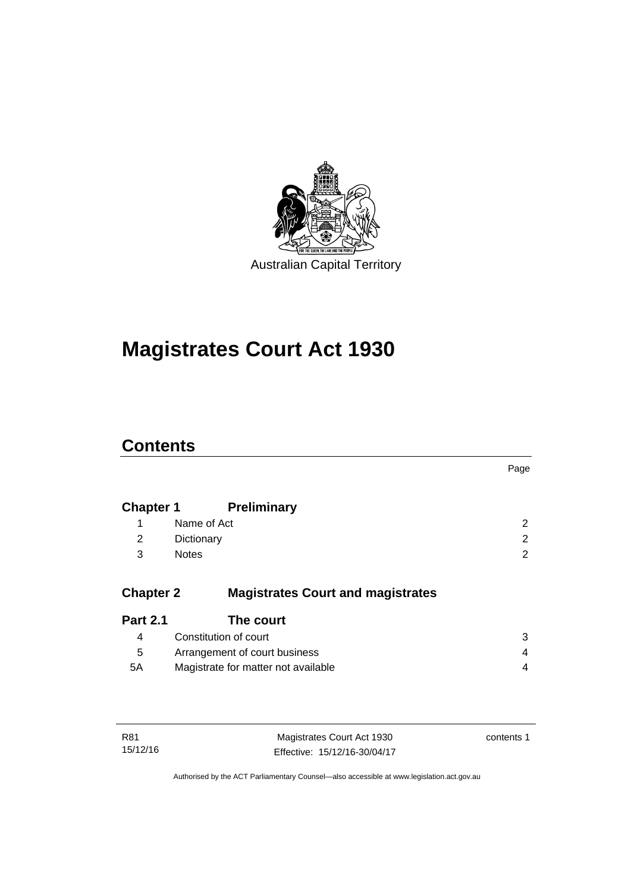

# **Magistrates Court Act 1930**

# **Contents**

|                  |                                          | Page |
|------------------|------------------------------------------|------|
| <b>Chapter 1</b> | <b>Preliminary</b>                       |      |
| 1                | Name of Act                              | 2    |
| 2                | Dictionary                               | 2    |
| 3                | <b>Notes</b>                             | 2    |
| <b>Chapter 2</b> | <b>Magistrates Court and magistrates</b> |      |
| <b>Part 2.1</b>  | The court                                |      |
| 4                | Constitution of court                    | 3    |
| 5                | Arrangement of court business            | 4    |
| 5A               | Magistrate for matter not available      | 4    |
|                  |                                          |      |
|                  |                                          |      |

| R81      | Magistrates Court Act 1930   | contents 1 |
|----------|------------------------------|------------|
| 15/12/16 | Effective: 15/12/16-30/04/17 |            |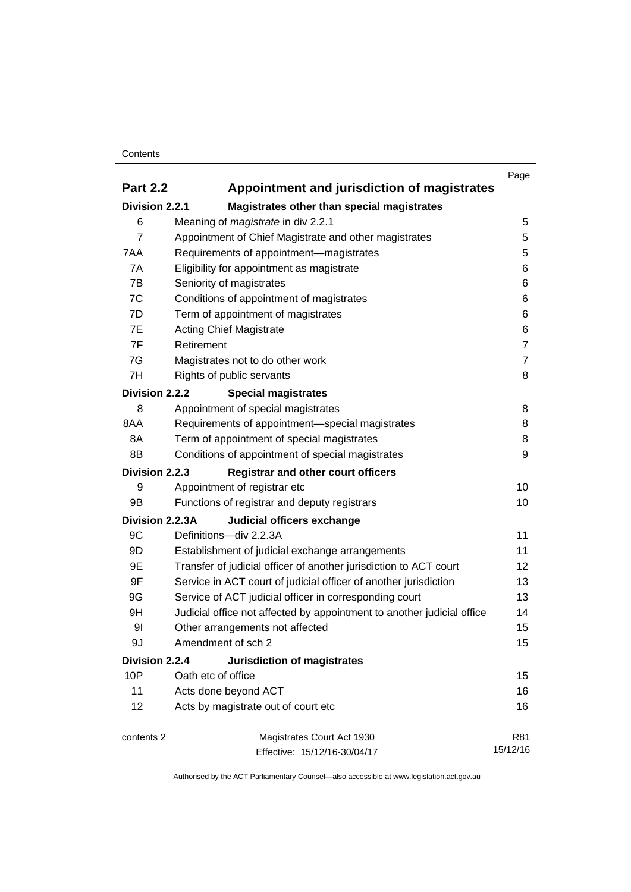#### **Contents**

|                 |                                                                        | Page           |
|-----------------|------------------------------------------------------------------------|----------------|
| <b>Part 2.2</b> | Appointment and jurisdiction of magistrates                            |                |
| Division 2.2.1  | Magistrates other than special magistrates                             |                |
| 6               | Meaning of <i>magistrate</i> in div 2.2.1                              | 5              |
| 7               | Appointment of Chief Magistrate and other magistrates                  | 5              |
| 7AA             | Requirements of appointment-magistrates                                | 5              |
| 7A              | Eligibility for appointment as magistrate                              | 6              |
| 7B              | Seniority of magistrates                                               | 6              |
| 7C              | Conditions of appointment of magistrates                               | 6              |
| 7D              | Term of appointment of magistrates                                     | 6              |
| 7E              | <b>Acting Chief Magistrate</b>                                         | 6              |
| 7F              | Retirement                                                             | $\overline{7}$ |
| 7G              | Magistrates not to do other work                                       | $\overline{7}$ |
| 7H              | Rights of public servants                                              | 8              |
| Division 2.2.2  | <b>Special magistrates</b>                                             |                |
| 8               | Appointment of special magistrates                                     | 8              |
| 8AA             | Requirements of appointment-special magistrates                        | 8              |
| 8A              | Term of appointment of special magistrates                             | 8              |
| 8B              | Conditions of appointment of special magistrates                       | 9              |
| Division 2.2.3  | <b>Registrar and other court officers</b>                              |                |
| 9               | Appointment of registrar etc                                           | 10             |
| 9B              | Functions of registrar and deputy registrars                           | 10             |
| Division 2.2.3A | Judicial officers exchange                                             |                |
| 9C              | Definitions-div 2.2.3A                                                 | 11             |
| 9D              | Establishment of judicial exchange arrangements                        | 11             |
| 9E              | Transfer of judicial officer of another jurisdiction to ACT court      | 12             |
| 9F              | Service in ACT court of judicial officer of another jurisdiction       | 13             |
| 9G              | Service of ACT judicial officer in corresponding court                 | 13             |
| 9H              | Judicial office not affected by appointment to another judicial office | 14             |
| 91              | Other arrangements not affected                                        | 15             |
| 9J              | Amendment of sch 2                                                     | 15             |
| Division 2.2.4  | Jurisdiction of magistrates                                            |                |
| 10P             | Oath etc of office                                                     | 15             |
| 11              | Acts done beyond ACT                                                   | 16             |
| 12              | Acts by magistrate out of court etc                                    | 16             |
| contents 2      | Magistrates Court Act 1930                                             | R81            |
|                 | Effective: 15/12/16-30/04/17                                           | 15/12/16       |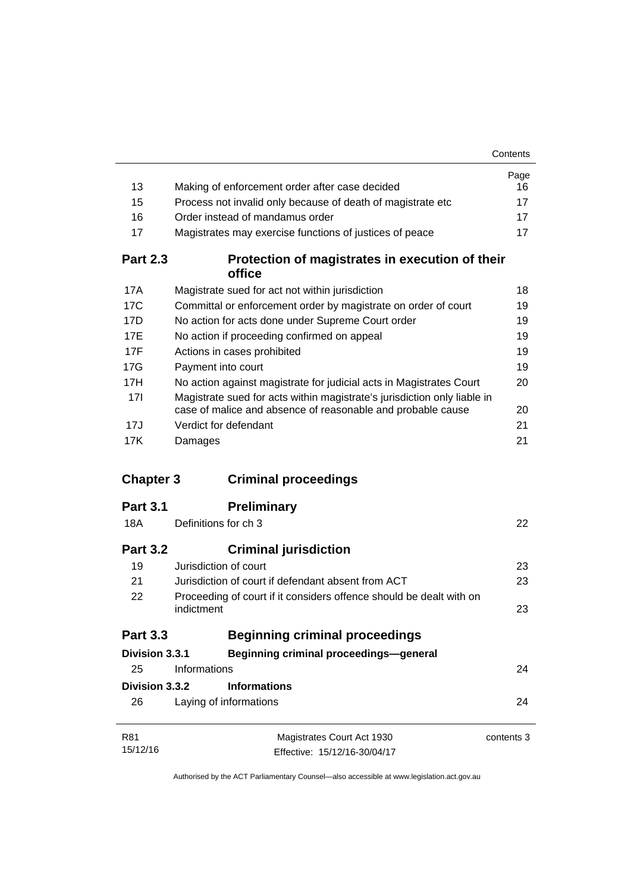|                  |                                                                                                                                         | Contents   |
|------------------|-----------------------------------------------------------------------------------------------------------------------------------------|------------|
|                  |                                                                                                                                         | Page       |
| 13               | Making of enforcement order after case decided                                                                                          | 16         |
| 15               | Process not invalid only because of death of magistrate etc                                                                             | 17         |
| 16               | Order instead of mandamus order                                                                                                         | 17         |
| 17               | Magistrates may exercise functions of justices of peace                                                                                 | 17         |
| <b>Part 2.3</b>  | Protection of magistrates in execution of their<br>office                                                                               |            |
| 17A              | Magistrate sued for act not within jurisdiction                                                                                         | 18         |
| 17C              | Committal or enforcement order by magistrate on order of court                                                                          | 19         |
| 17D              | No action for acts done under Supreme Court order                                                                                       | 19         |
| 17E              | No action if proceeding confirmed on appeal                                                                                             | 19         |
| 17F              | Actions in cases prohibited                                                                                                             | 19         |
| 17G              | Payment into court                                                                                                                      | 19         |
| 17H              | No action against magistrate for judicial acts in Magistrates Court                                                                     | 20         |
| 17I              | Magistrate sued for acts within magistrate's jurisdiction only liable in<br>case of malice and absence of reasonable and probable cause | 20         |
| 17J              | Verdict for defendant                                                                                                                   | 21         |
| 17K              | Damages                                                                                                                                 | 21         |
| <b>Chapter 3</b> | <b>Criminal proceedings</b>                                                                                                             |            |
| <b>Part 3.1</b>  | <b>Preliminary</b>                                                                                                                      |            |
| 18A              | Definitions for ch 3                                                                                                                    | 22         |
| <b>Part 3.2</b>  | <b>Criminal jurisdiction</b>                                                                                                            |            |
| 19               | Jurisdiction of court                                                                                                                   | 23         |
| 21               | Jurisdiction of court if defendant absent from ACT                                                                                      | 23         |
| 22               | Proceeding of court if it considers offence should be dealt with on                                                                     |            |
|                  | indictment                                                                                                                              | 23         |
| <b>Part 3.3</b>  | <b>Beginning criminal proceedings</b>                                                                                                   |            |
| Division 3.3.1   | <b>Beginning criminal proceedings-general</b>                                                                                           |            |
| 25               | Informations                                                                                                                            | 24         |
| Division 3.3.2   |                                                                                                                                         |            |
|                  | <b>Informations</b>                                                                                                                     |            |
| 26               | Laying of informations                                                                                                                  | 24         |
| R81              | Magistrates Court Act 1930                                                                                                              | contents 3 |
| 15/12/16         | Effective: 15/12/16-30/04/17                                                                                                            |            |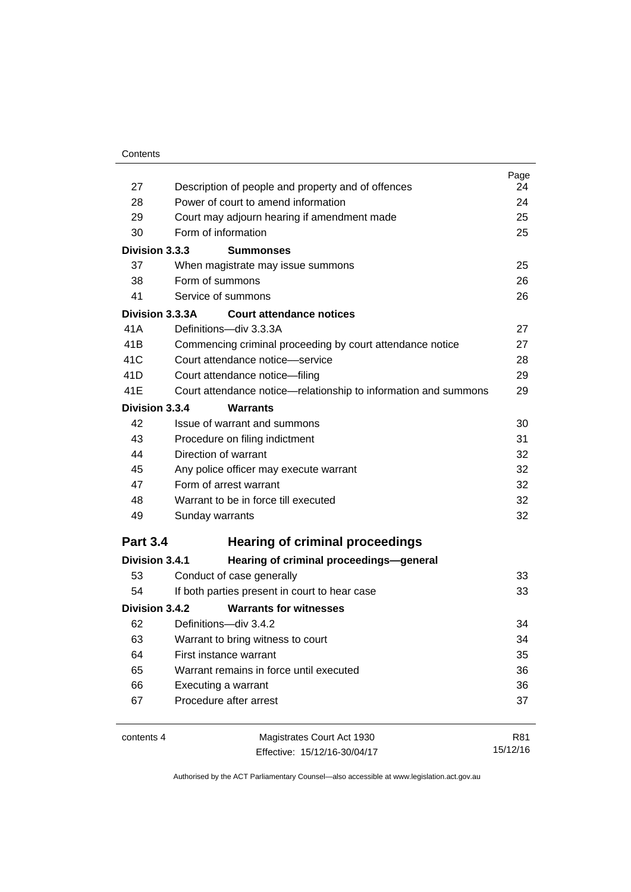| 27              | Description of people and property and of offences                                           | Page<br>24 |
|-----------------|----------------------------------------------------------------------------------------------|------------|
| 28              | Power of court to amend information                                                          | 24         |
| 29              | Court may adjourn hearing if amendment made                                                  | 25         |
| 30              | Form of information                                                                          | 25         |
| Division 3.3.3  | <b>Summonses</b>                                                                             |            |
| 37              | When magistrate may issue summons                                                            | 25         |
| 38              | Form of summons                                                                              | 26         |
| 41              | Service of summons                                                                           | 26         |
| Division 3.3.3A | Court attendance notices                                                                     |            |
| 41A             | Definitions-div 3.3.3A                                                                       | 27         |
| 41 <sub>B</sub> |                                                                                              | 27         |
| 41C             | Commencing criminal proceeding by court attendance notice<br>Court attendance notice—service | 28         |
| 41D             |                                                                                              | 29         |
| 41E             | Court attendance notice-filing                                                               | 29         |
|                 | Court attendance notice—relationship to information and summons                              |            |
| Division 3.3.4  | <b>Warrants</b>                                                                              |            |
| 42              | Issue of warrant and summons                                                                 | 30         |
| 43              | Procedure on filing indictment                                                               | 31         |
| 44              | Direction of warrant                                                                         | 32         |
| 45              | Any police officer may execute warrant                                                       | 32         |
| 47              | Form of arrest warrant                                                                       | 32         |
| 48              | Warrant to be in force till executed                                                         | 32         |
| 49              | Sunday warrants                                                                              | 32         |
| <b>Part 3.4</b> | <b>Hearing of criminal proceedings</b>                                                       |            |
| Division 3.4.1  | Hearing of criminal proceedings-general                                                      |            |
| 53              | Conduct of case generally                                                                    | 33         |
| 54              | If both parties present in court to hear case                                                | 33         |
| Division 3.4.2  | <b>Warrants for witnesses</b>                                                                |            |
| 62              | Definitions-div 3.4.2                                                                        | 34         |
| 63              | Warrant to bring witness to court                                                            | 34         |
| 64              | First instance warrant                                                                       | 35         |
| 65              | Warrant remains in force until executed                                                      | 36         |
| 66              | Executing a warrant                                                                          | 36         |
| 67              | Procedure after arrest                                                                       | 37         |
|                 |                                                                                              |            |
| contents 4      | Magistrates Court Act 1930                                                                   | R81        |

Effective: 15/12/16-30/04/17

15/12/16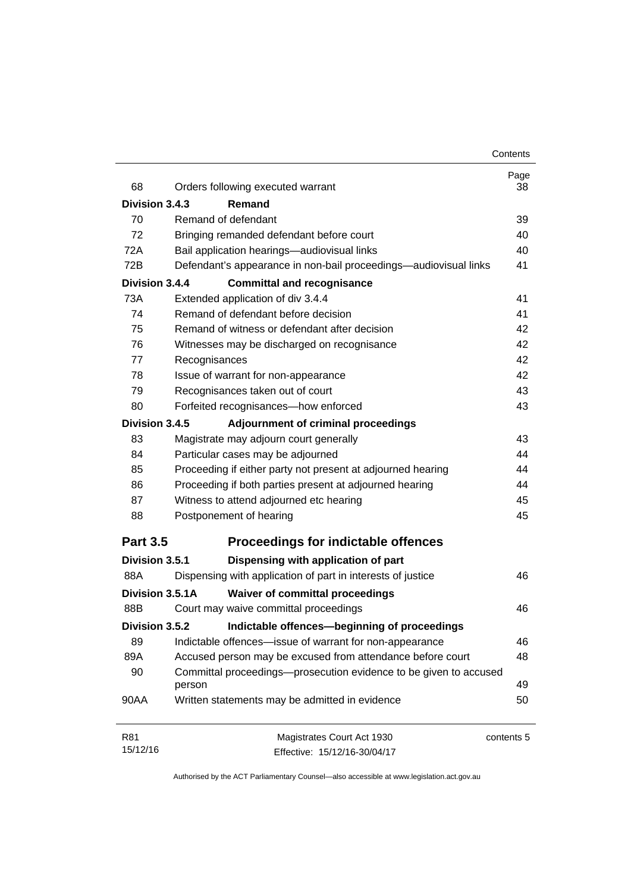| 68              | Orders following executed warrant                                           | Page<br>38 |
|-----------------|-----------------------------------------------------------------------------|------------|
| Division 3.4.3  | Remand                                                                      |            |
| 70              | Remand of defendant                                                         | 39         |
| 72              | Bringing remanded defendant before court                                    | 40         |
| 72A             | Bail application hearings-audiovisual links                                 | 40         |
| 72B             | Defendant's appearance in non-bail proceedings—audiovisual links            | 41         |
| Division 3.4.4  | <b>Committal and recognisance</b>                                           |            |
| 73A             | Extended application of div 3.4.4                                           | 41         |
| 74              | Remand of defendant before decision                                         | 41         |
| 75              | Remand of witness or defendant after decision                               | 42         |
| 76              | Witnesses may be discharged on recognisance                                 | 42         |
| 77              | Recognisances                                                               | 42         |
| 78              | Issue of warrant for non-appearance                                         | 42         |
| 79              | Recognisances taken out of court                                            | 43         |
| 80              | Forfeited recognisances-how enforced                                        | 43         |
| Division 3.4.5  | Adjournment of criminal proceedings                                         |            |
| 83              | Magistrate may adjourn court generally                                      | 43         |
| 84              | Particular cases may be adjourned                                           | 44         |
| 85<br>86        | Proceeding if either party not present at adjourned hearing                 | 44         |
|                 | Proceeding if both parties present at adjourned hearing                     | 44         |
| 87              | Witness to attend adjourned etc hearing                                     | 45         |
| 88              | Postponement of hearing                                                     | 45         |
| <b>Part 3.5</b> | <b>Proceedings for indictable offences</b>                                  |            |
| Division 3.5.1  | Dispensing with application of part                                         |            |
| 88A             | Dispensing with application of part in interests of justice                 | 46         |
| Division 3.5.1A | <b>Waiver of committal proceedings</b>                                      |            |
| 88B             | Court may waive committal proceedings                                       | 46         |
| Division 3.5.2  | Indictable offences-beginning of proceedings                                |            |
| 89              | Indictable offences-issue of warrant for non-appearance                     | 46         |
| 89A             | Accused person may be excused from attendance before court                  | 48         |
| 90              | Committal proceedings-prosecution evidence to be given to accused<br>person | 49         |
| 90AA            | Written statements may be admitted in evidence                              | 50         |
| R81             | Magistrates Court Act 1930                                                  | contents 5 |
| 15/12/16        | Effective: 15/12/16-30/04/17                                                |            |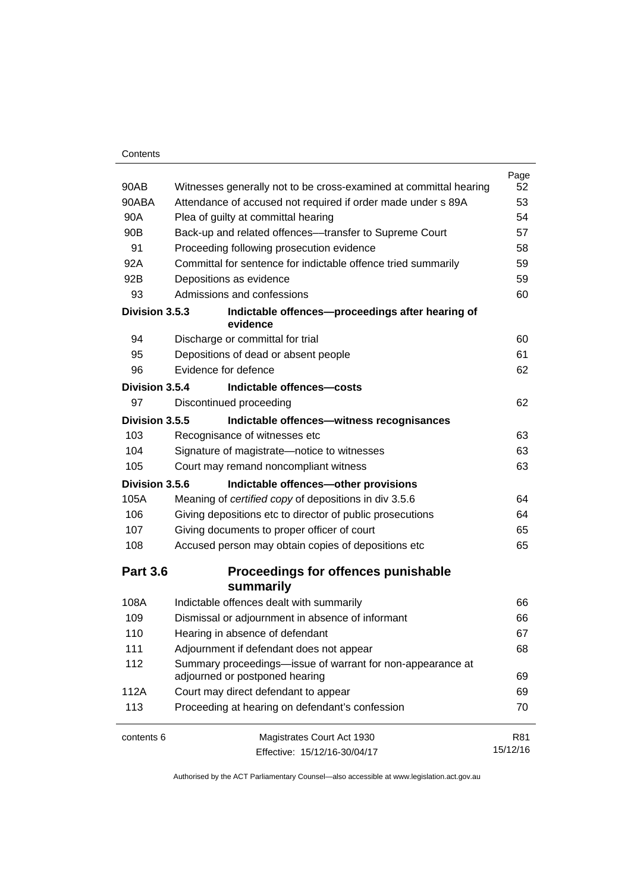#### **Contents**

|                 |                                                                                              | Page     |
|-----------------|----------------------------------------------------------------------------------------------|----------|
| 90AB            | Witnesses generally not to be cross-examined at committal hearing                            | 52       |
| 90ABA           | Attendance of accused not required if order made under s 89A                                 | 53       |
| 90A             | Plea of guilty at committal hearing                                                          | 54       |
| 90 <sub>B</sub> | Back-up and related offences---transfer to Supreme Court                                     | 57       |
| 91              | Proceeding following prosecution evidence                                                    | 58       |
| 92A             | Committal for sentence for indictable offence tried summarily                                | 59       |
| 92B             | Depositions as evidence                                                                      | 59       |
| 93              | Admissions and confessions                                                                   | 60       |
| Division 3.5.3  | Indictable offences-proceedings after hearing of<br>evidence                                 |          |
| 94              | Discharge or committal for trial                                                             | 60       |
| 95              | Depositions of dead or absent people                                                         | 61       |
| 96              | Evidence for defence                                                                         | 62       |
| Division 3.5.4  | Indictable offences-costs                                                                    |          |
| 97              | Discontinued proceeding                                                                      | 62       |
| Division 3.5.5  | Indictable offences-witness recognisances                                                    |          |
| 103             | Recognisance of witnesses etc                                                                | 63       |
| 104             | Signature of magistrate-notice to witnesses                                                  | 63       |
| 105             | Court may remand noncompliant witness                                                        | 63       |
| Division 3.5.6  | Indictable offences-other provisions                                                         |          |
| 105A            | Meaning of certified copy of depositions in div 3.5.6                                        | 64       |
| 106             | Giving depositions etc to director of public prosecutions                                    | 64       |
| 107             | Giving documents to proper officer of court                                                  | 65       |
| 108             | Accused person may obtain copies of depositions etc                                          | 65       |
| <b>Part 3.6</b> | Proceedings for offences punishable<br>summarily                                             |          |
| 108A            | Indictable offences dealt with summarily                                                     | 66       |
| 109             | Dismissal or adjournment in absence of informant                                             | 66       |
| 110             | Hearing in absence of defendant                                                              | 67       |
| 111             | Adjournment if defendant does not appear                                                     | 68       |
| 112             | Summary proceedings—issue of warrant for non-appearance at<br>adjourned or postponed hearing | 69       |
| 112A            | Court may direct defendant to appear                                                         | 69       |
| 113             | Proceeding at hearing on defendant's confession                                              | 70       |
| contents 6      | Magistrates Court Act 1930                                                                   | R81      |
|                 | Effective: 15/12/16-30/04/17                                                                 | 15/12/16 |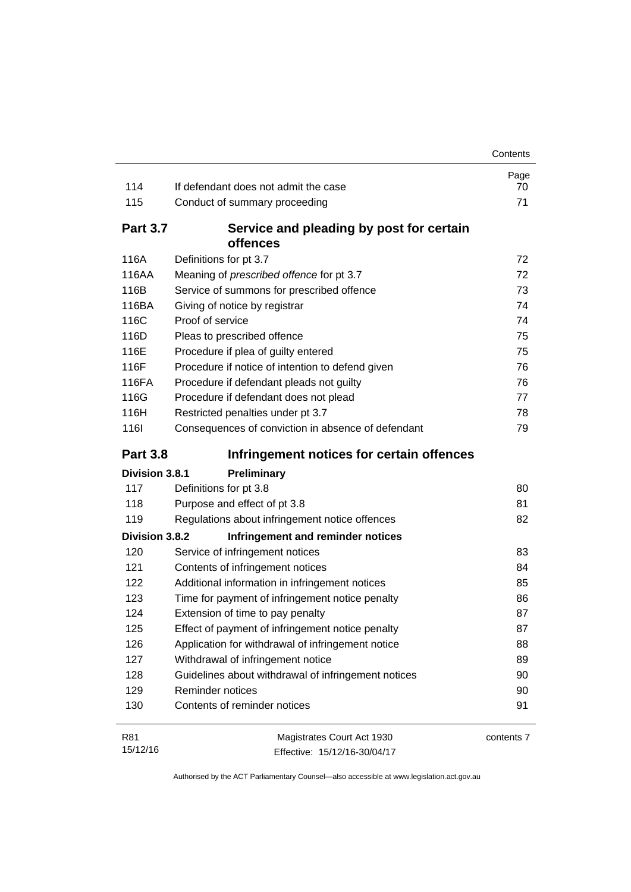|                 |                                                      | Contents   |
|-----------------|------------------------------------------------------|------------|
| 114             | If defendant does not admit the case                 | Page<br>70 |
| 115             | Conduct of summary proceeding                        | 71         |
| <b>Part 3.7</b> | Service and pleading by post for certain<br>offences |            |
| 116A            | Definitions for pt 3.7                               | 72         |
| 116AA           | Meaning of prescribed offence for pt 3.7             | 72         |
| 116B            | Service of summons for prescribed offence            | 73         |
| 116BA           | Giving of notice by registrar                        | 74         |
| 116C            | Proof of service                                     | 74         |
| 116D            | Pleas to prescribed offence                          | 75         |
| 116E            | Procedure if plea of guilty entered                  | 75         |
| 116F            | Procedure if notice of intention to defend given     | 76         |
| 116FA           | Procedure if defendant pleads not guilty             | 76         |
| 116G            | Procedure if defendant does not plead                | 77         |
| 116H            | Restricted penalties under pt 3.7                    | 78         |
| <b>116l</b>     | Consequences of conviction in absence of defendant   | 79         |
| <b>Part 3.8</b> | Infringement notices for certain offences            |            |
| Division 3.8.1  | Preliminary                                          |            |
| 117             | Definitions for pt 3.8                               | 80         |
| 118             | Purpose and effect of pt 3.8                         | 81         |
| 119             | Regulations about infringement notice offences       | 82         |
| Division 3.8.2  | Infringement and reminder notices                    |            |
| 120             | Service of infringement notices                      | 83         |
| 121             | Contents of infringement notices                     | 84         |
| 122             | Additional information in infringement notices       | 85         |
| 123             | Time for payment of infringement notice penalty      | 86         |
| 124             | Extension of time to pay penalty                     | 87         |
| 125             | Effect of payment of infringement notice penalty     | 87         |
| 126             | Application for withdrawal of infringement notice    | 88         |
| 127             | Withdrawal of infringement notice                    | 89         |
| 128             | Guidelines about withdrawal of infringement notices  | 90         |
| 129             | Reminder notices                                     | 90         |
| 130             | Contents of reminder notices                         | 91         |
| R81             | Magistrates Court Act 1930                           | contents 7 |

Effective: 15/12/16-30/04/17

15/12/16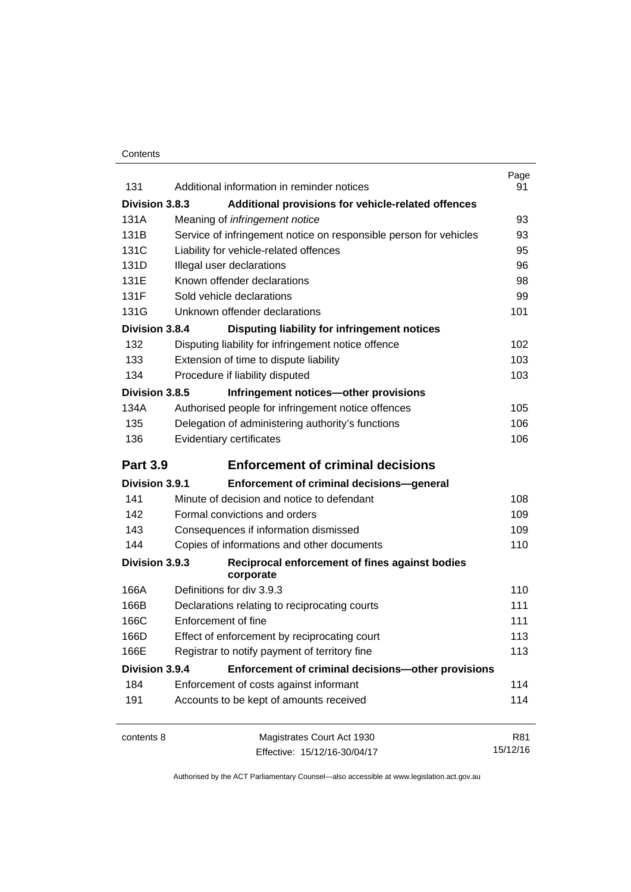#### **Contents**

| 131             | Additional information in reminder notices                        | Page<br>91 |
|-----------------|-------------------------------------------------------------------|------------|
| Division 3.8.3  | Additional provisions for vehicle-related offences                |            |
| 131A            | Meaning of <i>infringement notice</i>                             | 93         |
| 131B            | Service of infringement notice on responsible person for vehicles | 93         |
| 131C            | Liability for vehicle-related offences                            | 95         |
| 131D            | Illegal user declarations                                         | 96         |
| 131E            | Known offender declarations                                       | 98         |
| 131F            | Sold vehicle declarations                                         | 99         |
| 131G            | Unknown offender declarations                                     | 101        |
| Division 3.8.4  | Disputing liability for infringement notices                      |            |
| 132             | Disputing liability for infringement notice offence               | 102        |
| 133             | Extension of time to dispute liability                            | 103        |
| 134             | Procedure if liability disputed                                   | 103        |
| Division 3.8.5  | Infringement notices-other provisions                             |            |
| 134A            | Authorised people for infringement notice offences                | 105        |
| 135             | Delegation of administering authority's functions                 | 106        |
| 136             | Evidentiary certificates                                          | 106        |
| <b>Part 3.9</b> | <b>Enforcement of criminal decisions</b>                          |            |
| Division 3.9.1  | Enforcement of criminal decisions-general                         |            |
| 141             | Minute of decision and notice to defendant                        | 108        |
| 142             | Formal convictions and orders                                     | 109        |
| 143             | Consequences if information dismissed                             | 109        |
| 144             | Copies of informations and other documents                        | 110        |
| Division 3.9.3  | Reciprocal enforcement of fines against bodies<br>corporate       |            |
| 166A            | Definitions for div 3.9.3                                         | 110        |
| 166B            | Declarations relating to reciprocating courts                     | 111        |
| 166C            | Enforcement of fine                                               | 111        |
| 166D            | Effect of enforcement by reciprocating court                      | 113        |
| 166E            | Registrar to notify payment of territory fine                     | 113        |
| Division 3.9.4  | Enforcement of criminal decisions-other provisions                |            |
| 184             | Enforcement of costs against informant                            | 114        |
| 191             | Accounts to be kept of amounts received                           | 114        |
| contents 8      | Magistrates Court Act 1930                                        | R81        |
|                 | Effective: 15/12/16-30/04/17                                      | 15/12/16   |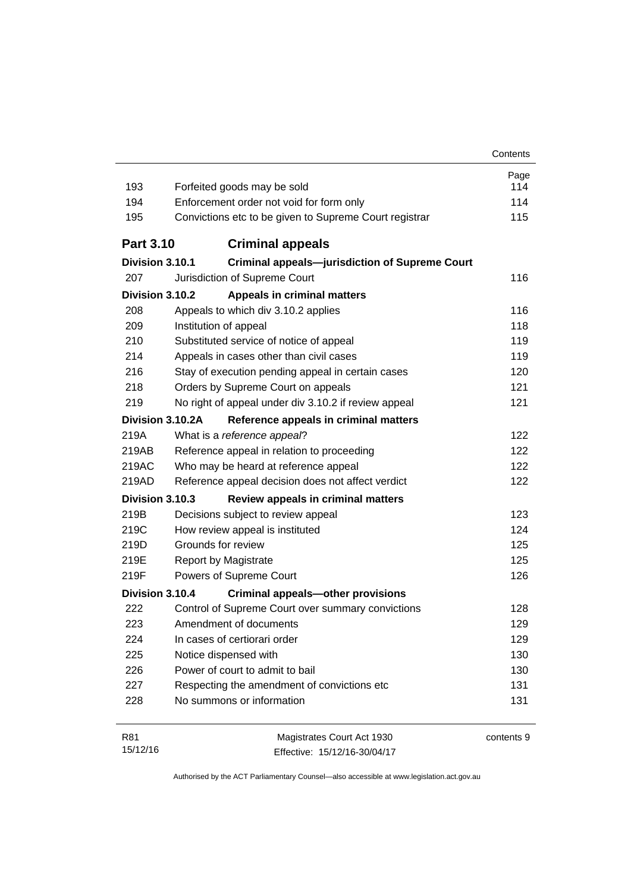| 193              | Forfeited goods may be sold                                | Page<br>114 |  |
|------------------|------------------------------------------------------------|-------------|--|
| 194              | Enforcement order not void for form only                   |             |  |
| 195              | Convictions etc to be given to Supreme Court registrar     | 114<br>115  |  |
|                  |                                                            |             |  |
| <b>Part 3.10</b> | <b>Criminal appeals</b>                                    |             |  |
| Division 3.10.1  | <b>Criminal appeals-jurisdiction of Supreme Court</b>      |             |  |
| 207              | Jurisdiction of Supreme Court                              | 116         |  |
| Division 3.10.2  | <b>Appeals in criminal matters</b>                         |             |  |
| 208              | Appeals to which div 3.10.2 applies                        | 116         |  |
| 209              | Institution of appeal                                      | 118         |  |
| 210              | Substituted service of notice of appeal                    | 119         |  |
| 214              | Appeals in cases other than civil cases                    | 119         |  |
| 216              | Stay of execution pending appeal in certain cases          | 120         |  |
| 218              | Orders by Supreme Court on appeals                         | 121         |  |
| 219              | No right of appeal under div 3.10.2 if review appeal       | 121         |  |
| Division 3.10.2A | Reference appeals in criminal matters                      |             |  |
| 219A             | What is a reference appeal?                                | 122         |  |
| 219AB            | Reference appeal in relation to proceeding                 | 122         |  |
| 219AC            | Who may be heard at reference appeal                       | 122         |  |
| 219AD            | Reference appeal decision does not affect verdict          | 122         |  |
| Division 3.10.3  | Review appeals in criminal matters                         |             |  |
| 219B             | Decisions subject to review appeal                         | 123         |  |
| 219C             | How review appeal is instituted                            | 124         |  |
| 219D             | Grounds for review                                         | 125         |  |
| 219E             | <b>Report by Magistrate</b>                                | 125         |  |
| 219F             | Powers of Supreme Court                                    | 126         |  |
| Division 3.10.4  | <b>Criminal appeals-other provisions</b>                   |             |  |
| 222              | Control of Supreme Court over summary convictions          | 128         |  |
| 223              | Amendment of documents                                     | 129         |  |
| 224              | In cases of certiorari order                               | 129         |  |
| 225              | Notice dispensed with                                      | 130         |  |
| 226              | Power of court to admit to bail                            | 130         |  |
| 227              | Respecting the amendment of convictions etc                | 131         |  |
| 228              | No summons or information                                  | 131         |  |
|                  |                                                            |             |  |
| R81<br>15/12/16  | Magistrates Court Act 1930<br>Effective: 15/12/16-30/04/17 | contents 9  |  |

Effective: 15/12/16-30/04/17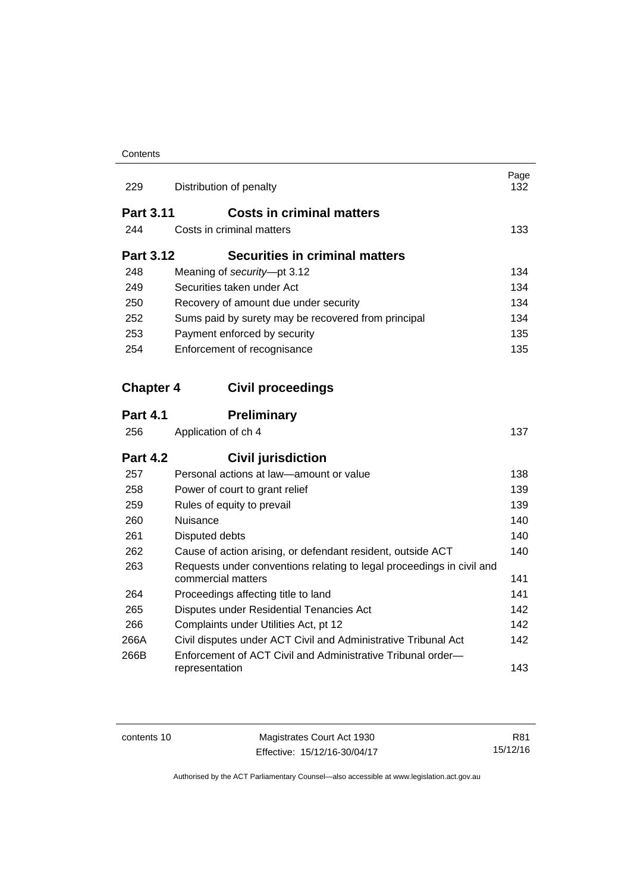#### **Contents**

| 229              | Distribution of penalty                                                                     | Page<br>132 |  |
|------------------|---------------------------------------------------------------------------------------------|-------------|--|
| <b>Part 3.11</b> | <b>Costs in criminal matters</b>                                                            |             |  |
| 244              | Costs in criminal matters                                                                   | 133         |  |
| <b>Part 3.12</b> | Securities in criminal matters                                                              |             |  |
| 248              | Meaning of security-pt 3.12                                                                 | 134         |  |
| 249              | Securities taken under Act                                                                  |             |  |
| 250              | Recovery of amount due under security                                                       | 134         |  |
| 252              | Sums paid by surety may be recovered from principal                                         | 134         |  |
| 253              | Payment enforced by security                                                                | 135         |  |
| 254              | Enforcement of recognisance                                                                 | 135         |  |
| <b>Chapter 4</b> | <b>Civil proceedings</b>                                                                    |             |  |
| <b>Part 4.1</b>  | <b>Preliminary</b>                                                                          |             |  |
| 256              | Application of ch 4                                                                         | 137         |  |
| <b>Part 4.2</b>  | <b>Civil jurisdiction</b>                                                                   |             |  |
| 257              | Personal actions at law-amount or value                                                     | 138         |  |
| 258              | Power of court to grant relief                                                              | 139         |  |
| 259              | Rules of equity to prevail                                                                  | 139         |  |
| 260              | Nuisance                                                                                    | 140         |  |
| 261              | Disputed debts                                                                              | 140         |  |
| 262              | Cause of action arising, or defendant resident, outside ACT                                 | 140         |  |
| 263              | Requests under conventions relating to legal proceedings in civil and<br>commercial matters | 141         |  |
| 264              | Proceedings affecting title to land                                                         | 141         |  |
| 265              | Disputes under Residential Tenancies Act                                                    | 142         |  |
| 266              | Complaints under Utilities Act, pt 12                                                       | 142         |  |
| 266A             | Civil disputes under ACT Civil and Administrative Tribunal Act                              | 142         |  |
| 266B             | Enforcement of ACT Civil and Administrative Tribunal order-<br>representation               | 143         |  |

contents 10 Magistrates Court Act 1930 Effective: 15/12/16-30/04/17

R81 15/12/16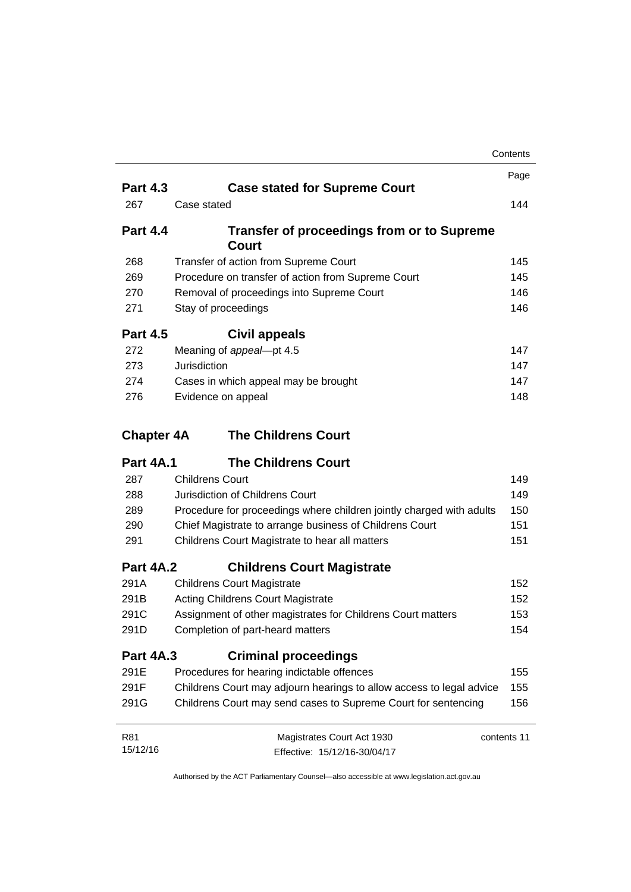|                   |                                                                      | Contents   |
|-------------------|----------------------------------------------------------------------|------------|
|                   |                                                                      | Page       |
| <b>Part 4.3</b>   | <b>Case stated for Supreme Court</b>                                 |            |
| 267               | Case stated                                                          | 144        |
| <b>Part 4.4</b>   | <b>Transfer of proceedings from or to Supreme</b><br>Court           |            |
| 268               | Transfer of action from Supreme Court                                | 145        |
| 269               | Procedure on transfer of action from Supreme Court                   | 145        |
| 270               | Removal of proceedings into Supreme Court                            | 146        |
| 271               | Stay of proceedings                                                  | 146        |
| <b>Part 4.5</b>   | <b>Civil appeals</b>                                                 |            |
| 272               | Meaning of appeal-pt 4.5                                             | 147        |
| 273               | Jurisdiction                                                         | 147        |
| 274               | Cases in which appeal may be brought                                 | 147        |
| 276               | Evidence on appeal                                                   | 148        |
| <b>Chapter 4A</b> | <b>The Childrens Court</b>                                           |            |
| <b>Part 4A.1</b>  | <b>The Childrens Court</b>                                           |            |
| 287               | <b>Childrens Court</b>                                               | 149        |
| 288               | Jurisdiction of Childrens Court                                      | 149        |
| 289               | Procedure for proceedings where children jointly charged with adults | 150        |
| 290               | Chief Magistrate to arrange business of Childrens Court              | 151        |
| 291               | Childrens Court Magistrate to hear all matters                       | 151        |
| <b>Part 4A.2</b>  | <b>Childrens Court Magistrate</b>                                    |            |
| 291A              | <b>Childrens Court Magistrate</b>                                    | 152<br>152 |
| 291B              | <b>Acting Childrens Court Magistrate</b>                             |            |
| 291C              | Assignment of other magistrates for Childrens Court matters          |            |
| 291D              | Completion of part-heard matters                                     | 154        |
| <b>Part 4A.3</b>  | <b>Criminal proceedings</b>                                          |            |
| 291E              | Procedures for hearing indictable offences                           | 155        |
| 291F              | Childrens Court may adjourn hearings to allow access to legal advice | 155        |
| 291G              | Childrens Court may send cases to Supreme Court for sentencing       | 156        |
| R81               | Magistrates Court Act 1930<br>contents 11                            |            |
| 15/12/16          | Effective: 15/12/16-30/04/17                                         |            |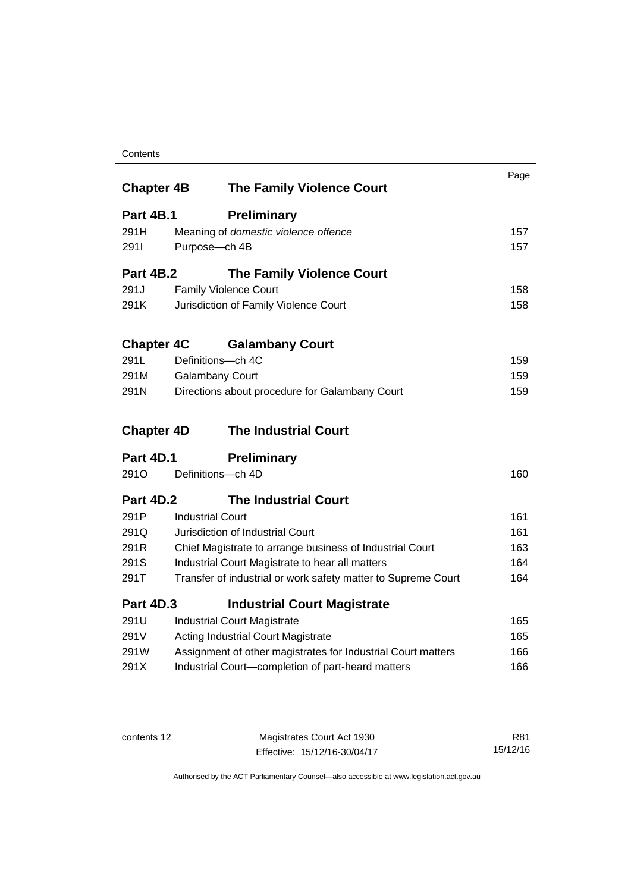#### **Contents**

| <b>Chapter 4B</b> |                                                          | <b>The Family Violence Court</b>                              | Page |
|-------------------|----------------------------------------------------------|---------------------------------------------------------------|------|
| <b>Part 4B.1</b>  |                                                          | <b>Preliminary</b>                                            |      |
| 291H              |                                                          | Meaning of domestic violence offence                          | 157  |
| 2911              | Purpose-ch 4B                                            |                                                               | 157  |
|                   |                                                          |                                                               |      |
| <b>Part 4B.2</b>  |                                                          | <b>The Family Violence Court</b>                              |      |
| 291J              |                                                          | <b>Family Violence Court</b>                                  | 158  |
| 291K              |                                                          | Jurisdiction of Family Violence Court                         | 158  |
| <b>Chapter 4C</b> |                                                          | <b>Galambany Court</b>                                        |      |
| 291L              | Definitions-ch 4C                                        |                                                               | 159  |
| 291M              | <b>Galambany Court</b>                                   |                                                               | 159  |
| 291N              |                                                          | Directions about procedure for Galambany Court                | 159  |
| <b>Chapter 4D</b> |                                                          | <b>The Industrial Court</b>                                   |      |
| <b>Part 4D.1</b>  |                                                          | <b>Preliminary</b>                                            |      |
| 291 <sub>O</sub>  | Definitions-ch 4D                                        |                                                               | 160  |
| <b>Part 4D.2</b>  |                                                          | <b>The Industrial Court</b>                                   |      |
| 291P              | <b>Industrial Court</b>                                  |                                                               | 161  |
| 291Q              |                                                          | Jurisdiction of Industrial Court                              | 161  |
| 291R              | Chief Magistrate to arrange business of Industrial Court |                                                               | 163  |
| 291S              | Industrial Court Magistrate to hear all matters          |                                                               | 164  |
| 291T              |                                                          | Transfer of industrial or work safety matter to Supreme Court | 164  |
| <b>Part 4D.3</b>  |                                                          | <b>Industrial Court Magistrate</b>                            |      |
| 291U              |                                                          | <b>Industrial Court Magistrate</b>                            | 165  |
| 291V              |                                                          | <b>Acting Industrial Court Magistrate</b>                     | 165  |
| 291W              |                                                          | Assignment of other magistrates for Industrial Court matters  | 166  |
| 291X              |                                                          | Industrial Court-completion of part-heard matters             | 166  |
|                   |                                                          |                                                               |      |

contents 12 Magistrates Court Act 1930 Effective: 15/12/16-30/04/17

R81 15/12/16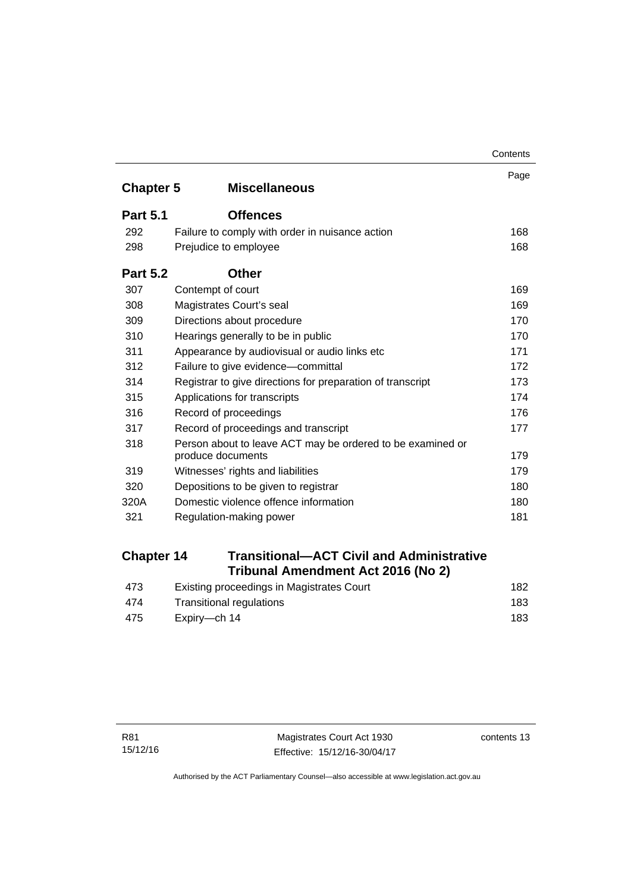|                  |                                                                                 | Contents |  |
|------------------|---------------------------------------------------------------------------------|----------|--|
| <b>Chapter 5</b> | <b>Miscellaneous</b>                                                            | Page     |  |
| <b>Part 5.1</b>  | <b>Offences</b>                                                                 |          |  |
| 292              | Failure to comply with order in nuisance action                                 | 168      |  |
| 298              | Prejudice to employee                                                           | 168      |  |
| <b>Part 5.2</b>  | <b>Other</b>                                                                    |          |  |
| 307              | Contempt of court                                                               | 169      |  |
| 308              | Magistrates Court's seal                                                        | 169      |  |
| 309              | Directions about procedure                                                      | 170      |  |
| 310              | Hearings generally to be in public                                              | 170      |  |
| 311              | Appearance by audiovisual or audio links etc                                    | 171      |  |
| 312              | Failure to give evidence-committal                                              | 172      |  |
| 314              | 173<br>Registrar to give directions for preparation of transcript               |          |  |
| 315              | Applications for transcripts<br>174                                             |          |  |
| 316              | 176<br>Record of proceedings                                                    |          |  |
| 317              | Record of proceedings and transcript                                            | 177      |  |
| 318              | Person about to leave ACT may be ordered to be examined or<br>produce documents | 179      |  |
| 319              | Witnesses' rights and liabilities                                               | 179      |  |
| 320              | Depositions to be given to registrar                                            | 180      |  |
| 320A             | Domestic violence offence information                                           | 180      |  |
| 321              | Regulation-making power                                                         | 181      |  |

# **Chapter 14 [Transitional—ACT Civil and Administrative](#page-197-0)  [Tribunal Amendment Act 2016 \(No 2\)](#page-197-0)**

| 473 | Existing proceedings in Magistrates Court | 182 |
|-----|-------------------------------------------|-----|
| 474 | Transitional regulations                  | 183 |
| 475 | Expirv—ch 14                              | 183 |

contents 13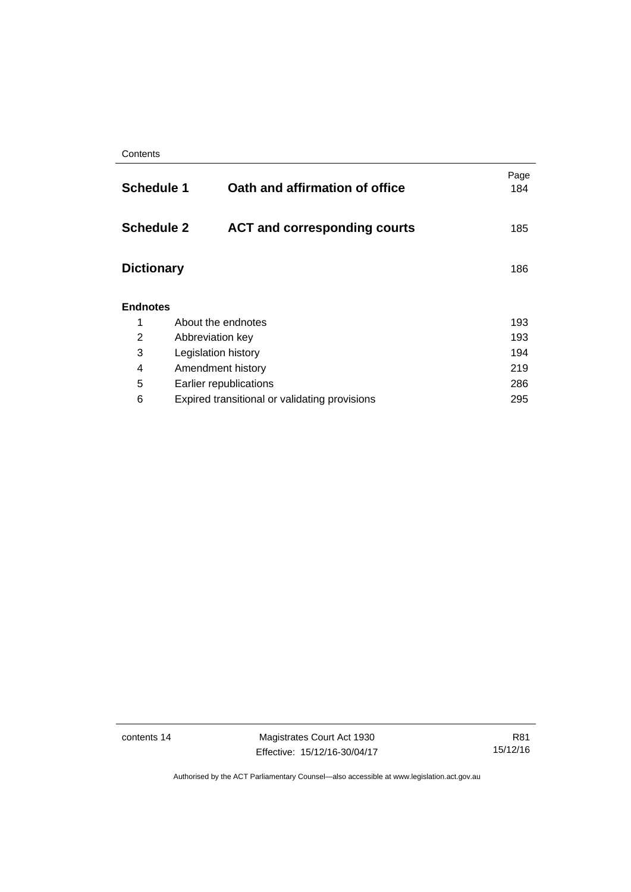| <b>Schedule 1</b> | Oath and affirmation of office                           | Page<br>184 |  |
|-------------------|----------------------------------------------------------|-------------|--|
|                   | <b>Schedule 2</b><br><b>ACT and corresponding courts</b> | 185         |  |
| <b>Dictionary</b> |                                                          | 186         |  |
| <b>Endnotes</b>   |                                                          |             |  |
| 1                 | About the endnotes                                       | 193         |  |
| 2                 | Abbreviation key                                         | 193         |  |
| 3                 | Legislation history                                      | 194         |  |
| 4                 | Amendment history                                        | 219         |  |
| 5                 | 286<br>Earlier republications                            |             |  |
| 6                 | Expired transitional or validating provisions<br>295     |             |  |

contents 14 Magistrates Court Act 1930 Effective: 15/12/16-30/04/17

R81 15/12/16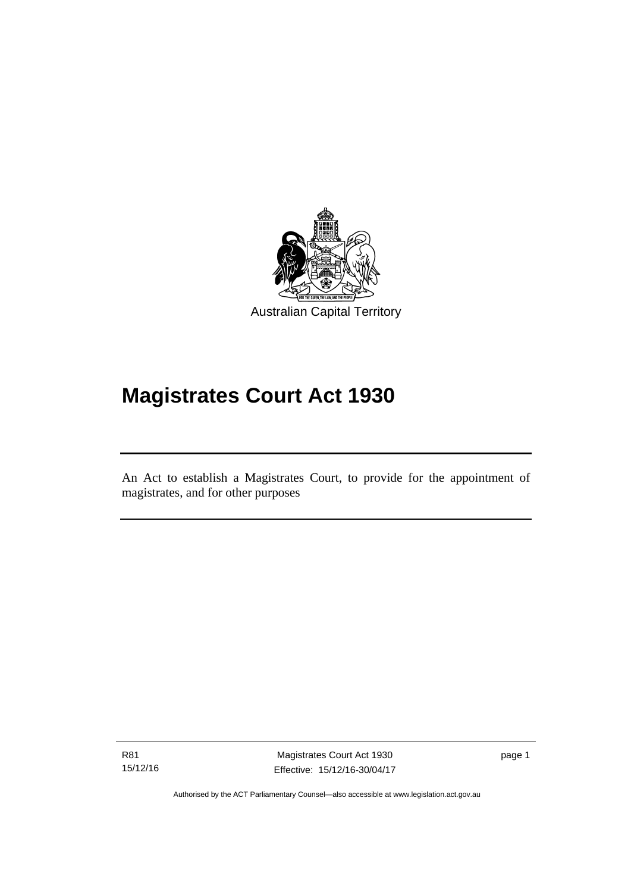

# **Magistrates Court Act 1930**

An Act to establish a Magistrates Court, to provide for the appointment of magistrates, and for other purposes

R81 15/12/16

l

Magistrates Court Act 1930 Effective: 15/12/16-30/04/17 page 1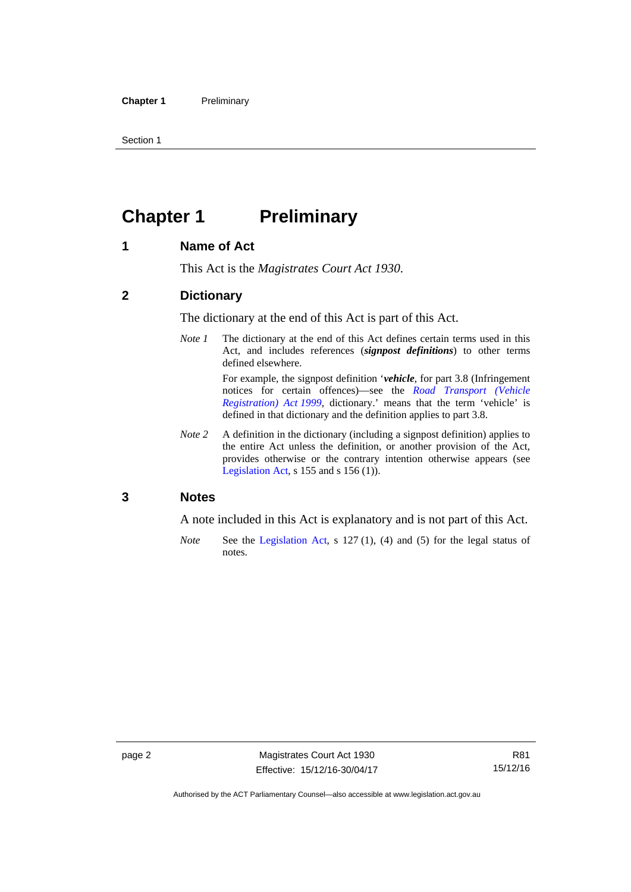Section 1

# <span id="page-17-0"></span>**Chapter 1** Preliminary

#### <span id="page-17-1"></span>**1 Name of Act**

This Act is the *Magistrates Court Act 1930*.

#### <span id="page-17-2"></span>**2 Dictionary**

The dictionary at the end of this Act is part of this Act.

*Note 1* The dictionary at the end of this Act defines certain terms used in this Act, and includes references (*signpost definitions*) to other terms defined elsewhere.

> For example, the signpost definition '*vehicle*, for part 3.8 (Infringement notices for certain offences)—see the *[Road Transport \(Vehicle](http://www.legislation.act.gov.au/a/1999-81)  [Registration\) Act 1999](http://www.legislation.act.gov.au/a/1999-81)*, dictionary.' means that the term 'vehicle' is defined in that dictionary and the definition applies to part 3.8.

*Note 2* A definition in the dictionary (including a signpost definition) applies to the entire Act unless the definition, or another provision of the Act, provides otherwise or the contrary intention otherwise appears (see [Legislation Act,](http://www.legislation.act.gov.au/a/2001-14) s  $155$  and s  $156$  (1)).

#### <span id="page-17-3"></span>**3 Notes**

A note included in this Act is explanatory and is not part of this Act.

*Note* See the [Legislation Act,](http://www.legislation.act.gov.au/a/2001-14) s 127 (1), (4) and (5) for the legal status of notes.

Authorised by the ACT Parliamentary Counsel—also accessible at www.legislation.act.gov.au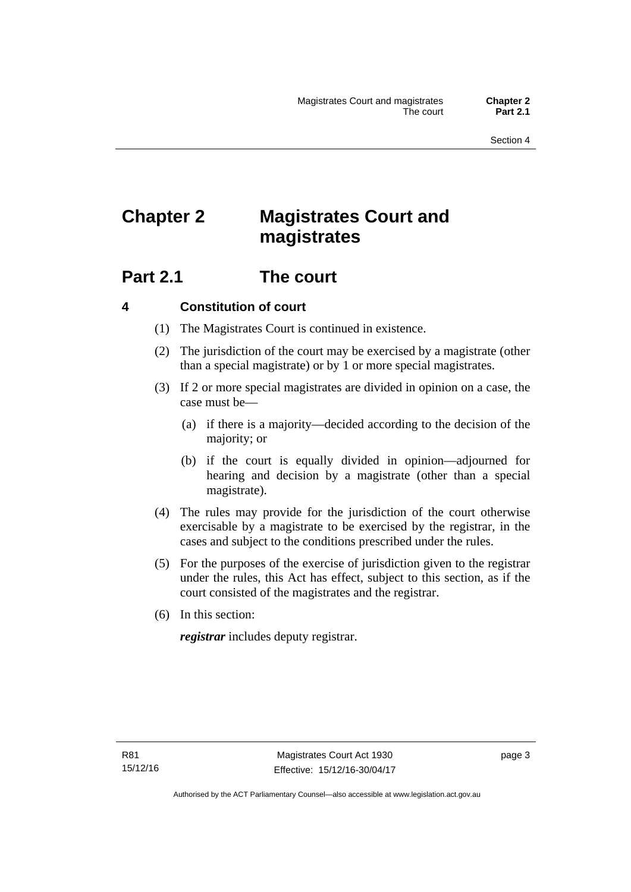# <span id="page-18-0"></span>**Chapter 2 Magistrates Court and magistrates**

# <span id="page-18-1"></span>**Part 2.1 The court**

#### <span id="page-18-2"></span>**4 Constitution of court**

- (1) The Magistrates Court is continued in existence.
- (2) The jurisdiction of the court may be exercised by a magistrate (other than a special magistrate) or by 1 or more special magistrates.
- (3) If 2 or more special magistrates are divided in opinion on a case, the case must be—
	- (a) if there is a majority—decided according to the decision of the majority; or
	- (b) if the court is equally divided in opinion—adjourned for hearing and decision by a magistrate (other than a special magistrate).
- (4) The rules may provide for the jurisdiction of the court otherwise exercisable by a magistrate to be exercised by the registrar, in the cases and subject to the conditions prescribed under the rules.
- (5) For the purposes of the exercise of jurisdiction given to the registrar under the rules, this Act has effect, subject to this section, as if the court consisted of the magistrates and the registrar.
- (6) In this section:

*registrar* includes deputy registrar.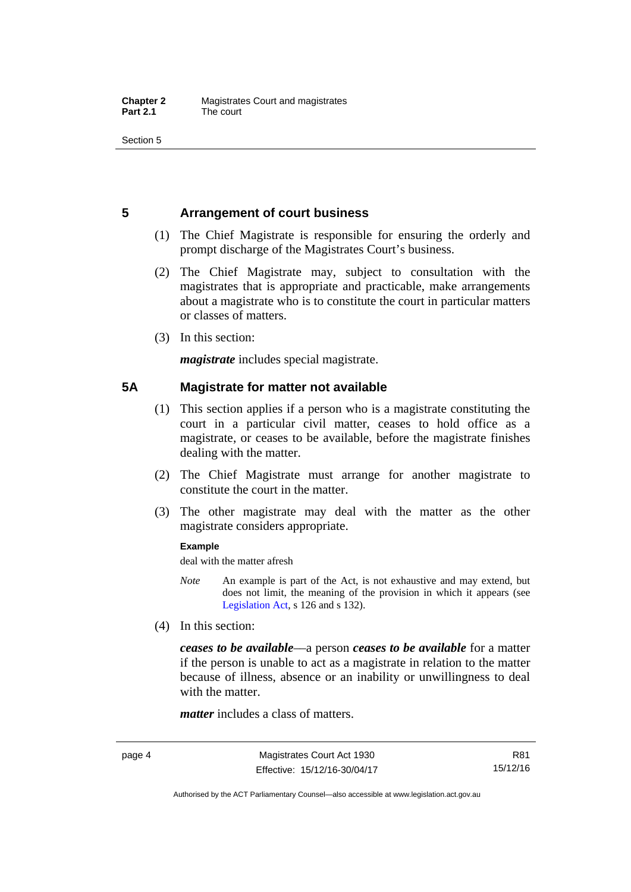Section 5

#### <span id="page-19-0"></span>**5 Arrangement of court business**

- (1) The Chief Magistrate is responsible for ensuring the orderly and prompt discharge of the Magistrates Court's business.
- (2) The Chief Magistrate may, subject to consultation with the magistrates that is appropriate and practicable, make arrangements about a magistrate who is to constitute the court in particular matters or classes of matters.
- (3) In this section:

*magistrate* includes special magistrate.

#### <span id="page-19-1"></span>**5A Magistrate for matter not available**

- (1) This section applies if a person who is a magistrate constituting the court in a particular civil matter, ceases to hold office as a magistrate, or ceases to be available, before the magistrate finishes dealing with the matter.
- (2) The Chief Magistrate must arrange for another magistrate to constitute the court in the matter.
- (3) The other magistrate may deal with the matter as the other magistrate considers appropriate.

#### **Example**

deal with the matter afresh

- *Note* An example is part of the Act, is not exhaustive and may extend, but does not limit, the meaning of the provision in which it appears (see [Legislation Act,](http://www.legislation.act.gov.au/a/2001-14) s 126 and s 132).
- (4) In this section:

*ceases to be available*––a person *ceases to be available* for a matter if the person is unable to act as a magistrate in relation to the matter because of illness, absence or an inability or unwillingness to deal with the matter.

*matter* includes a class of matters.

Authorised by the ACT Parliamentary Counsel—also accessible at www.legislation.act.gov.au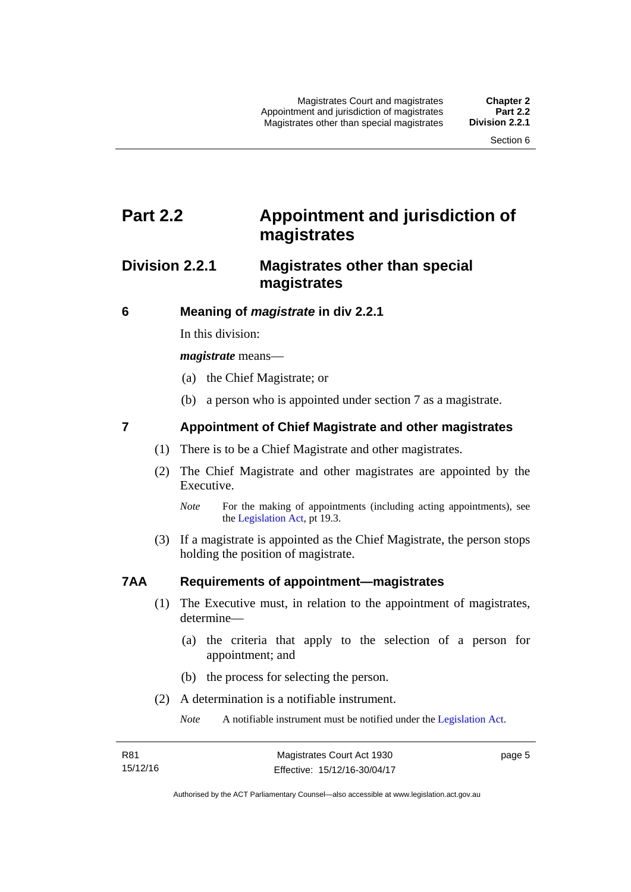# <span id="page-20-0"></span>**Part 2.2 Appointment and jurisdiction of magistrates**

### <span id="page-20-1"></span>**Division 2.2.1 Magistrates other than special magistrates**

<span id="page-20-2"></span>**6 Meaning of** *magistrate* **in div 2.2.1** 

In this division:

*magistrate* means—

- (a) the Chief Magistrate; or
- (b) a person who is appointed under section 7 as a magistrate.

#### <span id="page-20-3"></span>**7 Appointment of Chief Magistrate and other magistrates**

- (1) There is to be a Chief Magistrate and other magistrates.
- (2) The Chief Magistrate and other magistrates are appointed by the Executive.

 (3) If a magistrate is appointed as the Chief Magistrate, the person stops holding the position of magistrate.

#### <span id="page-20-4"></span>**7AA Requirements of appointment—magistrates**

- (1) The Executive must, in relation to the appointment of magistrates, determine—
	- (a) the criteria that apply to the selection of a person for appointment; and
	- (b) the process for selecting the person.
- (2) A determination is a notifiable instrument.

*Note* A notifiable instrument must be notified under the [Legislation Act](http://www.legislation.act.gov.au/a/2001-14).

page 5

*Note* For the making of appointments (including acting appointments), see the [Legislation Act,](http://www.legislation.act.gov.au/a/2001-14) pt 19.3.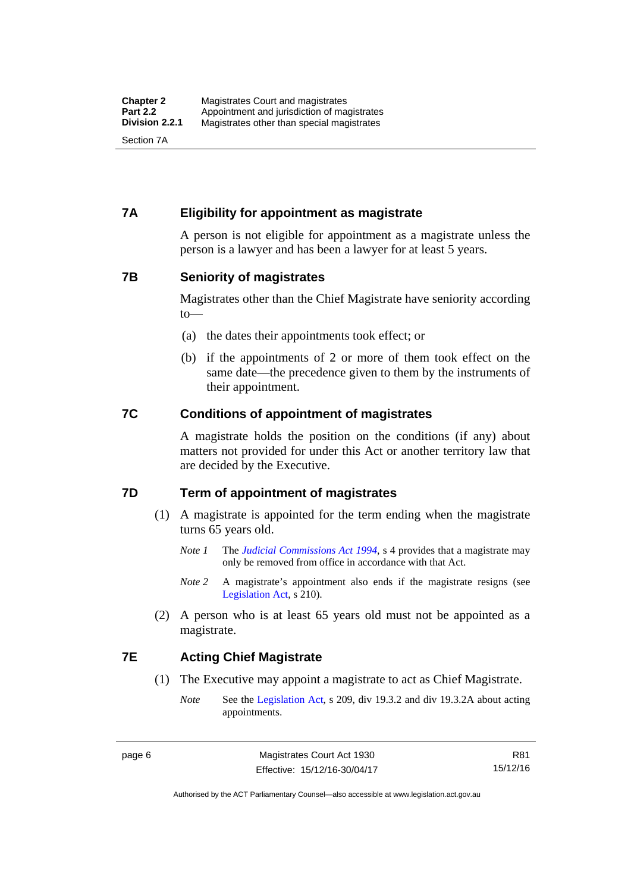#### <span id="page-21-0"></span>**7A Eligibility for appointment as magistrate**

A person is not eligible for appointment as a magistrate unless the person is a lawyer and has been a lawyer for at least 5 years.

#### <span id="page-21-1"></span>**7B Seniority of magistrates**

Magistrates other than the Chief Magistrate have seniority according to—

- (a) the dates their appointments took effect; or
- (b) if the appointments of 2 or more of them took effect on the same date—the precedence given to them by the instruments of their appointment.

#### <span id="page-21-2"></span>**7C Conditions of appointment of magistrates**

A magistrate holds the position on the conditions (if any) about matters not provided for under this Act or another territory law that are decided by the Executive.

#### <span id="page-21-3"></span>**7D Term of appointment of magistrates**

- (1) A magistrate is appointed for the term ending when the magistrate turns 65 years old.
	- *Note 1* The *[Judicial Commissions Act 1994](http://www.legislation.act.gov.au/a/1994-9)*, s 4 provides that a magistrate may only be removed from office in accordance with that Act.
	- *Note* 2 A magistrate's appointment also ends if the magistrate resigns (see [Legislation Act,](http://www.legislation.act.gov.au/a/2001-14) s 210).
- (2) A person who is at least 65 years old must not be appointed as a magistrate.

#### <span id="page-21-4"></span>**7E Acting Chief Magistrate**

- (1) The Executive may appoint a magistrate to act as Chief Magistrate.
	- *Note* See the [Legislation Act](http://www.legislation.act.gov.au/a/2001-14), s 209, div 19.3.2 and div 19.3.2A about acting appointments.

R81 15/12/16

Authorised by the ACT Parliamentary Counsel—also accessible at www.legislation.act.gov.au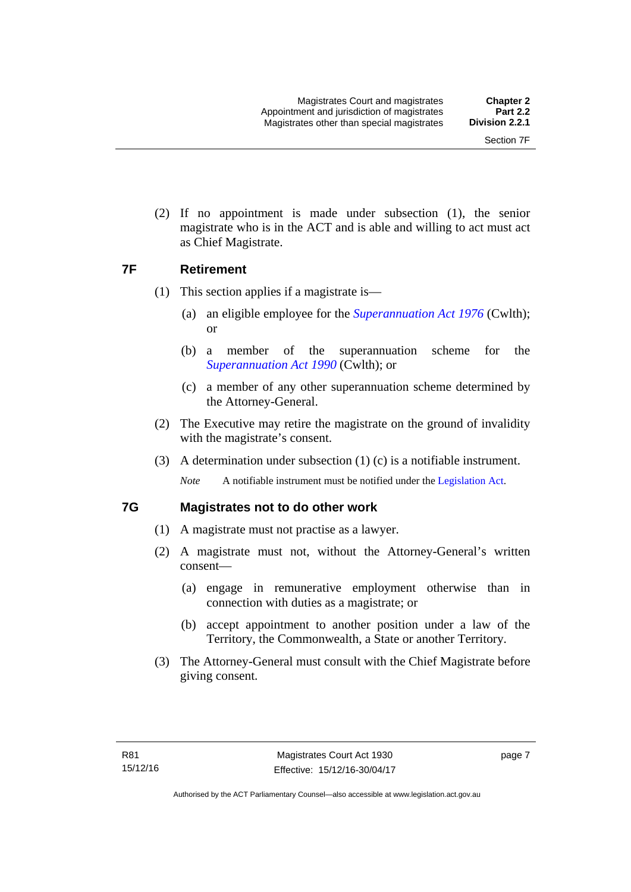(2) If no appointment is made under subsection (1), the senior magistrate who is in the ACT and is able and willing to act must act as Chief Magistrate.

#### <span id="page-22-0"></span>**7F Retirement**

- (1) This section applies if a magistrate is—
	- (a) an eligible employee for the *[Superannuation Act 1976](http://www.comlaw.gov.au/Details/C2013C00038)* (Cwlth); or
	- (b) a member of the superannuation scheme for the *[Superannuation Act 1990](http://www.comlaw.gov.au/Details/C2012C00825)* (Cwlth); or
	- (c) a member of any other superannuation scheme determined by the Attorney-General.
- (2) The Executive may retire the magistrate on the ground of invalidity with the magistrate's consent.
- (3) A determination under subsection (1) (c) is a notifiable instrument.

*Note* A notifiable instrument must be notified under the [Legislation Act](http://www.legislation.act.gov.au/a/2001-14).

#### <span id="page-22-1"></span>**7G Magistrates not to do other work**

- (1) A magistrate must not practise as a lawyer.
- (2) A magistrate must not, without the Attorney-General's written consent—
	- (a) engage in remunerative employment otherwise than in connection with duties as a magistrate; or
	- (b) accept appointment to another position under a law of the Territory, the Commonwealth, a State or another Territory.
- (3) The Attorney-General must consult with the Chief Magistrate before giving consent.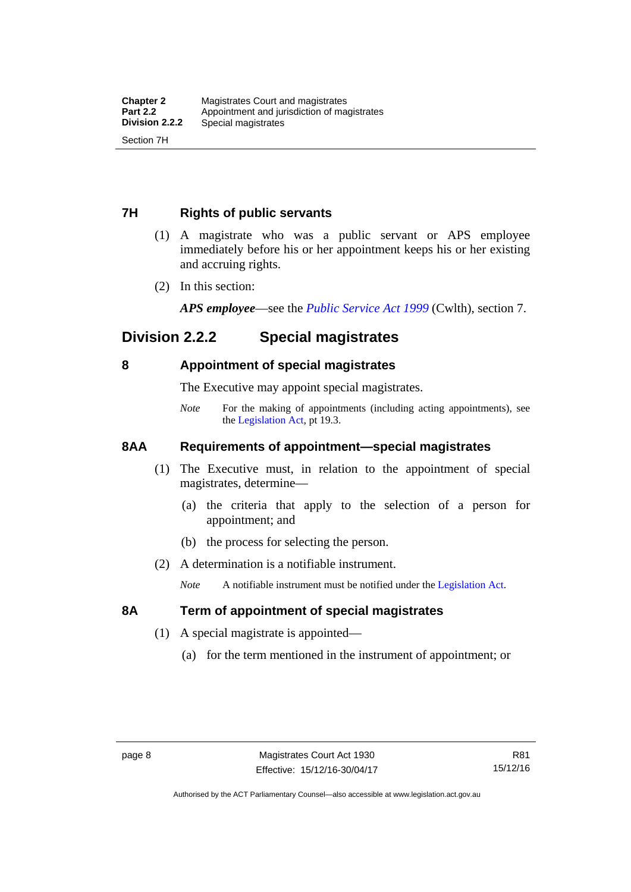#### <span id="page-23-0"></span>**7H Rights of public servants**

- (1) A magistrate who was a public servant or APS employee immediately before his or her appointment keeps his or her existing and accruing rights.
- (2) In this section:

*APS employee*—see the *[Public Service Act 1999](http://www.comlaw.gov.au/Details/C2012C00319)* (Cwlth), section 7.

## <span id="page-23-1"></span>**Division 2.2.2 Special magistrates**

#### <span id="page-23-2"></span>**8 Appointment of special magistrates**

The Executive may appoint special magistrates.

*Note* For the making of appointments (including acting appointments), see the [Legislation Act,](http://www.legislation.act.gov.au/a/2001-14) pt 19.3.

#### <span id="page-23-3"></span>**8AA Requirements of appointment—special magistrates**

- (1) The Executive must, in relation to the appointment of special magistrates, determine—
	- (a) the criteria that apply to the selection of a person for appointment; and
	- (b) the process for selecting the person.
- (2) A determination is a notifiable instrument.

*Note* A notifiable instrument must be notified under the [Legislation Act](http://www.legislation.act.gov.au/a/2001-14).

#### <span id="page-23-4"></span>**8A Term of appointment of special magistrates**

- (1) A special magistrate is appointed—
	- (a) for the term mentioned in the instrument of appointment; or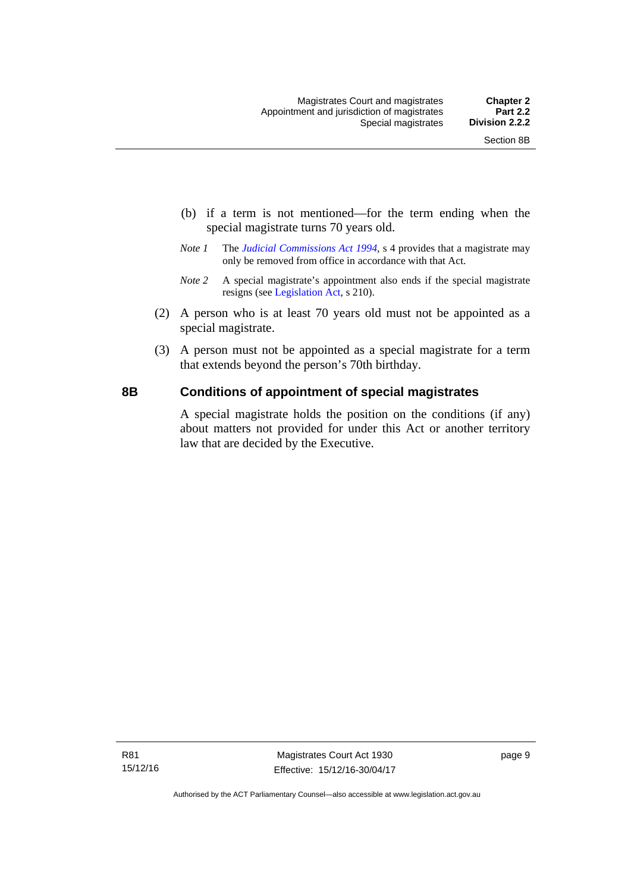- (b) if a term is not mentioned—for the term ending when the special magistrate turns 70 years old.
- *Note 1* The *[Judicial Commissions Act 1994](http://www.legislation.act.gov.au/a/1994-9)*, s 4 provides that a magistrate may only be removed from office in accordance with that Act.
- *Note 2* A special magistrate's appointment also ends if the special magistrate resigns (see [Legislation Act](http://www.legislation.act.gov.au/a/2001-14), s 210).
- (2) A person who is at least 70 years old must not be appointed as a special magistrate.
- (3) A person must not be appointed as a special magistrate for a term that extends beyond the person's 70th birthday.

#### <span id="page-24-0"></span>**8B Conditions of appointment of special magistrates**

A special magistrate holds the position on the conditions (if any) about matters not provided for under this Act or another territory law that are decided by the Executive.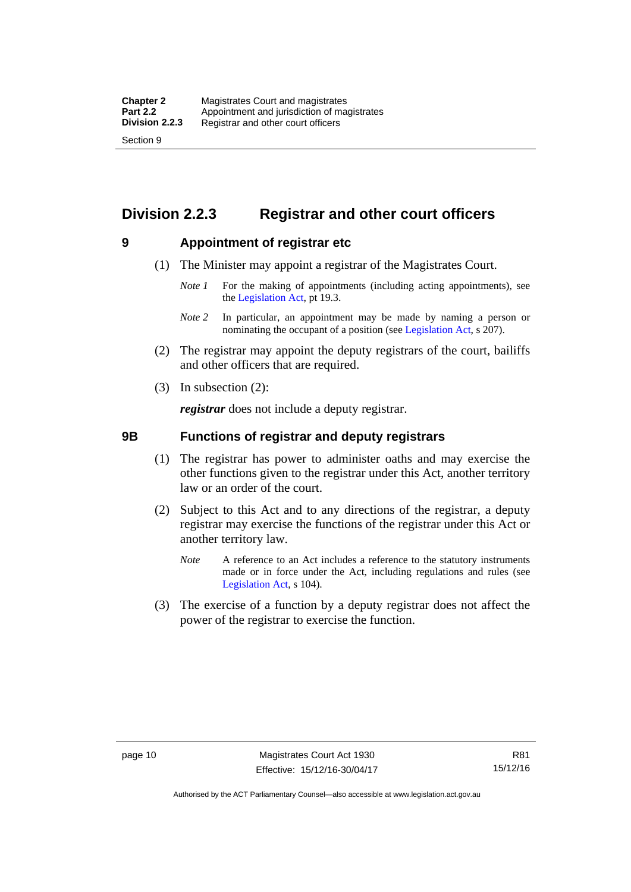# <span id="page-25-0"></span>**Division 2.2.3 Registrar and other court officers**

#### <span id="page-25-1"></span>**9 Appointment of registrar etc**

- (1) The Minister may appoint a registrar of the Magistrates Court.
	- *Note 1* For the making of appointments (including acting appointments), see the [Legislation Act,](http://www.legislation.act.gov.au/a/2001-14) pt 19.3.
	- *Note 2* In particular, an appointment may be made by naming a person or nominating the occupant of a position (see [Legislation Act](http://www.legislation.act.gov.au/a/2001-14), s 207).
- (2) The registrar may appoint the deputy registrars of the court, bailiffs and other officers that are required.
- (3) In subsection (2):

*registrar* does not include a deputy registrar.

#### <span id="page-25-2"></span>**9B Functions of registrar and deputy registrars**

- (1) The registrar has power to administer oaths and may exercise the other functions given to the registrar under this Act, another territory law or an order of the court.
- (2) Subject to this Act and to any directions of the registrar, a deputy registrar may exercise the functions of the registrar under this Act or another territory law.
	- *Note* A reference to an Act includes a reference to the statutory instruments made or in force under the Act, including regulations and rules (see [Legislation Act,](http://www.legislation.act.gov.au/a/2001-14) s 104).
- (3) The exercise of a function by a deputy registrar does not affect the power of the registrar to exercise the function.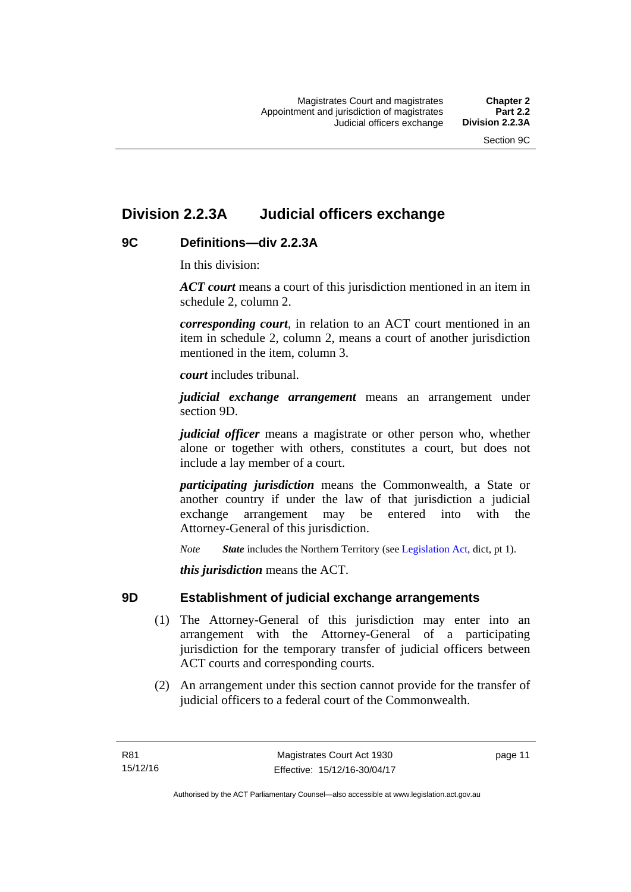# <span id="page-26-0"></span>**Division 2.2.3A Judicial officers exchange**

#### <span id="page-26-1"></span>**9C Definitions—div 2.2.3A**

In this division:

*ACT court* means a court of this jurisdiction mentioned in an item in schedule 2, column 2.

*corresponding court*, in relation to an ACT court mentioned in an item in schedule 2, column 2, means a court of another jurisdiction mentioned in the item, column 3.

*court* includes tribunal.

*judicial exchange arrangement* means an arrangement under section 9D.

*judicial officer* means a magistrate or other person who, whether alone or together with others, constitutes a court, but does not include a lay member of a court.

*participating jurisdiction* means the Commonwealth, a State or another country if under the law of that jurisdiction a judicial exchange arrangement may be entered into with the Attorney-General of this jurisdiction.

*Note State* includes the Northern Territory (see [Legislation Act](http://www.legislation.act.gov.au/a/2001-14), dict, pt 1).

*this jurisdiction* means the ACT.

#### <span id="page-26-2"></span>**9D Establishment of judicial exchange arrangements**

- (1) The Attorney-General of this jurisdiction may enter into an arrangement with the Attorney-General of a participating jurisdiction for the temporary transfer of judicial officers between ACT courts and corresponding courts.
- (2) An arrangement under this section cannot provide for the transfer of judicial officers to a federal court of the Commonwealth.

page 11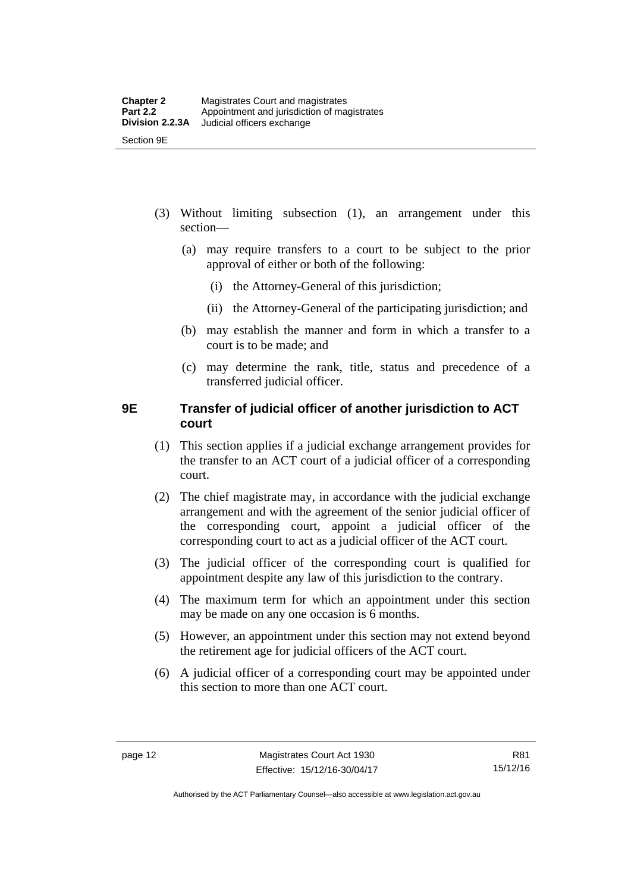- (3) Without limiting subsection (1), an arrangement under this section—
	- (a) may require transfers to a court to be subject to the prior approval of either or both of the following:
		- (i) the Attorney-General of this jurisdiction;
		- (ii) the Attorney-General of the participating jurisdiction; and
	- (b) may establish the manner and form in which a transfer to a court is to be made; and
	- (c) may determine the rank, title, status and precedence of a transferred judicial officer.

#### <span id="page-27-0"></span>**9E Transfer of judicial officer of another jurisdiction to ACT court**

- (1) This section applies if a judicial exchange arrangement provides for the transfer to an ACT court of a judicial officer of a corresponding court.
- (2) The chief magistrate may, in accordance with the judicial exchange arrangement and with the agreement of the senior judicial officer of the corresponding court, appoint a judicial officer of the corresponding court to act as a judicial officer of the ACT court.
- (3) The judicial officer of the corresponding court is qualified for appointment despite any law of this jurisdiction to the contrary.
- (4) The maximum term for which an appointment under this section may be made on any one occasion is 6 months.
- (5) However, an appointment under this section may not extend beyond the retirement age for judicial officers of the ACT court.
- (6) A judicial officer of a corresponding court may be appointed under this section to more than one ACT court.

Authorised by the ACT Parliamentary Counsel—also accessible at www.legislation.act.gov.au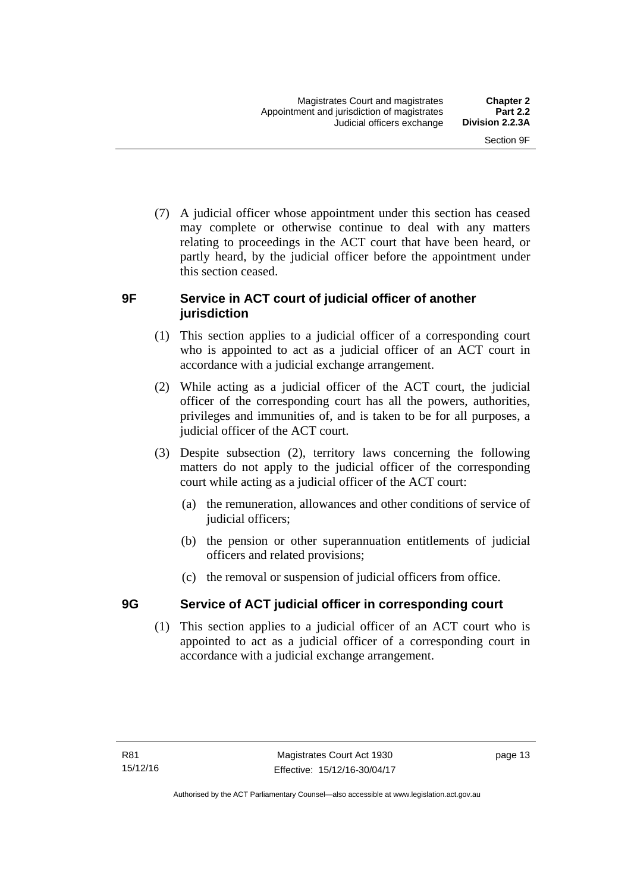(7) A judicial officer whose appointment under this section has ceased may complete or otherwise continue to deal with any matters relating to proceedings in the ACT court that have been heard, or partly heard, by the judicial officer before the appointment under this section ceased.

#### <span id="page-28-0"></span>**9F Service in ACT court of judicial officer of another jurisdiction**

- (1) This section applies to a judicial officer of a corresponding court who is appointed to act as a judicial officer of an ACT court in accordance with a judicial exchange arrangement.
- (2) While acting as a judicial officer of the ACT court, the judicial officer of the corresponding court has all the powers, authorities, privileges and immunities of, and is taken to be for all purposes, a judicial officer of the ACT court.
- (3) Despite subsection (2), territory laws concerning the following matters do not apply to the judicial officer of the corresponding court while acting as a judicial officer of the ACT court:
	- (a) the remuneration, allowances and other conditions of service of judicial officers;
	- (b) the pension or other superannuation entitlements of judicial officers and related provisions;
	- (c) the removal or suspension of judicial officers from office.

### <span id="page-28-1"></span>**9G Service of ACT judicial officer in corresponding court**

(1) This section applies to a judicial officer of an ACT court who is appointed to act as a judicial officer of a corresponding court in accordance with a judicial exchange arrangement.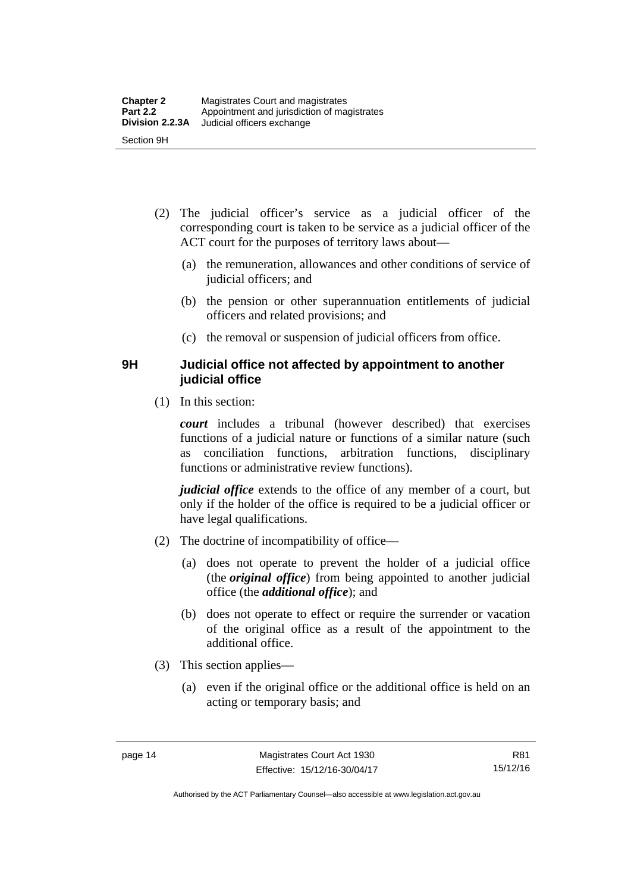- (2) The judicial officer's service as a judicial officer of the corresponding court is taken to be service as a judicial officer of the ACT court for the purposes of territory laws about—
	- (a) the remuneration, allowances and other conditions of service of judicial officers; and
	- (b) the pension or other superannuation entitlements of judicial officers and related provisions; and
	- (c) the removal or suspension of judicial officers from office.

#### <span id="page-29-0"></span>**9H Judicial office not affected by appointment to another judicial office**

(1) In this section:

*court* includes a tribunal (however described) that exercises functions of a judicial nature or functions of a similar nature (such as conciliation functions, arbitration functions, disciplinary functions or administrative review functions).

*judicial office* extends to the office of any member of a court, but only if the holder of the office is required to be a judicial officer or have legal qualifications.

- (2) The doctrine of incompatibility of office—
	- (a) does not operate to prevent the holder of a judicial office (the *original office*) from being appointed to another judicial office (the *additional office*); and
	- (b) does not operate to effect or require the surrender or vacation of the original office as a result of the appointment to the additional office.
- (3) This section applies—
	- (a) even if the original office or the additional office is held on an acting or temporary basis; and

Authorised by the ACT Parliamentary Counsel—also accessible at www.legislation.act.gov.au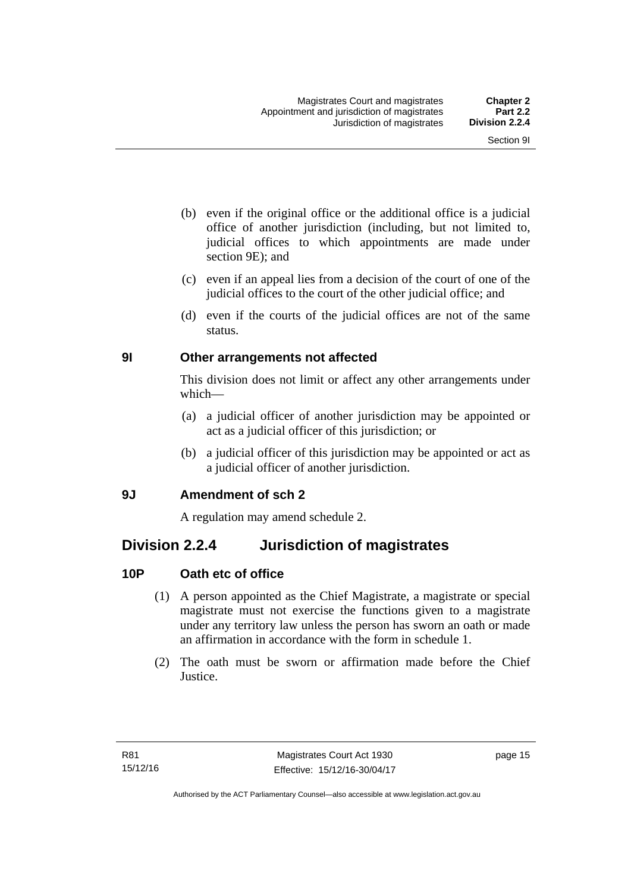- (b) even if the original office or the additional office is a judicial office of another jurisdiction (including, but not limited to, judicial offices to which appointments are made under section 9E); and
- (c) even if an appeal lies from a decision of the court of one of the judicial offices to the court of the other judicial office; and
- (d) even if the courts of the judicial offices are not of the same status.

#### <span id="page-30-0"></span>**9I Other arrangements not affected**

This division does not limit or affect any other arrangements under which—

- (a) a judicial officer of another jurisdiction may be appointed or act as a judicial officer of this jurisdiction; or
- (b) a judicial officer of this jurisdiction may be appointed or act as a judicial officer of another jurisdiction.

#### <span id="page-30-1"></span>**9J Amendment of sch 2**

A regulation may amend schedule 2.

## <span id="page-30-2"></span>**Division 2.2.4 Jurisdiction of magistrates**

### <span id="page-30-3"></span>**10P Oath etc of office**

- (1) A person appointed as the Chief Magistrate, a magistrate or special magistrate must not exercise the functions given to a magistrate under any territory law unless the person has sworn an oath or made an affirmation in accordance with the form in schedule 1.
- (2) The oath must be sworn or affirmation made before the Chief Justice.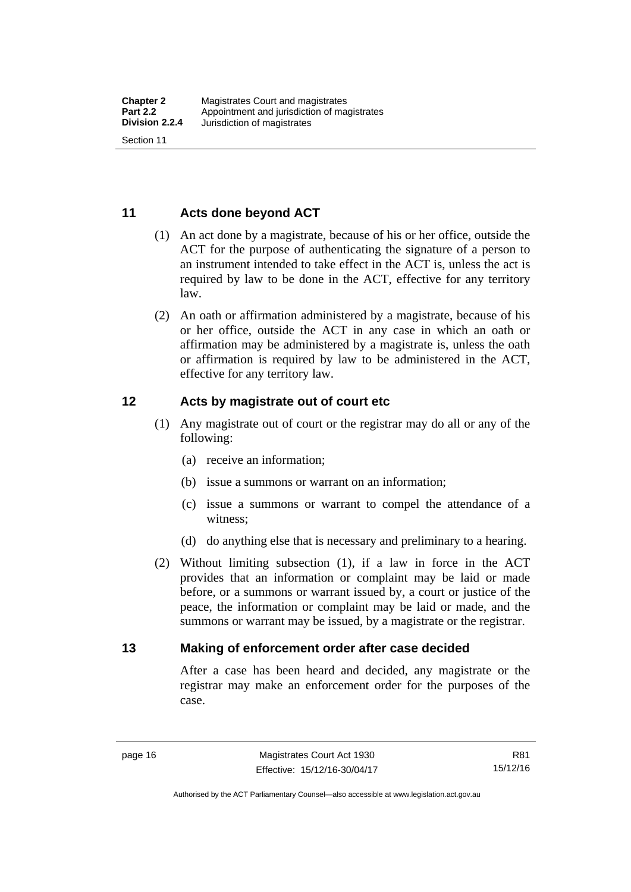#### <span id="page-31-0"></span>**11 Acts done beyond ACT**

- (1) An act done by a magistrate, because of his or her office, outside the ACT for the purpose of authenticating the signature of a person to an instrument intended to take effect in the ACT is, unless the act is required by law to be done in the ACT, effective for any territory law.
- (2) An oath or affirmation administered by a magistrate, because of his or her office, outside the ACT in any case in which an oath or affirmation may be administered by a magistrate is, unless the oath or affirmation is required by law to be administered in the ACT, effective for any territory law.

#### <span id="page-31-1"></span>**12 Acts by magistrate out of court etc**

- (1) Any magistrate out of court or the registrar may do all or any of the following:
	- (a) receive an information;
	- (b) issue a summons or warrant on an information;
	- (c) issue a summons or warrant to compel the attendance of a witness;
	- (d) do anything else that is necessary and preliminary to a hearing.
- (2) Without limiting subsection (1), if a law in force in the ACT provides that an information or complaint may be laid or made before, or a summons or warrant issued by, a court or justice of the peace, the information or complaint may be laid or made, and the summons or warrant may be issued, by a magistrate or the registrar.

#### <span id="page-31-2"></span>**13 Making of enforcement order after case decided**

After a case has been heard and decided, any magistrate or the registrar may make an enforcement order for the purposes of the case.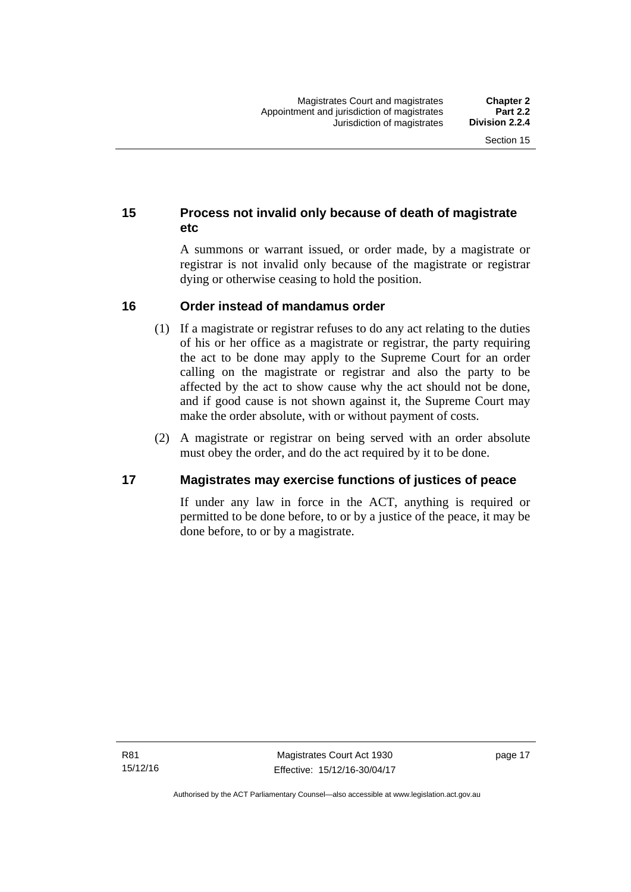#### <span id="page-32-0"></span>**15 Process not invalid only because of death of magistrate etc**

A summons or warrant issued, or order made, by a magistrate or registrar is not invalid only because of the magistrate or registrar dying or otherwise ceasing to hold the position.

#### <span id="page-32-1"></span>**16 Order instead of mandamus order**

- (1) If a magistrate or registrar refuses to do any act relating to the duties of his or her office as a magistrate or registrar, the party requiring the act to be done may apply to the Supreme Court for an order calling on the magistrate or registrar and also the party to be affected by the act to show cause why the act should not be done, and if good cause is not shown against it, the Supreme Court may make the order absolute, with or without payment of costs.
- (2) A magistrate or registrar on being served with an order absolute must obey the order, and do the act required by it to be done.

#### <span id="page-32-2"></span>**17 Magistrates may exercise functions of justices of peace**

If under any law in force in the ACT, anything is required or permitted to be done before, to or by a justice of the peace, it may be done before, to or by a magistrate.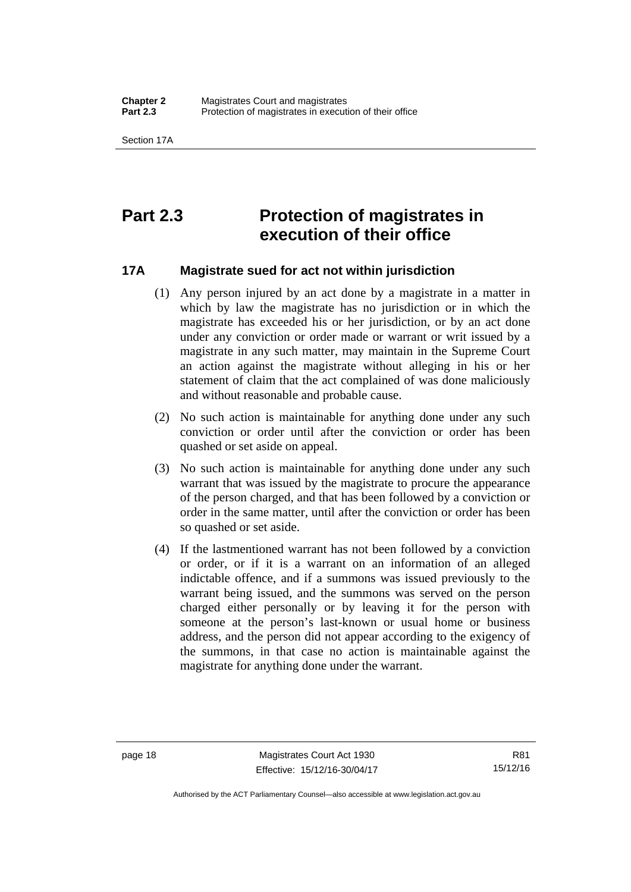# <span id="page-33-0"></span>**Part 2.3 Protection of magistrates in execution of their office**

#### <span id="page-33-1"></span>**17A Magistrate sued for act not within jurisdiction**

- (1) Any person injured by an act done by a magistrate in a matter in which by law the magistrate has no jurisdiction or in which the magistrate has exceeded his or her jurisdiction, or by an act done under any conviction or order made or warrant or writ issued by a magistrate in any such matter, may maintain in the Supreme Court an action against the magistrate without alleging in his or her statement of claim that the act complained of was done maliciously and without reasonable and probable cause.
- (2) No such action is maintainable for anything done under any such conviction or order until after the conviction or order has been quashed or set aside on appeal.
- (3) No such action is maintainable for anything done under any such warrant that was issued by the magistrate to procure the appearance of the person charged, and that has been followed by a conviction or order in the same matter, until after the conviction or order has been so quashed or set aside.
- (4) If the lastmentioned warrant has not been followed by a conviction or order, or if it is a warrant on an information of an alleged indictable offence, and if a summons was issued previously to the warrant being issued, and the summons was served on the person charged either personally or by leaving it for the person with someone at the person's last-known or usual home or business address, and the person did not appear according to the exigency of the summons, in that case no action is maintainable against the magistrate for anything done under the warrant.

R81 15/12/16

Authorised by the ACT Parliamentary Counsel—also accessible at www.legislation.act.gov.au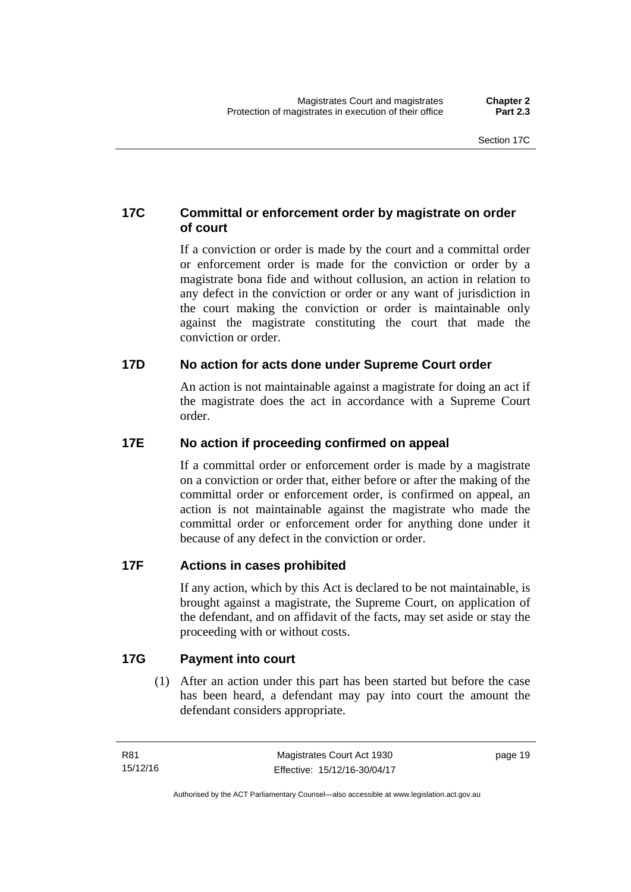#### <span id="page-34-0"></span>**17C Committal or enforcement order by magistrate on order of court**

If a conviction or order is made by the court and a committal order or enforcement order is made for the conviction or order by a magistrate bona fide and without collusion, an action in relation to any defect in the conviction or order or any want of jurisdiction in the court making the conviction or order is maintainable only against the magistrate constituting the court that made the conviction or order.

#### <span id="page-34-1"></span>**17D No action for acts done under Supreme Court order**

An action is not maintainable against a magistrate for doing an act if the magistrate does the act in accordance with a Supreme Court order.

#### <span id="page-34-2"></span>**17E No action if proceeding confirmed on appeal**

If a committal order or enforcement order is made by a magistrate on a conviction or order that, either before or after the making of the committal order or enforcement order, is confirmed on appeal, an action is not maintainable against the magistrate who made the committal order or enforcement order for anything done under it because of any defect in the conviction or order.

#### <span id="page-34-3"></span>**17F Actions in cases prohibited**

If any action, which by this Act is declared to be not maintainable, is brought against a magistrate, the Supreme Court, on application of the defendant, and on affidavit of the facts, may set aside or stay the proceeding with or without costs.

#### <span id="page-34-4"></span>**17G Payment into court**

(1) After an action under this part has been started but before the case has been heard, a defendant may pay into court the amount the defendant considers appropriate.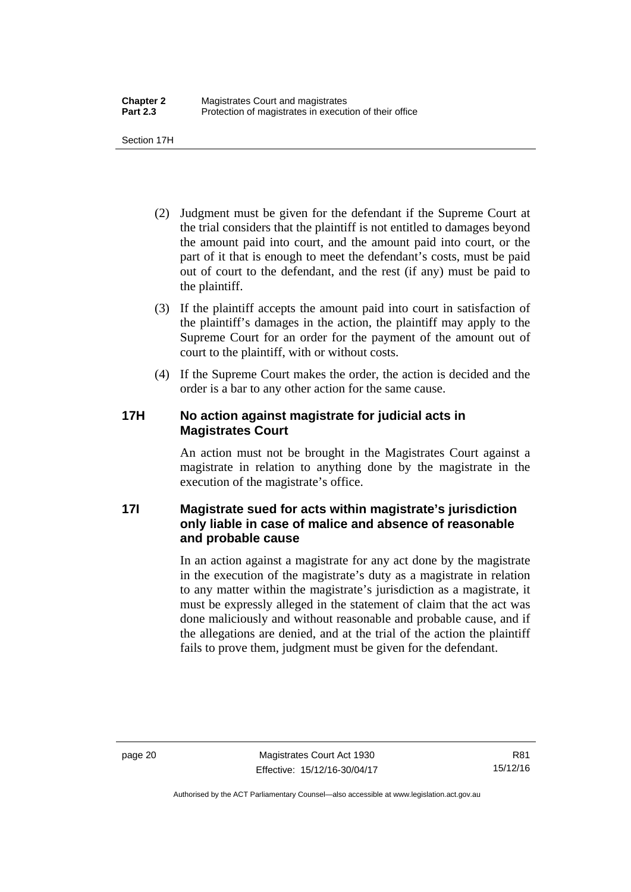Section 17H

- (2) Judgment must be given for the defendant if the Supreme Court at the trial considers that the plaintiff is not entitled to damages beyond the amount paid into court, and the amount paid into court, or the part of it that is enough to meet the defendant's costs, must be paid out of court to the defendant, and the rest (if any) must be paid to the plaintiff.
- (3) If the plaintiff accepts the amount paid into court in satisfaction of the plaintiff's damages in the action, the plaintiff may apply to the Supreme Court for an order for the payment of the amount out of court to the plaintiff, with or without costs.
- (4) If the Supreme Court makes the order, the action is decided and the order is a bar to any other action for the same cause.

#### <span id="page-35-0"></span>**17H No action against magistrate for judicial acts in Magistrates Court**

An action must not be brought in the Magistrates Court against a magistrate in relation to anything done by the magistrate in the execution of the magistrate's office.

#### <span id="page-35-1"></span>**17I Magistrate sued for acts within magistrate's jurisdiction only liable in case of malice and absence of reasonable and probable cause**

In an action against a magistrate for any act done by the magistrate in the execution of the magistrate's duty as a magistrate in relation to any matter within the magistrate's jurisdiction as a magistrate, it must be expressly alleged in the statement of claim that the act was done maliciously and without reasonable and probable cause, and if the allegations are denied, and at the trial of the action the plaintiff fails to prove them, judgment must be given for the defendant.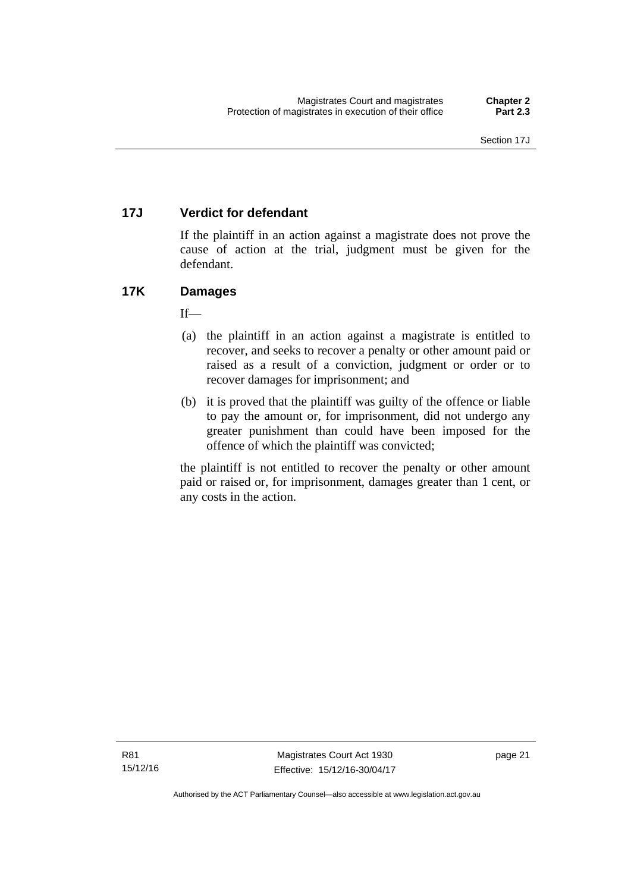# **17J Verdict for defendant**

If the plaintiff in an action against a magistrate does not prove the cause of action at the trial, judgment must be given for the defendant.

# **17K Damages**

 $If$ <sub>—</sub>

- (a) the plaintiff in an action against a magistrate is entitled to recover, and seeks to recover a penalty or other amount paid or raised as a result of a conviction, judgment or order or to recover damages for imprisonment; and
- (b) it is proved that the plaintiff was guilty of the offence or liable to pay the amount or, for imprisonment, did not undergo any greater punishment than could have been imposed for the offence of which the plaintiff was convicted;

the plaintiff is not entitled to recover the penalty or other amount paid or raised or, for imprisonment, damages greater than 1 cent, or any costs in the action.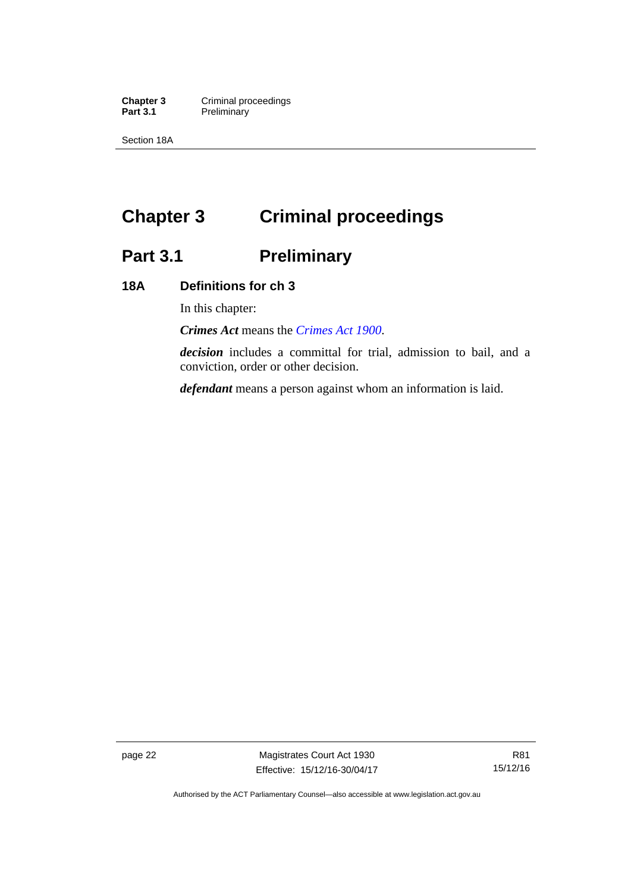**Chapter 3 Criminal proceedings**<br>**Part 3.1 Preliminary Preliminary** 

Section 18A

# **Chapter 3 Criminal proceedings**

# **Part 3.1 Preliminary**

# **18A Definitions for ch 3**

In this chapter:

*Crimes Act* means the *[Crimes Act 1900](http://www.legislation.act.gov.au/a/1900-40)*.

*decision* includes a committal for trial, admission to bail, and a conviction, order or other decision.

*defendant* means a person against whom an information is laid.

page 22 Magistrates Court Act 1930 Effective: 15/12/16-30/04/17

Authorised by the ACT Parliamentary Counsel—also accessible at www.legislation.act.gov.au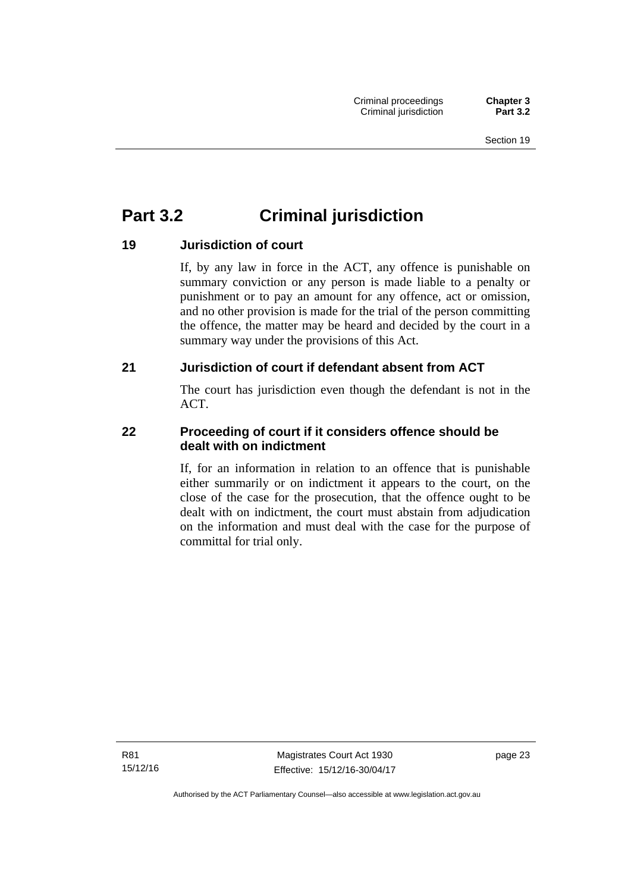# **Part 3.2 Criminal jurisdiction**

# **19 Jurisdiction of court**

If, by any law in force in the ACT, any offence is punishable on summary conviction or any person is made liable to a penalty or punishment or to pay an amount for any offence, act or omission, and no other provision is made for the trial of the person committing the offence, the matter may be heard and decided by the court in a summary way under the provisions of this Act.

# **21 Jurisdiction of court if defendant absent from ACT**

The court has jurisdiction even though the defendant is not in the ACT.

# **22 Proceeding of court if it considers offence should be dealt with on indictment**

If, for an information in relation to an offence that is punishable either summarily or on indictment it appears to the court, on the close of the case for the prosecution, that the offence ought to be dealt with on indictment, the court must abstain from adjudication on the information and must deal with the case for the purpose of committal for trial only.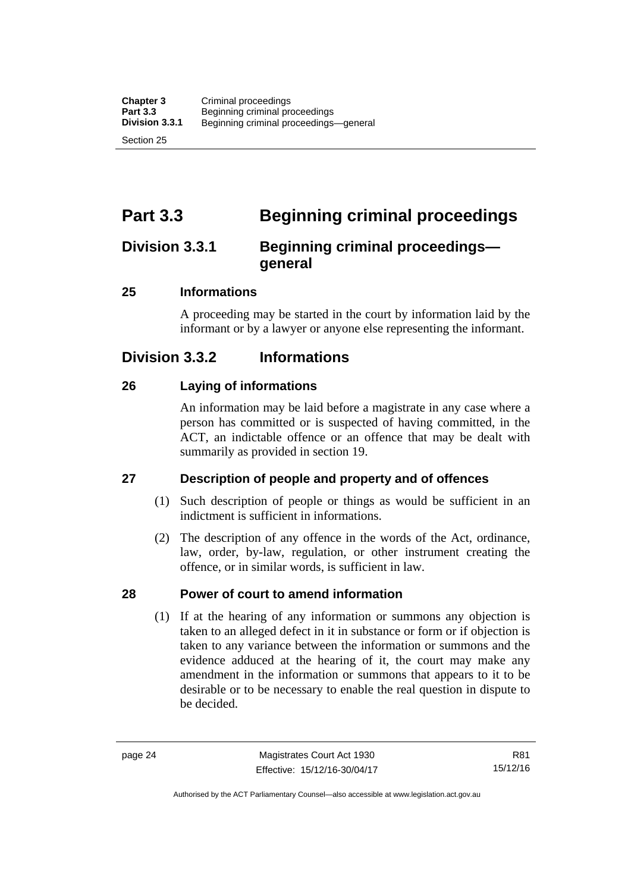# **Part 3.3 Beginning criminal proceedings**

# **Division 3.3.1 Beginning criminal proceedings general**

# **25 Informations**

A proceeding may be started in the court by information laid by the informant or by a lawyer or anyone else representing the informant.

# **Division 3.3.2 Informations**

# **26 Laying of informations**

An information may be laid before a magistrate in any case where a person has committed or is suspected of having committed, in the ACT, an indictable offence or an offence that may be dealt with summarily as provided in section 19.

# **27 Description of people and property and of offences**

- (1) Such description of people or things as would be sufficient in an indictment is sufficient in informations.
- (2) The description of any offence in the words of the Act, ordinance, law, order, by-law, regulation, or other instrument creating the offence, or in similar words, is sufficient in law.

# **28 Power of court to amend information**

(1) If at the hearing of any information or summons any objection is taken to an alleged defect in it in substance or form or if objection is taken to any variance between the information or summons and the evidence adduced at the hearing of it, the court may make any amendment in the information or summons that appears to it to be desirable or to be necessary to enable the real question in dispute to be decided.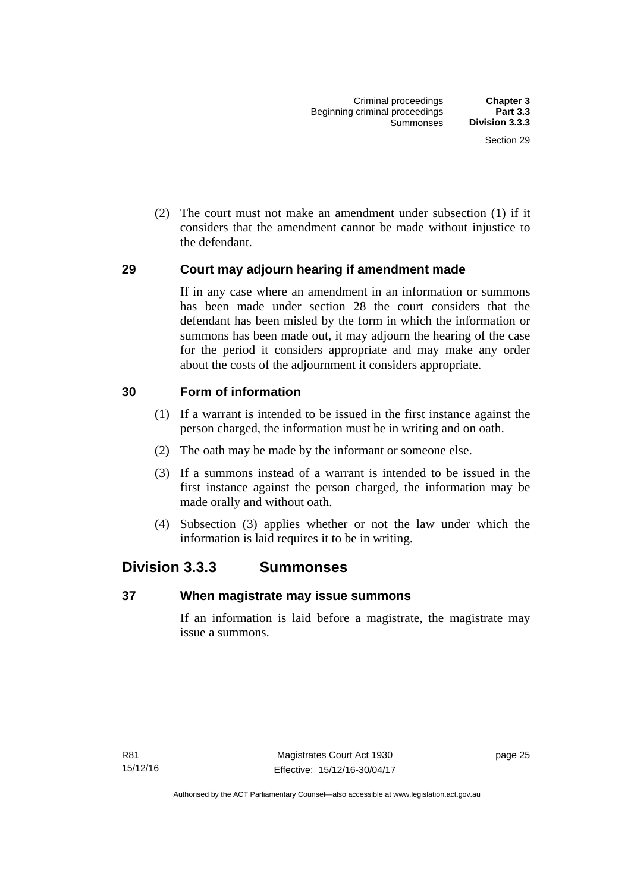(2) The court must not make an amendment under subsection (1) if it considers that the amendment cannot be made without injustice to the defendant.

# **29 Court may adjourn hearing if amendment made**

If in any case where an amendment in an information or summons has been made under section 28 the court considers that the defendant has been misled by the form in which the information or summons has been made out, it may adjourn the hearing of the case for the period it considers appropriate and may make any order about the costs of the adjournment it considers appropriate.

# **30 Form of information**

- (1) If a warrant is intended to be issued in the first instance against the person charged, the information must be in writing and on oath.
- (2) The oath may be made by the informant or someone else.
- (3) If a summons instead of a warrant is intended to be issued in the first instance against the person charged, the information may be made orally and without oath.
- (4) Subsection (3) applies whether or not the law under which the information is laid requires it to be in writing.

# **Division 3.3.3 Summonses**

## **37 When magistrate may issue summons**

If an information is laid before a magistrate, the magistrate may issue a summons.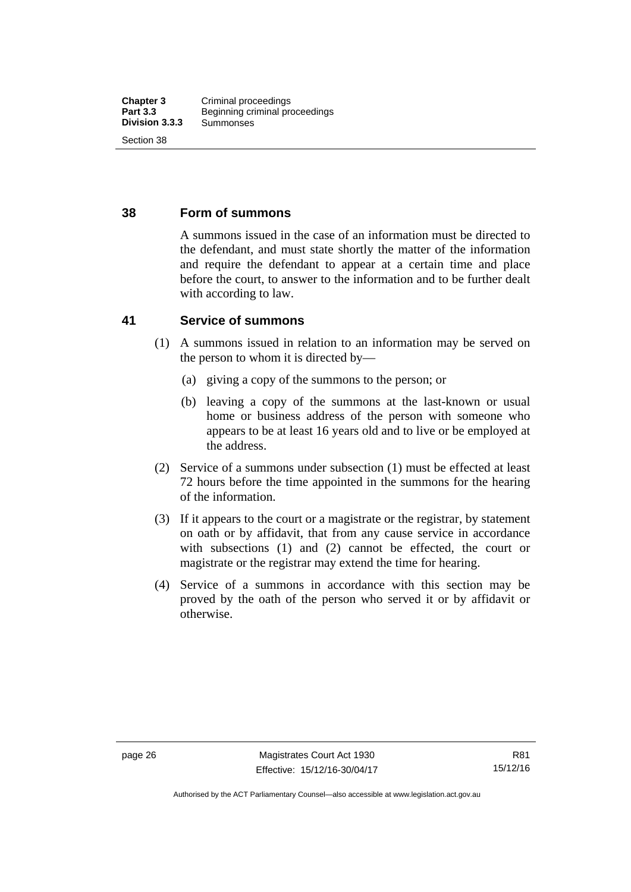# **38 Form of summons**

A summons issued in the case of an information must be directed to the defendant, and must state shortly the matter of the information and require the defendant to appear at a certain time and place before the court, to answer to the information and to be further dealt with according to law.

# **41 Service of summons**

- (1) A summons issued in relation to an information may be served on the person to whom it is directed by—
	- (a) giving a copy of the summons to the person; or
	- (b) leaving a copy of the summons at the last-known or usual home or business address of the person with someone who appears to be at least 16 years old and to live or be employed at the address.
- (2) Service of a summons under subsection (1) must be effected at least 72 hours before the time appointed in the summons for the hearing of the information.
- (3) If it appears to the court or a magistrate or the registrar, by statement on oath or by affidavit, that from any cause service in accordance with subsections (1) and (2) cannot be effected, the court or magistrate or the registrar may extend the time for hearing.
- (4) Service of a summons in accordance with this section may be proved by the oath of the person who served it or by affidavit or otherwise.

Authorised by the ACT Parliamentary Counsel—also accessible at www.legislation.act.gov.au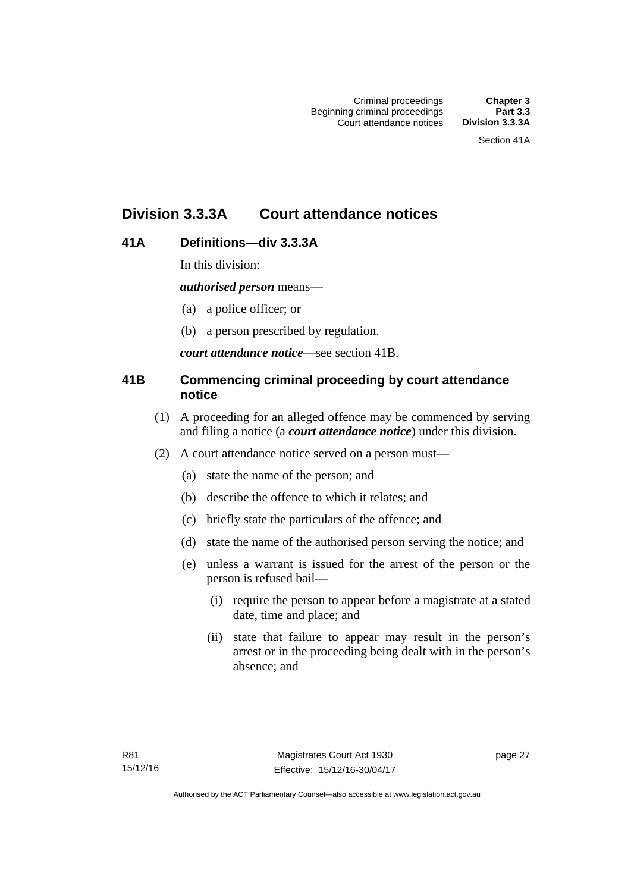# **Division 3.3.3A Court attendance notices**

# **41A Definitions—div 3.3.3A**

In this division:

*authorised person* means—

- (a) a police officer; or
- (b) a person prescribed by regulation.

*court attendance notice*—see section 41B.

# **41B Commencing criminal proceeding by court attendance notice**

- (1) A proceeding for an alleged offence may be commenced by serving and filing a notice (a *court attendance notice*) under this division.
- (2) A court attendance notice served on a person must––
	- (a) state the name of the person; and
	- (b) describe the offence to which it relates; and
	- (c) briefly state the particulars of the offence; and
	- (d) state the name of the authorised person serving the notice; and
	- (e) unless a warrant is issued for the arrest of the person or the person is refused bail—
		- (i) require the person to appear before a magistrate at a stated date, time and place; and
		- (ii) state that failure to appear may result in the person's arrest or in the proceeding being dealt with in the person's absence; and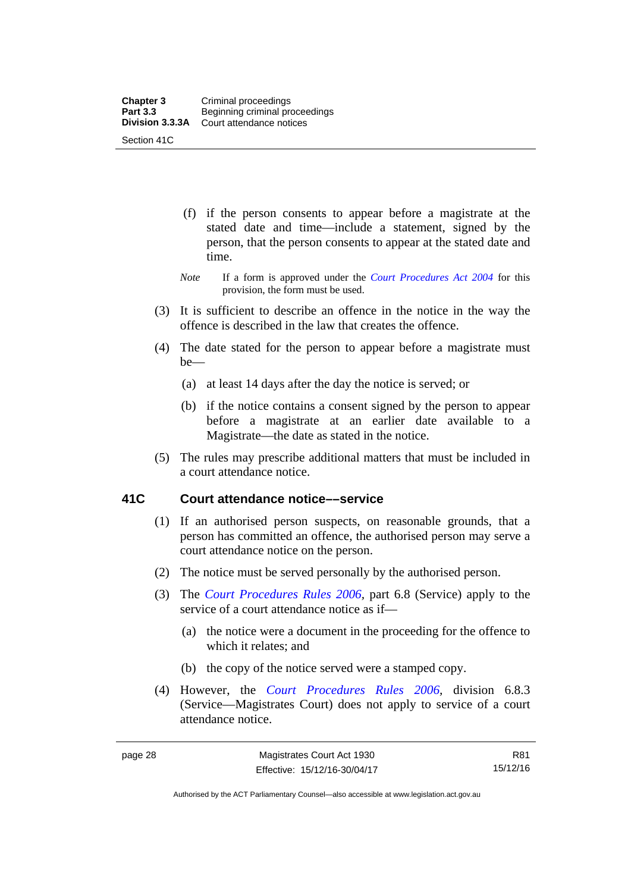- (f) if the person consents to appear before a magistrate at the stated date and time—include a statement, signed by the person, that the person consents to appear at the stated date and time.
- *Note* If a form is approved under the *[Court Procedures Act 2004](http://www.legislation.act.gov.au/a/2004-59)* for this provision, the form must be used.
- (3) It is sufficient to describe an offence in the notice in the way the offence is described in the law that creates the offence.
- (4) The date stated for the person to appear before a magistrate must be—
	- (a) at least 14 days after the day the notice is served; or
	- (b) if the notice contains a consent signed by the person to appear before a magistrate at an earlier date available to a Magistrate—the date as stated in the notice.
- (5) The rules may prescribe additional matters that must be included in a court attendance notice.

# **41C Court attendance notice––service**

- (1) If an authorised person suspects, on reasonable grounds, that a person has committed an offence, the authorised person may serve a court attendance notice on the person.
- (2) The notice must be served personally by the authorised person.
- (3) The *[Court Procedures Rules 2006](http://www.legislation.act.gov.au/sl/2006-29),* part 6.8 (Service) apply to the service of a court attendance notice as if—
	- (a) the notice were a document in the proceeding for the offence to which it relates; and
	- (b) the copy of the notice served were a stamped copy.
- (4) However, the *[Court Procedures Rules 2006,](http://www.legislation.act.gov.au/sl/2006-29)* division 6.8.3 (Service—Magistrates Court) does not apply to service of a court attendance notice.

R81 15/12/16

Authorised by the ACT Parliamentary Counsel—also accessible at www.legislation.act.gov.au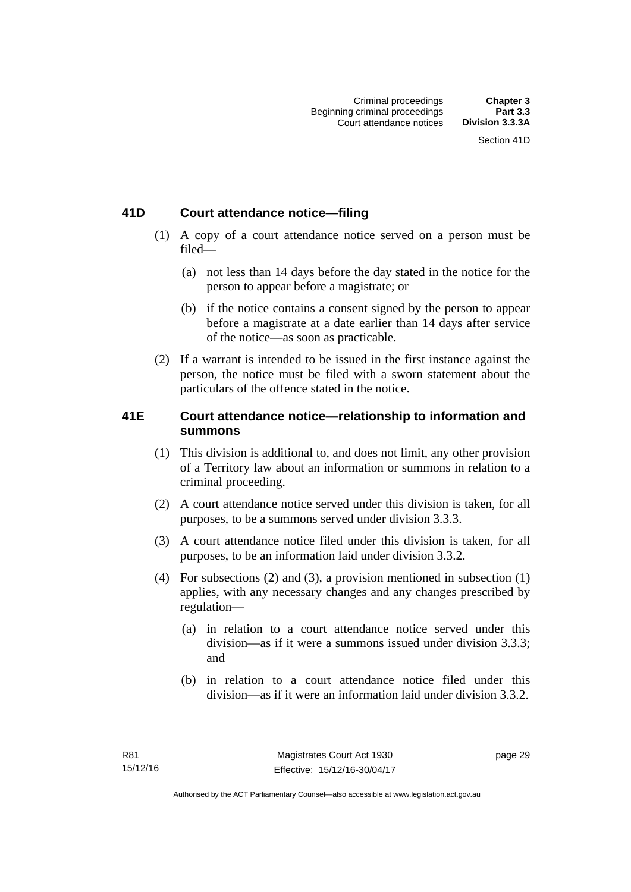# **41D Court attendance notice—filing**

- (1) A copy of a court attendance notice served on a person must be filed—
	- (a) not less than 14 days before the day stated in the notice for the person to appear before a magistrate; or
	- (b) if the notice contains a consent signed by the person to appear before a magistrate at a date earlier than 14 days after service of the notice—as soon as practicable.
- (2) If a warrant is intended to be issued in the first instance against the person, the notice must be filed with a sworn statement about the particulars of the offence stated in the notice.

# **41E Court attendance notice—relationship to information and summons**

- (1) This division is additional to, and does not limit, any other provision of a Territory law about an information or summons in relation to a criminal proceeding.
- (2) A court attendance notice served under this division is taken, for all purposes, to be a summons served under division 3.3.3.
- (3) A court attendance notice filed under this division is taken, for all purposes, to be an information laid under division 3.3.2.
- (4) For subsections (2) and (3), a provision mentioned in subsection (1) applies, with any necessary changes and any changes prescribed by regulation—
	- (a) in relation to a court attendance notice served under this division—as if it were a summons issued under division 3.3.3; and
	- (b) in relation to a court attendance notice filed under this division—as if it were an information laid under division 3.3.2.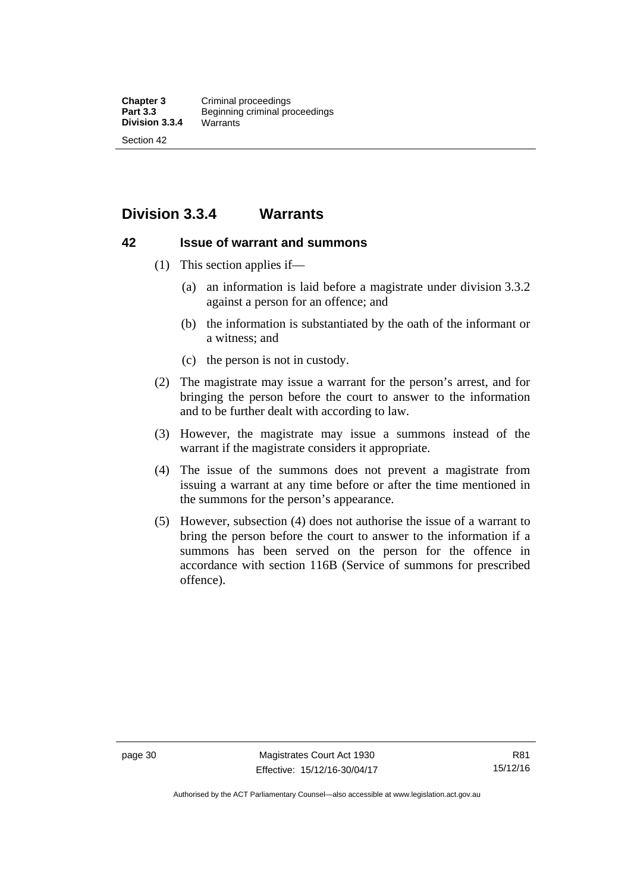# **Division 3.3.4 Warrants**

## **42 Issue of warrant and summons**

- (1) This section applies if—
	- (a) an information is laid before a magistrate under division 3.3.2 against a person for an offence; and
	- (b) the information is substantiated by the oath of the informant or a witness; and
	- (c) the person is not in custody.
- (2) The magistrate may issue a warrant for the person's arrest, and for bringing the person before the court to answer to the information and to be further dealt with according to law.
- (3) However, the magistrate may issue a summons instead of the warrant if the magistrate considers it appropriate.
- (4) The issue of the summons does not prevent a magistrate from issuing a warrant at any time before or after the time mentioned in the summons for the person's appearance.
- (5) However, subsection (4) does not authorise the issue of a warrant to bring the person before the court to answer to the information if a summons has been served on the person for the offence in accordance with section 116B (Service of summons for prescribed offence).

Authorised by the ACT Parliamentary Counsel—also accessible at www.legislation.act.gov.au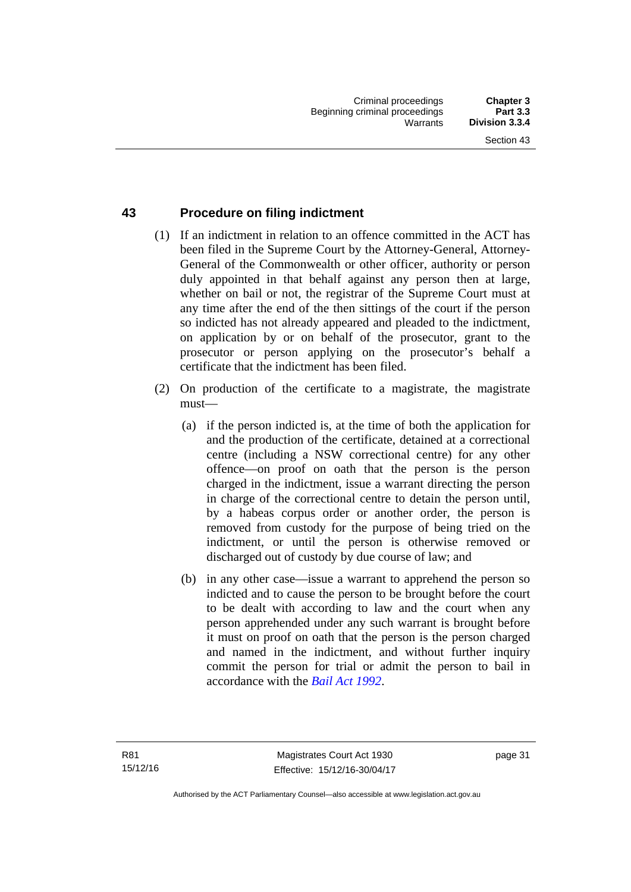# **43 Procedure on filing indictment**

- (1) If an indictment in relation to an offence committed in the ACT has been filed in the Supreme Court by the Attorney-General, Attorney-General of the Commonwealth or other officer, authority or person duly appointed in that behalf against any person then at large, whether on bail or not, the registrar of the Supreme Court must at any time after the end of the then sittings of the court if the person so indicted has not already appeared and pleaded to the indictment, on application by or on behalf of the prosecutor, grant to the prosecutor or person applying on the prosecutor's behalf a certificate that the indictment has been filed.
- (2) On production of the certificate to a magistrate, the magistrate must—
	- (a) if the person indicted is, at the time of both the application for and the production of the certificate, detained at a correctional centre (including a NSW correctional centre) for any other offence—on proof on oath that the person is the person charged in the indictment, issue a warrant directing the person in charge of the correctional centre to detain the person until, by a habeas corpus order or another order, the person is removed from custody for the purpose of being tried on the indictment, or until the person is otherwise removed or discharged out of custody by due course of law; and
	- (b) in any other case—issue a warrant to apprehend the person so indicted and to cause the person to be brought before the court to be dealt with according to law and the court when any person apprehended under any such warrant is brought before it must on proof on oath that the person is the person charged and named in the indictment, and without further inquiry commit the person for trial or admit the person to bail in accordance with the *[Bail Act 1992](http://www.legislation.act.gov.au/a/1992-8)*.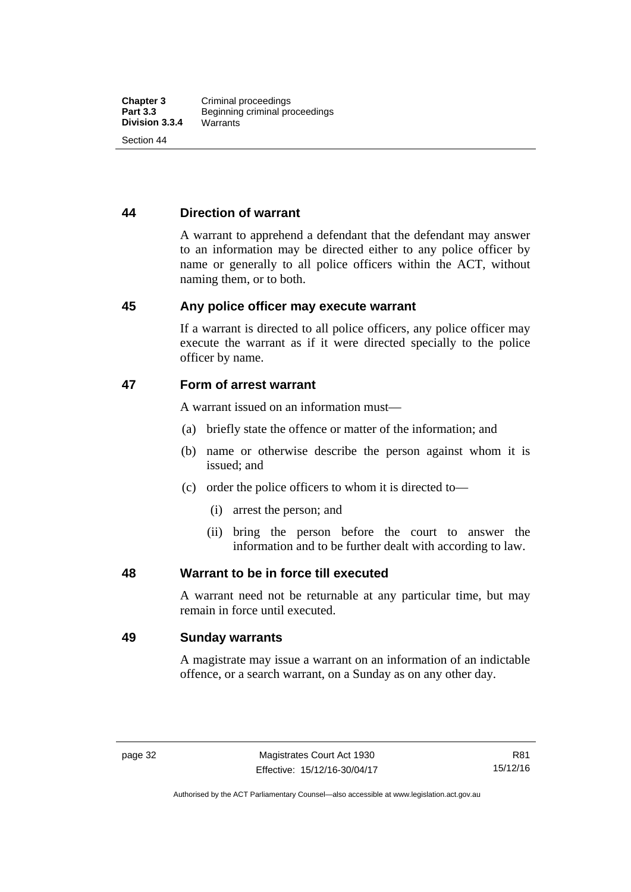# **44 Direction of warrant**

A warrant to apprehend a defendant that the defendant may answer to an information may be directed either to any police officer by name or generally to all police officers within the ACT, without naming them, or to both.

#### **45 Any police officer may execute warrant**

If a warrant is directed to all police officers, any police officer may execute the warrant as if it were directed specially to the police officer by name.

### **47 Form of arrest warrant**

A warrant issued on an information must—

- (a) briefly state the offence or matter of the information; and
- (b) name or otherwise describe the person against whom it is issued; and
- (c) order the police officers to whom it is directed to—
	- (i) arrest the person; and
	- (ii) bring the person before the court to answer the information and to be further dealt with according to law.

#### **48 Warrant to be in force till executed**

A warrant need not be returnable at any particular time, but may remain in force until executed.

## **49 Sunday warrants**

A magistrate may issue a warrant on an information of an indictable offence, or a search warrant, on a Sunday as on any other day.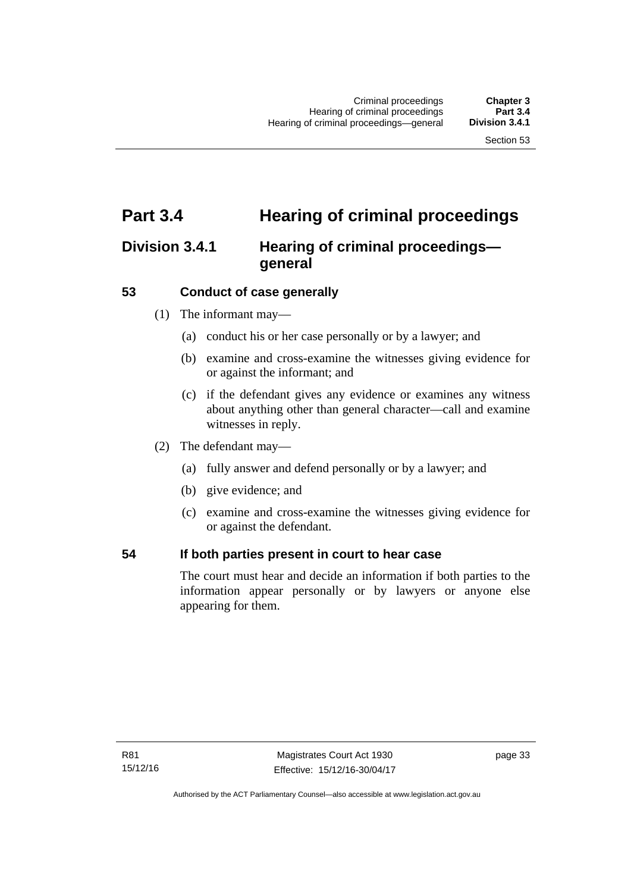# **Part 3.4 Hearing of criminal proceedings**

# **Division 3.4.1 Hearing of criminal proceedings general**

# **53 Conduct of case generally**

- (1) The informant may—
	- (a) conduct his or her case personally or by a lawyer; and
	- (b) examine and cross-examine the witnesses giving evidence for or against the informant; and
	- (c) if the defendant gives any evidence or examines any witness about anything other than general character—call and examine witnesses in reply.
- (2) The defendant may—
	- (a) fully answer and defend personally or by a lawyer; and
	- (b) give evidence; and
	- (c) examine and cross-examine the witnesses giving evidence for or against the defendant.

## **54 If both parties present in court to hear case**

The court must hear and decide an information if both parties to the information appear personally or by lawyers or anyone else appearing for them.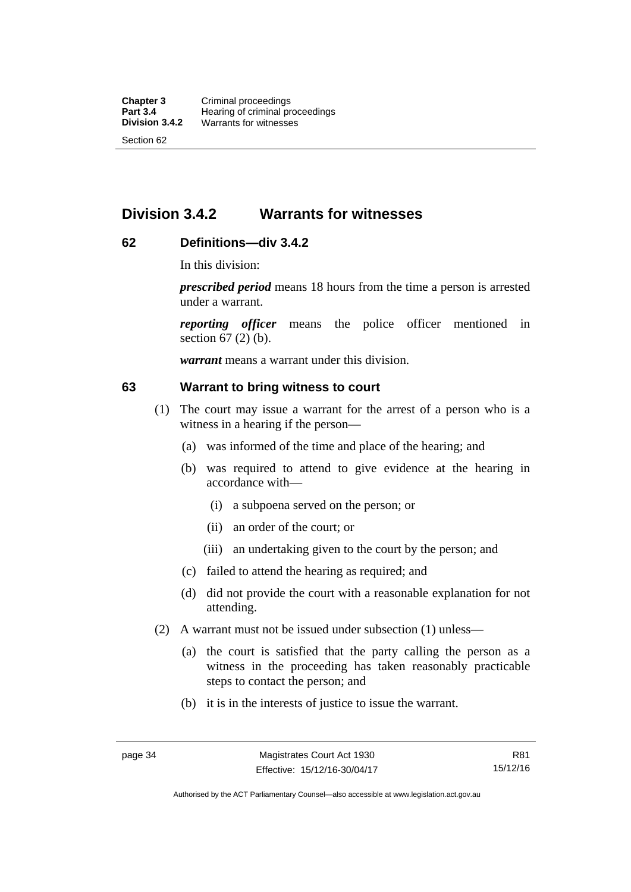# **Division 3.4.2 Warrants for witnesses**

# **62 Definitions—div 3.4.2**

In this division:

*prescribed period* means 18 hours from the time a person is arrested under a warrant.

*reporting officer* means the police officer mentioned in section 67 (2) (b).

*warrant* means a warrant under this division.

#### **63 Warrant to bring witness to court**

- (1) The court may issue a warrant for the arrest of a person who is a witness in a hearing if the person—
	- (a) was informed of the time and place of the hearing; and
	- (b) was required to attend to give evidence at the hearing in accordance with—
		- (i) a subpoena served on the person; or
		- (ii) an order of the court; or
		- (iii) an undertaking given to the court by the person; and
	- (c) failed to attend the hearing as required; and
	- (d) did not provide the court with a reasonable explanation for not attending.
- (2) A warrant must not be issued under subsection (1) unless—
	- (a) the court is satisfied that the party calling the person as a witness in the proceeding has taken reasonably practicable steps to contact the person; and
	- (b) it is in the interests of justice to issue the warrant.

Authorised by the ACT Parliamentary Counsel—also accessible at www.legislation.act.gov.au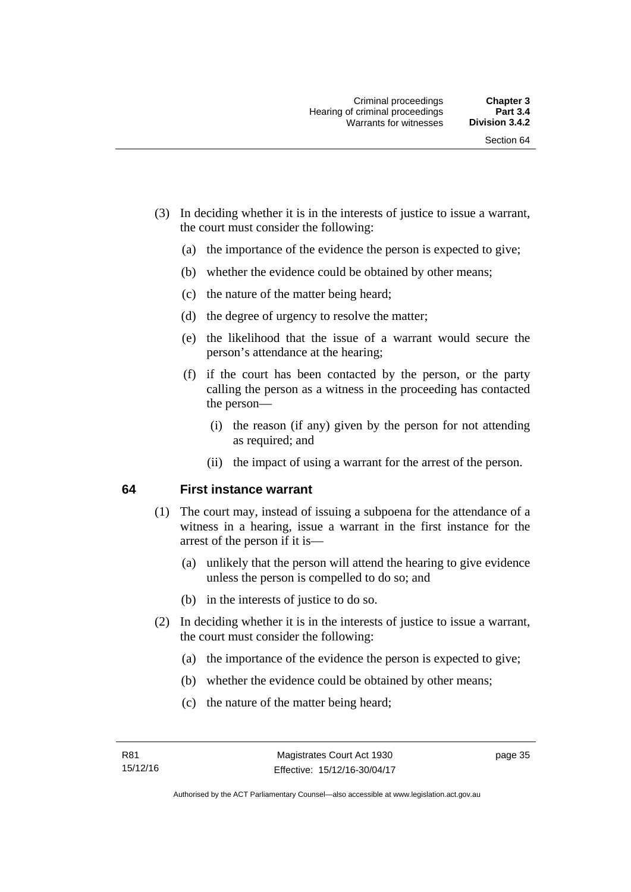- (3) In deciding whether it is in the interests of justice to issue a warrant, the court must consider the following:
	- (a) the importance of the evidence the person is expected to give;
	- (b) whether the evidence could be obtained by other means;
	- (c) the nature of the matter being heard;
	- (d) the degree of urgency to resolve the matter;
	- (e) the likelihood that the issue of a warrant would secure the person's attendance at the hearing;
	- (f) if the court has been contacted by the person, or the party calling the person as a witness in the proceeding has contacted the person—
		- (i) the reason (if any) given by the person for not attending as required; and
		- (ii) the impact of using a warrant for the arrest of the person.

## **64 First instance warrant**

- (1) The court may, instead of issuing a subpoena for the attendance of a witness in a hearing, issue a warrant in the first instance for the arrest of the person if it is—
	- (a) unlikely that the person will attend the hearing to give evidence unless the person is compelled to do so; and
	- (b) in the interests of justice to do so.
- (2) In deciding whether it is in the interests of justice to issue a warrant, the court must consider the following:
	- (a) the importance of the evidence the person is expected to give;
	- (b) whether the evidence could be obtained by other means;
	- (c) the nature of the matter being heard;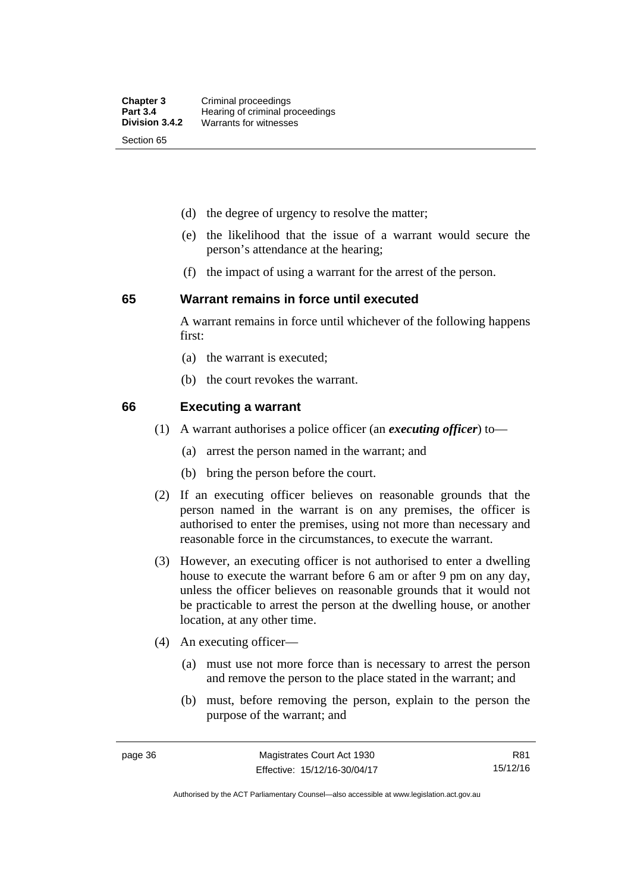- (d) the degree of urgency to resolve the matter;
- (e) the likelihood that the issue of a warrant would secure the person's attendance at the hearing;
- (f) the impact of using a warrant for the arrest of the person.

#### **65 Warrant remains in force until executed**

A warrant remains in force until whichever of the following happens first:

- (a) the warrant is executed;
- (b) the court revokes the warrant.

#### **66 Executing a warrant**

- (1) A warrant authorises a police officer (an *executing officer*) to—
	- (a) arrest the person named in the warrant; and
	- (b) bring the person before the court.
- (2) If an executing officer believes on reasonable grounds that the person named in the warrant is on any premises, the officer is authorised to enter the premises, using not more than necessary and reasonable force in the circumstances, to execute the warrant.
- (3) However, an executing officer is not authorised to enter a dwelling house to execute the warrant before 6 am or after 9 pm on any day, unless the officer believes on reasonable grounds that it would not be practicable to arrest the person at the dwelling house, or another location, at any other time.
- (4) An executing officer—
	- (a) must use not more force than is necessary to arrest the person and remove the person to the place stated in the warrant; and
	- (b) must, before removing the person, explain to the person the purpose of the warrant; and

R81 15/12/16

Authorised by the ACT Parliamentary Counsel—also accessible at www.legislation.act.gov.au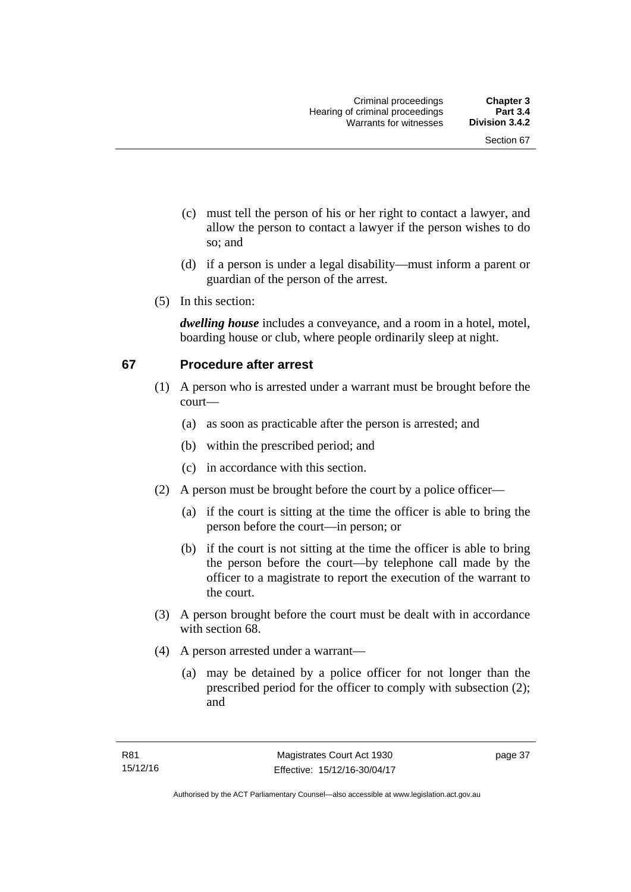- (c) must tell the person of his or her right to contact a lawyer, and allow the person to contact a lawyer if the person wishes to do so; and
- (d) if a person is under a legal disability—must inform a parent or guardian of the person of the arrest.
- (5) In this section:

*dwelling house* includes a conveyance, and a room in a hotel, motel, boarding house or club, where people ordinarily sleep at night.

# **67 Procedure after arrest**

- (1) A person who is arrested under a warrant must be brought before the court—
	- (a) as soon as practicable after the person is arrested; and
	- (b) within the prescribed period; and
	- (c) in accordance with this section.
- (2) A person must be brought before the court by a police officer—
	- (a) if the court is sitting at the time the officer is able to bring the person before the court—in person; or
	- (b) if the court is not sitting at the time the officer is able to bring the person before the court—by telephone call made by the officer to a magistrate to report the execution of the warrant to the court.
- (3) A person brought before the court must be dealt with in accordance with section 68.
- (4) A person arrested under a warrant—
	- (a) may be detained by a police officer for not longer than the prescribed period for the officer to comply with subsection (2); and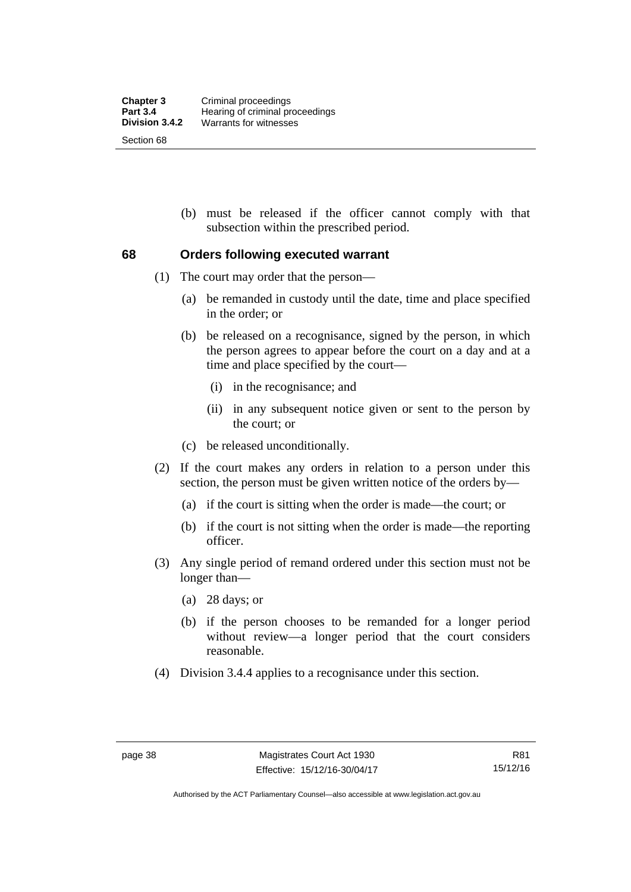(b) must be released if the officer cannot comply with that subsection within the prescribed period.

# **68 Orders following executed warrant**

- (1) The court may order that the person—
	- (a) be remanded in custody until the date, time and place specified in the order; or
	- (b) be released on a recognisance, signed by the person, in which the person agrees to appear before the court on a day and at a time and place specified by the court—
		- (i) in the recognisance; and
		- (ii) in any subsequent notice given or sent to the person by the court; or
	- (c) be released unconditionally.
- (2) If the court makes any orders in relation to a person under this section, the person must be given written notice of the orders by—
	- (a) if the court is sitting when the order is made—the court; or
	- (b) if the court is not sitting when the order is made—the reporting officer.
- (3) Any single period of remand ordered under this section must not be longer than—
	- (a) 28 days; or
	- (b) if the person chooses to be remanded for a longer period without review—a longer period that the court considers reasonable.
- (4) Division 3.4.4 applies to a recognisance under this section.

Authorised by the ACT Parliamentary Counsel—also accessible at www.legislation.act.gov.au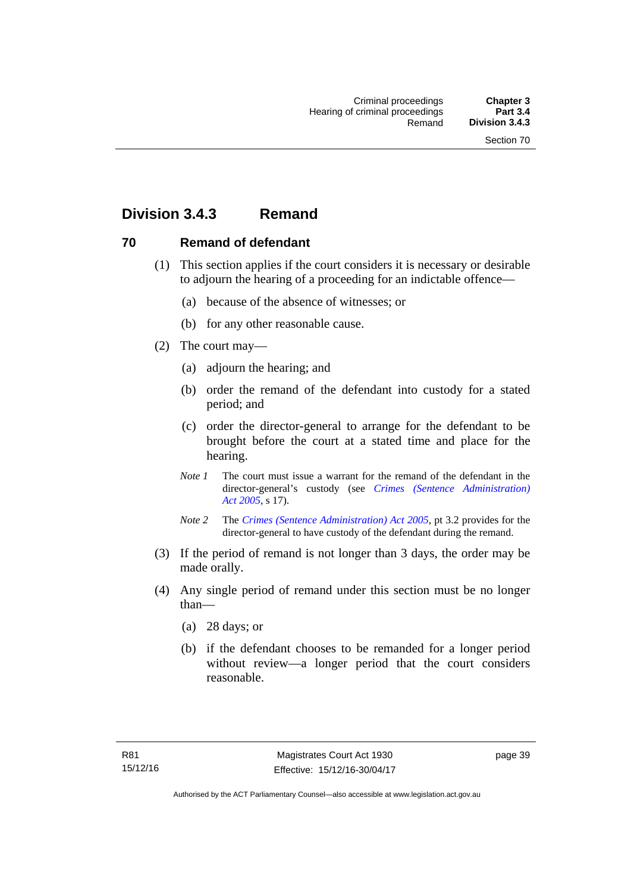# **Division 3.4.3 Remand**

# **70 Remand of defendant**

- (1) This section applies if the court considers it is necessary or desirable to adjourn the hearing of a proceeding for an indictable offence—
	- (a) because of the absence of witnesses; or
	- (b) for any other reasonable cause.
- (2) The court may—
	- (a) adjourn the hearing; and
	- (b) order the remand of the defendant into custody for a stated period; and
	- (c) order the director-general to arrange for the defendant to be brought before the court at a stated time and place for the hearing.
	- *Note 1* The court must issue a warrant for the remand of the defendant in the director-general's custody (see *[Crimes \(Sentence Administration\)](http://www.legislation.act.gov.au/a/2005-59)  [Act 2005](http://www.legislation.act.gov.au/a/2005-59)*, s 17).
	- *Note 2* The *[Crimes \(Sentence Administration\) Act 2005](http://www.legislation.act.gov.au/a/2005-59)*, pt 3.2 provides for the director-general to have custody of the defendant during the remand.
- (3) If the period of remand is not longer than 3 days, the order may be made orally.
- (4) Any single period of remand under this section must be no longer than—
	- (a) 28 days; or
	- (b) if the defendant chooses to be remanded for a longer period without review—a longer period that the court considers reasonable.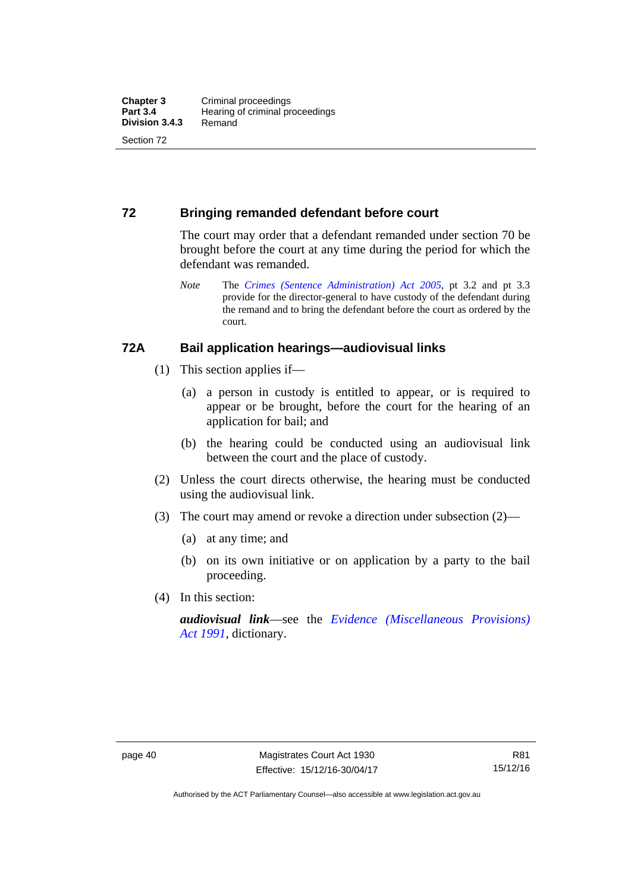# **72 Bringing remanded defendant before court**

The court may order that a defendant remanded under section 70 be brought before the court at any time during the period for which the defendant was remanded.

*Note* The *[Crimes \(Sentence Administration\) Act 2005](http://www.legislation.act.gov.au/a/2005-59)*, pt 3.2 and pt 3.3 provide for the director-general to have custody of the defendant during the remand and to bring the defendant before the court as ordered by the court.

## **72A Bail application hearings—audiovisual links**

- (1) This section applies if—
	- (a) a person in custody is entitled to appear, or is required to appear or be brought, before the court for the hearing of an application for bail; and
	- (b) the hearing could be conducted using an audiovisual link between the court and the place of custody.
- (2) Unless the court directs otherwise, the hearing must be conducted using the audiovisual link.
- (3) The court may amend or revoke a direction under subsection (2)—
	- (a) at any time; and
	- (b) on its own initiative or on application by a party to the bail proceeding.
- (4) In this section:

*audiovisual link*—see the *[Evidence \(Miscellaneous Provisions\)](http://www.legislation.act.gov.au/a/1991-34)  [Act 1991](http://www.legislation.act.gov.au/a/1991-34)*, dictionary.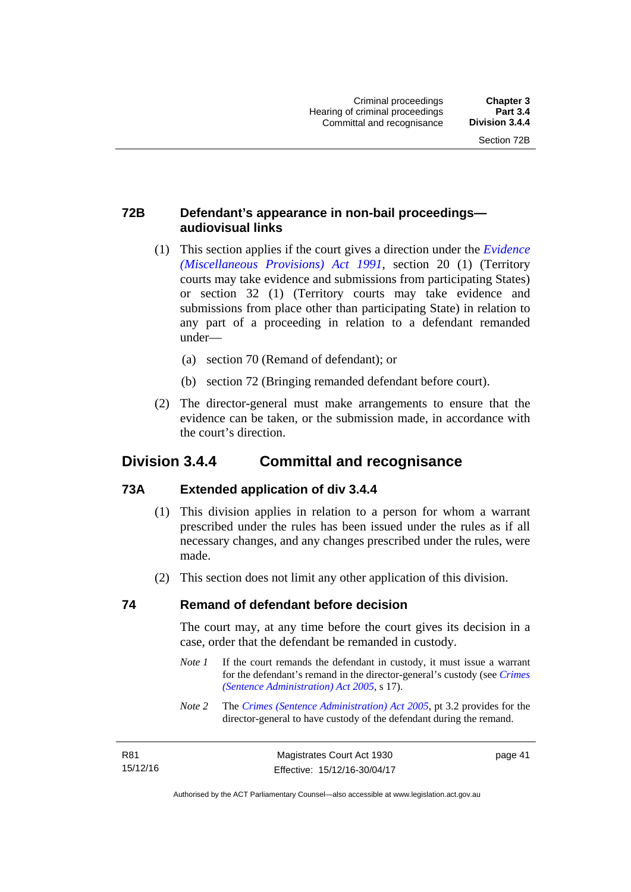page 41

# **72B Defendant's appearance in non-bail proceedings audiovisual links**

- (1) This section applies if the court gives a direction under the *[Evidence](http://www.legislation.act.gov.au/a/1991-34)  [\(Miscellaneous Provisions\) Act 1991](http://www.legislation.act.gov.au/a/1991-34)*, section 20 (1) (Territory courts may take evidence and submissions from participating States) or section 32 (1) (Territory courts may take evidence and submissions from place other than participating State) in relation to any part of a proceeding in relation to a defendant remanded under—
	- (a) section 70 (Remand of defendant); or
	- (b) section 72 (Bringing remanded defendant before court).
- (2) The director-general must make arrangements to ensure that the evidence can be taken, or the submission made, in accordance with the court's direction.

# **Division 3.4.4 Committal and recognisance**

# **73A Extended application of div 3.4.4**

- (1) This division applies in relation to a person for whom a warrant prescribed under the rules has been issued under the rules as if all necessary changes, and any changes prescribed under the rules, were made.
- (2) This section does not limit any other application of this division.

## **74 Remand of defendant before decision**

The court may, at any time before the court gives its decision in a case, order that the defendant be remanded in custody.

- *Note 1* If the court remands the defendant in custody, it must issue a warrant for the defendant's remand in the director-general's custody (see *[Crimes](http://www.legislation.act.gov.au/a/2005-59)  [\(Sentence Administration\) Act 2005](http://www.legislation.act.gov.au/a/2005-59)*, s 17).
- *Note 2* The *[Crimes \(Sentence Administration\) Act 2005](http://www.legislation.act.gov.au/a/2005-59)*, pt 3.2 provides for the director-general to have custody of the defendant during the remand.

| R81      | Magistrates Court Act 1930   |
|----------|------------------------------|
| 15/12/16 | Effective: 15/12/16-30/04/17 |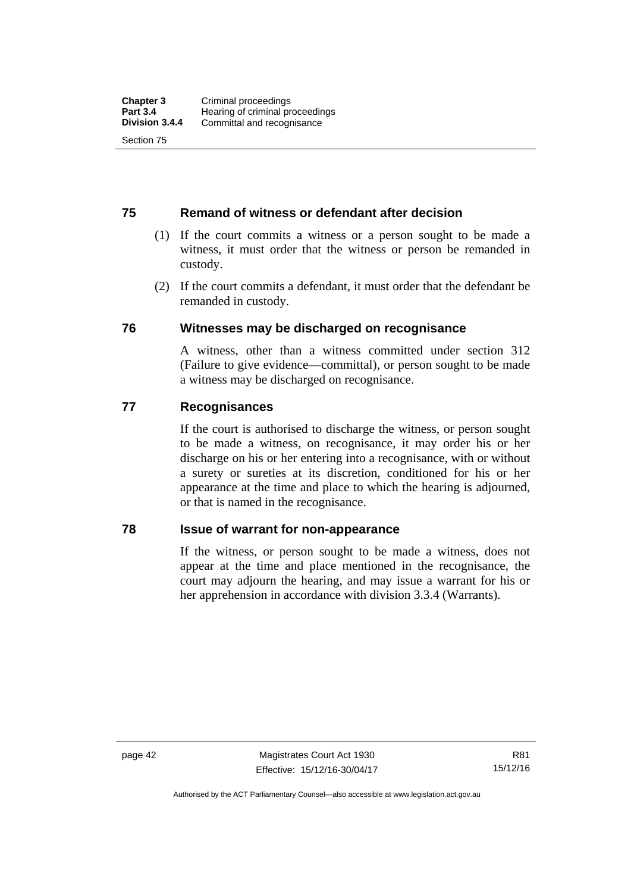# **75 Remand of witness or defendant after decision**

- (1) If the court commits a witness or a person sought to be made a witness, it must order that the witness or person be remanded in custody.
- (2) If the court commits a defendant, it must order that the defendant be remanded in custody.

## **76 Witnesses may be discharged on recognisance**

A witness, other than a witness committed under section 312 (Failure to give evidence—committal), or person sought to be made a witness may be discharged on recognisance.

## **77 Recognisances**

If the court is authorised to discharge the witness, or person sought to be made a witness, on recognisance, it may order his or her discharge on his or her entering into a recognisance, with or without a surety or sureties at its discretion, conditioned for his or her appearance at the time and place to which the hearing is adjourned, or that is named in the recognisance.

## **78 Issue of warrant for non-appearance**

If the witness, or person sought to be made a witness, does not appear at the time and place mentioned in the recognisance, the court may adjourn the hearing, and may issue a warrant for his or her apprehension in accordance with division 3.3.4 (Warrants).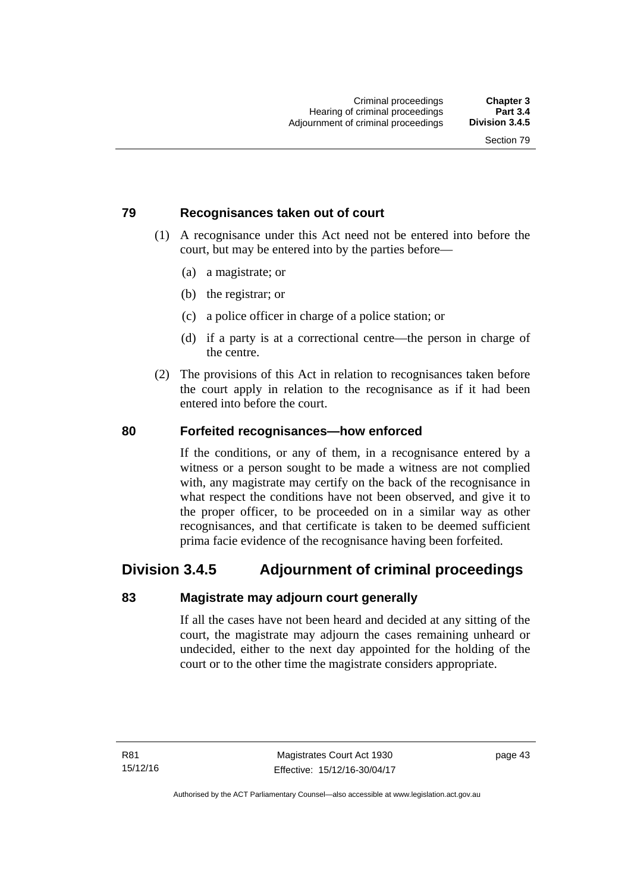# **79 Recognisances taken out of court**

- (1) A recognisance under this Act need not be entered into before the court, but may be entered into by the parties before—
	- (a) a magistrate; or
	- (b) the registrar; or
	- (c) a police officer in charge of a police station; or
	- (d) if a party is at a correctional centre—the person in charge of the centre.
- (2) The provisions of this Act in relation to recognisances taken before the court apply in relation to the recognisance as if it had been entered into before the court.

## **80 Forfeited recognisances—how enforced**

If the conditions, or any of them, in a recognisance entered by a witness or a person sought to be made a witness are not complied with, any magistrate may certify on the back of the recognisance in what respect the conditions have not been observed, and give it to the proper officer, to be proceeded on in a similar way as other recognisances, and that certificate is taken to be deemed sufficient prima facie evidence of the recognisance having been forfeited.

# **Division 3.4.5 Adjournment of criminal proceedings**

# **83 Magistrate may adjourn court generally**

If all the cases have not been heard and decided at any sitting of the court, the magistrate may adjourn the cases remaining unheard or undecided, either to the next day appointed for the holding of the court or to the other time the magistrate considers appropriate.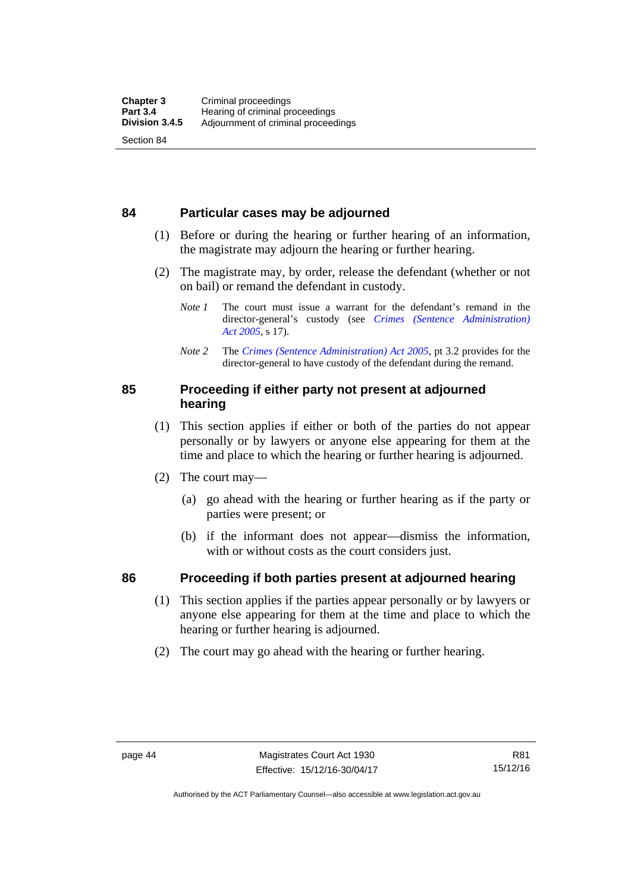## **84 Particular cases may be adjourned**

- (1) Before or during the hearing or further hearing of an information, the magistrate may adjourn the hearing or further hearing.
- (2) The magistrate may, by order, release the defendant (whether or not on bail) or remand the defendant in custody.
	- *Note 1* The court must issue a warrant for the defendant's remand in the director-general's custody (see *[Crimes \(Sentence Administration\)](http://www.legislation.act.gov.au/a/2005-59)  [Act 2005](http://www.legislation.act.gov.au/a/2005-59)*, s 17).
	- *Note 2* The *[Crimes \(Sentence Administration\) Act 2005](http://www.legislation.act.gov.au/a/2005-59)*, pt 3.2 provides for the director-general to have custody of the defendant during the remand.

# **85 Proceeding if either party not present at adjourned hearing**

- (1) This section applies if either or both of the parties do not appear personally or by lawyers or anyone else appearing for them at the time and place to which the hearing or further hearing is adjourned.
- (2) The court may—
	- (a) go ahead with the hearing or further hearing as if the party or parties were present; or
	- (b) if the informant does not appear—dismiss the information, with or without costs as the court considers just.

# **86 Proceeding if both parties present at adjourned hearing**

- (1) This section applies if the parties appear personally or by lawyers or anyone else appearing for them at the time and place to which the hearing or further hearing is adjourned.
- (2) The court may go ahead with the hearing or further hearing.

Authorised by the ACT Parliamentary Counsel—also accessible at www.legislation.act.gov.au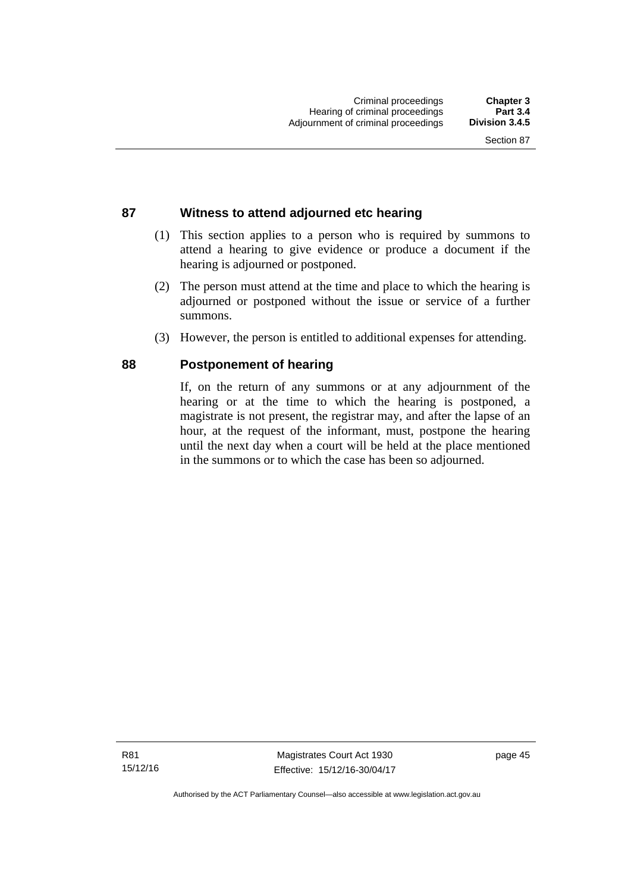# **87 Witness to attend adjourned etc hearing**

- (1) This section applies to a person who is required by summons to attend a hearing to give evidence or produce a document if the hearing is adjourned or postponed.
- (2) The person must attend at the time and place to which the hearing is adjourned or postponed without the issue or service of a further summons.
- (3) However, the person is entitled to additional expenses for attending.

## **88 Postponement of hearing**

If, on the return of any summons or at any adjournment of the hearing or at the time to which the hearing is postponed, a magistrate is not present, the registrar may, and after the lapse of an hour, at the request of the informant, must, postpone the hearing until the next day when a court will be held at the place mentioned in the summons or to which the case has been so adjourned.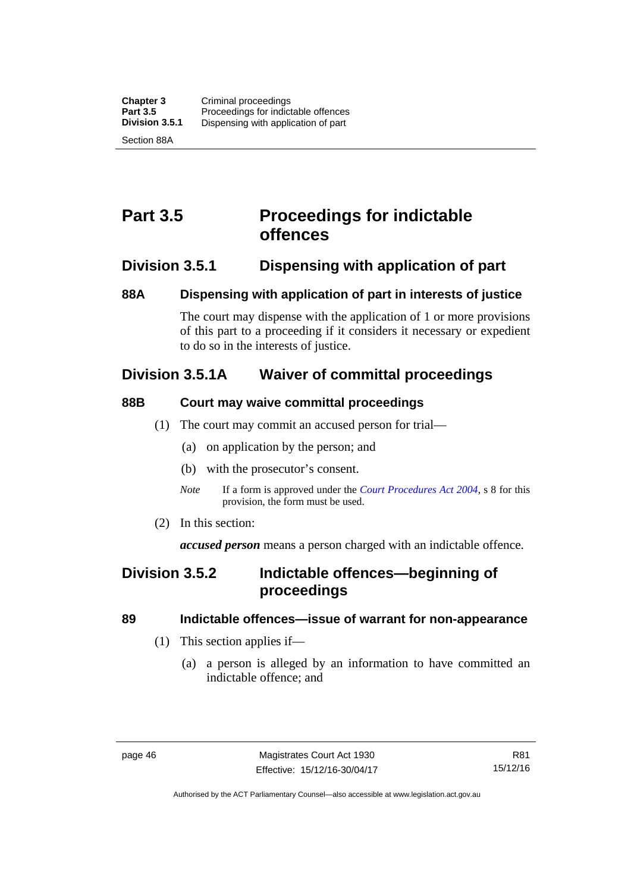# **Part 3.5 Proceedings for indictable offences**

# **Division 3.5.1 Dispensing with application of part**

# **88A Dispensing with application of part in interests of justice**

The court may dispense with the application of 1 or more provisions of this part to a proceeding if it considers it necessary or expedient to do so in the interests of justice.

# **Division 3.5.1A Waiver of committal proceedings**

# **88B Court may waive committal proceedings**

- (1) The court may commit an accused person for trial—
	- (a) on application by the person; and
	- (b) with the prosecutor's consent.
	- *Note* If a form is approved under the *[Court Procedures Act 2004](http://www.legislation.act.gov.au/a/2004-59)*, s 8 for this provision, the form must be used.
- (2) In this section:

*accused person* means a person charged with an indictable offence.

# **Division 3.5.2 Indictable offences—beginning of proceedings**

# **89 Indictable offences—issue of warrant for non-appearance**

- (1) This section applies if—
	- (a) a person is alleged by an information to have committed an indictable offence; and

Authorised by the ACT Parliamentary Counsel—also accessible at www.legislation.act.gov.au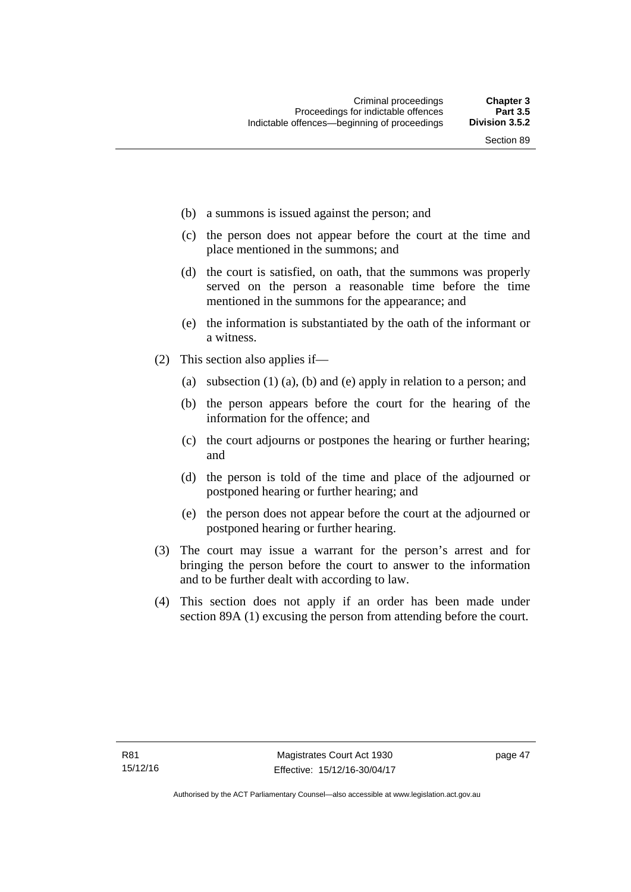- (b) a summons is issued against the person; and
- (c) the person does not appear before the court at the time and place mentioned in the summons; and
- (d) the court is satisfied, on oath, that the summons was properly served on the person a reasonable time before the time mentioned in the summons for the appearance; and
- (e) the information is substantiated by the oath of the informant or a witness.
- (2) This section also applies if—
	- (a) subsection (1) (a), (b) and (e) apply in relation to a person; and
	- (b) the person appears before the court for the hearing of the information for the offence; and
	- (c) the court adjourns or postpones the hearing or further hearing; and
	- (d) the person is told of the time and place of the adjourned or postponed hearing or further hearing; and
	- (e) the person does not appear before the court at the adjourned or postponed hearing or further hearing.
- (3) The court may issue a warrant for the person's arrest and for bringing the person before the court to answer to the information and to be further dealt with according to law.
- (4) This section does not apply if an order has been made under section 89A (1) excusing the person from attending before the court.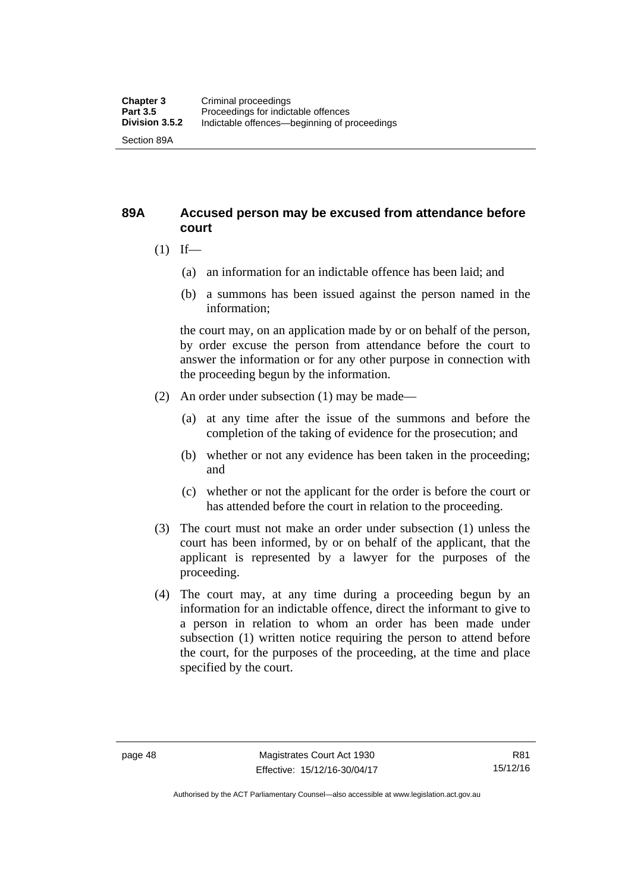# **89A Accused person may be excused from attendance before court**

- $(1)$  If—
	- (a) an information for an indictable offence has been laid; and
	- (b) a summons has been issued against the person named in the information;

the court may, on an application made by or on behalf of the person, by order excuse the person from attendance before the court to answer the information or for any other purpose in connection with the proceeding begun by the information.

- (2) An order under subsection (1) may be made—
	- (a) at any time after the issue of the summons and before the completion of the taking of evidence for the prosecution; and
	- (b) whether or not any evidence has been taken in the proceeding; and
	- (c) whether or not the applicant for the order is before the court or has attended before the court in relation to the proceeding.
- (3) The court must not make an order under subsection (1) unless the court has been informed, by or on behalf of the applicant, that the applicant is represented by a lawyer for the purposes of the proceeding.
- (4) The court may, at any time during a proceeding begun by an information for an indictable offence, direct the informant to give to a person in relation to whom an order has been made under subsection (1) written notice requiring the person to attend before the court, for the purposes of the proceeding, at the time and place specified by the court.

Authorised by the ACT Parliamentary Counsel—also accessible at www.legislation.act.gov.au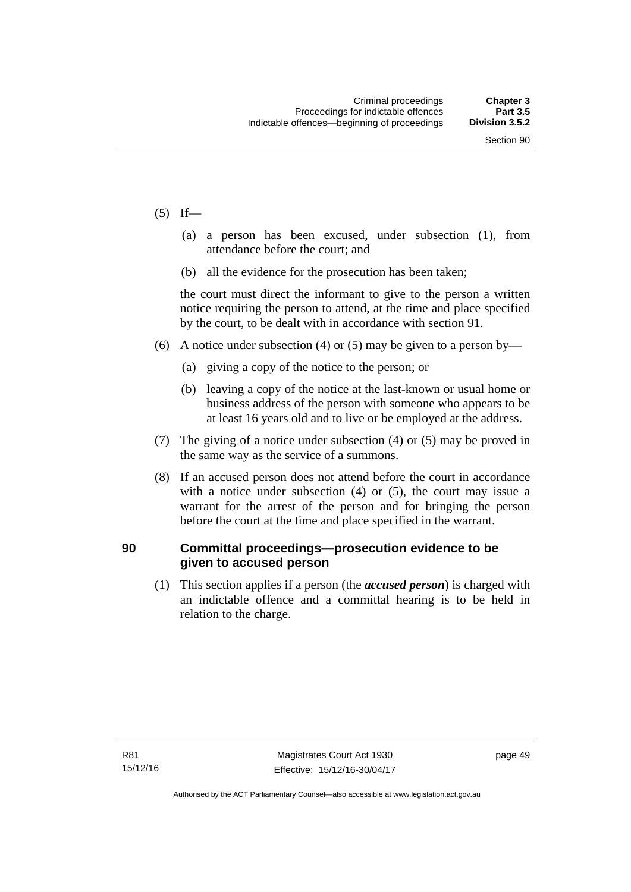- $(5)$  If—
	- (a) a person has been excused, under subsection (1), from attendance before the court; and
	- (b) all the evidence for the prosecution has been taken;

the court must direct the informant to give to the person a written notice requiring the person to attend, at the time and place specified by the court, to be dealt with in accordance with section 91.

- (6) A notice under subsection (4) or (5) may be given to a person by—
	- (a) giving a copy of the notice to the person; or
	- (b) leaving a copy of the notice at the last-known or usual home or business address of the person with someone who appears to be at least 16 years old and to live or be employed at the address.
- (7) The giving of a notice under subsection (4) or (5) may be proved in the same way as the service of a summons.
- (8) If an accused person does not attend before the court in accordance with a notice under subsection (4) or (5), the court may issue a warrant for the arrest of the person and for bringing the person before the court at the time and place specified in the warrant.

# **90 Committal proceedings—prosecution evidence to be given to accused person**

(1) This section applies if a person (the *accused person*) is charged with an indictable offence and a committal hearing is to be held in relation to the charge.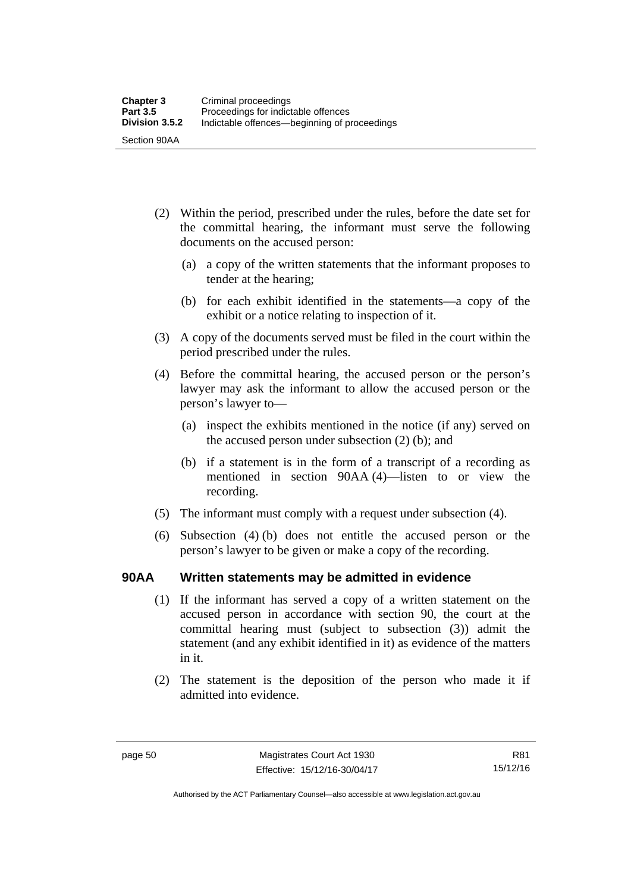- (2) Within the period, prescribed under the rules, before the date set for the committal hearing, the informant must serve the following documents on the accused person:
	- (a) a copy of the written statements that the informant proposes to tender at the hearing;
	- (b) for each exhibit identified in the statements—a copy of the exhibit or a notice relating to inspection of it.
- (3) A copy of the documents served must be filed in the court within the period prescribed under the rules.
- (4) Before the committal hearing, the accused person or the person's lawyer may ask the informant to allow the accused person or the person's lawyer to—
	- (a) inspect the exhibits mentioned in the notice (if any) served on the accused person under subsection (2) (b); and
	- (b) if a statement is in the form of a transcript of a recording as mentioned in section 90AA (4)—listen to or view the recording.
- (5) The informant must comply with a request under subsection (4).
- (6) Subsection (4) (b) does not entitle the accused person or the person's lawyer to be given or make a copy of the recording.

## **90AA Written statements may be admitted in evidence**

- (1) If the informant has served a copy of a written statement on the accused person in accordance with section 90, the court at the committal hearing must (subject to subsection (3)) admit the statement (and any exhibit identified in it) as evidence of the matters in it.
- (2) The statement is the deposition of the person who made it if admitted into evidence.

Authorised by the ACT Parliamentary Counsel—also accessible at www.legislation.act.gov.au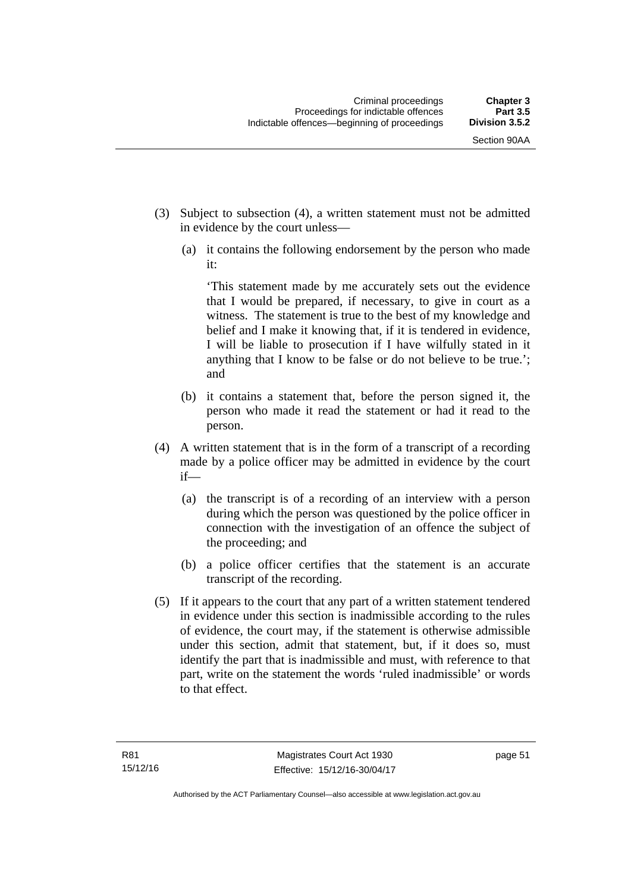- (3) Subject to subsection (4), a written statement must not be admitted in evidence by the court unless—
	- (a) it contains the following endorsement by the person who made it:

'This statement made by me accurately sets out the evidence that I would be prepared, if necessary, to give in court as a witness. The statement is true to the best of my knowledge and belief and I make it knowing that, if it is tendered in evidence, I will be liable to prosecution if I have wilfully stated in it anything that I know to be false or do not believe to be true.'; and

- (b) it contains a statement that, before the person signed it, the person who made it read the statement or had it read to the person.
- (4) A written statement that is in the form of a transcript of a recording made by a police officer may be admitted in evidence by the court if—
	- (a) the transcript is of a recording of an interview with a person during which the person was questioned by the police officer in connection with the investigation of an offence the subject of the proceeding; and
	- (b) a police officer certifies that the statement is an accurate transcript of the recording.
- (5) If it appears to the court that any part of a written statement tendered in evidence under this section is inadmissible according to the rules of evidence, the court may, if the statement is otherwise admissible under this section, admit that statement, but, if it does so, must identify the part that is inadmissible and must, with reference to that part, write on the statement the words 'ruled inadmissible' or words to that effect.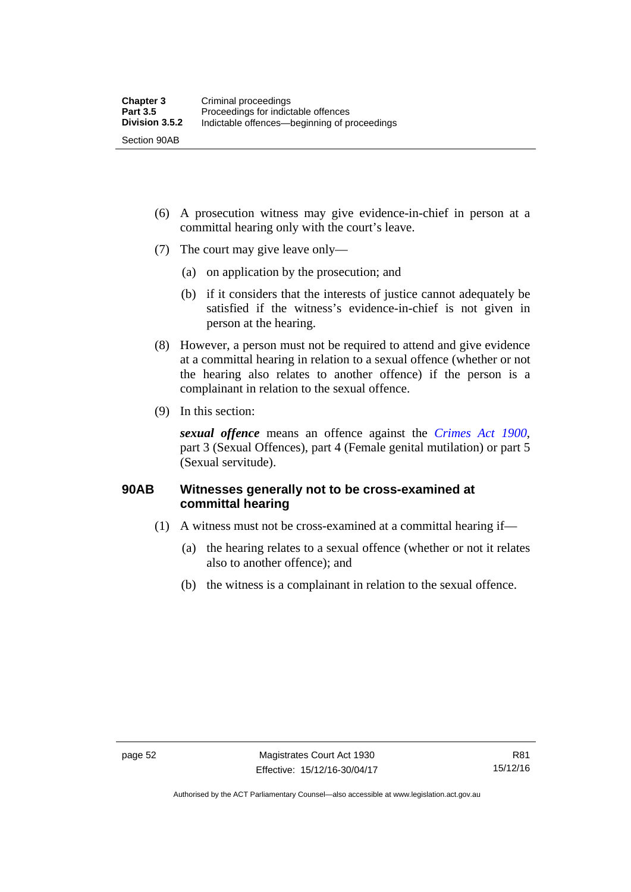- (6) A prosecution witness may give evidence-in-chief in person at a committal hearing only with the court's leave.
- (7) The court may give leave only—
	- (a) on application by the prosecution; and
	- (b) if it considers that the interests of justice cannot adequately be satisfied if the witness's evidence-in-chief is not given in person at the hearing.
- (8) However, a person must not be required to attend and give evidence at a committal hearing in relation to a sexual offence (whether or not the hearing also relates to another offence) if the person is a complainant in relation to the sexual offence.
- (9) In this section:

*sexual offence* means an offence against the *[Crimes Act 1900](http://www.legislation.act.gov.au/a/1900-40)*, part 3 (Sexual Offences), part 4 (Female genital mutilation) or part 5 (Sexual servitude).

# **90AB Witnesses generally not to be cross-examined at committal hearing**

- (1) A witness must not be cross-examined at a committal hearing if—
	- (a) the hearing relates to a sexual offence (whether or not it relates also to another offence); and
	- (b) the witness is a complainant in relation to the sexual offence.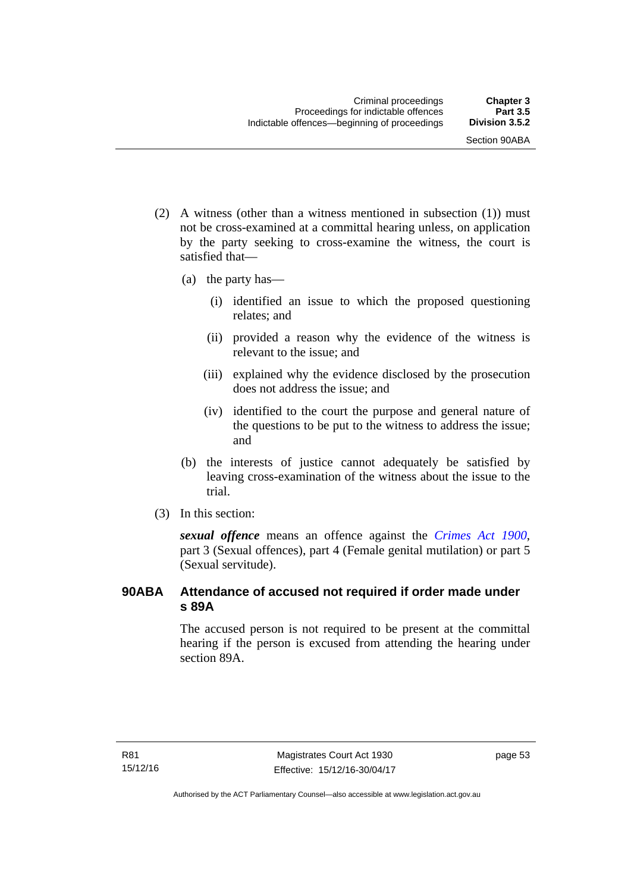- (2) A witness (other than a witness mentioned in subsection (1)) must not be cross-examined at a committal hearing unless, on application by the party seeking to cross-examine the witness, the court is satisfied that—
	- (a) the party has—
		- (i) identified an issue to which the proposed questioning relates; and
		- (ii) provided a reason why the evidence of the witness is relevant to the issue; and
		- (iii) explained why the evidence disclosed by the prosecution does not address the issue; and
		- (iv) identified to the court the purpose and general nature of the questions to be put to the witness to address the issue; and
	- (b) the interests of justice cannot adequately be satisfied by leaving cross-examination of the witness about the issue to the trial.
- (3) In this section:

*sexual offence* means an offence against the *[Crimes Act 1900](http://www.legislation.act.gov.au/a/1900-40)*, part 3 (Sexual offences), part 4 (Female genital mutilation) or part 5 (Sexual servitude).

# **90ABA Attendance of accused not required if order made under s 89A**

The accused person is not required to be present at the committal hearing if the person is excused from attending the hearing under section 89A.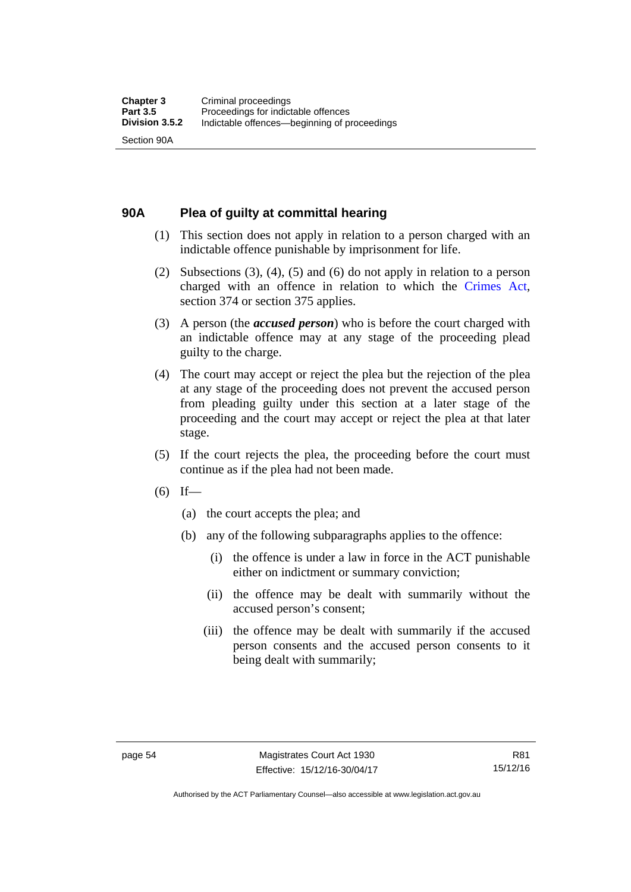# **90A Plea of guilty at committal hearing**

- (1) This section does not apply in relation to a person charged with an indictable offence punishable by imprisonment for life.
- (2) Subsections (3), (4), (5) and (6) do not apply in relation to a person charged with an offence in relation to which the [Crimes Act](http://www.legislation.act.gov.au/a/1900-40/default.asp), section 374 or section 375 applies.
- (3) A person (the *accused person*) who is before the court charged with an indictable offence may at any stage of the proceeding plead guilty to the charge.
- (4) The court may accept or reject the plea but the rejection of the plea at any stage of the proceeding does not prevent the accused person from pleading guilty under this section at a later stage of the proceeding and the court may accept or reject the plea at that later stage.
- (5) If the court rejects the plea, the proceeding before the court must continue as if the plea had not been made.
- $(6)$  If—
	- (a) the court accepts the plea; and
	- (b) any of the following subparagraphs applies to the offence:
		- (i) the offence is under a law in force in the ACT punishable either on indictment or summary conviction;
		- (ii) the offence may be dealt with summarily without the accused person's consent;
		- (iii) the offence may be dealt with summarily if the accused person consents and the accused person consents to it being dealt with summarily;

Authorised by the ACT Parliamentary Counsel—also accessible at www.legislation.act.gov.au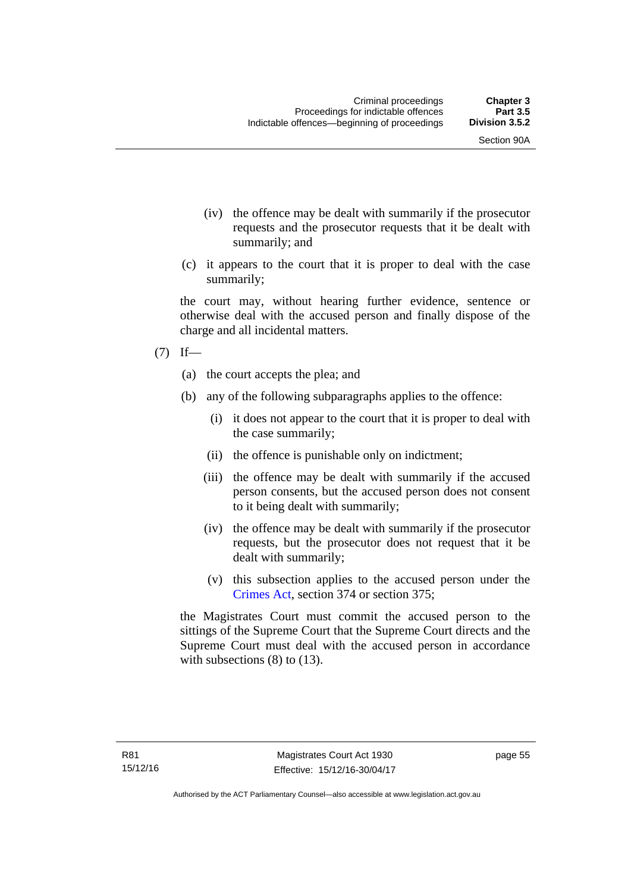- (iv) the offence may be dealt with summarily if the prosecutor requests and the prosecutor requests that it be dealt with summarily; and
- (c) it appears to the court that it is proper to deal with the case summarily;

the court may, without hearing further evidence, sentence or otherwise deal with the accused person and finally dispose of the charge and all incidental matters.

## $(7)$  If—

- (a) the court accepts the plea; and
- (b) any of the following subparagraphs applies to the offence:
	- (i) it does not appear to the court that it is proper to deal with the case summarily;
	- (ii) the offence is punishable only on indictment;
	- (iii) the offence may be dealt with summarily if the accused person consents, but the accused person does not consent to it being dealt with summarily;
	- (iv) the offence may be dealt with summarily if the prosecutor requests, but the prosecutor does not request that it be dealt with summarily;
	- (v) this subsection applies to the accused person under the [Crimes Act,](http://www.legislation.act.gov.au/a/1900-40/default.asp) section 374 or section 375;

the Magistrates Court must commit the accused person to the sittings of the Supreme Court that the Supreme Court directs and the Supreme Court must deal with the accused person in accordance with subsections (8) to (13).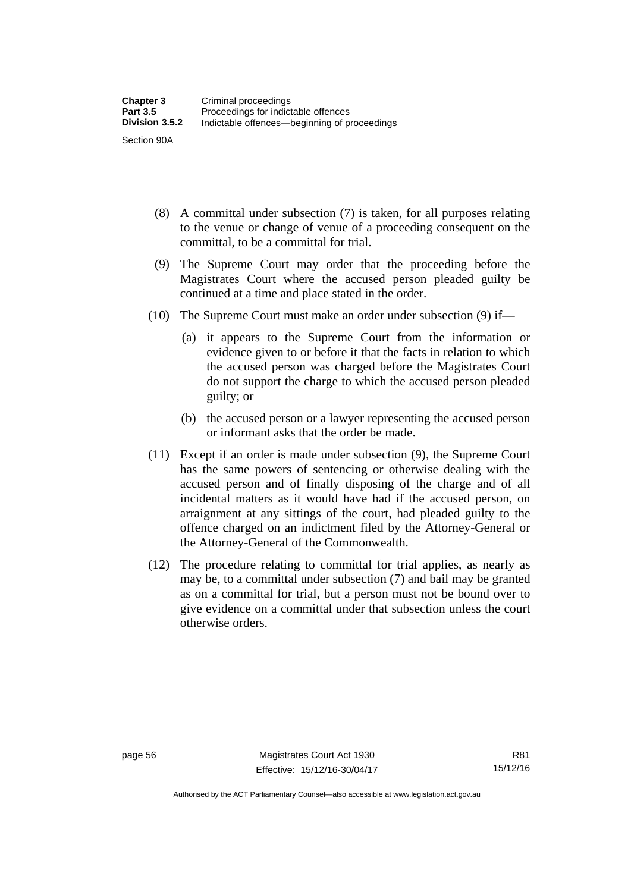- (8) A committal under subsection (7) is taken, for all purposes relating to the venue or change of venue of a proceeding consequent on the committal, to be a committal for trial.
- (9) The Supreme Court may order that the proceeding before the Magistrates Court where the accused person pleaded guilty be continued at a time and place stated in the order.
- (10) The Supreme Court must make an order under subsection (9) if—
	- (a) it appears to the Supreme Court from the information or evidence given to or before it that the facts in relation to which the accused person was charged before the Magistrates Court do not support the charge to which the accused person pleaded guilty; or
	- (b) the accused person or a lawyer representing the accused person or informant asks that the order be made.
- (11) Except if an order is made under subsection (9), the Supreme Court has the same powers of sentencing or otherwise dealing with the accused person and of finally disposing of the charge and of all incidental matters as it would have had if the accused person, on arraignment at any sittings of the court, had pleaded guilty to the offence charged on an indictment filed by the Attorney-General or the Attorney-General of the Commonwealth.
- (12) The procedure relating to committal for trial applies, as nearly as may be, to a committal under subsection (7) and bail may be granted as on a committal for trial, but a person must not be bound over to give evidence on a committal under that subsection unless the court otherwise orders.

Authorised by the ACT Parliamentary Counsel—also accessible at www.legislation.act.gov.au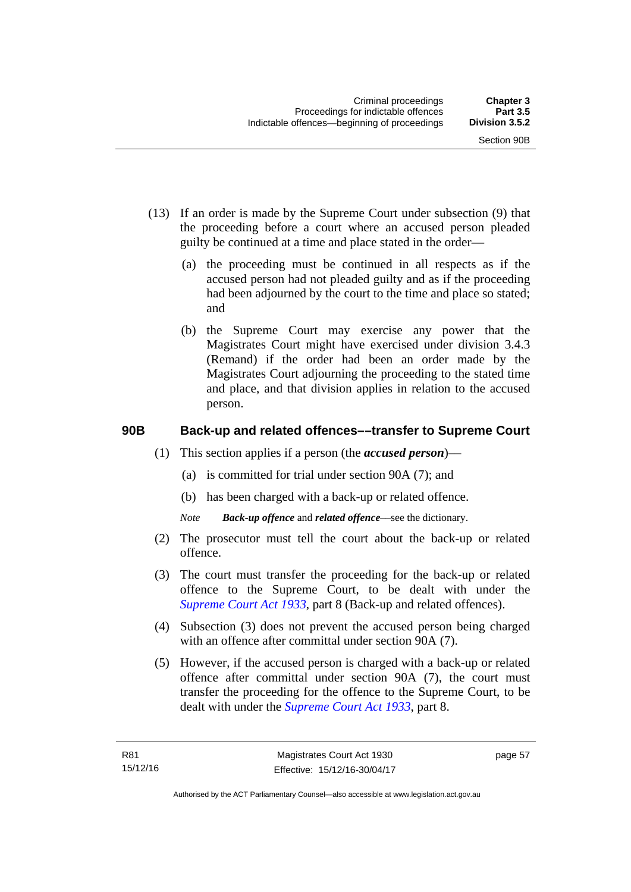- (13) If an order is made by the Supreme Court under subsection (9) that the proceeding before a court where an accused person pleaded guilty be continued at a time and place stated in the order—
	- (a) the proceeding must be continued in all respects as if the accused person had not pleaded guilty and as if the proceeding had been adjourned by the court to the time and place so stated; and
	- (b) the Supreme Court may exercise any power that the Magistrates Court might have exercised under division 3.4.3 (Remand) if the order had been an order made by the Magistrates Court adjourning the proceeding to the stated time and place, and that division applies in relation to the accused person.

# **90B Back-up and related offences––transfer to Supreme Court**

- (1) This section applies if a person (the *accused person*)––
	- (a) is committed for trial under section 90A (7); and
	- (b) has been charged with a back-up or related offence.
	- *Note Back-up offence* and *related offence*––see the dictionary.
- (2) The prosecutor must tell the court about the back-up or related offence.
- (3) The court must transfer the proceeding for the back-up or related offence to the Supreme Court, to be dealt with under the *[Supreme Court Act 1933](http://www.legislation.act.gov.au/a/1933-34)*, part 8 (Back-up and related offences).
- (4) Subsection (3) does not prevent the accused person being charged with an offence after committal under section 90A (7).
- (5) However, if the accused person is charged with a back-up or related offence after committal under section 90A (7), the court must transfer the proceeding for the offence to the Supreme Court, to be dealt with under the *[Supreme Court Act 1933](http://www.legislation.act.gov.au/a/1933-34)*, part 8.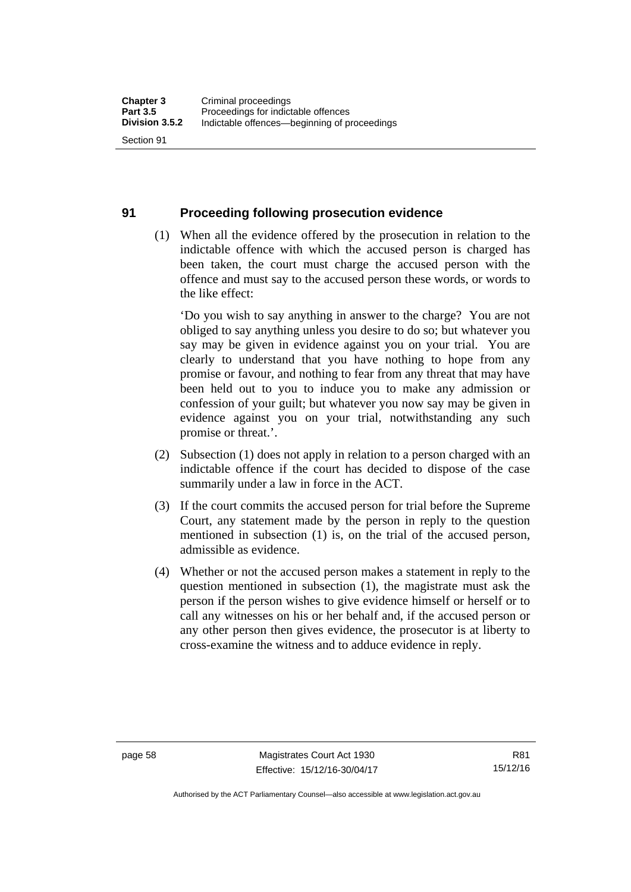#### **91 Proceeding following prosecution evidence**

 (1) When all the evidence offered by the prosecution in relation to the indictable offence with which the accused person is charged has been taken, the court must charge the accused person with the offence and must say to the accused person these words, or words to the like effect:

'Do you wish to say anything in answer to the charge? You are not obliged to say anything unless you desire to do so; but whatever you say may be given in evidence against you on your trial. You are clearly to understand that you have nothing to hope from any promise or favour, and nothing to fear from any threat that may have been held out to you to induce you to make any admission or confession of your guilt; but whatever you now say may be given in evidence against you on your trial, notwithstanding any such promise or threat.'.

- (2) Subsection (1) does not apply in relation to a person charged with an indictable offence if the court has decided to dispose of the case summarily under a law in force in the ACT.
- (3) If the court commits the accused person for trial before the Supreme Court, any statement made by the person in reply to the question mentioned in subsection (1) is, on the trial of the accused person, admissible as evidence.
- (4) Whether or not the accused person makes a statement in reply to the question mentioned in subsection (1), the magistrate must ask the person if the person wishes to give evidence himself or herself or to call any witnesses on his or her behalf and, if the accused person or any other person then gives evidence, the prosecutor is at liberty to cross-examine the witness and to adduce evidence in reply.

Authorised by the ACT Parliamentary Counsel—also accessible at www.legislation.act.gov.au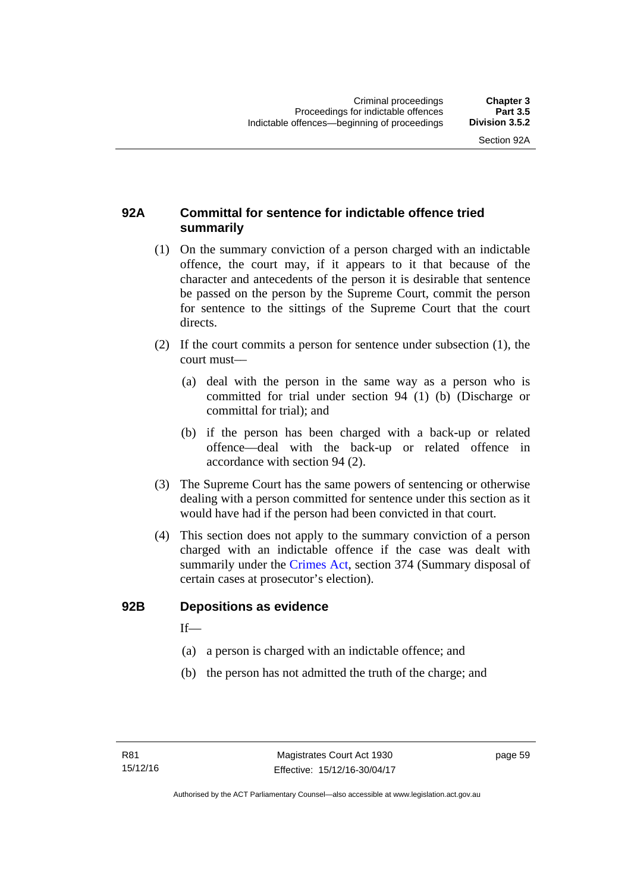# **92A Committal for sentence for indictable offence tried summarily**

- (1) On the summary conviction of a person charged with an indictable offence, the court may, if it appears to it that because of the character and antecedents of the person it is desirable that sentence be passed on the person by the Supreme Court, commit the person for sentence to the sittings of the Supreme Court that the court directs.
- (2) If the court commits a person for sentence under subsection (1), the court must––
	- (a) deal with the person in the same way as a person who is committed for trial under section 94 (1) (b) (Discharge or committal for trial); and
	- (b) if the person has been charged with a back-up or related offence––deal with the back-up or related offence in accordance with section 94 (2).
- (3) The Supreme Court has the same powers of sentencing or otherwise dealing with a person committed for sentence under this section as it would have had if the person had been convicted in that court.
- (4) This section does not apply to the summary conviction of a person charged with an indictable offence if the case was dealt with summarily under the [Crimes Act,](http://www.legislation.act.gov.au/a/1900-40/default.asp) section 374 (Summary disposal of certain cases at prosecutor's election).

#### **92B Depositions as evidence**

 $If$ —

- (a) a person is charged with an indictable offence; and
- (b) the person has not admitted the truth of the charge; and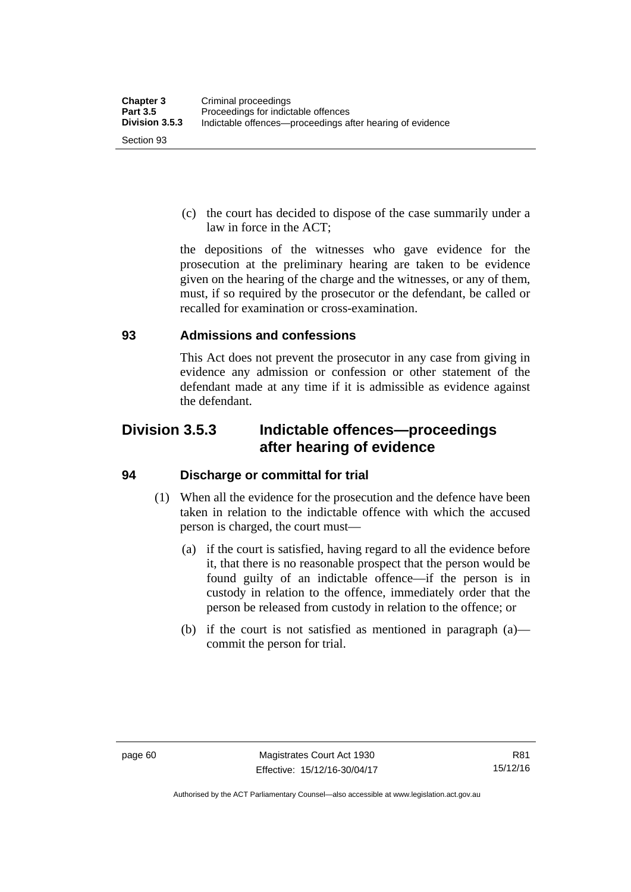(c) the court has decided to dispose of the case summarily under a law in force in the ACT;

the depositions of the witnesses who gave evidence for the prosecution at the preliminary hearing are taken to be evidence given on the hearing of the charge and the witnesses, or any of them, must, if so required by the prosecutor or the defendant, be called or recalled for examination or cross-examination.

#### **93 Admissions and confessions**

This Act does not prevent the prosecutor in any case from giving in evidence any admission or confession or other statement of the defendant made at any time if it is admissible as evidence against the defendant.

# **Division 3.5.3 Indictable offences—proceedings after hearing of evidence**

# **94 Discharge or committal for trial**

- (1) When all the evidence for the prosecution and the defence have been taken in relation to the indictable offence with which the accused person is charged, the court must—
	- (a) if the court is satisfied, having regard to all the evidence before it, that there is no reasonable prospect that the person would be found guilty of an indictable offence—if the person is in custody in relation to the offence, immediately order that the person be released from custody in relation to the offence; or
	- (b) if the court is not satisfied as mentioned in paragraph (a) commit the person for trial.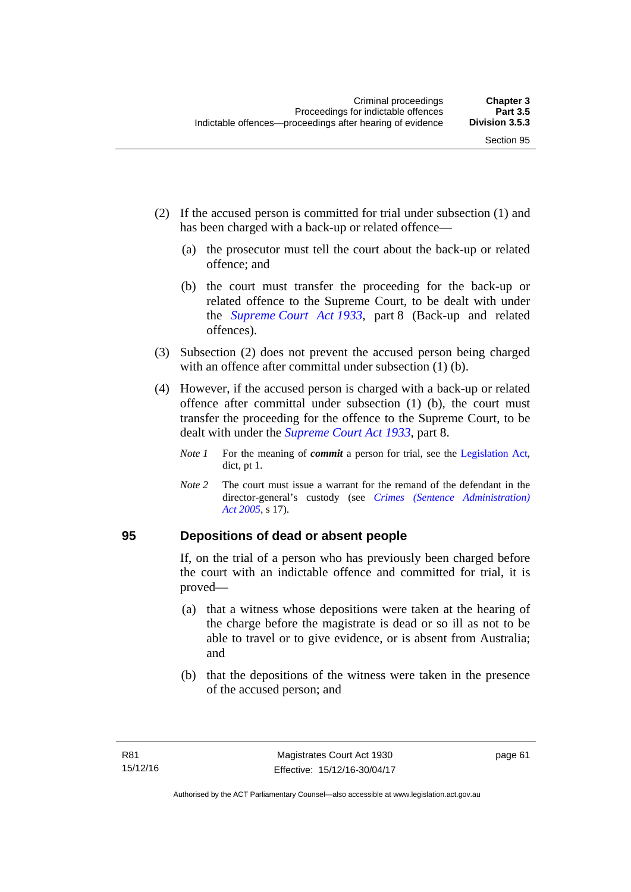- (2) If the accused person is committed for trial under subsection (1) and has been charged with a back-up or related offence—
	- (a) the prosecutor must tell the court about the back-up or related offence; and
	- (b) the court must transfer the proceeding for the back-up or related offence to the Supreme Court, to be dealt with under the *[Supreme Court Act 1933](http://www.legislation.act.gov.au/a/1933-34)*, part 8 (Back-up and related offences).
- (3) Subsection (2) does not prevent the accused person being charged with an offence after committal under subsection (1) (b).
- (4) However, if the accused person is charged with a back-up or related offence after committal under subsection (1) (b), the court must transfer the proceeding for the offence to the Supreme Court, to be dealt with under the *[Supreme Court Act 1933](http://www.legislation.act.gov.au/a/1933-34)*, part 8.
	- *Note 1* For the meaning of *commit* a person for trial, see the [Legislation Act,](http://www.legislation.act.gov.au/a/2001-14) dict, pt 1.
	- *Note 2* The court must issue a warrant for the remand of the defendant in the director-general's custody (see *[Crimes \(Sentence Administration\)](http://www.legislation.act.gov.au/a/2005-59)  [Act 2005](http://www.legislation.act.gov.au/a/2005-59)*, s 17).

#### **95 Depositions of dead or absent people**

If, on the trial of a person who has previously been charged before the court with an indictable offence and committed for trial, it is proved—

- (a) that a witness whose depositions were taken at the hearing of the charge before the magistrate is dead or so ill as not to be able to travel or to give evidence, or is absent from Australia; and
- (b) that the depositions of the witness were taken in the presence of the accused person; and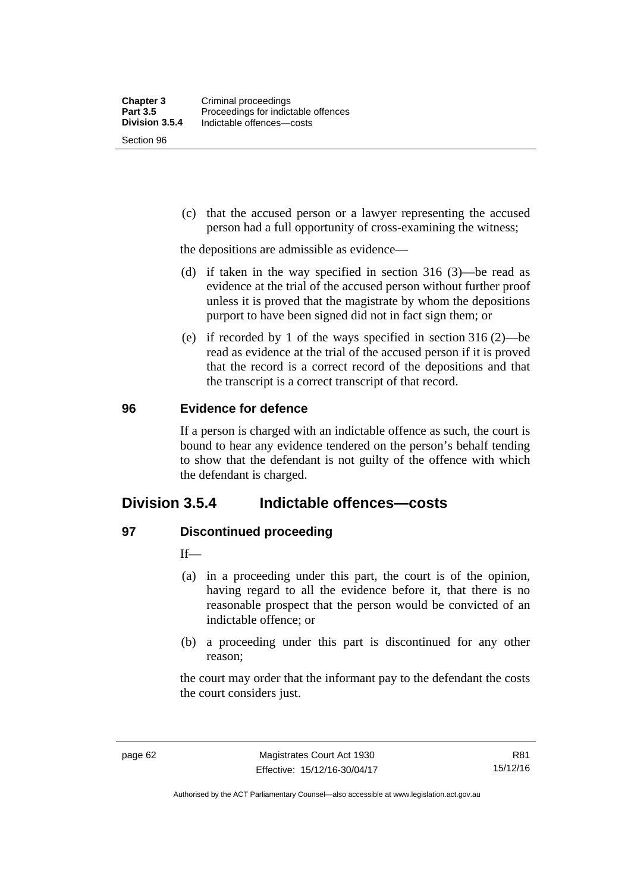Section 96

 (c) that the accused person or a lawyer representing the accused person had a full opportunity of cross-examining the witness;

the depositions are admissible as evidence—

- (d) if taken in the way specified in section 316 (3)—be read as evidence at the trial of the accused person without further proof unless it is proved that the magistrate by whom the depositions purport to have been signed did not in fact sign them; or
- (e) if recorded by 1 of the ways specified in section 316 (2)—be read as evidence at the trial of the accused person if it is proved that the record is a correct record of the depositions and that the transcript is a correct transcript of that record.

#### **96 Evidence for defence**

If a person is charged with an indictable offence as such, the court is bound to hear any evidence tendered on the person's behalf tending to show that the defendant is not guilty of the offence with which the defendant is charged.

# **Division 3.5.4 Indictable offences—costs**

# **97 Discontinued proceeding**

If—

- (a) in a proceeding under this part, the court is of the opinion, having regard to all the evidence before it, that there is no reasonable prospect that the person would be convicted of an indictable offence; or
- (b) a proceeding under this part is discontinued for any other reason;

the court may order that the informant pay to the defendant the costs the court considers just.

R81 15/12/16

Authorised by the ACT Parliamentary Counsel—also accessible at www.legislation.act.gov.au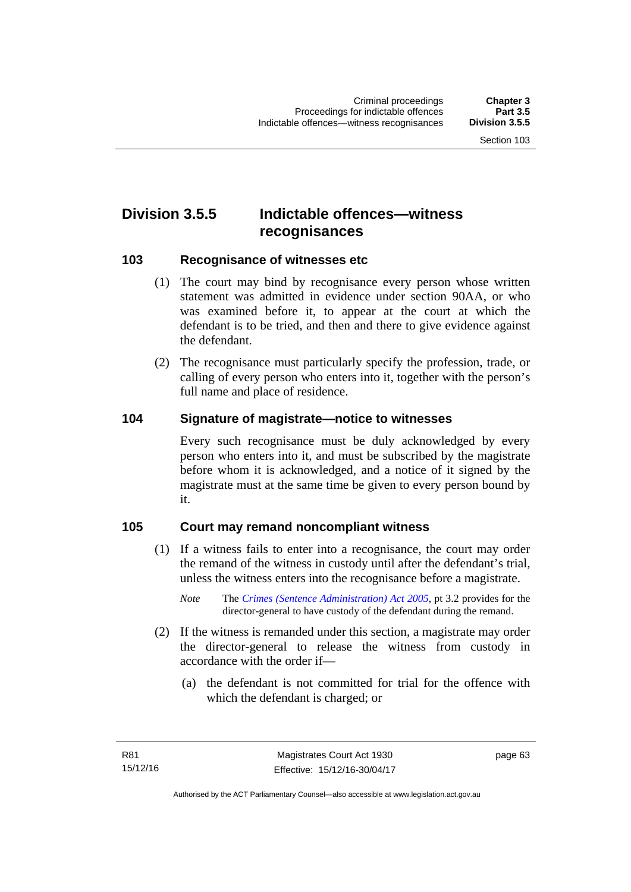# **Division 3.5.5 Indictable offences—witness recognisances**

#### **103 Recognisance of witnesses etc**

- (1) The court may bind by recognisance every person whose written statement was admitted in evidence under section 90AA, or who was examined before it, to appear at the court at which the defendant is to be tried, and then and there to give evidence against the defendant.
- (2) The recognisance must particularly specify the profession, trade, or calling of every person who enters into it, together with the person's full name and place of residence.

#### **104 Signature of magistrate—notice to witnesses**

Every such recognisance must be duly acknowledged by every person who enters into it, and must be subscribed by the magistrate before whom it is acknowledged, and a notice of it signed by the magistrate must at the same time be given to every person bound by it.

#### **105 Court may remand noncompliant witness**

- (1) If a witness fails to enter into a recognisance, the court may order the remand of the witness in custody until after the defendant's trial, unless the witness enters into the recognisance before a magistrate.
	- *Note* The *[Crimes \(Sentence Administration\) Act 2005](http://www.legislation.act.gov.au/a/2005-59)*, pt 3.2 provides for the director-general to have custody of the defendant during the remand.
- (2) If the witness is remanded under this section, a magistrate may order the director-general to release the witness from custody in accordance with the order if—
	- (a) the defendant is not committed for trial for the offence with which the defendant is charged; or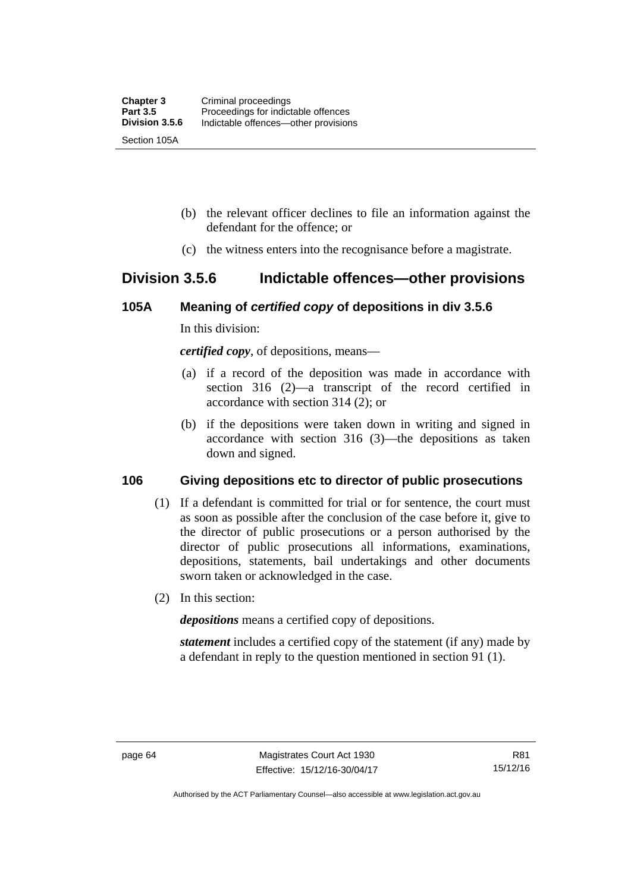- (b) the relevant officer declines to file an information against the defendant for the offence; or
- (c) the witness enters into the recognisance before a magistrate.

# **Division 3.5.6 Indictable offences—other provisions**

#### **105A Meaning of** *certified copy* **of depositions in div 3.5.6**

In this division:

*certified copy*, of depositions, means—

- (a) if a record of the deposition was made in accordance with section 316 (2)—a transcript of the record certified in accordance with section 314 (2); or
- (b) if the depositions were taken down in writing and signed in accordance with section 316 (3)—the depositions as taken down and signed.

# **106 Giving depositions etc to director of public prosecutions**

- (1) If a defendant is committed for trial or for sentence, the court must as soon as possible after the conclusion of the case before it, give to the director of public prosecutions or a person authorised by the director of public prosecutions all informations, examinations, depositions, statements, bail undertakings and other documents sworn taken or acknowledged in the case.
- (2) In this section:

*depositions* means a certified copy of depositions.

*statement* includes a certified copy of the statement (if any) made by a defendant in reply to the question mentioned in section 91 (1).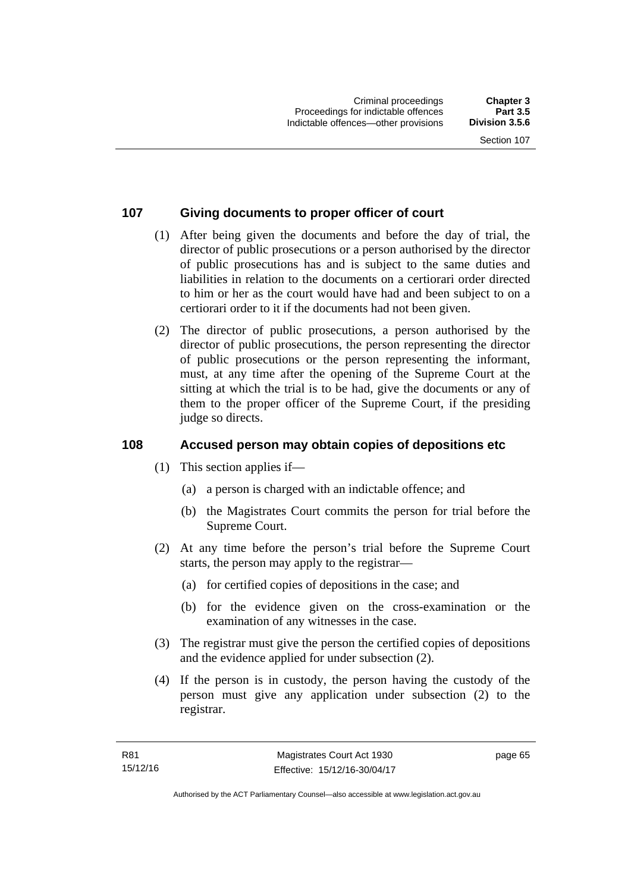# **107 Giving documents to proper officer of court**

- (1) After being given the documents and before the day of trial, the director of public prosecutions or a person authorised by the director of public prosecutions has and is subject to the same duties and liabilities in relation to the documents on a certiorari order directed to him or her as the court would have had and been subject to on a certiorari order to it if the documents had not been given.
- (2) The director of public prosecutions, a person authorised by the director of public prosecutions, the person representing the director of public prosecutions or the person representing the informant, must, at any time after the opening of the Supreme Court at the sitting at which the trial is to be had, give the documents or any of them to the proper officer of the Supreme Court, if the presiding judge so directs.

# **108 Accused person may obtain copies of depositions etc**

- (1) This section applies if—
	- (a) a person is charged with an indictable offence; and
	- (b) the Magistrates Court commits the person for trial before the Supreme Court.
- (2) At any time before the person's trial before the Supreme Court starts, the person may apply to the registrar—
	- (a) for certified copies of depositions in the case; and
	- (b) for the evidence given on the cross-examination or the examination of any witnesses in the case.
- (3) The registrar must give the person the certified copies of depositions and the evidence applied for under subsection (2).
- (4) If the person is in custody, the person having the custody of the person must give any application under subsection (2) to the registrar.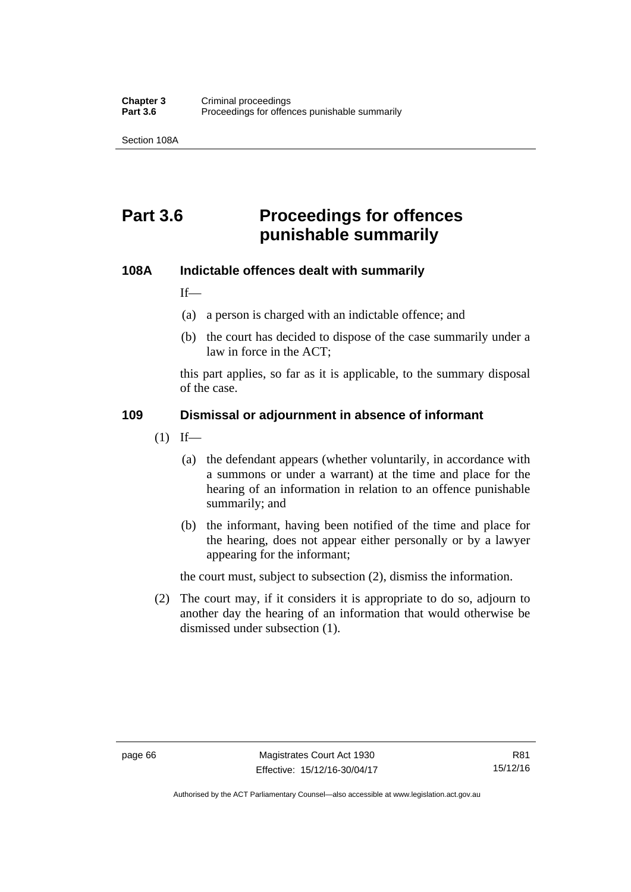Section 108A

# **Part 3.6 Proceedings for offences punishable summarily**

#### **108A Indictable offences dealt with summarily**

If—

- (a) a person is charged with an indictable offence; and
- (b) the court has decided to dispose of the case summarily under a law in force in the ACT;

this part applies, so far as it is applicable, to the summary disposal of the case.

#### **109 Dismissal or adjournment in absence of informant**

- $(1)$  If—
	- (a) the defendant appears (whether voluntarily, in accordance with a summons or under a warrant) at the time and place for the hearing of an information in relation to an offence punishable summarily; and
	- (b) the informant, having been notified of the time and place for the hearing, does not appear either personally or by a lawyer appearing for the informant;

the court must, subject to subsection (2), dismiss the information.

 (2) The court may, if it considers it is appropriate to do so, adjourn to another day the hearing of an information that would otherwise be dismissed under subsection (1).

Authorised by the ACT Parliamentary Counsel—also accessible at www.legislation.act.gov.au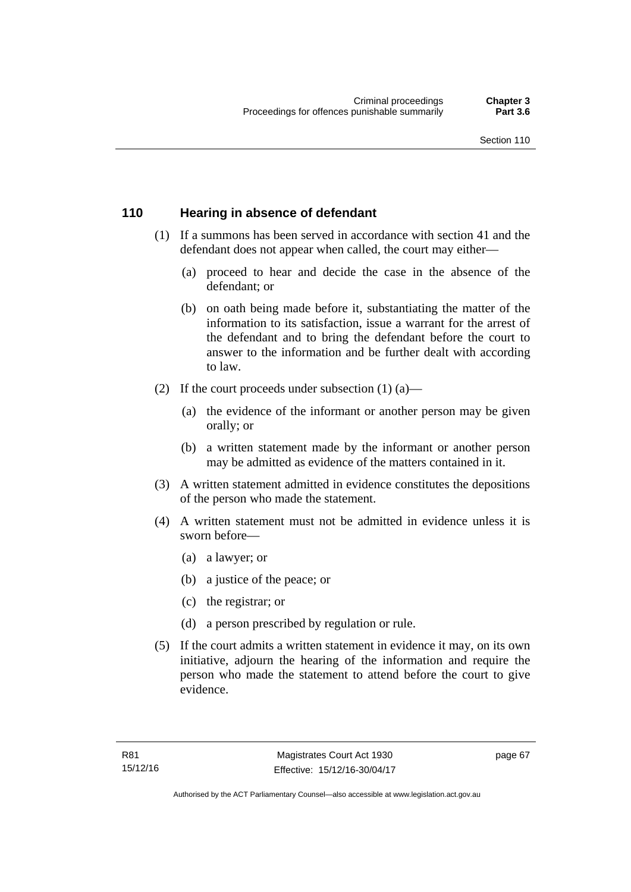#### **110 Hearing in absence of defendant**

- (1) If a summons has been served in accordance with section 41 and the defendant does not appear when called, the court may either—
	- (a) proceed to hear and decide the case in the absence of the defendant; or
	- (b) on oath being made before it, substantiating the matter of the information to its satisfaction, issue a warrant for the arrest of the defendant and to bring the defendant before the court to answer to the information and be further dealt with according to law.
- (2) If the court proceeds under subsection  $(1)$   $(a)$ 
	- (a) the evidence of the informant or another person may be given orally; or
	- (b) a written statement made by the informant or another person may be admitted as evidence of the matters contained in it.
- (3) A written statement admitted in evidence constitutes the depositions of the person who made the statement.
- (4) A written statement must not be admitted in evidence unless it is sworn before—
	- (a) a lawyer; or
	- (b) a justice of the peace; or
	- (c) the registrar; or
	- (d) a person prescribed by regulation or rule.
- (5) If the court admits a written statement in evidence it may, on its own initiative, adjourn the hearing of the information and require the person who made the statement to attend before the court to give evidence.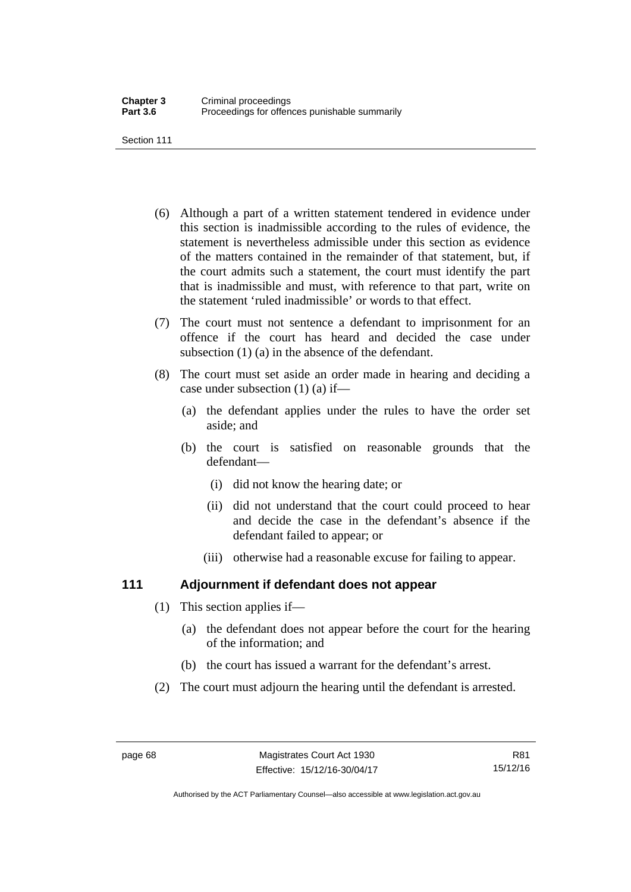Section 111

- (6) Although a part of a written statement tendered in evidence under this section is inadmissible according to the rules of evidence, the statement is nevertheless admissible under this section as evidence of the matters contained in the remainder of that statement, but, if the court admits such a statement, the court must identify the part that is inadmissible and must, with reference to that part, write on the statement 'ruled inadmissible' or words to that effect.
- (7) The court must not sentence a defendant to imprisonment for an offence if the court has heard and decided the case under subsection (1) (a) in the absence of the defendant.
- (8) The court must set aside an order made in hearing and deciding a case under subsection (1) (a) if—
	- (a) the defendant applies under the rules to have the order set aside; and
	- (b) the court is satisfied on reasonable grounds that the defendant—
		- (i) did not know the hearing date; or
		- (ii) did not understand that the court could proceed to hear and decide the case in the defendant's absence if the defendant failed to appear; or
		- (iii) otherwise had a reasonable excuse for failing to appear.

# **111 Adjournment if defendant does not appear**

- (1) This section applies if—
	- (a) the defendant does not appear before the court for the hearing of the information; and
	- (b) the court has issued a warrant for the defendant's arrest.
- (2) The court must adjourn the hearing until the defendant is arrested.

Authorised by the ACT Parliamentary Counsel—also accessible at www.legislation.act.gov.au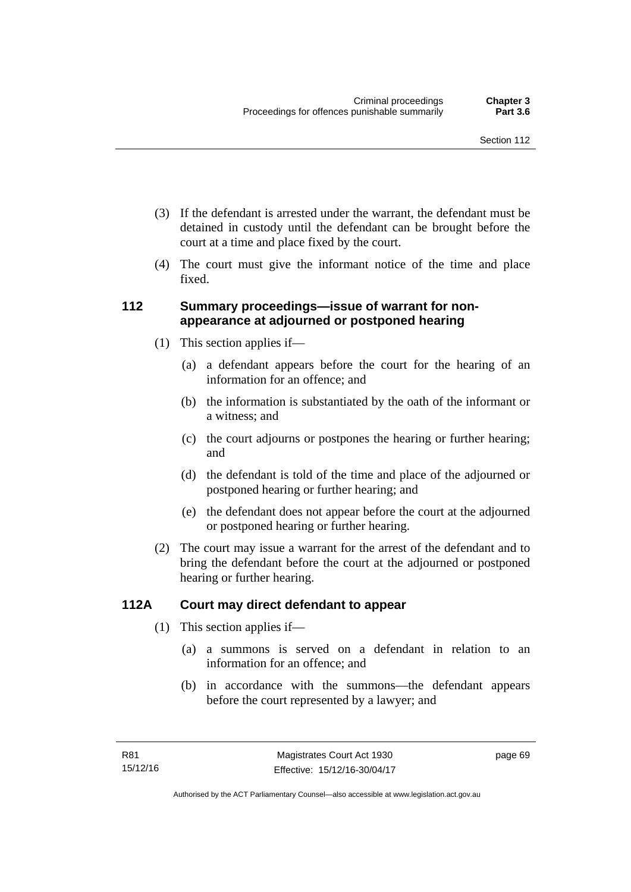- (3) If the defendant is arrested under the warrant, the defendant must be detained in custody until the defendant can be brought before the court at a time and place fixed by the court.
- (4) The court must give the informant notice of the time and place fixed.

### **112 Summary proceedings—issue of warrant for nonappearance at adjourned or postponed hearing**

- (1) This section applies if—
	- (a) a defendant appears before the court for the hearing of an information for an offence; and
	- (b) the information is substantiated by the oath of the informant or a witness; and
	- (c) the court adjourns or postpones the hearing or further hearing; and
	- (d) the defendant is told of the time and place of the adjourned or postponed hearing or further hearing; and
	- (e) the defendant does not appear before the court at the adjourned or postponed hearing or further hearing.
- (2) The court may issue a warrant for the arrest of the defendant and to bring the defendant before the court at the adjourned or postponed hearing or further hearing.

# **112A Court may direct defendant to appear**

- (1) This section applies if—
	- (a) a summons is served on a defendant in relation to an information for an offence; and
	- (b) in accordance with the summons—the defendant appears before the court represented by a lawyer; and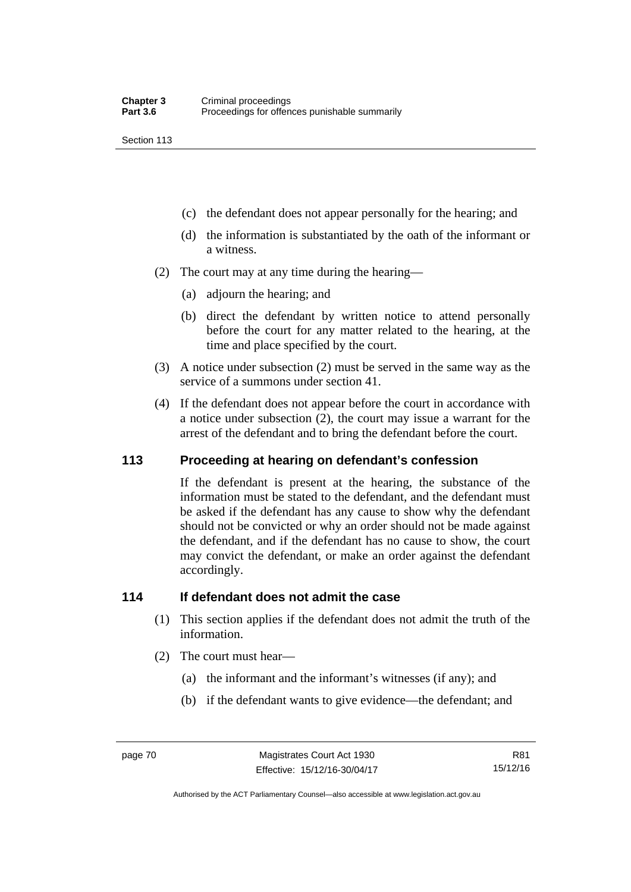Section 113

- (c) the defendant does not appear personally for the hearing; and
- (d) the information is substantiated by the oath of the informant or a witness.
- (2) The court may at any time during the hearing—
	- (a) adjourn the hearing; and
	- (b) direct the defendant by written notice to attend personally before the court for any matter related to the hearing, at the time and place specified by the court.
- (3) A notice under subsection (2) must be served in the same way as the service of a summons under section 41.
- (4) If the defendant does not appear before the court in accordance with a notice under subsection (2), the court may issue a warrant for the arrest of the defendant and to bring the defendant before the court.

#### **113 Proceeding at hearing on defendant's confession**

If the defendant is present at the hearing, the substance of the information must be stated to the defendant, and the defendant must be asked if the defendant has any cause to show why the defendant should not be convicted or why an order should not be made against the defendant, and if the defendant has no cause to show, the court may convict the defendant, or make an order against the defendant accordingly.

#### **114 If defendant does not admit the case**

- (1) This section applies if the defendant does not admit the truth of the information.
- (2) The court must hear—
	- (a) the informant and the informant's witnesses (if any); and
	- (b) if the defendant wants to give evidence—the defendant; and

R81 15/12/16

Authorised by the ACT Parliamentary Counsel—also accessible at www.legislation.act.gov.au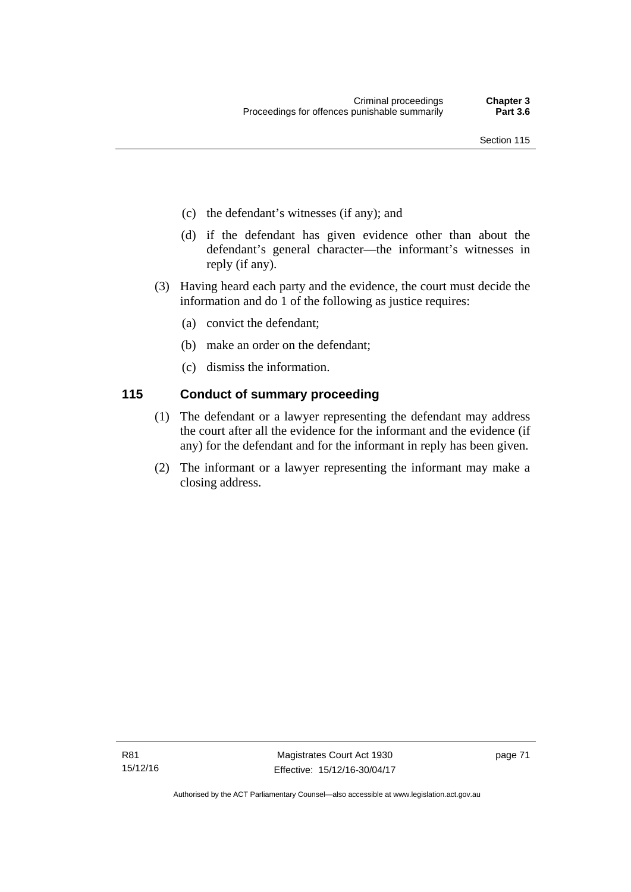- (c) the defendant's witnesses (if any); and
- (d) if the defendant has given evidence other than about the defendant's general character—the informant's witnesses in reply (if any).
- (3) Having heard each party and the evidence, the court must decide the information and do 1 of the following as justice requires:
	- (a) convict the defendant;
	- (b) make an order on the defendant;
	- (c) dismiss the information.

# **115 Conduct of summary proceeding**

- (1) The defendant or a lawyer representing the defendant may address the court after all the evidence for the informant and the evidence (if any) for the defendant and for the informant in reply has been given.
- (2) The informant or a lawyer representing the informant may make a closing address.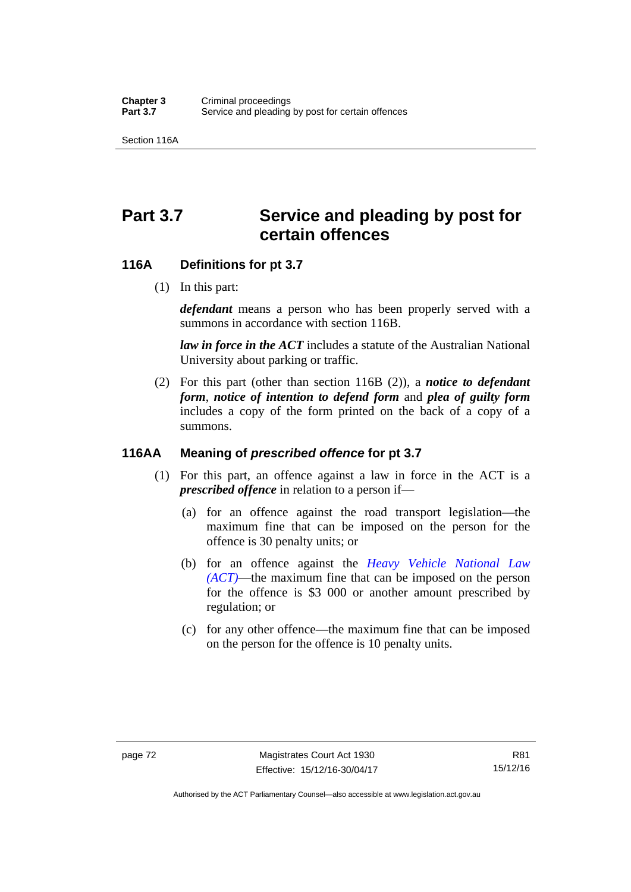Section 116A

# Part 3.7 Service and pleading by post for **certain offences**

#### **116A Definitions for pt 3.7**

(1) In this part:

*defendant* means a person who has been properly served with a summons in accordance with section 116B.

*law in force in the ACT* includes a statute of the Australian National University about parking or traffic.

 (2) For this part (other than section 116B (2)), a *notice to defendant form*, *notice of intention to defend form* and *plea of guilty form* includes a copy of the form printed on the back of a copy of a summons.

#### **116AA Meaning of** *prescribed offence* **for pt 3.7**

- (1) For this part, an offence against a law in force in the ACT is a *prescribed offence* in relation to a person if—
	- (a) for an offence against the road transport legislation—the maximum fine that can be imposed on the person for the offence is 30 penalty units; or
	- (b) for an offence against the *[Heavy Vehicle National Law](http://www.legislation.act.gov.au/a/db_49155/default.asp)  [\(ACT\)](http://www.legislation.act.gov.au/a/db_49155/default.asp)*—the maximum fine that can be imposed on the person for the offence is \$3 000 or another amount prescribed by regulation; or
	- (c) for any other offence—the maximum fine that can be imposed on the person for the offence is 10 penalty units.

Authorised by the ACT Parliamentary Counsel—also accessible at www.legislation.act.gov.au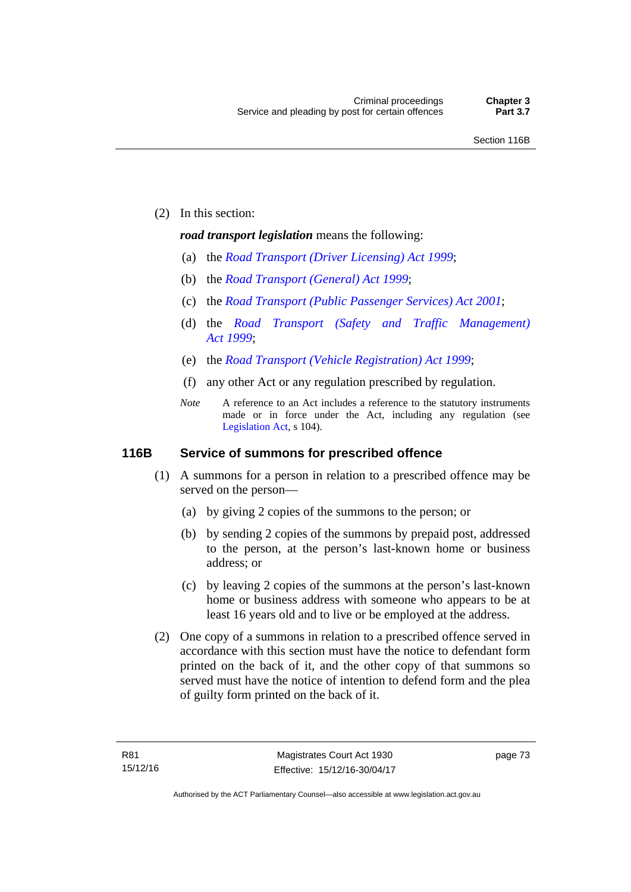(2) In this section:

#### *road transport legislation* means the following:

- (a) the *[Road Transport \(Driver Licensing\) Act 1999](http://www.legislation.act.gov.au/a/1999-78)*;
- (b) the *[Road Transport \(General\) Act 1999](http://www.legislation.act.gov.au/a/1999-77)*;
- (c) the *[Road Transport \(Public Passenger Services\) Act 2001](http://www.legislation.act.gov.au/a/2001-62)*;
- (d) the *[Road Transport \(Safety and Traffic Management\)](http://www.legislation.act.gov.au/a/1999-80)  [Act 1999](http://www.legislation.act.gov.au/a/1999-80)*;
- (e) the *[Road Transport \(Vehicle Registration\) Act 1999](http://www.legislation.act.gov.au/a/1999-81)*;
- (f) any other Act or any regulation prescribed by regulation.
- *Note* A reference to an Act includes a reference to the statutory instruments made or in force under the Act, including any regulation (see [Legislation Act,](http://www.legislation.act.gov.au/a/2001-14) s 104).

#### **116B Service of summons for prescribed offence**

- (1) A summons for a person in relation to a prescribed offence may be served on the person—
	- (a) by giving 2 copies of the summons to the person; or
	- (b) by sending 2 copies of the summons by prepaid post, addressed to the person, at the person's last-known home or business address; or
	- (c) by leaving 2 copies of the summons at the person's last-known home or business address with someone who appears to be at least 16 years old and to live or be employed at the address.
- (2) One copy of a summons in relation to a prescribed offence served in accordance with this section must have the notice to defendant form printed on the back of it, and the other copy of that summons so served must have the notice of intention to defend form and the plea of guilty form printed on the back of it.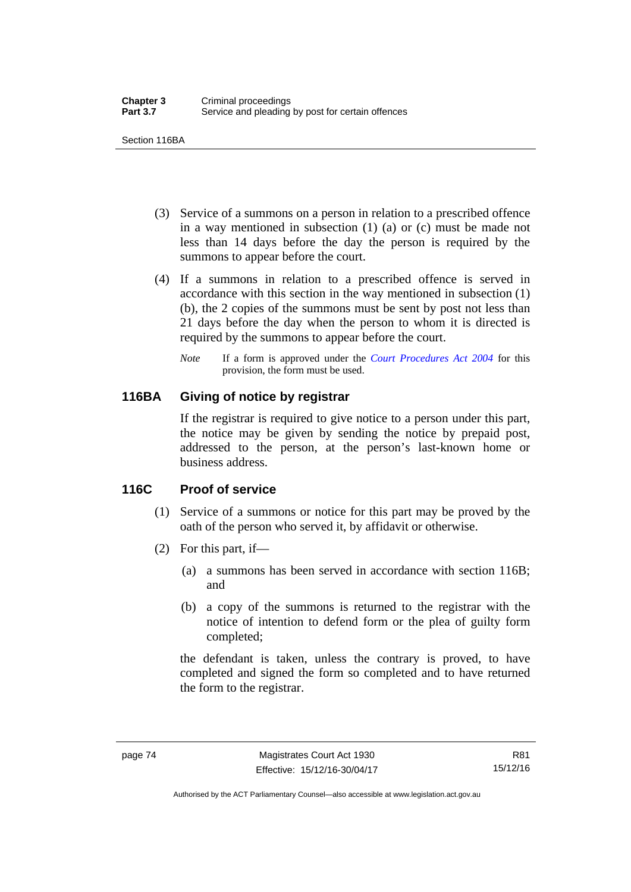Section 116BA

- (3) Service of a summons on a person in relation to a prescribed offence in a way mentioned in subsection (1) (a) or (c) must be made not less than 14 days before the day the person is required by the summons to appear before the court.
- (4) If a summons in relation to a prescribed offence is served in accordance with this section in the way mentioned in subsection (1) (b), the 2 copies of the summons must be sent by post not less than 21 days before the day when the person to whom it is directed is required by the summons to appear before the court.
	- *Note* If a form is approved under the *[Court Procedures Act 2004](http://www.legislation.act.gov.au/a/2004-59)* for this provision, the form must be used.

# **116BA Giving of notice by registrar**

If the registrar is required to give notice to a person under this part, the notice may be given by sending the notice by prepaid post, addressed to the person, at the person's last-known home or business address.

# **116C Proof of service**

- (1) Service of a summons or notice for this part may be proved by the oath of the person who served it, by affidavit or otherwise.
- (2) For this part, if—
	- (a) a summons has been served in accordance with section 116B; and
	- (b) a copy of the summons is returned to the registrar with the notice of intention to defend form or the plea of guilty form completed;

the defendant is taken, unless the contrary is proved, to have completed and signed the form so completed and to have returned the form to the registrar.

Authorised by the ACT Parliamentary Counsel—also accessible at www.legislation.act.gov.au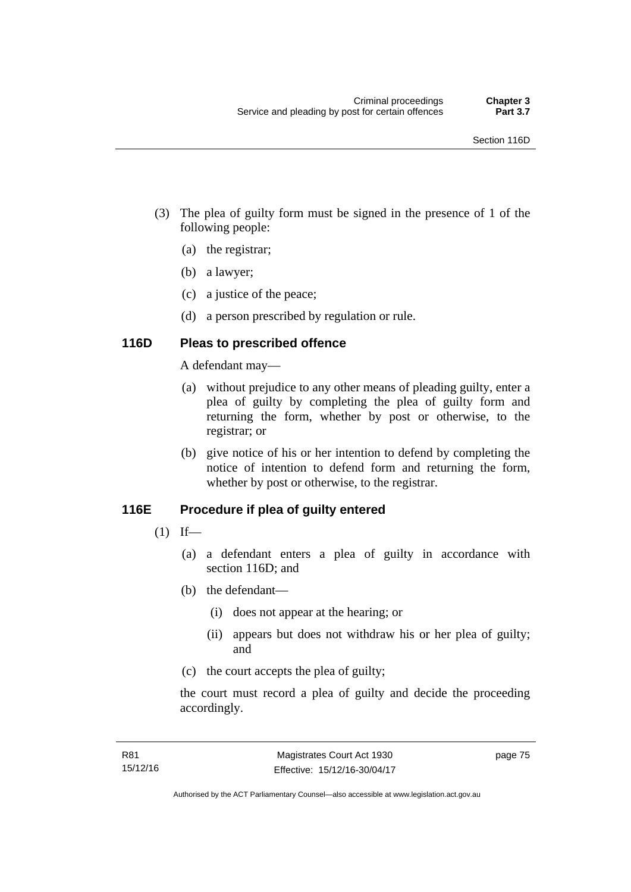- (3) The plea of guilty form must be signed in the presence of 1 of the following people:
	- (a) the registrar;
	- (b) a lawyer;
	- (c) a justice of the peace;
	- (d) a person prescribed by regulation or rule.

# **116D Pleas to prescribed offence**

A defendant may—

- (a) without prejudice to any other means of pleading guilty, enter a plea of guilty by completing the plea of guilty form and returning the form, whether by post or otherwise, to the registrar; or
- (b) give notice of his or her intention to defend by completing the notice of intention to defend form and returning the form, whether by post or otherwise, to the registrar.

# **116E Procedure if plea of guilty entered**

- $(1)$  If—
	- (a) a defendant enters a plea of guilty in accordance with section 116D; and
	- (b) the defendant—
		- (i) does not appear at the hearing; or
		- (ii) appears but does not withdraw his or her plea of guilty; and
	- (c) the court accepts the plea of guilty;

the court must record a plea of guilty and decide the proceeding accordingly.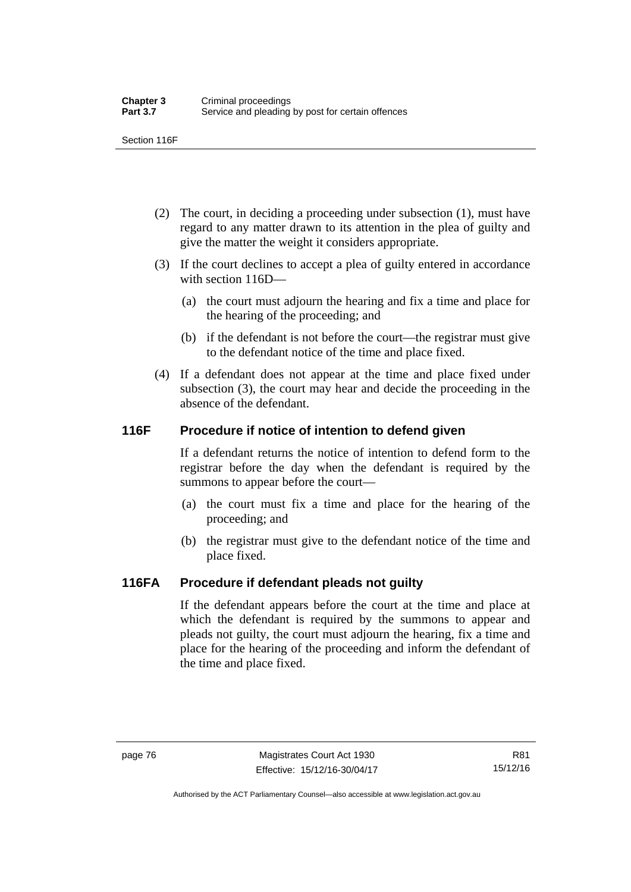Section 116F

- (2) The court, in deciding a proceeding under subsection (1), must have regard to any matter drawn to its attention in the plea of guilty and give the matter the weight it considers appropriate.
- (3) If the court declines to accept a plea of guilty entered in accordance with section 116D—
	- (a) the court must adjourn the hearing and fix a time and place for the hearing of the proceeding; and
	- (b) if the defendant is not before the court—the registrar must give to the defendant notice of the time and place fixed.
- (4) If a defendant does not appear at the time and place fixed under subsection (3), the court may hear and decide the proceeding in the absence of the defendant.

# **116F Procedure if notice of intention to defend given**

If a defendant returns the notice of intention to defend form to the registrar before the day when the defendant is required by the summons to appear before the court—

- (a) the court must fix a time and place for the hearing of the proceeding; and
- (b) the registrar must give to the defendant notice of the time and place fixed.

# **116FA Procedure if defendant pleads not guilty**

If the defendant appears before the court at the time and place at which the defendant is required by the summons to appear and pleads not guilty, the court must adjourn the hearing, fix a time and place for the hearing of the proceeding and inform the defendant of the time and place fixed.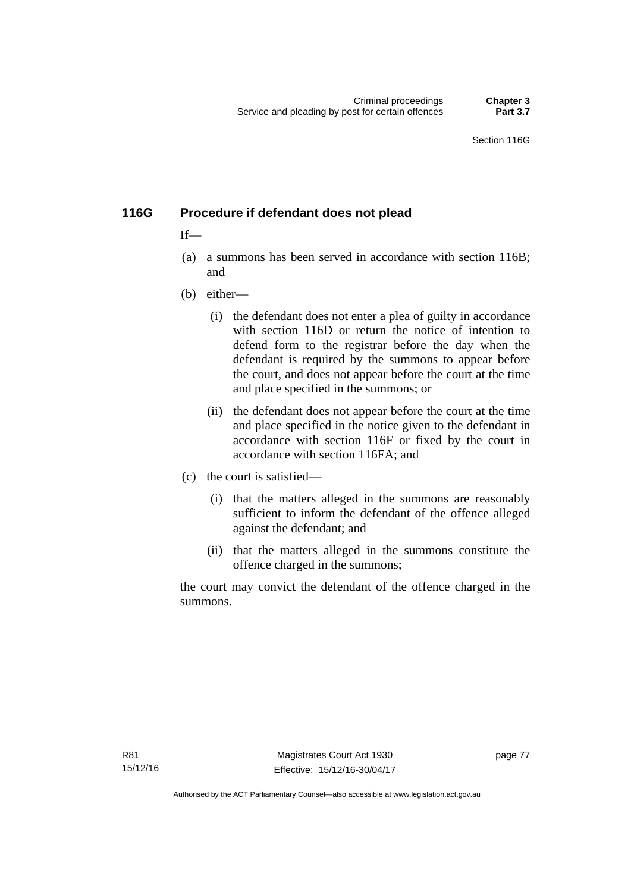# **116G Procedure if defendant does not plead**

# $If$ —

- (a) a summons has been served in accordance with section 116B; and
- (b) either—
	- (i) the defendant does not enter a plea of guilty in accordance with section 116D or return the notice of intention to defend form to the registrar before the day when the defendant is required by the summons to appear before the court, and does not appear before the court at the time and place specified in the summons; or
	- (ii) the defendant does not appear before the court at the time and place specified in the notice given to the defendant in accordance with section 116F or fixed by the court in accordance with section 116FA; and
- (c) the court is satisfied—
	- (i) that the matters alleged in the summons are reasonably sufficient to inform the defendant of the offence alleged against the defendant; and
	- (ii) that the matters alleged in the summons constitute the offence charged in the summons;

the court may convict the defendant of the offence charged in the summons.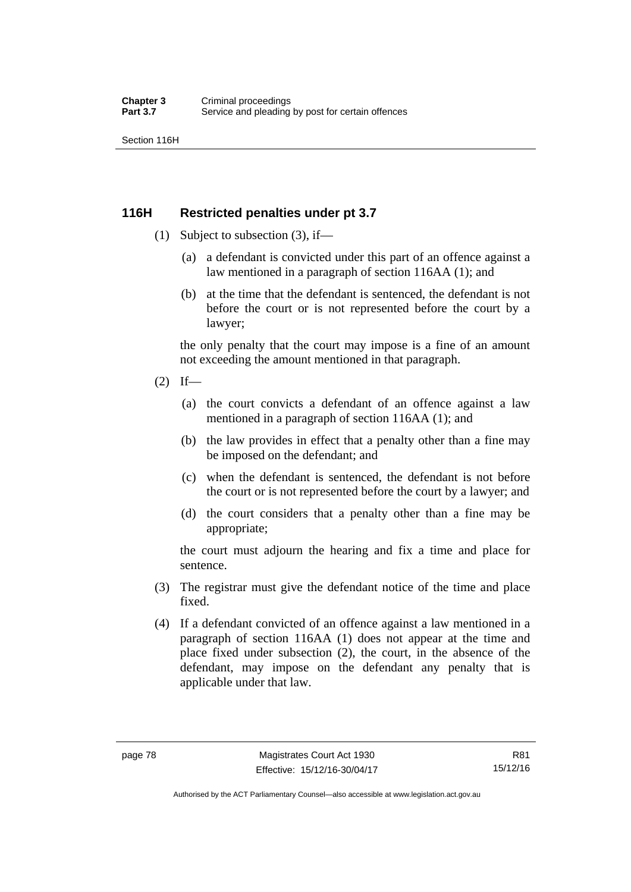Section 116H

# **116H Restricted penalties under pt 3.7**

- (1) Subject to subsection (3), if—
	- (a) a defendant is convicted under this part of an offence against a law mentioned in a paragraph of section 116AA (1); and
	- (b) at the time that the defendant is sentenced, the defendant is not before the court or is not represented before the court by a lawyer;

the only penalty that the court may impose is a fine of an amount not exceeding the amount mentioned in that paragraph.

- $(2)$  If—
	- (a) the court convicts a defendant of an offence against a law mentioned in a paragraph of section 116AA (1); and
	- (b) the law provides in effect that a penalty other than a fine may be imposed on the defendant; and
	- (c) when the defendant is sentenced, the defendant is not before the court or is not represented before the court by a lawyer; and
	- (d) the court considers that a penalty other than a fine may be appropriate;

the court must adjourn the hearing and fix a time and place for sentence.

- (3) The registrar must give the defendant notice of the time and place fixed.
- (4) If a defendant convicted of an offence against a law mentioned in a paragraph of section 116AA (1) does not appear at the time and place fixed under subsection (2), the court, in the absence of the defendant, may impose on the defendant any penalty that is applicable under that law.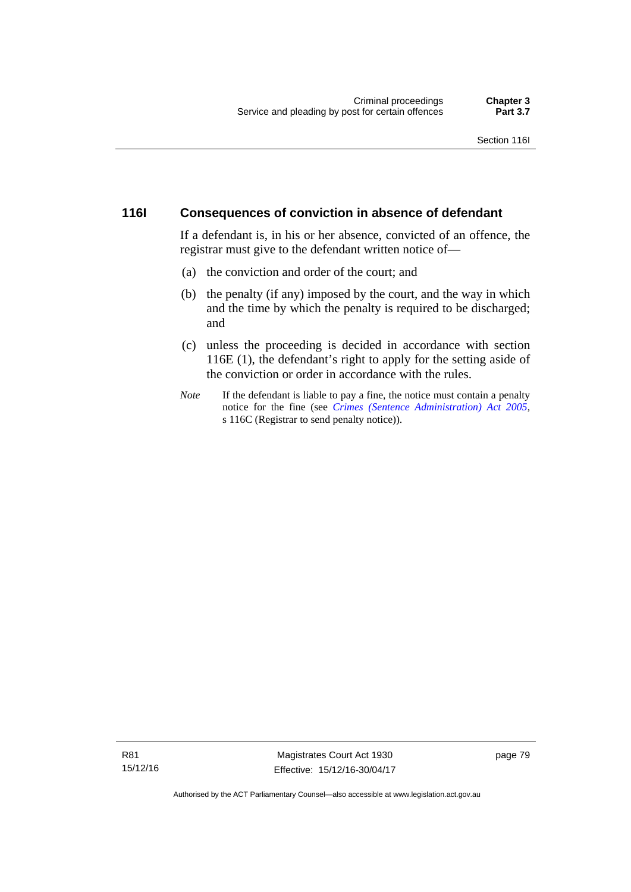#### **116I Consequences of conviction in absence of defendant**

If a defendant is, in his or her absence, convicted of an offence, the registrar must give to the defendant written notice of—

- (a) the conviction and order of the court; and
- (b) the penalty (if any) imposed by the court, and the way in which and the time by which the penalty is required to be discharged; and
- (c) unless the proceeding is decided in accordance with section 116E (1), the defendant's right to apply for the setting aside of the conviction or order in accordance with the rules.
- *Note* If the defendant is liable to pay a fine, the notice must contain a penalty notice for the fine (see *[Crimes \(Sentence Administration\) Act 2005](http://www.legislation.act.gov.au/a/2005-59)*, s 116C (Registrar to send penalty notice)).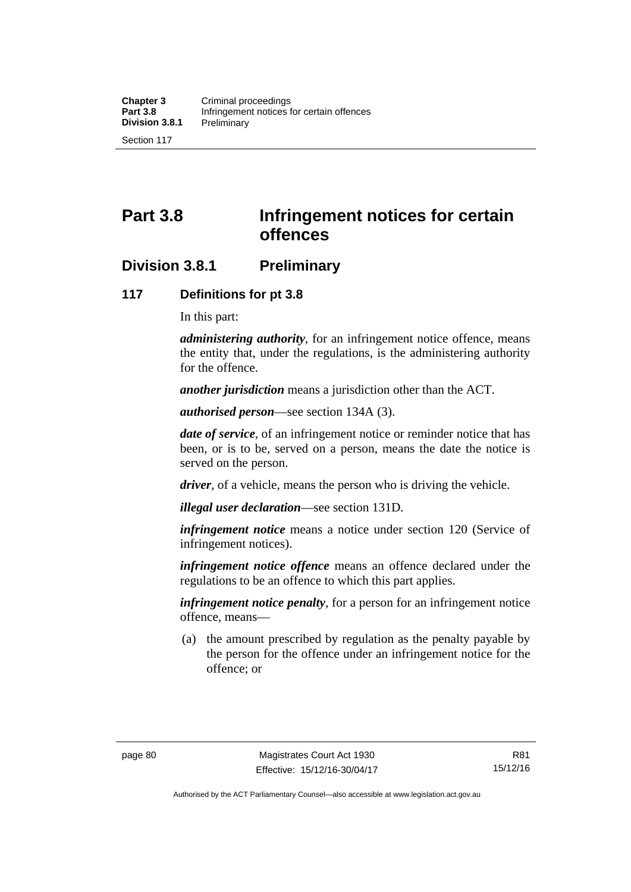# **Part 3.8 Infringement notices for certain offences**

# **Division 3.8.1 Preliminary**

#### **117 Definitions for pt 3.8**

In this part:

*administering authority*, for an infringement notice offence, means the entity that, under the regulations, is the administering authority for the offence.

*another jurisdiction* means a jurisdiction other than the ACT.

*authorised person*—see section 134A (3).

*date of service*, of an infringement notice or reminder notice that has been, or is to be, served on a person, means the date the notice is served on the person.

*driver*, of a vehicle, means the person who is driving the vehicle.

*illegal user declaration*—see section 131D.

*infringement notice* means a notice under section 120 (Service of infringement notices).

*infringement notice offence* means an offence declared under the regulations to be an offence to which this part applies.

*infringement notice penalty*, for a person for an infringement notice offence, means—

 (a) the amount prescribed by regulation as the penalty payable by the person for the offence under an infringement notice for the offence; or

Authorised by the ACT Parliamentary Counsel—also accessible at www.legislation.act.gov.au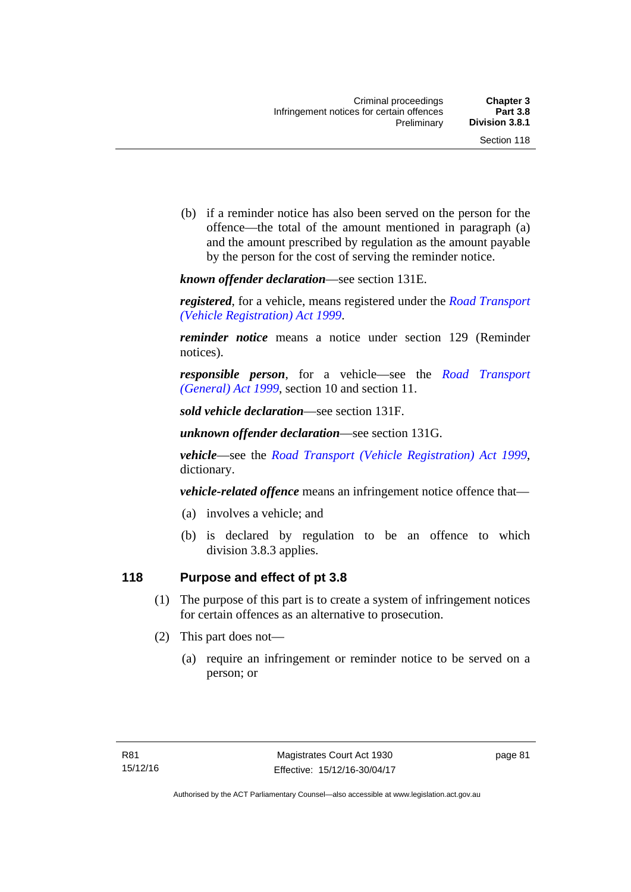(b) if a reminder notice has also been served on the person for the offence—the total of the amount mentioned in paragraph (a) and the amount prescribed by regulation as the amount payable by the person for the cost of serving the reminder notice.

*known offender declaration*—see section 131E.

*registered*, for a vehicle, means registered under the *[Road Transport](http://www.legislation.act.gov.au/a/1999-81)  [\(Vehicle Registration\) Act 1999](http://www.legislation.act.gov.au/a/1999-81)*.

*reminder notice* means a notice under section 129 (Reminder notices).

*responsible person*, for a vehicle—see the *[Road Transport](http://www.legislation.act.gov.au/a/1999-77)  [\(General\) Act 1999](http://www.legislation.act.gov.au/a/1999-77)*, section 10 and section 11.

*sold vehicle declaration*—see section 131F.

*unknown offender declaration*—see section 131G.

*vehicle*—see the *[Road Transport \(Vehicle Registration\) Act 1999](http://www.legislation.act.gov.au/a/1999-81)*, dictionary.

*vehicle-related offence* means an infringement notice offence that—

- (a) involves a vehicle; and
- (b) is declared by regulation to be an offence to which division 3.8.3 applies.

# **118 Purpose and effect of pt 3.8**

- (1) The purpose of this part is to create a system of infringement notices for certain offences as an alternative to prosecution.
- (2) This part does not—
	- (a) require an infringement or reminder notice to be served on a person; or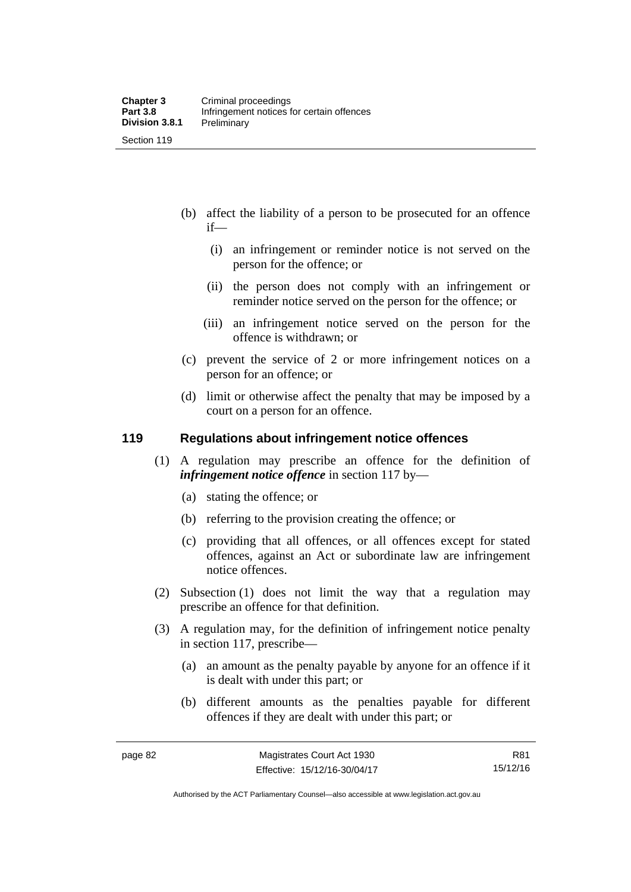- (b) affect the liability of a person to be prosecuted for an offence if—
	- (i) an infringement or reminder notice is not served on the person for the offence; or
	- (ii) the person does not comply with an infringement or reminder notice served on the person for the offence; or
	- (iii) an infringement notice served on the person for the offence is withdrawn; or
- (c) prevent the service of 2 or more infringement notices on a person for an offence; or
- (d) limit or otherwise affect the penalty that may be imposed by a court on a person for an offence.

#### **119 Regulations about infringement notice offences**

- (1) A regulation may prescribe an offence for the definition of *infringement notice offence* in section 117 by—
	- (a) stating the offence; or
	- (b) referring to the provision creating the offence; or
	- (c) providing that all offences, or all offences except for stated offences, against an Act or subordinate law are infringement notice offences.
- (2) Subsection (1) does not limit the way that a regulation may prescribe an offence for that definition.
- (3) A regulation may, for the definition of infringement notice penalty in section 117, prescribe—
	- (a) an amount as the penalty payable by anyone for an offence if it is dealt with under this part; or
	- (b) different amounts as the penalties payable for different offences if they are dealt with under this part; or

R81 15/12/16

Authorised by the ACT Parliamentary Counsel—also accessible at www.legislation.act.gov.au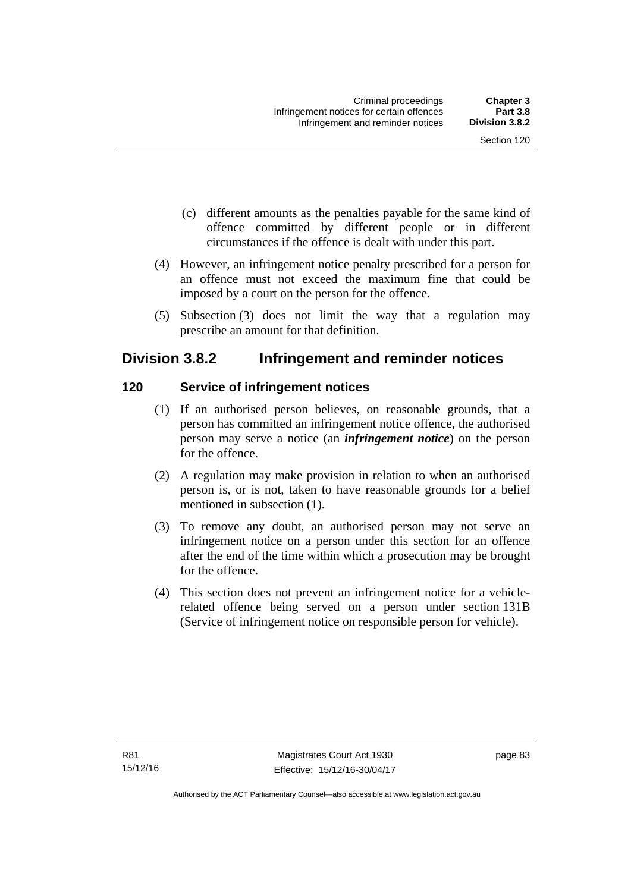- (c) different amounts as the penalties payable for the same kind of offence committed by different people or in different circumstances if the offence is dealt with under this part.
- (4) However, an infringement notice penalty prescribed for a person for an offence must not exceed the maximum fine that could be imposed by a court on the person for the offence.
- (5) Subsection (3) does not limit the way that a regulation may prescribe an amount for that definition.

# **Division 3.8.2 Infringement and reminder notices**

# **120 Service of infringement notices**

- (1) If an authorised person believes, on reasonable grounds, that a person has committed an infringement notice offence, the authorised person may serve a notice (an *infringement notice*) on the person for the offence.
- (2) A regulation may make provision in relation to when an authorised person is, or is not, taken to have reasonable grounds for a belief mentioned in subsection (1).
- (3) To remove any doubt, an authorised person may not serve an infringement notice on a person under this section for an offence after the end of the time within which a prosecution may be brought for the offence.
- (4) This section does not prevent an infringement notice for a vehiclerelated offence being served on a person under section 131B (Service of infringement notice on responsible person for vehicle).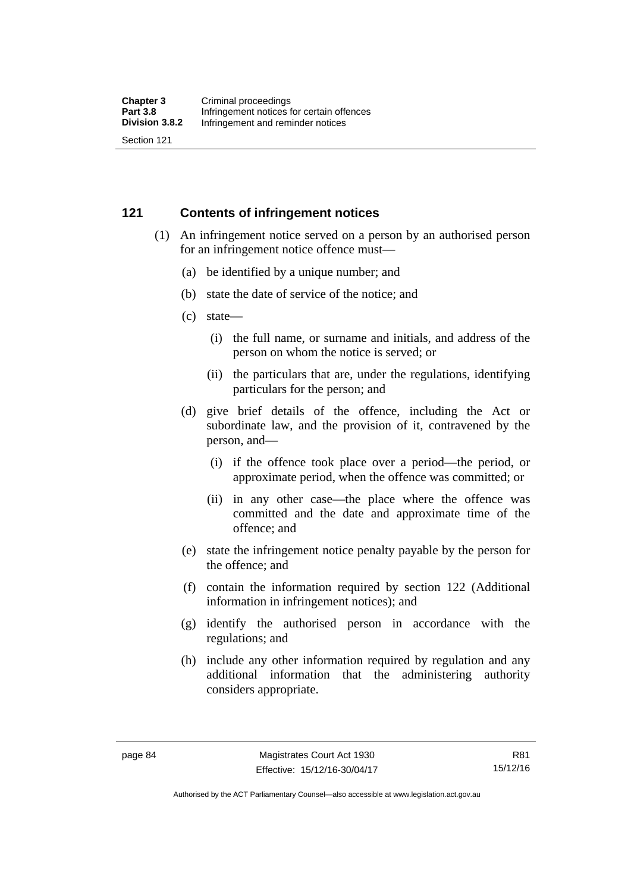### **121 Contents of infringement notices**

- (1) An infringement notice served on a person by an authorised person for an infringement notice offence must—
	- (a) be identified by a unique number; and
	- (b) state the date of service of the notice; and
	- (c) state—
		- (i) the full name, or surname and initials, and address of the person on whom the notice is served; or
		- (ii) the particulars that are, under the regulations, identifying particulars for the person; and
	- (d) give brief details of the offence, including the Act or subordinate law, and the provision of it, contravened by the person, and—
		- (i) if the offence took place over a period—the period, or approximate period, when the offence was committed; or
		- (ii) in any other case—the place where the offence was committed and the date and approximate time of the offence; and
	- (e) state the infringement notice penalty payable by the person for the offence; and
	- (f) contain the information required by section 122 (Additional information in infringement notices); and
	- (g) identify the authorised person in accordance with the regulations; and
	- (h) include any other information required by regulation and any additional information that the administering authority considers appropriate.

R81 15/12/16

Authorised by the ACT Parliamentary Counsel—also accessible at www.legislation.act.gov.au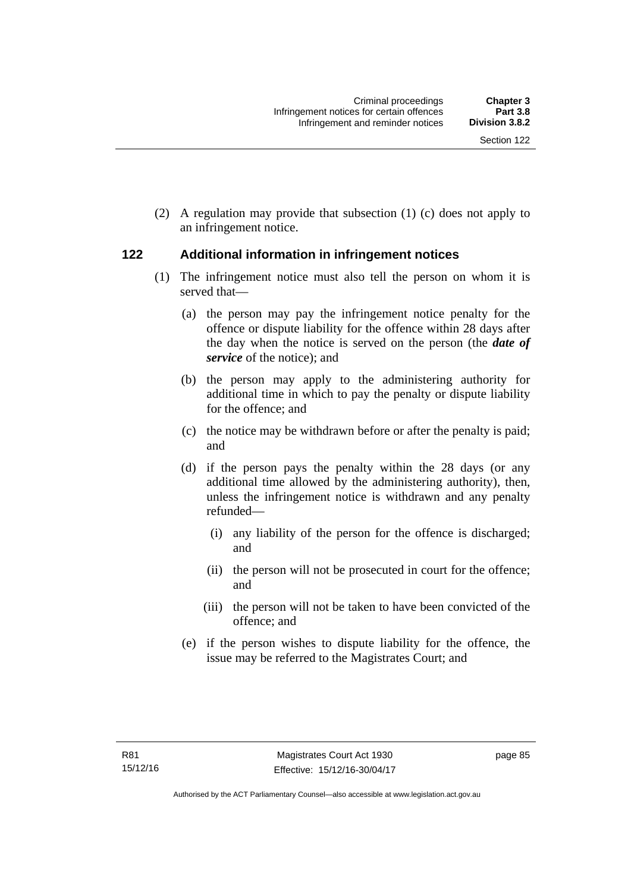(2) A regulation may provide that subsection (1) (c) does not apply to an infringement notice.

# **122 Additional information in infringement notices**

- (1) The infringement notice must also tell the person on whom it is served that—
	- (a) the person may pay the infringement notice penalty for the offence or dispute liability for the offence within 28 days after the day when the notice is served on the person (the *date of service* of the notice); and
	- (b) the person may apply to the administering authority for additional time in which to pay the penalty or dispute liability for the offence; and
	- (c) the notice may be withdrawn before or after the penalty is paid; and
	- (d) if the person pays the penalty within the 28 days (or any additional time allowed by the administering authority), then, unless the infringement notice is withdrawn and any penalty refunded—
		- (i) any liability of the person for the offence is discharged; and
		- (ii) the person will not be prosecuted in court for the offence; and
		- (iii) the person will not be taken to have been convicted of the offence; and
	- (e) if the person wishes to dispute liability for the offence, the issue may be referred to the Magistrates Court; and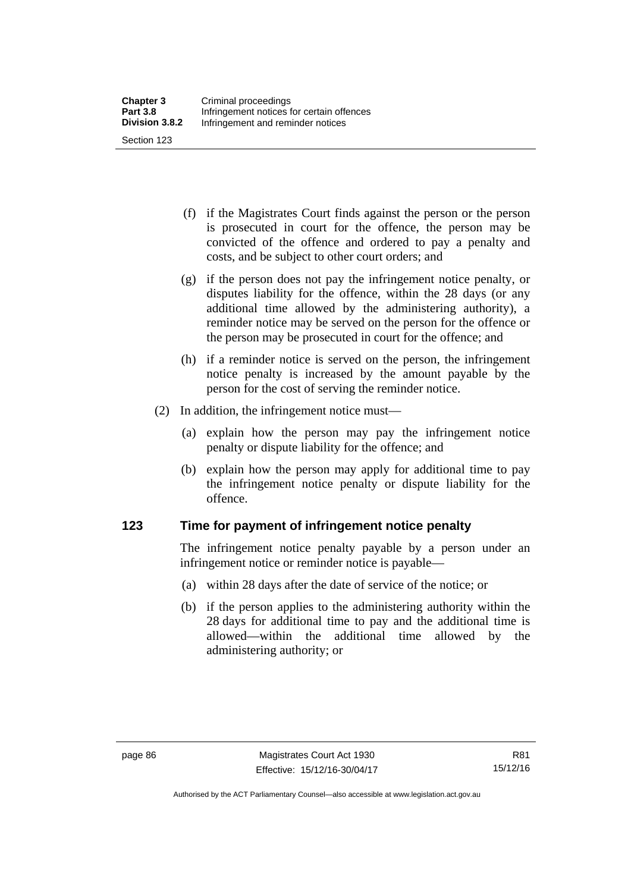(f) if the Magistrates Court finds against the person or the person is prosecuted in court for the offence, the person may be convicted of the offence and ordered to pay a penalty and costs, and be subject to other court orders; and

- (g) if the person does not pay the infringement notice penalty, or disputes liability for the offence, within the 28 days (or any additional time allowed by the administering authority), a reminder notice may be served on the person for the offence or the person may be prosecuted in court for the offence; and
- (h) if a reminder notice is served on the person, the infringement notice penalty is increased by the amount payable by the person for the cost of serving the reminder notice.
- (2) In addition, the infringement notice must—
	- (a) explain how the person may pay the infringement notice penalty or dispute liability for the offence; and
	- (b) explain how the person may apply for additional time to pay the infringement notice penalty or dispute liability for the offence.

#### **123 Time for payment of infringement notice penalty**

The infringement notice penalty payable by a person under an infringement notice or reminder notice is payable—

- (a) within 28 days after the date of service of the notice; or
- (b) if the person applies to the administering authority within the 28 days for additional time to pay and the additional time is allowed—within the additional time allowed by the administering authority; or

Authorised by the ACT Parliamentary Counsel—also accessible at www.legislation.act.gov.au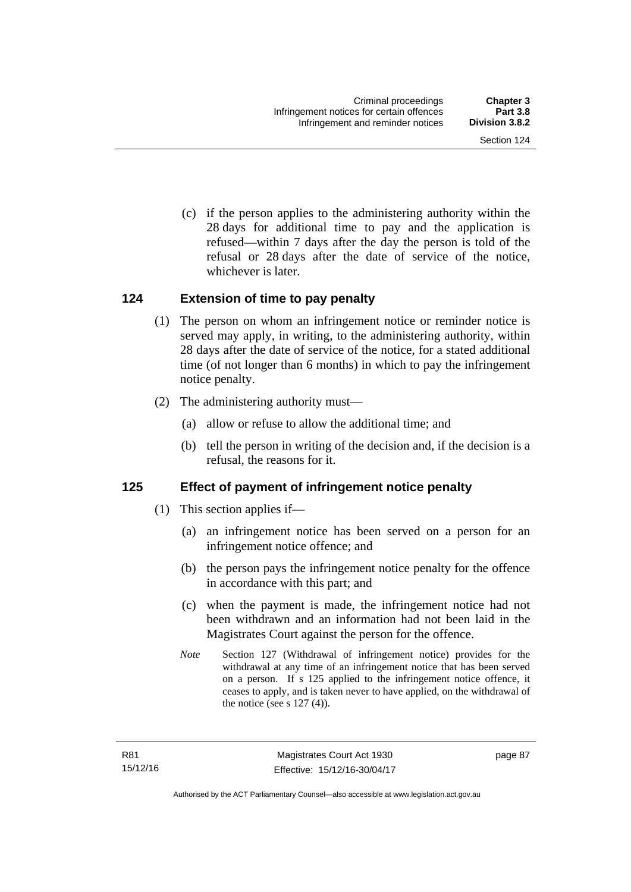(c) if the person applies to the administering authority within the 28 days for additional time to pay and the application is refused—within 7 days after the day the person is told of the refusal or 28 days after the date of service of the notice, whichever is later.

#### **124 Extension of time to pay penalty**

- (1) The person on whom an infringement notice or reminder notice is served may apply, in writing, to the administering authority, within 28 days after the date of service of the notice, for a stated additional time (of not longer than 6 months) in which to pay the infringement notice penalty.
- (2) The administering authority must—
	- (a) allow or refuse to allow the additional time; and
	- (b) tell the person in writing of the decision and, if the decision is a refusal, the reasons for it.

# **125 Effect of payment of infringement notice penalty**

- (1) This section applies if—
	- (a) an infringement notice has been served on a person for an infringement notice offence; and
	- (b) the person pays the infringement notice penalty for the offence in accordance with this part; and
	- (c) when the payment is made, the infringement notice had not been withdrawn and an information had not been laid in the Magistrates Court against the person for the offence.
	- *Note* Section 127 (Withdrawal of infringement notice) provides for the withdrawal at any time of an infringement notice that has been served on a person. If s 125 applied to the infringement notice offence, it ceases to apply, and is taken never to have applied, on the withdrawal of the notice (see s  $127(4)$ ).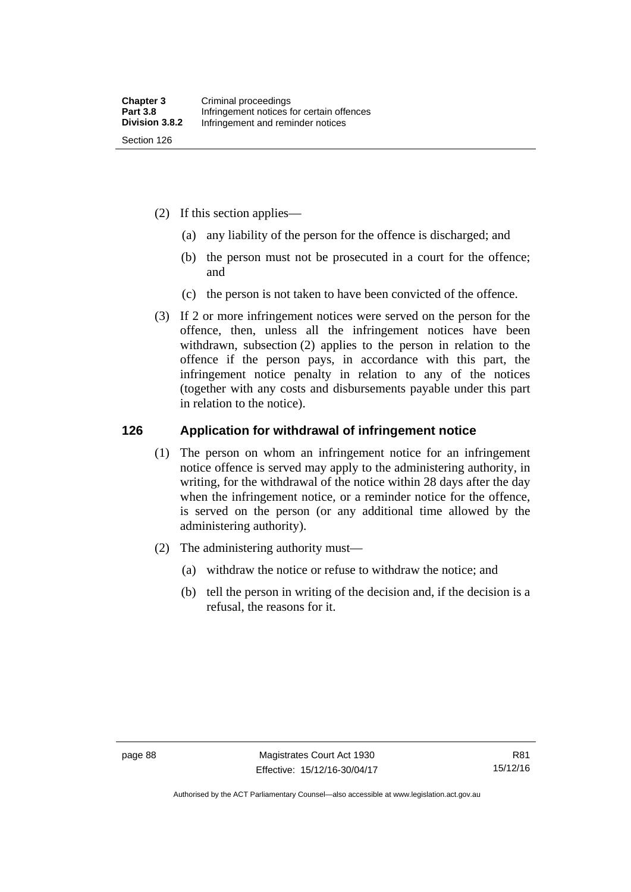- (2) If this section applies—
	- (a) any liability of the person for the offence is discharged; and
	- (b) the person must not be prosecuted in a court for the offence; and
	- (c) the person is not taken to have been convicted of the offence.
- (3) If 2 or more infringement notices were served on the person for the offence, then, unless all the infringement notices have been withdrawn, subsection (2) applies to the person in relation to the offence if the person pays, in accordance with this part, the infringement notice penalty in relation to any of the notices (together with any costs and disbursements payable under this part in relation to the notice).

#### **126 Application for withdrawal of infringement notice**

- (1) The person on whom an infringement notice for an infringement notice offence is served may apply to the administering authority, in writing, for the withdrawal of the notice within 28 days after the day when the infringement notice, or a reminder notice for the offence, is served on the person (or any additional time allowed by the administering authority).
- (2) The administering authority must—
	- (a) withdraw the notice or refuse to withdraw the notice; and
	- (b) tell the person in writing of the decision and, if the decision is a refusal, the reasons for it.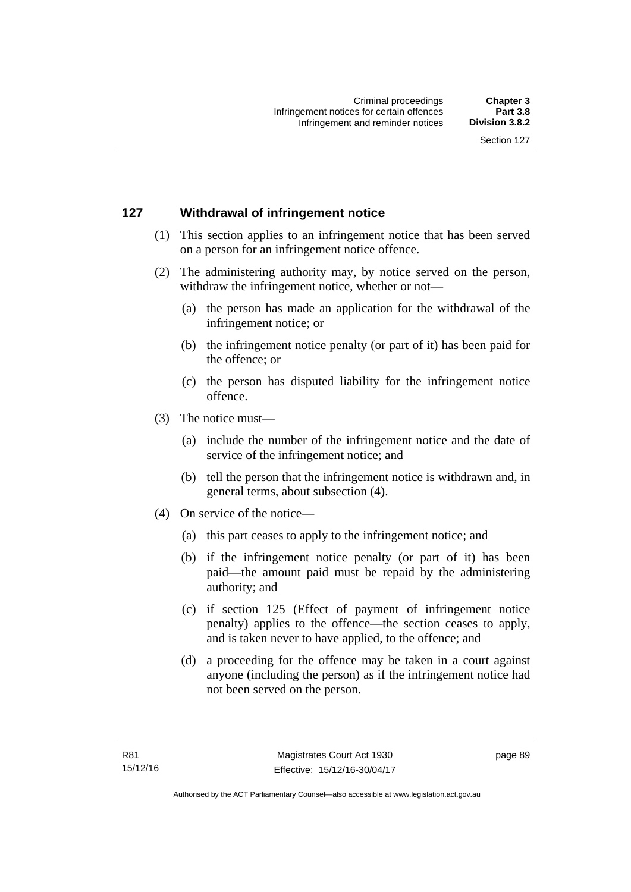# **127 Withdrawal of infringement notice**

- (1) This section applies to an infringement notice that has been served on a person for an infringement notice offence.
- (2) The administering authority may, by notice served on the person, withdraw the infringement notice, whether or not—
	- (a) the person has made an application for the withdrawal of the infringement notice; or
	- (b) the infringement notice penalty (or part of it) has been paid for the offence; or
	- (c) the person has disputed liability for the infringement notice offence.
- (3) The notice must—
	- (a) include the number of the infringement notice and the date of service of the infringement notice; and
	- (b) tell the person that the infringement notice is withdrawn and, in general terms, about subsection (4).
- (4) On service of the notice—
	- (a) this part ceases to apply to the infringement notice; and
	- (b) if the infringement notice penalty (or part of it) has been paid—the amount paid must be repaid by the administering authority; and
	- (c) if section 125 (Effect of payment of infringement notice penalty) applies to the offence—the section ceases to apply, and is taken never to have applied, to the offence; and
	- (d) a proceeding for the offence may be taken in a court against anyone (including the person) as if the infringement notice had not been served on the person.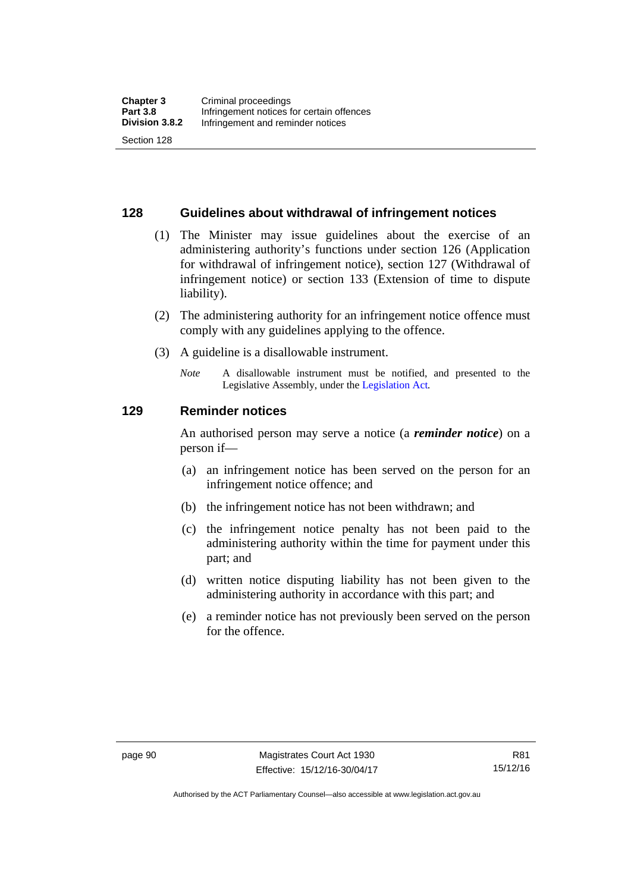#### **128 Guidelines about withdrawal of infringement notices**

- (1) The Minister may issue guidelines about the exercise of an administering authority's functions under section 126 (Application for withdrawal of infringement notice), section 127 (Withdrawal of infringement notice) or section 133 (Extension of time to dispute liability).
- (2) The administering authority for an infringement notice offence must comply with any guidelines applying to the offence.
- (3) A guideline is a disallowable instrument.
	- *Note* A disallowable instrument must be notified, and presented to the Legislative Assembly, under the [Legislation Act](http://www.legislation.act.gov.au/a/2001-14)*.*

#### **129 Reminder notices**

An authorised person may serve a notice (a *reminder notice*) on a person if—

- (a) an infringement notice has been served on the person for an infringement notice offence; and
- (b) the infringement notice has not been withdrawn; and
- (c) the infringement notice penalty has not been paid to the administering authority within the time for payment under this part; and
- (d) written notice disputing liability has not been given to the administering authority in accordance with this part; and
- (e) a reminder notice has not previously been served on the person for the offence.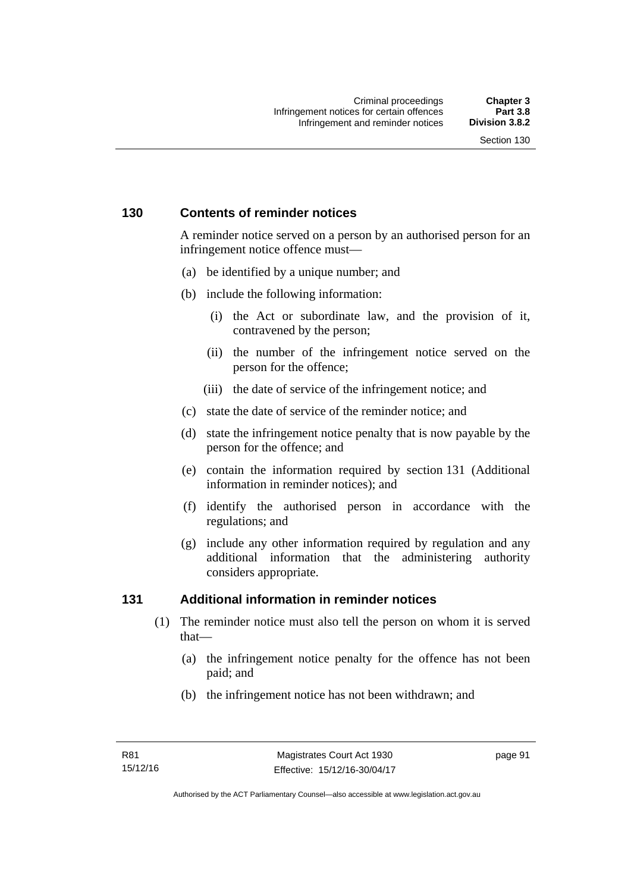# **130 Contents of reminder notices**

A reminder notice served on a person by an authorised person for an infringement notice offence must—

- (a) be identified by a unique number; and
- (b) include the following information:
	- (i) the Act or subordinate law, and the provision of it, contravened by the person;
	- (ii) the number of the infringement notice served on the person for the offence;
	- (iii) the date of service of the infringement notice; and
- (c) state the date of service of the reminder notice; and
- (d) state the infringement notice penalty that is now payable by the person for the offence; and
- (e) contain the information required by section 131 (Additional information in reminder notices); and
- (f) identify the authorised person in accordance with the regulations; and
- (g) include any other information required by regulation and any additional information that the administering authority considers appropriate.

### **131 Additional information in reminder notices**

- (1) The reminder notice must also tell the person on whom it is served that—
	- (a) the infringement notice penalty for the offence has not been paid; and
	- (b) the infringement notice has not been withdrawn; and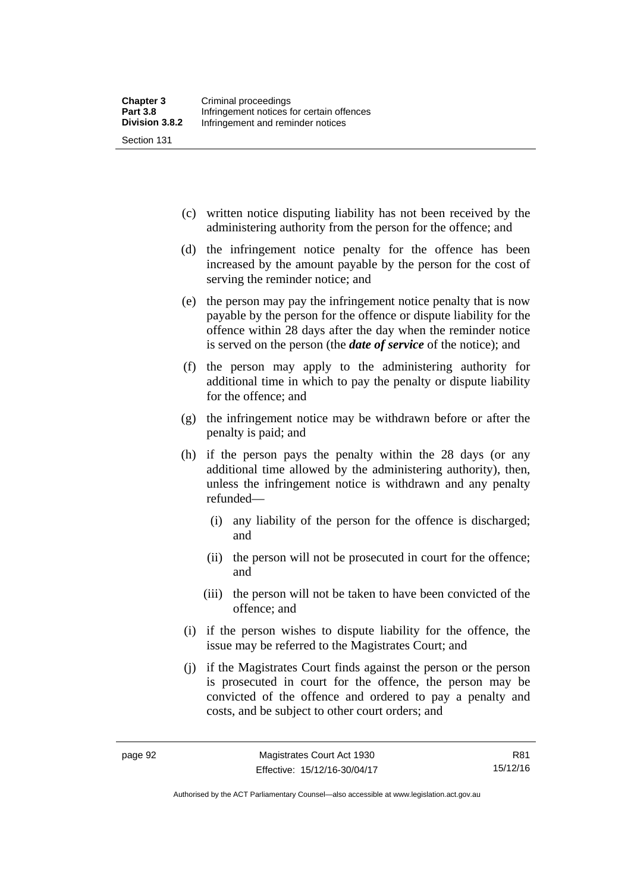(c) written notice disputing liability has not been received by the administering authority from the person for the offence; and

- (d) the infringement notice penalty for the offence has been increased by the amount payable by the person for the cost of serving the reminder notice; and
- (e) the person may pay the infringement notice penalty that is now payable by the person for the offence or dispute liability for the offence within 28 days after the day when the reminder notice is served on the person (the *date of service* of the notice); and
- (f) the person may apply to the administering authority for additional time in which to pay the penalty or dispute liability for the offence; and
- (g) the infringement notice may be withdrawn before or after the penalty is paid; and
- (h) if the person pays the penalty within the 28 days (or any additional time allowed by the administering authority), then, unless the infringement notice is withdrawn and any penalty refunded—
	- (i) any liability of the person for the offence is discharged; and
	- (ii) the person will not be prosecuted in court for the offence; and
	- (iii) the person will not be taken to have been convicted of the offence; and
- (i) if the person wishes to dispute liability for the offence, the issue may be referred to the Magistrates Court; and
- (j) if the Magistrates Court finds against the person or the person is prosecuted in court for the offence, the person may be convicted of the offence and ordered to pay a penalty and costs, and be subject to other court orders; and

Authorised by the ACT Parliamentary Counsel—also accessible at www.legislation.act.gov.au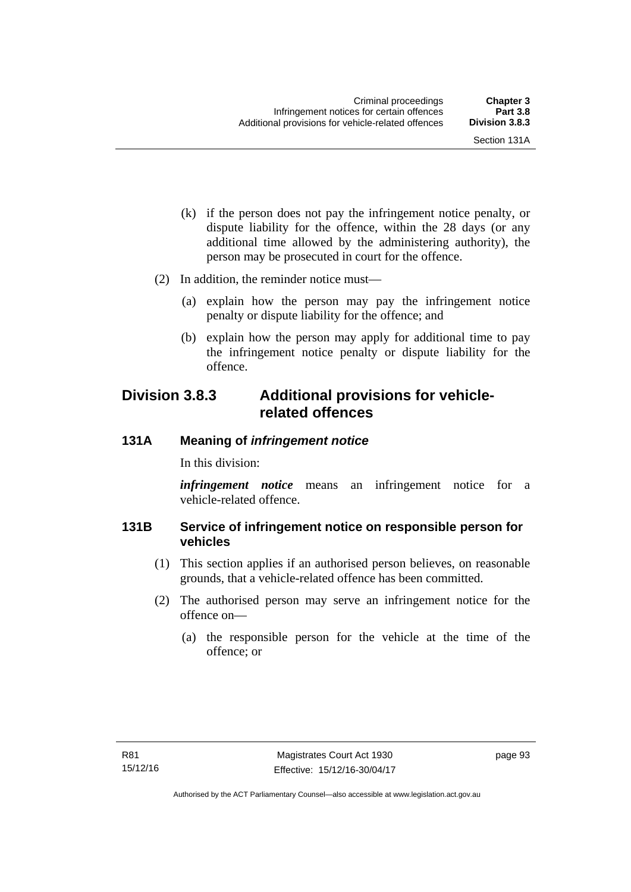- (k) if the person does not pay the infringement notice penalty, or dispute liability for the offence, within the 28 days (or any additional time allowed by the administering authority), the person may be prosecuted in court for the offence.
- (2) In addition, the reminder notice must—
	- (a) explain how the person may pay the infringement notice penalty or dispute liability for the offence; and
	- (b) explain how the person may apply for additional time to pay the infringement notice penalty or dispute liability for the offence.

# **Division 3.8.3 Additional provisions for vehiclerelated offences**

#### **131A Meaning of** *infringement notice*

In this division:

*infringement notice* means an infringement notice for a vehicle-related offence.

#### **131B Service of infringement notice on responsible person for vehicles**

- (1) This section applies if an authorised person believes, on reasonable grounds, that a vehicle-related offence has been committed.
- (2) The authorised person may serve an infringement notice for the offence on—
	- (a) the responsible person for the vehicle at the time of the offence; or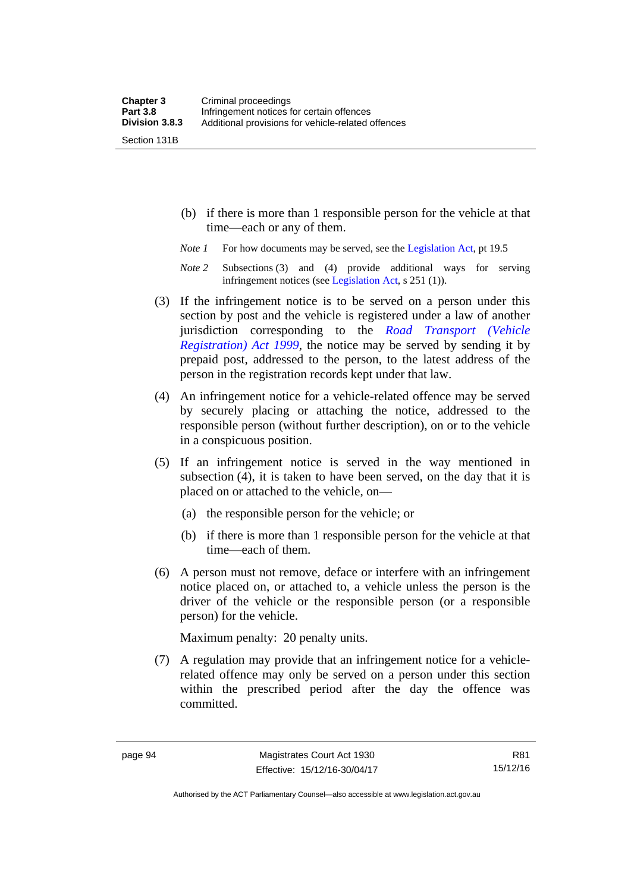Section 131B

- (b) if there is more than 1 responsible person for the vehicle at that time—each or any of them.
- *Note 1* For how documents may be served, see the [Legislation Act,](http://www.legislation.act.gov.au/a/2001-14) pt 19.5
- *Note 2* Subsections (3) and (4) provide additional ways for serving infringement notices (see [Legislation Act,](http://www.legislation.act.gov.au/a/2001-14) s 251 (1)).
- (3) If the infringement notice is to be served on a person under this section by post and the vehicle is registered under a law of another jurisdiction corresponding to the *[Road Transport \(Vehicle](http://www.legislation.act.gov.au/a/1999-81)  [Registration\) Act 1999](http://www.legislation.act.gov.au/a/1999-81)*, the notice may be served by sending it by prepaid post, addressed to the person, to the latest address of the person in the registration records kept under that law.
- (4) An infringement notice for a vehicle-related offence may be served by securely placing or attaching the notice, addressed to the responsible person (without further description), on or to the vehicle in a conspicuous position.
- (5) If an infringement notice is served in the way mentioned in subsection (4), it is taken to have been served, on the day that it is placed on or attached to the vehicle, on—
	- (a) the responsible person for the vehicle; or
	- (b) if there is more than 1 responsible person for the vehicle at that time—each of them.
- (6) A person must not remove, deface or interfere with an infringement notice placed on, or attached to, a vehicle unless the person is the driver of the vehicle or the responsible person (or a responsible person) for the vehicle.

Maximum penalty: 20 penalty units.

 (7) A regulation may provide that an infringement notice for a vehiclerelated offence may only be served on a person under this section within the prescribed period after the day the offence was committed.

R81 15/12/16

Authorised by the ACT Parliamentary Counsel—also accessible at www.legislation.act.gov.au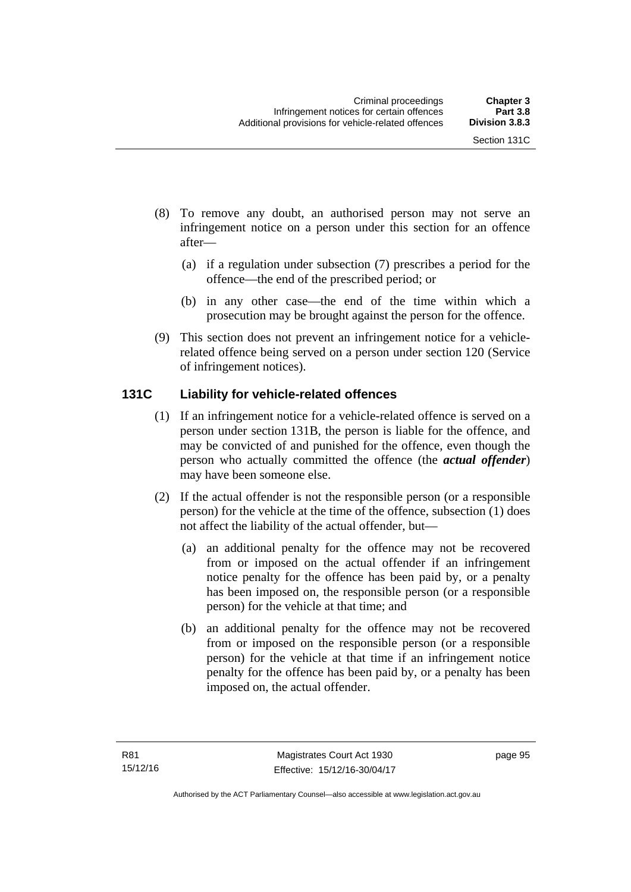- (8) To remove any doubt, an authorised person may not serve an infringement notice on a person under this section for an offence after—
	- (a) if a regulation under subsection (7) prescribes a period for the offence—the end of the prescribed period; or
	- (b) in any other case—the end of the time within which a prosecution may be brought against the person for the offence.
- (9) This section does not prevent an infringement notice for a vehiclerelated offence being served on a person under section 120 (Service of infringement notices).

## **131C Liability for vehicle-related offences**

- (1) If an infringement notice for a vehicle-related offence is served on a person under section 131B, the person is liable for the offence, and may be convicted of and punished for the offence, even though the person who actually committed the offence (the *actual offender*) may have been someone else.
- (2) If the actual offender is not the responsible person (or a responsible person) for the vehicle at the time of the offence, subsection (1) does not affect the liability of the actual offender, but—
	- (a) an additional penalty for the offence may not be recovered from or imposed on the actual offender if an infringement notice penalty for the offence has been paid by, or a penalty has been imposed on, the responsible person (or a responsible person) for the vehicle at that time; and
	- (b) an additional penalty for the offence may not be recovered from or imposed on the responsible person (or a responsible person) for the vehicle at that time if an infringement notice penalty for the offence has been paid by, or a penalty has been imposed on, the actual offender.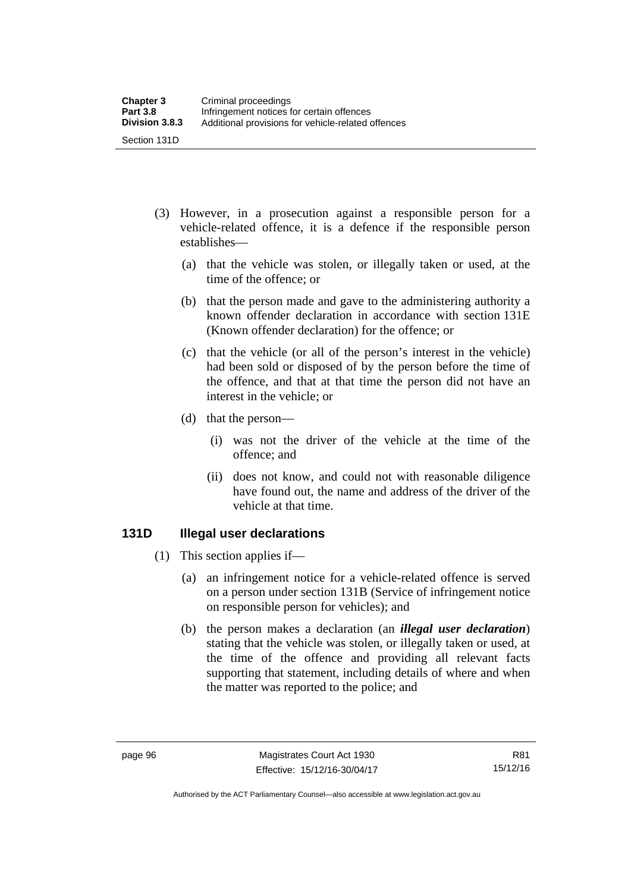- (3) However, in a prosecution against a responsible person for a vehicle-related offence, it is a defence if the responsible person establishes—
	- (a) that the vehicle was stolen, or illegally taken or used, at the time of the offence; or
	- (b) that the person made and gave to the administering authority a known offender declaration in accordance with section 131E (Known offender declaration) for the offence; or
	- (c) that the vehicle (or all of the person's interest in the vehicle) had been sold or disposed of by the person before the time of the offence, and that at that time the person did not have an interest in the vehicle; or
	- (d) that the person—
		- (i) was not the driver of the vehicle at the time of the offence; and
		- (ii) does not know, and could not with reasonable diligence have found out, the name and address of the driver of the vehicle at that time.

#### **131D Illegal user declarations**

- (1) This section applies if—
	- (a) an infringement notice for a vehicle-related offence is served on a person under section 131B (Service of infringement notice on responsible person for vehicles); and
	- (b) the person makes a declaration (an *illegal user declaration*) stating that the vehicle was stolen, or illegally taken or used, at the time of the offence and providing all relevant facts supporting that statement, including details of where and when the matter was reported to the police; and

R81 15/12/16

Authorised by the ACT Parliamentary Counsel—also accessible at www.legislation.act.gov.au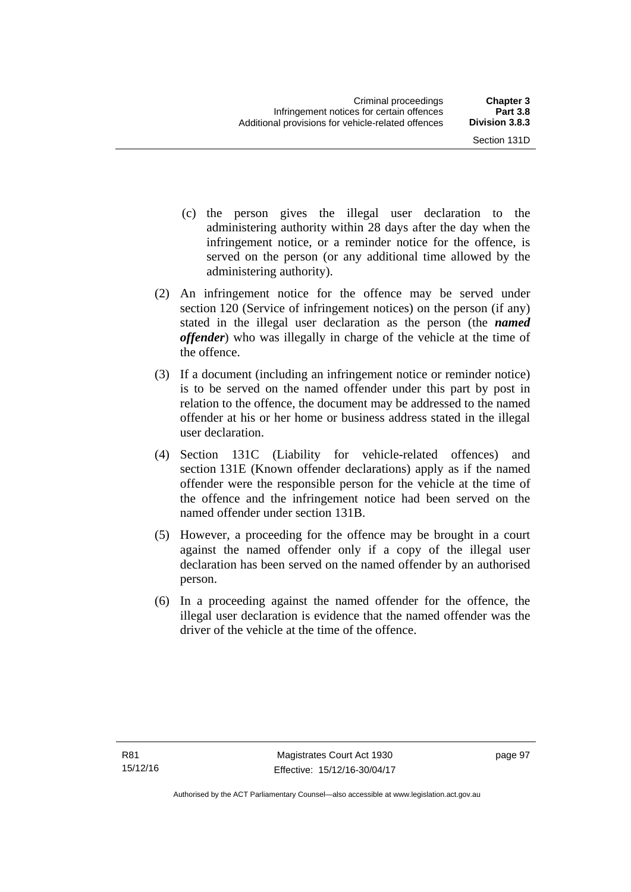- (c) the person gives the illegal user declaration to the administering authority within 28 days after the day when the infringement notice, or a reminder notice for the offence, is served on the person (or any additional time allowed by the administering authority).
- (2) An infringement notice for the offence may be served under section 120 (Service of infringement notices) on the person (if any) stated in the illegal user declaration as the person (the *named offender*) who was illegally in charge of the vehicle at the time of the offence.
- (3) If a document (including an infringement notice or reminder notice) is to be served on the named offender under this part by post in relation to the offence, the document may be addressed to the named offender at his or her home or business address stated in the illegal user declaration.
- (4) Section 131C (Liability for vehicle-related offences) and section 131E (Known offender declarations) apply as if the named offender were the responsible person for the vehicle at the time of the offence and the infringement notice had been served on the named offender under section 131B.
- (5) However, a proceeding for the offence may be brought in a court against the named offender only if a copy of the illegal user declaration has been served on the named offender by an authorised person.
- (6) In a proceeding against the named offender for the offence, the illegal user declaration is evidence that the named offender was the driver of the vehicle at the time of the offence.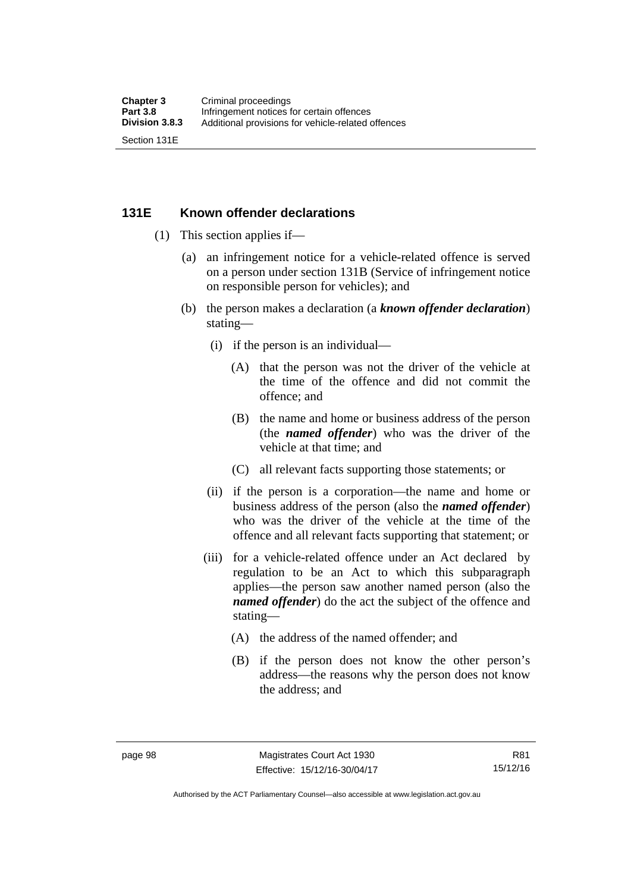#### **131E Known offender declarations**

- (1) This section applies if—
	- (a) an infringement notice for a vehicle-related offence is served on a person under section 131B (Service of infringement notice on responsible person for vehicles); and
	- (b) the person makes a declaration (a *known offender declaration*) stating—
		- (i) if the person is an individual—
			- (A) that the person was not the driver of the vehicle at the time of the offence and did not commit the offence; and
			- (B) the name and home or business address of the person (the *named offender*) who was the driver of the vehicle at that time; and
			- (C) all relevant facts supporting those statements; or
		- (ii) if the person is a corporation—the name and home or business address of the person (also the *named offender*) who was the driver of the vehicle at the time of the offence and all relevant facts supporting that statement; or
		- (iii) for a vehicle-related offence under an Act declared by regulation to be an Act to which this subparagraph applies—the person saw another named person (also the *named offender*) do the act the subject of the offence and stating—
			- (A) the address of the named offender; and
			- (B) if the person does not know the other person's address—the reasons why the person does not know the address; and

Authorised by the ACT Parliamentary Counsel—also accessible at www.legislation.act.gov.au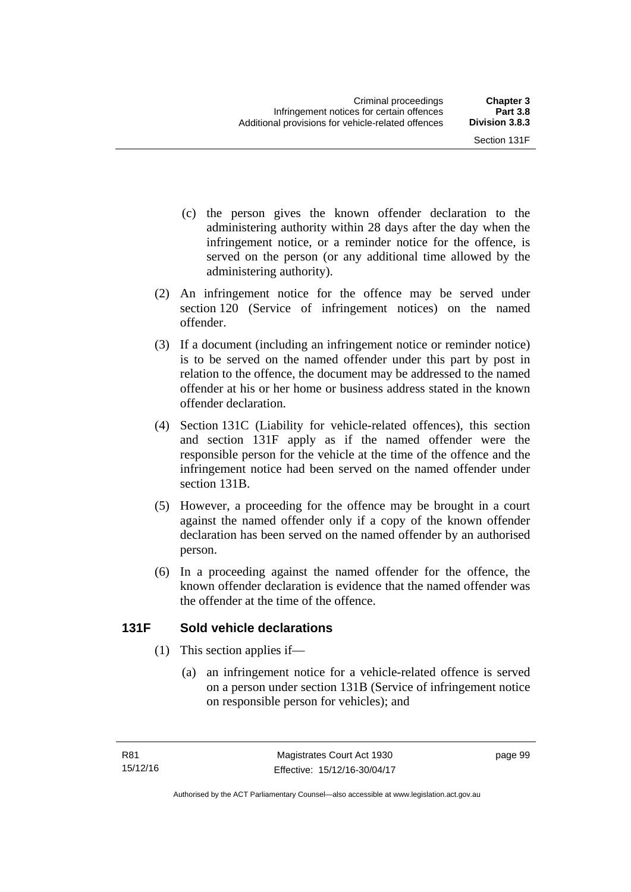- (c) the person gives the known offender declaration to the administering authority within 28 days after the day when the infringement notice, or a reminder notice for the offence, is served on the person (or any additional time allowed by the administering authority).
- (2) An infringement notice for the offence may be served under section 120 (Service of infringement notices) on the named offender.
- (3) If a document (including an infringement notice or reminder notice) is to be served on the named offender under this part by post in relation to the offence, the document may be addressed to the named offender at his or her home or business address stated in the known offender declaration.
- (4) Section 131C (Liability for vehicle-related offences), this section and section 131F apply as if the named offender were the responsible person for the vehicle at the time of the offence and the infringement notice had been served on the named offender under section 131B.
- (5) However, a proceeding for the offence may be brought in a court against the named offender only if a copy of the known offender declaration has been served on the named offender by an authorised person.
- (6) In a proceeding against the named offender for the offence, the known offender declaration is evidence that the named offender was the offender at the time of the offence.

## **131F Sold vehicle declarations**

- (1) This section applies if—
	- (a) an infringement notice for a vehicle-related offence is served on a person under section 131B (Service of infringement notice on responsible person for vehicles); and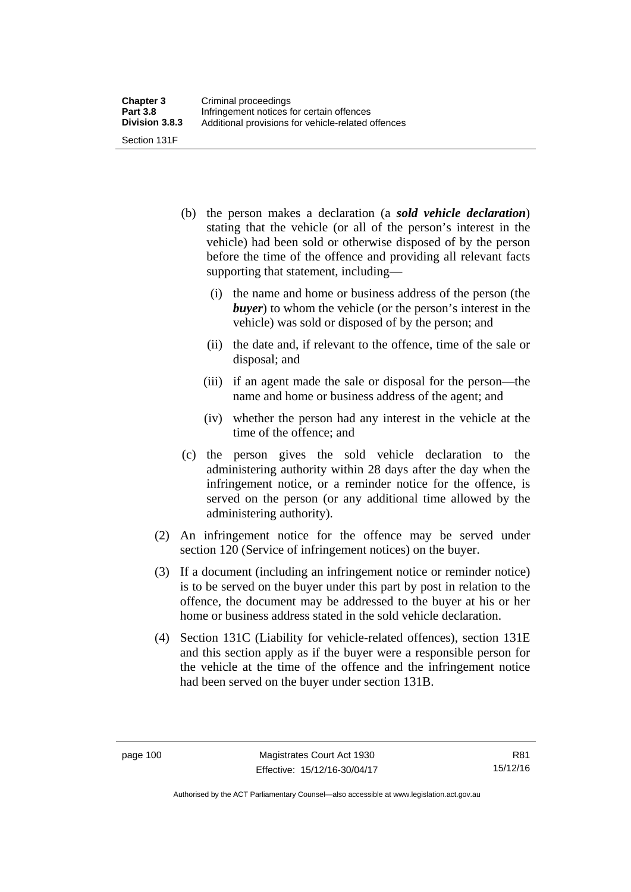- (b) the person makes a declaration (a *sold vehicle declaration*) stating that the vehicle (or all of the person's interest in the vehicle) had been sold or otherwise disposed of by the person before the time of the offence and providing all relevant facts supporting that statement, including—
	- (i) the name and home or business address of the person (the *buyer*) to whom the vehicle (or the person's interest in the vehicle) was sold or disposed of by the person; and
	- (ii) the date and, if relevant to the offence, time of the sale or disposal; and
	- (iii) if an agent made the sale or disposal for the person—the name and home or business address of the agent; and
	- (iv) whether the person had any interest in the vehicle at the time of the offence; and
- (c) the person gives the sold vehicle declaration to the administering authority within 28 days after the day when the infringement notice, or a reminder notice for the offence, is served on the person (or any additional time allowed by the administering authority).
- (2) An infringement notice for the offence may be served under section 120 (Service of infringement notices) on the buyer.
- (3) If a document (including an infringement notice or reminder notice) is to be served on the buyer under this part by post in relation to the offence, the document may be addressed to the buyer at his or her home or business address stated in the sold vehicle declaration.
- (4) Section 131C (Liability for vehicle-related offences), section 131E and this section apply as if the buyer were a responsible person for the vehicle at the time of the offence and the infringement notice had been served on the buyer under section 131B.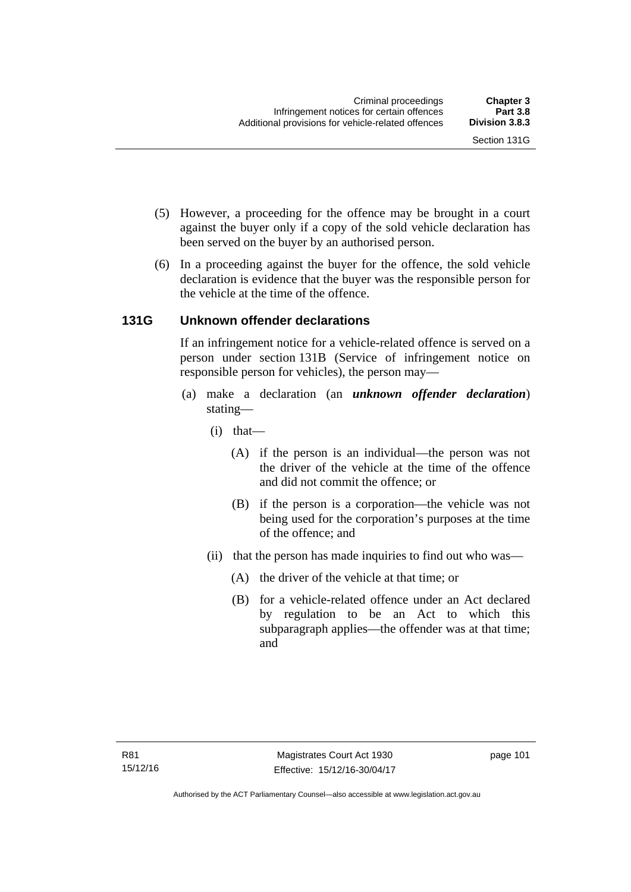- (5) However, a proceeding for the offence may be brought in a court against the buyer only if a copy of the sold vehicle declaration has been served on the buyer by an authorised person.
- (6) In a proceeding against the buyer for the offence, the sold vehicle declaration is evidence that the buyer was the responsible person for the vehicle at the time of the offence.

## **131G Unknown offender declarations**

If an infringement notice for a vehicle-related offence is served on a person under section 131B (Service of infringement notice on responsible person for vehicles), the person may—

- (a) make a declaration (an *unknown offender declaration*) stating—
	- (i) that—
		- (A) if the person is an individual—the person was not the driver of the vehicle at the time of the offence and did not commit the offence; or
		- (B) if the person is a corporation—the vehicle was not being used for the corporation's purposes at the time of the offence; and
	- (ii) that the person has made inquiries to find out who was—
		- (A) the driver of the vehicle at that time; or
		- (B) for a vehicle-related offence under an Act declared by regulation to be an Act to which this subparagraph applies—the offender was at that time; and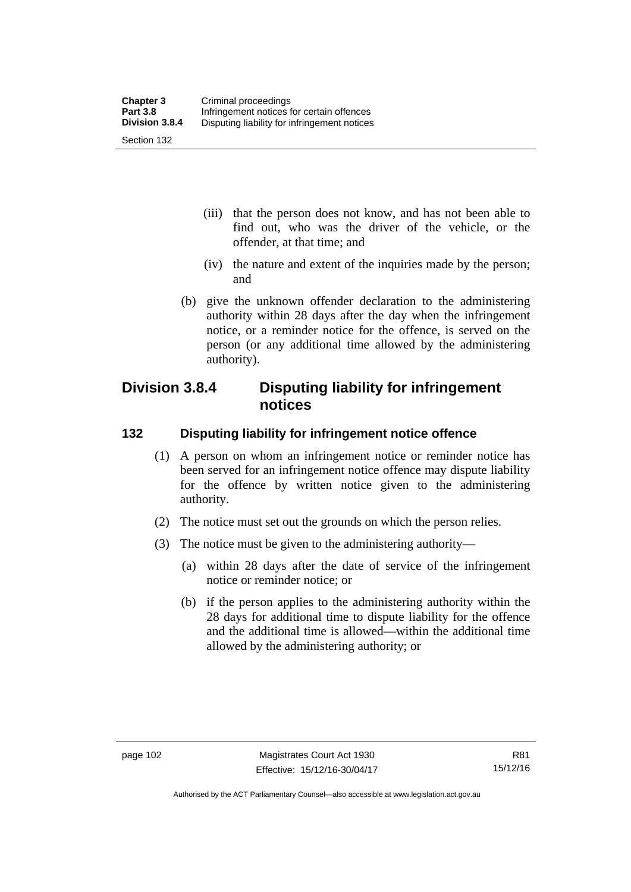- (iii) that the person does not know, and has not been able to find out, who was the driver of the vehicle, or the offender, at that time; and
- (iv) the nature and extent of the inquiries made by the person; and
- (b) give the unknown offender declaration to the administering authority within 28 days after the day when the infringement notice, or a reminder notice for the offence, is served on the person (or any additional time allowed by the administering authority).

# **Division 3.8.4 Disputing liability for infringement notices**

#### **132 Disputing liability for infringement notice offence**

- (1) A person on whom an infringement notice or reminder notice has been served for an infringement notice offence may dispute liability for the offence by written notice given to the administering authority.
- (2) The notice must set out the grounds on which the person relies.
- (3) The notice must be given to the administering authority—
	- (a) within 28 days after the date of service of the infringement notice or reminder notice; or
	- (b) if the person applies to the administering authority within the 28 days for additional time to dispute liability for the offence and the additional time is allowed—within the additional time allowed by the administering authority; or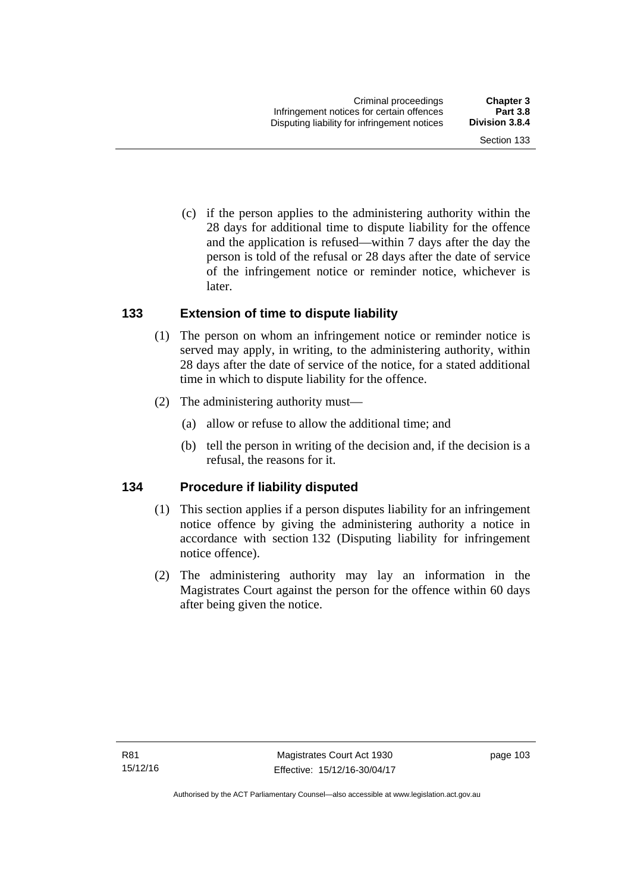Section 133

 (c) if the person applies to the administering authority within the 28 days for additional time to dispute liability for the offence and the application is refused—within 7 days after the day the person is told of the refusal or 28 days after the date of service of the infringement notice or reminder notice, whichever is

#### **133 Extension of time to dispute liability**

later.

- (1) The person on whom an infringement notice or reminder notice is served may apply, in writing, to the administering authority, within 28 days after the date of service of the notice, for a stated additional time in which to dispute liability for the offence.
- (2) The administering authority must—
	- (a) allow or refuse to allow the additional time; and
	- (b) tell the person in writing of the decision and, if the decision is a refusal, the reasons for it.

#### **134 Procedure if liability disputed**

- (1) This section applies if a person disputes liability for an infringement notice offence by giving the administering authority a notice in accordance with section 132 (Disputing liability for infringement notice offence).
- (2) The administering authority may lay an information in the Magistrates Court against the person for the offence within 60 days after being given the notice.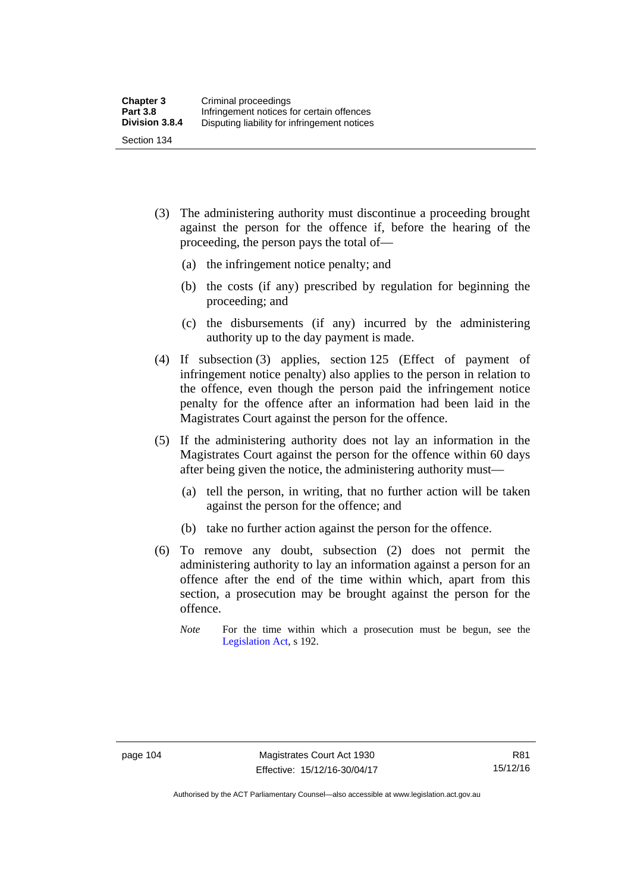- (3) The administering authority must discontinue a proceeding brought against the person for the offence if, before the hearing of the proceeding, the person pays the total of—
	- (a) the infringement notice penalty; and
	- (b) the costs (if any) prescribed by regulation for beginning the proceeding; and
	- (c) the disbursements (if any) incurred by the administering authority up to the day payment is made.
- (4) If subsection (3) applies, section 125 (Effect of payment of infringement notice penalty) also applies to the person in relation to the offence, even though the person paid the infringement notice penalty for the offence after an information had been laid in the Magistrates Court against the person for the offence.
- (5) If the administering authority does not lay an information in the Magistrates Court against the person for the offence within 60 days after being given the notice, the administering authority must—
	- (a) tell the person, in writing, that no further action will be taken against the person for the offence; and
	- (b) take no further action against the person for the offence.
- (6) To remove any doubt, subsection (2) does not permit the administering authority to lay an information against a person for an offence after the end of the time within which, apart from this section, a prosecution may be brought against the person for the offence.
	- *Note* For the time within which a prosecution must be begun, see the [Legislation Act,](http://www.legislation.act.gov.au/a/2001-14) s 192.

Authorised by the ACT Parliamentary Counsel—also accessible at www.legislation.act.gov.au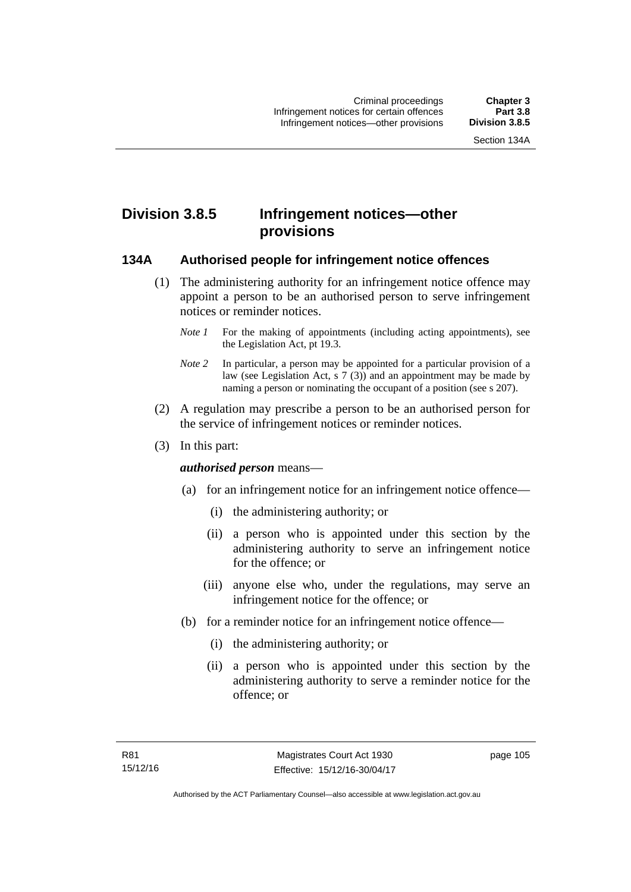# **Division 3.8.5 Infringement notices—other provisions**

#### **134A Authorised people for infringement notice offences**

- (1) The administering authority for an infringement notice offence may appoint a person to be an authorised person to serve infringement notices or reminder notices.
	- *Note 1* For the making of appointments (including acting appointments), see the [Legislation Act,](http://www.legislation.act.gov.au/a/2001-14) pt 19.3.
	- *Note 2* In particular, a person may be appointed for a particular provision of a law (see [Legislation Act,](http://www.legislation.act.gov.au/a/2001-14) s 7 (3)) and an appointment may be made by naming a person or nominating the occupant of a position (see s 207).
- (2) A regulation may prescribe a person to be an authorised person for the service of infringement notices or reminder notices.
- (3) In this part:

#### *authorised person* means—

- (a) for an infringement notice for an infringement notice offence—
	- (i) the administering authority; or
	- (ii) a person who is appointed under this section by the administering authority to serve an infringement notice for the offence; or
	- (iii) anyone else who, under the regulations, may serve an infringement notice for the offence; or
- (b) for a reminder notice for an infringement notice offence—
	- (i) the administering authority; or
	- (ii) a person who is appointed under this section by the administering authority to serve a reminder notice for the offence; or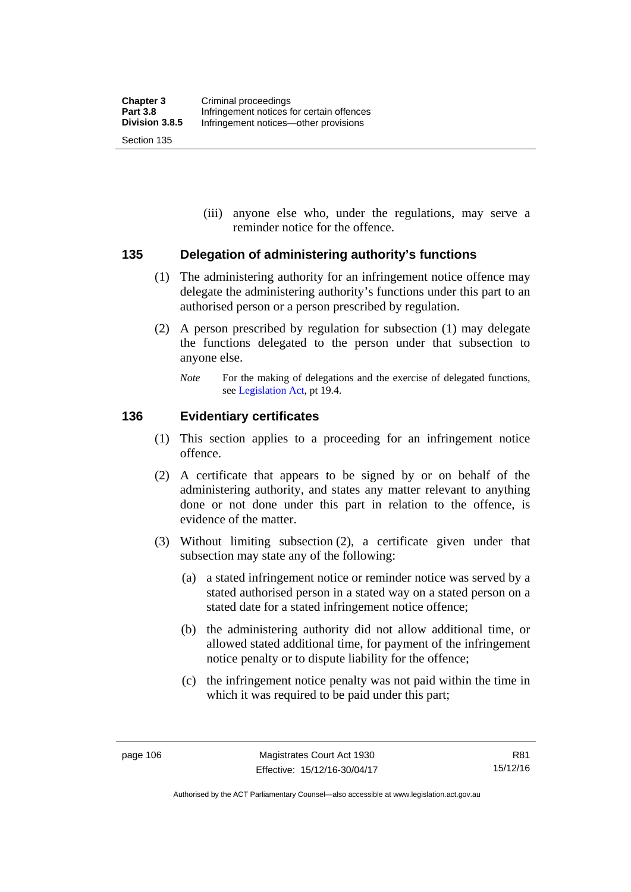(iii) anyone else who, under the regulations, may serve a reminder notice for the offence.

#### **135 Delegation of administering authority's functions**

- (1) The administering authority for an infringement notice offence may delegate the administering authority's functions under this part to an authorised person or a person prescribed by regulation.
- (2) A person prescribed by regulation for subsection (1) may delegate the functions delegated to the person under that subsection to anyone else.
	- *Note* For the making of delegations and the exercise of delegated functions, see [Legislation Act](http://www.legislation.act.gov.au/a/2001-14), pt 19.4.

#### **136 Evidentiary certificates**

- (1) This section applies to a proceeding for an infringement notice offence.
- (2) A certificate that appears to be signed by or on behalf of the administering authority, and states any matter relevant to anything done or not done under this part in relation to the offence, is evidence of the matter.
- (3) Without limiting subsection (2), a certificate given under that subsection may state any of the following:
	- (a) a stated infringement notice or reminder notice was served by a stated authorised person in a stated way on a stated person on a stated date for a stated infringement notice offence;
	- (b) the administering authority did not allow additional time, or allowed stated additional time, for payment of the infringement notice penalty or to dispute liability for the offence;
	- (c) the infringement notice penalty was not paid within the time in which it was required to be paid under this part;

Authorised by the ACT Parliamentary Counsel—also accessible at www.legislation.act.gov.au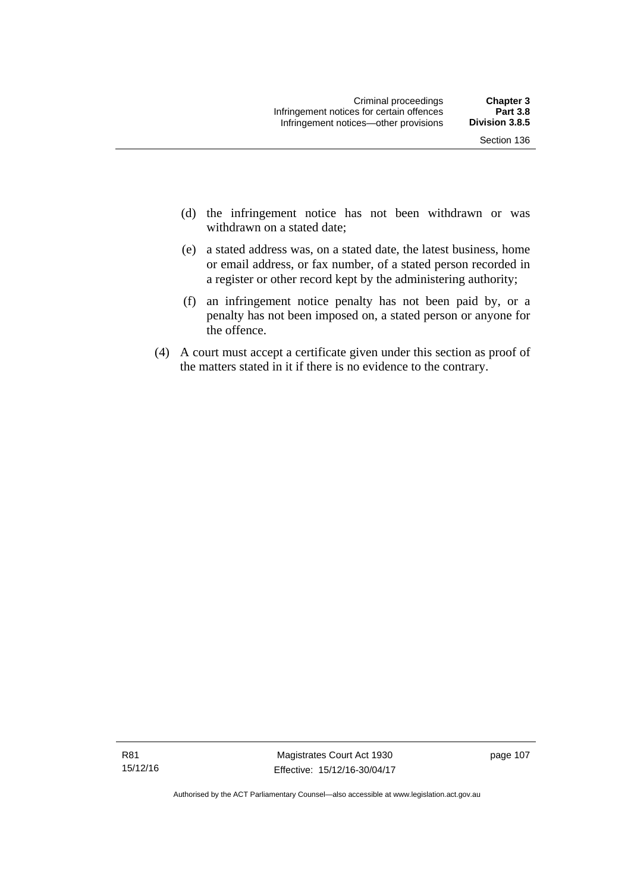- (d) the infringement notice has not been withdrawn or was withdrawn on a stated date:
- (e) a stated address was, on a stated date, the latest business, home or email address, or fax number, of a stated person recorded in a register or other record kept by the administering authority;
- (f) an infringement notice penalty has not been paid by, or a penalty has not been imposed on, a stated person or anyone for the offence.
- (4) A court must accept a certificate given under this section as proof of the matters stated in it if there is no evidence to the contrary.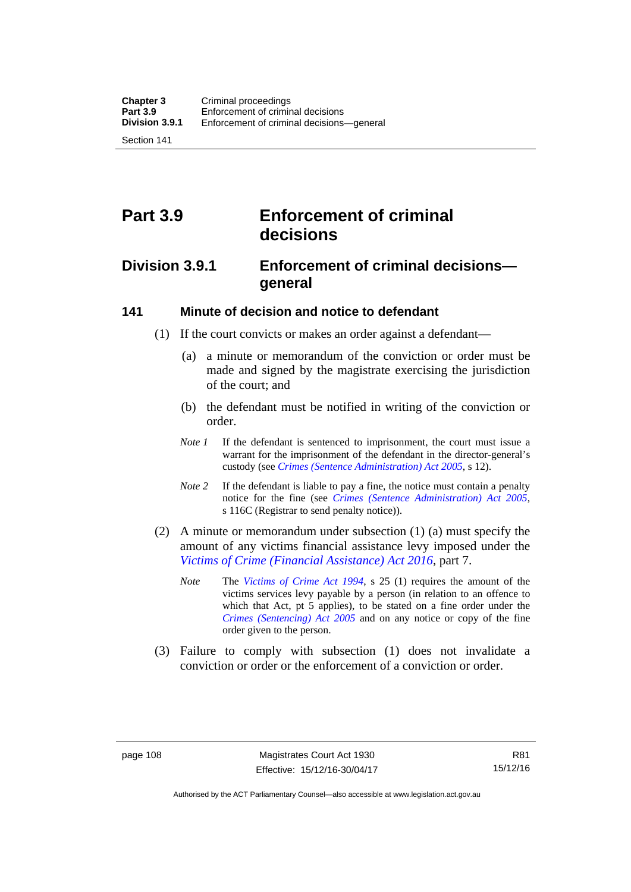Section 141

# **Part 3.9 Enforcement of criminal decisions**

# **Division 3.9.1 Enforcement of criminal decisions general**

#### **141 Minute of decision and notice to defendant**

- (1) If the court convicts or makes an order against a defendant—
	- (a) a minute or memorandum of the conviction or order must be made and signed by the magistrate exercising the jurisdiction of the court; and
	- (b) the defendant must be notified in writing of the conviction or order.
	- *Note 1* If the defendant is sentenced to imprisonment, the court must issue a warrant for the imprisonment of the defendant in the director-general's custody (see *[Crimes \(Sentence Administration\) Act 2005](http://www.legislation.act.gov.au/a/2005-59)*, s 12).
	- *Note* 2 If the defendant is liable to pay a fine, the notice must contain a penalty notice for the fine (see *[Crimes \(Sentence Administration\) Act 2005](http://www.legislation.act.gov.au/a/2005-59)*, s 116C (Registrar to send penalty notice)).
- (2) A minute or memorandum under subsection (1) (a) must specify the amount of any victims financial assistance levy imposed under the *[Victims of Crime \(Financial Assistance\) Act 2016](http://www.legislation.act.gov.au/a/2016-12/default.asp)*, part 7.
	- *Note* The *[Victims of Crime Act 1994](http://www.legislation.act.gov.au/a/1994-83)*, s 25 (1) requires the amount of the victims services levy payable by a person (in relation to an offence to which that Act, pt 5 applies), to be stated on a fine order under the *[Crimes \(Sentencing\) Act 2005](http://www.legislation.act.gov.au/a/2005-58)* and on any notice or copy of the fine order given to the person.
- (3) Failure to comply with subsection (1) does not invalidate a conviction or order or the enforcement of a conviction or order.

Authorised by the ACT Parliamentary Counsel—also accessible at www.legislation.act.gov.au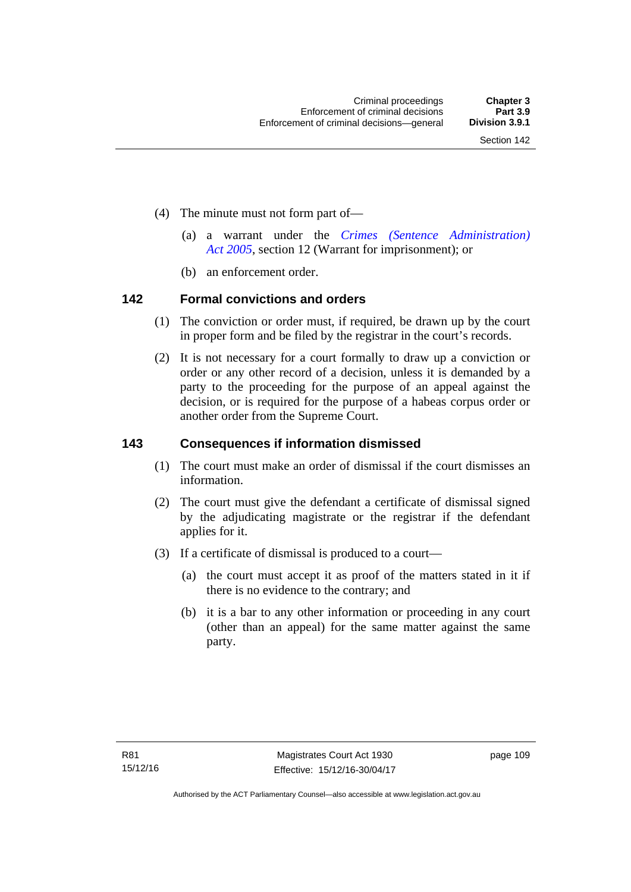- (4) The minute must not form part of—
	- (a) a warrant under the *[Crimes \(Sentence Administration\)](http://www.legislation.act.gov.au/a/2005-59)  [Act 2005](http://www.legislation.act.gov.au/a/2005-59)*, section 12 (Warrant for imprisonment); or
	- (b) an enforcement order.

#### **142 Formal convictions and orders**

- (1) The conviction or order must, if required, be drawn up by the court in proper form and be filed by the registrar in the court's records.
- (2) It is not necessary for a court formally to draw up a conviction or order or any other record of a decision, unless it is demanded by a party to the proceeding for the purpose of an appeal against the decision, or is required for the purpose of a habeas corpus order or another order from the Supreme Court.

#### **143 Consequences if information dismissed**

- (1) The court must make an order of dismissal if the court dismisses an information.
- (2) The court must give the defendant a certificate of dismissal signed by the adjudicating magistrate or the registrar if the defendant applies for it.
- (3) If a certificate of dismissal is produced to a court—
	- (a) the court must accept it as proof of the matters stated in it if there is no evidence to the contrary; and
	- (b) it is a bar to any other information or proceeding in any court (other than an appeal) for the same matter against the same party.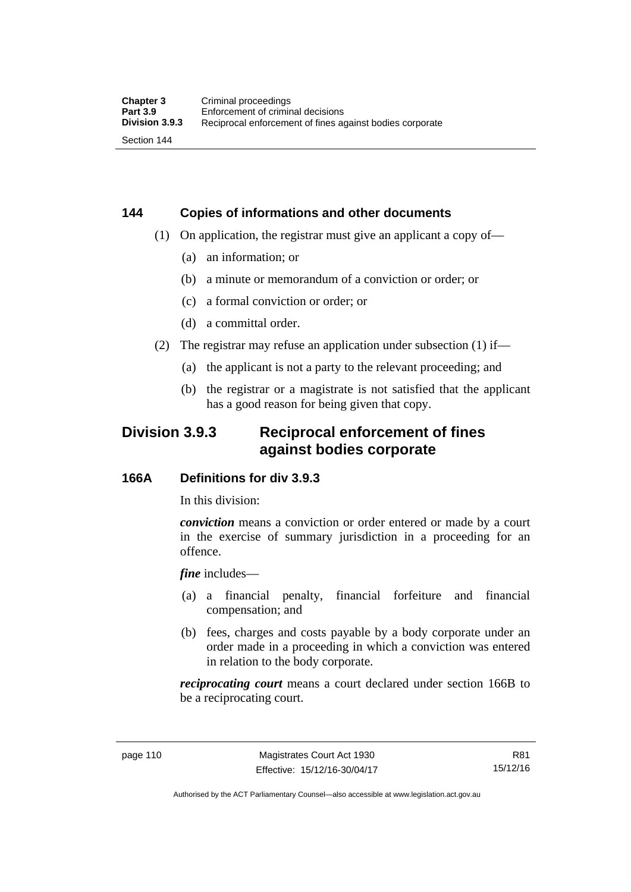# **144 Copies of informations and other documents**

- (1) On application, the registrar must give an applicant a copy of—
	- (a) an information; or
	- (b) a minute or memorandum of a conviction or order; or
	- (c) a formal conviction or order; or
	- (d) a committal order.
- (2) The registrar may refuse an application under subsection (1) if—
	- (a) the applicant is not a party to the relevant proceeding; and
	- (b) the registrar or a magistrate is not satisfied that the applicant has a good reason for being given that copy.

# **Division 3.9.3 Reciprocal enforcement of fines against bodies corporate**

#### **166A Definitions for div 3.9.3**

In this division:

*conviction* means a conviction or order entered or made by a court in the exercise of summary jurisdiction in a proceeding for an offence.

*fine* includes—

- (a) a financial penalty, financial forfeiture and financial compensation; and
- (b) fees, charges and costs payable by a body corporate under an order made in a proceeding in which a conviction was entered in relation to the body corporate.

*reciprocating court* means a court declared under section 166B to be a reciprocating court.

R81 15/12/16

Authorised by the ACT Parliamentary Counsel—also accessible at www.legislation.act.gov.au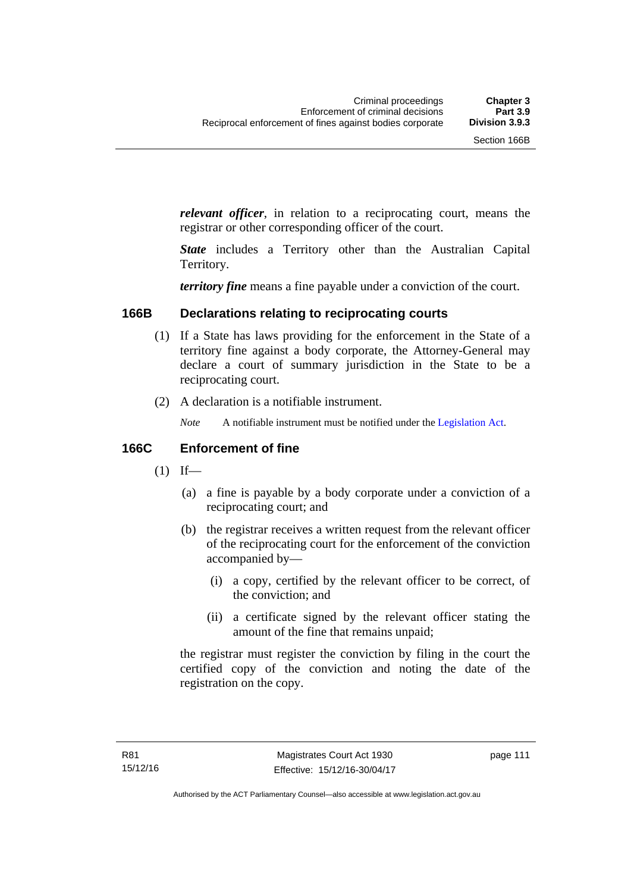*relevant officer*, in relation to a reciprocating court, means the registrar or other corresponding officer of the court.

*State* includes a Territory other than the Australian Capital Territory.

*territory fine* means a fine payable under a conviction of the court.

#### **166B Declarations relating to reciprocating courts**

- (1) If a State has laws providing for the enforcement in the State of a territory fine against a body corporate, the Attorney-General may declare a court of summary jurisdiction in the State to be a reciprocating court.
- (2) A declaration is a notifiable instrument.
	- *Note* A notifiable instrument must be notified under the [Legislation Act](http://www.legislation.act.gov.au/a/2001-14).

#### **166C Enforcement of fine**

- $(1)$  If—
	- (a) a fine is payable by a body corporate under a conviction of a reciprocating court; and
	- (b) the registrar receives a written request from the relevant officer of the reciprocating court for the enforcement of the conviction accompanied by—
		- (i) a copy, certified by the relevant officer to be correct, of the conviction; and
		- (ii) a certificate signed by the relevant officer stating the amount of the fine that remains unpaid;

the registrar must register the conviction by filing in the court the certified copy of the conviction and noting the date of the registration on the copy.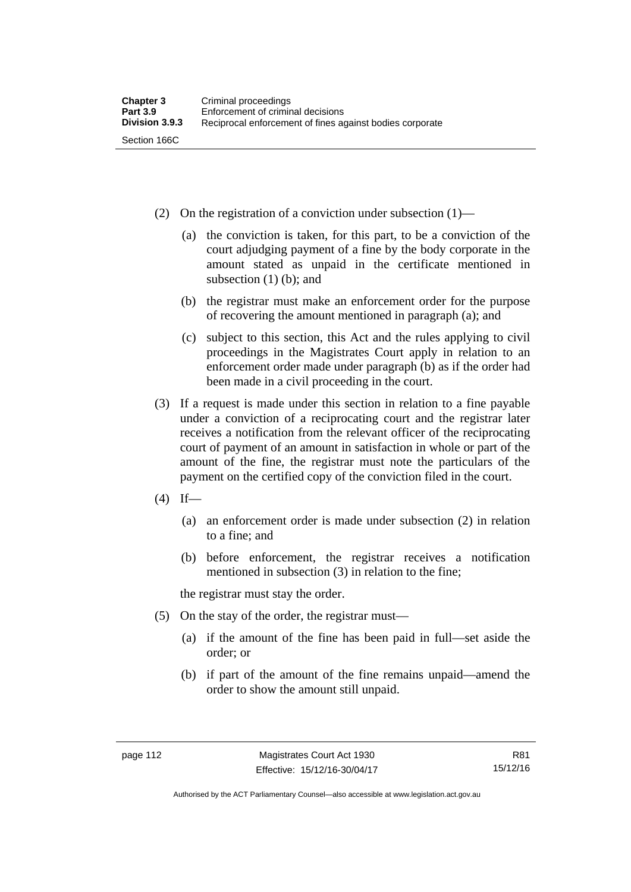- (2) On the registration of a conviction under subsection (1)—
	- (a) the conviction is taken, for this part, to be a conviction of the court adjudging payment of a fine by the body corporate in the amount stated as unpaid in the certificate mentioned in subsection (1) (b); and
	- (b) the registrar must make an enforcement order for the purpose of recovering the amount mentioned in paragraph (a); and
	- (c) subject to this section, this Act and the rules applying to civil proceedings in the Magistrates Court apply in relation to an enforcement order made under paragraph (b) as if the order had been made in a civil proceeding in the court.
- (3) If a request is made under this section in relation to a fine payable under a conviction of a reciprocating court and the registrar later receives a notification from the relevant officer of the reciprocating court of payment of an amount in satisfaction in whole or part of the amount of the fine, the registrar must note the particulars of the payment on the certified copy of the conviction filed in the court.
- $(4)$  If—
	- (a) an enforcement order is made under subsection (2) in relation to a fine; and
	- (b) before enforcement, the registrar receives a notification mentioned in subsection (3) in relation to the fine;

the registrar must stay the order.

- (5) On the stay of the order, the registrar must—
	- (a) if the amount of the fine has been paid in full—set aside the order; or
	- (b) if part of the amount of the fine remains unpaid—amend the order to show the amount still unpaid.

R81 15/12/16

Authorised by the ACT Parliamentary Counsel—also accessible at www.legislation.act.gov.au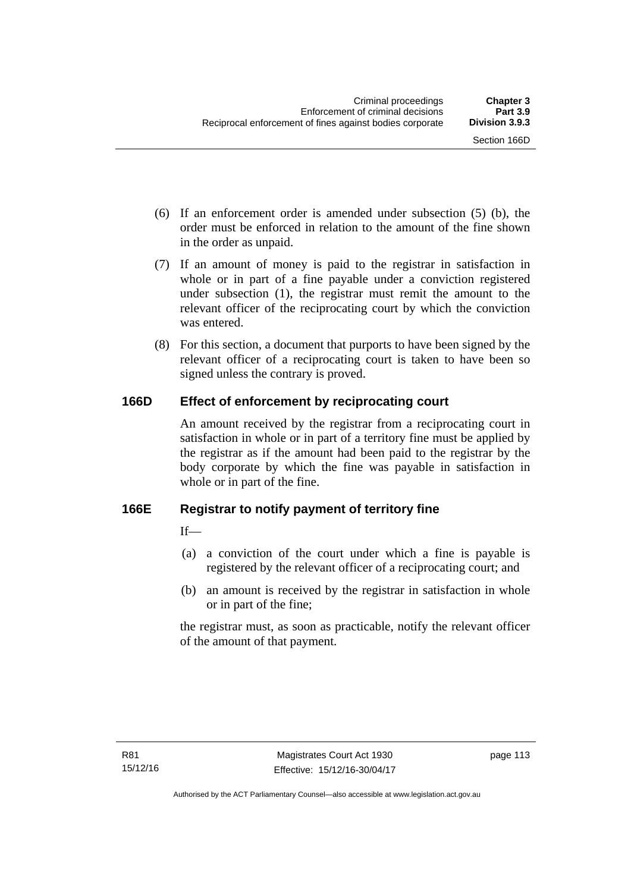- (6) If an enforcement order is amended under subsection (5) (b), the order must be enforced in relation to the amount of the fine shown in the order as unpaid.
- (7) If an amount of money is paid to the registrar in satisfaction in whole or in part of a fine payable under a conviction registered under subsection (1), the registrar must remit the amount to the relevant officer of the reciprocating court by which the conviction was entered.
- (8) For this section, a document that purports to have been signed by the relevant officer of a reciprocating court is taken to have been so signed unless the contrary is proved.

## **166D Effect of enforcement by reciprocating court**

An amount received by the registrar from a reciprocating court in satisfaction in whole or in part of a territory fine must be applied by the registrar as if the amount had been paid to the registrar by the body corporate by which the fine was payable in satisfaction in whole or in part of the fine.

## **166E Registrar to notify payment of territory fine**

 $If$ <sub>—</sub>

- (a) a conviction of the court under which a fine is payable is registered by the relevant officer of a reciprocating court; and
- (b) an amount is received by the registrar in satisfaction in whole or in part of the fine;

the registrar must, as soon as practicable, notify the relevant officer of the amount of that payment.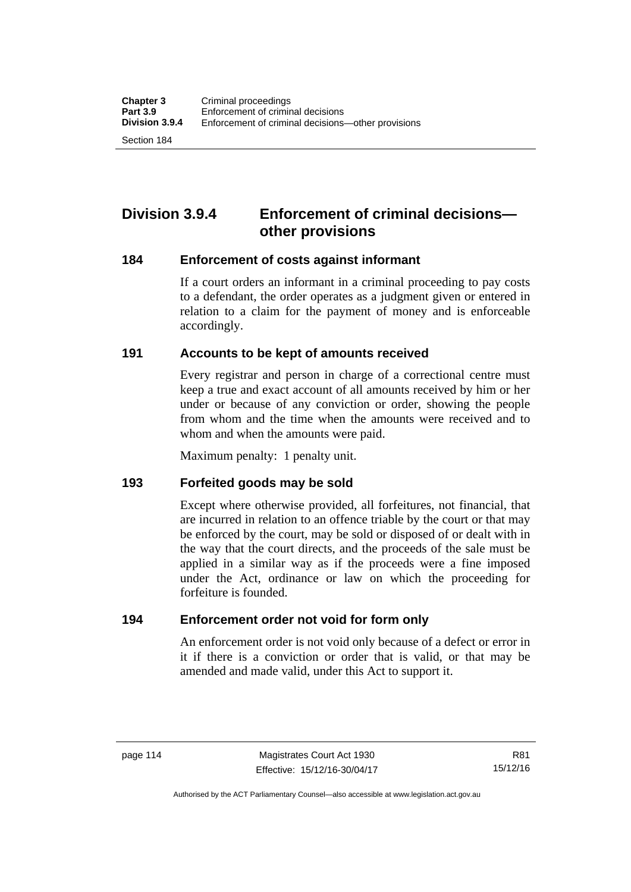Section 184

# **Division 3.9.4 Enforcement of criminal decisions other provisions**

#### **184 Enforcement of costs against informant**

If a court orders an informant in a criminal proceeding to pay costs to a defendant, the order operates as a judgment given or entered in relation to a claim for the payment of money and is enforceable accordingly.

#### **191 Accounts to be kept of amounts received**

Every registrar and person in charge of a correctional centre must keep a true and exact account of all amounts received by him or her under or because of any conviction or order, showing the people from whom and the time when the amounts were received and to whom and when the amounts were paid.

Maximum penalty: 1 penalty unit.

#### **193 Forfeited goods may be sold**

Except where otherwise provided, all forfeitures, not financial, that are incurred in relation to an offence triable by the court or that may be enforced by the court, may be sold or disposed of or dealt with in the way that the court directs, and the proceeds of the sale must be applied in a similar way as if the proceeds were a fine imposed under the Act, ordinance or law on which the proceeding for forfeiture is founded.

#### **194 Enforcement order not void for form only**

An enforcement order is not void only because of a defect or error in it if there is a conviction or order that is valid, or that may be amended and made valid, under this Act to support it.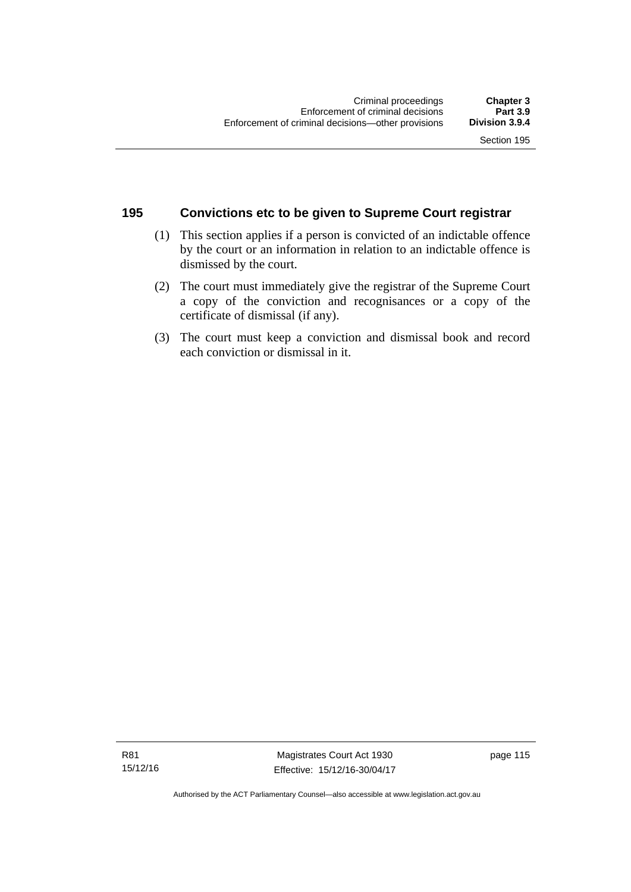#### **195 Convictions etc to be given to Supreme Court registrar**

- (1) This section applies if a person is convicted of an indictable offence by the court or an information in relation to an indictable offence is dismissed by the court.
- (2) The court must immediately give the registrar of the Supreme Court a copy of the conviction and recognisances or a copy of the certificate of dismissal (if any).
- (3) The court must keep a conviction and dismissal book and record each conviction or dismissal in it.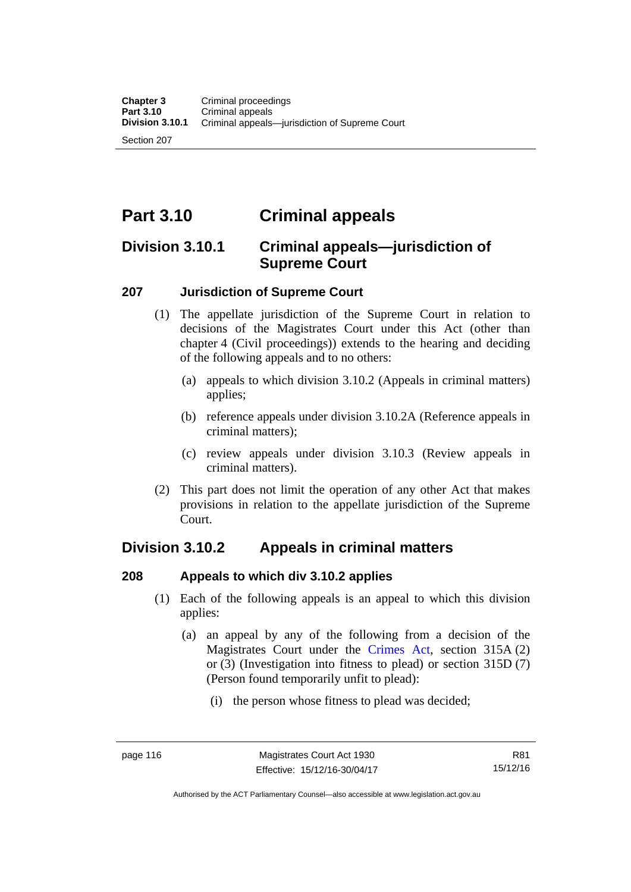Section 207

# **Part 3.10 Criminal appeals**

# **Division 3.10.1 Criminal appeals—jurisdiction of Supreme Court**

#### **207 Jurisdiction of Supreme Court**

- (1) The appellate jurisdiction of the Supreme Court in relation to decisions of the Magistrates Court under this Act (other than chapter 4 (Civil proceedings)) extends to the hearing and deciding of the following appeals and to no others:
	- (a) appeals to which division 3.10.2 (Appeals in criminal matters) applies;
	- (b) reference appeals under division 3.10.2A (Reference appeals in criminal matters);
	- (c) review appeals under division 3.10.3 (Review appeals in criminal matters).
- (2) This part does not limit the operation of any other Act that makes provisions in relation to the appellate jurisdiction of the Supreme Court.

# **Division 3.10.2 Appeals in criminal matters**

#### **208 Appeals to which div 3.10.2 applies**

- (1) Each of the following appeals is an appeal to which this division applies:
	- (a) an appeal by any of the following from a decision of the Magistrates Court under the [Crimes Act](http://www.legislation.act.gov.au/a/1900-40/default.asp), section 315A (2) or (3) (Investigation into fitness to plead) or section 315D (7) (Person found temporarily unfit to plead):
		- (i) the person whose fitness to plead was decided;

Authorised by the ACT Parliamentary Counsel—also accessible at www.legislation.act.gov.au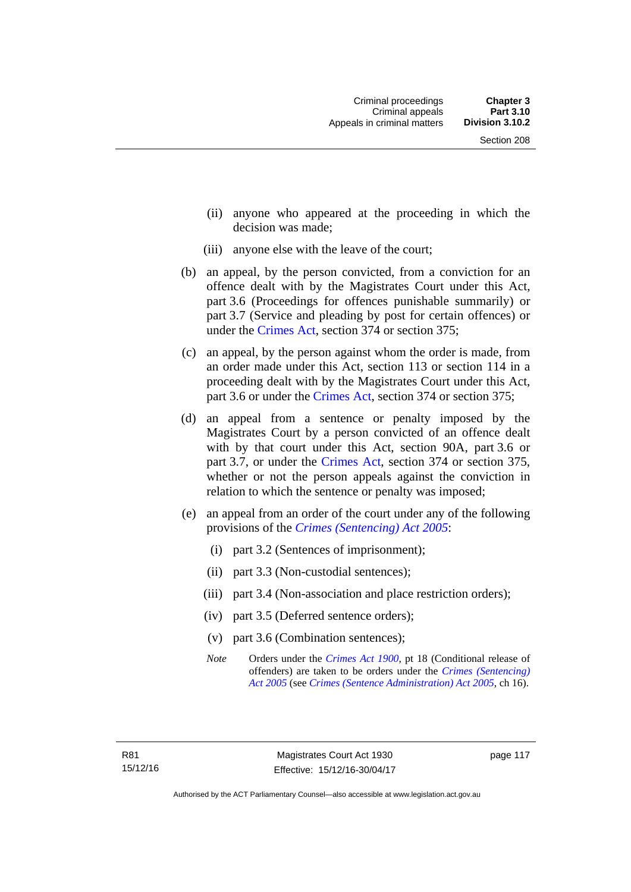- (ii) anyone who appeared at the proceeding in which the decision was made;
- (iii) anyone else with the leave of the court;
- (b) an appeal, by the person convicted, from a conviction for an offence dealt with by the Magistrates Court under this Act, part 3.6 (Proceedings for offences punishable summarily) or part 3.7 (Service and pleading by post for certain offences) or under the [Crimes Act,](http://www.legislation.act.gov.au/a/1900-40/default.asp) section 374 or section 375;
- (c) an appeal, by the person against whom the order is made, from an order made under this Act, section 113 or section 114 in a proceeding dealt with by the Magistrates Court under this Act, part 3.6 or under the [Crimes Act,](http://www.legislation.act.gov.au/a/1900-40/default.asp) section 374 or section 375;
- (d) an appeal from a sentence or penalty imposed by the Magistrates Court by a person convicted of an offence dealt with by that court under this Act, section 90A, part 3.6 or part 3.7, or under the [Crimes Act,](http://www.legislation.act.gov.au/a/1900-40/default.asp) section 374 or section 375, whether or not the person appeals against the conviction in relation to which the sentence or penalty was imposed;
- (e) an appeal from an order of the court under any of the following provisions of the *[Crimes \(Sentencing\) Act 2005](http://www.legislation.act.gov.au/a/2005-58)*:
	- (i) part 3.2 (Sentences of imprisonment);
	- (ii) part 3.3 (Non-custodial sentences);
	- (iii) part 3.4 (Non-association and place restriction orders);
	- (iv) part 3.5 (Deferred sentence orders);
	- (v) part 3.6 (Combination sentences);
	- *Note* Orders under the *[Crimes Act 1900](http://www.legislation.act.gov.au/a/1900-40)*, pt 18 (Conditional release of offenders) are taken to be orders under the *[Crimes \(Sentencing\)](http://www.legislation.act.gov.au/a/2005-58)  [Act 2005](http://www.legislation.act.gov.au/a/2005-58)* (see *[Crimes \(Sentence Administration\) Act 2005](http://www.legislation.act.gov.au/a/2005-59)*, ch 16).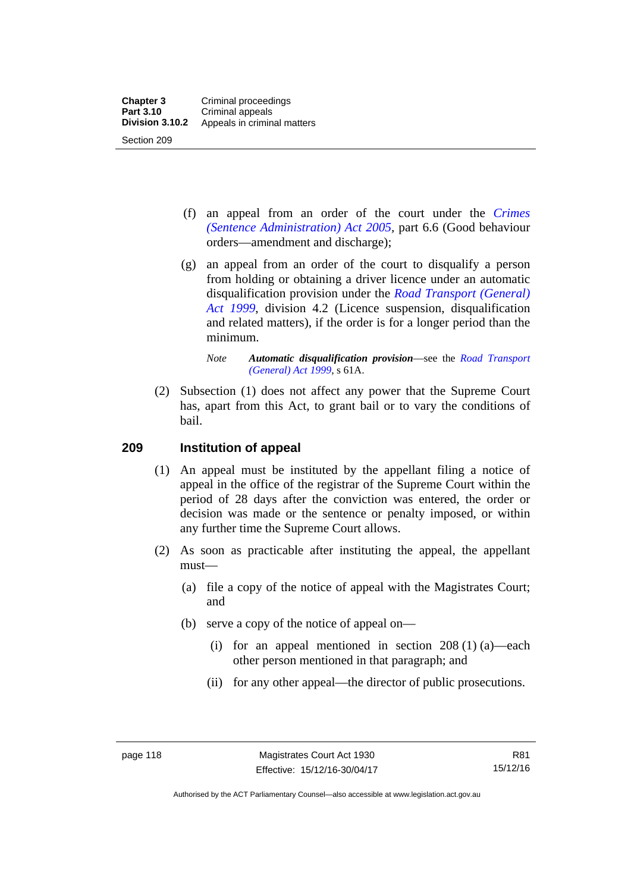- (f) an appeal from an order of the court under the *[Crimes](http://www.legislation.act.gov.au/a/2005-59)  [\(Sentence Administration\) Act 2005](http://www.legislation.act.gov.au/a/2005-59),* part 6.6 (Good behaviour orders—amendment and discharge);
- (g) an appeal from an order of the court to disqualify a person from holding or obtaining a driver licence under an automatic disqualification provision under the *[Road Transport \(General\)](http://www.legislation.act.gov.au/a/1999-77)  [Act 1999](http://www.legislation.act.gov.au/a/1999-77)*, division 4.2 (Licence suspension, disqualification and related matters), if the order is for a longer period than the minimum.

 (2) Subsection (1) does not affect any power that the Supreme Court has, apart from this Act, to grant bail or to vary the conditions of bail.

#### **209 Institution of appeal**

- (1) An appeal must be instituted by the appellant filing a notice of appeal in the office of the registrar of the Supreme Court within the period of 28 days after the conviction was entered, the order or decision was made or the sentence or penalty imposed, or within any further time the Supreme Court allows.
- (2) As soon as practicable after instituting the appeal, the appellant must—
	- (a) file a copy of the notice of appeal with the Magistrates Court; and
	- (b) serve a copy of the notice of appeal on—
		- (i) for an appeal mentioned in section  $208(1)(a)$ —each other person mentioned in that paragraph; and
		- (ii) for any other appeal—the director of public prosecutions.

*Note Automatic disqualification provision*—see the *[Road Transport](http://www.legislation.act.gov.au/a/1999-77)  [\(General\) Act 1999](http://www.legislation.act.gov.au/a/1999-77)*, s 61A.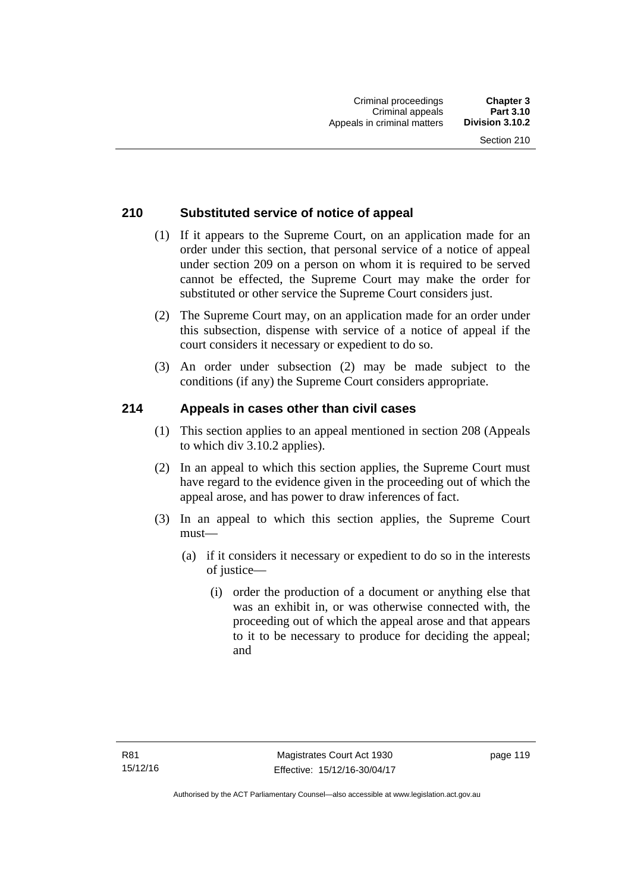#### **210 Substituted service of notice of appeal**

- (1) If it appears to the Supreme Court, on an application made for an order under this section, that personal service of a notice of appeal under section 209 on a person on whom it is required to be served cannot be effected, the Supreme Court may make the order for substituted or other service the Supreme Court considers just.
- (2) The Supreme Court may, on an application made for an order under this subsection, dispense with service of a notice of appeal if the court considers it necessary or expedient to do so.
- (3) An order under subsection (2) may be made subject to the conditions (if any) the Supreme Court considers appropriate.

#### **214 Appeals in cases other than civil cases**

- (1) This section applies to an appeal mentioned in section 208 (Appeals to which div 3.10.2 applies).
- (2) In an appeal to which this section applies, the Supreme Court must have regard to the evidence given in the proceeding out of which the appeal arose, and has power to draw inferences of fact.
- (3) In an appeal to which this section applies, the Supreme Court must—
	- (a) if it considers it necessary or expedient to do so in the interests of justice—
		- (i) order the production of a document or anything else that was an exhibit in, or was otherwise connected with, the proceeding out of which the appeal arose and that appears to it to be necessary to produce for deciding the appeal; and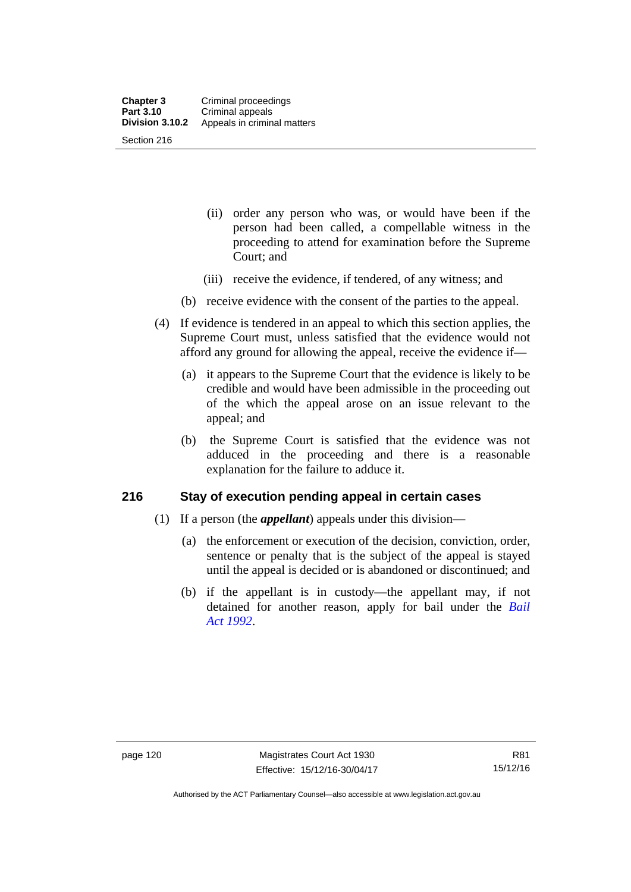- (ii) order any person who was, or would have been if the person had been called, a compellable witness in the proceeding to attend for examination before the Supreme Court; and
- (iii) receive the evidence, if tendered, of any witness; and
- (b) receive evidence with the consent of the parties to the appeal.
- (4) If evidence is tendered in an appeal to which this section applies, the Supreme Court must, unless satisfied that the evidence would not afford any ground for allowing the appeal, receive the evidence if—
	- (a) it appears to the Supreme Court that the evidence is likely to be credible and would have been admissible in the proceeding out of the which the appeal arose on an issue relevant to the appeal; and
	- (b) the Supreme Court is satisfied that the evidence was not adduced in the proceeding and there is a reasonable explanation for the failure to adduce it.

#### **216 Stay of execution pending appeal in certain cases**

- (1) If a person (the *appellant*) appeals under this division—
	- (a) the enforcement or execution of the decision, conviction, order, sentence or penalty that is the subject of the appeal is stayed until the appeal is decided or is abandoned or discontinued; and
	- (b) if the appellant is in custody—the appellant may, if not detained for another reason, apply for bail under the *[Bail](http://www.legislation.act.gov.au/a/1992-8)  [Act 1992](http://www.legislation.act.gov.au/a/1992-8)*.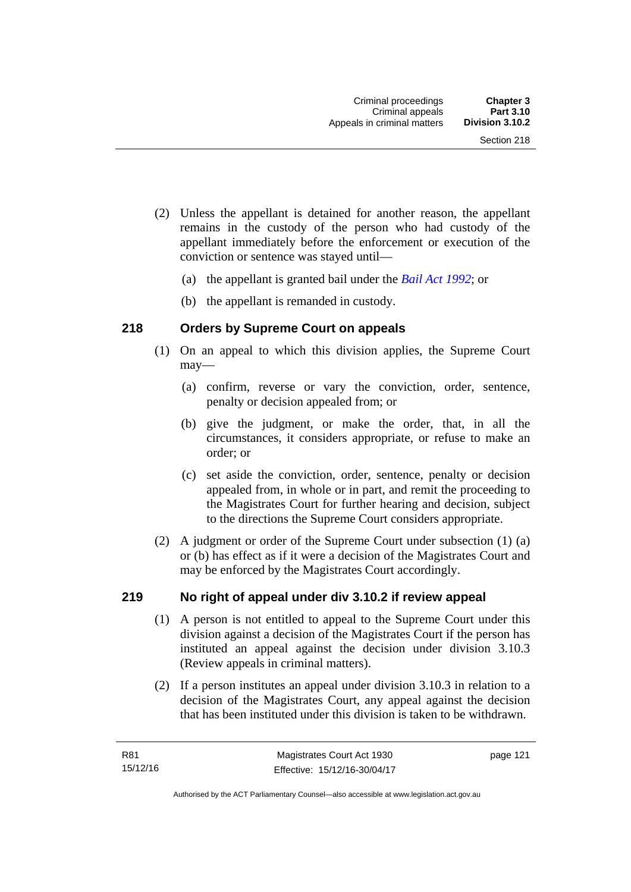- (2) Unless the appellant is detained for another reason, the appellant remains in the custody of the person who had custody of the appellant immediately before the enforcement or execution of the conviction or sentence was stayed until—
	- (a) the appellant is granted bail under the *[Bail Act 1992](http://www.legislation.act.gov.au/a/1992-8)*; or
	- (b) the appellant is remanded in custody.

#### **218 Orders by Supreme Court on appeals**

- (1) On an appeal to which this division applies, the Supreme Court may—
	- (a) confirm, reverse or vary the conviction, order, sentence, penalty or decision appealed from; or
	- (b) give the judgment, or make the order, that, in all the circumstances, it considers appropriate, or refuse to make an order; or
	- (c) set aside the conviction, order, sentence, penalty or decision appealed from, in whole or in part, and remit the proceeding to the Magistrates Court for further hearing and decision, subject to the directions the Supreme Court considers appropriate.
- (2) A judgment or order of the Supreme Court under subsection (1) (a) or (b) has effect as if it were a decision of the Magistrates Court and may be enforced by the Magistrates Court accordingly.

#### **219 No right of appeal under div 3.10.2 if review appeal**

- (1) A person is not entitled to appeal to the Supreme Court under this division against a decision of the Magistrates Court if the person has instituted an appeal against the decision under division 3.10.3 (Review appeals in criminal matters).
- (2) If a person institutes an appeal under division 3.10.3 in relation to a decision of the Magistrates Court, any appeal against the decision that has been instituted under this division is taken to be withdrawn.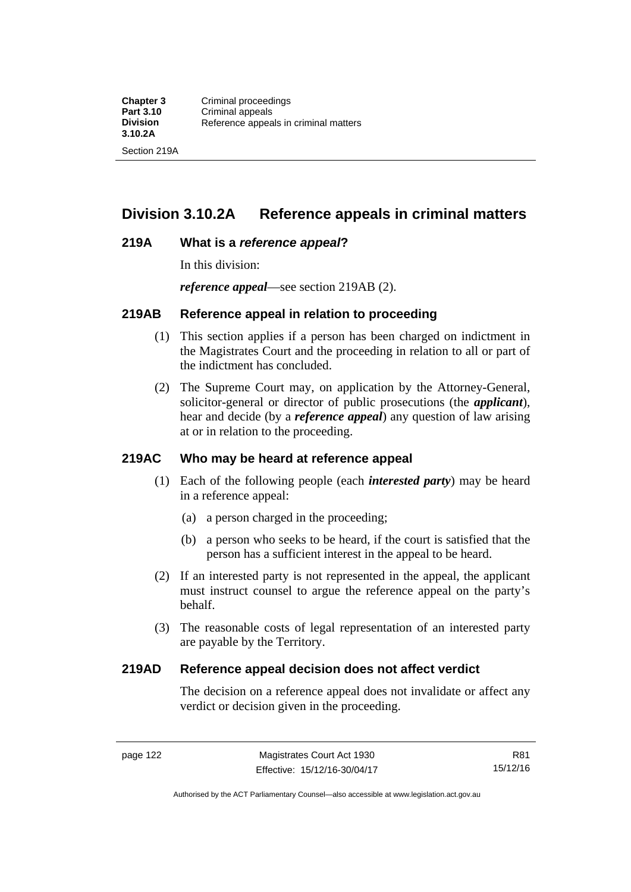# **Division 3.10.2A Reference appeals in criminal matters**

#### **219A What is a** *reference appeal***?**

In this division:

*reference appeal*—see section 219AB (2).

#### **219AB Reference appeal in relation to proceeding**

- (1) This section applies if a person has been charged on indictment in the Magistrates Court and the proceeding in relation to all or part of the indictment has concluded.
- (2) The Supreme Court may, on application by the Attorney-General, solicitor-general or director of public prosecutions (the *applicant*), hear and decide (by a *reference appeal*) any question of law arising at or in relation to the proceeding.

#### **219AC Who may be heard at reference appeal**

- (1) Each of the following people (each *interested party*) may be heard in a reference appeal:
	- (a) a person charged in the proceeding;
	- (b) a person who seeks to be heard, if the court is satisfied that the person has a sufficient interest in the appeal to be heard.
- (2) If an interested party is not represented in the appeal, the applicant must instruct counsel to argue the reference appeal on the party's behalf.
- (3) The reasonable costs of legal representation of an interested party are payable by the Territory.

#### **219AD Reference appeal decision does not affect verdict**

The decision on a reference appeal does not invalidate or affect any verdict or decision given in the proceeding.

Authorised by the ACT Parliamentary Counsel—also accessible at www.legislation.act.gov.au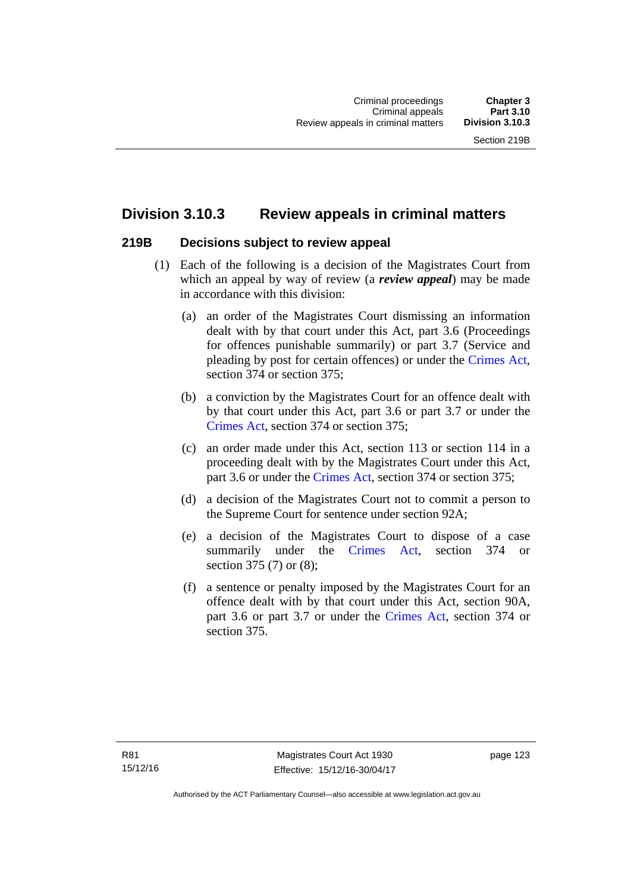# **Division 3.10.3 Review appeals in criminal matters**

#### **219B Decisions subject to review appeal**

- (1) Each of the following is a decision of the Magistrates Court from which an appeal by way of review (a *review appeal*) may be made in accordance with this division:
	- (a) an order of the Magistrates Court dismissing an information dealt with by that court under this Act, part 3.6 (Proceedings for offences punishable summarily) or part 3.7 (Service and pleading by post for certain offences) or under the [Crimes Act](http://www.legislation.act.gov.au/a/1900-40/default.asp), section 374 or section 375;
	- (b) a conviction by the Magistrates Court for an offence dealt with by that court under this Act, part 3.6 or part 3.7 or under the [Crimes Act,](http://www.legislation.act.gov.au/a/1900-40/default.asp) section 374 or section 375;
	- (c) an order made under this Act, section 113 or section 114 in a proceeding dealt with by the Magistrates Court under this Act, part 3.6 or under the [Crimes Act,](http://www.legislation.act.gov.au/a/1900-40/default.asp) section 374 or section 375;
	- (d) a decision of the Magistrates Court not to commit a person to the Supreme Court for sentence under section 92A;
	- (e) a decision of the Magistrates Court to dispose of a case summarily under the [Crimes Act,](http://www.legislation.act.gov.au/a/1900-40/default.asp) section 374 or section 375 (7) or (8);
	- (f) a sentence or penalty imposed by the Magistrates Court for an offence dealt with by that court under this Act, section 90A, part 3.6 or part 3.7 or under the [Crimes Act,](http://www.legislation.act.gov.au/a/1900-40/default.asp) section 374 or section 375.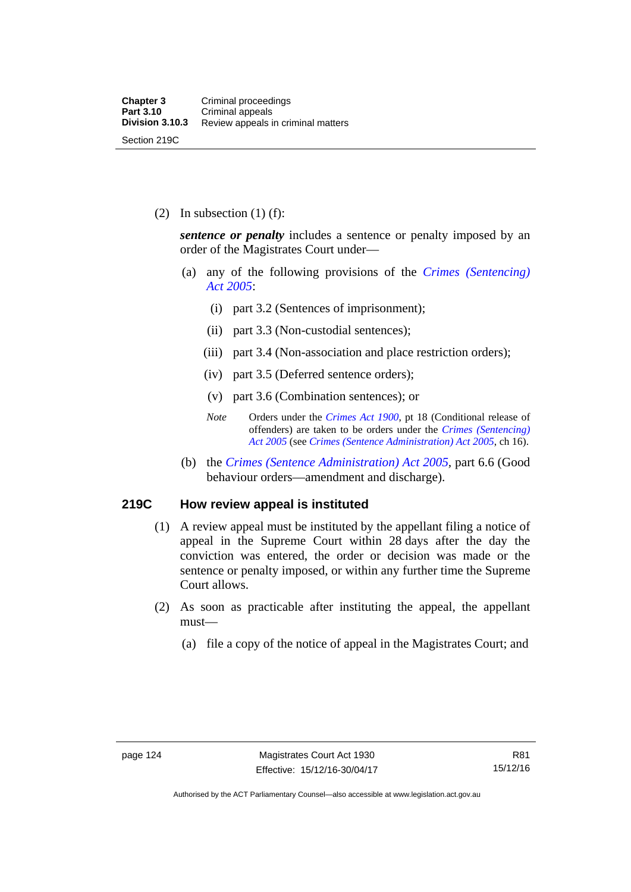(2) In subsection  $(1)$  (f):

*sentence or penalty* includes a sentence or penalty imposed by an order of the Magistrates Court under—

- (a) any of the following provisions of the *[Crimes \(Sentencing\)](http://www.legislation.act.gov.au/a/2005-58)  [Act 2005](http://www.legislation.act.gov.au/a/2005-58)*:
	- (i) part 3.2 (Sentences of imprisonment);
	- (ii) part 3.3 (Non-custodial sentences);
	- (iii) part 3.4 (Non-association and place restriction orders);
	- (iv) part 3.5 (Deferred sentence orders);
	- (v) part 3.6 (Combination sentences); or
	- *Note* Orders under the *[Crimes Act 1900](http://www.legislation.act.gov.au/a/1900-40)*, pt 18 (Conditional release of offenders) are taken to be orders under the *[Crimes \(Sentencing\)](http://www.legislation.act.gov.au/a/2005-58)  [Act 2005](http://www.legislation.act.gov.au/a/2005-58)* (see *[Crimes \(Sentence Administration\) Act 2005](http://www.legislation.act.gov.au/a/2005-59)*, ch 16).
- (b) the *[Crimes \(Sentence Administration\) Act 2005](http://www.legislation.act.gov.au/a/2005-59),* part 6.6 (Good behaviour orders—amendment and discharge).

#### **219C How review appeal is instituted**

- (1) A review appeal must be instituted by the appellant filing a notice of appeal in the Supreme Court within 28 days after the day the conviction was entered, the order or decision was made or the sentence or penalty imposed, or within any further time the Supreme Court allows.
- (2) As soon as practicable after instituting the appeal, the appellant must—
	- (a) file a copy of the notice of appeal in the Magistrates Court; and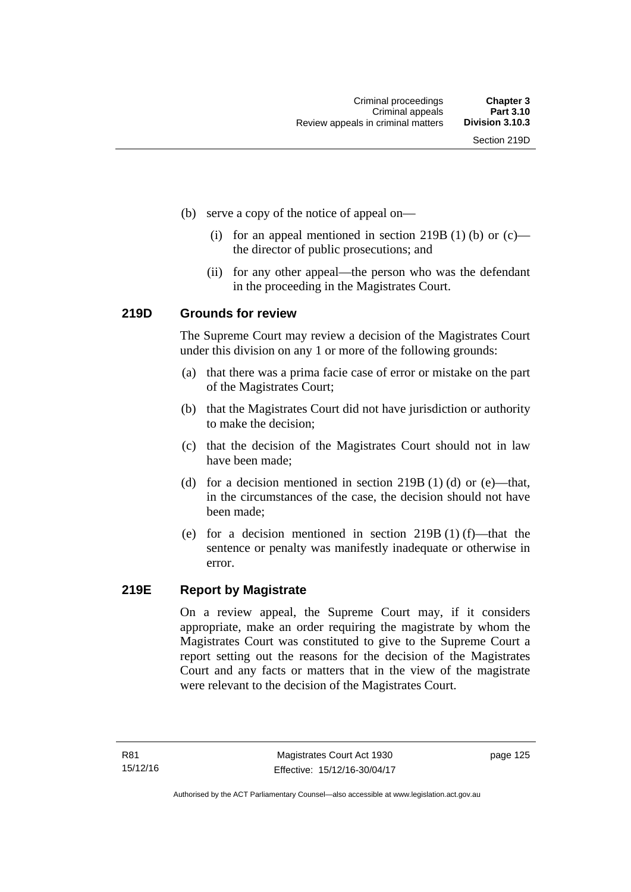- (b) serve a copy of the notice of appeal on—
	- (i) for an appeal mentioned in section 219B (1) (b) or  $(c)$  the director of public prosecutions; and
	- (ii) for any other appeal—the person who was the defendant in the proceeding in the Magistrates Court.

#### **219D Grounds for review**

The Supreme Court may review a decision of the Magistrates Court under this division on any 1 or more of the following grounds:

- (a) that there was a prima facie case of error or mistake on the part of the Magistrates Court;
- (b) that the Magistrates Court did not have jurisdiction or authority to make the decision;
- (c) that the decision of the Magistrates Court should not in law have been made;
- (d) for a decision mentioned in section 219B (1) (d) or (e)—that, in the circumstances of the case, the decision should not have been made;
- (e) for a decision mentioned in section 219B (1) (f)—that the sentence or penalty was manifestly inadequate or otherwise in error.

#### **219E Report by Magistrate**

On a review appeal, the Supreme Court may, if it considers appropriate, make an order requiring the magistrate by whom the Magistrates Court was constituted to give to the Supreme Court a report setting out the reasons for the decision of the Magistrates Court and any facts or matters that in the view of the magistrate were relevant to the decision of the Magistrates Court.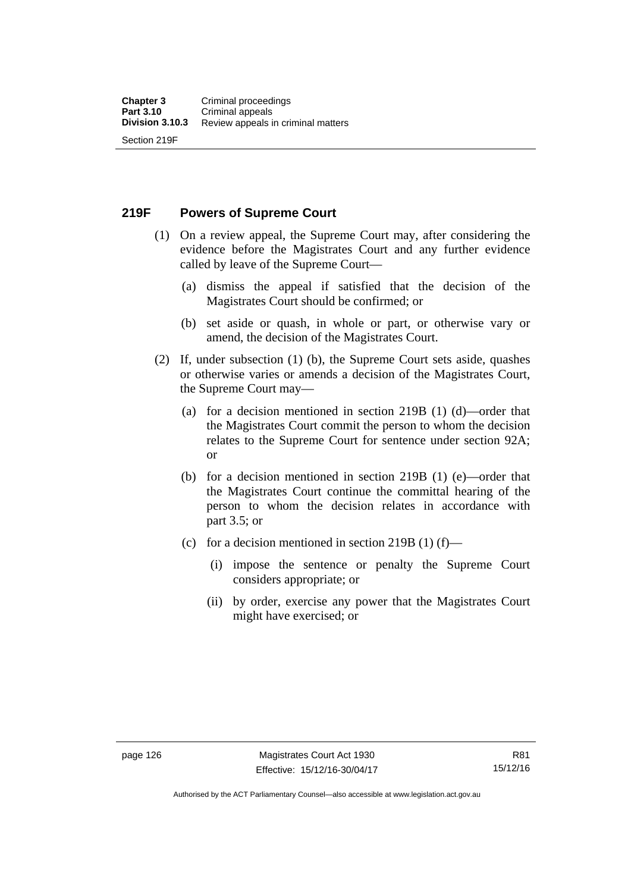**219F Powers of Supreme Court** 

- (1) On a review appeal, the Supreme Court may, after considering the evidence before the Magistrates Court and any further evidence called by leave of the Supreme Court—
	- (a) dismiss the appeal if satisfied that the decision of the Magistrates Court should be confirmed; or
	- (b) set aside or quash, in whole or part, or otherwise vary or amend, the decision of the Magistrates Court.
- (2) If, under subsection (1) (b), the Supreme Court sets aside, quashes or otherwise varies or amends a decision of the Magistrates Court, the Supreme Court may—
	- (a) for a decision mentioned in section 219B (1) (d)—order that the Magistrates Court commit the person to whom the decision relates to the Supreme Court for sentence under section 92A; or
	- (b) for a decision mentioned in section 219B (1) (e)—order that the Magistrates Court continue the committal hearing of the person to whom the decision relates in accordance with part 3.5; or
	- (c) for a decision mentioned in section 219B (1) (f)—
		- (i) impose the sentence or penalty the Supreme Court considers appropriate; or
		- (ii) by order, exercise any power that the Magistrates Court might have exercised; or

Authorised by the ACT Parliamentary Counsel—also accessible at www.legislation.act.gov.au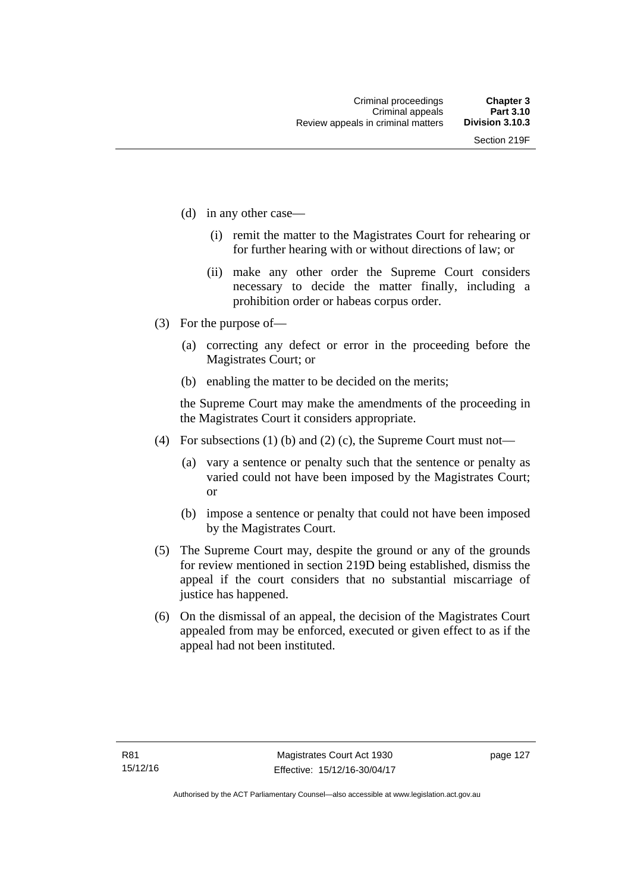- (d) in any other case—
	- (i) remit the matter to the Magistrates Court for rehearing or for further hearing with or without directions of law; or
	- (ii) make any other order the Supreme Court considers necessary to decide the matter finally, including a prohibition order or habeas corpus order.
- (3) For the purpose of—
	- (a) correcting any defect or error in the proceeding before the Magistrates Court; or
	- (b) enabling the matter to be decided on the merits;

the Supreme Court may make the amendments of the proceeding in the Magistrates Court it considers appropriate.

- (4) For subsections (1) (b) and (2) (c), the Supreme Court must not—
	- (a) vary a sentence or penalty such that the sentence or penalty as varied could not have been imposed by the Magistrates Court; or
	- (b) impose a sentence or penalty that could not have been imposed by the Magistrates Court.
- (5) The Supreme Court may, despite the ground or any of the grounds for review mentioned in section 219D being established, dismiss the appeal if the court considers that no substantial miscarriage of justice has happened.
- (6) On the dismissal of an appeal, the decision of the Magistrates Court appealed from may be enforced, executed or given effect to as if the appeal had not been instituted.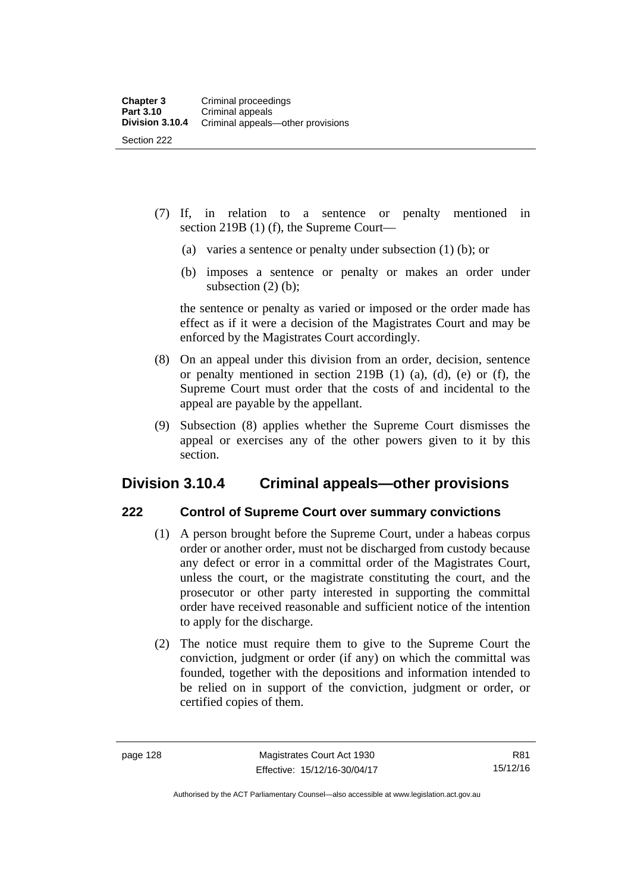- (7) If, in relation to a sentence or penalty mentioned in section 219B (1) (f), the Supreme Court—
	- (a) varies a sentence or penalty under subsection (1) (b); or
	- (b) imposes a sentence or penalty or makes an order under subsection  $(2)$  (b);

the sentence or penalty as varied or imposed or the order made has effect as if it were a decision of the Magistrates Court and may be enforced by the Magistrates Court accordingly.

- (8) On an appeal under this division from an order, decision, sentence or penalty mentioned in section 219B (1) (a), (d), (e) or (f), the Supreme Court must order that the costs of and incidental to the appeal are payable by the appellant.
- (9) Subsection (8) applies whether the Supreme Court dismisses the appeal or exercises any of the other powers given to it by this section.

# **Division 3.10.4 Criminal appeals—other provisions**

#### **222 Control of Supreme Court over summary convictions**

- (1) A person brought before the Supreme Court, under a habeas corpus order or another order, must not be discharged from custody because any defect or error in a committal order of the Magistrates Court, unless the court, or the magistrate constituting the court, and the prosecutor or other party interested in supporting the committal order have received reasonable and sufficient notice of the intention to apply for the discharge.
- (2) The notice must require them to give to the Supreme Court the conviction, judgment or order (if any) on which the committal was founded, together with the depositions and information intended to be relied on in support of the conviction, judgment or order, or certified copies of them.

Authorised by the ACT Parliamentary Counsel—also accessible at www.legislation.act.gov.au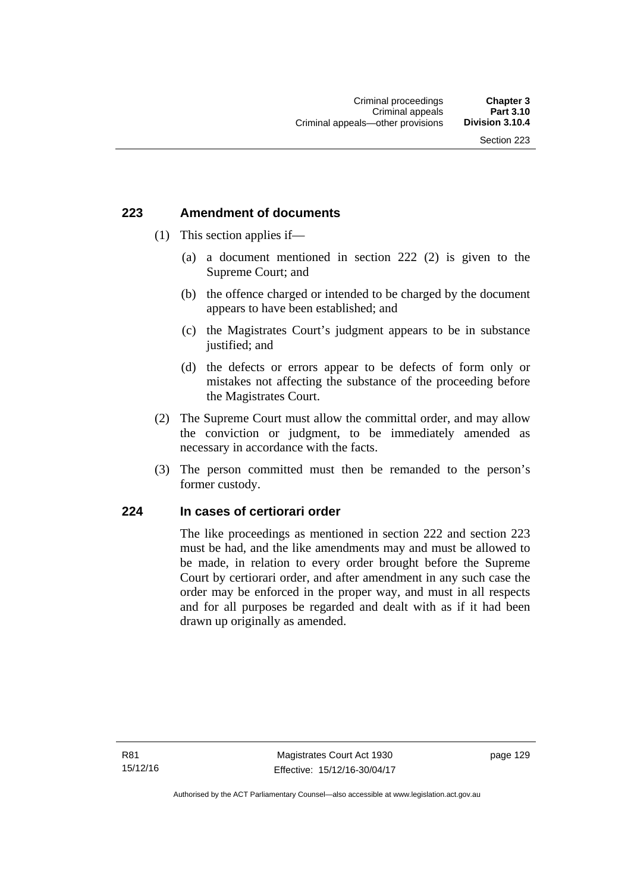### **223 Amendment of documents**

- (1) This section applies if—
	- (a) a document mentioned in section 222 (2) is given to the Supreme Court; and
	- (b) the offence charged or intended to be charged by the document appears to have been established; and
	- (c) the Magistrates Court's judgment appears to be in substance justified; and
	- (d) the defects or errors appear to be defects of form only or mistakes not affecting the substance of the proceeding before the Magistrates Court.
- (2) The Supreme Court must allow the committal order, and may allow the conviction or judgment, to be immediately amended as necessary in accordance with the facts.
- (3) The person committed must then be remanded to the person's former custody.

### **224 In cases of certiorari order**

The like proceedings as mentioned in section 222 and section 223 must be had, and the like amendments may and must be allowed to be made, in relation to every order brought before the Supreme Court by certiorari order, and after amendment in any such case the order may be enforced in the proper way, and must in all respects and for all purposes be regarded and dealt with as if it had been drawn up originally as amended.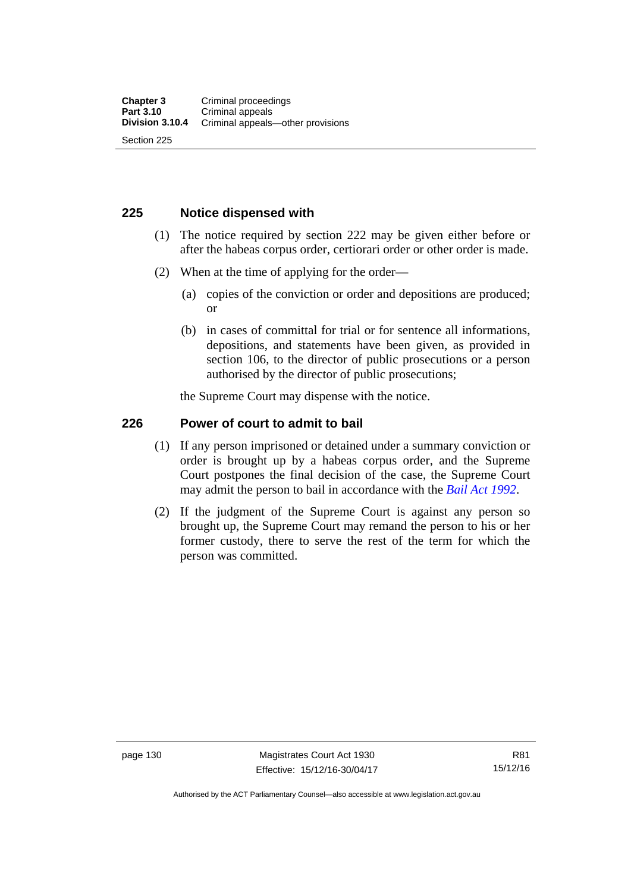### **225 Notice dispensed with**

- (1) The notice required by section 222 may be given either before or after the habeas corpus order, certiorari order or other order is made.
- (2) When at the time of applying for the order—
	- (a) copies of the conviction or order and depositions are produced; or
	- (b) in cases of committal for trial or for sentence all informations, depositions, and statements have been given, as provided in section 106, to the director of public prosecutions or a person authorised by the director of public prosecutions;

the Supreme Court may dispense with the notice.

### **226 Power of court to admit to bail**

- (1) If any person imprisoned or detained under a summary conviction or order is brought up by a habeas corpus order, and the Supreme Court postpones the final decision of the case, the Supreme Court may admit the person to bail in accordance with the *[Bail Act 1992](http://www.legislation.act.gov.au/a/1992-8)*.
- (2) If the judgment of the Supreme Court is against any person so brought up, the Supreme Court may remand the person to his or her former custody, there to serve the rest of the term for which the person was committed.

page 130 Magistrates Court Act 1930 Effective: 15/12/16-30/04/17

Authorised by the ACT Parliamentary Counsel—also accessible at www.legislation.act.gov.au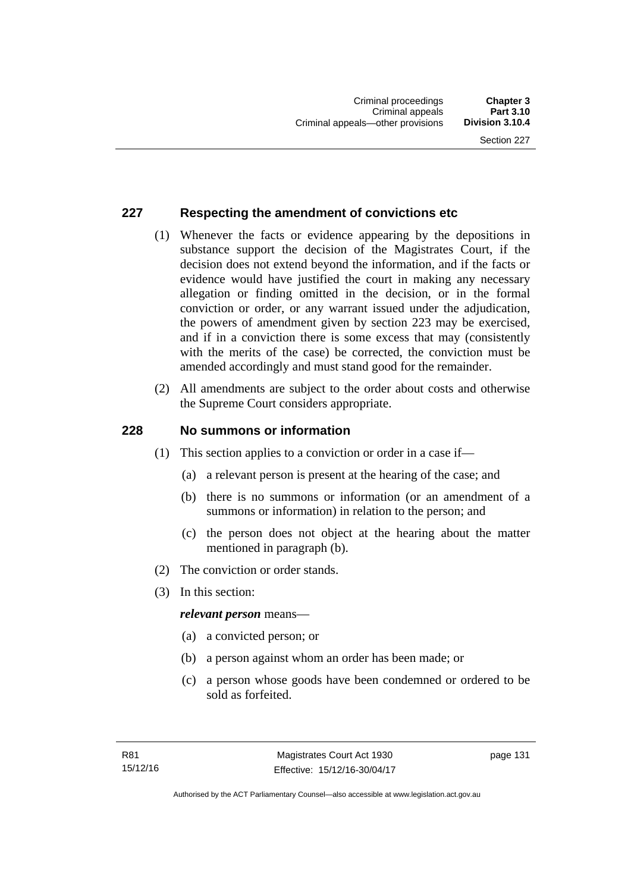### **227 Respecting the amendment of convictions etc**

- (1) Whenever the facts or evidence appearing by the depositions in substance support the decision of the Magistrates Court, if the decision does not extend beyond the information, and if the facts or evidence would have justified the court in making any necessary allegation or finding omitted in the decision, or in the formal conviction or order, or any warrant issued under the adjudication, the powers of amendment given by section 223 may be exercised, and if in a conviction there is some excess that may (consistently with the merits of the case) be corrected, the conviction must be amended accordingly and must stand good for the remainder.
- (2) All amendments are subject to the order about costs and otherwise the Supreme Court considers appropriate.

### **228 No summons or information**

- (1) This section applies to a conviction or order in a case if—
	- (a) a relevant person is present at the hearing of the case; and
	- (b) there is no summons or information (or an amendment of a summons or information) in relation to the person; and
	- (c) the person does not object at the hearing about the matter mentioned in paragraph (b).
- (2) The conviction or order stands.
- (3) In this section:

### *relevant person* means—

- (a) a convicted person; or
- (b) a person against whom an order has been made; or
- (c) a person whose goods have been condemned or ordered to be sold as forfeited.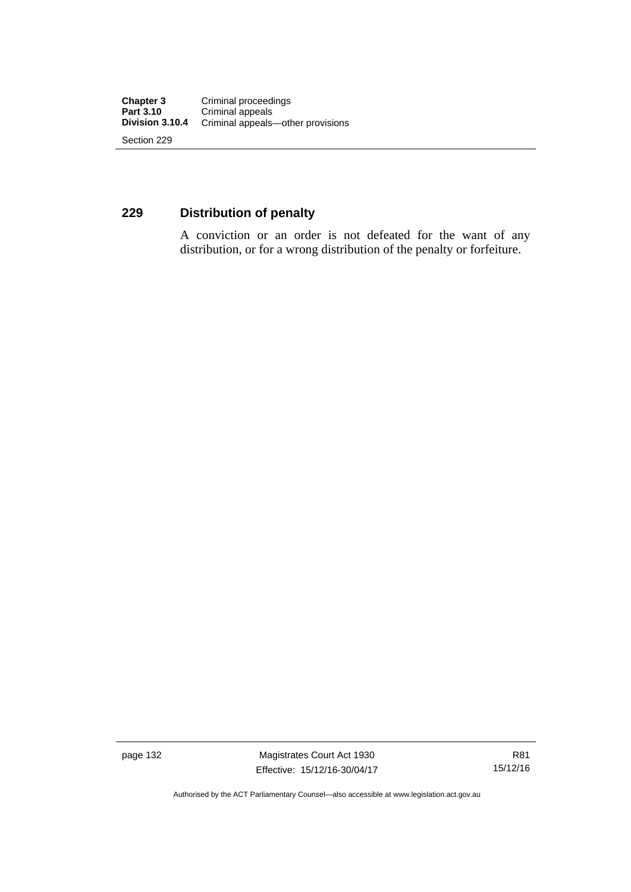### **229 Distribution of penalty**

A conviction or an order is not defeated for the want of any distribution, or for a wrong distribution of the penalty or forfeiture.

page 132 Magistrates Court Act 1930 Effective: 15/12/16-30/04/17

Authorised by the ACT Parliamentary Counsel—also accessible at www.legislation.act.gov.au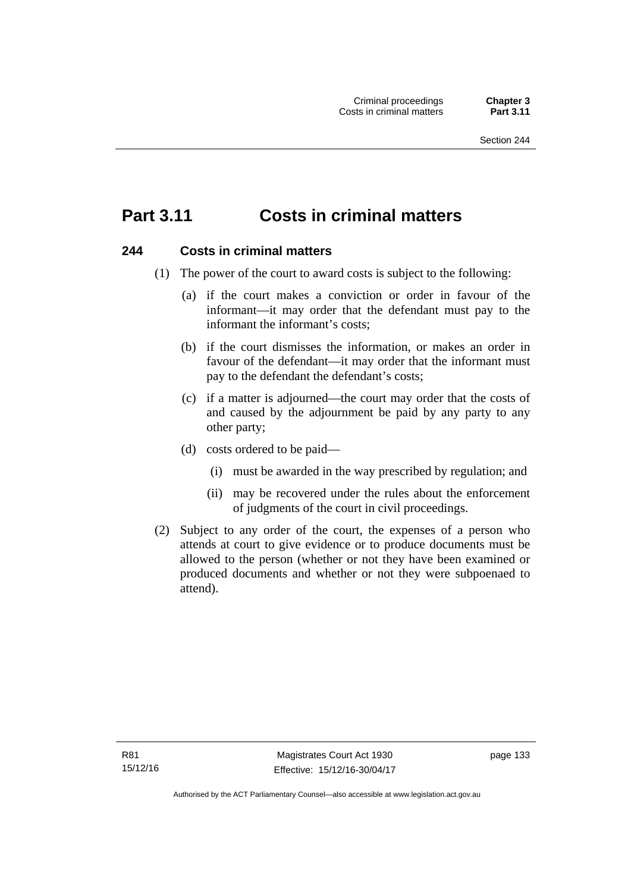# **Part 3.11 Costs in criminal matters**

### **244 Costs in criminal matters**

- (1) The power of the court to award costs is subject to the following:
	- (a) if the court makes a conviction or order in favour of the informant—it may order that the defendant must pay to the informant the informant's costs;
	- (b) if the court dismisses the information, or makes an order in favour of the defendant—it may order that the informant must pay to the defendant the defendant's costs;
	- (c) if a matter is adjourned—the court may order that the costs of and caused by the adjournment be paid by any party to any other party;
	- (d) costs ordered to be paid—
		- (i) must be awarded in the way prescribed by regulation; and
		- (ii) may be recovered under the rules about the enforcement of judgments of the court in civil proceedings.
- (2) Subject to any order of the court, the expenses of a person who attends at court to give evidence or to produce documents must be allowed to the person (whether or not they have been examined or produced documents and whether or not they were subpoenaed to attend).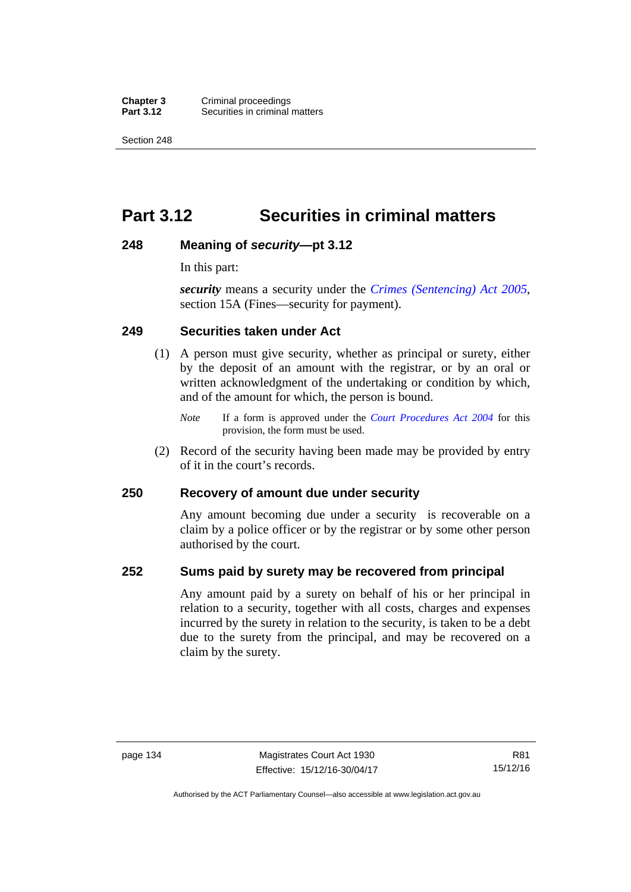**Chapter 3** Criminal proceedings<br>**Part 3.12** Securities in criminal **Securities in criminal matters** 

Section 248

# **Part 3.12 Securities in criminal matters**

### **248 Meaning of** *security***—pt 3.12**

In this part:

*security* means a security under the *[Crimes \(Sentencing\) Act 2005](http://www.legislation.act.gov.au/a/2005-58)*, section 15A (Fines—security for payment).

### **249 Securities taken under Act**

- (1) A person must give security, whether as principal or surety, either by the deposit of an amount with the registrar, or by an oral or written acknowledgment of the undertaking or condition by which, and of the amount for which, the person is bound.
	- *Note* If a form is approved under the *[Court Procedures Act 2004](http://www.legislation.act.gov.au/a/2004-59)* for this provision, the form must be used.
- (2) Record of the security having been made may be provided by entry of it in the court's records.

### **250 Recovery of amount due under security**

Any amount becoming due under a security is recoverable on a claim by a police officer or by the registrar or by some other person authorised by the court.

### **252 Sums paid by surety may be recovered from principal**

Any amount paid by a surety on behalf of his or her principal in relation to a security, together with all costs, charges and expenses incurred by the surety in relation to the security, is taken to be a debt due to the surety from the principal, and may be recovered on a claim by the surety.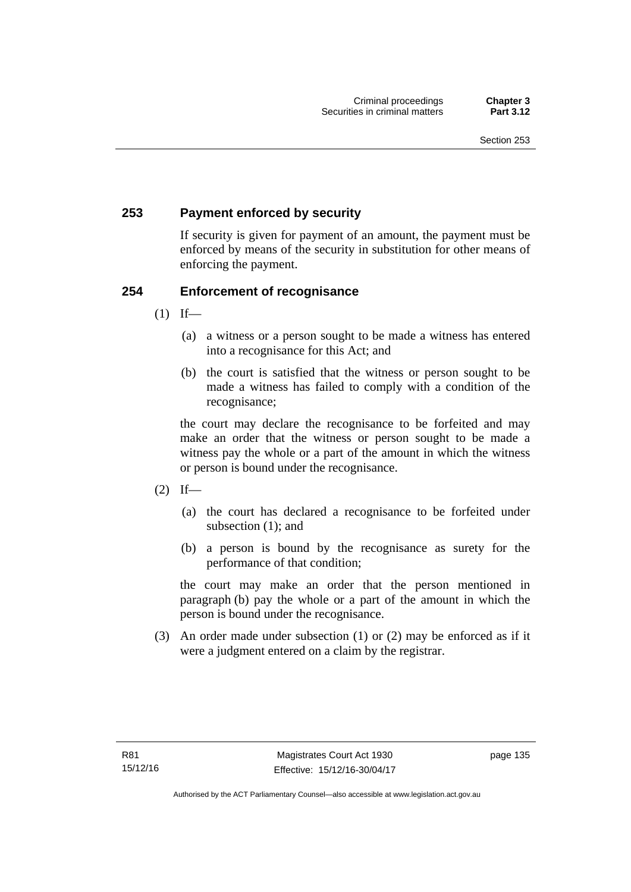### **253 Payment enforced by security**

If security is given for payment of an amount, the payment must be enforced by means of the security in substitution for other means of enforcing the payment.

### **254 Enforcement of recognisance**

- $(1)$  If—
	- (a) a witness or a person sought to be made a witness has entered into a recognisance for this Act; and
	- (b) the court is satisfied that the witness or person sought to be made a witness has failed to comply with a condition of the recognisance;

the court may declare the recognisance to be forfeited and may make an order that the witness or person sought to be made a witness pay the whole or a part of the amount in which the witness or person is bound under the recognisance.

- $(2)$  If—
	- (a) the court has declared a recognisance to be forfeited under subsection (1); and
	- (b) a person is bound by the recognisance as surety for the performance of that condition;

the court may make an order that the person mentioned in paragraph (b) pay the whole or a part of the amount in which the person is bound under the recognisance.

 (3) An order made under subsection (1) or (2) may be enforced as if it were a judgment entered on a claim by the registrar.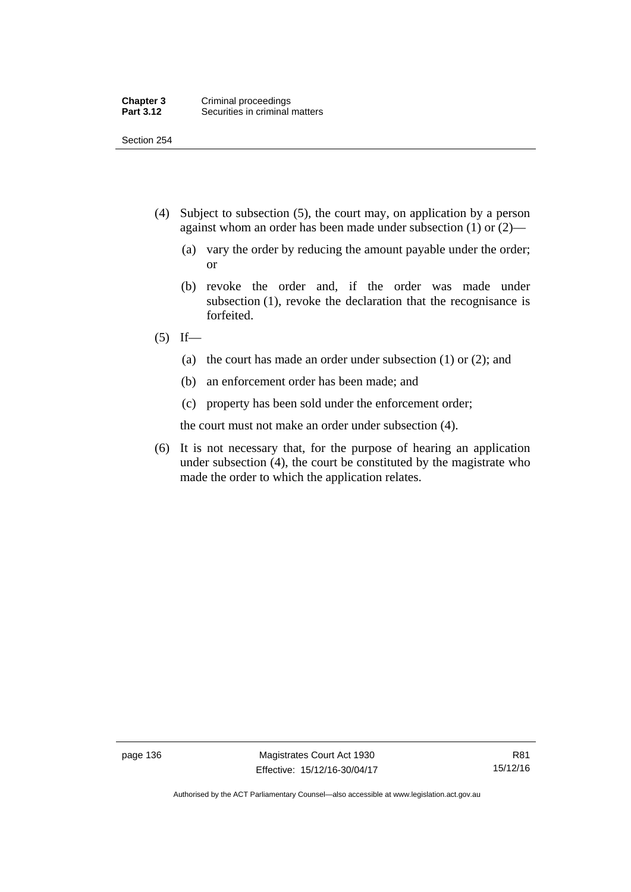Section 254

- (4) Subject to subsection (5), the court may, on application by a person against whom an order has been made under subsection (1) or (2)—
	- (a) vary the order by reducing the amount payable under the order; or
	- (b) revoke the order and, if the order was made under subsection (1), revoke the declaration that the recognisance is forfeited.
- $(5)$  If—
	- (a) the court has made an order under subsection (1) or (2); and
	- (b) an enforcement order has been made; and
	- (c) property has been sold under the enforcement order;

the court must not make an order under subsection (4).

 (6) It is not necessary that, for the purpose of hearing an application under subsection (4), the court be constituted by the magistrate who made the order to which the application relates.

page 136 Magistrates Court Act 1930 Effective: 15/12/16-30/04/17

Authorised by the ACT Parliamentary Counsel—also accessible at www.legislation.act.gov.au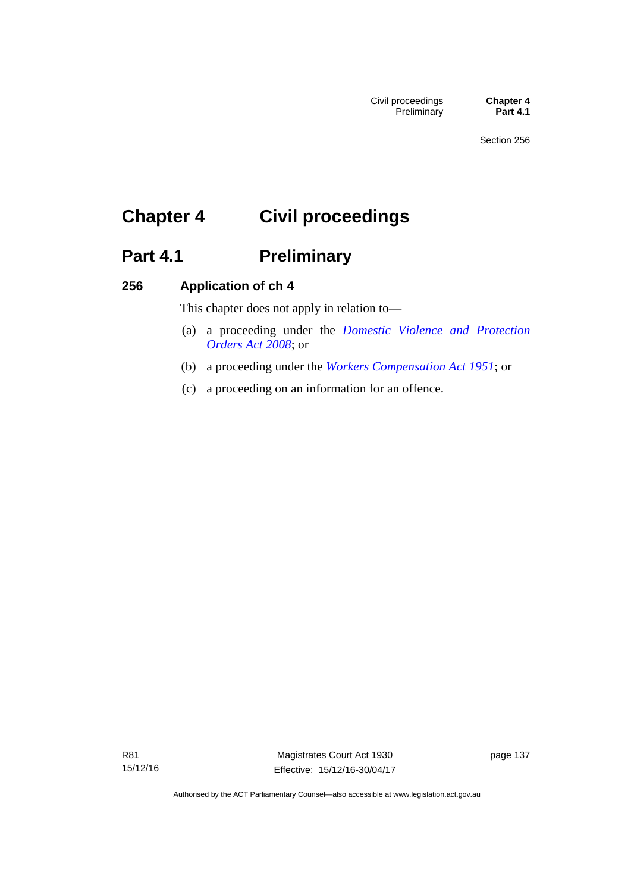# **Chapter 4 Civil proceedings**

# Part 4.1 **Preliminary**

### **256 Application of ch 4**

This chapter does not apply in relation to—

- (a) a proceeding under the *[Domestic Violence and Protection](http://www.legislation.act.gov.au/a/2008-46)  [Orders Act 2008](http://www.legislation.act.gov.au/a/2008-46)*; or
- (b) a proceeding under the *[Workers Compensation Act 1951](http://www.legislation.act.gov.au/a/1951-2)*; or
- (c) a proceeding on an information for an offence.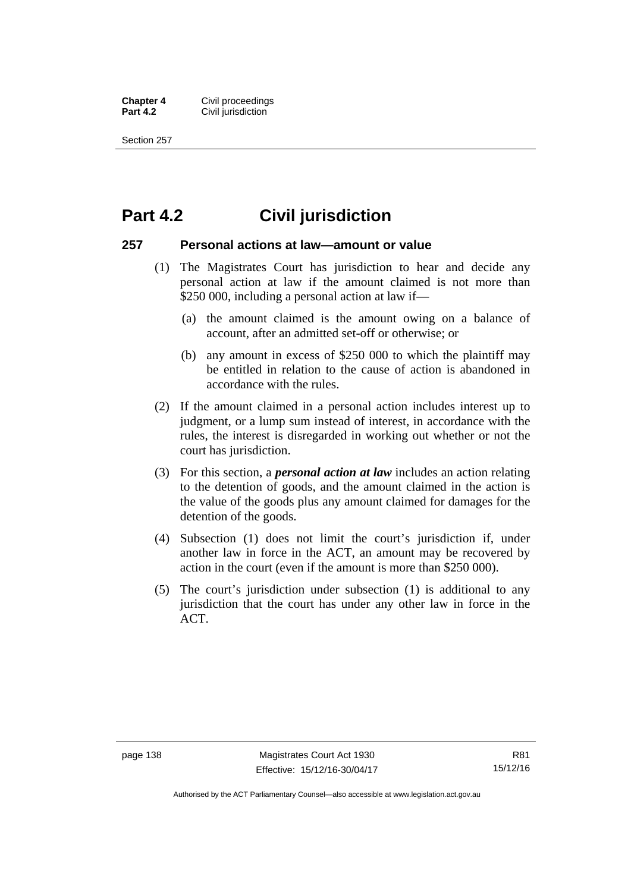**Chapter 4 Civil proceedings**<br>**Part 4.2 Civil iurisdiction Civil jurisdiction** 

Section 257

### **Part 4.2 Civil jurisdiction**

### **257 Personal actions at law—amount or value**

- (1) The Magistrates Court has jurisdiction to hear and decide any personal action at law if the amount claimed is not more than \$250 000, including a personal action at law if—
	- (a) the amount claimed is the amount owing on a balance of account, after an admitted set-off or otherwise; or
	- (b) any amount in excess of \$250 000 to which the plaintiff may be entitled in relation to the cause of action is abandoned in accordance with the rules.
- (2) If the amount claimed in a personal action includes interest up to judgment, or a lump sum instead of interest, in accordance with the rules, the interest is disregarded in working out whether or not the court has jurisdiction.
- (3) For this section, a *personal action at law* includes an action relating to the detention of goods, and the amount claimed in the action is the value of the goods plus any amount claimed for damages for the detention of the goods.
- (4) Subsection (1) does not limit the court's jurisdiction if, under another law in force in the ACT, an amount may be recovered by action in the court (even if the amount is more than \$250 000).
- (5) The court's jurisdiction under subsection (1) is additional to any jurisdiction that the court has under any other law in force in the ACT.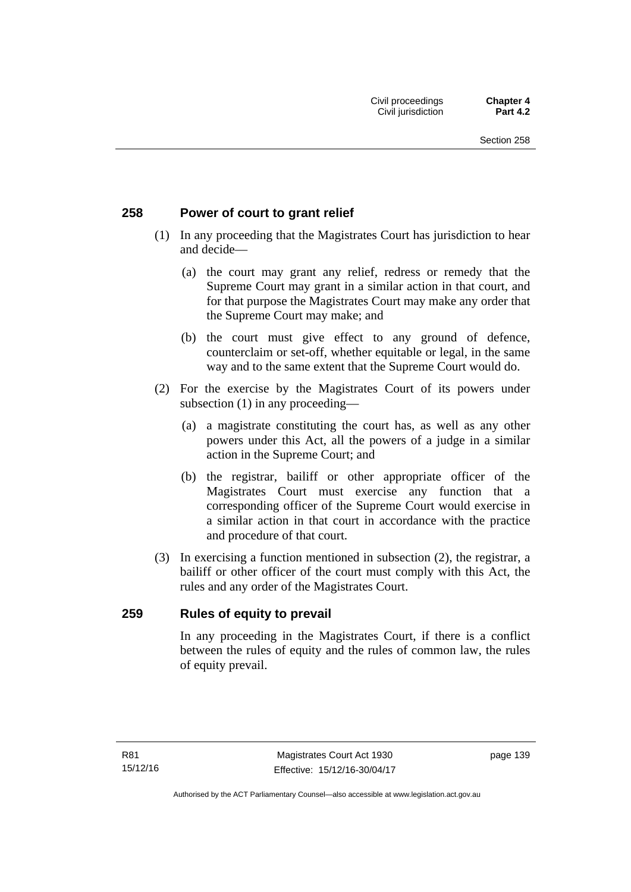### **258 Power of court to grant relief**

- (1) In any proceeding that the Magistrates Court has jurisdiction to hear and decide—
	- (a) the court may grant any relief, redress or remedy that the Supreme Court may grant in a similar action in that court, and for that purpose the Magistrates Court may make any order that the Supreme Court may make; and
	- (b) the court must give effect to any ground of defence, counterclaim or set-off, whether equitable or legal, in the same way and to the same extent that the Supreme Court would do.
- (2) For the exercise by the Magistrates Court of its powers under subsection (1) in any proceeding—
	- (a) a magistrate constituting the court has, as well as any other powers under this Act, all the powers of a judge in a similar action in the Supreme Court; and
	- (b) the registrar, bailiff or other appropriate officer of the Magistrates Court must exercise any function that a corresponding officer of the Supreme Court would exercise in a similar action in that court in accordance with the practice and procedure of that court.
- (3) In exercising a function mentioned in subsection (2), the registrar, a bailiff or other officer of the court must comply with this Act, the rules and any order of the Magistrates Court.

### **259 Rules of equity to prevail**

In any proceeding in the Magistrates Court, if there is a conflict between the rules of equity and the rules of common law, the rules of equity prevail.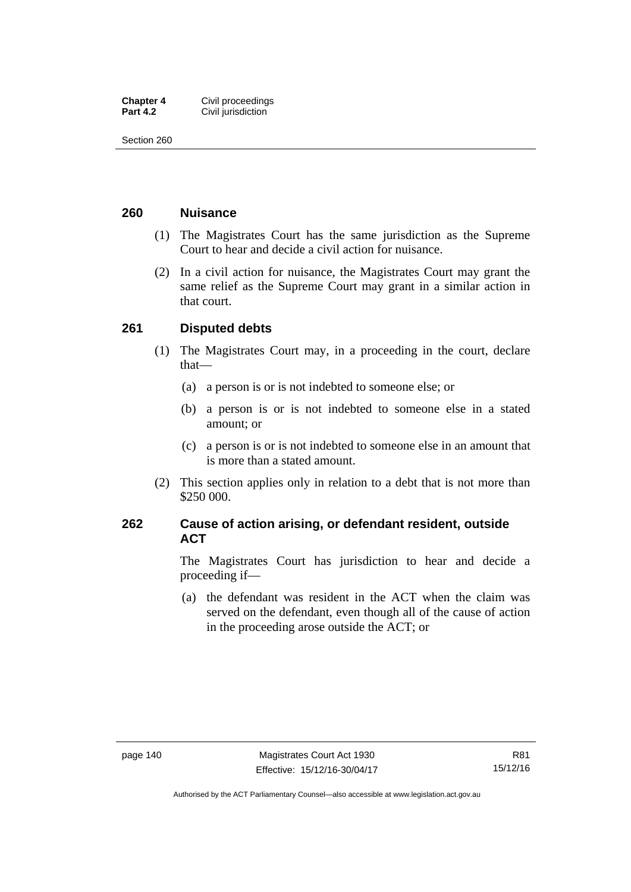| <b>Chapter 4</b> | Civil proceedings  |
|------------------|--------------------|
| <b>Part 4.2</b>  | Civil jurisdiction |

Section 260

### **260 Nuisance**

- (1) The Magistrates Court has the same jurisdiction as the Supreme Court to hear and decide a civil action for nuisance.
- (2) In a civil action for nuisance, the Magistrates Court may grant the same relief as the Supreme Court may grant in a similar action in that court.

### **261 Disputed debts**

- (1) The Magistrates Court may, in a proceeding in the court, declare that—
	- (a) a person is or is not indebted to someone else; or
	- (b) a person is or is not indebted to someone else in a stated amount; or
	- (c) a person is or is not indebted to someone else in an amount that is more than a stated amount.
- (2) This section applies only in relation to a debt that is not more than \$250 000.

### **262 Cause of action arising, or defendant resident, outside ACT**

The Magistrates Court has jurisdiction to hear and decide a proceeding if—

 (a) the defendant was resident in the ACT when the claim was served on the defendant, even though all of the cause of action in the proceeding arose outside the ACT; or

Authorised by the ACT Parliamentary Counsel—also accessible at www.legislation.act.gov.au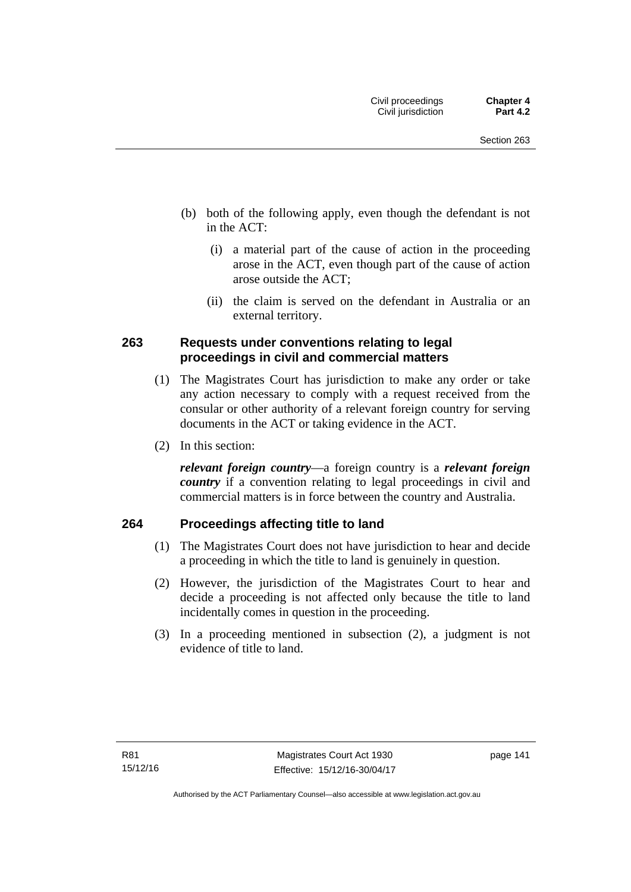- (b) both of the following apply, even though the defendant is not in the ACT:
	- (i) a material part of the cause of action in the proceeding arose in the ACT, even though part of the cause of action arose outside the ACT;
	- (ii) the claim is served on the defendant in Australia or an external territory.

### **263 Requests under conventions relating to legal proceedings in civil and commercial matters**

- (1) The Magistrates Court has jurisdiction to make any order or take any action necessary to comply with a request received from the consular or other authority of a relevant foreign country for serving documents in the ACT or taking evidence in the ACT.
- (2) In this section:

*relevant foreign country*—a foreign country is a *relevant foreign country* if a convention relating to legal proceedings in civil and commercial matters is in force between the country and Australia.

### **264 Proceedings affecting title to land**

- (1) The Magistrates Court does not have jurisdiction to hear and decide a proceeding in which the title to land is genuinely in question.
- (2) However, the jurisdiction of the Magistrates Court to hear and decide a proceeding is not affected only because the title to land incidentally comes in question in the proceeding.
- (3) In a proceeding mentioned in subsection (2), a judgment is not evidence of title to land.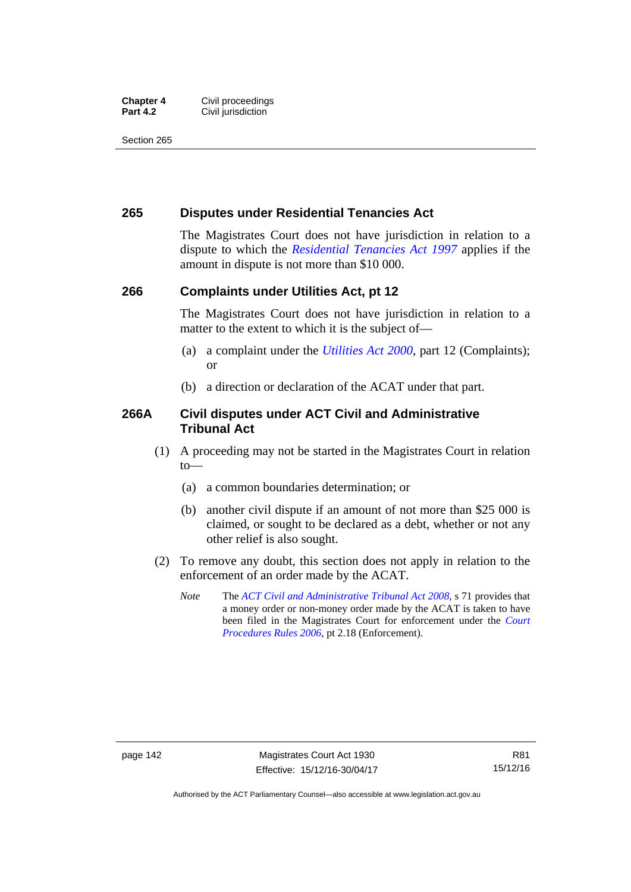#### **Chapter 4 Civil proceedings**<br>**Part 4.2 Civil iurisdiction Civil jurisdiction**

Section 265

### **265 Disputes under Residential Tenancies Act**

The Magistrates Court does not have jurisdiction in relation to a dispute to which the *[Residential Tenancies Act 1997](http://www.legislation.act.gov.au/a/1997-84)* applies if the amount in dispute is not more than \$10 000.

### **266 Complaints under Utilities Act, pt 12**

The Magistrates Court does not have jurisdiction in relation to a matter to the extent to which it is the subject of—

- (a) a complaint under the *[Utilities Act 2000](http://www.legislation.act.gov.au/a/2000-65)*, part 12 (Complaints); or
- (b) a direction or declaration of the ACAT under that part.

### **266A Civil disputes under ACT Civil and Administrative Tribunal Act**

- (1) A proceeding may not be started in the Magistrates Court in relation to—
	- (a) a common boundaries determination; or
	- (b) another civil dispute if an amount of not more than \$25 000 is claimed, or sought to be declared as a debt, whether or not any other relief is also sought.
- (2) To remove any doubt, this section does not apply in relation to the enforcement of an order made by the ACAT.
	- *Note* The *[ACT Civil and Administrative Tribunal Act 2008](http://www.legislation.act.gov.au/a/2008-35)*, s 71 provides that a money order or non-money order made by the ACAT is taken to have been filed in the Magistrates Court for enforcement under the *[Court](http://www.legislation.act.gov.au/sl/2006-29)  [Procedures Rules 2006](http://www.legislation.act.gov.au/sl/2006-29)*, pt 2.18 (Enforcement).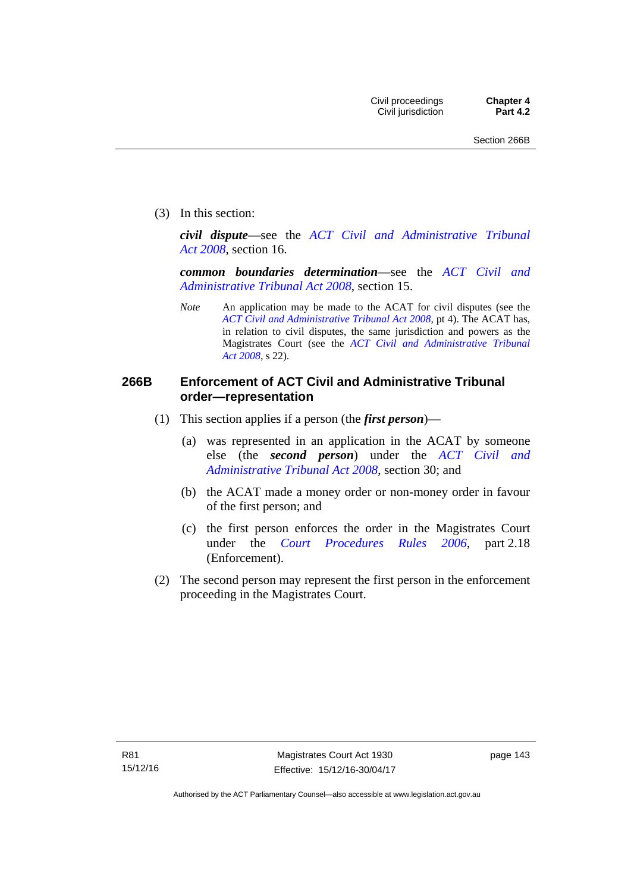(3) In this section:

*civil dispute*—see the *[ACT Civil and Administrative Tribunal](http://www.legislation.act.gov.au/a/2008-35)  [Act 2008](http://www.legislation.act.gov.au/a/2008-35)*, section 16.

*common boundaries determination*—see the *[ACT Civil and](http://www.legislation.act.gov.au/a/2008-35)  [Administrative Tribunal Act 2008](http://www.legislation.act.gov.au/a/2008-35)*, section 15.

*Note* An application may be made to the ACAT for civil disputes (see the *[ACT Civil and Administrative Tribunal Act 2008](http://www.legislation.act.gov.au/a/2008-35/default.asp)*, pt 4). The ACAT has, in relation to civil disputes, the same jurisdiction and powers as the Magistrates Court (see the *[ACT Civil and Administrative Tribunal](http://www.legislation.act.gov.au/a/2008-35)  [Act 2008](http://www.legislation.act.gov.au/a/2008-35)*, s 22).

### **266B Enforcement of ACT Civil and Administrative Tribunal order—representation**

- (1) This section applies if a person (the *first person*)—
	- (a) was represented in an application in the ACAT by someone else (the *second person*) under the *[ACT Civil and](http://www.legislation.act.gov.au/a/2008-35)  [Administrative Tribunal Act 2008](http://www.legislation.act.gov.au/a/2008-35)*, section 30; and
	- (b) the ACAT made a money order or non-money order in favour of the first person; and
	- (c) the first person enforces the order in the Magistrates Court under the *[Court Procedures Rules 2006](http://www.legislation.act.gov.au/sl/2006-29)*, part 2.18 (Enforcement).
- (2) The second person may represent the first person in the enforcement proceeding in the Magistrates Court.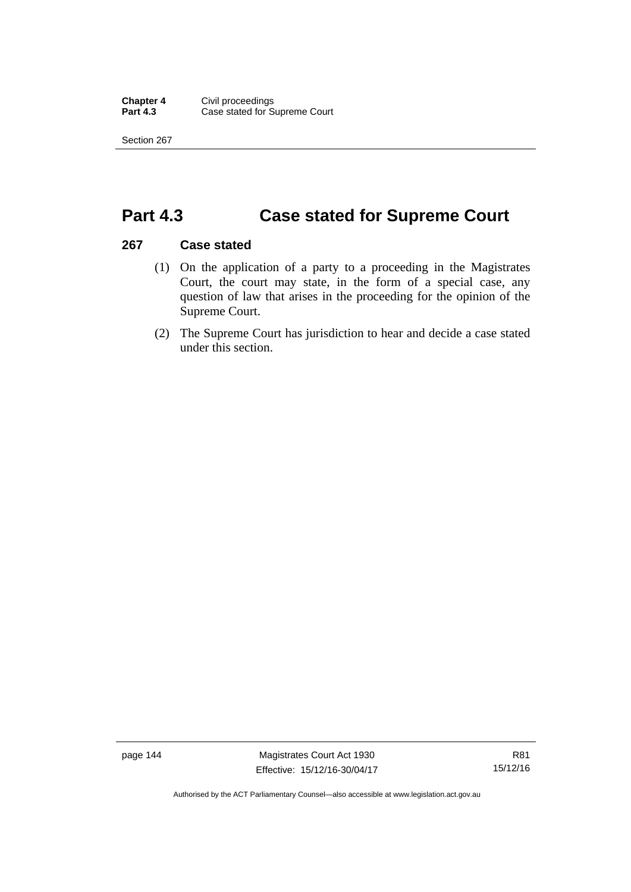Section 267

## **Part 4.3 Case stated for Supreme Court**

### **267 Case stated**

- (1) On the application of a party to a proceeding in the Magistrates Court, the court may state, in the form of a special case, any question of law that arises in the proceeding for the opinion of the Supreme Court.
- (2) The Supreme Court has jurisdiction to hear and decide a case stated under this section.

page 144 Magistrates Court Act 1930 Effective: 15/12/16-30/04/17

Authorised by the ACT Parliamentary Counsel—also accessible at www.legislation.act.gov.au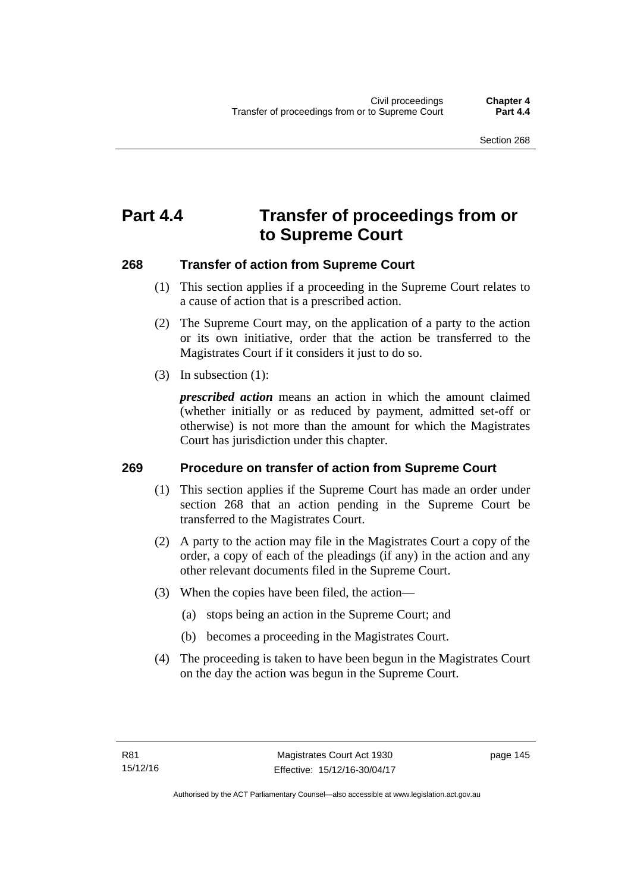# **Part 4.4 Transfer of proceedings from or to Supreme Court**

### **268 Transfer of action from Supreme Court**

- (1) This section applies if a proceeding in the Supreme Court relates to a cause of action that is a prescribed action.
- (2) The Supreme Court may, on the application of a party to the action or its own initiative, order that the action be transferred to the Magistrates Court if it considers it just to do so.
- (3) In subsection (1):

*prescribed action* means an action in which the amount claimed (whether initially or as reduced by payment, admitted set-off or otherwise) is not more than the amount for which the Magistrates Court has jurisdiction under this chapter.

### **269 Procedure on transfer of action from Supreme Court**

- (1) This section applies if the Supreme Court has made an order under section 268 that an action pending in the Supreme Court be transferred to the Magistrates Court.
- (2) A party to the action may file in the Magistrates Court a copy of the order, a copy of each of the pleadings (if any) in the action and any other relevant documents filed in the Supreme Court.
- (3) When the copies have been filed, the action—
	- (a) stops being an action in the Supreme Court; and
	- (b) becomes a proceeding in the Magistrates Court.
- (4) The proceeding is taken to have been begun in the Magistrates Court on the day the action was begun in the Supreme Court.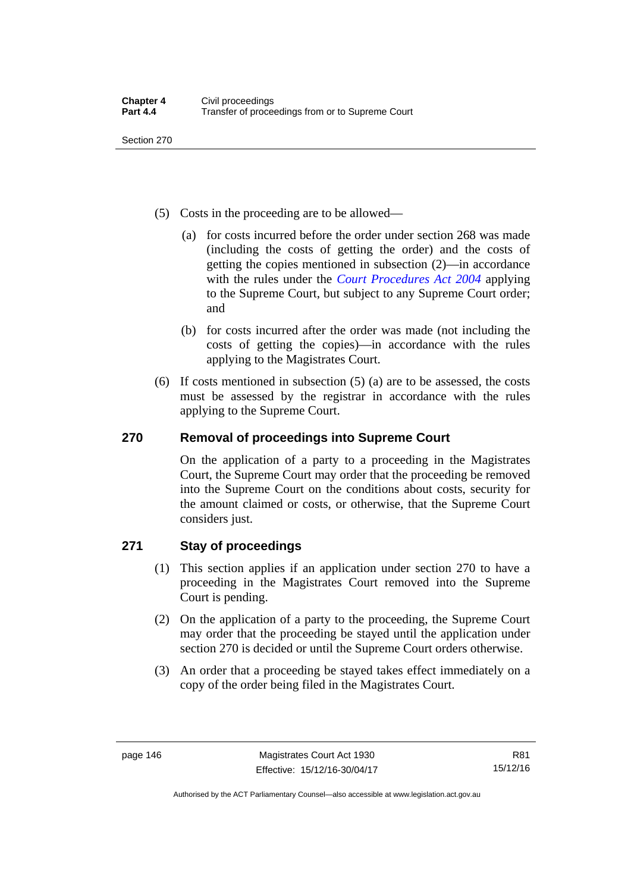Section 270

- (5) Costs in the proceeding are to be allowed—
	- (a) for costs incurred before the order under section 268 was made (including the costs of getting the order) and the costs of getting the copies mentioned in subsection (2)—in accordance with the rules under the *[Court Procedures Act 2004](http://www.legislation.act.gov.au/a/2004-59)* applying to the Supreme Court, but subject to any Supreme Court order; and
	- (b) for costs incurred after the order was made (not including the costs of getting the copies)—in accordance with the rules applying to the Magistrates Court.
- (6) If costs mentioned in subsection (5) (a) are to be assessed, the costs must be assessed by the registrar in accordance with the rules applying to the Supreme Court.

### **270 Removal of proceedings into Supreme Court**

On the application of a party to a proceeding in the Magistrates Court, the Supreme Court may order that the proceeding be removed into the Supreme Court on the conditions about costs, security for the amount claimed or costs, or otherwise, that the Supreme Court considers just.

### **271 Stay of proceedings**

- (1) This section applies if an application under section 270 to have a proceeding in the Magistrates Court removed into the Supreme Court is pending.
- (2) On the application of a party to the proceeding, the Supreme Court may order that the proceeding be stayed until the application under section 270 is decided or until the Supreme Court orders otherwise.
- (3) An order that a proceeding be stayed takes effect immediately on a copy of the order being filed in the Magistrates Court.

Authorised by the ACT Parliamentary Counsel—also accessible at www.legislation.act.gov.au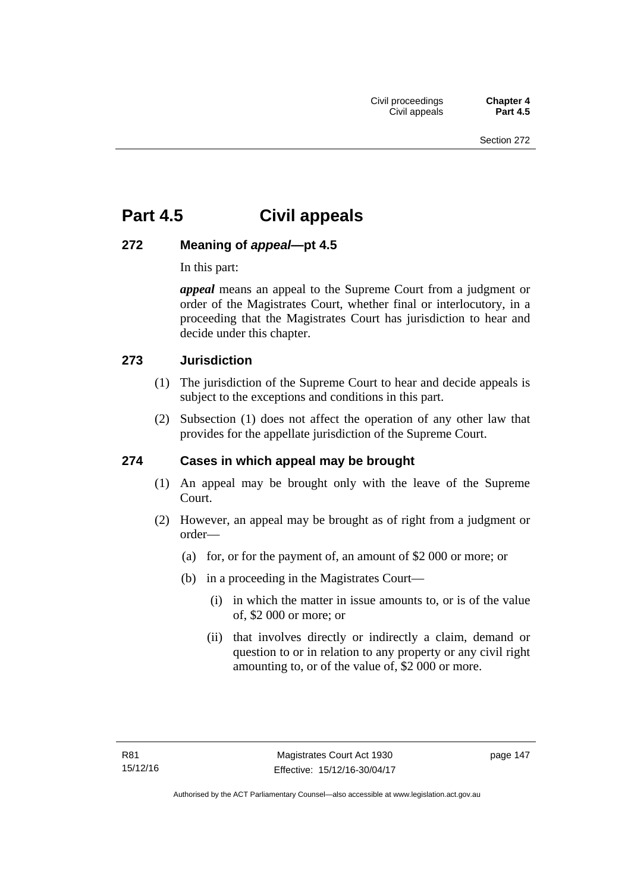# **Part 4.5 Civil appeals**

### **272 Meaning of** *appeal***—pt 4.5**

In this part:

*appeal* means an appeal to the Supreme Court from a judgment or order of the Magistrates Court, whether final or interlocutory, in a proceeding that the Magistrates Court has jurisdiction to hear and decide under this chapter.

### **273 Jurisdiction**

- (1) The jurisdiction of the Supreme Court to hear and decide appeals is subject to the exceptions and conditions in this part.
- (2) Subsection (1) does not affect the operation of any other law that provides for the appellate jurisdiction of the Supreme Court.

### **274 Cases in which appeal may be brought**

- (1) An appeal may be brought only with the leave of the Supreme Court.
- (2) However, an appeal may be brought as of right from a judgment or order—
	- (a) for, or for the payment of, an amount of \$2 000 or more; or
	- (b) in a proceeding in the Magistrates Court—
		- (i) in which the matter in issue amounts to, or is of the value of, \$2 000 or more; or
		- (ii) that involves directly or indirectly a claim, demand or question to or in relation to any property or any civil right amounting to, or of the value of, \$2 000 or more.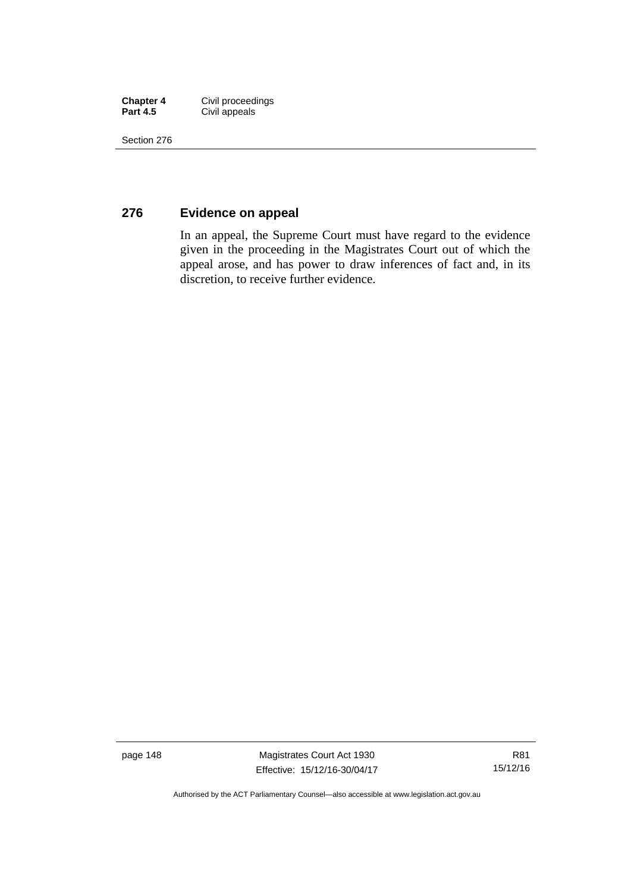| <b>Chapter 4</b> | Civil proceedings |
|------------------|-------------------|
| <b>Part 4.5</b>  | Civil appeals     |

Section 276

### **276 Evidence on appeal**

In an appeal, the Supreme Court must have regard to the evidence given in the proceeding in the Magistrates Court out of which the appeal arose, and has power to draw inferences of fact and, in its discretion, to receive further evidence.

page 148 Magistrates Court Act 1930 Effective: 15/12/16-30/04/17

Authorised by the ACT Parliamentary Counsel—also accessible at www.legislation.act.gov.au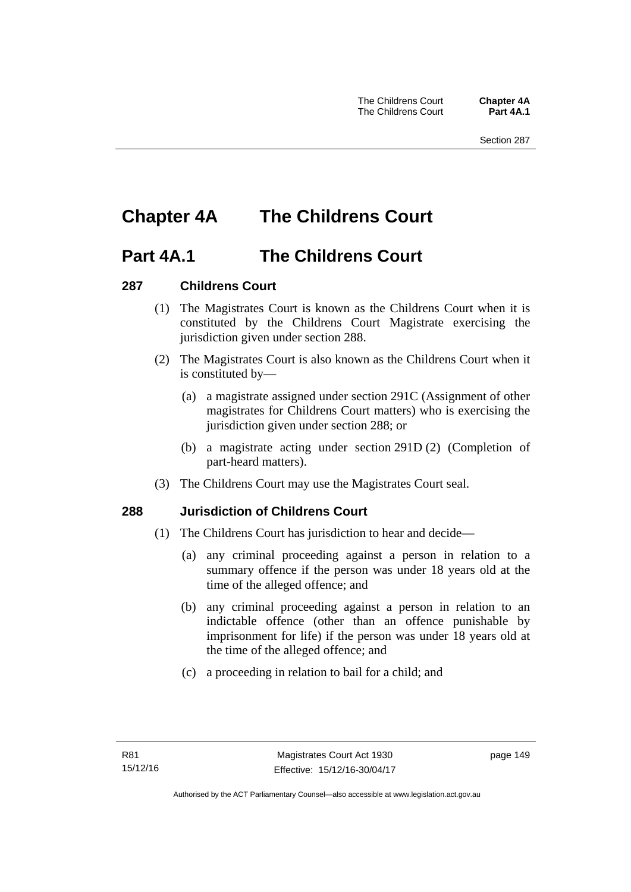# **Chapter 4A The Childrens Court**

### **Part 4A.1 The Childrens Court**

### **287 Childrens Court**

- (1) The Magistrates Court is known as the Childrens Court when it is constituted by the Childrens Court Magistrate exercising the jurisdiction given under section 288.
- (2) The Magistrates Court is also known as the Childrens Court when it is constituted by—
	- (a) a magistrate assigned under section 291C (Assignment of other magistrates for Childrens Court matters) who is exercising the jurisdiction given under section 288; or
	- (b) a magistrate acting under section 291D (2) (Completion of part-heard matters).
- (3) The Childrens Court may use the Magistrates Court seal.

### **288 Jurisdiction of Childrens Court**

- (1) The Childrens Court has jurisdiction to hear and decide—
	- (a) any criminal proceeding against a person in relation to a summary offence if the person was under 18 years old at the time of the alleged offence; and
	- (b) any criminal proceeding against a person in relation to an indictable offence (other than an offence punishable by imprisonment for life) if the person was under 18 years old at the time of the alleged offence; and
	- (c) a proceeding in relation to bail for a child; and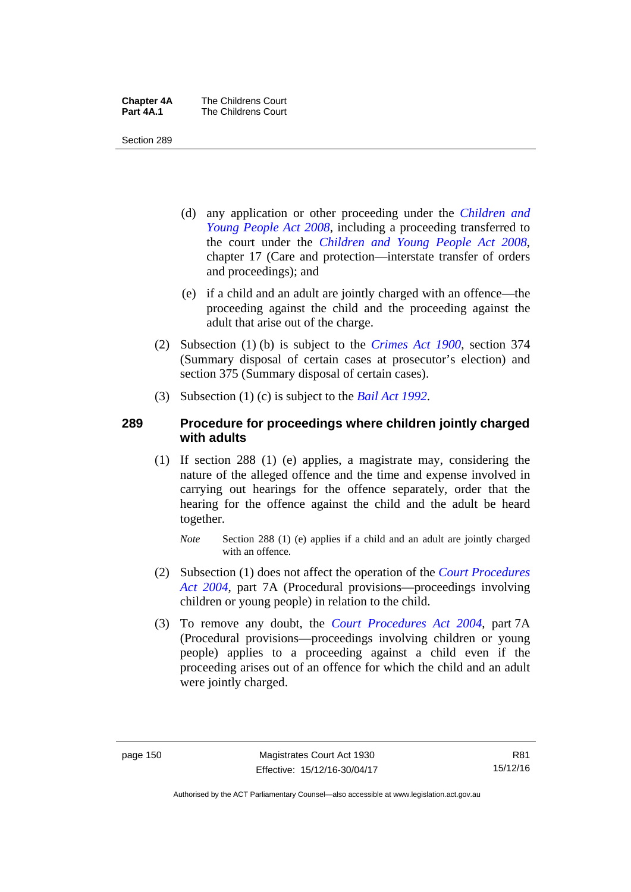| <b>Chapter 4A</b> | The Childrens Court |
|-------------------|---------------------|
| Part 4A.1         | The Childrens Court |

Section 289

- (d) any application or other proceeding under the *[Children and](http://www.legislation.act.gov.au/a/2008-19)  [Young People Act 2008](http://www.legislation.act.gov.au/a/2008-19)*, including a proceeding transferred to the court under the *[Children and Young People Act 2008](http://www.legislation.act.gov.au/a/2008-19)*, chapter 17 (Care and protection—interstate transfer of orders and proceedings); and
- (e) if a child and an adult are jointly charged with an offence—the proceeding against the child and the proceeding against the adult that arise out of the charge.
- (2) Subsection (1) (b) is subject to the *[Crimes Act 1900](http://www.legislation.act.gov.au/a/1900-40)*, section 374 (Summary disposal of certain cases at prosecutor's election) and section 375 (Summary disposal of certain cases).
- (3) Subsection (1) (c) is subject to the *[Bail Act 1992](http://www.legislation.act.gov.au/a/1992-8)*.

### **289 Procedure for proceedings where children jointly charged with adults**

- (1) If section 288 (1) (e) applies, a magistrate may, considering the nature of the alleged offence and the time and expense involved in carrying out hearings for the offence separately, order that the hearing for the offence against the child and the adult be heard together.
	- *Note* Section 288 (1) (e) applies if a child and an adult are jointly charged with an offence.
- (2) Subsection (1) does not affect the operation of the *[Court Procedures](http://www.legislation.act.gov.au/a/2004-59)  [Act 2004](http://www.legislation.act.gov.au/a/2004-59)*, part 7A (Procedural provisions—proceedings involving children or young people) in relation to the child.
- (3) To remove any doubt, the *[Court Procedures Act 2004](http://www.legislation.act.gov.au/a/2004-59)*, part 7A (Procedural provisions—proceedings involving children or young people) applies to a proceeding against a child even if the proceeding arises out of an offence for which the child and an adult were jointly charged.

Authorised by the ACT Parliamentary Counsel—also accessible at www.legislation.act.gov.au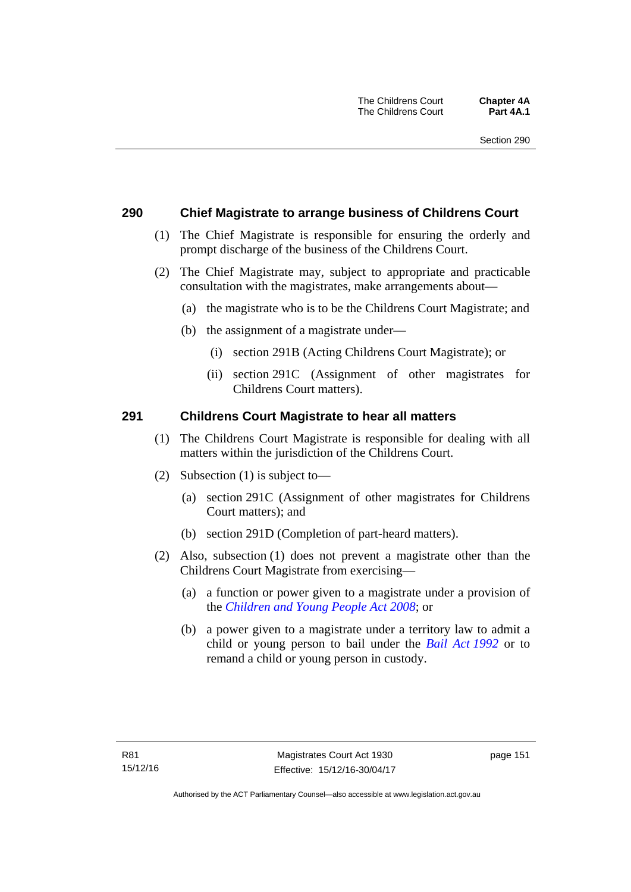### **290 Chief Magistrate to arrange business of Childrens Court**

- (1) The Chief Magistrate is responsible for ensuring the orderly and prompt discharge of the business of the Childrens Court.
- (2) The Chief Magistrate may, subject to appropriate and practicable consultation with the magistrates, make arrangements about—
	- (a) the magistrate who is to be the Childrens Court Magistrate; and
	- (b) the assignment of a magistrate under—
		- (i) section 291B (Acting Childrens Court Magistrate); or
		- (ii) section 291C (Assignment of other magistrates for Childrens Court matters).

### **291 Childrens Court Magistrate to hear all matters**

- (1) The Childrens Court Magistrate is responsible for dealing with all matters within the jurisdiction of the Childrens Court.
- (2) Subsection (1) is subject to—
	- (a) section 291C (Assignment of other magistrates for Childrens Court matters); and
	- (b) section 291D (Completion of part-heard matters).
- (2) Also, subsection (1) does not prevent a magistrate other than the Childrens Court Magistrate from exercising—
	- (a) a function or power given to a magistrate under a provision of the *[Children and Young People Act 2008](http://www.legislation.act.gov.au/a/2008-19)*; or
	- (b) a power given to a magistrate under a territory law to admit a child or young person to bail under the *[Bail Act 1992](http://www.legislation.act.gov.au/a/1992-8)* or to remand a child or young person in custody.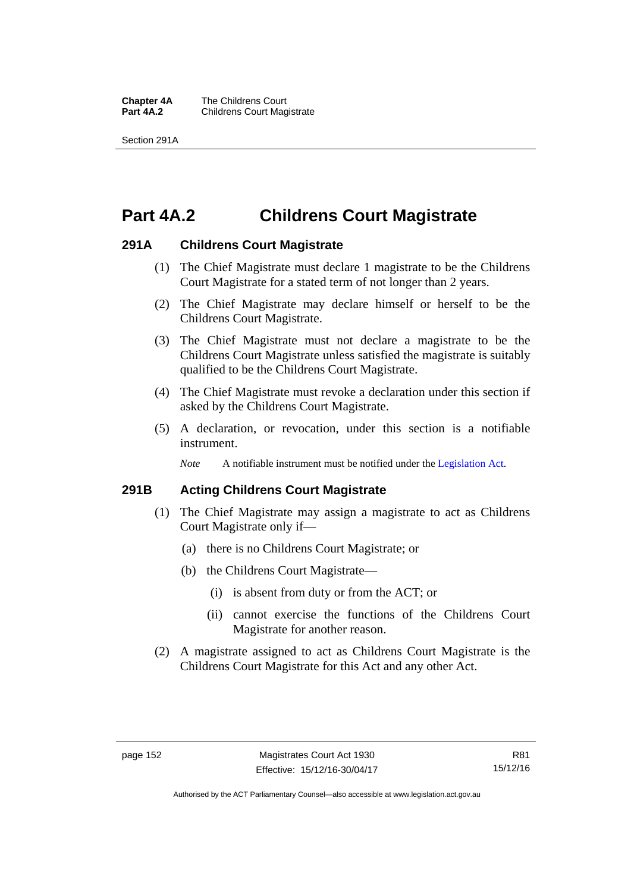**Chapter 4A** The Childrens Court<br>**Part 4A.2** Childrens Court Mag **Childrens Court Magistrate** 

Section 291A

# **Part 4A.2 Childrens Court Magistrate**

### **291A Childrens Court Magistrate**

- (1) The Chief Magistrate must declare 1 magistrate to be the Childrens Court Magistrate for a stated term of not longer than 2 years.
- (2) The Chief Magistrate may declare himself or herself to be the Childrens Court Magistrate.
- (3) The Chief Magistrate must not declare a magistrate to be the Childrens Court Magistrate unless satisfied the magistrate is suitably qualified to be the Childrens Court Magistrate.
- (4) The Chief Magistrate must revoke a declaration under this section if asked by the Childrens Court Magistrate.
- (5) A declaration, or revocation, under this section is a notifiable instrument.

*Note* A notifiable instrument must be notified under the [Legislation Act](http://www.legislation.act.gov.au/a/2001-14).

### **291B Acting Childrens Court Magistrate**

- (1) The Chief Magistrate may assign a magistrate to act as Childrens Court Magistrate only if—
	- (a) there is no Childrens Court Magistrate; or
	- (b) the Childrens Court Magistrate—
		- (i) is absent from duty or from the ACT; or
		- (ii) cannot exercise the functions of the Childrens Court Magistrate for another reason.
- (2) A magistrate assigned to act as Childrens Court Magistrate is the Childrens Court Magistrate for this Act and any other Act.

Authorised by the ACT Parliamentary Counsel—also accessible at www.legislation.act.gov.au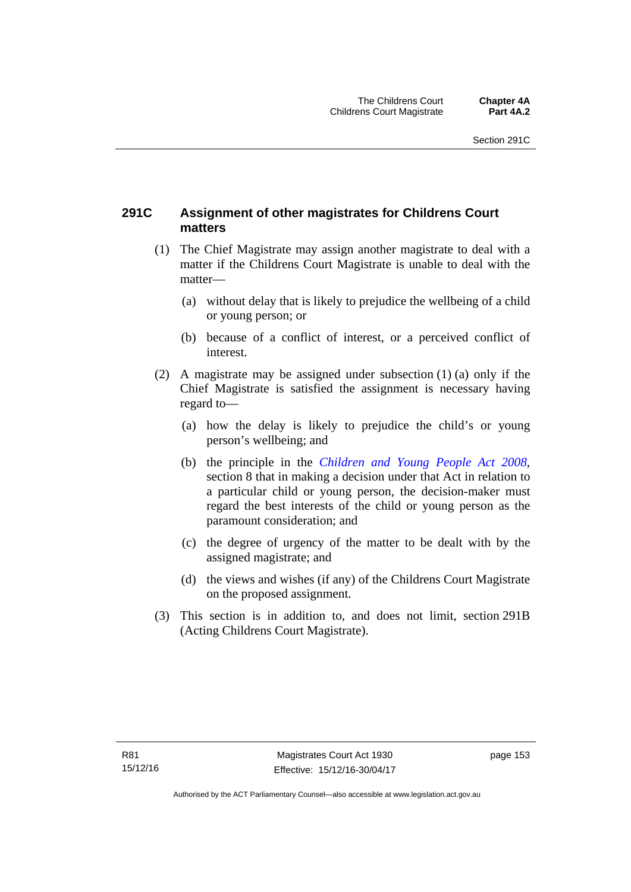### **291C Assignment of other magistrates for Childrens Court matters**

- (1) The Chief Magistrate may assign another magistrate to deal with a matter if the Childrens Court Magistrate is unable to deal with the matter—
	- (a) without delay that is likely to prejudice the wellbeing of a child or young person; or
	- (b) because of a conflict of interest, or a perceived conflict of interest.
- (2) A magistrate may be assigned under subsection (1) (a) only if the Chief Magistrate is satisfied the assignment is necessary having regard to—
	- (a) how the delay is likely to prejudice the child's or young person's wellbeing; and
	- (b) the principle in the *[Children and Young People Act 2008](http://www.legislation.act.gov.au/a/2008-19)*, section 8 that in making a decision under that Act in relation to a particular child or young person, the decision-maker must regard the best interests of the child or young person as the paramount consideration; and
	- (c) the degree of urgency of the matter to be dealt with by the assigned magistrate; and
	- (d) the views and wishes (if any) of the Childrens Court Magistrate on the proposed assignment.
- (3) This section is in addition to, and does not limit, section 291B (Acting Childrens Court Magistrate).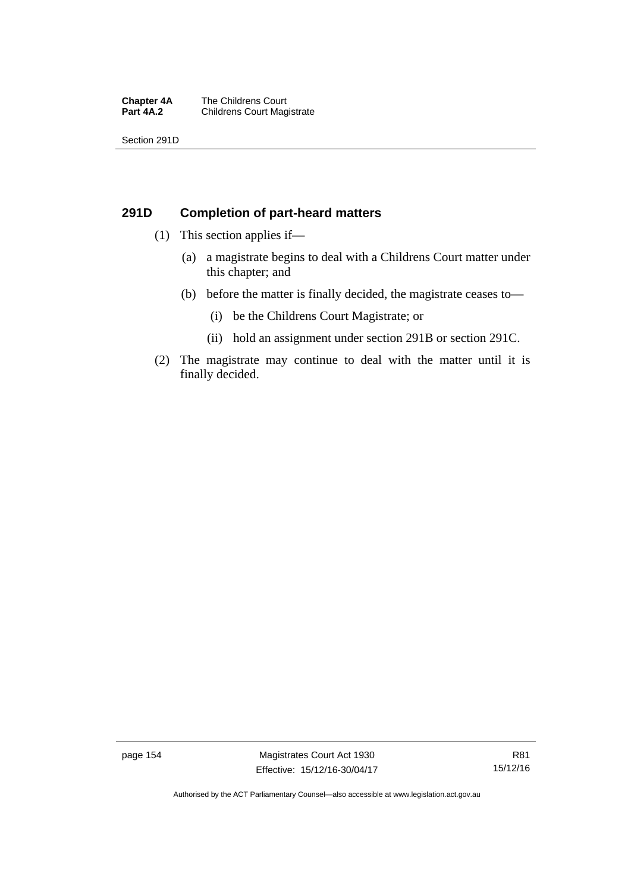#### **Chapter 4A** The Childrens Court<br>**Part 4A.2** Childrens Court Mag **Childrens Court Magistrate**

Section 291D

### **291D Completion of part-heard matters**

- (1) This section applies if—
	- (a) a magistrate begins to deal with a Childrens Court matter under this chapter; and
	- (b) before the matter is finally decided, the magistrate ceases to—
		- (i) be the Childrens Court Magistrate; or
		- (ii) hold an assignment under section 291B or section 291C.
- (2) The magistrate may continue to deal with the matter until it is finally decided.

page 154 Magistrates Court Act 1930 Effective: 15/12/16-30/04/17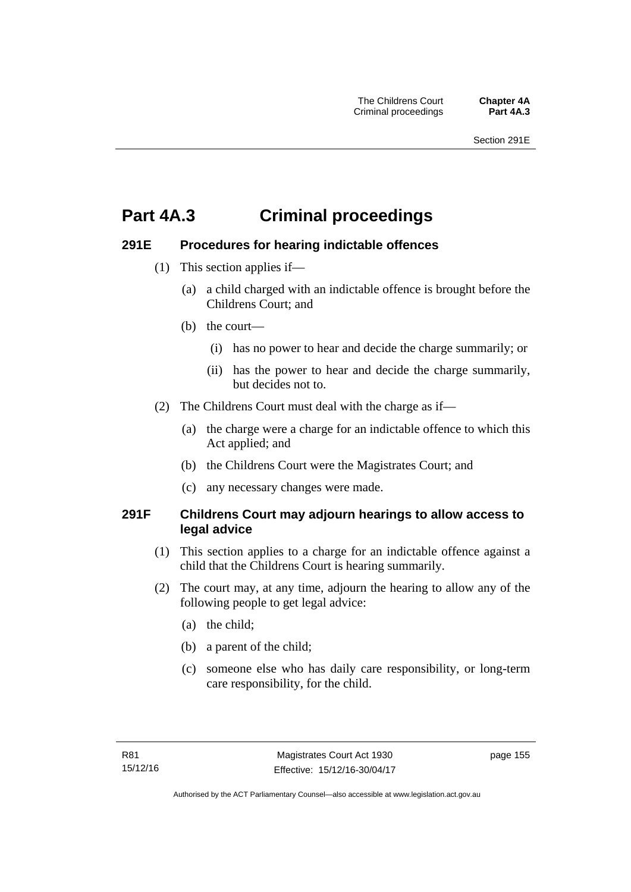# **Part 4A.3 Criminal proceedings**

### **291E Procedures for hearing indictable offences**

- (1) This section applies if—
	- (a) a child charged with an indictable offence is brought before the Childrens Court; and
	- (b) the court—
		- (i) has no power to hear and decide the charge summarily; or
		- (ii) has the power to hear and decide the charge summarily, but decides not to.
- (2) The Childrens Court must deal with the charge as if—
	- (a) the charge were a charge for an indictable offence to which this Act applied; and
	- (b) the Childrens Court were the Magistrates Court; and
	- (c) any necessary changes were made.

### **291F Childrens Court may adjourn hearings to allow access to legal advice**

- (1) This section applies to a charge for an indictable offence against a child that the Childrens Court is hearing summarily.
- (2) The court may, at any time, adjourn the hearing to allow any of the following people to get legal advice:
	- (a) the child;
	- (b) a parent of the child;
	- (c) someone else who has daily care responsibility, or long-term care responsibility, for the child.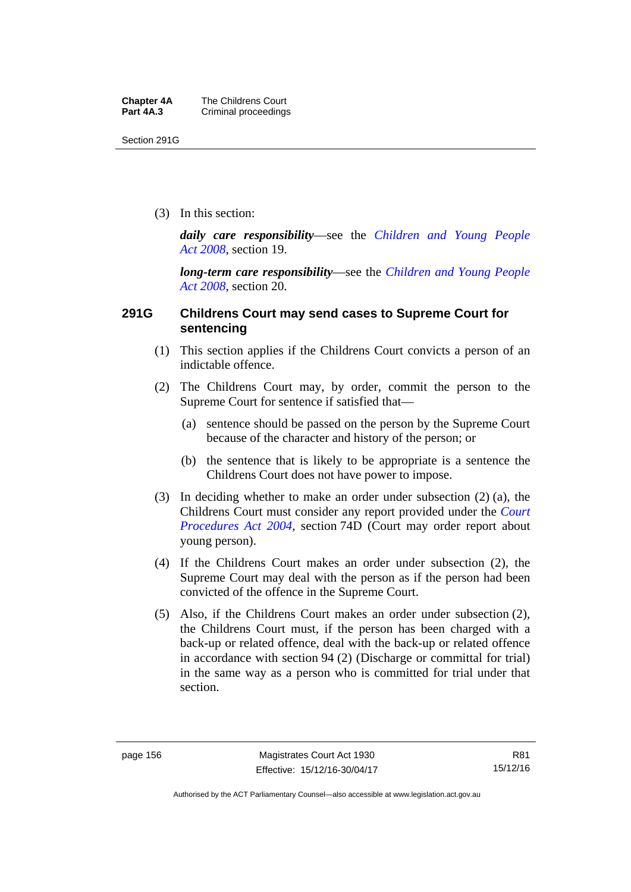Section 291G

(3) In this section:

*daily care responsibility*—see the *[Children and Young People](http://www.legislation.act.gov.au/a/2008-19)  [Act 2008](http://www.legislation.act.gov.au/a/2008-19)*, section 19.

*long-term care responsibility*—see the *[Children and Young People](http://www.legislation.act.gov.au/a/2008-19)  [Act 2008](http://www.legislation.act.gov.au/a/2008-19)*, section 20.

### **291G Childrens Court may send cases to Supreme Court for sentencing**

- (1) This section applies if the Childrens Court convicts a person of an indictable offence.
- (2) The Childrens Court may, by order, commit the person to the Supreme Court for sentence if satisfied that—
	- (a) sentence should be passed on the person by the Supreme Court because of the character and history of the person; or
	- (b) the sentence that is likely to be appropriate is a sentence the Childrens Court does not have power to impose.
- (3) In deciding whether to make an order under subsection (2) (a), the Childrens Court must consider any report provided under the *[Court](http://www.legislation.act.gov.au/a/2004-59)  [Procedures Act 2004](http://www.legislation.act.gov.au/a/2004-59)*, section 74D (Court may order report about young person).
- (4) If the Childrens Court makes an order under subsection (2), the Supreme Court may deal with the person as if the person had been convicted of the offence in the Supreme Court.
- (5) Also, if the Childrens Court makes an order under subsection (2), the Childrens Court must, if the person has been charged with a back-up or related offence, deal with the back-up or related offence in accordance with section 94 (2) (Discharge or committal for trial) in the same way as a person who is committed for trial under that section.

Authorised by the ACT Parliamentary Counsel—also accessible at www.legislation.act.gov.au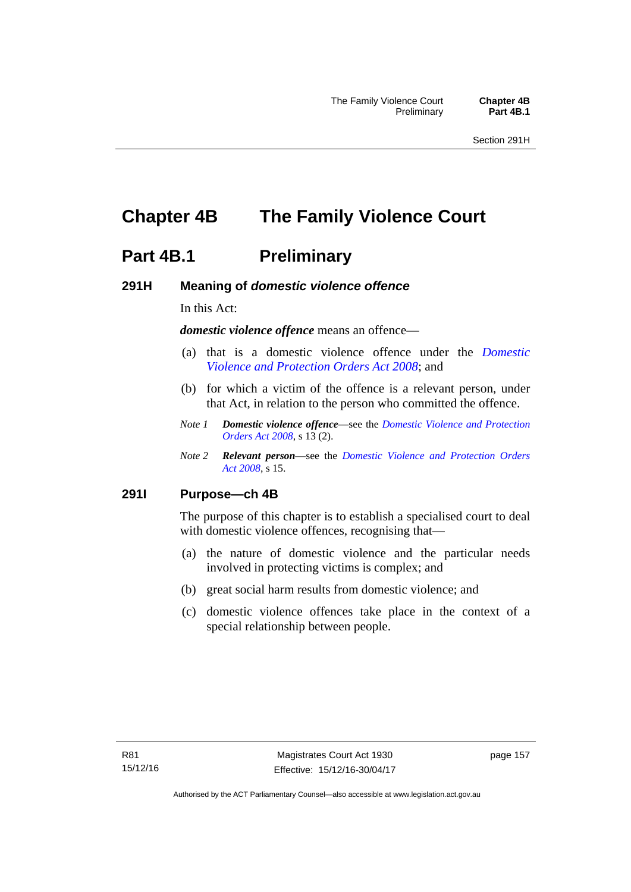# **Chapter 4B The Family Violence Court**

### **Part 4B.1** Preliminary

### **291H Meaning of** *domestic violence offence*

In this Act:

*domestic violence offence* means an offence—

- (a) that is a domestic violence offence under the *[Domestic](http://www.legislation.act.gov.au/a/2008-46)  [Violence and Protection Orders Act 2008](http://www.legislation.act.gov.au/a/2008-46)*; and
- (b) for which a victim of the offence is a relevant person, under that Act, in relation to the person who committed the offence.
- *Note 1 Domestic violence offence*—see the *[Domestic Violence and Protection](http://www.legislation.act.gov.au/a/2008-46)  [Orders Act 2008](http://www.legislation.act.gov.au/a/2008-46)*, s 13 (2).
- *Note 2 Relevant person*—see the *[Domestic Violence and Protection Orders](http://www.legislation.act.gov.au/a/2008-46)  [Act 2008](http://www.legislation.act.gov.au/a/2008-46)*, s 15.

### **291I Purpose—ch 4B**

The purpose of this chapter is to establish a specialised court to deal with domestic violence offences, recognising that—

- (a) the nature of domestic violence and the particular needs involved in protecting victims is complex; and
- (b) great social harm results from domestic violence; and
- (c) domestic violence offences take place in the context of a special relationship between people.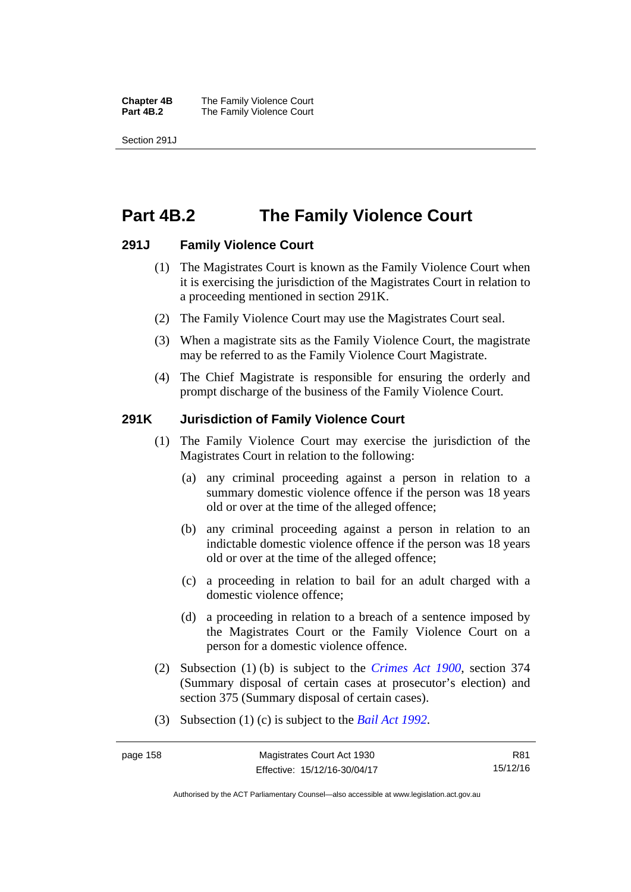**Chapter 4B** The Family Violence Court **Part 4B.2 The Family Violence Court** 

Section 291J

## **Part 4B.2 The Family Violence Court**

### **291J Family Violence Court**

- (1) The Magistrates Court is known as the Family Violence Court when it is exercising the jurisdiction of the Magistrates Court in relation to a proceeding mentioned in section 291K.
- (2) The Family Violence Court may use the Magistrates Court seal.
- (3) When a magistrate sits as the Family Violence Court, the magistrate may be referred to as the Family Violence Court Magistrate.
- (4) The Chief Magistrate is responsible for ensuring the orderly and prompt discharge of the business of the Family Violence Court.

### **291K Jurisdiction of Family Violence Court**

- (1) The Family Violence Court may exercise the jurisdiction of the Magistrates Court in relation to the following:
	- (a) any criminal proceeding against a person in relation to a summary domestic violence offence if the person was 18 years old or over at the time of the alleged offence;
	- (b) any criminal proceeding against a person in relation to an indictable domestic violence offence if the person was 18 years old or over at the time of the alleged offence;
	- (c) a proceeding in relation to bail for an adult charged with a domestic violence offence;
	- (d) a proceeding in relation to a breach of a sentence imposed by the Magistrates Court or the Family Violence Court on a person for a domestic violence offence.
- (2) Subsection (1) (b) is subject to the *[Crimes Act 1900](http://www.legislation.act.gov.au/a/1900-40)*, section 374 (Summary disposal of certain cases at prosecutor's election) and section 375 (Summary disposal of certain cases).
- (3) Subsection (1) (c) is subject to the *[Bail Act 1992](http://www.legislation.act.gov.au/a/1992-8)*.

R81 15/12/16

Authorised by the ACT Parliamentary Counsel—also accessible at www.legislation.act.gov.au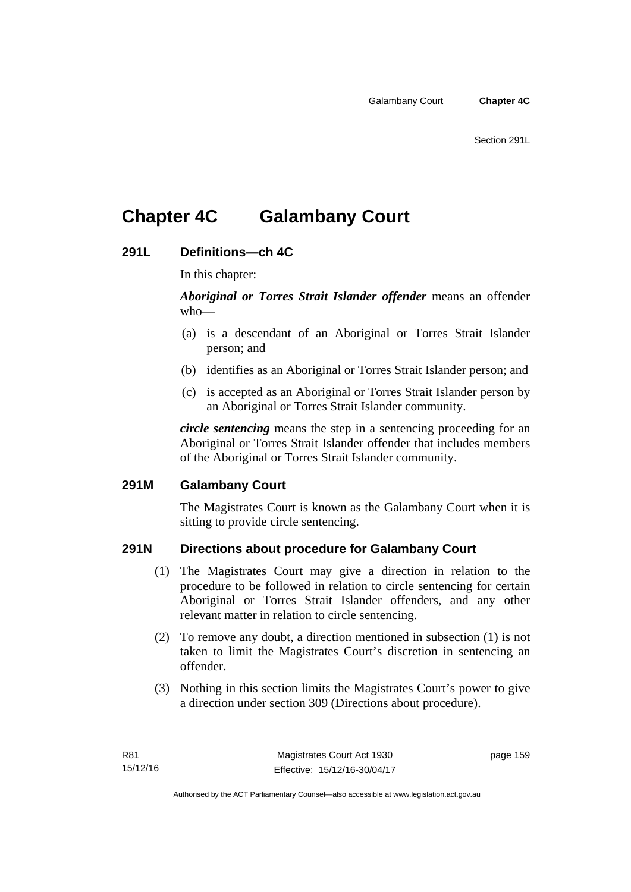# **Chapter 4C Galambany Court**

### **291L Definitions—ch 4C**

In this chapter:

*Aboriginal or Torres Strait Islander offender* means an offender who—

- (a) is a descendant of an Aboriginal or Torres Strait Islander person; and
- (b) identifies as an Aboriginal or Torres Strait Islander person; and
- (c) is accepted as an Aboriginal or Torres Strait Islander person by an Aboriginal or Torres Strait Islander community.

*circle sentencing* means the step in a sentencing proceeding for an Aboriginal or Torres Strait Islander offender that includes members of the Aboriginal or Torres Strait Islander community.

### **291M Galambany Court**

The Magistrates Court is known as the Galambany Court when it is sitting to provide circle sentencing.

### **291N Directions about procedure for Galambany Court**

- (1) The Magistrates Court may give a direction in relation to the procedure to be followed in relation to circle sentencing for certain Aboriginal or Torres Strait Islander offenders, and any other relevant matter in relation to circle sentencing.
- (2) To remove any doubt, a direction mentioned in subsection (1) is not taken to limit the Magistrates Court's discretion in sentencing an offender.
- (3) Nothing in this section limits the Magistrates Court's power to give a direction under section 309 (Directions about procedure).

page 159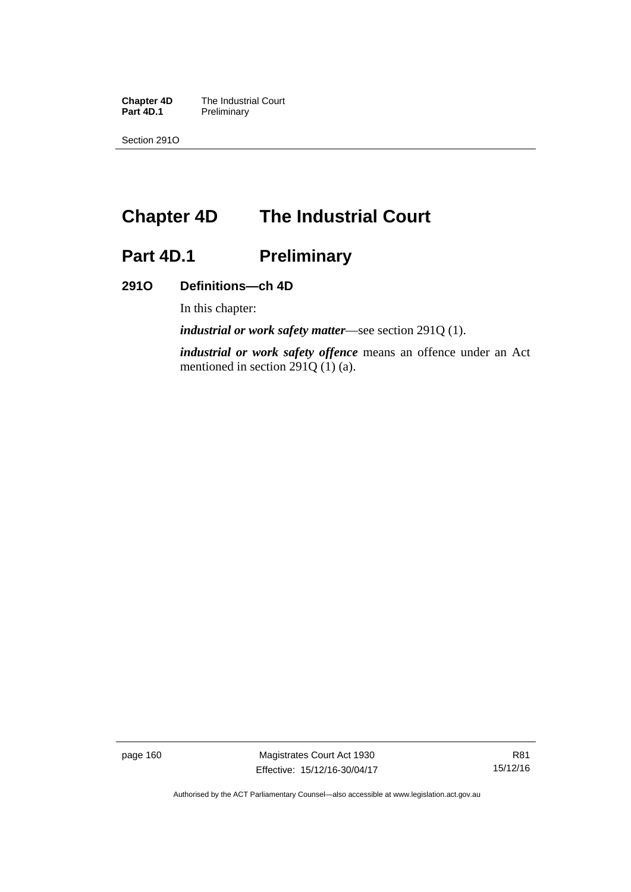**Chapter 4D** The Industrial Court<br>**Part 4D.1** Preliminary **Preliminary** 

Section 291O

# **Chapter 4D The Industrial Court**

# Part 4D.1 **Preliminary**

### **291O Definitions—ch 4D**

In this chapter:

*industrial or work safety matter*—see section 291Q (1).

*industrial or work safety offence* means an offence under an Act mentioned in section 291Q (1) (a).

page 160 Magistrates Court Act 1930 Effective: 15/12/16-30/04/17

Authorised by the ACT Parliamentary Counsel—also accessible at www.legislation.act.gov.au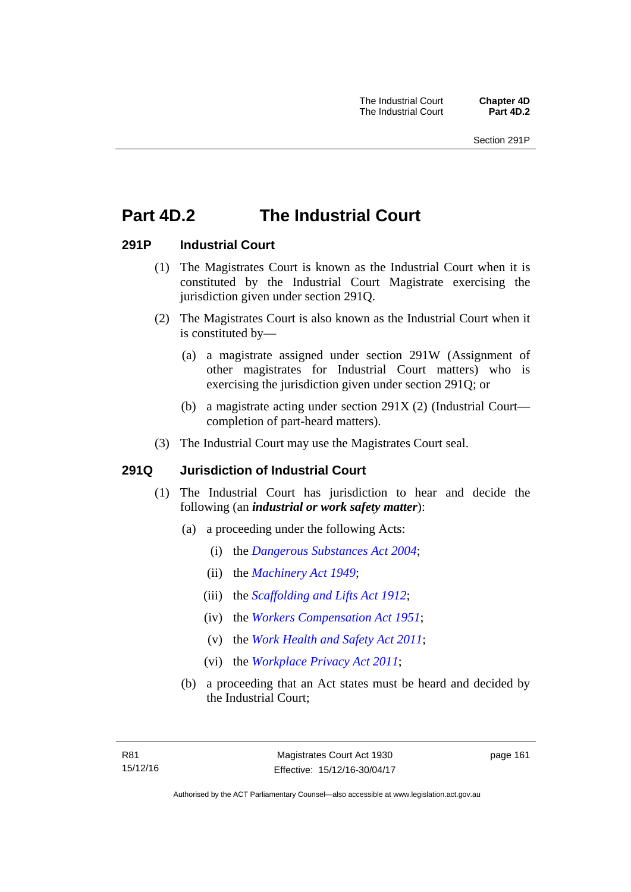# **Part 4D.2 The Industrial Court**

### **291P Industrial Court**

- (1) The Magistrates Court is known as the Industrial Court when it is constituted by the Industrial Court Magistrate exercising the jurisdiction given under section 291Q.
- (2) The Magistrates Court is also known as the Industrial Court when it is constituted by—
	- (a) a magistrate assigned under section 291W (Assignment of other magistrates for Industrial Court matters) who is exercising the jurisdiction given under section 291Q; or
	- (b) a magistrate acting under section 291X (2) (Industrial Court completion of part-heard matters).
- (3) The Industrial Court may use the Magistrates Court seal.

### **291Q Jurisdiction of Industrial Court**

- (1) The Industrial Court has jurisdiction to hear and decide the following (an *industrial or work safety matter*):
	- (a) a proceeding under the following Acts:
		- (i) the *[Dangerous Substances Act 2004](http://www.legislation.act.gov.au/a/2004-7)*;
		- (ii) the *[Machinery Act 1949](http://www.legislation.act.gov.au/a/1949-11)*;
		- (iii) the *[Scaffolding and Lifts Act 1912](http://www.legislation.act.gov.au/a/1912-38)*;
		- (iv) the *[Workers Compensation Act 1951](http://www.legislation.act.gov.au/a/1951-2)*;
		- (v) the *[Work Health and Safety Act 2011](http://www.legislation.act.gov.au/a/2011-35)*;
		- (vi) the *[Workplace Privacy Act 2011](http://www.legislation.act.gov.au/a/2011-4)*;
	- (b) a proceeding that an Act states must be heard and decided by the Industrial Court;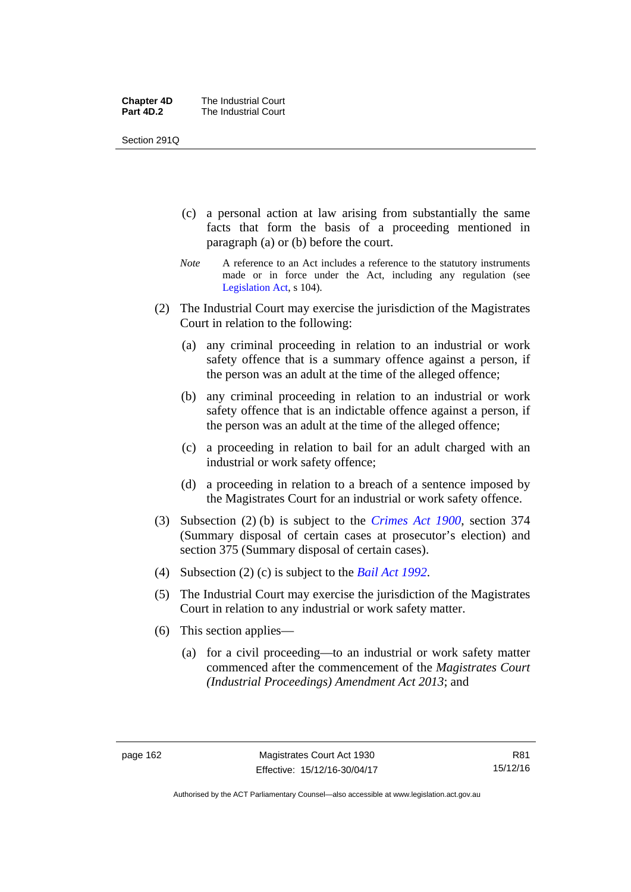| <b>Chapter 4D</b> | The Industrial Court |
|-------------------|----------------------|
| Part 4D.2         | The Industrial Court |

Section 291Q

- (c) a personal action at law arising from substantially the same facts that form the basis of a proceeding mentioned in paragraph (a) or (b) before the court.
- *Note* A reference to an Act includes a reference to the statutory instruments made or in force under the Act, including any regulation (see [Legislation Act,](http://www.legislation.act.gov.au/a/2001-14) s 104).
- (2) The Industrial Court may exercise the jurisdiction of the Magistrates Court in relation to the following:
	- (a) any criminal proceeding in relation to an industrial or work safety offence that is a summary offence against a person, if the person was an adult at the time of the alleged offence;
	- (b) any criminal proceeding in relation to an industrial or work safety offence that is an indictable offence against a person, if the person was an adult at the time of the alleged offence;
	- (c) a proceeding in relation to bail for an adult charged with an industrial or work safety offence;
	- (d) a proceeding in relation to a breach of a sentence imposed by the Magistrates Court for an industrial or work safety offence.
- (3) Subsection (2) (b) is subject to the *[Crimes Act 1900](http://www.legislation.act.gov.au/a/1900-40)*, section 374 (Summary disposal of certain cases at prosecutor's election) and section 375 (Summary disposal of certain cases).
- (4) Subsection (2) (c) is subject to the *[Bail Act 1992](http://www.legislation.act.gov.au/a/1992-8)*.
- (5) The Industrial Court may exercise the jurisdiction of the Magistrates Court in relation to any industrial or work safety matter.
- (6) This section applies—
	- (a) for a civil proceeding—to an industrial or work safety matter commenced after the commencement of the *Magistrates Court (Industrial Proceedings) Amendment Act 2013*; and

R81 15/12/16

Authorised by the ACT Parliamentary Counsel—also accessible at www.legislation.act.gov.au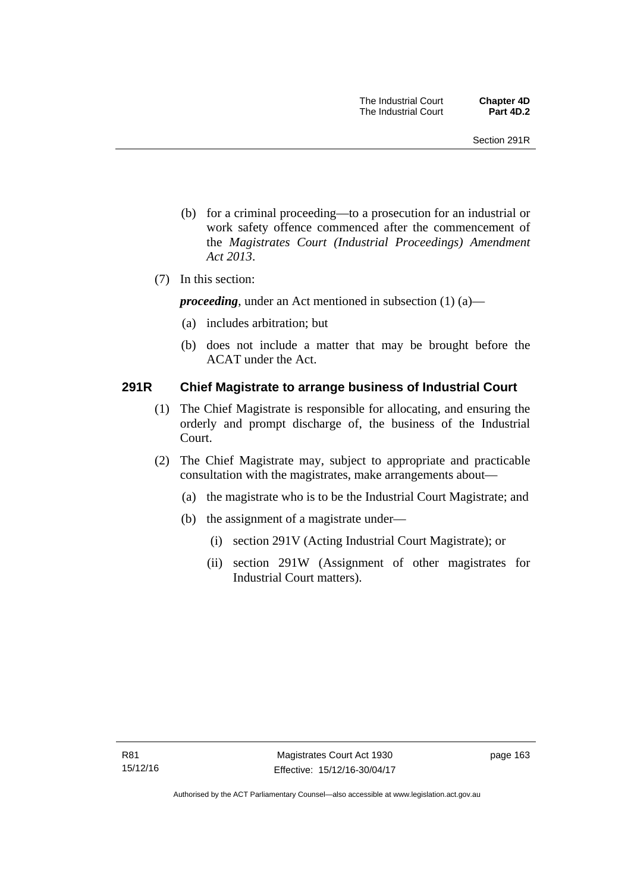- (b) for a criminal proceeding—to a prosecution for an industrial or work safety offence commenced after the commencement of the *Magistrates Court (Industrial Proceedings) Amendment Act 2013*.
- (7) In this section:

*proceeding*, under an Act mentioned in subsection (1) (a)—

- (a) includes arbitration; but
- (b) does not include a matter that may be brought before the ACAT under the Act.

### **291R Chief Magistrate to arrange business of Industrial Court**

- (1) The Chief Magistrate is responsible for allocating, and ensuring the orderly and prompt discharge of, the business of the Industrial Court.
- (2) The Chief Magistrate may, subject to appropriate and practicable consultation with the magistrates, make arrangements about—
	- (a) the magistrate who is to be the Industrial Court Magistrate; and
	- (b) the assignment of a magistrate under—
		- (i) section 291V (Acting Industrial Court Magistrate); or
		- (ii) section 291W (Assignment of other magistrates for Industrial Court matters).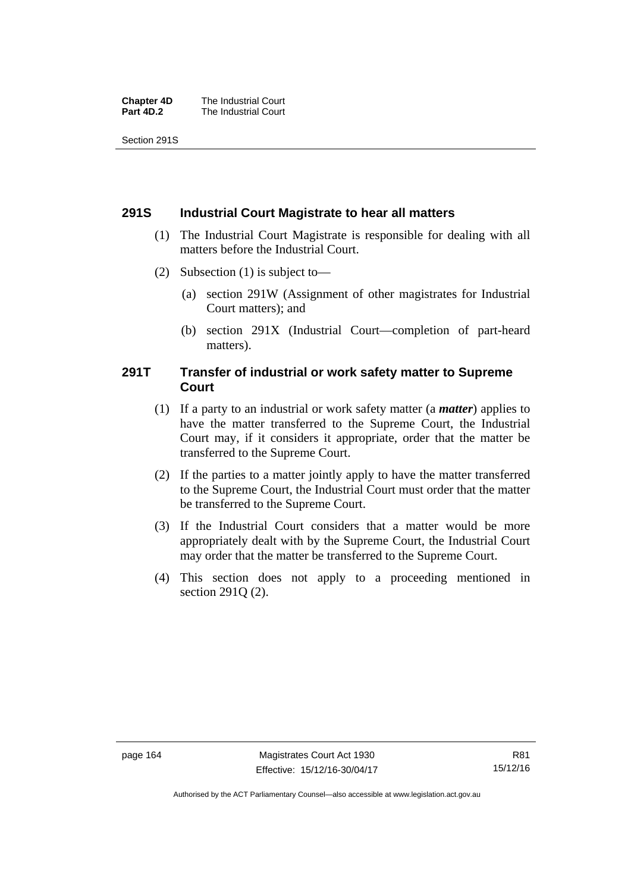| <b>Chapter 4D</b> | The Industrial Court |
|-------------------|----------------------|
| Part 4D.2         | The Industrial Court |

Section 291S

### **291S Industrial Court Magistrate to hear all matters**

- (1) The Industrial Court Magistrate is responsible for dealing with all matters before the Industrial Court.
- (2) Subsection (1) is subject to—
	- (a) section 291W (Assignment of other magistrates for Industrial Court matters); and
	- (b) section 291X (Industrial Court—completion of part-heard matters).

### **291T Transfer of industrial or work safety matter to Supreme Court**

- (1) If a party to an industrial or work safety matter (a *matter*) applies to have the matter transferred to the Supreme Court, the Industrial Court may, if it considers it appropriate, order that the matter be transferred to the Supreme Court.
- (2) If the parties to a matter jointly apply to have the matter transferred to the Supreme Court, the Industrial Court must order that the matter be transferred to the Supreme Court.
- (3) If the Industrial Court considers that a matter would be more appropriately dealt with by the Supreme Court, the Industrial Court may order that the matter be transferred to the Supreme Court.
- (4) This section does not apply to a proceeding mentioned in section 291Q (2).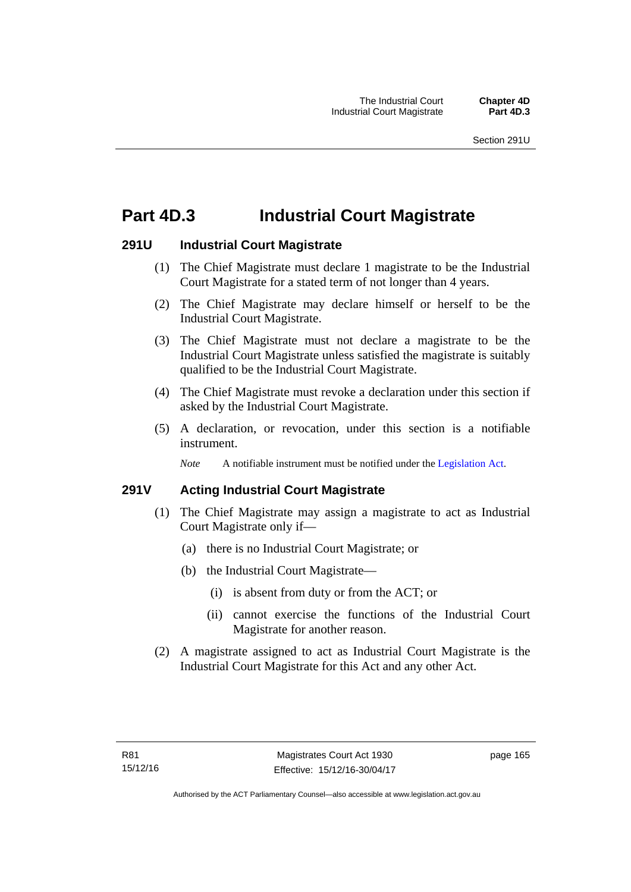# **Part 4D.3 Industrial Court Magistrate**

## **291U Industrial Court Magistrate**

- (1) The Chief Magistrate must declare 1 magistrate to be the Industrial Court Magistrate for a stated term of not longer than 4 years.
- (2) The Chief Magistrate may declare himself or herself to be the Industrial Court Magistrate.
- (3) The Chief Magistrate must not declare a magistrate to be the Industrial Court Magistrate unless satisfied the magistrate is suitably qualified to be the Industrial Court Magistrate.
- (4) The Chief Magistrate must revoke a declaration under this section if asked by the Industrial Court Magistrate.
- (5) A declaration, or revocation, under this section is a notifiable instrument.

*Note* A notifiable instrument must be notified under the [Legislation Act](http://www.legislation.act.gov.au/a/2001-14).

# **291V Acting Industrial Court Magistrate**

- (1) The Chief Magistrate may assign a magistrate to act as Industrial Court Magistrate only if—
	- (a) there is no Industrial Court Magistrate; or
	- (b) the Industrial Court Magistrate—
		- (i) is absent from duty or from the ACT; or
		- (ii) cannot exercise the functions of the Industrial Court Magistrate for another reason.
- (2) A magistrate assigned to act as Industrial Court Magistrate is the Industrial Court Magistrate for this Act and any other Act.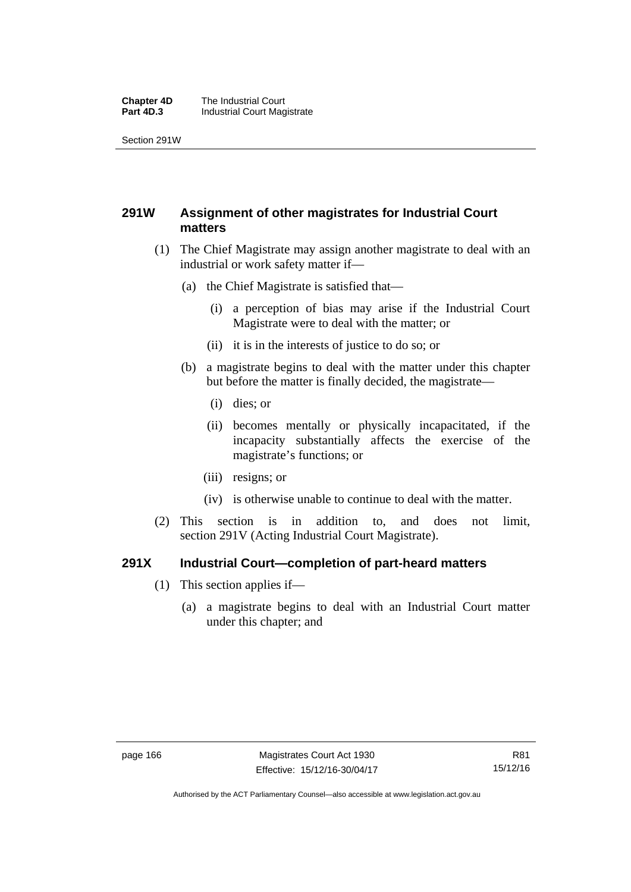#### **Chapter 4D** The Industrial Court<br>**Part 4D.3** Industrial Court Mag **Industrial Court Magistrate**

Section 291W

# **291W Assignment of other magistrates for Industrial Court matters**

- (1) The Chief Magistrate may assign another magistrate to deal with an industrial or work safety matter if—
	- (a) the Chief Magistrate is satisfied that—
		- (i) a perception of bias may arise if the Industrial Court Magistrate were to deal with the matter; or
		- (ii) it is in the interests of justice to do so; or
	- (b) a magistrate begins to deal with the matter under this chapter but before the matter is finally decided, the magistrate—
		- (i) dies; or
		- (ii) becomes mentally or physically incapacitated, if the incapacity substantially affects the exercise of the magistrate's functions; or
		- (iii) resigns; or
		- (iv) is otherwise unable to continue to deal with the matter.
- (2) This section is in addition to, and does not limit, section 291V (Acting Industrial Court Magistrate).

## **291X Industrial Court—completion of part-heard matters**

- (1) This section applies if—
	- (a) a magistrate begins to deal with an Industrial Court matter under this chapter; and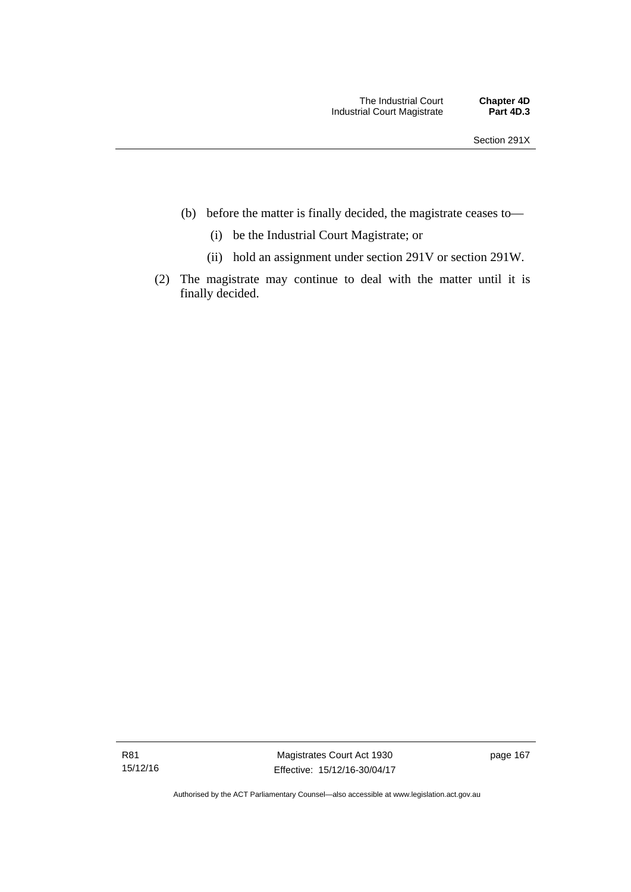- (b) before the matter is finally decided, the magistrate ceases to—
	- (i) be the Industrial Court Magistrate; or
	- (ii) hold an assignment under section 291V or section 291W.
- (2) The magistrate may continue to deal with the matter until it is finally decided.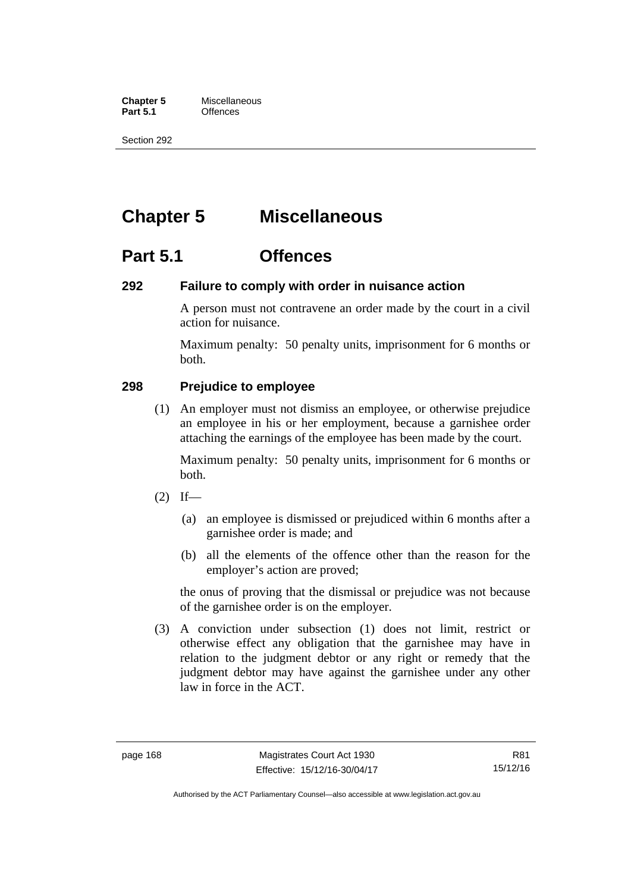**Chapter 5** Miscellaneous<br>**Part 5.1** Offences **Part 5.1** 

Section 292

# **Chapter 5 Miscellaneous**

# **Part 5.1 Offences**

## **292 Failure to comply with order in nuisance action**

A person must not contravene an order made by the court in a civil action for nuisance.

Maximum penalty: 50 penalty units, imprisonment for 6 months or both.

## **298 Prejudice to employee**

(1) An employer must not dismiss an employee, or otherwise prejudice an employee in his or her employment, because a garnishee order attaching the earnings of the employee has been made by the court.

Maximum penalty: 50 penalty units, imprisonment for 6 months or both.

- $(2)$  If—
	- (a) an employee is dismissed or prejudiced within 6 months after a garnishee order is made; and
	- (b) all the elements of the offence other than the reason for the employer's action are proved;

the onus of proving that the dismissal or prejudice was not because of the garnishee order is on the employer.

 (3) A conviction under subsection (1) does not limit, restrict or otherwise effect any obligation that the garnishee may have in relation to the judgment debtor or any right or remedy that the judgment debtor may have against the garnishee under any other law in force in the ACT.

R81 15/12/16

Authorised by the ACT Parliamentary Counsel—also accessible at www.legislation.act.gov.au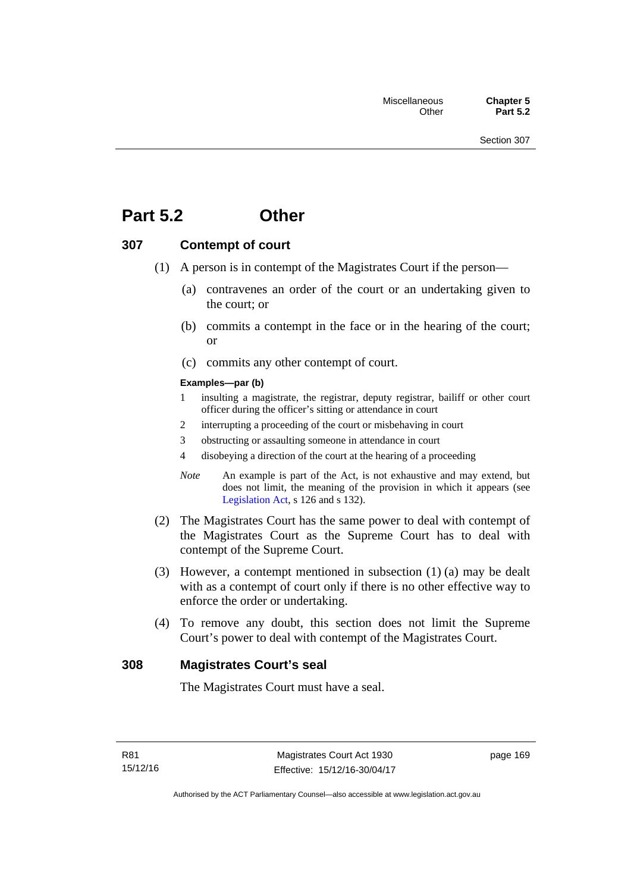# **Part 5.2 Other**

## **307 Contempt of court**

- (1) A person is in contempt of the Magistrates Court if the person—
	- (a) contravenes an order of the court or an undertaking given to the court; or
	- (b) commits a contempt in the face or in the hearing of the court; or
	- (c) commits any other contempt of court.

#### **Examples—par (b)**

- 1 insulting a magistrate, the registrar, deputy registrar, bailiff or other court officer during the officer's sitting or attendance in court
- 2 interrupting a proceeding of the court or misbehaving in court
- 3 obstructing or assaulting someone in attendance in court
- 4 disobeying a direction of the court at the hearing of a proceeding
- *Note* An example is part of the Act, is not exhaustive and may extend, but does not limit, the meaning of the provision in which it appears (see [Legislation Act,](http://www.legislation.act.gov.au/a/2001-14) s 126 and s 132).
- (2) The Magistrates Court has the same power to deal with contempt of the Magistrates Court as the Supreme Court has to deal with contempt of the Supreme Court.
- (3) However, a contempt mentioned in subsection (1) (a) may be dealt with as a contempt of court only if there is no other effective way to enforce the order or undertaking.
- (4) To remove any doubt, this section does not limit the Supreme Court's power to deal with contempt of the Magistrates Court.

## **308 Magistrates Court's seal**

The Magistrates Court must have a seal.

page 169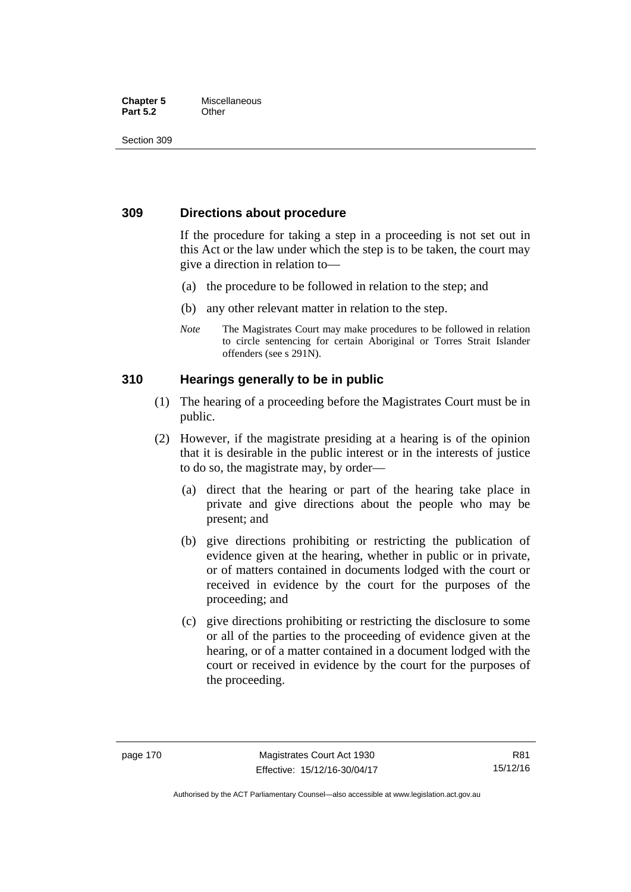#### **Chapter 5** Miscellaneous **Part 5.2** Other

Section 309

## **309 Directions about procedure**

If the procedure for taking a step in a proceeding is not set out in this Act or the law under which the step is to be taken, the court may give a direction in relation to—

- (a) the procedure to be followed in relation to the step; and
- (b) any other relevant matter in relation to the step.
- *Note* The Magistrates Court may make procedures to be followed in relation to circle sentencing for certain Aboriginal or Torres Strait Islander offenders (see s 291N).

## **310 Hearings generally to be in public**

- (1) The hearing of a proceeding before the Magistrates Court must be in public.
- (2) However, if the magistrate presiding at a hearing is of the opinion that it is desirable in the public interest or in the interests of justice to do so, the magistrate may, by order—
	- (a) direct that the hearing or part of the hearing take place in private and give directions about the people who may be present; and
	- (b) give directions prohibiting or restricting the publication of evidence given at the hearing, whether in public or in private, or of matters contained in documents lodged with the court or received in evidence by the court for the purposes of the proceeding; and
	- (c) give directions prohibiting or restricting the disclosure to some or all of the parties to the proceeding of evidence given at the hearing, or of a matter contained in a document lodged with the court or received in evidence by the court for the purposes of the proceeding.

R81 15/12/16

Authorised by the ACT Parliamentary Counsel—also accessible at www.legislation.act.gov.au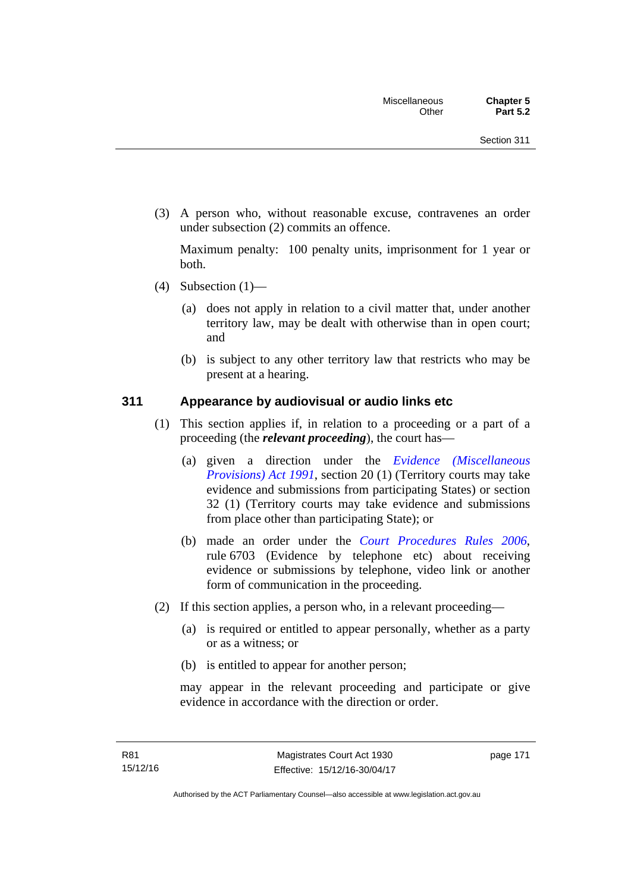(3) A person who, without reasonable excuse, contravenes an order under subsection (2) commits an offence.

Maximum penalty: 100 penalty units, imprisonment for 1 year or both.

- (4) Subsection  $(1)$ 
	- (a) does not apply in relation to a civil matter that, under another territory law, may be dealt with otherwise than in open court; and
	- (b) is subject to any other territory law that restricts who may be present at a hearing.

## **311 Appearance by audiovisual or audio links etc**

- (1) This section applies if, in relation to a proceeding or a part of a proceeding (the *relevant proceeding*), the court has—
	- (a) given a direction under the *[Evidence \(Miscellaneous](http://www.legislation.act.gov.au/a/1991-34)  [Provisions\) Act 1991](http://www.legislation.act.gov.au/a/1991-34)*, section 20 (1) (Territory courts may take evidence and submissions from participating States) or section 32 (1) (Territory courts may take evidence and submissions from place other than participating State); or
	- (b) made an order under the *[Court Procedures Rules 2006](http://www.legislation.act.gov.au/sl/2006-29)*, rule 6703 (Evidence by telephone etc) about receiving evidence or submissions by telephone, video link or another form of communication in the proceeding.
- (2) If this section applies, a person who, in a relevant proceeding—
	- (a) is required or entitled to appear personally, whether as a party or as a witness; or
	- (b) is entitled to appear for another person;

may appear in the relevant proceeding and participate or give evidence in accordance with the direction or order.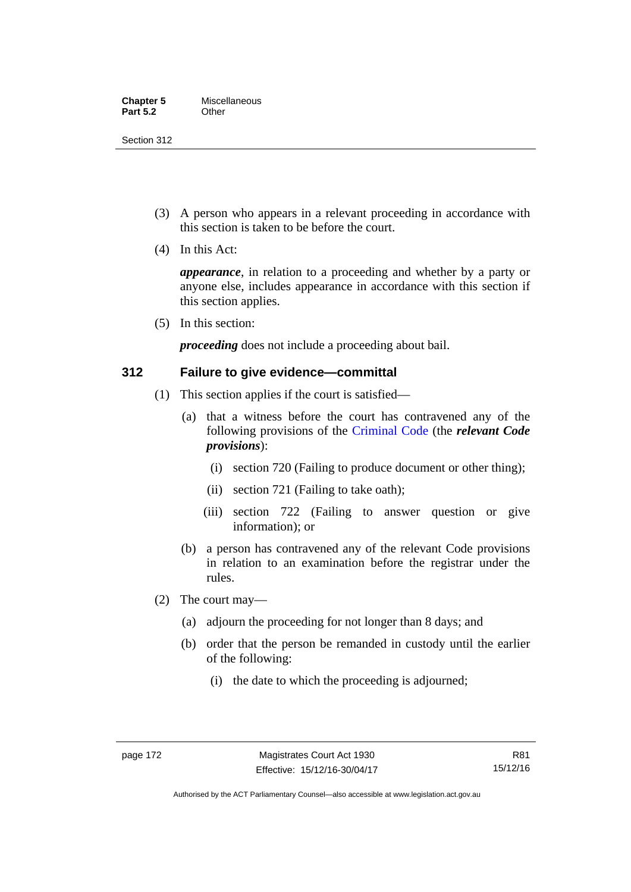Section 312

- (3) A person who appears in a relevant proceeding in accordance with this section is taken to be before the court.
- (4) In this Act:

*appearance*, in relation to a proceeding and whether by a party or anyone else, includes appearance in accordance with this section if this section applies.

(5) In this section:

*proceeding* does not include a proceeding about bail.

## **312 Failure to give evidence—committal**

- (1) This section applies if the court is satisfied—
	- (a) that a witness before the court has contravened any of the following provisions of the [Criminal Code](http://www.legislation.act.gov.au/a/2002-51) (the *relevant Code provisions*):
		- (i) section 720 (Failing to produce document or other thing);
		- (ii) section 721 (Failing to take oath);
		- (iii) section 722 (Failing to answer question or give information); or
	- (b) a person has contravened any of the relevant Code provisions in relation to an examination before the registrar under the rules.
- (2) The court may—
	- (a) adjourn the proceeding for not longer than 8 days; and
	- (b) order that the person be remanded in custody until the earlier of the following:
		- (i) the date to which the proceeding is adjourned;

R81 15/12/16

Authorised by the ACT Parliamentary Counsel—also accessible at www.legislation.act.gov.au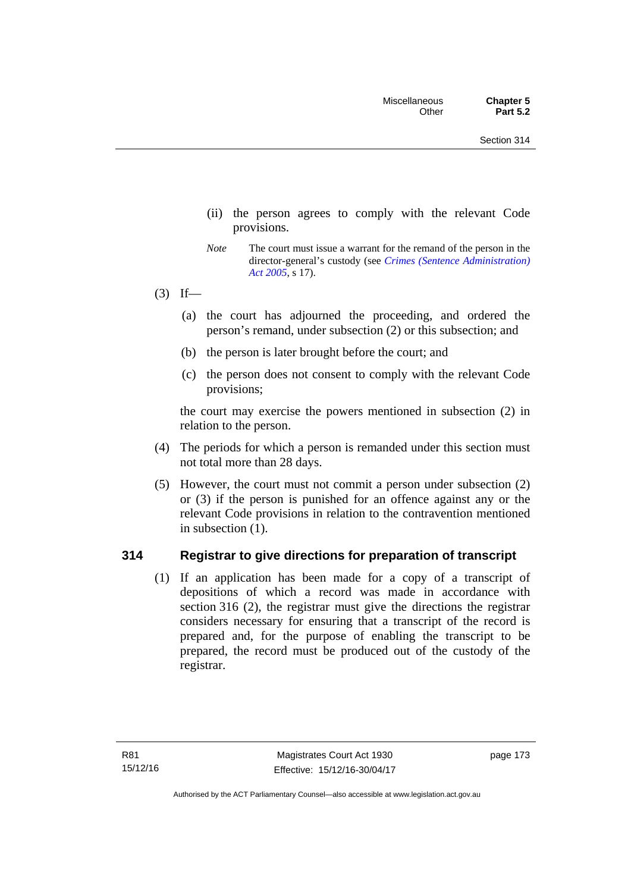- (ii) the person agrees to comply with the relevant Code provisions.
- *Note* The court must issue a warrant for the remand of the person in the director-general's custody (see *[Crimes \(Sentence Administration\)](http://www.legislation.act.gov.au/a/2005-59)  [Act 2005](http://www.legislation.act.gov.au/a/2005-59)*, s 17).
- $(3)$  If—
	- (a) the court has adjourned the proceeding, and ordered the person's remand, under subsection (2) or this subsection; and
	- (b) the person is later brought before the court; and
	- (c) the person does not consent to comply with the relevant Code provisions;

the court may exercise the powers mentioned in subsection (2) in relation to the person.

- (4) The periods for which a person is remanded under this section must not total more than 28 days.
- (5) However, the court must not commit a person under subsection (2) or (3) if the person is punished for an offence against any or the relevant Code provisions in relation to the contravention mentioned in subsection (1).

## **314 Registrar to give directions for preparation of transcript**

(1) If an application has been made for a copy of a transcript of depositions of which a record was made in accordance with section 316 (2), the registrar must give the directions the registrar considers necessary for ensuring that a transcript of the record is prepared and, for the purpose of enabling the transcript to be prepared, the record must be produced out of the custody of the registrar.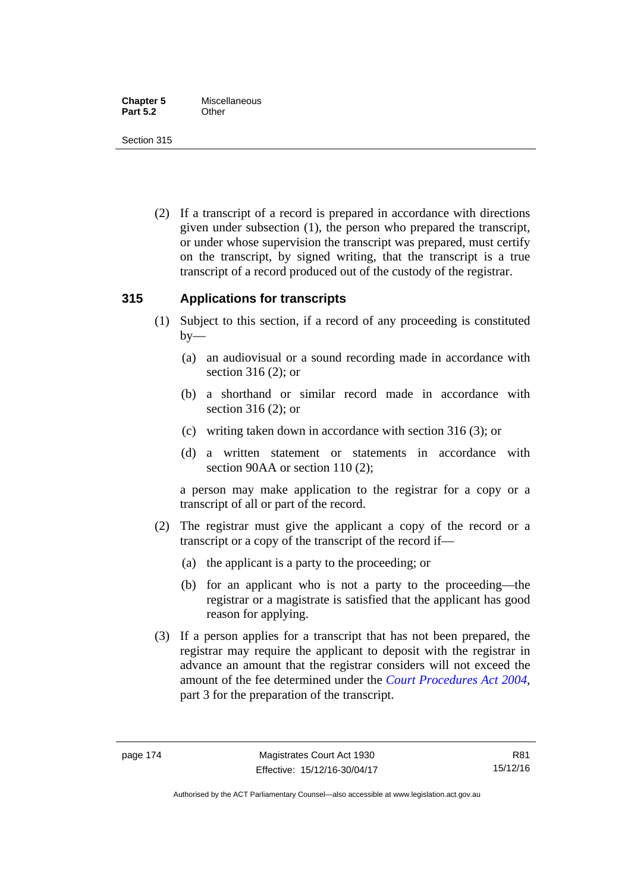Section 315

 (2) If a transcript of a record is prepared in accordance with directions given under subsection (1), the person who prepared the transcript, or under whose supervision the transcript was prepared, must certify on the transcript, by signed writing, that the transcript is a true transcript of a record produced out of the custody of the registrar.

## **315 Applications for transcripts**

- (1) Subject to this section, if a record of any proceeding is constituted  $by-$ 
	- (a) an audiovisual or a sound recording made in accordance with section 316 (2); or
	- (b) a shorthand or similar record made in accordance with section 316 (2); or
	- (c) writing taken down in accordance with section 316 (3); or
	- (d) a written statement or statements in accordance with section 90AA or section 110 (2);

a person may make application to the registrar for a copy or a transcript of all or part of the record.

- (2) The registrar must give the applicant a copy of the record or a transcript or a copy of the transcript of the record if—
	- (a) the applicant is a party to the proceeding; or
	- (b) for an applicant who is not a party to the proceeding—the registrar or a magistrate is satisfied that the applicant has good reason for applying.
- (3) If a person applies for a transcript that has not been prepared, the registrar may require the applicant to deposit with the registrar in advance an amount that the registrar considers will not exceed the amount of the fee determined under the *[Court Procedures Act 2004](http://www.legislation.act.gov.au/a/2004-59)*, part 3 for the preparation of the transcript.

Authorised by the ACT Parliamentary Counsel—also accessible at www.legislation.act.gov.au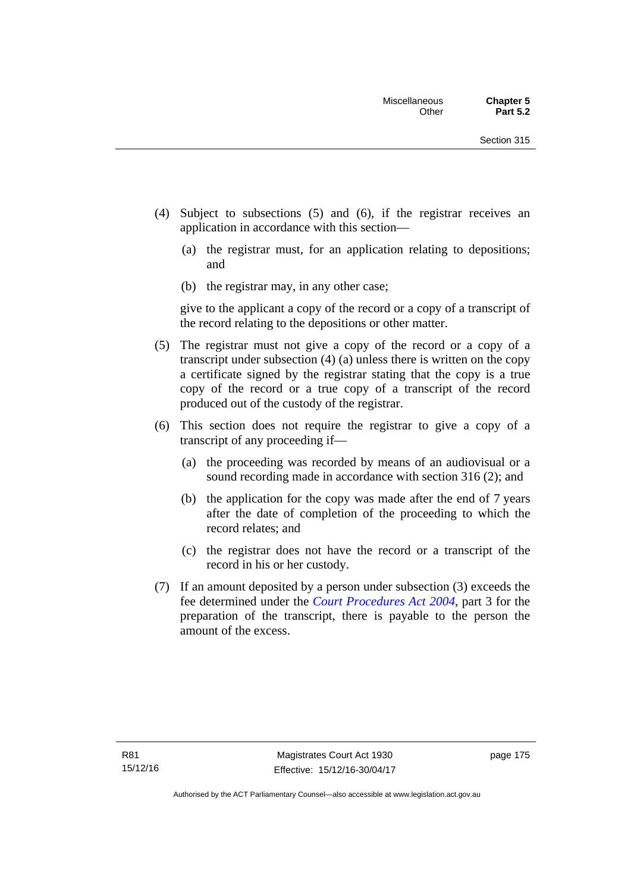- (4) Subject to subsections (5) and (6), if the registrar receives an application in accordance with this section—
	- (a) the registrar must, for an application relating to depositions; and
	- (b) the registrar may, in any other case;

give to the applicant a copy of the record or a copy of a transcript of the record relating to the depositions or other matter.

- (5) The registrar must not give a copy of the record or a copy of a transcript under subsection (4) (a) unless there is written on the copy a certificate signed by the registrar stating that the copy is a true copy of the record or a true copy of a transcript of the record produced out of the custody of the registrar.
- (6) This section does not require the registrar to give a copy of a transcript of any proceeding if—
	- (a) the proceeding was recorded by means of an audiovisual or a sound recording made in accordance with section 316 (2); and
	- (b) the application for the copy was made after the end of 7 years after the date of completion of the proceeding to which the record relates; and
	- (c) the registrar does not have the record or a transcript of the record in his or her custody.
- (7) If an amount deposited by a person under subsection (3) exceeds the fee determined under the *[Court Procedures Act 2004](http://www.legislation.act.gov.au/a/2004-59)*, part 3 for the preparation of the transcript, there is payable to the person the amount of the excess.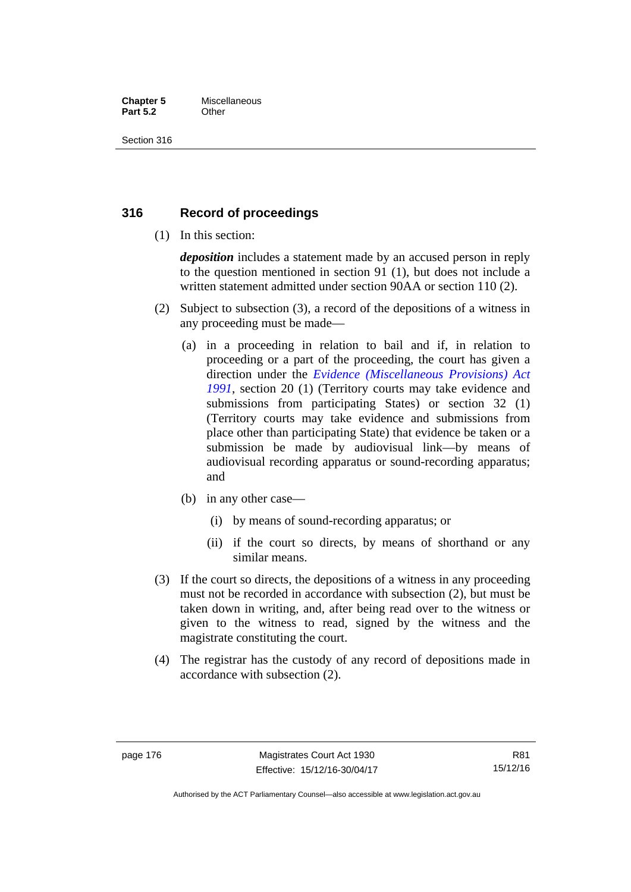#### **Chapter 5** Miscellaneous **Part 5.2** Other

Section 316

## **316 Record of proceedings**

(1) In this section:

*deposition* includes a statement made by an accused person in reply to the question mentioned in section 91 (1), but does not include a written statement admitted under section 90AA or section 110 (2).

- (2) Subject to subsection (3), a record of the depositions of a witness in any proceeding must be made—
	- (a) in a proceeding in relation to bail and if, in relation to proceeding or a part of the proceeding, the court has given a direction under the *[Evidence \(Miscellaneous Provisions\) Act](http://www.legislation.act.gov.au/a/1991-34)  [1991](http://www.legislation.act.gov.au/a/1991-34)*, section 20 (1) (Territory courts may take evidence and submissions from participating States) or section 32 (1) (Territory courts may take evidence and submissions from place other than participating State) that evidence be taken or a submission be made by audiovisual link—by means of audiovisual recording apparatus or sound-recording apparatus; and
	- (b) in any other case—
		- (i) by means of sound-recording apparatus; or
		- (ii) if the court so directs, by means of shorthand or any similar means.
- (3) If the court so directs, the depositions of a witness in any proceeding must not be recorded in accordance with subsection (2), but must be taken down in writing, and, after being read over to the witness or given to the witness to read, signed by the witness and the magistrate constituting the court.
- (4) The registrar has the custody of any record of depositions made in accordance with subsection (2).

R81 15/12/16

Authorised by the ACT Parliamentary Counsel—also accessible at www.legislation.act.gov.au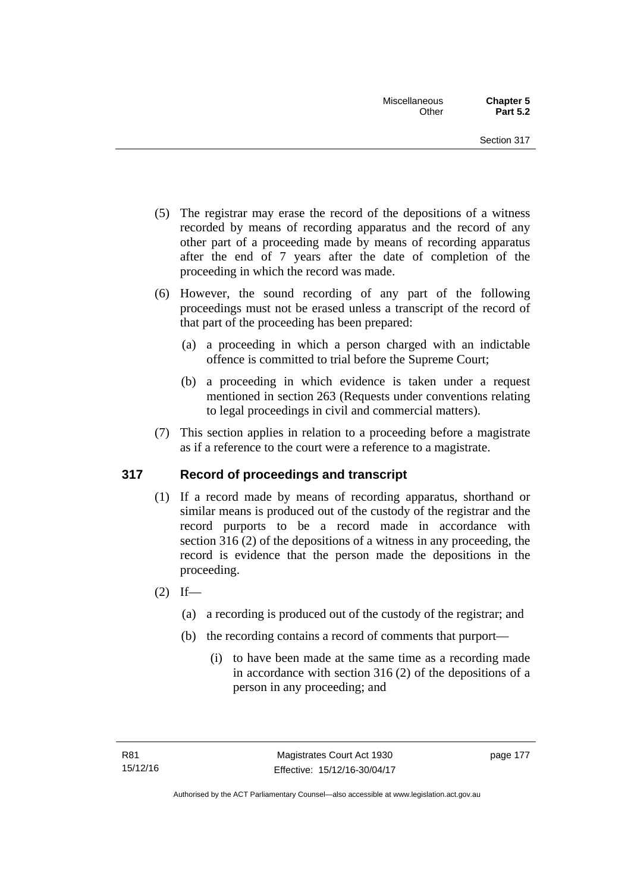- (5) The registrar may erase the record of the depositions of a witness recorded by means of recording apparatus and the record of any other part of a proceeding made by means of recording apparatus after the end of 7 years after the date of completion of the proceeding in which the record was made.
- (6) However, the sound recording of any part of the following proceedings must not be erased unless a transcript of the record of that part of the proceeding has been prepared:
	- (a) a proceeding in which a person charged with an indictable offence is committed to trial before the Supreme Court;
	- (b) a proceeding in which evidence is taken under a request mentioned in section 263 (Requests under conventions relating to legal proceedings in civil and commercial matters).
- (7) This section applies in relation to a proceeding before a magistrate as if a reference to the court were a reference to a magistrate.

# **317 Record of proceedings and transcript**

- (1) If a record made by means of recording apparatus, shorthand or similar means is produced out of the custody of the registrar and the record purports to be a record made in accordance with section 316 (2) of the depositions of a witness in any proceeding, the record is evidence that the person made the depositions in the proceeding.
- $(2)$  If—
	- (a) a recording is produced out of the custody of the registrar; and
	- (b) the recording contains a record of comments that purport—
		- (i) to have been made at the same time as a recording made in accordance with section 316 (2) of the depositions of a person in any proceeding; and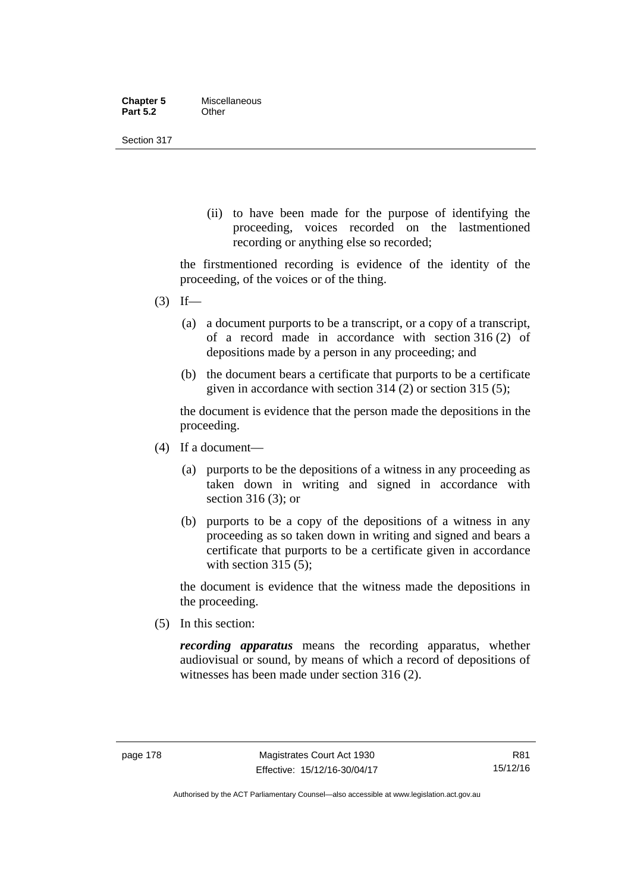| <b>Chapter 5</b> | Miscellaneous |
|------------------|---------------|
| <b>Part 5.2</b>  | Other         |

Section 317

(ii) to have been made for the purpose of identifying the proceeding, voices recorded on the lastmentioned recording or anything else so recorded;

the firstmentioned recording is evidence of the identity of the proceeding, of the voices or of the thing.

- $(3)$  If—
	- (a) a document purports to be a transcript, or a copy of a transcript, of a record made in accordance with section 316 (2) of depositions made by a person in any proceeding; and
	- (b) the document bears a certificate that purports to be a certificate given in accordance with section 314 (2) or section 315 (5);

the document is evidence that the person made the depositions in the proceeding.

- (4) If a document—
	- (a) purports to be the depositions of a witness in any proceeding as taken down in writing and signed in accordance with section 316 (3); or
	- (b) purports to be a copy of the depositions of a witness in any proceeding as so taken down in writing and signed and bears a certificate that purports to be a certificate given in accordance with section 315 (5):

the document is evidence that the witness made the depositions in the proceeding.

(5) In this section:

*recording apparatus* means the recording apparatus, whether audiovisual or sound, by means of which a record of depositions of witnesses has been made under section 316 (2).

Authorised by the ACT Parliamentary Counsel—also accessible at www.legislation.act.gov.au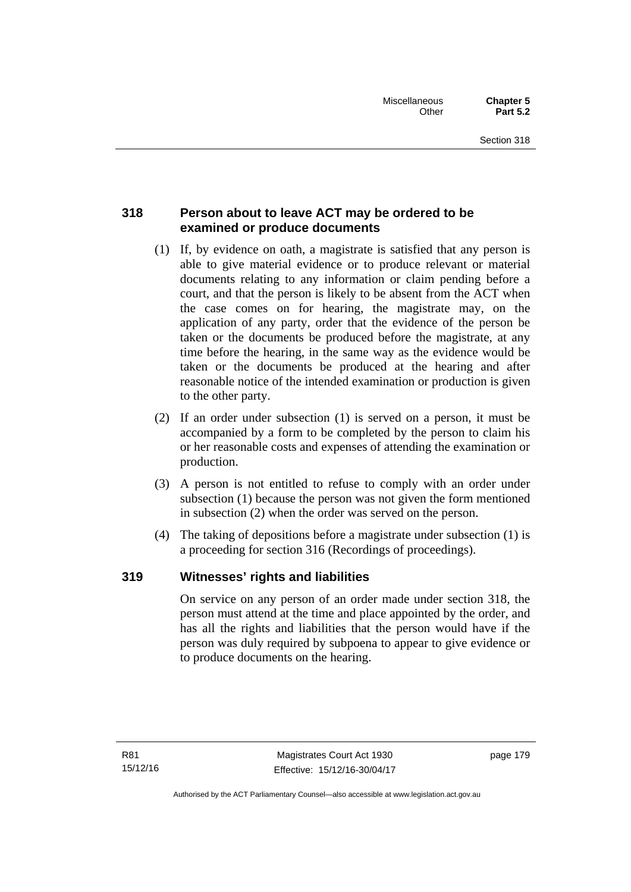# **318 Person about to leave ACT may be ordered to be examined or produce documents**

- (1) If, by evidence on oath, a magistrate is satisfied that any person is able to give material evidence or to produce relevant or material documents relating to any information or claim pending before a court, and that the person is likely to be absent from the ACT when the case comes on for hearing, the magistrate may, on the application of any party, order that the evidence of the person be taken or the documents be produced before the magistrate, at any time before the hearing, in the same way as the evidence would be taken or the documents be produced at the hearing and after reasonable notice of the intended examination or production is given to the other party.
- (2) If an order under subsection (1) is served on a person, it must be accompanied by a form to be completed by the person to claim his or her reasonable costs and expenses of attending the examination or production.
- (3) A person is not entitled to refuse to comply with an order under subsection (1) because the person was not given the form mentioned in subsection (2) when the order was served on the person.
- (4) The taking of depositions before a magistrate under subsection (1) is a proceeding for section 316 (Recordings of proceedings).

# **319 Witnesses' rights and liabilities**

On service on any person of an order made under section 318, the person must attend at the time and place appointed by the order, and has all the rights and liabilities that the person would have if the person was duly required by subpoena to appear to give evidence or to produce documents on the hearing.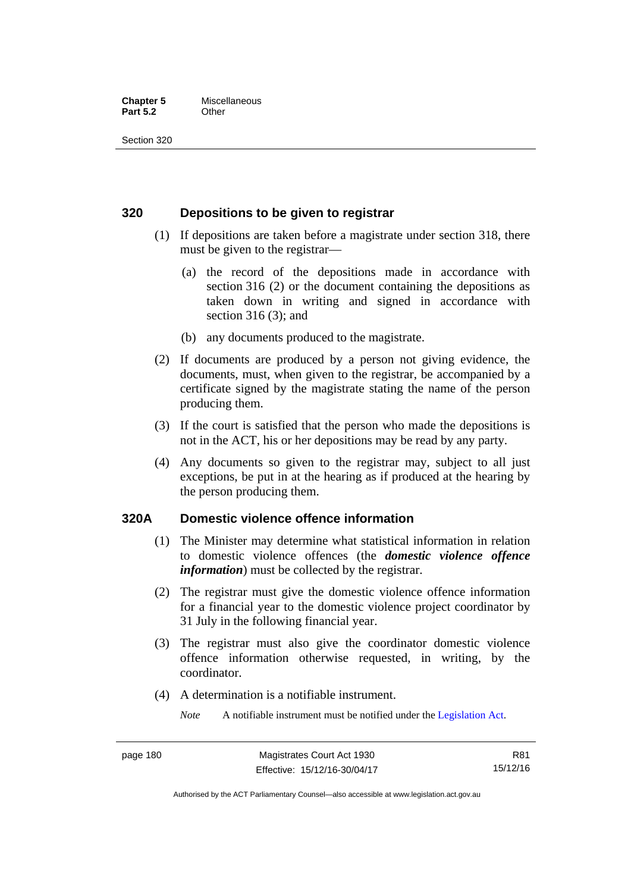#### **Chapter 5** Miscellaneous **Part 5.2** Other

Section 320

## **320 Depositions to be given to registrar**

- (1) If depositions are taken before a magistrate under section 318, there must be given to the registrar—
	- (a) the record of the depositions made in accordance with section 316 (2) or the document containing the depositions as taken down in writing and signed in accordance with section 316 (3); and
	- (b) any documents produced to the magistrate.
- (2) If documents are produced by a person not giving evidence, the documents, must, when given to the registrar, be accompanied by a certificate signed by the magistrate stating the name of the person producing them.
- (3) If the court is satisfied that the person who made the depositions is not in the ACT, his or her depositions may be read by any party.
- (4) Any documents so given to the registrar may, subject to all just exceptions, be put in at the hearing as if produced at the hearing by the person producing them.

## **320A Domestic violence offence information**

- (1) The Minister may determine what statistical information in relation to domestic violence offences (the *domestic violence offence information*) must be collected by the registrar.
- (2) The registrar must give the domestic violence offence information for a financial year to the domestic violence project coordinator by 31 July in the following financial year.
- (3) The registrar must also give the coordinator domestic violence offence information otherwise requested, in writing, by the coordinator.
- (4) A determination is a notifiable instrument.

*Note* A notifiable instrument must be notified under the [Legislation Act](http://www.legislation.act.gov.au/a/2001-14).

R81 15/12/16

Authorised by the ACT Parliamentary Counsel—also accessible at www.legislation.act.gov.au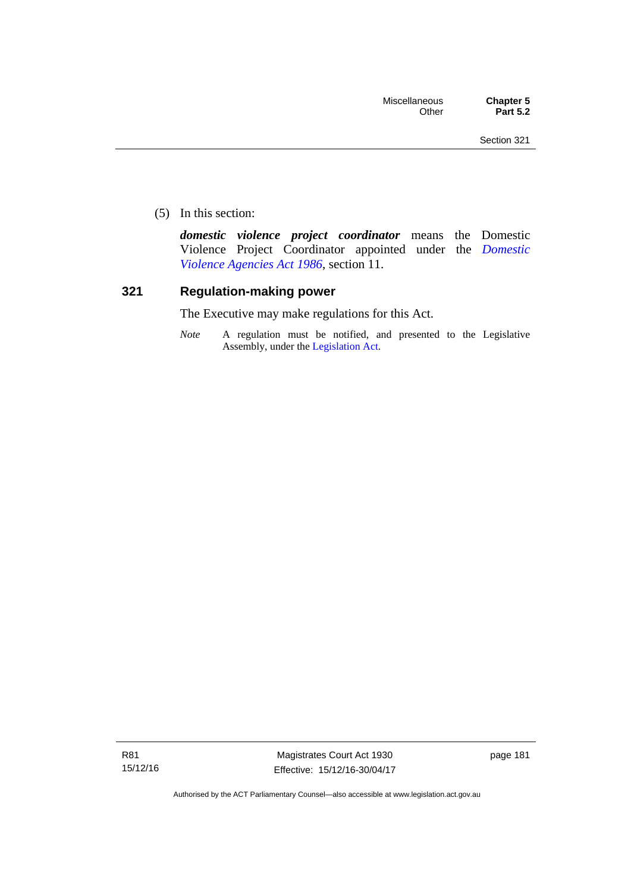(5) In this section:

*domestic violence project coordinator* means the Domestic Violence Project Coordinator appointed under the *[Domestic](http://www.legislation.act.gov.au/a/1986-52)  [Violence Agencies Act 1986](http://www.legislation.act.gov.au/a/1986-52)*, section 11.

## **321 Regulation-making power**

The Executive may make regulations for this Act.

*Note* A regulation must be notified, and presented to the Legislative Assembly, under the [Legislation Act](http://www.legislation.act.gov.au/a/2001-14).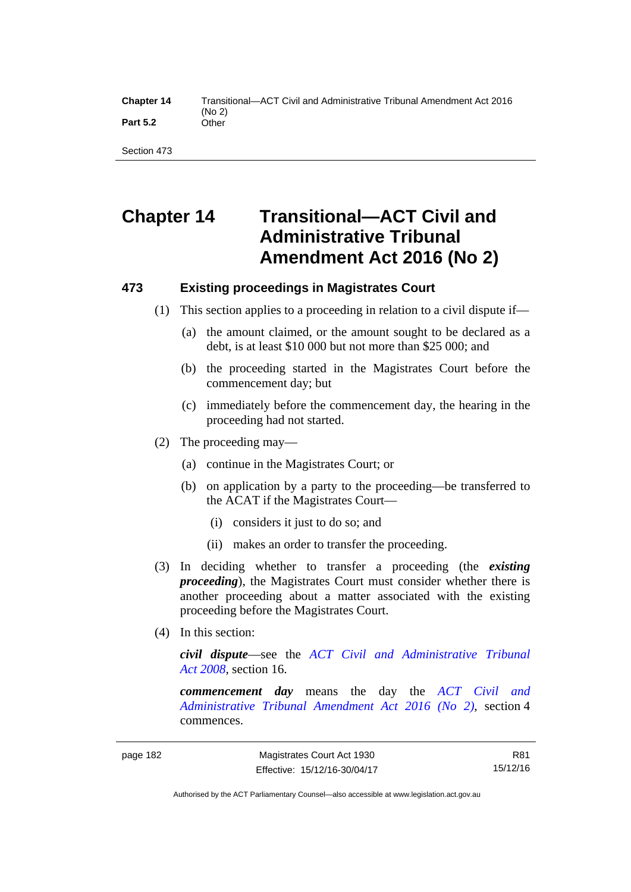Section 473

# **Chapter 14 Transitional—ACT Civil and Administrative Tribunal Amendment Act 2016 (No 2)**

# **473 Existing proceedings in Magistrates Court**

- (1) This section applies to a proceeding in relation to a civil dispute if—
	- (a) the amount claimed, or the amount sought to be declared as a debt, is at least \$10 000 but not more than \$25 000; and
	- (b) the proceeding started in the Magistrates Court before the commencement day; but
	- (c) immediately before the commencement day, the hearing in the proceeding had not started.
- (2) The proceeding may—
	- (a) continue in the Magistrates Court; or
	- (b) on application by a party to the proceeding—be transferred to the ACAT if the Magistrates Court—
		- (i) considers it just to do so; and
		- (ii) makes an order to transfer the proceeding.
- (3) In deciding whether to transfer a proceeding (the *existing proceeding*), the Magistrates Court must consider whether there is another proceeding about a matter associated with the existing proceeding before the Magistrates Court.
- (4) In this section:

*civil dispute*—see the *[ACT Civil and Administrative Tribunal](http://www.legislation.act.gov.au/a/2008-35)  [Act 2008](http://www.legislation.act.gov.au/a/2008-35)*, section 16.

*commencement day* means the day the *[ACT Civil and](http://www.legislation.act.gov.au/a/2016-28/default.asp)  [Administrative Tribunal Amendment Act 2016 \(No 2\)](http://www.legislation.act.gov.au/a/2016-28/default.asp)*, section 4 commences.

R81 15/12/16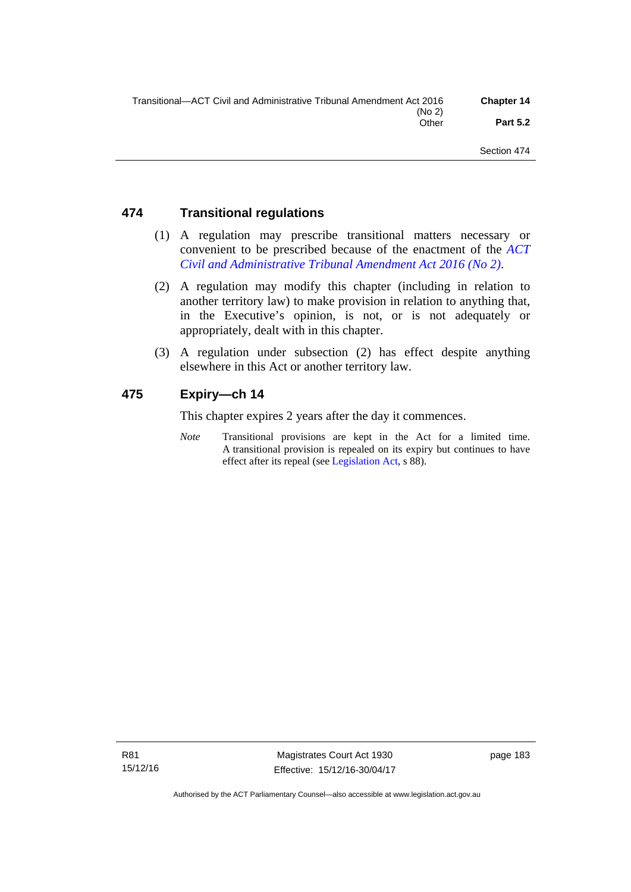| Transitional—ACT Civil and Administrative Tribunal Amendment Act 2016 | <b>Chapter 14</b> |
|-----------------------------------------------------------------------|-------------------|
| (No 2)                                                                |                   |
| Other                                                                 | <b>Part 5.2</b>   |
|                                                                       |                   |

## **474 Transitional regulations**

- (1) A regulation may prescribe transitional matters necessary or convenient to be prescribed because of the enactment of the *[ACT](http://www.legislation.act.gov.au/a/2016-28/default.asp)  [Civil and Administrative Tribunal Amendment Act 2016 \(No 2\)](http://www.legislation.act.gov.au/a/2016-28/default.asp)*.
- (2) A regulation may modify this chapter (including in relation to another territory law) to make provision in relation to anything that, in the Executive's opinion, is not, or is not adequately or appropriately, dealt with in this chapter.
- (3) A regulation under subsection (2) has effect despite anything elsewhere in this Act or another territory law.

## **475 Expiry—ch 14**

This chapter expires 2 years after the day it commences.

*Note* Transitional provisions are kept in the Act for a limited time. A transitional provision is repealed on its expiry but continues to have effect after its repeal (see [Legislation Act,](http://www.legislation.act.gov.au/a/2001-14) s 88).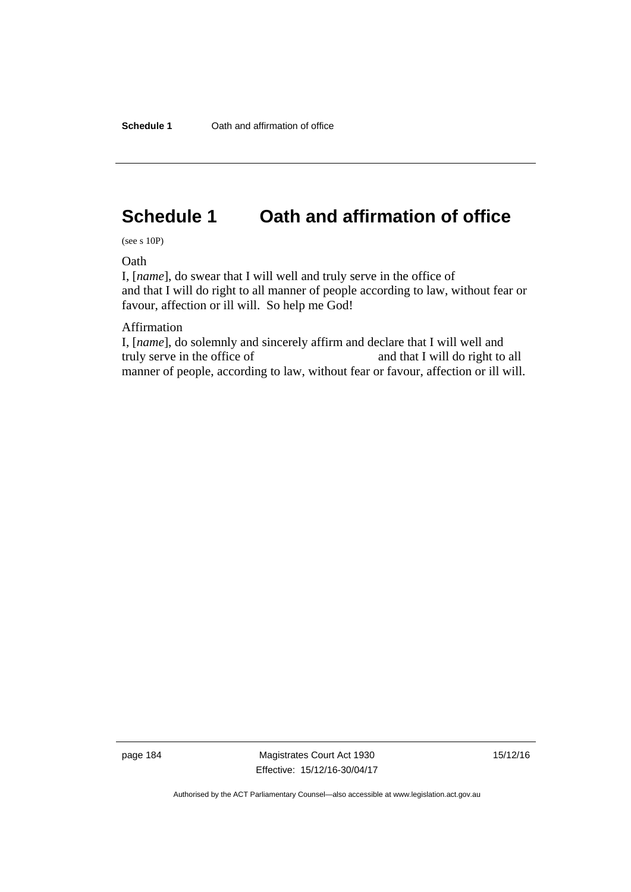# **Schedule 1 Oath and affirmation of office**

(see s 10P)

**Oath** 

I, [*name*], do swear that I will well and truly serve in the office of and that I will do right to all manner of people according to law, without fear or favour, affection or ill will. So help me God!

Affirmation

I, [*name*], do solemnly and sincerely affirm and declare that I will well and truly serve in the office of and that I will do right to all manner of people, according to law, without fear or favour, affection or ill will.

page 184 Magistrates Court Act 1930 Effective: 15/12/16-30/04/17 15/12/16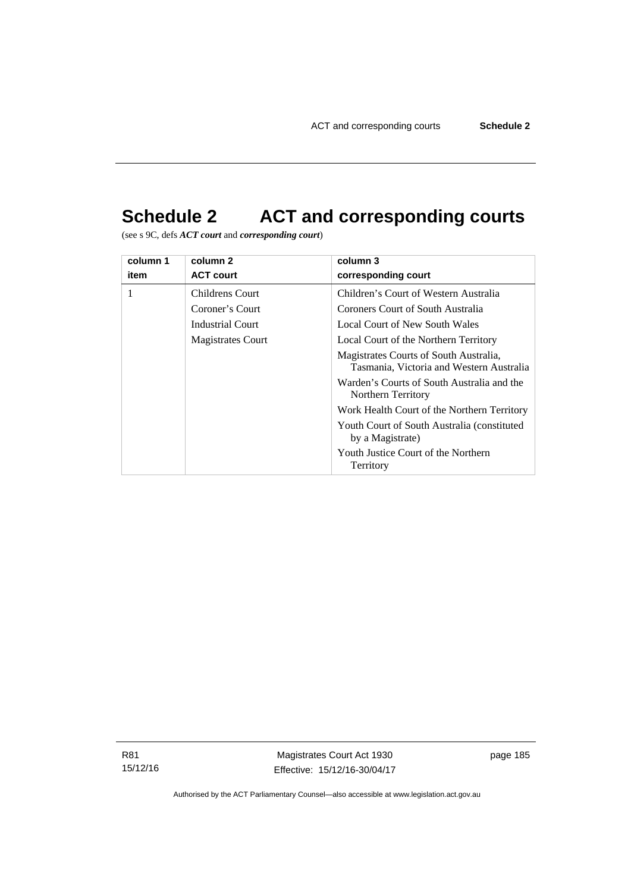# **Schedule 2 ACT and corresponding courts**

(see s 9C, defs *ACT court* and *corresponding court*)

| column 1 | column 2               | column 3                                                                           |  |
|----------|------------------------|------------------------------------------------------------------------------------|--|
| item     | <b>ACT court</b>       | corresponding court                                                                |  |
| 1        | <b>Childrens Court</b> | Children's Court of Western Australia                                              |  |
|          | Coroner's Court        | Coroners Court of South Australia                                                  |  |
|          | Industrial Court       | Local Court of New South Wales                                                     |  |
|          | Magistrates Court      | Local Court of the Northern Territory                                              |  |
|          |                        | Magistrates Courts of South Australia,<br>Tasmania, Victoria and Western Australia |  |
|          |                        | Warden's Courts of South Australia and the<br>Northern Territory                   |  |
|          |                        | Work Health Court of the Northern Territory                                        |  |
|          |                        | Youth Court of South Australia (constituted)<br>by a Magistrate)                   |  |
|          |                        | Youth Justice Court of the Northern<br>Territory                                   |  |

R81 15/12/16

Magistrates Court Act 1930 Effective: 15/12/16-30/04/17 page 185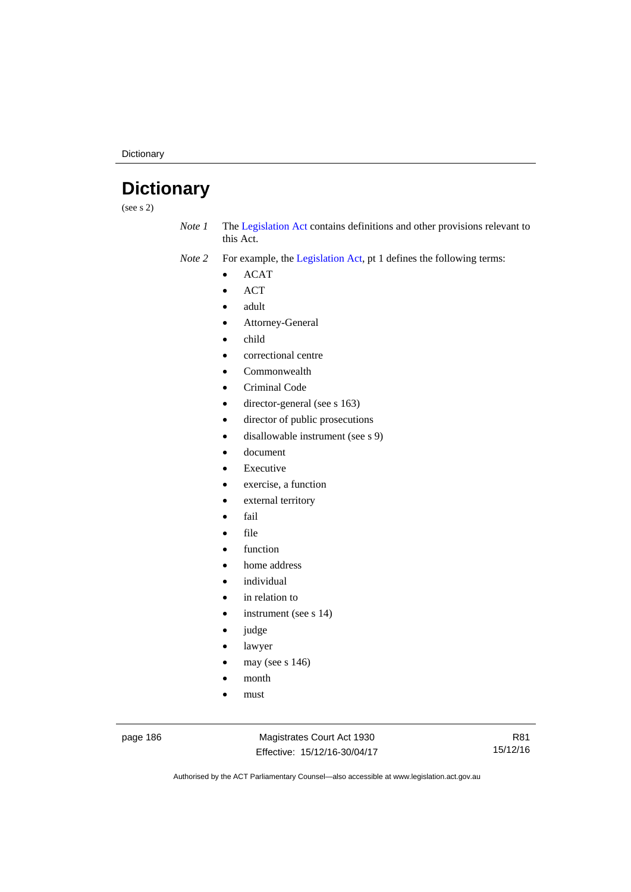**Dictionary** 

# **Dictionary**

(see s 2)

*Note 1* The [Legislation Act](http://www.legislation.act.gov.au/a/2001-14) contains definitions and other provisions relevant to this Act.

*Note 2* For example, the [Legislation Act,](http://www.legislation.act.gov.au/a/2001-14) pt 1 defines the following terms:

- ACAT
- ACT
- adult
- Attorney-General
- child
- correctional centre
- Commonwealth
- Criminal Code
- director-general (see s 163)
- director of public prosecutions
- disallowable instrument (see s 9)
- document
- Executive
- exercise, a function
- external territory
- fail
- file
- function
- home address
- individual
- in relation to
- instrument (see s 14)
- judge
- lawyer
- may (see s 146)
- month
- must

page 186 Magistrates Court Act 1930 Effective: 15/12/16-30/04/17

R81 15/12/16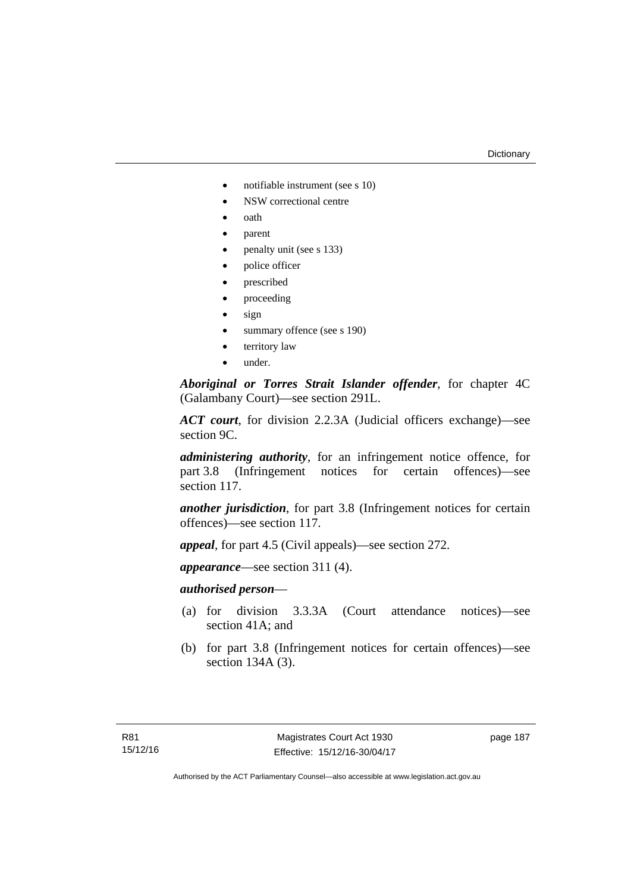#### **Dictionary**

- notifiable instrument (see s 10)
- NSW correctional centre
- oath
- parent
- penalty unit (see s 133)
- police officer
- prescribed
- proceeding
- sign
- summary offence (see s 190)
- territory law
- under.

*Aboriginal or Torres Strait Islander offender*, for chapter 4C (Galambany Court)—see section 291L.

*ACT court*, for division 2.2.3A (Judicial officers exchange)—see section 9C.

*administering authority*, for an infringement notice offence, for part 3.8 (Infringement notices for certain offences)—see section 117.

*another jurisdiction*, for part 3.8 (Infringement notices for certain offences)—see section 117.

*appeal*, for part 4.5 (Civil appeals)—see section 272.

*appearance*—see section 311 (4).

## *authorised person*—

- (a) for division 3.3.3A (Court attendance notices)—see section 41A; and
- (b) for part 3.8 (Infringement notices for certain offences)—see section 134A (3).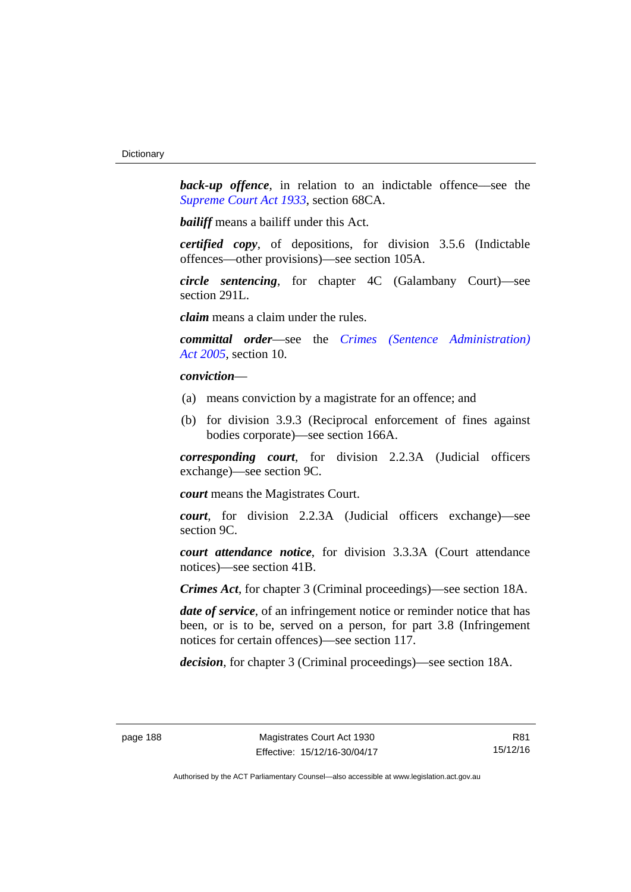**back-up** offence, in relation to an indictable offence—see the *[Supreme Court Act 1933](http://www.legislation.act.gov.au/a/1933-34)*, section 68CA.

*bailiff* means a bailiff under this Act.

*certified copy*, of depositions, for division 3.5.6 (Indictable offences—other provisions)—see section 105A.

*circle sentencing*, for chapter 4C (Galambany Court)—see section 291L.

*claim* means a claim under the rules.

*committal order*—see the *[Crimes \(Sentence Administration\)](http://www.legislation.act.gov.au/a/2005-59)  [Act 2005](http://www.legislation.act.gov.au/a/2005-59)*, section 10.

## *conviction*—

- (a) means conviction by a magistrate for an offence; and
- (b) for division 3.9.3 (Reciprocal enforcement of fines against bodies corporate)—see section 166A.

*corresponding court*, for division 2.2.3A (Judicial officers exchange)—see section 9C.

*court* means the Magistrates Court.

*court*, for division 2.2.3A (Judicial officers exchange)—see section 9C.

*court attendance notice*, for division 3.3.3A (Court attendance notices)—see section 41B.

*Crimes Act*, for chapter 3 (Criminal proceedings)—see section 18A.

*date of service*, of an infringement notice or reminder notice that has been, or is to be, served on a person, for part 3.8 (Infringement notices for certain offences)—see section 117.

*decision*, for chapter 3 (Criminal proceedings)—see section 18A.

R81 15/12/16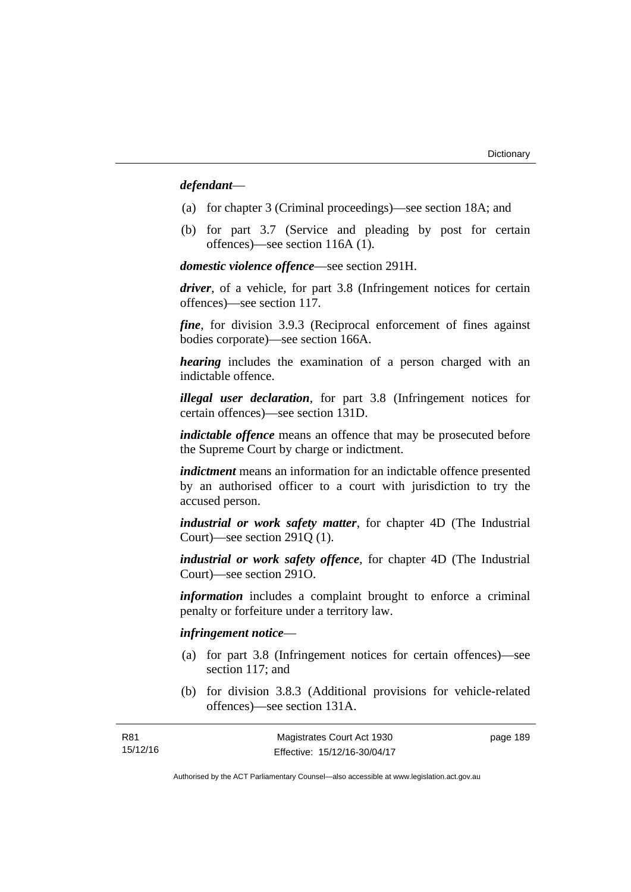## *defendant*—

- (a) for chapter 3 (Criminal proceedings)—see section 18A; and
- (b) for part 3.7 (Service and pleading by post for certain offences)—see section 116A (1).

*domestic violence offence*—see section 291H.

*driver*, of a vehicle, for part 3.8 (Infringement notices for certain offences)—see section 117.

*fine*, for division 3.9.3 (Reciprocal enforcement of fines against bodies corporate)—see section 166A.

*hearing* includes the examination of a person charged with an indictable offence.

*illegal user declaration*, for part 3.8 (Infringement notices for certain offences)—see section 131D.

*indictable offence* means an offence that may be prosecuted before the Supreme Court by charge or indictment.

*indictment* means an information for an indictable offence presented by an authorised officer to a court with jurisdiction to try the accused person.

*industrial or work safety matter*, for chapter 4D (The Industrial Court)—see section 291Q (1).

*industrial or work safety offence*, for chapter 4D (The Industrial Court)—see section 291O.

*information* includes a complaint brought to enforce a criminal penalty or forfeiture under a territory law.

### *infringement notice*—

R81 15/12/16

- (a) for part 3.8 (Infringement notices for certain offences)—see section 117; and
- (b) for division 3.8.3 (Additional provisions for vehicle-related offences)—see section 131A.

| Magistrates Court Act 1930   | page 189 |
|------------------------------|----------|
| Effective: 15/12/16-30/04/17 |          |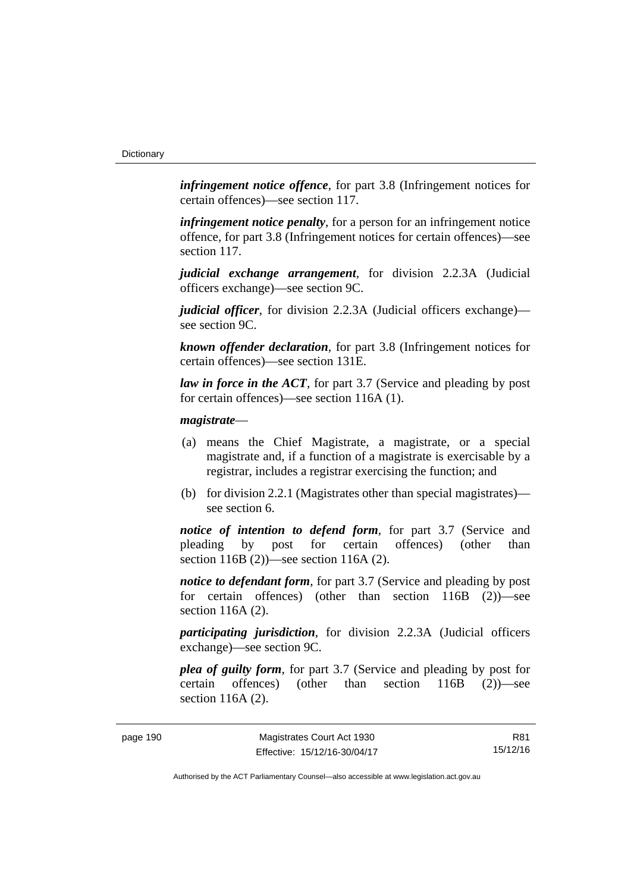*infringement notice offence*, for part 3.8 (Infringement notices for certain offences)—see section 117.

*infringement notice penalty*, for a person for an infringement notice offence, for part 3.8 (Infringement notices for certain offences)—see section 117.

*judicial exchange arrangement*, for division 2.2.3A (Judicial officers exchange)—see section 9C.

*judicial officer*, for division 2.2.3A (Judicial officers exchange) see section 9C.

*known offender declaration*, for part 3.8 (Infringement notices for certain offences)—see section 131E.

*law in force in the ACT*, for part 3.7 (Service and pleading by post for certain offences)—see section 116A (1).

### *magistrate*—

- (a) means the Chief Magistrate, a magistrate, or a special magistrate and, if a function of a magistrate is exercisable by a registrar, includes a registrar exercising the function; and
- (b) for division 2.2.1 (Magistrates other than special magistrates) see section 6.

*notice of intention to defend form*, for part 3.7 (Service and pleading by post for certain offences) (other than section 116B (2))—see section 116A (2).

*notice to defendant form*, for part 3.7 (Service and pleading by post) for certain offences) (other than section 116B (2))—see section 116A (2).

*participating jurisdiction*, for division 2.2.3A (Judicial officers exchange)—see section 9C.

*plea of guilty form*, for part 3.7 (Service and pleading by post for certain offences) (other than section 116B (2))—see section 116A (2).

R81 15/12/16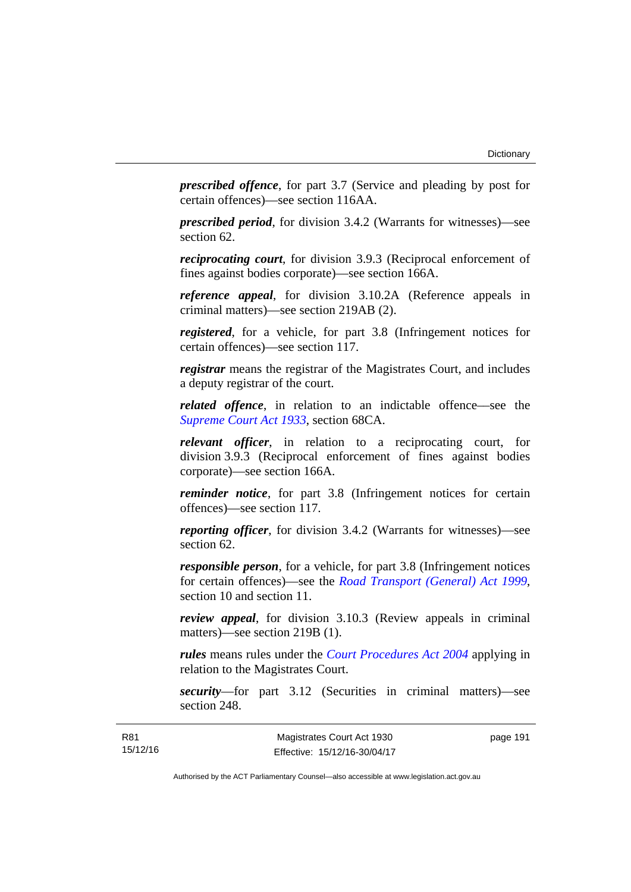*prescribed offence*, for part 3.7 (Service and pleading by post for certain offences)—see section 116AA.

*prescribed period*, for division 3.4.2 (Warrants for witnesses)—see section 62.

*reciprocating court*, for division 3.9.3 (Reciprocal enforcement of fines against bodies corporate)—see section 166A.

*reference appeal*, for division 3.10.2A (Reference appeals in criminal matters)—see section 219AB (2).

*registered*, for a vehicle, for part 3.8 (Infringement notices for certain offences)—see section 117.

*registrar* means the registrar of the Magistrates Court, and includes a deputy registrar of the court.

*related offence*, in relation to an indictable offence––see the *[Supreme Court Act 1933](http://www.legislation.act.gov.au/a/1933-34)*, section 68CA.

*relevant officer*, in relation to a reciprocating court, for division 3.9.3 (Reciprocal enforcement of fines against bodies corporate)—see section 166A.

*reminder notice*, for part 3.8 (Infringement notices for certain offences)—see section 117.

*reporting officer*, for division 3.4.2 (Warrants for witnesses)—see section 62.

*responsible person*, for a vehicle, for part 3.8 (Infringement notices for certain offences)—see the *[Road Transport \(General\) Act 1999](http://www.legislation.act.gov.au/a/1999-77)*, section 10 and section 11.

*review appeal*, for division 3.10.3 (Review appeals in criminal matters)—see section 219B (1).

*rules* means rules under the *[Court Procedures Act 2004](http://www.legislation.act.gov.au/a/2004-59)* applying in relation to the Magistrates Court.

*security*—for part 3.12 (Securities in criminal matters)—see section 248.

page 191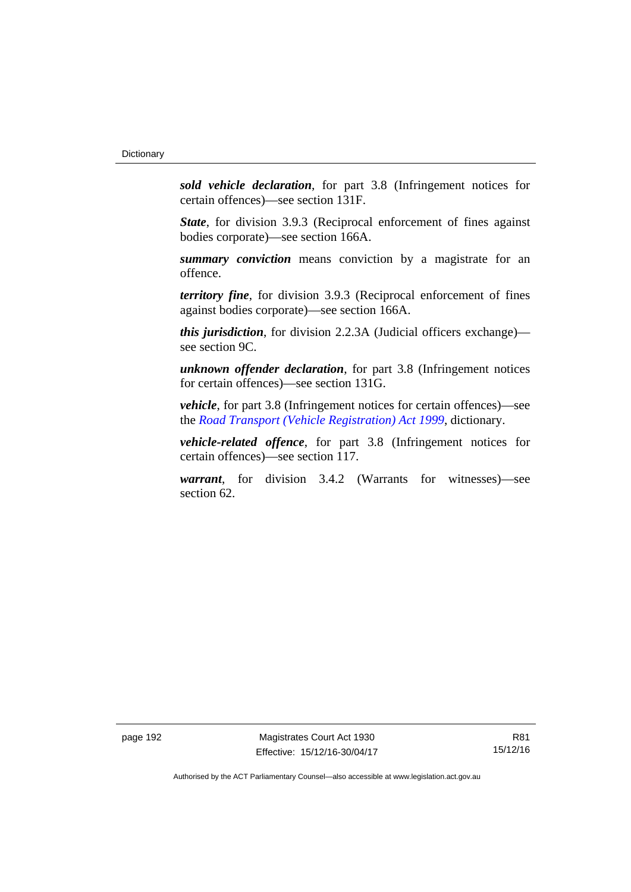*sold vehicle declaration*, for part 3.8 (Infringement notices for certain offences)—see section 131F.

*State*, for division 3.9.3 (Reciprocal enforcement of fines against bodies corporate)—see section 166A.

*summary conviction* means conviction by a magistrate for an offence.

*territory fine*, for division 3.9.3 (Reciprocal enforcement of fines against bodies corporate)—see section 166A.

*this jurisdiction*, for division 2.2.3A (Judicial officers exchange) see section 9C.

*unknown offender declaration*, for part 3.8 (Infringement notices for certain offences)—see section 131G.

*vehicle*, for part 3.8 (Infringement notices for certain offences)—see the *[Road Transport \(Vehicle Registration\) Act 1999](http://www.legislation.act.gov.au/a/1999-81)*, dictionary.

*vehicle-related offence*, for part 3.8 (Infringement notices for certain offences)—see section 117.

*warrant*, for division 3.4.2 (Warrants for witnesses)—see section 62.

page 192 Magistrates Court Act 1930 Effective: 15/12/16-30/04/17

R81 15/12/16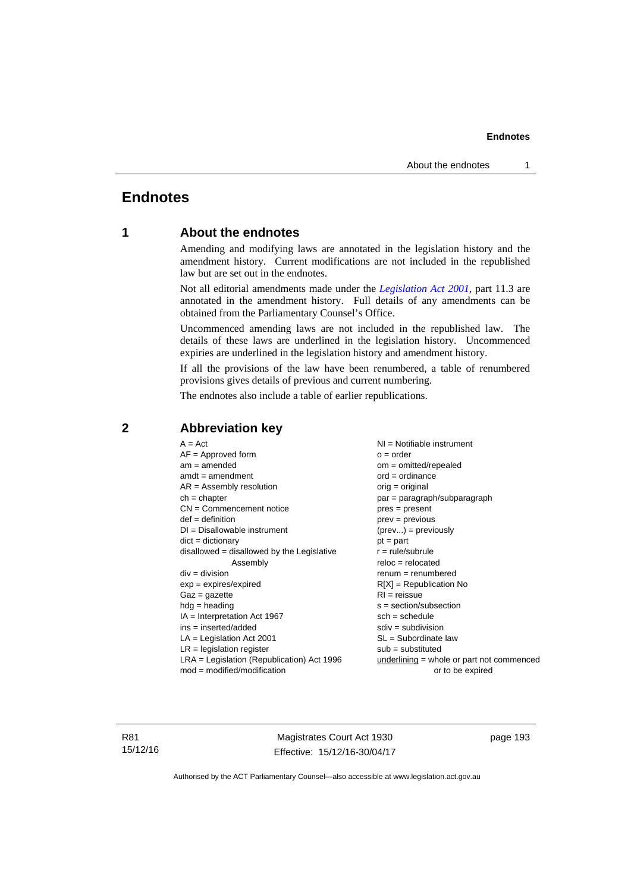# **Endnotes**

## **1 About the endnotes**

Amending and modifying laws are annotated in the legislation history and the amendment history. Current modifications are not included in the republished law but are set out in the endnotes.

Not all editorial amendments made under the *[Legislation Act 2001](http://www.legislation.act.gov.au/a/2001-14)*, part 11.3 are annotated in the amendment history. Full details of any amendments can be obtained from the Parliamentary Counsel's Office.

Uncommenced amending laws are not included in the republished law. The details of these laws are underlined in the legislation history. Uncommenced expiries are underlined in the legislation history and amendment history.

If all the provisions of the law have been renumbered, a table of renumbered provisions gives details of previous and current numbering.

The endnotes also include a table of earlier republications.

| $A = Act$                                                                                 | NI = Notifiable instrument          |  |
|-------------------------------------------------------------------------------------------|-------------------------------------|--|
| $AF =$ Approved form                                                                      | $o = order$                         |  |
| $am = amended$                                                                            | $om = omitted/repealed$             |  |
| $amdt = amendment$                                                                        | $ord = ordinance$                   |  |
| $AR = Assembly resolution$                                                                | $orig = original$                   |  |
| $ch = chapter$                                                                            | par = paragraph/subparagraph        |  |
| $CN =$ Commencement notice                                                                | $pres = present$                    |  |
| $def = definition$                                                                        | $prev = previous$                   |  |
| $DI = Disallowable instrument$                                                            | $(\text{prev}) = \text{previously}$ |  |
| $dict = dictionary$                                                                       | $pt = part$                         |  |
| $disallowed = disallowed by the Legislative$                                              | $r = rule/subrule$                  |  |
| Assembly                                                                                  | $reloc = relocated$                 |  |
| $div = division$                                                                          | $renum = renumbered$                |  |
| $exp = expires/expired$                                                                   | $R[X]$ = Republication No           |  |
| $Gaz = gazette$                                                                           | $RI = reissue$                      |  |
| $hdg = heading$                                                                           | $s = section/subsection$            |  |
| $IA = Interpretation Act 1967$                                                            | $sch = schedule$                    |  |
| $ins = inserted/added$                                                                    | $sdiv = subdivision$                |  |
| $LA =$ Legislation Act 2001                                                               | $SL = Subordinate$ law              |  |
| $LR =$ legislation register<br>$sub =$ substituted                                        |                                     |  |
| LRA = Legislation (Republication) Act 1996<br>$underlining = whole or part not commenced$ |                                     |  |
| $mod = modified/modification$                                                             | or to be expired                    |  |
|                                                                                           |                                     |  |

## **2 Abbreviation key**

R81 15/12/16

Magistrates Court Act 1930 Effective: 15/12/16-30/04/17 page 193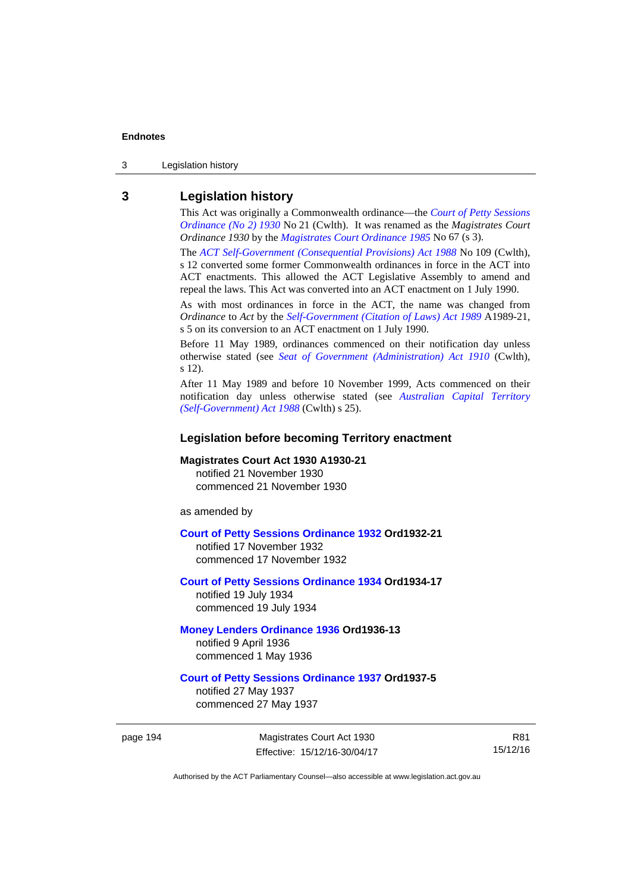3 Legislation history

## **3 Legislation history**

This Act was originally a Commonwealth ordinance—the *[Court of Petty Sessions](http://www.legislation.act.gov.au/a/1930-21)  [Ordinance \(No 2\) 1930](http://www.legislation.act.gov.au/a/1930-21)* No 21 (Cwlth). It was renamed as the *Magistrates Court Ordinance 1930* by the *[Magistrates Court Ordinance 1985](http://www.legislation.act.gov.au/a/1985-67)* No 67 (s 3).

The *[ACT Self-Government \(Consequential Provisions\) Act 1988](http://www.comlaw.gov.au/Details/C2004A03702)* No 109 (Cwlth), s 12 converted some former Commonwealth ordinances in force in the ACT into ACT enactments. This allowed the ACT Legislative Assembly to amend and repeal the laws. This Act was converted into an ACT enactment on 1 July 1990.

As with most ordinances in force in the ACT, the name was changed from *Ordinance* to *Act* by the *[Self-Government \(Citation of Laws\) Act 1989](http://www.legislation.act.gov.au/a/alt_ord1989-21/default.asp)* A1989-21, s 5 on its conversion to an ACT enactment on 1 July 1990.

Before 11 May 1989, ordinances commenced on their notification day unless otherwise stated (see *[Seat of Government \(Administration\) Act 1910](http://www.comlaw.gov.au/Current/C1910A00025)* (Cwlth), s 12).

After 11 May 1989 and before 10 November 1999, Acts commenced on their notification day unless otherwise stated (see *[Australian Capital Territory](http://www.comlaw.gov.au/Current/C2004A03699)  [\(Self-Government\) Act 1988](http://www.comlaw.gov.au/Current/C2004A03699)* (Cwlth) s 25).

### **Legislation before becoming Territory enactment**

#### **Magistrates Court Act 1930 A1930-21**

notified 21 November 1930 commenced 21 November 1930

as amended by

#### **[Court of Petty Sessions Ordinance 1932](http://www.legislation.act.gov.au/a/1932-21) Ord1932-21**

notified 17 November 1932 commenced 17 November 1932

## **[Court of Petty Sessions Ordinance 1934](http://www.legislation.act.gov.au/a/1934-17) Ord1934-17**  notified 19 July 1934

commenced 19 July 1934

#### **[Money Lenders Ordinance 1936](http://www.legislation.act.gov.au/ord/1936-13) Ord1936-13**  notified 9 April 1936 commenced 1 May 1936

# **[Court of Petty Sessions Ordinance 1937](http://www.legislation.act.gov.au/a/1937-5) Ord1937-5**

notified 27 May 1937 commenced 27 May 1937

page 194 Magistrates Court Act 1930 Effective: 15/12/16-30/04/17

R81 15/12/16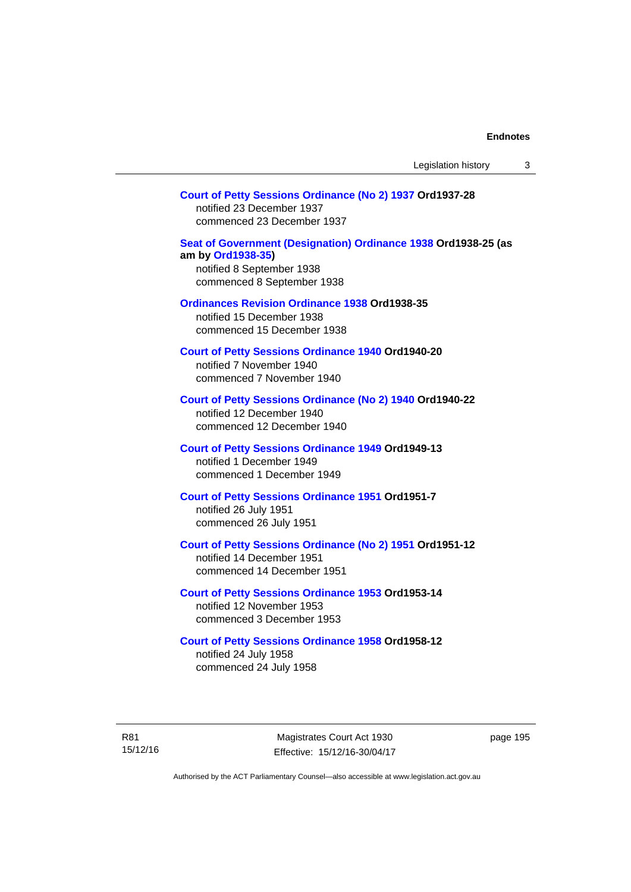### **[Court of Petty Sessions Ordinance \(No 2\) 1937](http://www.legislation.act.gov.au/a/1937-28) Ord1937-28**

notified 23 December 1937 commenced 23 December 1937

#### **[Seat of Government \(Designation\) Ordinance 1938](http://www.legislation.act.gov.au/a/1938-25) Ord1938-25 (as am by [Ord1938-35](http://www.legislation.act.gov.au/a/1938-35))**  notified 8 September 1938

commenced 8 September 1938

#### **[Ordinances Revision Ordinance 1938](http://www.legislation.act.gov.au/a/1938-35) Ord1938-35**

notified 15 December 1938 commenced 15 December 1938

**[Court of Petty Sessions Ordinance 1940](http://www.legislation.act.gov.au/a/1940-20) Ord1940-20**  notified 7 November 1940 commenced 7 November 1940

### **[Court of Petty Sessions Ordinance \(No 2\) 1940](http://www.legislation.act.gov.au/a/1940-22) Ord1940-22**

notified 12 December 1940 commenced 12 December 1940

### **[Court of Petty Sessions Ordinance 1949](http://www.legislation.act.gov.au/a/1949-13) Ord1949-13**

notified 1 December 1949 commenced 1 December 1949

#### **[Court of Petty Sessions Ordinance 1951](http://www.legislation.act.gov.au/a/1951-7) Ord1951-7**  notified 26 July 1951

commenced 26 July 1951

### **[Court of Petty Sessions Ordinance \(No 2\) 1951](http://www.legislation.act.gov.au/a/1951-12) Ord1951-12**

notified 14 December 1951 commenced 14 December 1951

#### **[Court of Petty Sessions Ordinance 1953](http://www.legislation.act.gov.au/a/1953-14) Ord1953-14**  notified 12 November 1953

commenced 3 December 1953

#### **[Court of Petty Sessions Ordinance 1958](http://www.legislation.act.gov.au/a/1958-12) Ord1958-12**

notified 24 July 1958 commenced 24 July 1958

R81 15/12/16

Magistrates Court Act 1930 Effective: 15/12/16-30/04/17 page 195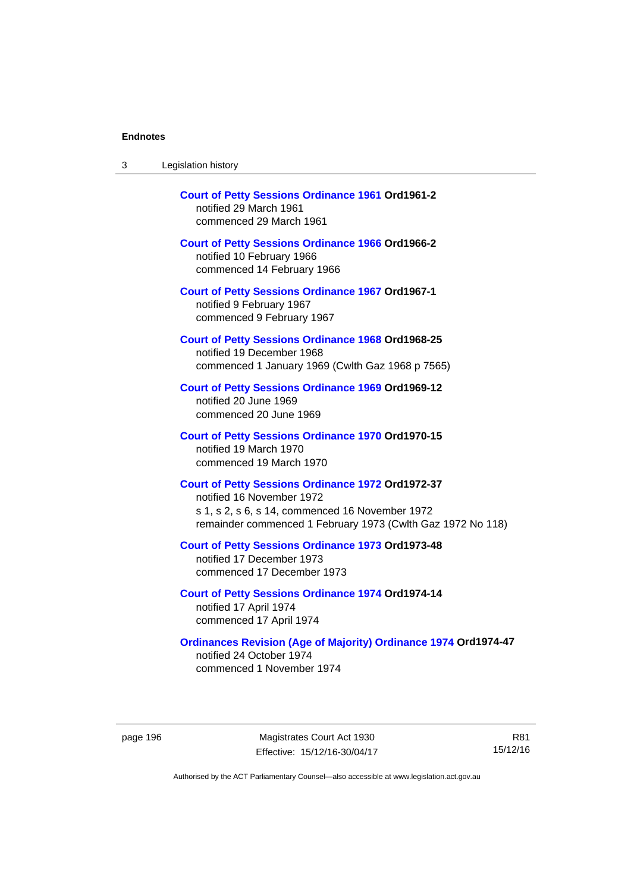| <b>Court of Petty Sessions Ordinance 1961 Ord1961-2</b><br>notified 29 March 1961<br>commenced 29 March 1961                                                                                            |
|---------------------------------------------------------------------------------------------------------------------------------------------------------------------------------------------------------|
| <b>Court of Petty Sessions Ordinance 1966 Ord1966-2</b><br>notified 10 February 1966<br>commenced 14 February 1966                                                                                      |
| <b>Court of Petty Sessions Ordinance 1967 Ord1967-1</b><br>notified 9 February 1967<br>commenced 9 February 1967                                                                                        |
| <b>Court of Petty Sessions Ordinance 1968 Ord1968-25</b><br>notified 19 December 1968<br>commenced 1 January 1969 (Cwlth Gaz 1968 p 7565)                                                               |
| <b>Court of Petty Sessions Ordinance 1969 Ord1969-12</b><br>notified 20 June 1969<br>commenced 20 June 1969                                                                                             |
| <b>Court of Petty Sessions Ordinance 1970 Ord1970-15</b><br>notified 19 March 1970<br>commenced 19 March 1970                                                                                           |
| <b>Court of Petty Sessions Ordinance 1972 Ord1972-37</b><br>notified 16 November 1972<br>s 1, s 2, s 6, s 14, commenced 16 November 1972<br>remainder commenced 1 February 1973 (Cwlth Gaz 1972 No 118) |
| <b>Court of Petty Sessions Ordinance 1973 Ord1973-48</b><br>notified 17 December 1973<br>commenced 17 December 1973                                                                                     |
| <b>Court of Petty Sessions Ordinance 1974 Ord1974-14</b><br>notified 17 April 1974<br>commenced 17 April 1974                                                                                           |
| <b>Ordinances Revision (Age of Majority) Ordinance 1974 Ord1974-47</b><br>notified 24 October 1974<br>commenced 1 November 1974                                                                         |

page 196 Magistrates Court Act 1930 Effective: 15/12/16-30/04/17

R81 15/12/16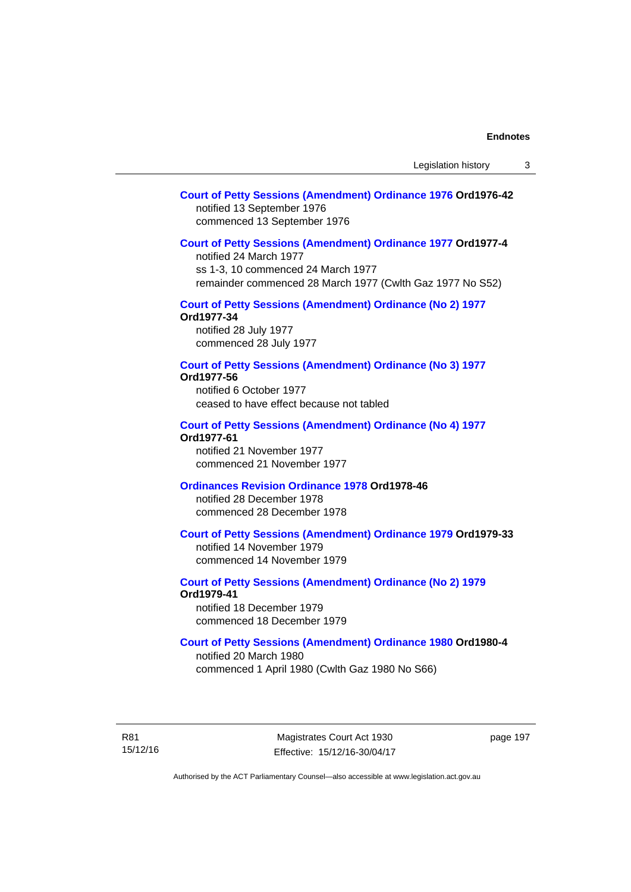## **[Court of Petty Sessions \(Amendment\) Ordinance 1976](http://www.legislation.act.gov.au/a/1976-42) Ord1976-42**  notified 13 September 1976 commenced 13 September 1976

#### **[Court of Petty Sessions \(Amendment\) Ordinance 1977](http://www.legislation.act.gov.au/a/1977-4) Ord1977-4**

notified 24 March 1977 ss 1-3, 10 commenced 24 March 1977 remainder commenced 28 March 1977 (Cwlth Gaz 1977 No S52)

## **[Court of Petty Sessions \(Amendment\) Ordinance \(No 2\) 1977](http://www.legislation.act.gov.au/a/1977-34)**

**Ord1977-34**  notified 28 July 1977 commenced 28 July 1977

## **[Court of Petty Sessions \(Amendment\) Ordinance \(No 3\) 1977](http://www.legislation.act.gov.au/ord/1977-56)**

**Ord1977-56** 

notified 6 October 1977 ceased to have effect because not tabled

#### **[Court of Petty Sessions \(Amendment\) Ordinance \(No 4\) 1977](http://www.legislation.act.gov.au/a/1977-61) Ord1977-61**

notified 21 November 1977 commenced 21 November 1977

## **[Ordinances Revision Ordinance 1978](http://www.legislation.act.gov.au/a/1978-46) Ord1978-46**

notified 28 December 1978 commenced 28 December 1978

### **[Court of Petty Sessions \(Amendment\) Ordinance 1979](http://www.legislation.act.gov.au/a/1979-33) Ord1979-33**

notified 14 November 1979 commenced 14 November 1979

## **[Court of Petty Sessions \(Amendment\) Ordinance \(No 2\) 1979](http://www.legislation.act.gov.au/a/1979-41) Ord1979-41**

notified 18 December 1979 commenced 18 December 1979

## **[Court of Petty Sessions \(Amendment\) Ordinance 1980](http://www.legislation.act.gov.au/a/1980-4) Ord1980-4**

notified 20 March 1980 commenced 1 April 1980 (Cwlth Gaz 1980 No S66)

R81 15/12/16

Magistrates Court Act 1930 Effective: 15/12/16-30/04/17 page 197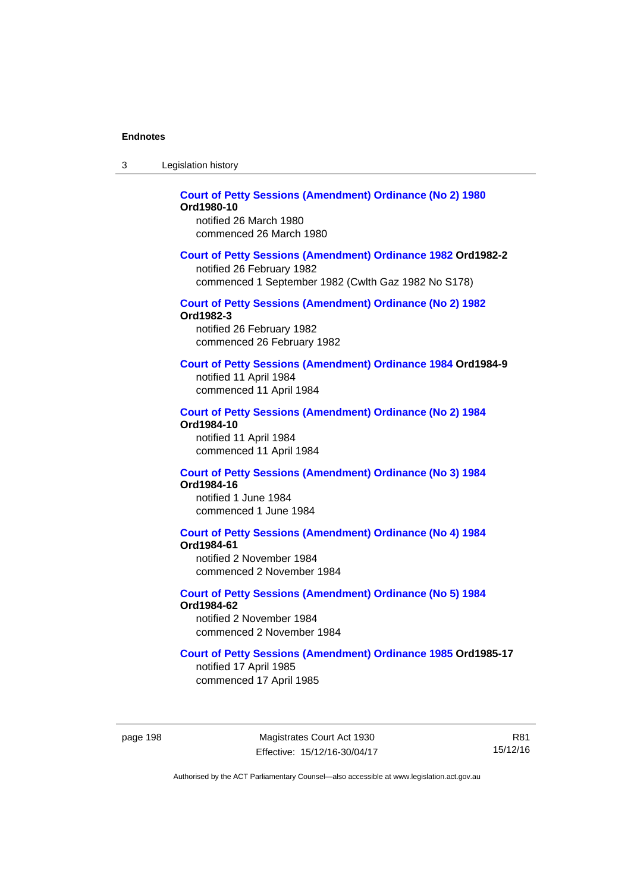| -3 | Legislation history |  |
|----|---------------------|--|
|----|---------------------|--|

#### **[Court of Petty Sessions \(Amendment\) Ordinance \(No 2\) 1980](http://www.legislation.act.gov.au/a/1980-10) Ord1980-10**  notified 26 March 1980

commenced 26 March 1980

#### **[Court of Petty Sessions \(Amendment\) Ordinance 1982](http://www.legislation.act.gov.au/a/1982-2) Ord1982-2**

notified 26 February 1982 commenced 1 September 1982 (Cwlth Gaz 1982 No S178)

## **[Court of Petty Sessions \(Amendment\) Ordinance \(No 2\) 1982](http://www.legislation.act.gov.au/a/1982-3)**

**Ord1982-3** 

notified 26 February 1982 commenced 26 February 1982

### **[Court of Petty Sessions \(Amendment\) Ordinance 1984](http://www.legislation.act.gov.au/a/1984-9) Ord1984-9**

notified 11 April 1984 commenced 11 April 1984

#### **[Court of Petty Sessions \(Amendment\) Ordinance \(No 2\) 1984](http://www.legislation.act.gov.au/a/1984-10) Ord1984-10**

notified 11 April 1984 commenced 11 April 1984

#### **[Court of Petty Sessions \(Amendment\) Ordinance \(No 3\) 1984](http://www.legislation.act.gov.au/a/1984-16) Ord1984-16**

notified 1 June 1984 commenced 1 June 1984

# **[Court of Petty Sessions \(Amendment\) Ordinance \(No 4\) 1984](http://www.legislation.act.gov.au/a/1984-61)**

**Ord1984-61** 

notified 2 November 1984 commenced 2 November 1984

#### **[Court of Petty Sessions \(Amendment\) Ordinance \(No 5\) 1984](http://www.legislation.act.gov.au/a/1984-62) Ord1984-62**

notified 2 November 1984 commenced 2 November 1984

#### **[Court of Petty Sessions \(Amendment\) Ordinance 1985](http://www.legislation.act.gov.au/a/1985-17) Ord1985-17**

notified 17 April 1985 commenced 17 April 1985

page 198 Magistrates Court Act 1930 Effective: 15/12/16-30/04/17

R81 15/12/16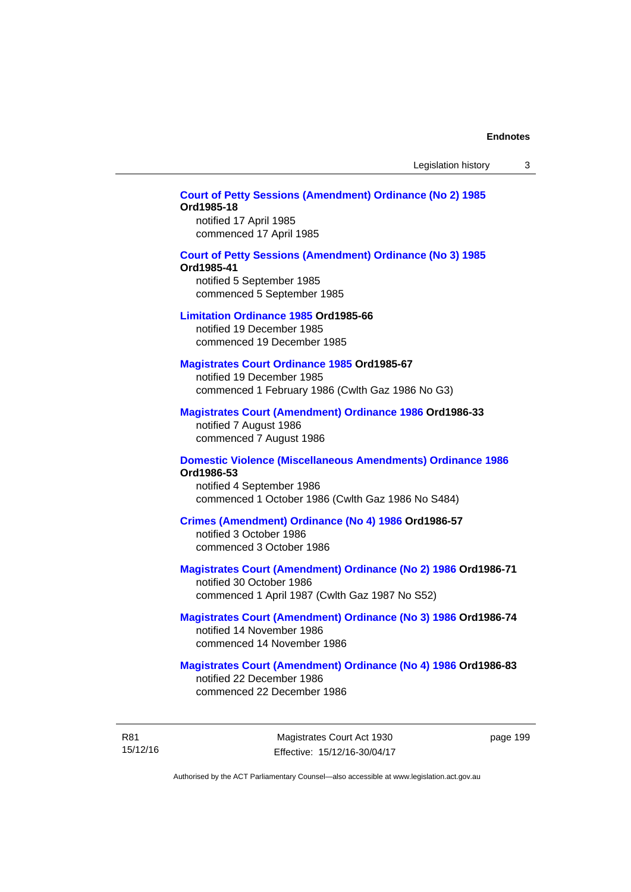Legislation history 3

## **[Court of Petty Sessions \(Amendment\) Ordinance \(No 2\) 1985](http://www.legislation.act.gov.au/a/1985-18) Ord1985-18**

notified 17 April 1985 commenced 17 April 1985

#### **[Court of Petty Sessions \(Amendment\) Ordinance \(No 3\) 1985](http://www.legislation.act.gov.au/a/1985-41)**

#### **Ord1985-41**

notified 5 September 1985 commenced 5 September 1985

#### **[Limitation Ordinance 1985](http://www.legislation.act.gov.au/a/1985-66) Ord1985-66**

notified 19 December 1985 commenced 19 December 1985

#### **[Magistrates Court Ordinance 1985](http://www.legislation.act.gov.au/a/1985-67) Ord1985-67**

notified 19 December 1985 commenced 1 February 1986 (Cwlth Gaz 1986 No G3)

### **[Magistrates Court \(Amendment\) Ordinance 1986](http://www.legislation.act.gov.au/a/1986-33) Ord1986-33**

notified 7 August 1986 commenced 7 August 1986

#### **[Domestic Violence \(Miscellaneous Amendments\) Ordinance 1986](http://www.legislation.act.gov.au/a/1986-53) Ord1986-53**

notified 4 September 1986 commenced 1 October 1986 (Cwlth Gaz 1986 No S484)

#### **[Crimes \(Amendment\) Ordinance \(No 4\) 1986](http://www.legislation.act.gov.au/a/1986-57) Ord1986-57**

notified 3 October 1986 commenced 3 October 1986

### **[Magistrates Court \(Amendment\) Ordinance \(No 2\) 1986](http://www.legislation.act.gov.au/a/1986-71) Ord1986-71**

notified 30 October 1986 commenced 1 April 1987 (Cwlth Gaz 1987 No S52)

#### **[Magistrates Court \(Amendment\) Ordinance \(No 3\) 1986](http://www.legislation.act.gov.au/a/1986-74) Ord1986-74**  notified 14 November 1986 commenced 14 November 1986

## **[Magistrates Court \(Amendment\) Ordinance \(No 4\) 1986](http://www.legislation.act.gov.au/a/1986-83) Ord1986-83**  notified 22 December 1986

commenced 22 December 1986

R81 15/12/16 page 199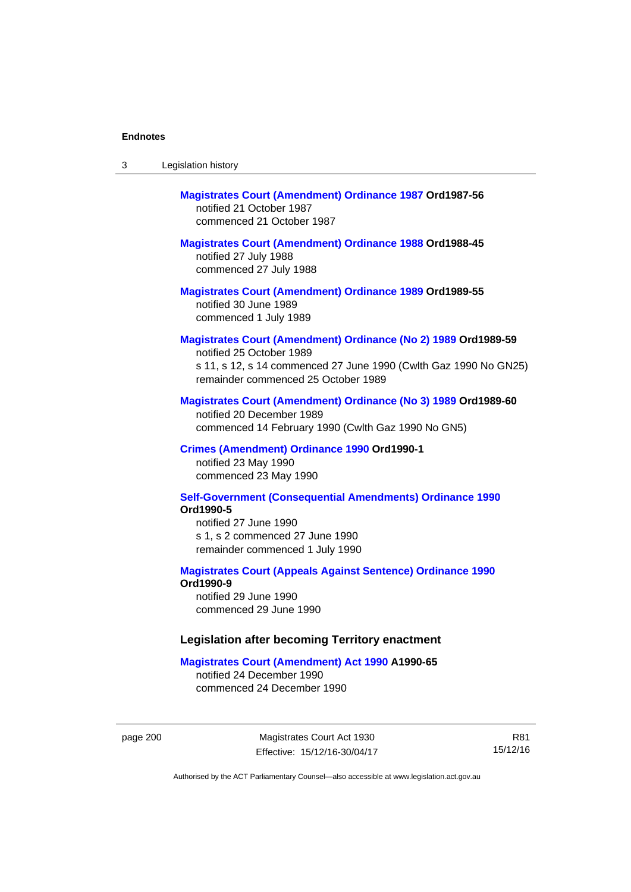| -3 | Legislation history |  |
|----|---------------------|--|
|----|---------------------|--|

# **[Magistrates Court \(Amendment\) Ordinance 1987](http://www.legislation.act.gov.au/a/1987-56) Ord1987-56**  notified 21 October 1987 commenced 21 October 1987

## **[Magistrates Court \(Amendment\) Ordinance 1988](http://www.legislation.act.gov.au/a/1988-45) Ord1988-45**

notified 27 July 1988 commenced 27 July 1988

**[Magistrates Court \(Amendment\) Ordinance 1989](http://www.legislation.act.gov.au/a/1989-55) Ord1989-55**  notified 30 June 1989 commenced 1 July 1989

### **[Magistrates Court \(Amendment\) Ordinance \(No 2\) 1989](http://www.legislation.act.gov.au/a/1989-59) Ord1989-59**

notified 25 October 1989 s 11, s 12, s 14 commenced 27 June 1990 (Cwlth Gaz 1990 No GN25) remainder commenced 25 October 1989

#### **[Magistrates Court \(Amendment\) Ordinance \(No 3\) 1989](http://www.legislation.act.gov.au/a/1989-60) Ord1989-60**

notified 20 December 1989 commenced 14 February 1990 (Cwlth Gaz 1990 No GN5)

#### **[Crimes \(Amendment\) Ordinance 1990](http://www.legislation.act.gov.au/a/alt_ord1990-1) Ord1990-1**

notified 23 May 1990 commenced 23 May 1990

### **[Self-Government \(Consequential Amendments\) Ordinance 1990](http://www.legislation.act.gov.au/a/alt_ord1990-5) Ord1990-5**

notified 27 June 1990 s 1, s 2 commenced 27 June 1990 remainder commenced 1 July 1990

#### **[Magistrates Court \(Appeals Against Sentence\) Ordinance 1990](http://www.legislation.act.gov.au/a/alt_ord1990-9) Ord1990-9**

notified 29 June 1990 commenced 29 June 1990

#### **Legislation after becoming Territory enactment**

#### **[Magistrates Court \(Amendment\) Act 1990](http://www.legislation.act.gov.au/a/1990-65) A1990-65**

notified 24 December 1990 commenced 24 December 1990

page 200 Magistrates Court Act 1930 Effective: 15/12/16-30/04/17

R81 15/12/16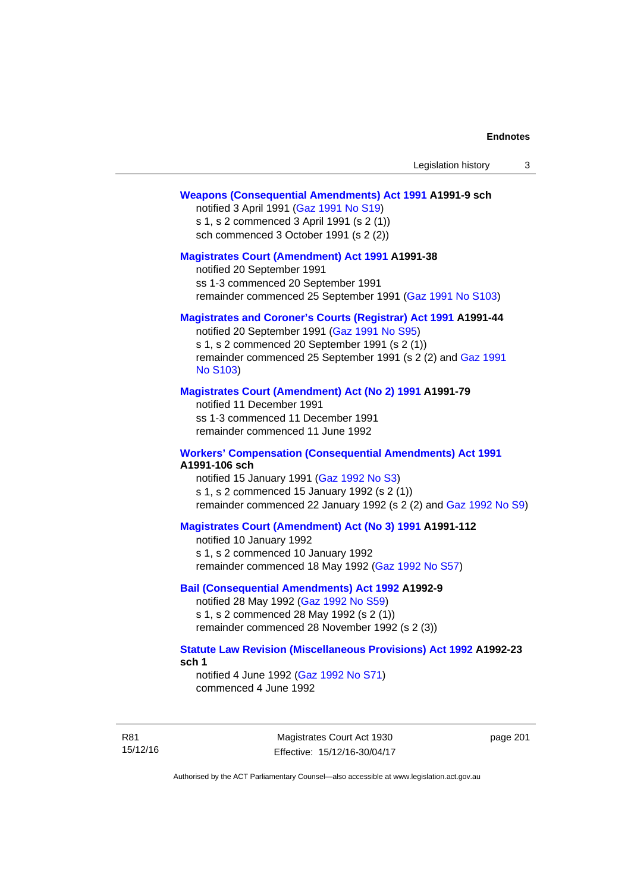### **[Weapons \(Consequential Amendments\) Act 1991](http://www.legislation.act.gov.au/a/1991-9) A1991-9 sch**

notified 3 April 1991 ([Gaz 1991 No S19](http://www.legislation.act.gov.au/gaz/1991-S19/default.asp)) s 1, s 2 commenced 3 April 1991 (s 2 (1)) sch commenced 3 October 1991 (s 2 (2))

#### **[Magistrates Court \(Amendment\) Act 1991](http://www.legislation.act.gov.au/a/1991-38) A1991-38**

notified 20 September 1991 ss 1-3 commenced 20 September 1991 remainder commenced 25 September 1991 [\(Gaz 1991 No S103](http://www.legislation.act.gov.au/gaz/1991-S103/default.asp))

## **[Magistrates and Coroner's Courts \(Registrar\) Act 1991](http://www.legislation.act.gov.au/a/1991-44) A1991-44**

notified 20 September 1991 [\(Gaz 1991 No S95\)](http://www.legislation.act.gov.au/gaz/1991-S95/default.asp) s 1, s 2 commenced 20 September 1991 (s 2 (1)) remainder commenced 25 September 1991 (s 2 (2) and [Gaz 1991](http://www.legislation.act.gov.au/gaz/1991-S103/default.asp)  [No S103\)](http://www.legislation.act.gov.au/gaz/1991-S103/default.asp)

### **[Magistrates Court \(Amendment\) Act \(No 2\) 1991](http://www.legislation.act.gov.au/a/1991-79) A1991-79**

notified 11 December 1991 ss 1-3 commenced 11 December 1991 remainder commenced 11 June 1992

### **[Workers' Compensation \(Consequential Amendments\) Act 1991](http://www.legislation.act.gov.au/a/1991-106) A1991-106 sch**

notified 15 January 1991 ([Gaz 1992 No S3\)](http://www.legislation.act.gov.au/gaz/1992-S3/default.asp) s 1, s 2 commenced 15 January 1992 (s 2 (1)) remainder commenced 22 January 1992 (s 2 (2) and [Gaz 1992 No S9](http://www.legislation.act.gov.au/gaz/1992-S9/default.asp))

## **[Magistrates Court \(Amendment\) Act \(No 3\) 1991](http://www.legislation.act.gov.au/a/1991-112) A1991-112**

notified 10 January 1992 s 1, s 2 commenced 10 January 1992 remainder commenced 18 May 1992 [\(Gaz 1992 No S57\)](http://www.legislation.act.gov.au/gaz/1992-S57/default.asp)

## **[Bail \(Consequential Amendments\) Act 1992](http://www.legislation.act.gov.au/a/1992-9) A1992-9**

notified 28 May 1992 ([Gaz 1992 No S59](http://www.legislation.act.gov.au/gaz/1992-S59/default.asp)) s 1, s 2 commenced 28 May 1992 (s 2 (1)) remainder commenced 28 November 1992 (s 2 (3))

## **[Statute Law Revision \(Miscellaneous Provisions\) Act 1992](http://www.legislation.act.gov.au/a/1992-23) A1992-23 sch 1**

notified 4 June 1992 [\(Gaz 1992 No S71\)](http://www.legislation.act.gov.au/gaz/1992-S71/default.asp) commenced 4 June 1992

R81 15/12/16

Magistrates Court Act 1930 Effective: 15/12/16-30/04/17 page 201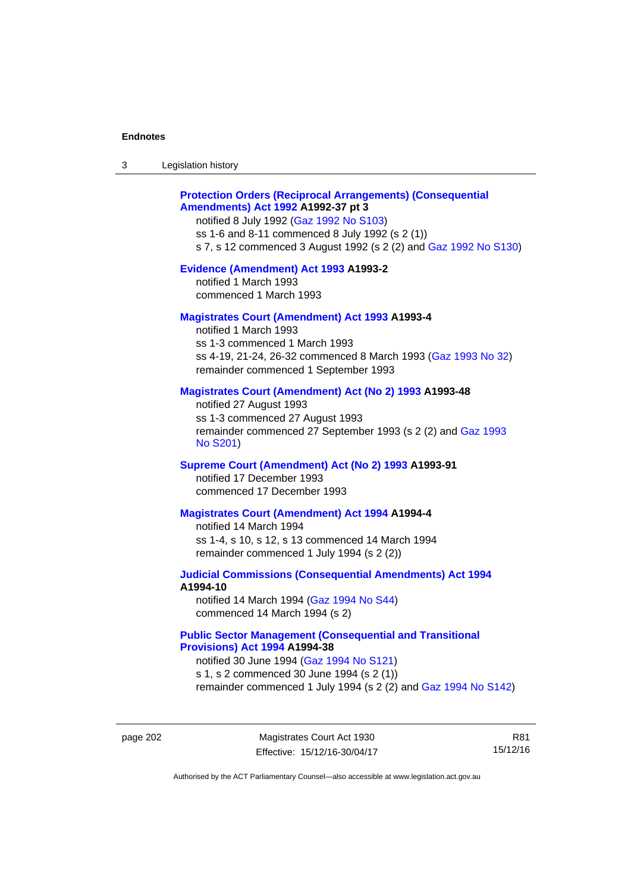| 3 | Legislation history |  |
|---|---------------------|--|
|---|---------------------|--|

## **[Protection Orders \(Reciprocal Arrangements\) \(Consequential](http://www.legislation.act.gov.au/a/1992-37)  [Amendments\) Act 1992](http://www.legislation.act.gov.au/a/1992-37) A1992-37 pt 3**

notified 8 July 1992 [\(Gaz 1992 No S103](http://www.legislation.act.gov.au/gaz/1992-S103/default.asp)) ss 1-6 and 8-11 commenced 8 July 1992 (s 2 (1)) s 7, s 12 commenced 3 August 1992 (s 2 (2) and [Gaz 1992 No S130](http://www.legislation.act.gov.au/gaz/1992-S130/default.asp))

### **[Evidence \(Amendment\) Act 1993](http://www.legislation.act.gov.au/a/1993-2) A1993-2**

notified 1 March 1993 commenced 1 March 1993

## **[Magistrates Court \(Amendment\) Act 1993](http://www.legislation.act.gov.au/a/1993-4) A1993-4**

notified 1 March 1993 ss 1-3 commenced 1 March 1993 ss 4-19, 21-24, 26-32 commenced 8 March 1993 [\(Gaz 1993 No 32](http://www.legislation.act.gov.au/gaz/1993-32/default.asp)) remainder commenced 1 September 1993

## **[Magistrates Court \(Amendment\) Act \(No 2\) 1993](http://www.legislation.act.gov.au/a/1993-48) A1993-48**

notified 27 August 1993 ss 1-3 commenced 27 August 1993 remainder commenced 27 September 1993 (s 2 (2) and [Gaz 1993](http://www.legislation.act.gov.au/gaz/1993-S201/default.asp)  [No S201\)](http://www.legislation.act.gov.au/gaz/1993-S201/default.asp)

### **[Supreme Court \(Amendment\) Act \(No 2\) 1993](http://www.legislation.act.gov.au/a/1993-91) A1993-91**

notified 17 December 1993 commenced 17 December 1993

#### **[Magistrates Court \(Amendment\) Act 1994](http://www.legislation.act.gov.au/a/1994-4) A1994-4**

notified 14 March 1994 ss 1-4, s 10, s 12, s 13 commenced 14 March 1994 remainder commenced 1 July 1994 (s 2 (2))

## **[Judicial Commissions \(Consequential Amendments\) Act 1994](http://www.legislation.act.gov.au/a/1994-10) A1994-10**

notified 14 March 1994 ([Gaz 1994 No S44](http://www.legislation.act.gov.au/gaz/1994-S44/default.asp)) commenced 14 March 1994 (s 2)

## **[Public Sector Management \(Consequential and Transitional](http://www.legislation.act.gov.au/a/1994-38)  [Provisions\) Act 1994](http://www.legislation.act.gov.au/a/1994-38) A1994-38**

notified 30 June 1994 ([Gaz 1994 No S121\)](http://www.legislation.act.gov.au/gaz/1994-S121/default.asp) s 1, s 2 commenced 30 June 1994 (s 2 (1)) remainder commenced 1 July 1994 (s 2 (2) and [Gaz 1994 No S142\)](http://www.legislation.act.gov.au/gaz/1994-S142/default.asp)

page 202 Magistrates Court Act 1930 Effective: 15/12/16-30/04/17

R81 15/12/16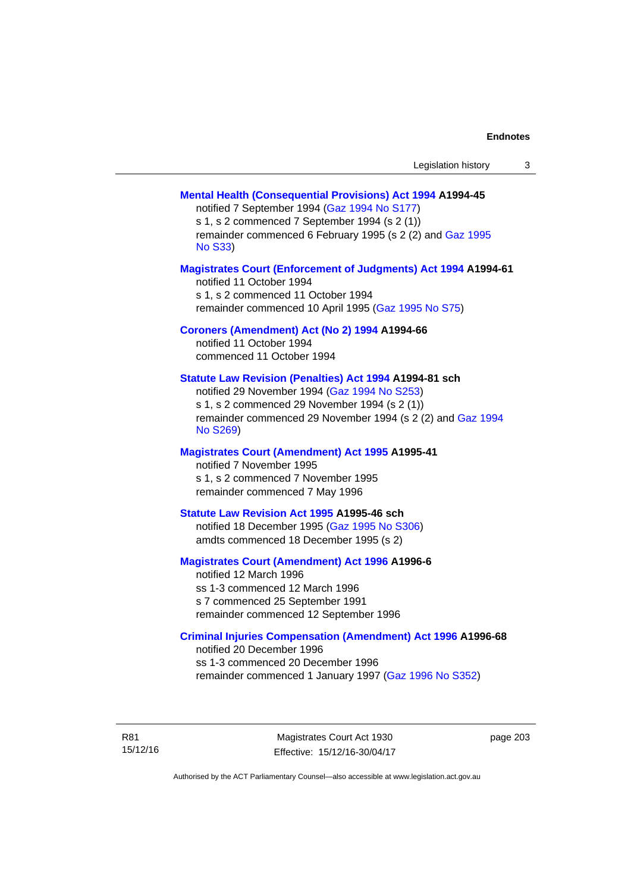| Legislation history |  |  |
|---------------------|--|--|
|---------------------|--|--|

## **[Mental Health \(Consequential Provisions\) Act 1994](http://www.legislation.act.gov.au/a/1994-45) A1994-45**

notified 7 September 1994 [\(Gaz 1994 No S177\)](http://www.legislation.act.gov.au/gaz/1994-S177/default.asp) s 1, s 2 commenced 7 September 1994 (s 2 (1)) remainder commenced 6 February 1995 (s 2 (2) and [Gaz 1995](http://www.legislation.act.gov.au/gaz/1995-S33/default.asp)  [No S33](http://www.legislation.act.gov.au/gaz/1995-S33/default.asp))

### **[Magistrates Court \(Enforcement of Judgments\) Act 1994](http://www.legislation.act.gov.au/a/1994-61) A1994-61**

notified 11 October 1994 s 1, s 2 commenced 11 October 1994 remainder commenced 10 April 1995 [\(Gaz 1995 No S75\)](http://www.legislation.act.gov.au/gaz/1995-S75/default.asp)

## **[Coroners \(Amendment\) Act \(No 2\) 1994](http://www.legislation.act.gov.au/a/1994-66) A1994-66**

notified 11 October 1994 commenced 11 October 1994

## **[Statute Law Revision \(Penalties\) Act 1994](http://www.legislation.act.gov.au/a/1994-81) A1994-81 sch**

notified 29 November 1994 [\(Gaz 1994 No S253](http://www.legislation.act.gov.au/gaz/1994-S253/default.asp)) s 1, s 2 commenced 29 November 1994 (s 2 (1)) remainder commenced 29 November 1994 (s 2 (2) and [Gaz 1994](http://www.legislation.act.gov.au/gaz/1994-S269/default.asp)  [No S269\)](http://www.legislation.act.gov.au/gaz/1994-S269/default.asp)

## **[Magistrates Court \(Amendment\) Act 1995](http://www.legislation.act.gov.au/a/1995-41) A1995-41**

notified 7 November 1995 s 1, s 2 commenced 7 November 1995 remainder commenced 7 May 1996

#### **[Statute Law Revision Act 1995](http://www.legislation.act.gov.au/a/1995-46) A1995-46 sch**

notified 18 December 1995 [\(Gaz 1995 No S306](http://www.legislation.act.gov.au/gaz/1995-S306/default.asp)) amdts commenced 18 December 1995 (s 2)

## **[Magistrates Court \(Amendment\) Act 1996](http://www.legislation.act.gov.au/a/1996-6) A1996-6**

notified 12 March 1996 ss 1-3 commenced 12 March 1996 s 7 commenced 25 September 1991 remainder commenced 12 September 1996

### **[Criminal Injuries Compensation \(Amendment\) Act 1996](http://www.legislation.act.gov.au/a/1996-68) A1996-68**

notified 20 December 1996 ss 1-3 commenced 20 December 1996 remainder commenced 1 January 1997 [\(Gaz 1996 No S352](http://www.legislation.act.gov.au/gaz/1996-S352/default.asp))

R81 15/12/16

Magistrates Court Act 1930 Effective: 15/12/16-30/04/17 page 203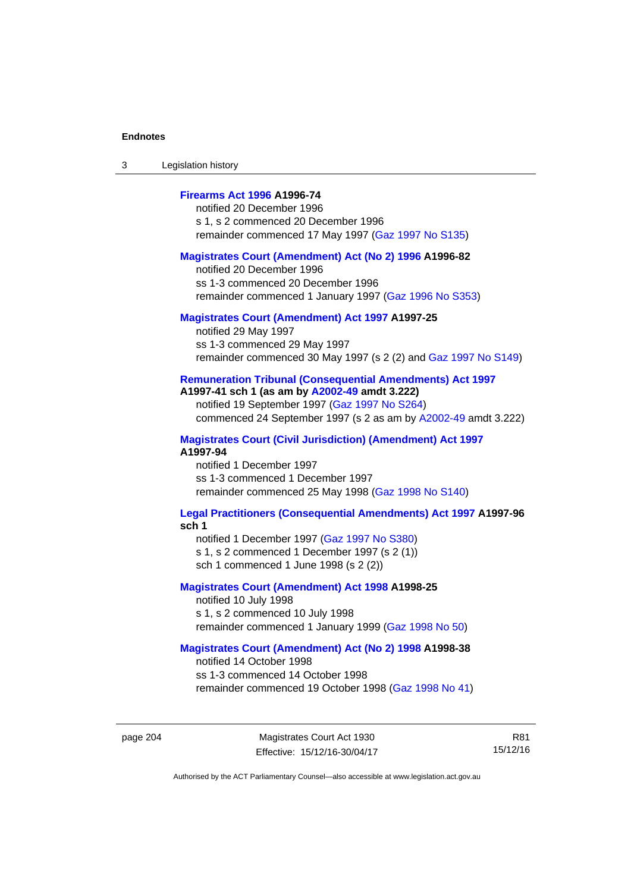3 Legislation history

## **[Firearms Act 1996](http://www.legislation.act.gov.au/a/1996-74) A1996-74**

notified 20 December 1996 s 1, s 2 commenced 20 December 1996 remainder commenced 17 May 1997 [\(Gaz 1997 No S135](http://www.legislation.act.gov.au/gaz/1997-S135/default.asp))

### **[Magistrates Court \(Amendment\) Act \(No 2\) 1996](http://www.legislation.act.gov.au/a/1996-82) A1996-82**

notified 20 December 1996 ss 1-3 commenced 20 December 1996 remainder commenced 1 January 1997 [\(Gaz 1996 No S353](http://www.legislation.act.gov.au/gaz/1996-S353/default.asp))

## **[Magistrates Court \(Amendment\) Act 1997](http://www.legislation.act.gov.au/a/1997-25) A1997-25**

notified 29 May 1997 ss 1-3 commenced 29 May 1997 remainder commenced 30 May 1997 (s 2 (2) and [Gaz 1997 No S149\)](http://www.legislation.act.gov.au/gaz/1997-S149/default.asp)

## **[Remuneration Tribunal \(Consequential Amendments\) Act 1997](http://www.legislation.act.gov.au/a/1997-41) A1997-41 sch 1 (as am by [A2002-49](http://www.legislation.act.gov.au/a/2002-49) amdt 3.222)**

notified 19 September 1997 [\(Gaz 1997 No S264](http://www.legislation.act.gov.au/gaz/1997-S264/default.asp)) commenced 24 September 1997 (s 2 as am by [A2002-49](http://www.legislation.act.gov.au/a/2002-49) amdt 3.222)

**[Magistrates Court \(Civil Jurisdiction\) \(Amendment\) Act 1997](http://www.legislation.act.gov.au/a/1997-94) A1997-94** 

notified 1 December 1997 ss 1-3 commenced 1 December 1997 remainder commenced 25 May 1998 [\(Gaz 1998 No S140](http://www.legislation.act.gov.au/gaz/1998-S140/default.asp))

#### **[Legal Practitioners \(Consequential Amendments\) Act 1997](http://www.legislation.act.gov.au/a/1997-96) A1997-96 sch 1**

notified 1 December 1997 ([Gaz 1997 No S380\)](http://www.legislation.act.gov.au/gaz/1997-S380/default.asp) s 1, s 2 commenced 1 December 1997 (s 2 (1))

sch 1 commenced 1 June 1998 (s 2 (2))

## **[Magistrates Court \(Amendment\) Act 1998](http://www.legislation.act.gov.au/a/1998-25) A1998-25**

notified 10 July 1998 s 1, s 2 commenced 10 July 1998 remainder commenced 1 January 1999 [\(Gaz 1998 No 50](http://www.legislation.act.gov.au/gaz/1998-50/default.asp))

## **[Magistrates Court \(Amendment\) Act \(No 2\) 1998](http://www.legislation.act.gov.au/a/1998-38) A1998-38**

notified 14 October 1998 ss 1-3 commenced 14 October 1998 remainder commenced 19 October 1998 ([Gaz 1998 No 41\)](http://www.legislation.act.gov.au/gaz/1998-41/default.asp)

R81 15/12/16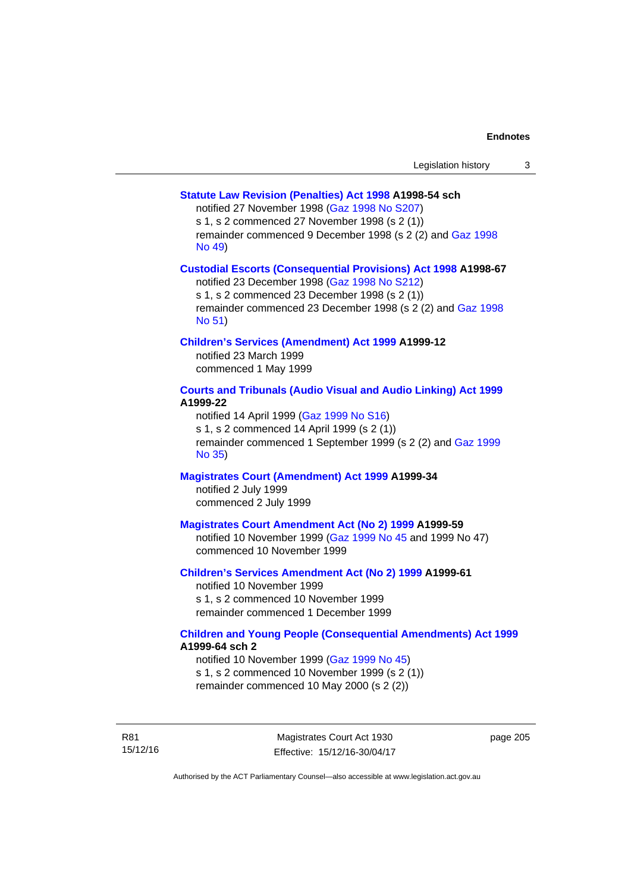## **[Statute Law Revision \(Penalties\) Act 1998](http://www.legislation.act.gov.au/a/1998-54) A1998-54 sch**

notified 27 November 1998 [\(Gaz 1998 No S207](http://www.legislation.act.gov.au/gaz/1998-S207/default.asp))

s 1, s 2 commenced 27 November 1998 (s 2 (1))

remainder commenced 9 December 1998 (s 2 (2) and [Gaz 1998](http://www.legislation.act.gov.au/gaz/1998-49/default.asp)  [No 49\)](http://www.legislation.act.gov.au/gaz/1998-49/default.asp)

## **[Custodial Escorts \(Consequential Provisions\) Act 1998](http://www.legislation.act.gov.au/a/1998-67) A1998-67**

notified 23 December 1998 [\(Gaz 1998 No S212](http://www.legislation.act.gov.au/gaz/1998-S212/default.asp)) s 1, s 2 commenced 23 December 1998 (s 2 (1)) remainder commenced 23 December 1998 (s 2 (2) and [Gaz 1998](http://www.legislation.act.gov.au/gaz/1998-51/default.asp)  [No 51\)](http://www.legislation.act.gov.au/gaz/1998-51/default.asp)

## **[Children's Services \(Amendment\) Act 1999](http://www.legislation.act.gov.au/a/1999-12) A1999-12**

notified 23 March 1999 commenced 1 May 1999

## **[Courts and Tribunals \(Audio Visual and Audio Linking\) Act 1999](http://www.legislation.act.gov.au/a/1999-22) A1999-22**

notified 14 April 1999 [\(Gaz 1999 No S16\)](http://www.legislation.act.gov.au/gaz/1999-S16/default.asp) s 1, s 2 commenced 14 April 1999 (s 2 (1)) remainder commenced 1 September 1999 (s 2 (2) and [Gaz 1999](http://www.legislation.act.gov.au/gaz/1999-35/default.asp)  [No 35\)](http://www.legislation.act.gov.au/gaz/1999-35/default.asp)

# **[Magistrates Court \(Amendment\) Act 1999](http://www.legislation.act.gov.au/a/1999-34) A1999-34**

notified 2 July 1999 commenced 2 July 1999

## **[Magistrates Court Amendment Act \(No 2\) 1999](http://www.legislation.act.gov.au/a/1999-59) A1999-59**

notified 10 November 1999 [\(Gaz 1999 No 45 a](http://www.legislation.act.gov.au/gaz/1999-45/default.asp)nd 1999 No 47) commenced 10 November 1999

### **[Children's Services Amendment Act \(No 2\) 1999](http://www.legislation.act.gov.au/a/1999-61) A1999-61**  notified 10 November 1999

s 1, s 2 commenced 10 November 1999 remainder commenced 1 December 1999

## **[Children and Young People \(Consequential Amendments\) Act 1999](http://www.legislation.act.gov.au/a/1999-64) A1999-64 sch 2**

notified 10 November 1999 [\(Gaz 1999 No 45](http://www.legislation.act.gov.au/gaz/1999-45/default.asp)) s 1, s 2 commenced 10 November 1999 (s 2 (1)) remainder commenced 10 May 2000 (s 2 (2))

R81 15/12/16 page 205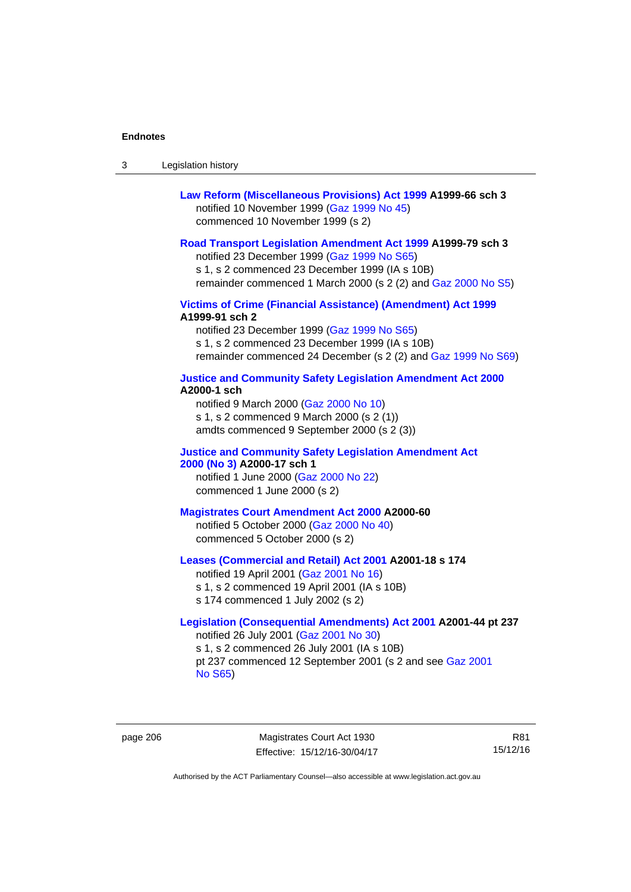| -3 | Legislation history |  |
|----|---------------------|--|
|----|---------------------|--|

| Law Reform (Miscellaneous Provisions) Act 1999 A1999-66 sch 3 |
|---------------------------------------------------------------|
| notified 10 November 1999 (Gaz 1999 No 45)                    |
| commenced 10 November 1999 (s 2)                              |

### **[Road Transport Legislation Amendment Act 1999](http://www.legislation.act.gov.au/a/1999-79) A1999-79 sch 3**

notified 23 December 1999 [\(Gaz 1999 No S65\)](http://www.legislation.act.gov.au/gaz/1999-S65/default.asp) s 1, s 2 commenced 23 December 1999 (IA s 10B) remainder commenced 1 March 2000 (s 2 (2) and [Gaz 2000 No S5\)](http://www.legislation.act.gov.au/gaz/2000-S5/default.asp)

## **[Victims of Crime \(Financial Assistance\) \(Amendment\) Act 1999](http://www.legislation.act.gov.au/a/1999-91) A1999-91 sch 2**

notified 23 December 1999 [\(Gaz 1999 No S65\)](http://www.legislation.act.gov.au/gaz/1999-S65/default.asp) s 1, s 2 commenced 23 December 1999 (IA s 10B) remainder commenced 24 December (s 2 (2) and [Gaz 1999 No S69](http://www.legislation.act.gov.au/gaz/1999-S69/default.asp))

#### **[Justice and Community Safety Legislation Amendment Act 2000](http://www.legislation.act.gov.au/a/2000-1) A2000-1 sch**

notified 9 March 2000 [\(Gaz 2000 No 10](http://www.legislation.act.gov.au/gaz/2000-10/default.asp)) s 1, s 2 commenced 9 March 2000 (s 2 (1)) amdts commenced 9 September 2000 (s 2 (3))

## **[Justice and Community Safety Legislation Amendment Act](http://www.legislation.act.gov.au/a/2000-17)  [2000 \(No 3\)](http://www.legislation.act.gov.au/a/2000-17) A2000-17 sch 1**

notified 1 June 2000 [\(Gaz 2000 No 22](http://www.legislation.act.gov.au/gaz/2000-22/default.asp)) commenced 1 June 2000 (s 2)

#### **[Magistrates Court Amendment Act 2000](http://www.legislation.act.gov.au/a/2000-60) A2000-60**

notified 5 October 2000 [\(Gaz 2000 No 40\)](http://www.legislation.act.gov.au/gaz/2000-40/default.asp) commenced 5 October 2000 (s 2)

## **[Leases \(Commercial and Retail\) Act 2001](http://www.legislation.act.gov.au/a/2001-18) A2001-18 s 174**

notified 19 April 2001 [\(Gaz 2001 No 16\)](http://www.legislation.act.gov.au/gaz/2001-16/default.asp) s 1, s 2 commenced 19 April 2001 (IA s 10B) s 174 commenced 1 July 2002 (s 2)

## **[Legislation \(Consequential Amendments\) Act 2001](http://www.legislation.act.gov.au/a/2001-44) A2001-44 pt 237**  notified 26 July 2001 ([Gaz 2001 No 30\)](http://www.legislation.act.gov.au/gaz/2001-30/default.asp)

s 1, s 2 commenced 26 July 2001 (IA s 10B) pt 237 commenced 12 September 2001 (s 2 and see [Gaz 2001](http://www.legislation.act.gov.au/gaz/2001-S65/default.asp)  [No S65](http://www.legislation.act.gov.au/gaz/2001-S65/default.asp))

page 206 Magistrates Court Act 1930 Effective: 15/12/16-30/04/17

R81 15/12/16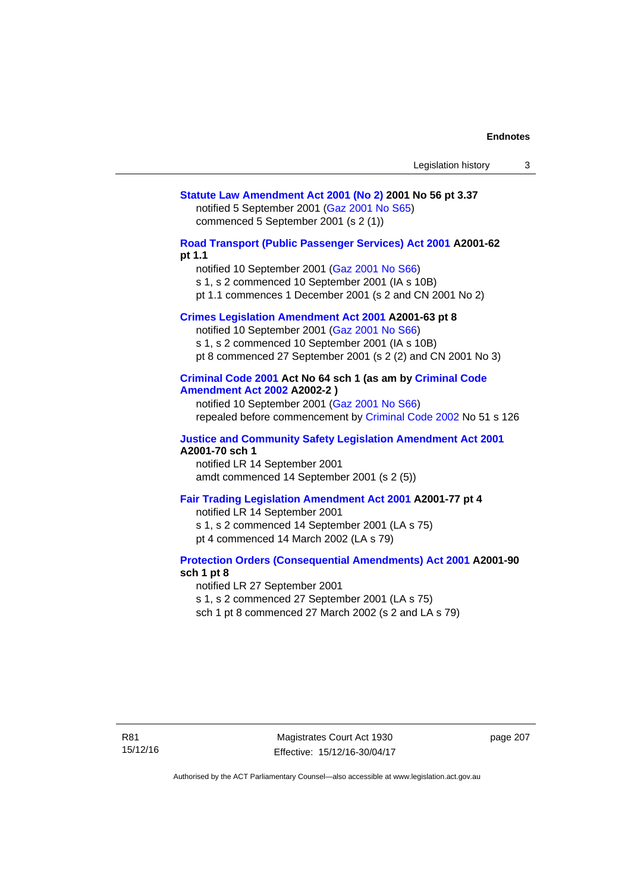## **[Statute Law Amendment Act 2001 \(No 2\)](http://www.legislation.act.gov.au/a/2001-56) 2001 No 56 pt 3.37**  notified 5 September 2001 [\(Gaz 2001 No S65\)](http://www.legislation.act.gov.au/gaz/2001-S65/default.asp) commenced 5 September 2001 (s 2 (1))

**[Road Transport \(Public Passenger Services\) Act 2001](http://www.legislation.act.gov.au/a/2001-62) A2001-62 pt 1.1** 

notified 10 September 2001 [\(Gaz 2001 No S66\)](http://www.legislation.act.gov.au/gaz/2001-S66/default.asp)

s 1, s 2 commenced 10 September 2001 (IA s 10B)

pt 1.1 commences 1 December 2001 (s 2 and CN 2001 No 2)

## **[Crimes Legislation Amendment Act 2001](http://www.legislation.act.gov.au/a/2001-63) A2001-63 pt 8**

notified 10 September 2001 [\(Gaz 2001 No S66\)](http://www.legislation.act.gov.au/gaz/2001-S66/default.asp) s 1, s 2 commenced 10 September 2001 (IA s 10B) pt 8 commenced 27 September 2001 (s 2 (2) and CN 2001 No 3)

## **[Criminal Code 2001](http://www.legislation.act.gov.au/a/2001-64) Act No 64 sch 1 (as am by [Criminal Code](http://www.legislation.act.gov.au/a/2002-2)  [Amendment Act 2002](http://www.legislation.act.gov.au/a/2002-2) A2002-2 )**

notified 10 September 2001 [\(Gaz 2001 No S66\)](http://www.legislation.act.gov.au/gaz/2001-S66/default.asp) repealed before commencement by [Criminal Code 2002](http://www.legislation.act.gov.au/a/2002-51) No 51 s 126

### **[Justice and Community Safety Legislation Amendment Act 2001](http://www.legislation.act.gov.au/a/2001-70) A2001-70 sch 1**

notified LR 14 September 2001 amdt commenced 14 September 2001 (s 2 (5))

## **[Fair Trading Legislation Amendment Act 2001](http://www.legislation.act.gov.au/a/2001-77) A2001-77 pt 4**

notified LR 14 September 2001 s 1, s 2 commenced 14 September 2001 (LA s 75) pt 4 commenced 14 March 2002 (LA s 79)

## **[Protection Orders \(Consequential Amendments\) Act 2001](http://www.legislation.act.gov.au/a/2001-90) A2001-90 sch 1 pt 8**

notified LR 27 September 2001

s 1, s 2 commenced 27 September 2001 (LA s 75)

sch 1 pt 8 commenced 27 March 2002 (s 2 and LA s 79)

page 207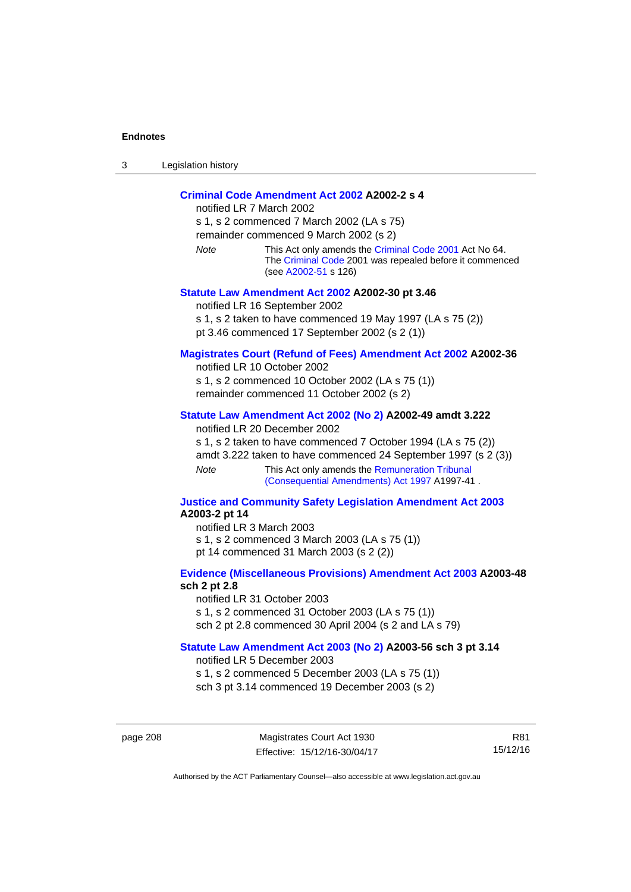| ⌒<br>- 3 | Legislation history |
|----------|---------------------|
|----------|---------------------|

## **[Criminal Code Amendment Act 2002](http://www.legislation.act.gov.au/a/2002-2) A2002-2 s 4**

notified LR 7 March 2002 s 1, s 2 commenced 7 March 2002 (LA s 75) remainder commenced 9 March 2002 (s 2) *Note* This Act only amends the [Criminal Code 2001](http://www.legislation.act.gov.au/a/2001-64) Act No 64. The [Criminal Code](http://www.legislation.act.gov.au/a/2002-51) 2001 was repealed before it commenced (see [A2002-51](http://www.legislation.act.gov.au/a/2002-51) s 126) **[Statute Law Amendment Act 2002](http://www.legislation.act.gov.au/a/2002-30) A2002-30 pt 3.46**  notified LR 16 September 2002

s 1, s 2 taken to have commenced 19 May 1997 (LA s 75 (2))

pt 3.46 commenced 17 September 2002 (s 2 (1))

## **[Magistrates Court \(Refund of Fees\) Amendment Act 2002](http://www.legislation.act.gov.au/a/2002-36) A2002-36**

notified LR 10 October 2002 s 1, s 2 commenced 10 October 2002 (LA s 75 (1))

remainder commenced 11 October 2002 (s 2)

### **[Statute Law Amendment Act 2002 \(No 2\)](http://www.legislation.act.gov.au/a/2002-49) A2002-49 amdt 3.222**

notified LR 20 December 2002

s 1, s 2 taken to have commenced 7 October 1994 (LA s 75 (2)) amdt 3.222 taken to have commenced 24 September 1997 (s 2 (3))

*Note* This Act only amends the Remuneration Tribunal [\(Consequential Amendments\) Act 1997](http://www.legislation.act.gov.au/a/1997-41) A1997-41 .

### **[Justice and Community Safety Legislation Amendment Act 2003](http://www.legislation.act.gov.au/a/2003-2) A2003-2 pt 14**

notified LR 3 March 2003 s 1, s 2 commenced 3 March 2003 (LA s 75 (1)) pt 14 commenced 31 March 2003 (s 2 (2))

## **[Evidence \(Miscellaneous Provisions\) Amendment Act 2003](http://www.legislation.act.gov.au/a/2003-48) A2003-48 sch 2 pt 2.8**

notified LR 31 October 2003 s 1, s 2 commenced 31 October 2003 (LA s 75 (1)) sch 2 pt 2.8 commenced 30 April 2004 (s 2 and LA s 79)

## **[Statute Law Amendment Act 2003 \(No 2\)](http://www.legislation.act.gov.au/a/2003-56) A2003-56 sch 3 pt 3.14**

notified LR 5 December 2003 s 1, s 2 commenced 5 December 2003 (LA s 75 (1)) sch 3 pt 3.14 commenced 19 December 2003 (s 2)

page 208 Magistrates Court Act 1930 Effective: 15/12/16-30/04/17

R81 15/12/16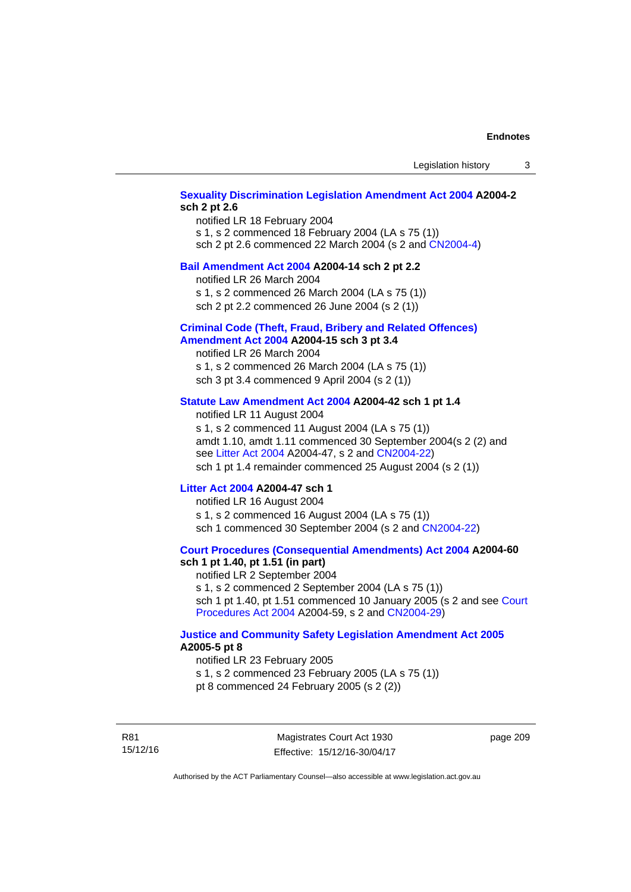## **[Sexuality Discrimination Legislation Amendment Act 2004](http://www.legislation.act.gov.au/a/2004-2) A2004-2 sch 2 pt 2.6**

notified LR 18 February 2004 s 1, s 2 commenced 18 February 2004 (LA s 75 (1)) sch 2 pt 2.6 commenced 22 March 2004 (s 2 and [CN2004-4\)](http://www.legislation.act.gov.au/cn/2004-4/default.asp)

### **[Bail Amendment Act 2004](http://www.legislation.act.gov.au/a/2004-14) A2004-14 sch 2 pt 2.2**

notified LR 26 March 2004

s 1, s 2 commenced 26 March 2004 (LA s 75 (1))

sch 2 pt 2.2 commenced 26 June 2004 (s 2 (1))

### **[Criminal Code \(Theft, Fraud, Bribery and Related Offences\)](http://www.legislation.act.gov.au/a/2004-15)  [Amendment Act 2004](http://www.legislation.act.gov.au/a/2004-15) A2004-15 sch 3 pt 3.4**

notified LR 26 March 2004 s 1, s 2 commenced 26 March 2004 (LA s 75 (1)) sch 3 pt 3.4 commenced 9 April 2004 (s 2 (1))

## **[Statute Law Amendment Act 2004](http://www.legislation.act.gov.au/a/2004-42) A2004-42 sch 1 pt 1.4**

notified LR 11 August 2004 s 1, s 2 commenced 11 August 2004 (LA s 75 (1)) amdt 1.10, amdt 1.11 commenced 30 September 2004(s 2 (2) and see [Litter Act 2004](http://www.legislation.act.gov.au/a/2004-47) A2004-47, s 2 and [CN2004-22\)](http://www.legislation.act.gov.au/cn/2004-22/default.asp) sch 1 pt 1.4 remainder commenced 25 August 2004 (s 2 (1))

## **[Litter Act 2004](http://www.legislation.act.gov.au/a/2004-47) A2004-47 sch 1**

notified LR 16 August 2004 s 1, s 2 commenced 16 August 2004 (LA s 75 (1)) sch 1 commenced 30 September 2004 (s 2 and [CN2004-22\)](http://www.legislation.act.gov.au/cn/2004-22/default.asp)

### **[Court Procedures \(Consequential Amendments\) Act 2004](http://www.legislation.act.gov.au/a/2004-60) A2004-60 sch 1 pt 1.40, pt 1.51 (in part)**

notified LR 2 September 2004 s 1, s 2 commenced 2 September 2004 (LA s 75 (1)) sch 1 pt 1.40, pt 1.51 commenced 10 January 2005 (s 2 and see [Court](http://www.legislation.act.gov.au/a/2004-59)  [Procedures Act 2004](http://www.legislation.act.gov.au/a/2004-59) A2004-59, s 2 and [CN2004-29\)](http://www.legislation.act.gov.au/cn/2004-29/default.asp)

## **[Justice and Community Safety Legislation Amendment Act 2005](http://www.legislation.act.gov.au/a/2005-5) A2005-5 pt 8**

notified LR 23 February 2005 s 1, s 2 commenced 23 February 2005 (LA s 75 (1)) pt 8 commenced 24 February 2005 (s 2 (2))

R81 15/12/16

Magistrates Court Act 1930 Effective: 15/12/16-30/04/17 page 209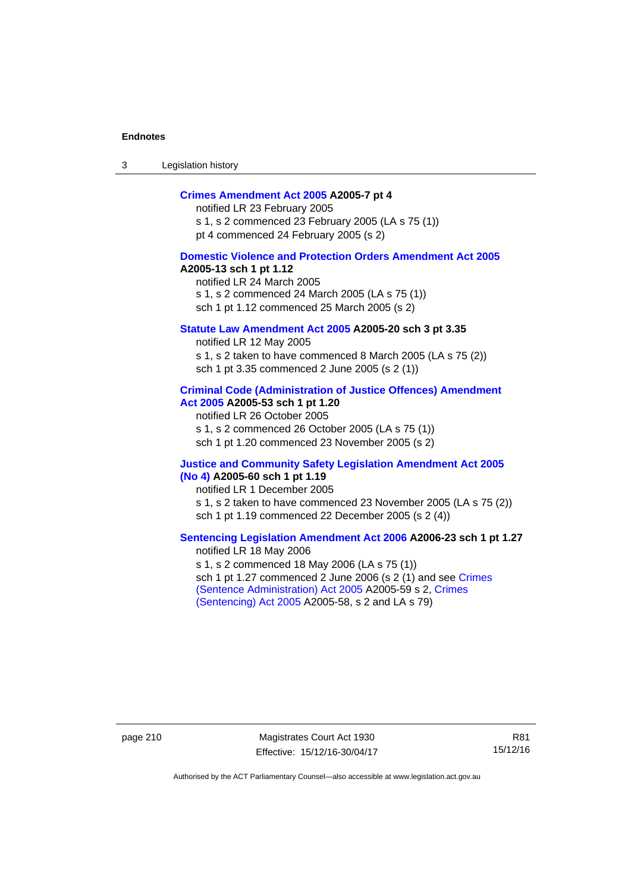3 Legislation history

## **[Crimes Amendment Act 2005](http://www.legislation.act.gov.au/a/2005-7) A2005-7 pt 4**

notified LR 23 February 2005 s 1, s 2 commenced 23 February 2005 (LA s 75 (1)) pt 4 commenced 24 February 2005 (s 2)

## **[Domestic Violence and Protection Orders Amendment Act 2005](http://www.legislation.act.gov.au/a/2005-13) A2005-13 sch 1 pt 1.12**

notified LR 24 March 2005 s 1, s 2 commenced 24 March 2005 (LA s 75 (1)) sch 1 pt 1.12 commenced 25 March 2005 (s 2)

## **[Statute Law Amendment Act 2005](http://www.legislation.act.gov.au/a/2005-20) A2005-20 sch 3 pt 3.35**

notified LR 12 May 2005 s 1, s 2 taken to have commenced 8 March 2005 (LA s 75 (2)) sch 1 pt 3.35 commenced 2 June 2005 (s 2 (1))

### **[Criminal Code \(Administration of Justice Offences\) Amendment](http://www.legislation.act.gov.au/a/2005-53)  [Act 2005](http://www.legislation.act.gov.au/a/2005-53) A2005-53 sch 1 pt 1.20**

notified LR 26 October 2005 s 1, s 2 commenced 26 October 2005 (LA s 75 (1)) sch 1 pt 1.20 commenced 23 November 2005 (s 2)

### **[Justice and Community Safety Legislation Amendment Act 2005](http://www.legislation.act.gov.au/a/2005-60)  [\(No 4\)](http://www.legislation.act.gov.au/a/2005-60) A2005-60 sch 1 pt 1.19**

notified LR 1 December 2005 s 1, s 2 taken to have commenced 23 November 2005 (LA s 75 (2)) sch 1 pt 1.19 commenced 22 December 2005 (s 2 (4))

## **[Sentencing Legislation Amendment Act 2006](http://www.legislation.act.gov.au/a/2006-23) A2006-23 sch 1 pt 1.27**  notified LR 18 May 2006

s 1, s 2 commenced 18 May 2006 (LA s 75 (1)) sch 1 pt 1.27 commenced 2 June 2006 (s 2 (1) and see [Crimes](http://www.legislation.act.gov.au/a/2005-59)  [\(Sentence Administration\) Act 2005](http://www.legislation.act.gov.au/a/2005-59) A2005-59 s 2, [Crimes](http://www.legislation.act.gov.au/a/2005-58)  [\(Sentencing\) Act 2005](http://www.legislation.act.gov.au/a/2005-58) A2005-58, s 2 and LA s 79)

page 210 Magistrates Court Act 1930 Effective: 15/12/16-30/04/17

R81 15/12/16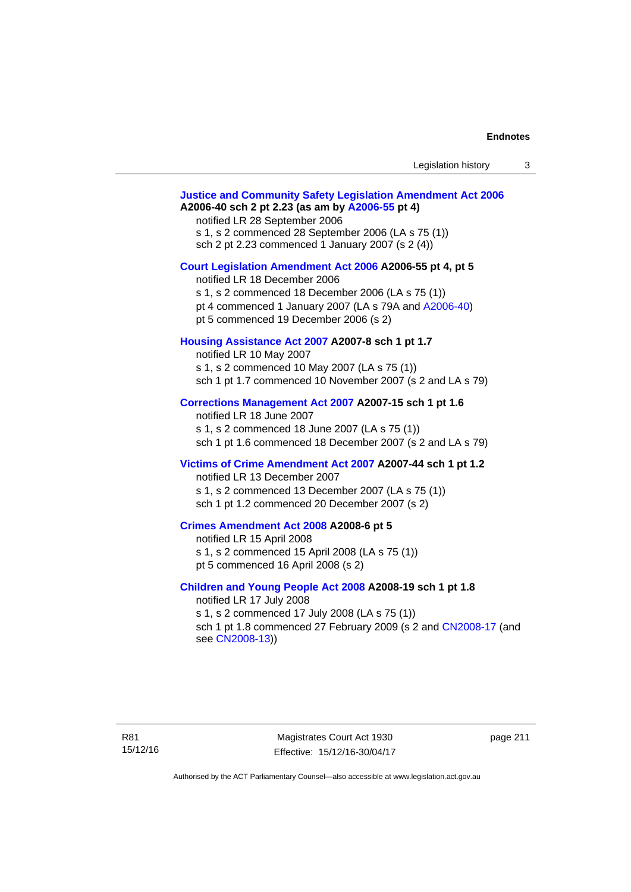| Legislation history |  |
|---------------------|--|
|---------------------|--|

# **[Justice and Community Safety Legislation Amendment Act 2006](http://www.legislation.act.gov.au/a/2006-40) A2006-40 sch 2 pt 2.23 (as am by [A2006-55](http://www.legislation.act.gov.au/a/2006-55) pt 4)**  notified LR 28 September 2006 s 1, s 2 commenced 28 September 2006 (LA s 75 (1)) sch 2 pt 2.23 commenced 1 January 2007 (s 2 (4)) **[Court Legislation Amendment Act 2006](http://www.legislation.act.gov.au/a/2006-55) A2006-55 pt 4, pt 5**  notified LR 18 December 2006 s 1, s 2 commenced 18 December 2006 (LA s 75 (1)) pt 4 commenced 1 January 2007 (LA s 79A and [A2006-40](http://www.legislation.act.gov.au/a/2006-40)) pt 5 commenced 19 December 2006 (s 2) **[Housing Assistance Act 2007](http://www.legislation.act.gov.au/a/2007-8) A2007-8 sch 1 pt 1.7**  notified LR 10 May 2007 s 1, s 2 commenced 10 May 2007 (LA s 75 (1)) sch 1 pt 1.7 commenced 10 November 2007 (s 2 and LA s 79) **[Corrections Management Act 2007](http://www.legislation.act.gov.au/a/2007-15) A2007-15 sch 1 pt 1.6**  notified LR 18 June 2007 s 1, s 2 commenced 18 June 2007 (LA s 75 (1)) sch 1 pt 1.6 commenced 18 December 2007 (s 2 and LA s 79) **[Victims of Crime Amendment Act 2007](http://www.legislation.act.gov.au/a/2007-44) A2007-44 sch 1 pt 1.2**  notified LR 13 December 2007 s 1, s 2 commenced 13 December 2007 (LA s 75 (1)) sch 1 pt 1.2 commenced 20 December 2007 (s 2) **[Crimes Amendment Act 2008](http://www.legislation.act.gov.au/a/2008-6) A2008-6 pt 5**  notified LR 15 April 2008 s 1, s 2 commenced 15 April 2008 (LA s 75 (1)) pt 5 commenced 16 April 2008 (s 2) **[Children and Young People Act 2008](http://www.legislation.act.gov.au/a/2008-19) A2008-19 sch 1 pt 1.8**  notified LR 17 July 2008 s 1, s 2 commenced 17 July 2008 (LA s 75 (1)) sch 1 pt 1.8 commenced 27 February 2009 (s 2 and [CN2008-17](http://www.legislation.act.gov.au/cn/2008-17/default.asp) (and see [CN2008-13](http://www.legislation.act.gov.au/cn/2008-13/default.asp)))

page 211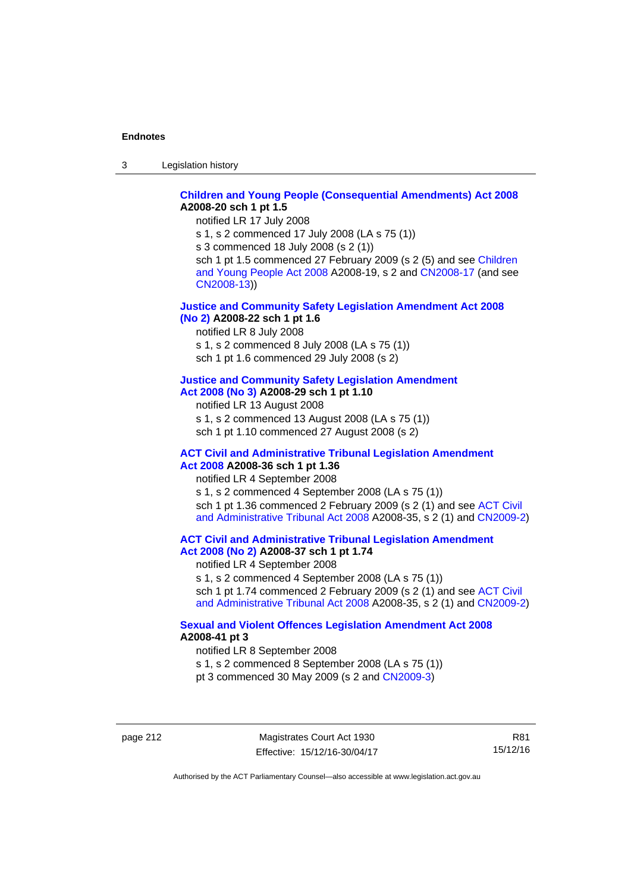3 Legislation history

## **[Children and Young People \(Consequential Amendments\) Act 2008](http://www.legislation.act.gov.au/a/2008-20) A2008-20 sch 1 pt 1.5**

notified LR 17 July 2008

s 1, s 2 commenced 17 July 2008 (LA s 75 (1))

s 3 commenced 18 July 2008 (s 2 (1))

sch 1 pt 1.5 commenced 27 February 2009 (s 2 (5) and see Children [and Young People Act 2008](http://www.legislation.act.gov.au/a/2008-19) A2008-19, s 2 and [CN2008-17 \(](http://www.legislation.act.gov.au/cn/2008-17/default.asp)and see [CN2008-13](http://www.legislation.act.gov.au/cn/2008-13/default.asp)))

## **[Justice and Community Safety Legislation Amendment Act 2008](http://www.legislation.act.gov.au/a/2008-22)  [\(No 2\)](http://www.legislation.act.gov.au/a/2008-22) A2008-22 sch 1 pt 1.6**

notified LR 8 July 2008

s 1, s 2 commenced 8 July 2008 (LA s 75 (1))

sch 1 pt 1.6 commenced 29 July 2008 (s 2)

## **[Justice and Community Safety Legislation Amendment](http://www.legislation.act.gov.au/a/2008-29)**

**[Act 2008 \(No 3\)](http://www.legislation.act.gov.au/a/2008-29) A2008-29 sch 1 pt 1.10** 

notified LR 13 August 2008

s 1, s 2 commenced 13 August 2008 (LA s 75 (1)) sch 1 pt 1.10 commenced 27 August 2008 (s 2)

### **[ACT Civil and Administrative Tribunal Legislation Amendment](http://www.legislation.act.gov.au/a/2008-36)  [Act 2008](http://www.legislation.act.gov.au/a/2008-36) A2008-36 sch 1 pt 1.36**

notified LR 4 September 2008

s 1, s 2 commenced 4 September 2008 (LA s 75 (1)) sch 1 pt 1.36 commenced 2 February 2009 (s 2 (1) and see [ACT Civil](http://www.legislation.act.gov.au/a/2008-35)  [and Administrative Tribunal Act 2008](http://www.legislation.act.gov.au/a/2008-35) A2008-35, s 2 (1) and [CN2009-2](http://www.legislation.act.gov.au/cn/2009-2/default.asp))

**[ACT Civil and Administrative Tribunal Legislation Amendment](http://www.legislation.act.gov.au/a/2008-37)  [Act 2008 \(No 2\)](http://www.legislation.act.gov.au/a/2008-37) A2008-37 sch 1 pt 1.74** 

notified LR 4 September 2008

s 1, s 2 commenced 4 September 2008 (LA s 75 (1)) sch 1 pt 1.74 commenced 2 February 2009 (s 2 (1) and see ACT Civil

[and Administrative Tribunal Act 2008](http://www.legislation.act.gov.au/a/2008-35) A2008-35, s 2 (1) and [CN2009-2](http://www.legislation.act.gov.au/cn/2009-2/default.asp))

## **[Sexual and Violent Offences Legislation Amendment Act 2008](http://www.legislation.act.gov.au/a/2008-41) A2008-41 pt 3**

notified LR 8 September 2008

s 1, s 2 commenced 8 September 2008 (LA s 75 (1))

pt 3 commenced 30 May 2009 (s 2 and [CN2009-3\)](http://www.legislation.act.gov.au/cn/2009-3/default.asp)

page 212 Magistrates Court Act 1930 Effective: 15/12/16-30/04/17

R81 15/12/16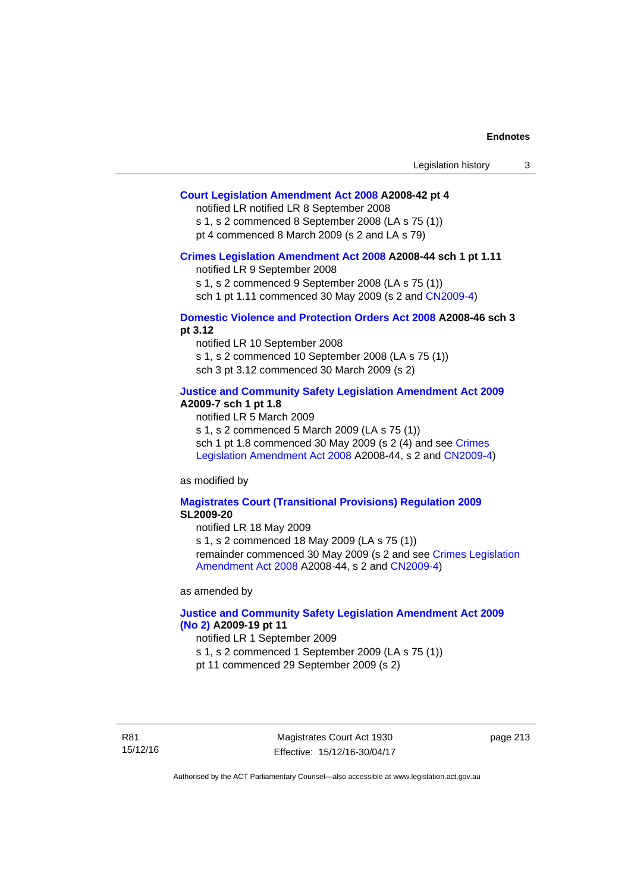## **[Court Legislation Amendment Act 2008](http://www.legislation.act.gov.au/a/2008-42) A2008-42 pt 4**

notified LR notified LR 8 September 2008

s 1, s 2 commenced 8 September 2008 (LA s 75 (1)) pt 4 commenced 8 March 2009 (s 2 and LA s 79)

#### **[Crimes Legislation Amendment Act 2008](http://www.legislation.act.gov.au/a/2008-44) A2008-44 sch 1 pt 1.11**

notified LR 9 September 2008

s 1, s 2 commenced 9 September 2008 (LA s 75 (1))

sch 1 pt 1.11 commenced 30 May 2009 (s 2 and [CN2009-4](http://www.legislation.act.gov.au/cn/2009-4/default.asp))

## **[Domestic Violence and Protection Orders Act 2008](http://www.legislation.act.gov.au/a/2008-46) A2008-46 sch 3 pt 3.12**

notified LR 10 September 2008 s 1, s 2 commenced 10 September 2008 (LA s 75 (1)) sch 3 pt 3.12 commenced 30 March 2009 (s 2)

## **[Justice and Community Safety Legislation Amendment Act 2009](http://www.legislation.act.gov.au/a/2009-7) A2009-7 sch 1 pt 1.8**

notified LR 5 March 2009

s 1, s 2 commenced 5 March 2009 (LA s 75 (1))

sch 1 pt 1.8 commenced 30 May 2009 (s 2 (4) and see Crimes [Legislation Amendment Act 2008](http://www.legislation.act.gov.au/a/2008-44) A2008-44, s 2 and [CN2009-4\)](http://www.legislation.act.gov.au/cn/2009-4/default.asp)

as modified by

### **[Magistrates Court \(Transitional Provisions\) Regulation 2009](http://www.legislation.act.gov.au/sl/2009-20) SL2009-20**

notified LR 18 May 2009

s 1, s 2 commenced 18 May 2009 (LA s 75 (1)) remainder commenced 30 May 2009 (s 2 and see [Crimes Legislation](http://www.legislation.act.gov.au/a/2008-44)  [Amendment Act 2008](http://www.legislation.act.gov.au/a/2008-44) A2008-44, s 2 and [CN2009-4](http://www.legislation.act.gov.au/cn/2009-4/default.asp))

as amended by

## **[Justice and Community Safety Legislation Amendment Act 2009](http://www.legislation.act.gov.au/a/2009-19)  [\(No 2\)](http://www.legislation.act.gov.au/a/2009-19) A2009-19 pt 11**

notified LR 1 September 2009

s 1, s 2 commenced 1 September 2009 (LA s 75 (1))

pt 11 commenced 29 September 2009 (s 2)

R81 15/12/16

Magistrates Court Act 1930 Effective: 15/12/16-30/04/17 page 213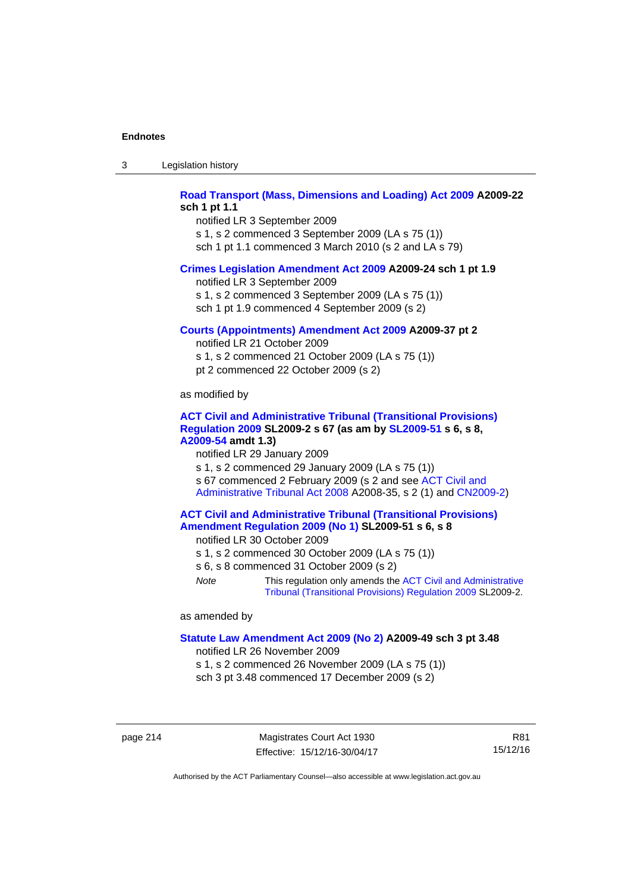| -3 | Legislation history |  |
|----|---------------------|--|
|----|---------------------|--|

## **[Road Transport \(Mass, Dimensions and Loading\) Act 2009](http://www.legislation.act.gov.au/a/2009-22) A2009-22 sch 1 pt 1.1**

notified LR 3 September 2009 s 1, s 2 commenced 3 September 2009 (LA s 75 (1)) sch 1 pt 1.1 commenced 3 March 2010 (s 2 and LA s 79)

### **[Crimes Legislation Amendment Act 2009](http://www.legislation.act.gov.au/a/2009-24) A2009-24 sch 1 pt 1.9**

notified LR 3 September 2009

s 1, s 2 commenced 3 September 2009 (LA s 75 (1))

sch 1 pt 1.9 commenced 4 September 2009 (s 2)

### **[Courts \(Appointments\) Amendment Act 2009](http://www.legislation.act.gov.au/a/2009-37) A2009-37 pt 2**

notified LR 21 October 2009 s 1, s 2 commenced 21 October 2009 (LA s 75 (1)) pt 2 commenced 22 October 2009 (s 2)

as modified by

### **[ACT Civil and Administrative Tribunal \(Transitional Provisions\)](http://www.legislation.act.gov.au/sl/2009-2)  [Regulation 2009](http://www.legislation.act.gov.au/sl/2009-2) SL2009-2 s 67 (as am by [SL2009-51](http://www.legislation.act.gov.au/sl/2009-51) s 6, s 8, [A2009-54](http://www.legislation.act.gov.au/a/2009-54) amdt 1.3)**

notified LR 29 January 2009

s 1, s 2 commenced 29 January 2009 (LA s 75 (1)) s 67 commenced 2 February 2009 (s 2 and see [ACT Civil and](http://www.legislation.act.gov.au/a/2008-35)  [Administrative Tribunal Act 2008](http://www.legislation.act.gov.au/a/2008-35) A2008-35, s 2 (1) and [CN2009-2\)](http://www.legislation.act.gov.au/cn/2009-2/default.asp)

## **[ACT Civil and Administrative Tribunal \(Transitional Provisions\)](http://www.legislation.act.gov.au/sl/2009-51)  [Amendment Regulation 2009 \(No 1\)](http://www.legislation.act.gov.au/sl/2009-51) SL2009-51 s 6, s 8**

notified LR 30 October 2009

- s 1, s 2 commenced 30 October 2009 (LA s 75 (1))
- s 6, s 8 commenced 31 October 2009 (s 2)
- *Note* This regulation only amends the [ACT Civil and Administrative](http://www.legislation.act.gov.au/sl/2009-2)  [Tribunal \(Transitional Provisions\) Regulation 2009](http://www.legislation.act.gov.au/sl/2009-2) SL2009-2.

as amended by

#### **[Statute Law Amendment Act 2009 \(No 2\)](http://www.legislation.act.gov.au/a/2009-49) A2009-49 sch 3 pt 3.48**

notified LR 26 November 2009

s 1, s 2 commenced 26 November 2009 (LA s 75 (1)) sch 3 pt 3.48 commenced 17 December 2009 (s 2)

page 214 Magistrates Court Act 1930 Effective: 15/12/16-30/04/17

R81 15/12/16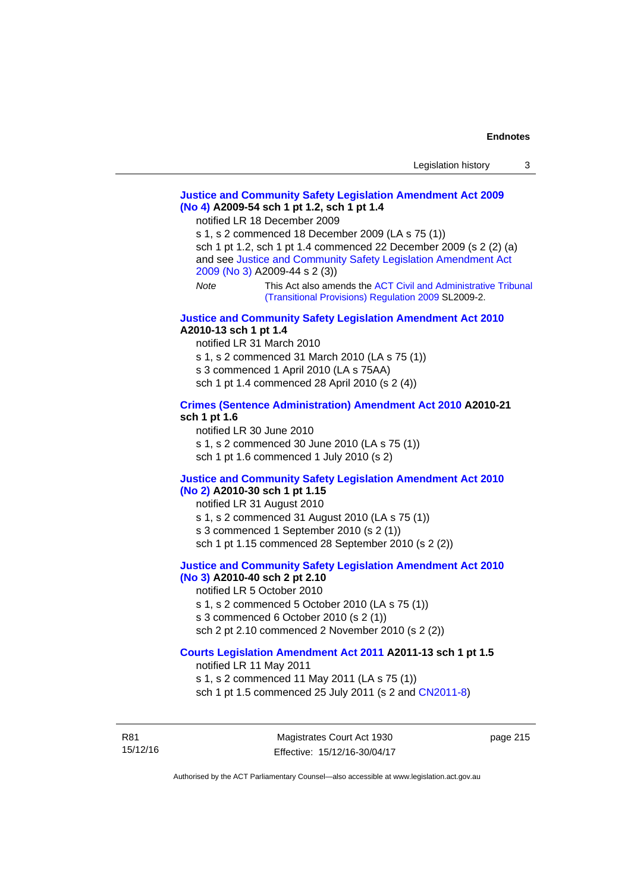## **[Justice and Community Safety Legislation Amendment Act 2009](http://www.legislation.act.gov.au/a/2009-54)  [\(No 4\)](http://www.legislation.act.gov.au/a/2009-54) A2009-54 sch 1 pt 1.2, sch 1 pt 1.4**

notified LR 18 December 2009

s 1, s 2 commenced 18 December 2009 (LA s 75 (1)) sch 1 pt 1.2, sch 1 pt 1.4 commenced 22 December 2009 (s 2 (2) (a) and see [Justice and Community Safety Legislation Amendment Act](http://www.legislation.act.gov.au/a/2009-44)  [2009 \(No 3\)](http://www.legislation.act.gov.au/a/2009-44) A2009-44 s 2 (3)) *Note* This Act also amends the [ACT Civil and Administrative Tribunal](http://www.legislation.act.gov.au/sl/2009-2) 

[\(Transitional Provisions\) Regulation 2009](http://www.legislation.act.gov.au/sl/2009-2) SL2009-2.

### **[Justice and Community Safety Legislation Amendment Act 2010](http://www.legislation.act.gov.au/a/2010-13) A2010-13 sch 1 pt 1.4**

notified LR 31 March 2010 s 1, s 2 commenced 31 March 2010 (LA s 75 (1)) s 3 commenced 1 April 2010 (LA s 75AA) sch 1 pt 1.4 commenced 28 April 2010 (s 2 (4))

### **[Crimes \(Sentence Administration\) Amendment Act 2010](http://www.legislation.act.gov.au/a/2010-21) A2010-21 sch 1 pt 1.6**

notified LR 30 June 2010 s 1, s 2 commenced 30 June 2010 (LA s 75 (1)) sch 1 pt 1.6 commenced 1 July 2010 (s 2)

### **[Justice and Community Safety Legislation Amendment Act 2010](http://www.legislation.act.gov.au/a/2010-30)**

## **[\(No 2\)](http://www.legislation.act.gov.au/a/2010-30) A2010-30 sch 1 pt 1.15**

notified LR 31 August 2010

s 1, s 2 commenced 31 August 2010 (LA s 75 (1))

s 3 commenced 1 September 2010 (s 2 (1))

sch 1 pt 1.15 commenced 28 September 2010 (s 2 (2))

## **[Justice and Community Safety Legislation Amendment Act 2010](http://www.legislation.act.gov.au/a/2010-40)**

# **[\(No 3\)](http://www.legislation.act.gov.au/a/2010-40) A2010-40 sch 2 pt 2.10**

notified LR 5 October 2010

s 1, s 2 commenced 5 October 2010 (LA s 75 (1))

s 3 commenced 6 October 2010 (s 2 (1))

sch 2 pt 2.10 commenced 2 November 2010 (s 2 (2))

## **[Courts Legislation Amendment Act 2011](http://www.legislation.act.gov.au/a/2011-13) A2011-13 sch 1 pt 1.5**

notified LR 11 May 2011 s 1, s 2 commenced 11 May 2011 (LA s 75 (1)) sch 1 pt 1.5 commenced 25 July 2011 (s 2 and [CN2011-8\)](http://www.legislation.act.gov.au/cn/2011-8/default.asp)

R81 15/12/16 page 215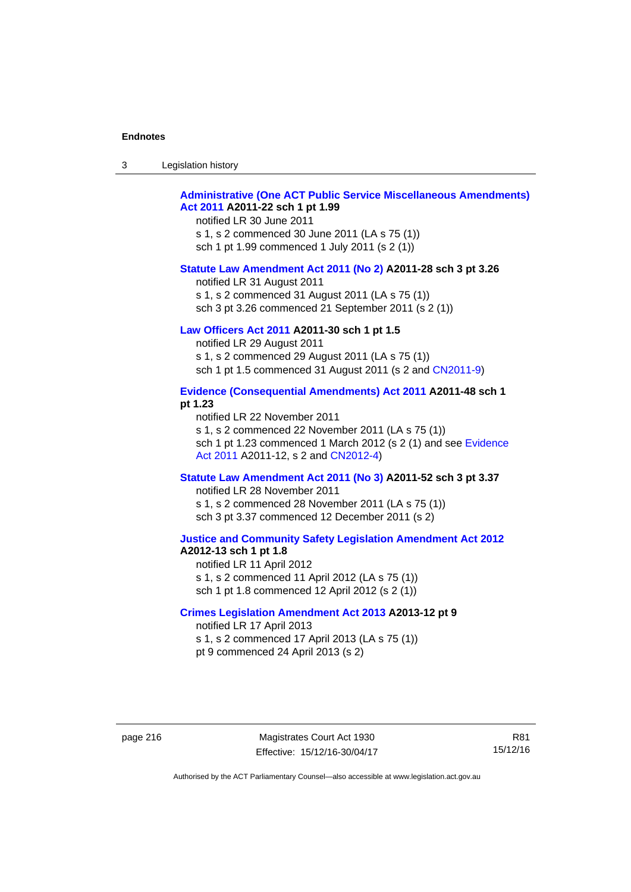| -3 | Legislation history |
|----|---------------------|
|----|---------------------|

## **[Administrative \(One ACT Public Service Miscellaneous Amendments\)](http://www.legislation.act.gov.au/a/2011-22)  [Act 2011](http://www.legislation.act.gov.au/a/2011-22) A2011-22 sch 1 pt 1.99**

notified LR 30 June 2011 s 1, s 2 commenced 30 June 2011 (LA s 75 (1)) sch 1 pt 1.99 commenced 1 July 2011 (s 2 (1))

#### **[Statute Law Amendment Act 2011 \(No 2\)](http://www.legislation.act.gov.au/a/2011-28) A2011-28 sch 3 pt 3.26**

notified LR 31 August 2011 s 1, s 2 commenced 31 August 2011 (LA s 75 (1)) sch 3 pt 3.26 commenced 21 September 2011 (s 2 (1))

## **[Law Officers Act 2011](http://www.legislation.act.gov.au/a/2011-30) A2011-30 sch 1 pt 1.5**

notified LR 29 August 2011 s 1, s 2 commenced 29 August 2011 (LA s 75 (1)) sch 1 pt 1.5 commenced 31 August 2011 (s 2 and [CN2011-9](http://www.legislation.act.gov.au/cn/2011-9/default.asp))

## **[Evidence \(Consequential Amendments\) Act 2011](http://www.legislation.act.gov.au/a/2011-48) A2011-48 sch 1 pt 1.23**

notified LR 22 November 2011 s 1, s 2 commenced 22 November 2011 (LA s 75 (1)) sch 1 pt 1.23 commenced 1 March 2012 (s 2 (1) and see [Evidence](http://www.legislation.act.gov.au/a/2011-12)  [Act 2011](http://www.legislation.act.gov.au/a/2011-12) A2011-12, s 2 and [CN2012-4](http://www.legislation.act.gov.au/cn/2012-4/default.asp))

#### **[Statute Law Amendment Act 2011 \(No 3\)](http://www.legislation.act.gov.au/a/2011-52) A2011-52 sch 3 pt 3.37**

notified LR 28 November 2011 s 1, s 2 commenced 28 November 2011 (LA s 75 (1)) sch 3 pt 3.37 commenced 12 December 2011 (s 2)

### **[Justice and Community Safety Legislation Amendment Act 2012](http://www.legislation.act.gov.au/a/2012-13) A2012-13 sch 1 pt 1.8**

notified LR 11 April 2012 s 1, s 2 commenced 11 April 2012 (LA s 75 (1)) sch 1 pt 1.8 commenced 12 April 2012 (s 2 (1))

## **[Crimes Legislation Amendment Act 2013](http://www.legislation.act.gov.au/a/2013-12) A2013-12 pt 9**  notified LR 17 April 2013

s 1, s 2 commenced 17 April 2013 (LA s 75 (1)) pt 9 commenced 24 April 2013 (s 2)

R81 15/12/16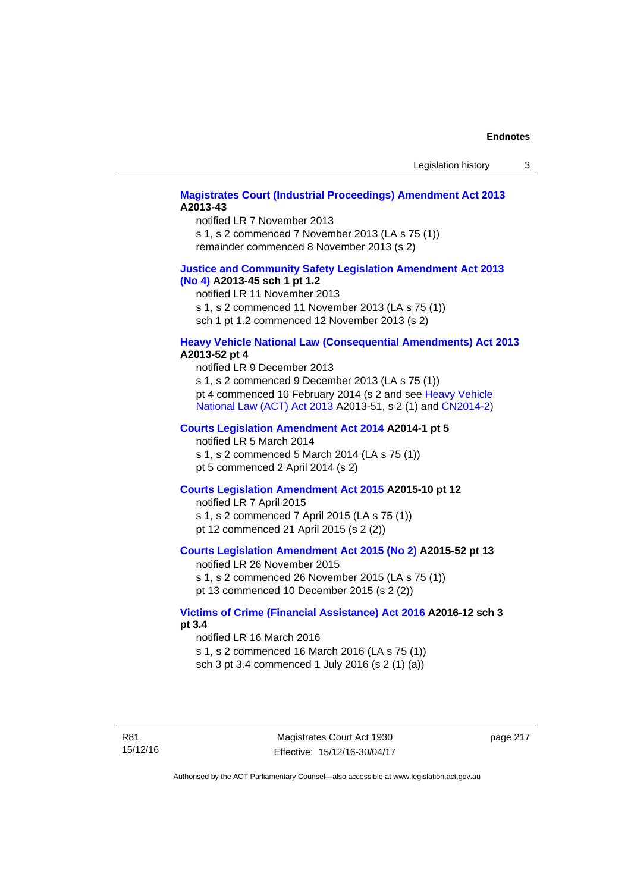## **[Magistrates Court \(Industrial Proceedings\) Amendment Act 2013](http://www.legislation.act.gov.au/a/2013-43) A2013-43**

notified LR 7 November 2013 s 1, s 2 commenced 7 November 2013 (LA s 75 (1)) remainder commenced 8 November 2013 (s 2)

## **[Justice and Community Safety Legislation Amendment Act 2013](http://www.legislation.act.gov.au/a/2013-45)  [\(No](http://www.legislation.act.gov.au/a/2013-45) 4) A2013-45 sch 1 pt 1.2**

notified LR 11 November 2013 s 1, s 2 commenced 11 November 2013 (LA s 75 (1)) sch 1 pt 1.2 commenced 12 November 2013 (s 2)

## **[Heavy Vehicle National Law \(Consequential Amendments\) Act 2013](http://www.legislation.act.gov.au/a/2013-52) A2013-52 pt 4**

notified LR 9 December 2013 s 1, s 2 commenced 9 December 2013 (LA s 75 (1)) pt 4 commenced 10 February 2014 (s 2 and see [Heavy Vehicle](http://www.legislation.act.gov.au/a/2013-51/default.asp)  [National Law \(ACT\) Act 2013](http://www.legislation.act.gov.au/a/2013-51/default.asp) A2013-51, s 2 (1) and [CN2014-2](http://www.legislation.act.gov.au/cn/2014-2/default.asp))

## **[Courts Legislation Amendment Act 2014](http://www.legislation.act.gov.au/a/2014-1) A2014-1 pt 5**

notified LR 5 March 2014

s 1, s 2 commenced 5 March 2014 (LA s 75 (1)) pt 5 commenced 2 April 2014 (s 2)

## **[Courts Legislation Amendment Act 2015](http://www.legislation.act.gov.au/a/2015-10) A2015-10 pt 12**

notified LR 7 April 2015 s 1, s 2 commenced 7 April 2015 (LA s 75 (1)) pt 12 commenced 21 April 2015 (s 2 (2))

## **[Courts Legislation Amendment Act 2015 \(No 2\)](http://www.legislation.act.gov.au/a/2015-52/default.asp) A2015-52 pt 13**

notified LR 26 November 2015 s 1, s 2 commenced 26 November 2015 (LA s 75 (1)) pt 13 commenced 10 December 2015 (s 2 (2))

## **[Victims of Crime \(Financial Assistance\) Act 2016](http://www.legislation.act.gov.au/a/2016-12/default.asp) A2016-12 sch 3 pt 3.4**

notified LR 16 March 2016 s 1, s 2 commenced 16 March 2016 (LA s 75 (1)) sch 3 pt 3.4 commenced 1 July 2016 (s 2 (1) (a))

page 217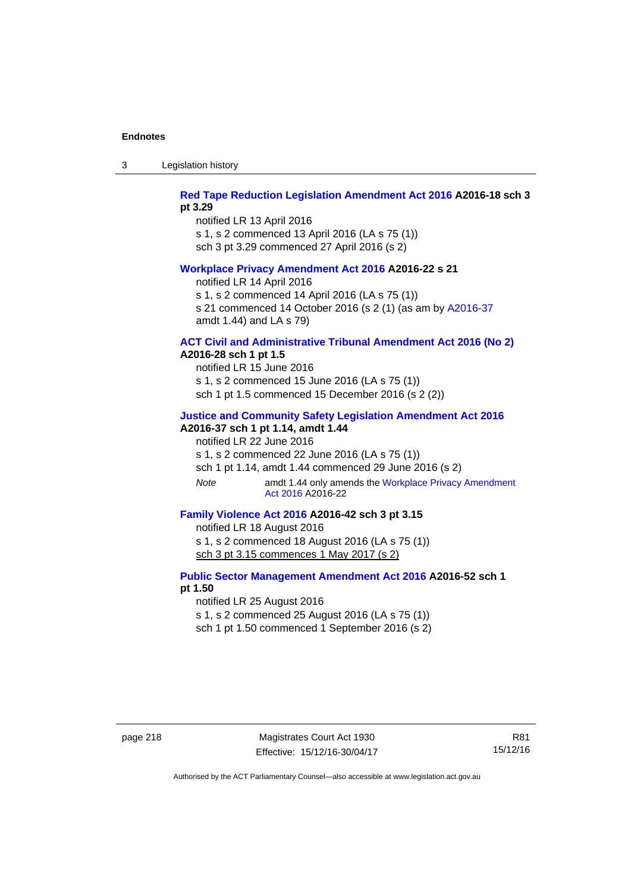3 Legislation history

## **[Red Tape Reduction Legislation Amendment Act 2016](http://www.legislation.act.gov.au/a/2016-18) A2016-18 sch 3 pt 3.29**

notified LR 13 April 2016 s 1, s 2 commenced 13 April 2016 (LA s 75 (1)) sch 3 pt 3.29 commenced 27 April 2016 (s 2)

### **[Workplace Privacy Amendment Act 2016](http://www.legislation.act.gov.au/a/2016-22/default.asp) A2016-22 s 21**

notified LR 14 April 2016

s 1, s 2 commenced 14 April 2016 (LA s 75 (1))

s 21 commenced 14 October 2016 (s 2 (1) (as am by [A2016-37](http://www.legislation.act.gov.au/a/2016-37/default.asp) amdt 1.44) and LA s 79)

## **[ACT Civil and Administrative Tribunal Amendment Act 2016 \(No 2\)](http://www.legislation.act.gov.au/a/2016-28/default.asp) A2016-28 sch 1 pt 1.5**

notified LR 15 June 2016 s 1, s 2 commenced 15 June 2016 (LA s 75 (1)) sch 1 pt 1.5 commenced 15 December 2016 (s 2 (2))

#### **[Justice and Community Safety Legislation Amendment Act 2016](http://www.legislation.act.gov.au/a/2016-37)**

# **A2016-37 sch 1 pt 1.14, amdt 1.44**

notified LR 22 June 2016

s 1, s 2 commenced 22 June 2016 (LA s 75 (1))

sch 1 pt 1.14, amdt 1.44 commenced 29 June 2016 (s 2)

*Note* amdt 1.44 only amends the [Workplace Privacy Amendment](http://www.legislation.act.gov.au/a/2016-22/default.asp)  [Act 2016](http://www.legislation.act.gov.au/a/2016-22/default.asp) A2016-22

# **[Family Violence Act 2016](http://www.legislation.act.gov.au/a/2016-42) A2016-42 sch 3 pt 3.15**

notified LR 18 August 2016 s 1, s 2 commenced 18 August 2016 (LA s 75 (1)) sch 3 pt 3.15 commences 1 May 2017 (s 2)

## **[Public Sector Management Amendment Act 2016](http://www.legislation.act.gov.au/a/2016-52/default.asp) A2016-52 sch 1 pt 1.50**

notified LR 25 August 2016

s 1, s 2 commenced 25 August 2016 (LA s 75 (1)) sch 1 pt 1.50 commenced 1 September 2016 (s 2)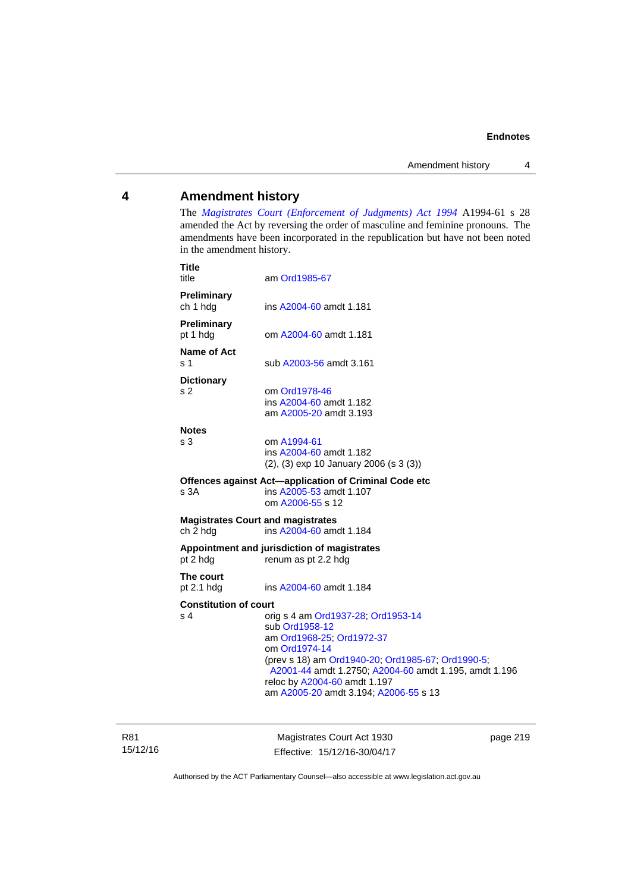## **4 Amendment history**

The *[Magistrates Court \(Enforcement of Judgments\) Act 1994](http://www.legislation.act.gov.au/a/1994-61/default.asp)* A1994-61 s 28 amended the Act by reversing the order of masculine and feminine pronouns. The amendments have been incorporated in the republication but have not been noted in the amendment history.

| <b>Title</b><br>title                                | am Ord1985-67                                                                                                                                                                                                                                                                             |
|------------------------------------------------------|-------------------------------------------------------------------------------------------------------------------------------------------------------------------------------------------------------------------------------------------------------------------------------------------|
| Preliminary<br>ch 1 hdg                              | ins A2004-60 amdt 1.181                                                                                                                                                                                                                                                                   |
| Preliminary<br>pt 1 hdg                              | om A2004-60 amdt 1.181                                                                                                                                                                                                                                                                    |
| Name of Act<br>ร 1                                   | sub A2003-56 amdt 3.161                                                                                                                                                                                                                                                                   |
| <b>Dictionary</b><br>s 2                             | om Ord1978-46<br>ins A2004-60 amdt 1.182<br>am A2005-20 amdt 3.193                                                                                                                                                                                                                        |
| <b>Notes</b><br>s <sub>3</sub>                       | om A1994-61<br>ins A2004-60 amdt 1.182<br>$(2)$ , $(3)$ exp 10 January 2006 (s 3 $(3)$ )                                                                                                                                                                                                  |
| s <sub>3A</sub>                                      | Offences against Act-application of Criminal Code etc<br>ins A2005-53 amdt 1.107<br>om A2006-55 s 12                                                                                                                                                                                      |
| <b>Magistrates Court and magistrates</b><br>ch 2 hdg | ins A2004-60 amdt 1.184                                                                                                                                                                                                                                                                   |
| pt 2 hdg                                             | Appointment and jurisdiction of magistrates<br>renum as pt 2.2 hdg                                                                                                                                                                                                                        |
| The court<br>pt $2.1$ hdg                            | ins A2004-60 amdt 1.184                                                                                                                                                                                                                                                                   |
| <b>Constitution of court</b><br>s 4                  | orig s 4 am Ord1937-28; Ord1953-14<br>sub Ord1958-12<br>am Ord1968-25; Ord1972-37<br>om Ord1974-14<br>(prev s 18) am Ord1940-20; Ord1985-67; Ord1990-5;<br>A2001-44 amdt 1.2750; A2004-60 amdt 1.195, amdt 1.196<br>reloc by A2004-60 amdt 1.197<br>am A2005-20 amdt 3.194; A2006-55 s 13 |

R81 15/12/16

Magistrates Court Act 1930 Effective: 15/12/16-30/04/17 page 219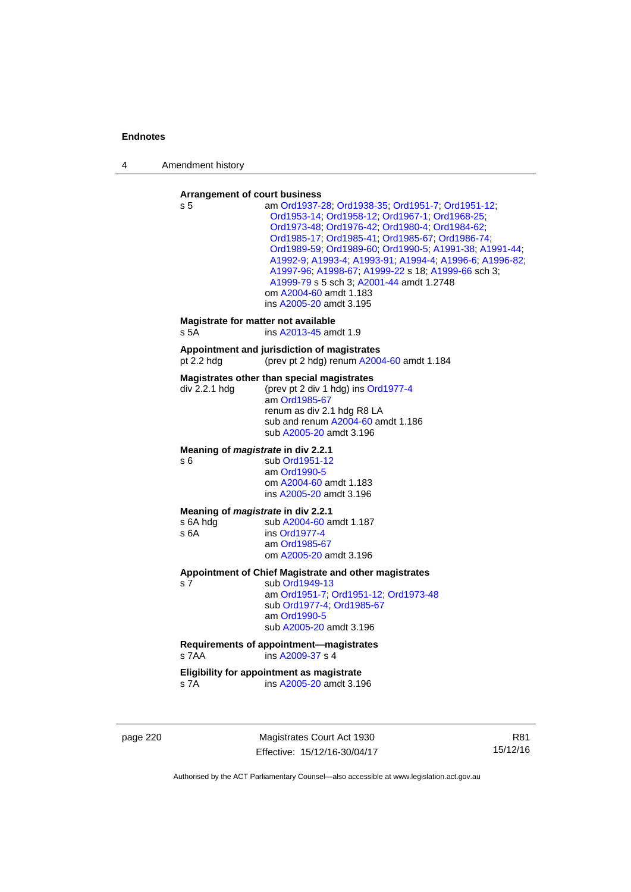4 Amendment history

#### **Arrangement of court business**

| s 5                                                           | am Ord1937-28; Ord1938-35; Ord1951-7; Ord1951-12;<br>Ord1953-14; Ord1958-12; Ord1967-1; Ord1968-25;<br>Ord1973-48; Ord1976-42; Ord1980-4; Ord1984-62;<br>Ord1985-17, Ord1985-41, Ord1985-67, Ord1986-74,<br>Ord1989-59, Ord1989-60, Ord1990-5, A1991-38, A1991-44,<br>A1992-9; A1993-4; A1993-91; A1994-4; A1996-6; A1996-82;<br>A1997-96; A1998-67; A1999-22 s 18; A1999-66 sch 3;<br>A1999-79 s 5 sch 3; A2001-44 amdt 1.2748<br>om A2004-60 amdt 1.183<br>ins A2005-20 amdt 3.195 |
|---------------------------------------------------------------|--------------------------------------------------------------------------------------------------------------------------------------------------------------------------------------------------------------------------------------------------------------------------------------------------------------------------------------------------------------------------------------------------------------------------------------------------------------------------------------|
| s 5A                                                          | Magistrate for matter not available<br>ins A2013-45 amdt 1.9                                                                                                                                                                                                                                                                                                                                                                                                                         |
| pt $2.2$ hdg                                                  | Appointment and jurisdiction of magistrates<br>(prev pt 2 hdg) renum A2004-60 amdt 1.184                                                                                                                                                                                                                                                                                                                                                                                             |
| div 2.2.1 hdg                                                 | Magistrates other than special magistrates<br>(prev pt 2 div 1 hdg) ins Ord1977-4<br>am Ord1985-67<br>renum as div 2.1 hdg R8 LA<br>sub and renum A2004-60 amdt 1.186<br>sub A2005-20 amdt 3.196                                                                                                                                                                                                                                                                                     |
| Meaning of <i>magistrate</i> in div 2.2.1<br>s 6              | sub Ord1951-12<br>am Ord1990-5<br>om A2004-60 amdt 1.183<br>ins A2005-20 amdt 3.196                                                                                                                                                                                                                                                                                                                                                                                                  |
| Meaning of <i>magistrate</i> in div 2.2.1<br>s 6A hdg<br>s 6A | sub A2004-60 amdt 1.187<br>ins Ord1977-4<br>am Ord1985-67<br>om A2005-20 amdt 3.196                                                                                                                                                                                                                                                                                                                                                                                                  |
| s 7                                                           | Appointment of Chief Magistrate and other magistrates<br>sub Ord1949-13<br>am Ord1951-7; Ord1951-12; Ord1973-48<br>sub Ord1977-4; Ord1985-67<br>am Ord1990-5<br>sub A2005-20 amdt 3.196                                                                                                                                                                                                                                                                                              |
| s 7AA                                                         | Requirements of appointment-magistrates<br>ins A2009-37 s 4                                                                                                                                                                                                                                                                                                                                                                                                                          |
| s 7A                                                          | Eligibility for appointment as magistrate<br>ins A2005-20 amdt 3.196                                                                                                                                                                                                                                                                                                                                                                                                                 |

page 220 Magistrates Court Act 1930 Effective: 15/12/16-30/04/17

R81 15/12/16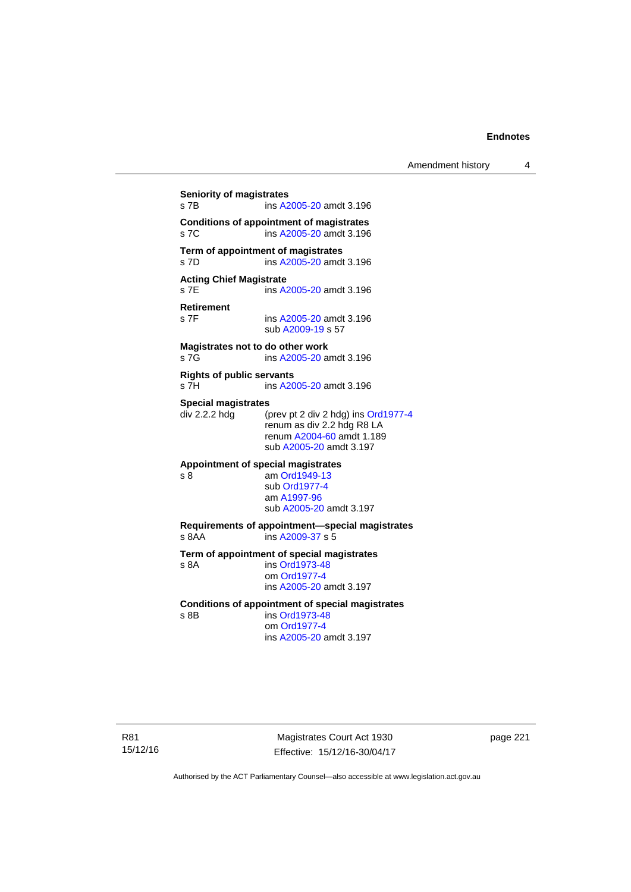## **Seniority of magistrates**  s 7B ins [A2005-20](http://www.legislation.act.gov.au/a/2005-20) amdt 3.196 **Conditions of appointment of magistrates**  s 7C ins [A2005-20](http://www.legislation.act.gov.au/a/2005-20) amdt 3.196 **Term of appointment of magistrates**  s 7D ins [A2005-20](http://www.legislation.act.gov.au/a/2005-20) amdt 3.196 **Acting Chief Magistrate**  s 7E ins [A2005-20](http://www.legislation.act.gov.au/a/2005-20) amdt 3.196 **Retirement**  ins [A2005-20](http://www.legislation.act.gov.au/a/2005-20) amdt 3.196 sub [A2009-19](http://www.legislation.act.gov.au/a/2009-19) s 57 **Magistrates not to do other work**  s 7G **ins [A2005-20](http://www.legislation.act.gov.au/a/2005-20)** amdt 3.196 **Rights of public servants**  s 7H ins [A2005-20](http://www.legislation.act.gov.au/a/2005-20) amdt 3.196 **Special magistrates**<br>div 2.2.2 hdg (p (prev pt 2 div 2 hdg) ins [Ord1977-4](http://www.legislation.act.gov.au/a/1977-4) renum as div 2.2 hdg R8 LA renum [A2004-60](http://www.legislation.act.gov.au/a/2004-60) amdt 1.189 sub [A2005-20](http://www.legislation.act.gov.au/a/2005-20) amdt 3.197 **Appointment of special magistrates**  s 8 am [Ord1949-13](http://www.legislation.act.gov.au/a/1949-13) sub [Ord1977-4](http://www.legislation.act.gov.au/a/1977-4) am [A1997-96](http://www.legislation.act.gov.au/a/1997-96) sub [A2005-20](http://www.legislation.act.gov.au/a/2005-20) amdt 3.197 **Requirements of appointment—special magistrates**  s 8AA ins [A2009-37](http://www.legislation.act.gov.au/a/2009-37) s 5 **Term of appointment of special magistrates**  s 8A ins [Ord1973-48](http://www.legislation.act.gov.au/a/1973-48) om [Ord1977-4](http://www.legislation.act.gov.au/a/1977-4) ins [A2005-20](http://www.legislation.act.gov.au/a/2005-20) amdt 3.197 **Conditions of appointment of special magistrates**  s 8B ins [Ord1973-48](http://www.legislation.act.gov.au/a/1973-48) om [Ord1977-4](http://www.legislation.act.gov.au/a/1977-4) ins [A2005-20](http://www.legislation.act.gov.au/a/2005-20) amdt 3.197

R81 15/12/16

Magistrates Court Act 1930 Effective: 15/12/16-30/04/17 page 221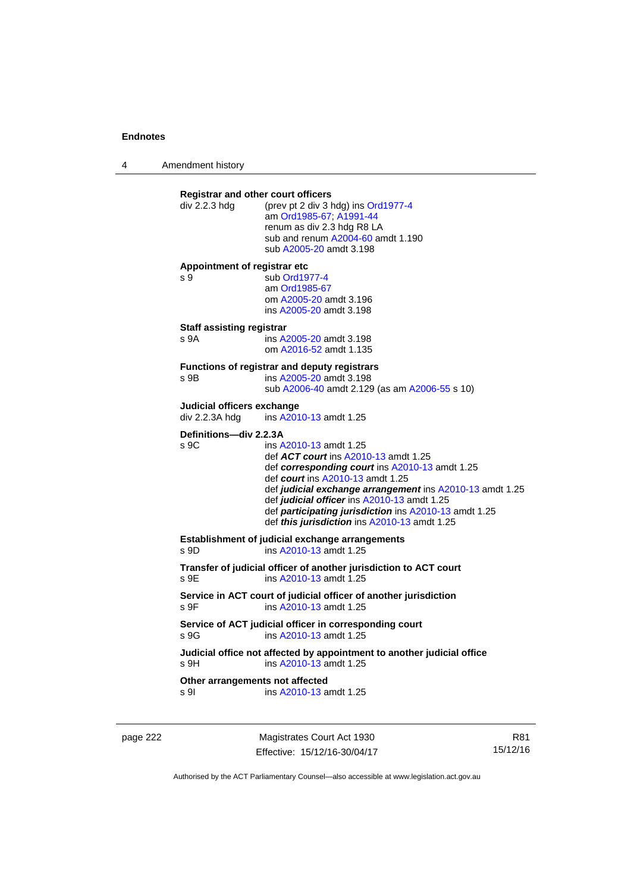4 Amendment history

| div 2.2.3 hdg                                | <b>Registrar and other court officers</b><br>(prev pt 2 div 3 hdg) ins Ord1977-4<br>am Ord1985-67; A1991-44<br>renum as div 2.3 hdg R8 LA<br>sub and renum A2004-60 amdt 1.190<br>sub A2005-20 amdt 3.198                                                                                                                                                                       |
|----------------------------------------------|---------------------------------------------------------------------------------------------------------------------------------------------------------------------------------------------------------------------------------------------------------------------------------------------------------------------------------------------------------------------------------|
| Appointment of registrar etc<br>s 9          | sub Ord1977-4<br>am Ord1985-67<br>om A2005-20 amdt 3.196<br>ins A2005-20 amdt 3.198                                                                                                                                                                                                                                                                                             |
| <b>Staff assisting registrar</b><br>s 9A     | ins A2005-20 amdt 3.198<br>om A2016-52 amdt 1.135                                                                                                                                                                                                                                                                                                                               |
| s 9B                                         | <b>Functions of registrar and deputy registrars</b><br>ins A2005-20 amdt 3.198<br>sub A2006-40 amdt 2.129 (as am A2006-55 s 10)                                                                                                                                                                                                                                                 |
| Judicial officers exchange<br>div 2.2.3A hdg | ins A2010-13 amdt 1.25                                                                                                                                                                                                                                                                                                                                                          |
| Definitions-div 2.2.3A<br>s 9C               | ins A2010-13 amdt 1.25<br>def <b>ACT court</b> ins A2010-13 amdt 1.25<br>def corresponding court ins A2010-13 amdt 1.25<br>def court ins A2010-13 amdt 1.25<br>def judicial exchange arrangement ins A2010-13 amdt 1.25<br>def judicial officer ins A2010-13 amdt 1.25<br>def participating jurisdiction ins A2010-13 amdt 1.25<br>def this jurisdiction ins A2010-13 amdt 1.25 |
|                                              | Establishment of judicial exchange arrangements<br>ins A2010-13 amdt 1.25                                                                                                                                                                                                                                                                                                       |
| s 9D                                         |                                                                                                                                                                                                                                                                                                                                                                                 |
| s 9E                                         | Transfer of judicial officer of another jurisdiction to ACT court<br>ins A2010-13 amdt 1.25                                                                                                                                                                                                                                                                                     |
| S <sub>9F</sub>                              | Service in ACT court of judicial officer of another jurisdiction<br>ins A2010-13 amdt 1.25                                                                                                                                                                                                                                                                                      |
| s.9G                                         | Service of ACT judicial officer in corresponding court<br>ins A2010-13 amdt 1.25                                                                                                                                                                                                                                                                                                |
| $s$ 9H                                       | Judicial office not affected by appointment to another judicial office<br>ins A2010-13 amdt 1.25                                                                                                                                                                                                                                                                                |

page 222 Magistrates Court Act 1930 Effective: 15/12/16-30/04/17

R81 15/12/16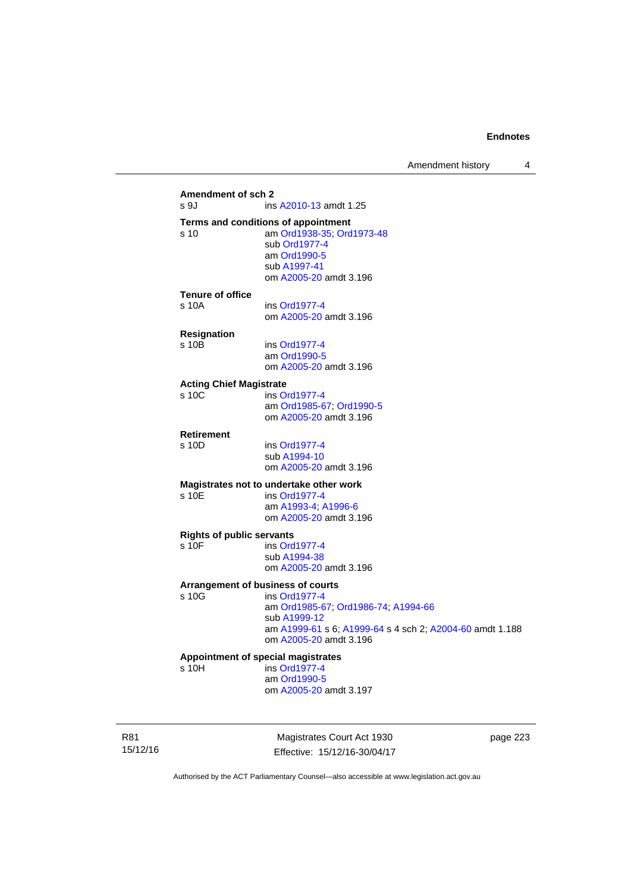## **Amendment of sch 2**  ins [A2010-13](http://www.legislation.act.gov.au/a/2010-13) amdt 1.25 **Terms and conditions of appointment**  s 10 am [Ord1938-35](http://www.legislation.act.gov.au/a/1938-35); [Ord1973-48](http://www.legislation.act.gov.au/a/1973-48) sub [Ord1977-4](http://www.legislation.act.gov.au/a/1977-4) am [Ord1990-5](http://www.legislation.act.gov.au/a/alt_ord1990-5) sub [A1997-41](http://www.legislation.act.gov.au/a/1997-41) om [A2005-20](http://www.legislation.act.gov.au/a/2005-20) amdt 3.196 **Tenure of office**  s 10A ins [Ord1977-4](http://www.legislation.act.gov.au/a/1977-4) om [A2005-20](http://www.legislation.act.gov.au/a/2005-20) amdt 3.196 **Resignation**  ins [Ord1977-4](http://www.legislation.act.gov.au/a/1977-4) am [Ord1990-5](http://www.legislation.act.gov.au/a/alt_ord1990-5) om [A2005-20](http://www.legislation.act.gov.au/a/2005-20) amdt 3.196 **Acting Chief Magistrate**  s 10C ins [Ord1977-4](http://www.legislation.act.gov.au/a/1977-4) am [Ord1985-67](http://www.legislation.act.gov.au/a/1985-67); [Ord1990-5](http://www.legislation.act.gov.au/a/alt_ord1990-5) om [A2005-20](http://www.legislation.act.gov.au/a/2005-20) amdt 3.196 **Retirement**  s 10D ins [Ord1977-4](http://www.legislation.act.gov.au/a/1977-4) sub [A1994-10](http://www.legislation.act.gov.au/a/1994-10) om [A2005-20](http://www.legislation.act.gov.au/a/2005-20) amdt 3.196 **Magistrates not to undertake other work**  ins [Ord1977-4](http://www.legislation.act.gov.au/a/1977-4) am [A1993-4;](http://www.legislation.act.gov.au/a/1993-4) [A1996-6](http://www.legislation.act.gov.au/a/1996-6) om [A2005-20](http://www.legislation.act.gov.au/a/2005-20) amdt 3.196 **Rights of public servants**  s 10F ins [Ord1977-4](http://www.legislation.act.gov.au/a/1977-4) sub [A1994-38](http://www.legislation.act.gov.au/a/1994-38) om [A2005-20](http://www.legislation.act.gov.au/a/2005-20) amdt 3.196 **Arrangement of business of courts**  ins [Ord1977-4](http://www.legislation.act.gov.au/a/1977-4) am [Ord1985-67](http://www.legislation.act.gov.au/a/1985-67); [Ord1986-74](http://www.legislation.act.gov.au/a/1986-74); [A1994-66](http://www.legislation.act.gov.au/a/1994-66) sub [A1999-12](http://www.legislation.act.gov.au/a/1999-12) am [A1999-61](http://www.legislation.act.gov.au/a/1999-61) s 6; [A1999-64](http://www.legislation.act.gov.au/a/1999-64) s 4 sch 2; [A2004-60](http://www.legislation.act.gov.au/a/2004-60) amdt 1.188 om [A2005-20](http://www.legislation.act.gov.au/a/2005-20) amdt 3.196 **Appointment of special magistrates**  s 10H ins [Ord1977-4](http://www.legislation.act.gov.au/a/1977-4) am [Ord1990-5](http://www.legislation.act.gov.au/a/alt_ord1990-5) om [A2005-20](http://www.legislation.act.gov.au/a/2005-20) amdt 3.197

R81 15/12/16

Magistrates Court Act 1930 Effective: 15/12/16-30/04/17 page 223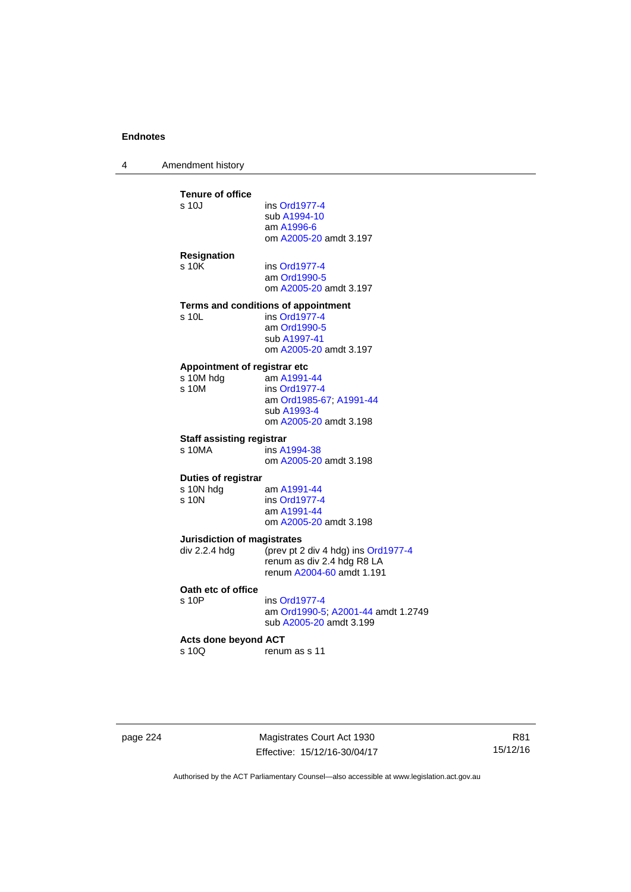4 Amendment history

| <b>Tenure of office</b>            |                                     |
|------------------------------------|-------------------------------------|
| s 10J                              | ins Ord1977-4<br>sub A1994-10       |
|                                    | am A1996-6                          |
|                                    | om A2005-20 amdt 3.197              |
| <b>Resignation</b>                 |                                     |
| s 10K                              | ins Ord1977-4                       |
|                                    | am Ord1990-5                        |
|                                    | om A2005-20 amdt 3.197              |
|                                    | Terms and conditions of appointment |
| s 10L                              | ins Ord1977-4                       |
|                                    | am Ord1990-5<br>sub A1997-41        |
|                                    | om A2005-20 amdt 3.197              |
| Appointment of registrar etc       |                                     |
| s 10M hdg                          | am A1991-44                         |
| s 10M                              | ins Ord1977-4                       |
|                                    | am Ord1985-67; A1991-44             |
|                                    | sub A1993-4                         |
|                                    | om A2005-20 amdt 3.198              |
| <b>Staff assisting registrar</b>   |                                     |
| s 10MA                             | ins A1994-38                        |
|                                    | om A2005-20 amdt 3.198              |
| Duties of registrar                |                                     |
| s 10N hdg<br>s 10N                 | am A1991-44<br>ins Ord1977-4        |
|                                    | am A1991-44                         |
|                                    | om A2005-20 amdt 3.198              |
| <b>Jurisdiction of magistrates</b> |                                     |
| div 2.2.4 hdg                      | (prev pt 2 div 4 hdg) ins Ord1977-4 |
|                                    | renum as div 2.4 hdg R8 LA          |
|                                    | renum A2004-60 amdt 1.191           |
| Oath etc of office                 |                                     |
| s 10P                              | ins Ord1977-4                       |
|                                    | am Ord1990-5; A2001-44 amdt 1.2     |
|                                    | sub A2005-20 amdt 3.199             |
| <b>Acts done beyond ACT</b>        |                                     |
| s 10Q                              | renum as s 11                       |

page 224 Magistrates Court Act 1930 Effective: 15/12/16-30/04/17

R81 15/12/16

Authorised by the ACT Parliamentary Counsel—also accessible at www.legislation.act.gov.au

 $1.2749$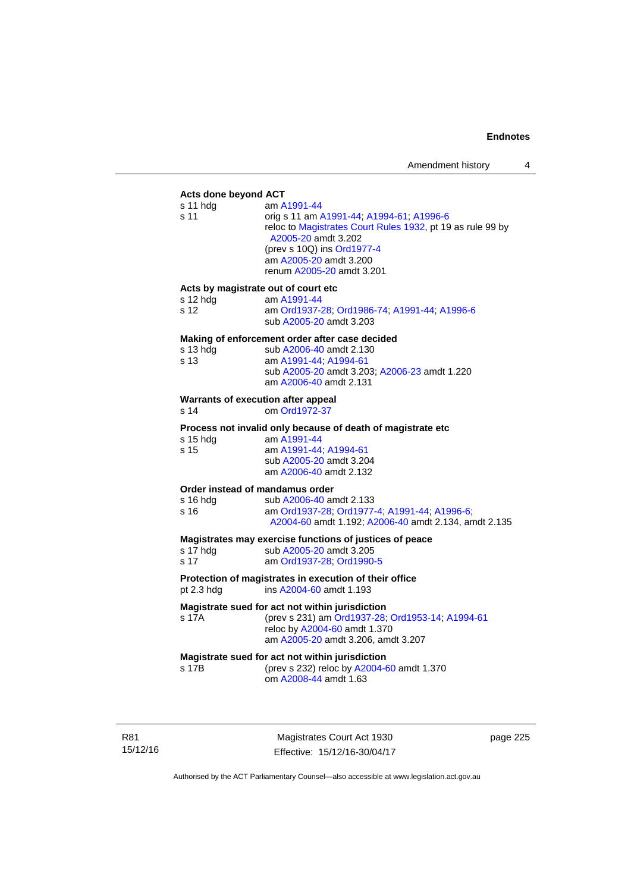# **Acts done beyond ACT**

| Acts done beyond ACT                                    |                                                                                                                                                                                                                                   |
|---------------------------------------------------------|-----------------------------------------------------------------------------------------------------------------------------------------------------------------------------------------------------------------------------------|
| s 11 hdg<br>s 11                                        | am A1991-44<br>orig s 11 am A1991-44, A1994-61, A1996-6<br>reloc to Magistrates Court Rules 1932, pt 19 as rule 99 by<br>A2005-20 amdt 3.202<br>(prev s 10Q) ins Ord1977-4<br>am A2005-20 amdt 3.200<br>renum A2005-20 amdt 3.201 |
| Acts by magistrate out of court etc<br>s 12 hdg<br>s 12 | am A1991-44<br>am Ord1937-28; Ord1986-74; A1991-44; A1996-6<br>sub A2005-20 amdt 3.203                                                                                                                                            |
| s 13 hdg<br>s 13                                        | Making of enforcement order after case decided<br>sub A2006-40 amdt 2.130<br>am A1991-44; A1994-61<br>sub A2005-20 amdt 3.203; A2006-23 amdt 1.220<br>am A2006-40 amdt 2.131                                                      |
| Warrants of execution after appeal<br>s 14              | om Ord1972-37                                                                                                                                                                                                                     |
| s 15 hdg<br>s 15                                        | Process not invalid only because of death of magistrate etc<br>am A1991-44<br>am A1991-44; A1994-61<br>sub A2005-20 amdt 3.204<br>am A2006-40 amdt 2.132                                                                          |
| Order instead of mandamus order<br>s 16 hdg<br>s 16     | sub A2006-40 amdt 2.133<br>am Ord1937-28, Ord1977-4, A1991-44, A1996-6,<br>A2004-60 amdt 1.192; A2006-40 amdt 2.134, amdt 2.135                                                                                                   |
| s 17 hdg<br>s 17                                        | Magistrates may exercise functions of justices of peace<br>sub A2005-20 amdt 3.205<br>am Ord1937-28; Ord1990-5                                                                                                                    |
| pt 2.3 hdg                                              | Protection of magistrates in execution of their office<br>ins A2004-60 amdt 1.193                                                                                                                                                 |
| s 17A                                                   | Magistrate sued for act not within jurisdiction<br>(prev s 231) am Ord1937-28; Ord1953-14; A1994-61<br>reloc by A2004-60 amdt 1.370<br>am A2005-20 amdt 3.206, amdt 3.207                                                         |
| s 17B                                                   | Magistrate sued for act not within jurisdiction<br>(prev s 232) reloc by A2004-60 amdt 1.370                                                                                                                                      |

om [A2008-44](http://www.legislation.act.gov.au/a/2008-44) amdt 1.63

R81 15/12/16

Magistrates Court Act 1930 Effective: 15/12/16-30/04/17 page 225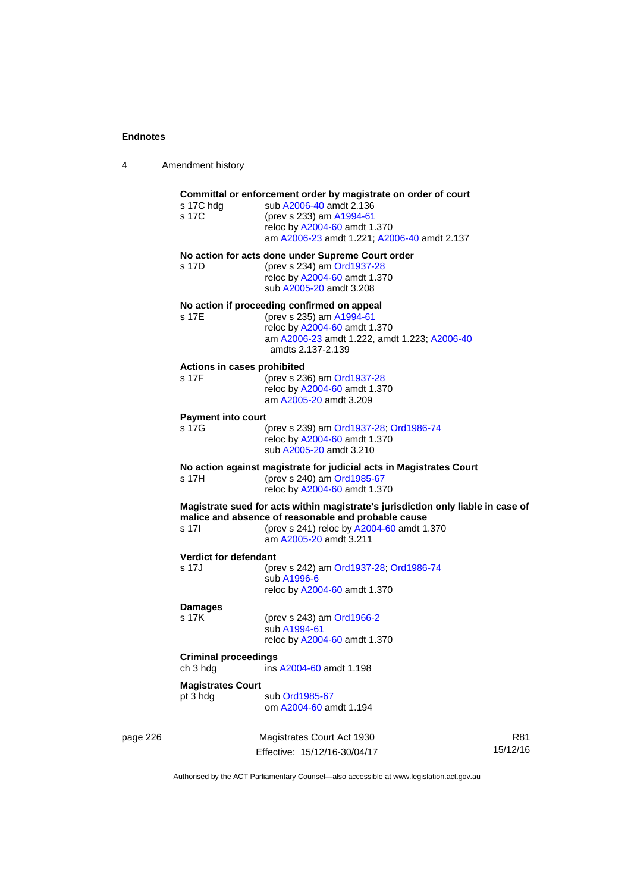4 Amendment history

|          | s 17C hdg                            | Committal or enforcement order by magistrate on order of court<br>sub A2006-40 amdt 2.136                                                  |          |
|----------|--------------------------------------|--------------------------------------------------------------------------------------------------------------------------------------------|----------|
|          | s 17C                                | (prev s 233) am A1994-61                                                                                                                   |          |
|          |                                      | reloc by A2004-60 amdt 1.370                                                                                                               |          |
|          |                                      | am A2006-23 amdt 1.221; A2006-40 amdt 2.137                                                                                                |          |
|          | s 17D                                | No action for acts done under Supreme Court order<br>(prev s 234) am Ord1937-28<br>reloc by A2004-60 amdt 1.370<br>sub A2005-20 amdt 3.208 |          |
|          |                                      | No action if proceeding confirmed on appeal                                                                                                |          |
|          | s 17E                                | (prev s 235) am A1994-61                                                                                                                   |          |
|          |                                      | reloc by A2004-60 amdt 1.370                                                                                                               |          |
|          |                                      | am A2006-23 amdt 1.222, amdt 1.223; A2006-40                                                                                               |          |
|          |                                      | amdts 2.137-2.139                                                                                                                          |          |
|          | Actions in cases prohibited<br>s 17F |                                                                                                                                            |          |
|          |                                      | (prev s 236) am Ord1937-28<br>reloc by A2004-60 amdt 1.370                                                                                 |          |
|          |                                      | am A2005-20 amdt 3.209                                                                                                                     |          |
|          |                                      |                                                                                                                                            |          |
|          | <b>Payment into court</b>            |                                                                                                                                            |          |
|          | s 17G                                | (prev s 239) am Ord1937-28; Ord1986-74                                                                                                     |          |
|          |                                      | reloc by A2004-60 amdt 1.370<br>sub A2005-20 amdt 3.210                                                                                    |          |
|          |                                      |                                                                                                                                            |          |
|          |                                      | No action against magistrate for judicial acts in Magistrates Court                                                                        |          |
|          | s 17H                                | (prev s 240) am Ord1985-67                                                                                                                 |          |
|          |                                      | reloc by A2004-60 amdt 1.370                                                                                                               |          |
|          |                                      | Magistrate sued for acts within magistrate's jurisdiction only liable in case of<br>malice and absence of reasonable and probable cause    |          |
|          | s 17l                                | (prev s 241) reloc by A2004-60 amdt 1.370                                                                                                  |          |
|          |                                      | am A2005-20 amdt 3.211                                                                                                                     |          |
|          | Verdict for defendant                |                                                                                                                                            |          |
|          | s 17J                                | (prev s 242) am Ord1937-28; Ord1986-74                                                                                                     |          |
|          |                                      | sub A1996-6                                                                                                                                |          |
|          |                                      | reloc by A2004-60 amdt 1.370                                                                                                               |          |
|          |                                      |                                                                                                                                            |          |
|          | <b>Damages</b><br>s 17K              | (prev s 243) am Ord1966-2                                                                                                                  |          |
|          |                                      | sub A1994-61                                                                                                                               |          |
|          |                                      | reloc by A2004-60 amdt 1.370                                                                                                               |          |
|          |                                      |                                                                                                                                            |          |
|          | <b>Criminal proceedings</b>          |                                                                                                                                            |          |
|          | ch 3 hdg                             | ins A2004-60 amdt 1.198                                                                                                                    |          |
|          | <b>Magistrates Court</b>             |                                                                                                                                            |          |
|          | pt 3 hdg                             | sub Ord1985-67                                                                                                                             |          |
|          |                                      | om A2004-60 amdt 1.194                                                                                                                     |          |
|          |                                      |                                                                                                                                            |          |
| page 226 |                                      | Magistrates Court Act 1930                                                                                                                 | R81      |
|          |                                      | Effective: 15/12/16-30/04/17                                                                                                               | 15/12/16 |

Authorised by the ACT Parliamentary Counsel—also accessible at www.legislation.act.gov.au

Effective: 15/12/16-30/04/17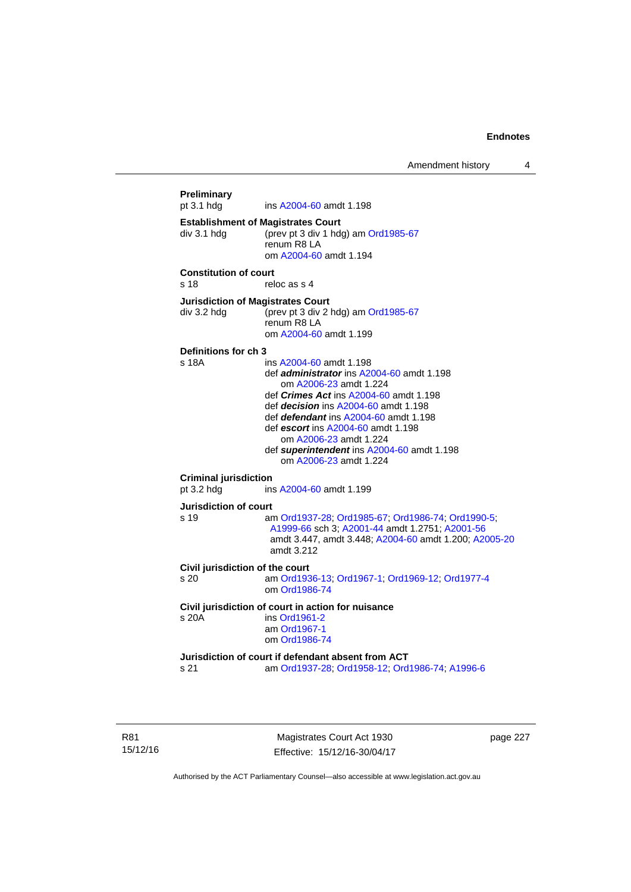Amendment history 4

```
Preliminary 
                 A2004-60 amdt 1.198
Establishment of Magistrates Court 
div 3.1 hdg (prev pt 3 div 1 hdg) am Ord1985-67
                 renum R8 LA 
                  om A2004-60 amdt 1.194
Constitution of court 
s 18 reloc as s 4
Jurisdiction of Magistrates Court 
div 3.2 hdg (prev pt 3 div 2 hdg) am Ord1985-67
                 renum R8 LA 
                  om A2004-60 amdt 1.199
Definitions for ch 3 
s 18A ins A2004-60 amdt 1.198 
                  def administrator ins A2004-60 amdt 1.198 
                      om A2006-23 amdt 1.224
                  def Crimes Act ins A2004-60 amdt 1.198
                  def decision ins A2004-60 amdt 1.198 
                  def defendant ins A2004-60 amdt 1.198 
                  def escort ins A2004-60 amdt 1.198 
                      om A2006-23 amdt 1.224
                  def superintendent ins A2004-60 amdt 1.198 
                     om A2006-23 amdt 1.224
Criminal jurisdiction 
pt 3.2 hdg ins A2004-60 amdt 1.199 
Jurisdiction of court 
s 19 am Ord1937-28; Ord1985-67; Ord1986-74; Ord1990-5; 
                  A1999-66 sch 3; A2001-44 amdt 1.2751; A2001-56
                  amdt 3.447, amdt 3.448; A2004-60 amdt 1.200; A2005-20
                  amdt 3.212
Civil jurisdiction of the court 
s 20 am Ord1936-13; Ord1967-1; Ord1969-12; Ord1977-4
                  om Ord1986-74
Civil jurisdiction of court in action for nuisance 
s 20A ins Ord1961-2
                  am Ord1967-1
                  om Ord1986-74
Jurisdiction of court if defendant absent from ACT 
s 21 am Ord1937-28; Ord1958-12; Ord1986-74; A1996-6
```
R81 15/12/16

Magistrates Court Act 1930 Effective: 15/12/16-30/04/17 page 227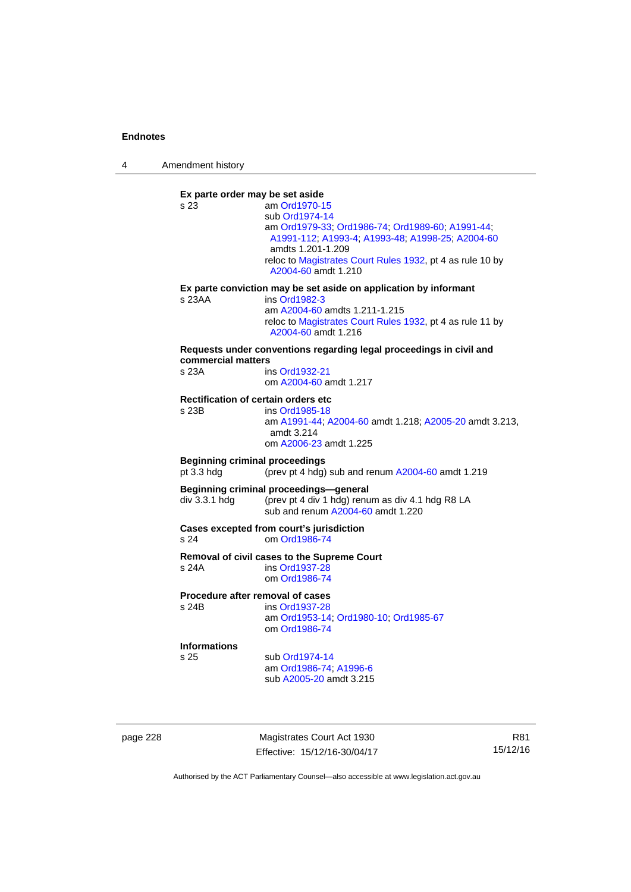4 Amendment history

**Ex parte order may be set aside**  s 23 am [Ord1970-15](http://www.legislation.act.gov.au/a/1970-15) sub [Ord1974-14](http://www.legislation.act.gov.au/a/1974-14) am [Ord1979-33](http://www.legislation.act.gov.au/a/1979-33); [Ord1986-74;](http://www.legislation.act.gov.au/a/1986-74) [Ord1989-60](http://www.legislation.act.gov.au/a/1989-60); [A1991-44](http://www.legislation.act.gov.au/a/1991-44); [A1991-112;](http://www.legislation.act.gov.au/a/1991-112) [A1993-4](http://www.legislation.act.gov.au/a/1993-4); [A1993-48](http://www.legislation.act.gov.au/a/1993-48); [A1998-25](http://www.legislation.act.gov.au/a/1998-25); [A2004-60](http://www.legislation.act.gov.au/a/2004-60) amdts 1.201-1.209 reloc to [Magistrates Court Rules 1932](http://www.legislation.act.gov.au/sl/1932-4/default.asp), pt 4 as rule 10 by [A2004-60](http://www.legislation.act.gov.au/a/2004-60) amdt 1.210 **Ex parte conviction may be set aside on application by informant**  s 23AA ins [Ord1982-3](http://www.legislation.act.gov.au/a/1982-3) am [A2004-60](http://www.legislation.act.gov.au/a/2004-60) amdts 1.211-1.215 reloc to [Magistrates Court Rules 1932](http://www.legislation.act.gov.au/sl/1932-4/default.asp), pt 4 as rule 11 by [A2004-60](http://www.legislation.act.gov.au/a/2004-60) amdt 1.216 **Requests under conventions regarding legal proceedings in civil and commercial matters**  s 23A ins [Ord1932-21](http://www.legislation.act.gov.au/a/1932-21) om [A2004-60](http://www.legislation.act.gov.au/a/2004-60) amdt 1.217 **Rectification of certain orders etc**<br>s 23B ins Ord1985-18 ins [Ord1985-18](http://www.legislation.act.gov.au/a/1985-18) am [A1991-44](http://www.legislation.act.gov.au/a/1991-44); [A2004-60](http://www.legislation.act.gov.au/a/2004-60) amdt 1.218; [A2005-20](http://www.legislation.act.gov.au/a/2005-20) amdt 3.213, amdt 3.214 om [A2006-23](http://www.legislation.act.gov.au/a/2006-23) amdt 1.225 **Beginning criminal proceedings**  pt 3.3 hdg (prev pt 4 hdg) sub and renum [A2004-60](http://www.legislation.act.gov.au/a/2004-60) amdt 1.219 **Beginning criminal proceedings—general**  div 3.3.1 hdg (prev pt 4 div 1 hdg) renum as div 4.1 hdg R8 LA sub and renum [A2004-60](http://www.legislation.act.gov.au/a/2004-60) amdt 1.220 **Cases excepted from court's jurisdiction**  s 24 om [Ord1986-74](http://www.legislation.act.gov.au/a/1986-74) **Removal of civil cases to the Supreme Court**  s 24A ins [Ord1937-28](http://www.legislation.act.gov.au/a/1937-28) om [Ord1986-74](http://www.legislation.act.gov.au/a/1986-74) **Procedure after removal of cases**  s 24B ins [Ord1937-28](http://www.legislation.act.gov.au/a/1937-28) am [Ord1953-14](http://www.legislation.act.gov.au/a/1953-14); [Ord1980-10;](http://www.legislation.act.gov.au/a/1980-10) [Ord1985-67](http://www.legislation.act.gov.au/a/1985-67) om [Ord1986-74](http://www.legislation.act.gov.au/a/1986-74) **Informations** sub [Ord1974-14](http://www.legislation.act.gov.au/a/1974-14) am [Ord1986-74](http://www.legislation.act.gov.au/a/1986-74); [A1996-6](http://www.legislation.act.gov.au/a/1996-6) sub [A2005-20](http://www.legislation.act.gov.au/a/2005-20) amdt 3.215

page 228 Magistrates Court Act 1930 Effective: 15/12/16-30/04/17

R81 15/12/16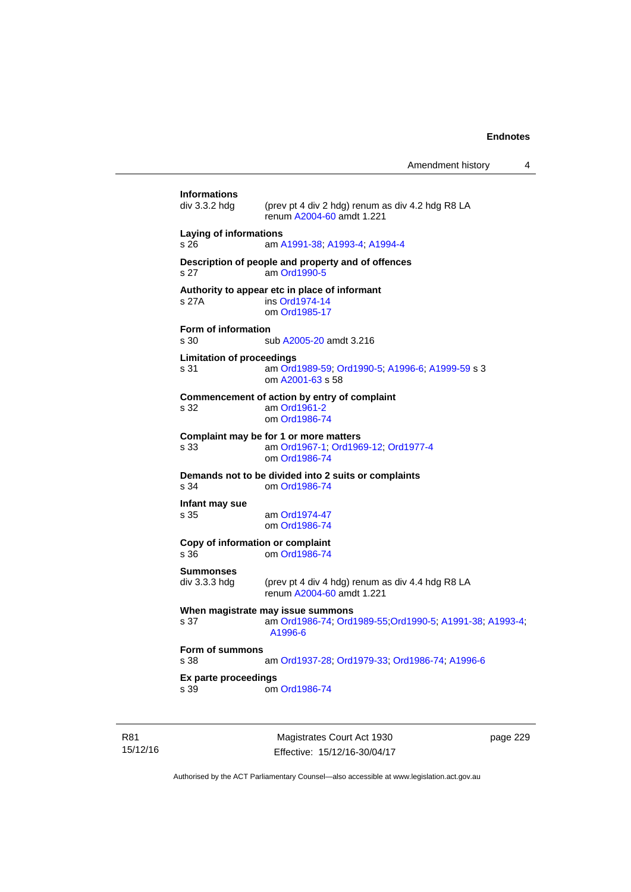Amendment history 4

|                                          | Magistrates Court Act 1930                                                                               | page 229 |
|------------------------------------------|----------------------------------------------------------------------------------------------------------|----------|
| Ex parte proceedings<br>s 39             | om Ord1986-74                                                                                            |          |
| Form of summons<br>s 38                  | am Ord1937-28; Ord1979-33; Ord1986-74; A1996-6                                                           |          |
| s 37                                     | When magistrate may issue summons<br>am Ord1986-74; Ord1989-55; Ord1990-5; A1991-38; A1993-4;<br>A1996-6 |          |
| <b>Summonses</b><br>div 3.3.3 hdg        | (prev pt 4 div 4 hdg) renum as div 4.4 hdg R8 LA<br>renum A2004-60 amdt 1.221                            |          |
| Copy of information or complaint<br>s 36 | om Ord1986-74                                                                                            |          |
| Infant may sue<br>s 35                   | am Ord1974-47<br>om Ord1986-74                                                                           |          |
| s 34                                     | Demands not to be divided into 2 suits or complaints<br>om Ord1986-74                                    |          |
| s 33                                     | Complaint may be for 1 or more matters<br>am Ord1967-1, Ord1969-12, Ord1977-4<br>om Ord1986-74           |          |
| s 32                                     | Commencement of action by entry of complaint<br>am Ord1961-2<br>om Ord1986-74                            |          |
| <b>Limitation of proceedings</b><br>s 31 | am Ord1989-59; Ord1990-5; A1996-6; A1999-59 s 3<br>om A2001-63 s 58                                      |          |
| Form of information<br>s 30              | sub A2005-20 amdt 3.216                                                                                  |          |
| s 27A                                    | Authority to appear etc in place of informant<br>ins Ord1974-14<br>om Ord1985-17                         |          |
| s 27                                     | Description of people and property and of offences<br>am Ord1990-5                                       |          |
| Laying of informations<br>s 26           | am A1991-38, A1993-4, A1994-4                                                                            |          |
| <b>Informations</b><br>div 3.3.2 hda     | (prev pt 4 div 2 hdg) renum as div 4.2 hdg R8 LA<br>renum A2004-60 amdt 1.221                            |          |
|                                          |                                                                                                          |          |

15/12/16

R81

Effective: 15/12/16-30/04/17

page 229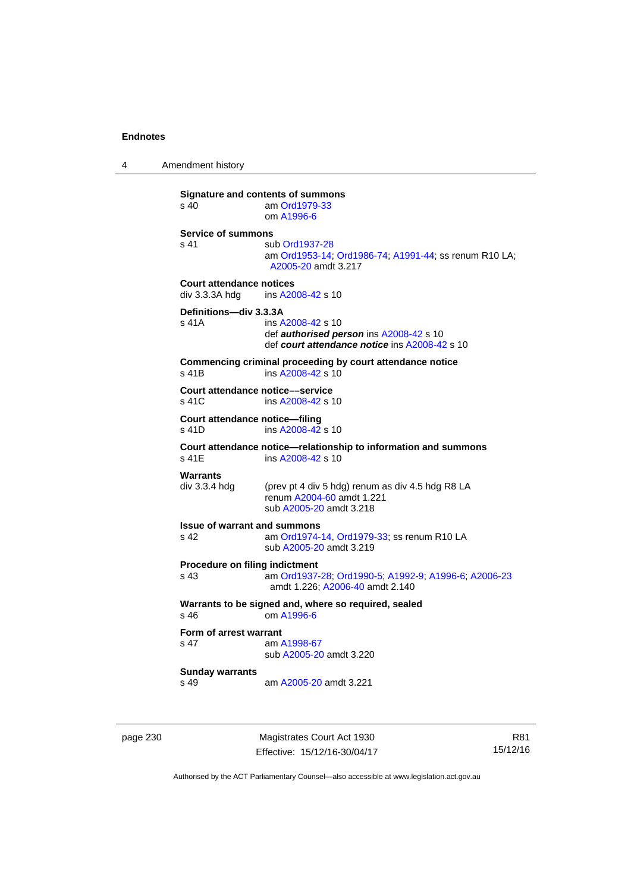4 Amendment history

**Signature and contents of summons**<br>s 40 am Ord1979-33 am [Ord1979-33](http://www.legislation.act.gov.au/a/1979-33) om [A1996-6](http://www.legislation.act.gov.au/a/1996-6) **Service of summons**  s 41 sub [Ord1937-28](http://www.legislation.act.gov.au/a/1937-28) am [Ord1953-14](http://www.legislation.act.gov.au/a/1953-14); [Ord1986-74](http://www.legislation.act.gov.au/a/1986-74); [A1991-44](http://www.legislation.act.gov.au/a/1991-44); ss renum R10 LA; [A2005-20](http://www.legislation.act.gov.au/a/2005-20) amdt 3.217 **Court attendance notices**<br>div 3.3.3A hdq ins A20 ins [A2008-42](http://www.legislation.act.gov.au/a/2008-42) s 10 **Definitions—div 3.3.3A**  s 41A ins [A2008-42](http://www.legislation.act.gov.au/a/2008-42) s 10 def *authorised person* ins [A2008-42](http://www.legislation.act.gov.au/a/2008-42) s 10 def *court attendance notice* ins [A2008-42](http://www.legislation.act.gov.au/a/2008-42) s 10 **Commencing criminal proceeding by court attendance notice**  s 41B ins [A2008-42](http://www.legislation.act.gov.au/a/2008-42) s 10 **Court attendance notice—service**<br>s 41C ins A2008-42 s 1 ins [A2008-42](http://www.legislation.act.gov.au/a/2008-42) s 10 **Court attendance notice—filing**  s 41D ins [A2008-42](http://www.legislation.act.gov.au/a/2008-42) s 10 **Court attendance notice—relationship to information and summons**  ins [A2008-42](http://www.legislation.act.gov.au/a/2008-42) s 10 **Warrants**  div 3.3.4 hdg (prev pt 4 div 5 hdg) renum as div 4.5 hdg R8 LA renum [A2004-60](http://www.legislation.act.gov.au/a/2004-60) amdt 1.221 sub [A2005-20](http://www.legislation.act.gov.au/a/2005-20) amdt 3.218 **Issue of warrant and summons**  s 42 am [Ord1974-14](http://www.legislation.act.gov.au/a/1974-14), [Ord1979-33](http://www.legislation.act.gov.au/a/1979-33); ss renum R10 LA sub [A2005-20](http://www.legislation.act.gov.au/a/2005-20) amdt 3.219 **Procedure on filing indictment**  s 43 am [Ord1937-28](http://www.legislation.act.gov.au/a/1937-28); [Ord1990-5](http://www.legislation.act.gov.au/a/alt_ord1990-5); [A1992-9](http://www.legislation.act.gov.au/a/1992-9); [A1996-6](http://www.legislation.act.gov.au/a/1996-6); [A2006-23](http://www.legislation.act.gov.au/a/2006-23) amdt 1.226; [A2006-40](http://www.legislation.act.gov.au/a/2006-40) amdt 2.140 **Warrants to be signed and, where so required, sealed**  s 46 om [A1996-6](http://www.legislation.act.gov.au/a/1996-6) **Form of arrest warrant**<br>**s** 47 am / am [A1998-67](http://www.legislation.act.gov.au/a/1998-67) sub [A2005-20](http://www.legislation.act.gov.au/a/2005-20) amdt 3.220 **Sunday warrants**  s 49 am [A2005-20](http://www.legislation.act.gov.au/a/2005-20) amdt 3.221

page 230 Magistrates Court Act 1930 Effective: 15/12/16-30/04/17

R81 15/12/16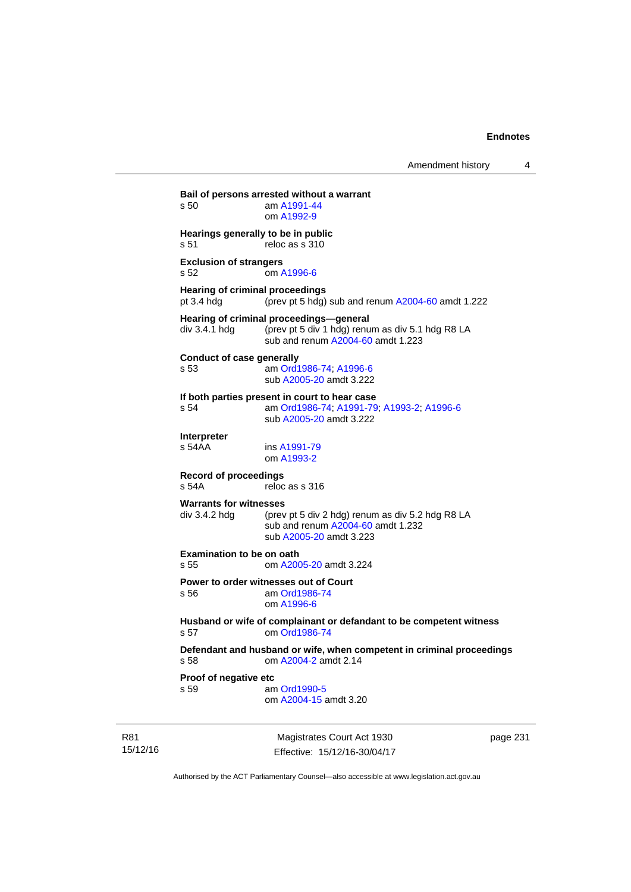**Bail of persons arrested without a warrant**  s 50 am [A1991-44](http://www.legislation.act.gov.au/a/1991-44) om [A1992-9](http://www.legislation.act.gov.au/a/1992-9) **Hearings generally to be in public**  s 51 reloc as s 310 **Exclusion of strangers**  s 52 om [A1996-6](http://www.legislation.act.gov.au/a/1996-6) **Hearing of criminal proceedings**  pt 3.4 hdg (prev pt 5 hdg) sub and renum [A2004-60](http://www.legislation.act.gov.au/a/2004-60) amdt 1.222 **Hearing of criminal proceedings—general**  div 3.4.1 hdg (prev pt 5 div 1 hdg) renum as div 5.1 hdg R8 LA sub and renum [A2004-60](http://www.legislation.act.gov.au/a/2004-60) amdt 1.223 **Conduct of case generally**  s 53 am [Ord1986-74](http://www.legislation.act.gov.au/a/1986-74); [A1996-6](http://www.legislation.act.gov.au/a/1996-6) sub [A2005-20](http://www.legislation.act.gov.au/a/2005-20) amdt 3.222 **If both parties present in court to hear case**  s 54 am [Ord1986-74](http://www.legislation.act.gov.au/a/1986-74); [A1991-79](http://www.legislation.act.gov.au/a/1991-79); [A1993-2](http://www.legislation.act.gov.au/a/1993-2); [A1996-6](http://www.legislation.act.gov.au/a/1996-6) sub [A2005-20](http://www.legislation.act.gov.au/a/2005-20) amdt 3.222 **Interpreter**  ins [A1991-79](http://www.legislation.act.gov.au/a/1991-79) om [A1993-2](http://www.legislation.act.gov.au/a/1993-2) **Record of proceedings**  s 54A reloc as s 316 **Warrants for witnesses**<br>div 3.4.2 hda (prev (prev pt 5 div 2 hdg) renum as div 5.2 hdg R8 LA sub and renum [A2004-60](http://www.legislation.act.gov.au/a/2004-60) amdt 1.232 sub [A2005-20](http://www.legislation.act.gov.au/a/2005-20) amdt 3.223 **Examination to be on oath**  s 55 om [A2005-20](http://www.legislation.act.gov.au/a/2005-20) amdt 3.224 **Power to order witnesses out of Court**  s 56 am [Ord1986-74](http://www.legislation.act.gov.au/a/1986-74) om [A1996-6](http://www.legislation.act.gov.au/a/1996-6) **Husband or wife of complainant or defandant to be competent witness**  s 57 om [Ord1986-74](http://www.legislation.act.gov.au/a/1986-74) **Defendant and husband or wife, when competent in criminal proceedings**  s 58 om [A2004-2](http://www.legislation.act.gov.au/a/2004-2) amdt 2.14 **Proof of negative etc**  s 59 am [Ord1990-5](http://www.legislation.act.gov.au/a/alt_ord1990-5) om [A2004-15](http://www.legislation.act.gov.au/a/2004-15) amdt 3.20

R81 15/12/16

Magistrates Court Act 1930 Effective: 15/12/16-30/04/17 page 231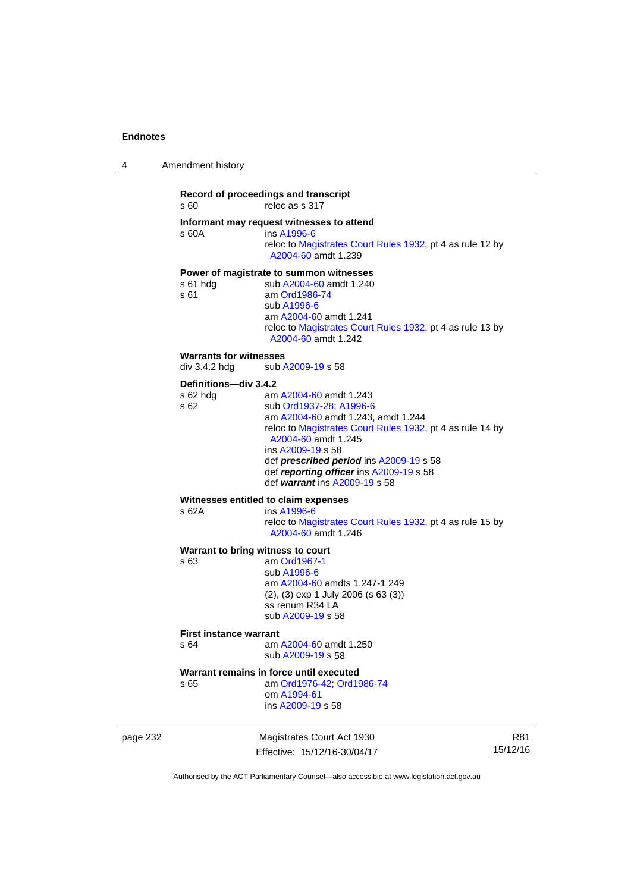| 4 | Amendment history |  |
|---|-------------------|--|
|   |                   |  |

## **Record of proceedings and transcript**  s 60 reloc as s 317 **Informant may request witnesses to attend**  s 60A ins [A1996-6](http://www.legislation.act.gov.au/a/1996-6) reloc to [Magistrates Court Rules 1932](http://www.legislation.act.gov.au/sl/1932-4/default.asp), pt 4 as rule 12 by [A2004-60](http://www.legislation.act.gov.au/a/2004-60) amdt 1.239 **Power of magistrate to summon witnesses**  s 61 hdg sub [A2004-60](http://www.legislation.act.gov.au/a/2004-60) amdt 1.240<br>s 61 am Ord1986-74 am [Ord1986-74](http://www.legislation.act.gov.au/a/1986-74) sub [A1996-6](http://www.legislation.act.gov.au/a/1996-6) am [A2004-60](http://www.legislation.act.gov.au/a/2004-60) amdt 1.241 reloc to [Magistrates Court Rules 1932](http://www.legislation.act.gov.au/sl/1932-4/default.asp), pt 4 as rule 13 by [A2004-60](http://www.legislation.act.gov.au/a/2004-60) amdt 1.242 **Warrants for witnesses**<br>div 3.4.2 hdg sub / sub [A2009-19](http://www.legislation.act.gov.au/a/2009-19) s 58 **Definitions—div 3.4.2**  s 62 hdg am [A2004-60](http://www.legislation.act.gov.au/a/2004-60) amdt 1.243 s 62 sub [Ord1937-28](http://www.legislation.act.gov.au/a/1937-28); [A1996-6](http://www.legislation.act.gov.au/a/1996-6) am [A2004-60](http://www.legislation.act.gov.au/a/2004-60) amdt 1.243, amdt 1.244 reloc to [Magistrates Court Rules 1932](http://www.legislation.act.gov.au/sl/1932-4/default.asp), pt 4 as rule 14 by [A2004-60](http://www.legislation.act.gov.au/a/2004-60) amdt 1.245 ins [A2009-19](http://www.legislation.act.gov.au/a/2009-19) s 58 def *prescribed period* ins [A2009-19](http://www.legislation.act.gov.au/a/2009-19) s 58 def *reporting officer* ins [A2009-19](http://www.legislation.act.gov.au/a/2009-19) s 58 def *warrant* ins [A2009-19](http://www.legislation.act.gov.au/a/2009-19) s 58 **Witnesses entitled to claim expenses**  s 62A ins [A1996-6](http://www.legislation.act.gov.au/a/1996-6) reloc to [Magistrates Court Rules 1932](http://www.legislation.act.gov.au/sl/1932-4/default.asp), pt 4 as rule 15 by [A2004-60](http://www.legislation.act.gov.au/a/2004-60) amdt 1.246 **Warrant to bring witness to court**  s 63 am [Ord1967-1](http://www.legislation.act.gov.au/a/1967-1) sub [A1996-6](http://www.legislation.act.gov.au/a/1996-6)

 am [A2004-60](http://www.legislation.act.gov.au/a/2004-60) amdts 1.247-1.249 (2), (3) exp 1 July 2006 (s 63 (3)) ss renum R34 LA sub [A2009-19](http://www.legislation.act.gov.au/a/2009-19) s 58

#### **First instance warrant**

s 64 am [A2004-60](http://www.legislation.act.gov.au/a/2004-60) amdt 1.250 sub [A2009-19](http://www.legislation.act.gov.au/a/2009-19) s 58

#### **Warrant remains in force until executed**

s 65 am [Ord1976-42](http://www.legislation.act.gov.au/a/1976-42); [Ord1986-74](http://www.legislation.act.gov.au/a/1986-74) om [A1994-61](http://www.legislation.act.gov.au/a/1994-61) ins [A2009-19](http://www.legislation.act.gov.au/a/2009-19) s 58

page 232 Magistrates Court Act 1930 Effective: 15/12/16-30/04/17

R81 15/12/16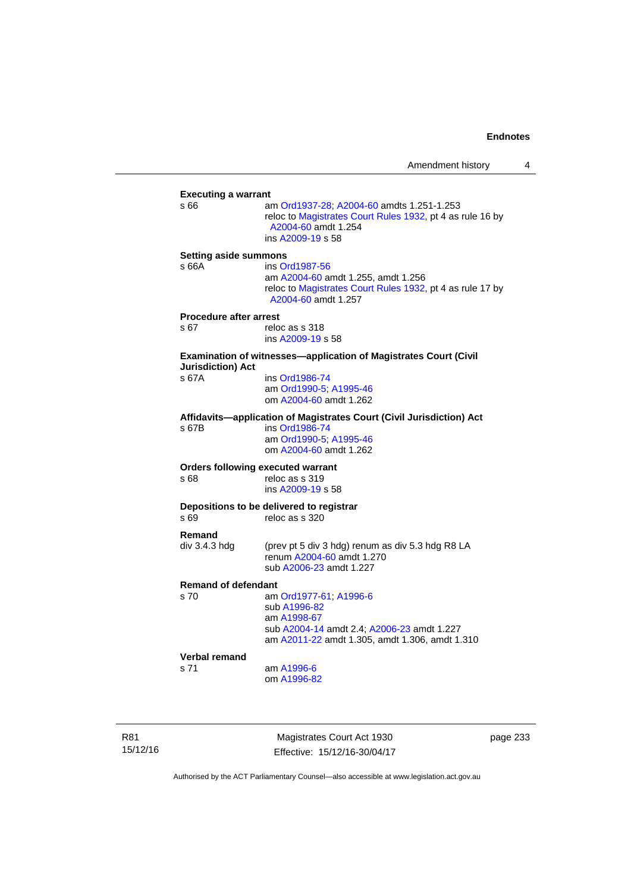| <b>Executing a warrant</b>               |                                                                                                                               |  |
|------------------------------------------|-------------------------------------------------------------------------------------------------------------------------------|--|
| s 66                                     | am Ord1937-28; A2004-60 amdts 1.251-1.253<br>reloc to Magistrates Court Rules 1932, pt 4 as rule 16 by<br>A2004-60 amdt 1.254 |  |
|                                          | ins A2009-19 s 58                                                                                                             |  |
|                                          |                                                                                                                               |  |
| <b>Setting aside summons</b>             |                                                                                                                               |  |
| s 66A                                    | ins Ord1987-56                                                                                                                |  |
|                                          | am A2004-60 amdt 1.255, amdt 1.256                                                                                            |  |
|                                          | reloc to Magistrates Court Rules 1932, pt 4 as rule 17 by                                                                     |  |
|                                          | A2004-60 amdt 1.257                                                                                                           |  |
| <b>Procedure after arrest</b>            |                                                                                                                               |  |
| s 67                                     | reloc as s 318                                                                                                                |  |
|                                          | ins A2009-19 s 58                                                                                                             |  |
|                                          |                                                                                                                               |  |
| <b>Jurisdiction) Act</b>                 | <b>Examination of witnesses-application of Magistrates Court (Civil</b>                                                       |  |
| s 67A                                    | ins Ord1986-74                                                                                                                |  |
|                                          | am Ord1990-5; A1995-46                                                                                                        |  |
|                                          | om A2004-60 amdt 1.262                                                                                                        |  |
|                                          |                                                                                                                               |  |
|                                          | Affidavits-application of Magistrates Court (Civil Jurisdiction) Act                                                          |  |
| s 67B                                    | ins Ord1986-74<br>am Ord1990-5; A1995-46                                                                                      |  |
|                                          | om A2004-60 amdt 1.262                                                                                                        |  |
|                                          |                                                                                                                               |  |
| <b>Orders following executed warrant</b> |                                                                                                                               |  |
| s 68                                     | reloc as s 319                                                                                                                |  |
|                                          | ins A2009-19 s 58                                                                                                             |  |
|                                          | Depositions to be delivered to registrar                                                                                      |  |
| s 69                                     | reloc as s 320                                                                                                                |  |
| Remand                                   |                                                                                                                               |  |
| div 3.4.3 hdg                            |                                                                                                                               |  |
|                                          | (prev pt 5 div 3 hdg) renum as div 5.3 hdg R8 LA<br>renum A2004-60 amdt 1.270                                                 |  |
|                                          |                                                                                                                               |  |
|                                          | sub A2006-23 amdt 1.227                                                                                                       |  |
| <b>Remand of defendant</b>               |                                                                                                                               |  |
| s 70                                     | am Ord1977-61; A1996-6                                                                                                        |  |
|                                          | sub A1996-82                                                                                                                  |  |
|                                          | am A1998-67                                                                                                                   |  |
|                                          | sub A2004-14 amdt 2.4; A2006-23 amdt 1.227                                                                                    |  |
|                                          | am A2011-22 amdt 1.305, amdt 1.306, amdt 1.310                                                                                |  |
| <b>Verbal remand</b>                     |                                                                                                                               |  |
| s 71                                     | am A1996-6                                                                                                                    |  |
|                                          | om A1996-82                                                                                                                   |  |
|                                          |                                                                                                                               |  |

R81 15/12/16

Magistrates Court Act 1930 Effective: 15/12/16-30/04/17 page 233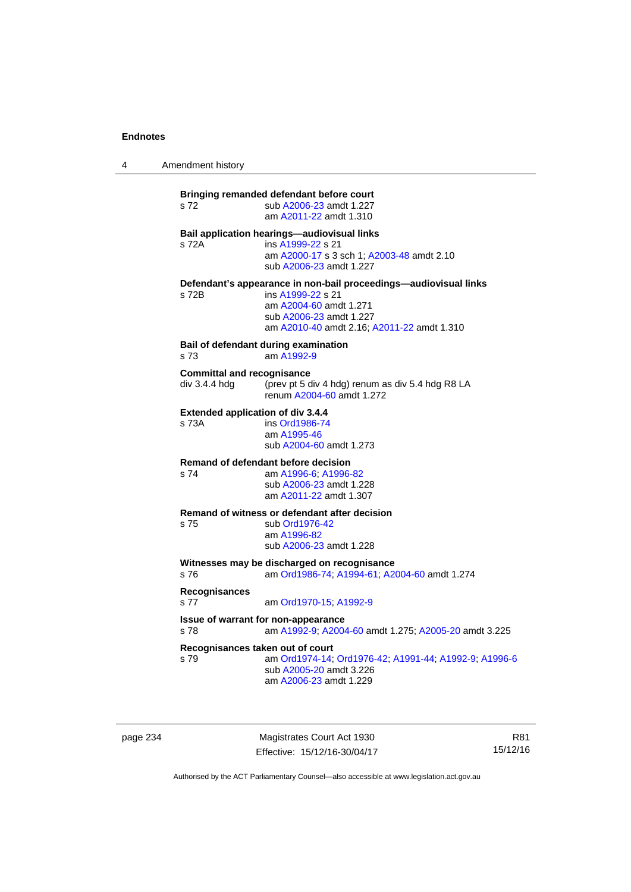4 Amendment history

**Bringing remanded defendant before court**  s 72 sub [A2006-23](http://www.legislation.act.gov.au/a/2006-23) amdt 1.227 am [A2011-22](http://www.legislation.act.gov.au/a/2011-22) amdt 1.310 **Bail application hearings—audiovisual links**  s 72A ins [A1999-22](http://www.legislation.act.gov.au/a/1999-22) s 21 am [A2000-17](http://www.legislation.act.gov.au/a/2000-17) s 3 sch 1; [A2003-48](http://www.legislation.act.gov.au/a/2003-48) amdt 2.10 sub [A2006-23](http://www.legislation.act.gov.au/a/2006-23) amdt 1.227 **Defendant's appearance in non-bail proceedings—audiovisual links**  s 72B ins [A1999-22](http://www.legislation.act.gov.au/a/1999-22) s 21 am [A2004-60](http://www.legislation.act.gov.au/a/2004-60) amdt 1.271 sub [A2006-23](http://www.legislation.act.gov.au/a/2006-23) amdt 1.227 am [A2010-40](http://www.legislation.act.gov.au/a/2010-40) amdt 2.16; [A2011-22](http://www.legislation.act.gov.au/a/2011-22) amdt 1.310 **Bail of defendant during examination**  s 73 am [A1992-9](http://www.legislation.act.gov.au/a/1992-9) **Committal and recognisance**  div 3.4.4 hdg (prev pt 5 div 4 hdg) renum as div 5.4 hdg R8 LA renum [A2004-60](http://www.legislation.act.gov.au/a/2004-60) amdt 1.272 **Extended application of div 3.4.4**  ins [Ord1986-74](http://www.legislation.act.gov.au/a/1986-74) am [A1995-46](http://www.legislation.act.gov.au/a/1995-46) sub [A2004-60](http://www.legislation.act.gov.au/a/2004-60) amdt 1.273 **Remand of defendant before decision**  s 74 am [A1996-6;](http://www.legislation.act.gov.au/a/1996-6) [A1996-82](http://www.legislation.act.gov.au/a/1996-82) sub [A2006-23](http://www.legislation.act.gov.au/a/2006-23) amdt 1.228 am [A2011-22](http://www.legislation.act.gov.au/a/2011-22) amdt 1.307 **Remand of witness or defendant after decision**  s 75 sub [Ord1976-42](http://www.legislation.act.gov.au/a/1976-42) am [A1996-82](http://www.legislation.act.gov.au/a/1996-82) sub [A2006-23](http://www.legislation.act.gov.au/a/2006-23) amdt 1.228 **Witnesses may be discharged on recognisance**<br>s 76 am Ord1986-74: A1994-61: A2 s 76 am [Ord1986-74](http://www.legislation.act.gov.au/a/1986-74); [A1994-61](http://www.legislation.act.gov.au/a/1994-61); [A2004-60](http://www.legislation.act.gov.au/a/2004-60) amdt 1.274 **Recognisances**  s 77 am [Ord1970-15](http://www.legislation.act.gov.au/a/1970-15); [A1992-9](http://www.legislation.act.gov.au/a/1992-9) **Issue of warrant for non-appearance**  s 78 am [A1992-9;](http://www.legislation.act.gov.au/a/1992-9) [A2004-60](http://www.legislation.act.gov.au/a/2004-60) amdt 1.275; [A2005-20](http://www.legislation.act.gov.au/a/2005-20) amdt 3.225 **Recognisances taken out of court**  s 79 am [Ord1974-14](http://www.legislation.act.gov.au/a/1974-14); [Ord1976-42](http://www.legislation.act.gov.au/a/1976-42); [A1991-44](http://www.legislation.act.gov.au/a/1991-44); [A1992-9](http://www.legislation.act.gov.au/a/1992-9); [A1996-6](http://www.legislation.act.gov.au/a/1996-6) sub [A2005-20](http://www.legislation.act.gov.au/a/2005-20) amdt 3.226 am [A2006-23](http://www.legislation.act.gov.au/a/2006-23) amdt 1.229

page 234 Magistrates Court Act 1930 Effective: 15/12/16-30/04/17

R81 15/12/16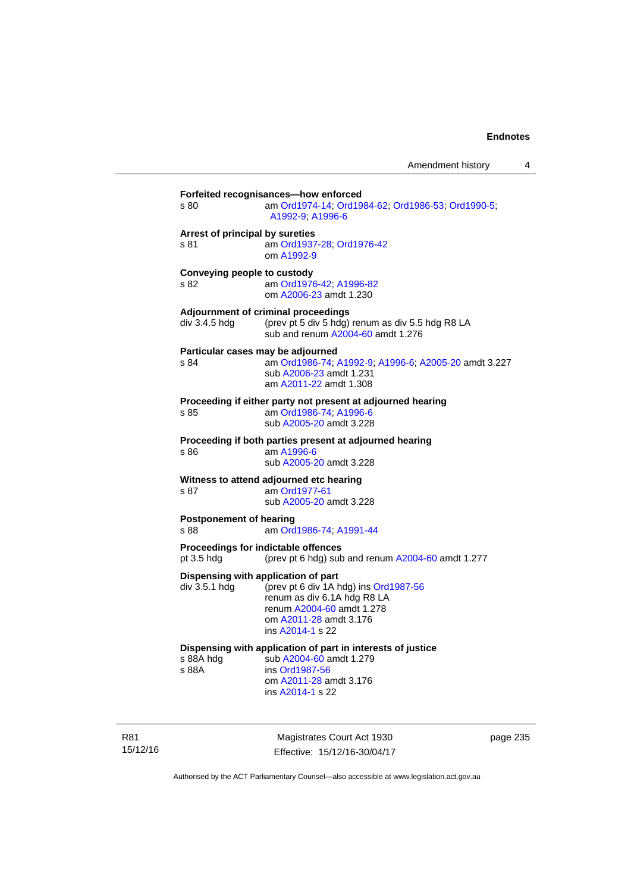| s 80                                    | am Ord1974-14; Ord1984-62; Ord1986-53; Ord1990-5;<br>A1992-9, A1996-6                                                                                                                  |
|-----------------------------------------|----------------------------------------------------------------------------------------------------------------------------------------------------------------------------------------|
| Arrest of principal by sureties<br>s.81 | am Ord1937-28; Ord1976-42<br>om A1992-9                                                                                                                                                |
| Conveying people to custody<br>s 82     | am Ord1976-42; A1996-82<br>om A2006-23 amdt 1.230                                                                                                                                      |
| div 3.4.5 hda                           | Adjournment of criminal proceedings<br>(prev pt 5 div 5 hdg) renum as div 5.5 hdg R8 LA<br>sub and renum A2004-60 amdt 1.276                                                           |
| s 84                                    | Particular cases may be adjourned<br>am Ord1986-74; A1992-9; A1996-6; A2005-20 amdt 3.227<br>sub A2006-23 amdt 1.231<br>am A2011-22 amdt 1.308                                         |
| s 85                                    | Proceeding if either party not present at adjourned hearing<br>am Ord1986-74; A1996-6<br>sub A2005-20 amdt 3.228                                                                       |
| s 86                                    | Proceeding if both parties present at adjourned hearing<br>am A1996-6<br>sub A2005-20 amdt 3.228                                                                                       |
| s 87                                    | Witness to attend adjourned etc hearing<br>am Ord1977-61<br>sub A2005-20 amdt 3.228                                                                                                    |
| <b>Postponement of hearing</b><br>s 88  | am Ord1986-74; A1991-44                                                                                                                                                                |
| pt 3.5 hdg                              | Proceedings for indictable offences<br>(prev pt 6 hdg) sub and renum A2004-60 amdt 1.277                                                                                               |
| div 3.5.1 hdg                           | Dispensing with application of part<br>(prev pt 6 div 1A hdg) ins Ord1987-56<br>renum as div 6.1A hdg R8 LA<br>renum A2004-60 amdt 1.278<br>om A2011-28 amdt 3.176<br>ins A2014-1 s 22 |
| s 88A hda<br>s 88A                      | Dispensing with application of part in interests of justice<br>sub A2004-60 amdt 1.279<br>ins Ord1987-56<br>om A2011-28 amdt 3.176<br>ins A2014-1 s 22                                 |

R81 15/12/16

Magistrates Court Act 1930 Effective: 15/12/16-30/04/17 page 235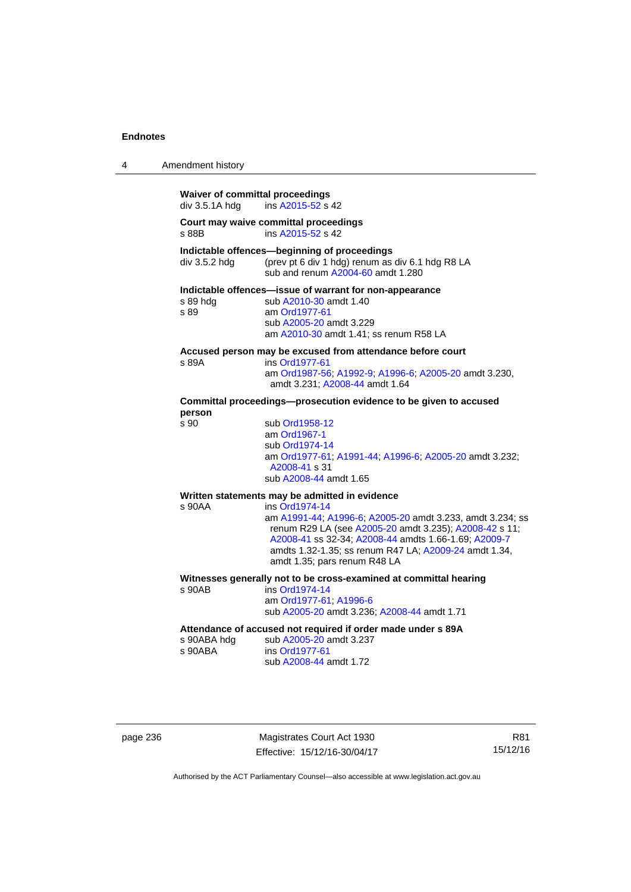| 4 | Amendment history                                        |                                                                                                                                                                                                                                                                                        |
|---|----------------------------------------------------------|----------------------------------------------------------------------------------------------------------------------------------------------------------------------------------------------------------------------------------------------------------------------------------------|
|   | <b>Waiver of committal proceedings</b><br>div 3.5.1A hdg | ins A2015-52 s 42                                                                                                                                                                                                                                                                      |
|   | s 88B                                                    | Court may waive committal proceedings<br>ins A2015-52 s 42                                                                                                                                                                                                                             |
|   | div 3.5.2 hdg                                            | Indictable offences-beginning of proceedings<br>(prev pt 6 div 1 hdg) renum as div 6.1 hdg R8 LA<br>sub and renum A2004-60 amdt 1.280                                                                                                                                                  |
|   | s 89 hda<br>s 89                                         | Indictable offences-issue of warrant for non-appearance<br>sub A2010-30 amdt 1.40<br>am Ord1977-61<br>sub A2005-20 amdt 3.229<br>am A2010-30 amdt 1.41; ss renum R58 LA                                                                                                                |
|   | s 89A                                                    | Accused person may be excused from attendance before court<br>ins Ord1977-61<br>am Ord1987-56; A1992-9; A1996-6; A2005-20 amdt 3.230,<br>amdt 3.231; A2008-44 amdt 1.64                                                                                                                |
|   | person                                                   | Committal proceedings--prosecution evidence to be given to accused                                                                                                                                                                                                                     |
|   | s 90                                                     | sub Ord1958-12<br>am Ord1967-1<br>sub Ord1974-14<br>am Ord1977-61, A1991-44, A1996-6; A2005-20 amdt 3.232;<br>A2008-41 s 31<br>sub A2008-44 amdt 1.65                                                                                                                                  |
|   |                                                          | Written statements may be admitted in evidence                                                                                                                                                                                                                                         |
|   | s 90AA                                                   | ins Ord1974-14<br>am A1991-44; A1996-6; A2005-20 amdt 3.233, amdt 3.234; ss<br>renum R29 LA (see A2005-20 amdt 3.235); A2008-42 s 11;<br>A2008-41 ss 32-34; A2008-44 amdts 1.66-1.69; A2009-7<br>amdts 1.32-1.35; ss renum R47 LA; A2009-24 amdt 1.34,<br>amdt 1.35; pars renum R48 LA |
|   | s 90AB                                                   | Witnesses generally not to be cross-examined at committal hearing<br>ins Ord1974-14<br>am Ord1977-61; A1996-6<br>sub A2005-20 amdt 3.236; A2008-44 amdt 1.71                                                                                                                           |
|   | s 90ABA hdg<br>s 90ABA                                   | Attendance of accused not required if order made under s 89A<br>sub A2005-20 amdt 3.237<br>ins Ord1977-61<br>sub A2008-44 amdt 1.72                                                                                                                                                    |

page 236 Magistrates Court Act 1930 Effective: 15/12/16-30/04/17

R81 15/12/16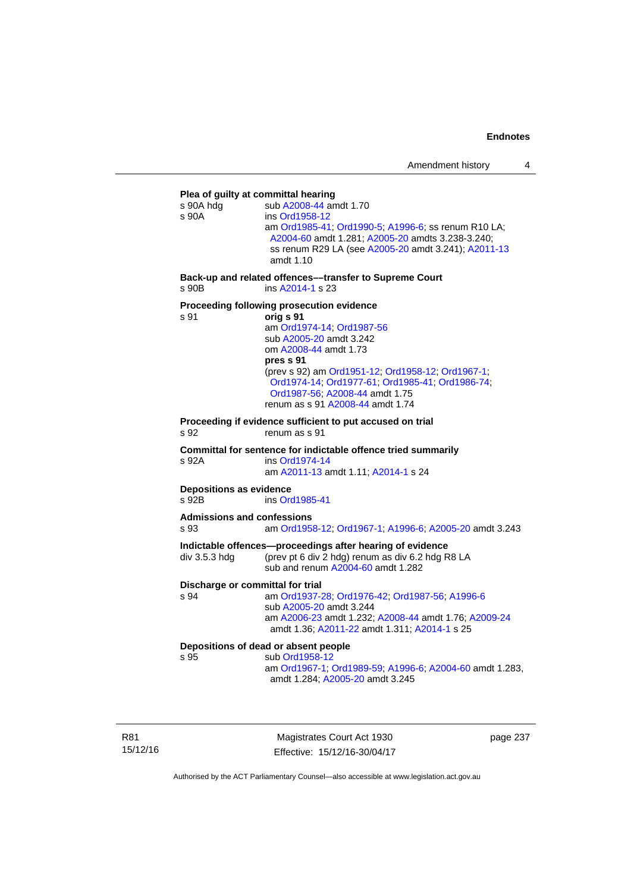# **Plea of guilty at committal hearing**  s 90A hdg sub [A2008-44](http://www.legislation.act.gov.au/a/2008-44) amdt 1.70 s 90A ins [Ord1958-12](http://www.legislation.act.gov.au/a/1958-12) am [Ord1985-41](http://www.legislation.act.gov.au/a/1985-41); [Ord1990-5](http://www.legislation.act.gov.au/a/alt_ord1990-5); [A1996-6](http://www.legislation.act.gov.au/a/1996-6); ss renum R10 LA; [A2004-60](http://www.legislation.act.gov.au/a/2004-60) amdt 1.281; [A2005-20](http://www.legislation.act.gov.au/a/2005-20) amdts 3.238-3.240; ss renum R29 LA (see [A2005-20](http://www.legislation.act.gov.au/a/2005-20) amdt 3.241); [A2011-13](http://www.legislation.act.gov.au/a/2011-13) amdt 1.10 **Back-up and related offences––transfer to Supreme Court**  s 90B ins [A2014-1](http://www.legislation.act.gov.au/a/2014-1) s 23 **Proceeding following prosecution evidence**  s 91 **orig s 91** am [Ord1974-14](http://www.legislation.act.gov.au/a/1974-14); [Ord1987-56](http://www.legislation.act.gov.au/a/1987-56) sub [A2005-20](http://www.legislation.act.gov.au/a/2005-20) amdt 3.242 om [A2008-44](http://www.legislation.act.gov.au/a/2008-44) amdt 1.73 **pres s 91** (prev s 92) am [Ord1951-12;](http://www.legislation.act.gov.au/a/1951-12) [Ord1958-12;](http://www.legislation.act.gov.au/a/1958-12) [Ord1967-1;](http://www.legislation.act.gov.au/a/1967-1) [Ord1974-14;](http://www.legislation.act.gov.au/a/1974-14) [Ord1977-61](http://www.legislation.act.gov.au/a/1977-61); [Ord1985-41](http://www.legislation.act.gov.au/a/1985-41); [Ord1986-74](http://www.legislation.act.gov.au/a/1986-74); [Ord1987-56;](http://www.legislation.act.gov.au/a/1987-56) [A2008-44](http://www.legislation.act.gov.au/a/2008-44) amdt 1.75 renum as s 91 [A2008-44](http://www.legislation.act.gov.au/a/2008-44) amdt 1.74 **Proceeding if evidence sufficient to put accused on trial**  s 92 renum as s 91 **Committal for sentence for indictable offence tried summarily**  s 92A ins [Ord1974-14](http://www.legislation.act.gov.au/a/1974-14) am [A2011-13](http://www.legislation.act.gov.au/a/2011-13) amdt 1.11; [A2014-1](http://www.legislation.act.gov.au/a/2014-1) s 24 **Depositions as evidence**  s 92B ins [Ord1985-41](http://www.legislation.act.gov.au/a/1985-41) **Admissions and confessions**  s 93 am [Ord1958-12](http://www.legislation.act.gov.au/a/1958-12); [Ord1967-1](http://www.legislation.act.gov.au/a/1967-1); [A1996-6](http://www.legislation.act.gov.au/a/1996-6); [A2005-20](http://www.legislation.act.gov.au/a/2005-20) amdt 3.243 **Indictable offences—proceedings after hearing of evidence**  div 3.5.3 hdg (prev pt 6 div 2 hdg) renum as div 6.2 hdg R8 LA sub and renum [A2004-60](http://www.legislation.act.gov.au/a/2004-60) amdt 1.282 **Discharge or committal for trial**  s 94 am [Ord1937-28](http://www.legislation.act.gov.au/a/1937-28); [Ord1976-42](http://www.legislation.act.gov.au/a/1976-42); [Ord1987-56](http://www.legislation.act.gov.au/a/1987-56); [A1996-6](http://www.legislation.act.gov.au/a/1996-6) sub [A2005-20](http://www.legislation.act.gov.au/a/2005-20) amdt 3.244 am [A2006-23](http://www.legislation.act.gov.au/a/2006-23) amdt 1.232; [A2008-44](http://www.legislation.act.gov.au/a/2008-44) amdt 1.76; [A2009-24](http://www.legislation.act.gov.au/a/2009-24) amdt 1.36; [A2011-22](http://www.legislation.act.gov.au/a/2011-22) amdt 1.311; [A2014-1](http://www.legislation.act.gov.au/a/2014-1) s 25 **Depositions of dead or absent people**  sub [Ord1958-12](http://www.legislation.act.gov.au/a/1958-12) am [Ord1967-1;](http://www.legislation.act.gov.au/a/1967-1) [Ord1989-59](http://www.legislation.act.gov.au/a/1989-59); [A1996-6](http://www.legislation.act.gov.au/a/1996-6); [A2004-60](http://www.legislation.act.gov.au/a/2004-60) amdt 1.283, amdt 1.284; [A2005-20](http://www.legislation.act.gov.au/a/2005-20) amdt 3.245

R81 15/12/16

Magistrates Court Act 1930 Effective: 15/12/16-30/04/17 page 237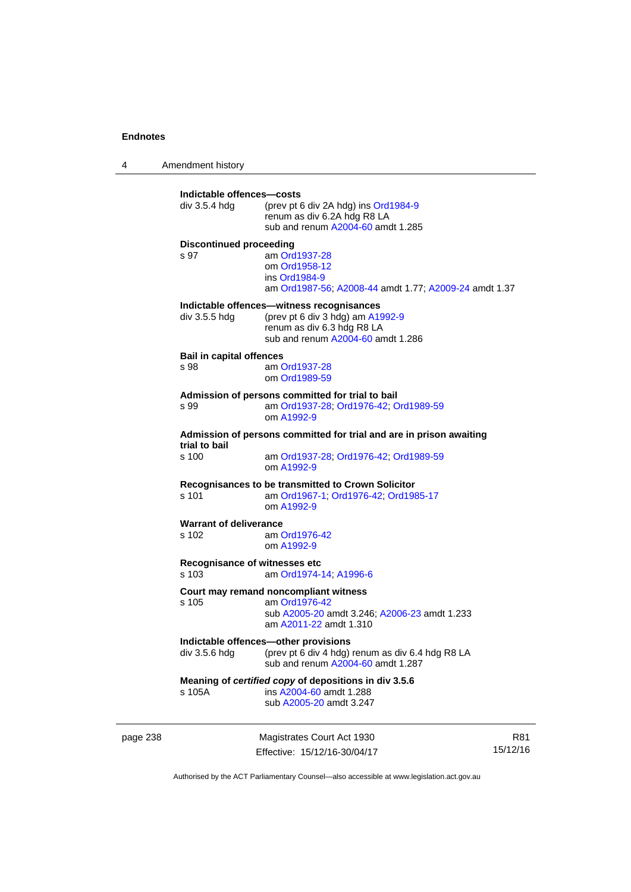4 Amendment history page 238 Magistrates Court Act 1930 **Indictable offences—costs**  div 3.5.4 hdg (prev pt 6 div 2A hdg) ins [Ord1984-9](http://www.legislation.act.gov.au/a/1984-9) renum as div 6.2A hdg R8 LA sub and renum [A2004-60](http://www.legislation.act.gov.au/a/2004-60) amdt 1.285 **Discontinued proceeding**  s 97 am [Ord1937-28](http://www.legislation.act.gov.au/a/1937-28) om [Ord1958-12](http://www.legislation.act.gov.au/a/1958-12) ins [Ord1984-9](http://www.legislation.act.gov.au/a/1984-9) am [Ord1987-56](http://www.legislation.act.gov.au/a/1987-56); [A2008-44](http://www.legislation.act.gov.au/a/2008-44) amdt 1.77; [A2009-24](http://www.legislation.act.gov.au/a/2009-24) amdt 1.37 **Indictable offences—witness recognisances**  div 3.5.5 hdg (prev pt 6 div 3 hdg) am [A1992-9](http://www.legislation.act.gov.au/a/1992-9) renum as div 6.3 hdg R8 LA sub and renum [A2004-60](http://www.legislation.act.gov.au/a/2004-60) amdt 1.286 **Bail in capital offences**  s 98 am [Ord1937-28](http://www.legislation.act.gov.au/a/1937-28) om [Ord1989-59](http://www.legislation.act.gov.au/a/1989-59) **Admission of persons committed for trial to bail**  s 99 am [Ord1937-28](http://www.legislation.act.gov.au/a/1937-28); [Ord1976-42](http://www.legislation.act.gov.au/a/1976-42); [Ord1989-59](http://www.legislation.act.gov.au/a/1989-59) om [A1992-9](http://www.legislation.act.gov.au/a/1992-9) **Admission of persons committed for trial and are in prison awaiting trial to bail**  am [Ord1937-28](http://www.legislation.act.gov.au/a/1937-28); [Ord1976-42;](http://www.legislation.act.gov.au/a/1976-42) [Ord1989-59](http://www.legislation.act.gov.au/a/1989-59) om [A1992-9](http://www.legislation.act.gov.au/a/1992-9) **Recognisances to be transmitted to Crown Solicitor**  s 101 am [Ord1967-1;](http://www.legislation.act.gov.au/a/1967-1) [Ord1976-42](http://www.legislation.act.gov.au/a/1976-42); [Ord1985-17](http://www.legislation.act.gov.au/a/1985-17) om [A1992-9](http://www.legislation.act.gov.au/a/1992-9) **Warrant of deliverance**  s 102 am [Ord1976-42](http://www.legislation.act.gov.au/a/1976-42) om [A1992-9](http://www.legislation.act.gov.au/a/1992-9) **Recognisance of witnesses etc**  am [Ord1974-14](http://www.legislation.act.gov.au/a/1974-14); [A1996-6](http://www.legislation.act.gov.au/a/1996-6) **Court may remand noncompliant witness**  s 105 am [Ord1976-42](http://www.legislation.act.gov.au/a/1976-42) sub [A2005-20](http://www.legislation.act.gov.au/a/2005-20) amdt 3.246; [A2006-23](http://www.legislation.act.gov.au/a/2006-23) amdt 1.233 am [A2011-22](http://www.legislation.act.gov.au/a/2011-22) amdt 1.310 **Indictable offences—other provisions**  div 3.5.6 hdg (prev pt 6 div 4 hdg) renum as div 6.4 hdg R8 LA sub and renum [A2004-60](http://www.legislation.act.gov.au/a/2004-60) amdt 1.287 **Meaning of** *certified copy* **of depositions in div 3.5.6**  s 105A ins [A2004-60](http://www.legislation.act.gov.au/a/2004-60) amdt 1.288 sub [A2005-20](http://www.legislation.act.gov.au/a/2005-20) amdt 3.247

Effective: 15/12/16-30/04/17 15/12/16

R81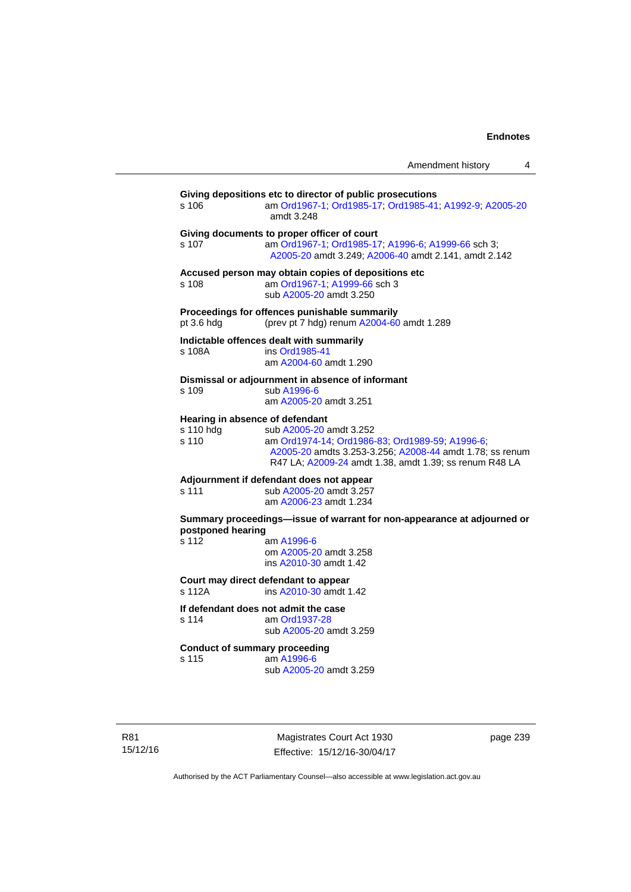| Amendment history |  |
|-------------------|--|
|                   |  |

| s 106              | Giving depositions etc to director of public prosecutions<br>am Ord1967-1; Ord1985-17; Ord1985-41; A1992-9; A2005-20<br>amdt 3.248                                                                                                  |
|--------------------|-------------------------------------------------------------------------------------------------------------------------------------------------------------------------------------------------------------------------------------|
| s 107              | Giving documents to proper officer of court<br>am Ord1967-1; Ord1985-17; A1996-6; A1999-66 sch 3;<br>A2005-20 amdt 3.249; A2006-40 amdt 2.141, amdt 2.142                                                                           |
| s 108              | Accused person may obtain copies of depositions etc<br>am Ord1967-1; A1999-66 sch 3<br>sub A2005-20 amdt 3.250                                                                                                                      |
| pt 3.6 hdg         | Proceedings for offences punishable summarily<br>(prev pt 7 hdg) renum A2004-60 amdt 1.289                                                                                                                                          |
| s 108A             | Indictable offences dealt with summarily<br>ins Ord1985-41<br>am A2004-60 amdt 1.290                                                                                                                                                |
| s 109              | Dismissal or adjournment in absence of informant<br>sub A1996-6<br>am A2005-20 amdt 3.251                                                                                                                                           |
| s 110 hdg<br>s 110 | Hearing in absence of defendant<br>sub A2005-20 amdt 3.252<br>am Ord1974-14; Ord1986-83; Ord1989-59; A1996-6;<br>A2005-20 amdts 3.253-3.256; A2008-44 amdt 1.78; ss renum<br>R47 LA; A2009-24 amdt 1.38, amdt 1.39; ss renum R48 LA |
| s 111              | Adjournment if defendant does not appear<br>sub A2005-20 amdt 3.257<br>am A2006-23 amdt 1.234                                                                                                                                       |
| postponed hearing  | Summary proceedings-issue of warrant for non-appearance at adjourned or                                                                                                                                                             |
| s 112              | am A1996-6<br>om A2005-20 amdt 3.258<br>ins A2010-30 amdt 1.42                                                                                                                                                                      |
| s 112A             | Court may direct defendant to appear<br>ins A2010-30 amdt 1.42                                                                                                                                                                      |
| s 114              | If defendant does not admit the case<br>am Ord1937-28<br>sub A2005-20 amdt 3.259                                                                                                                                                    |
| s 115              | <b>Conduct of summary proceeding</b><br>am A1996-6<br>sub A2005-20 amdt 3.259                                                                                                                                                       |

R81 15/12/16

Magistrates Court Act 1930 Effective: 15/12/16-30/04/17 page 239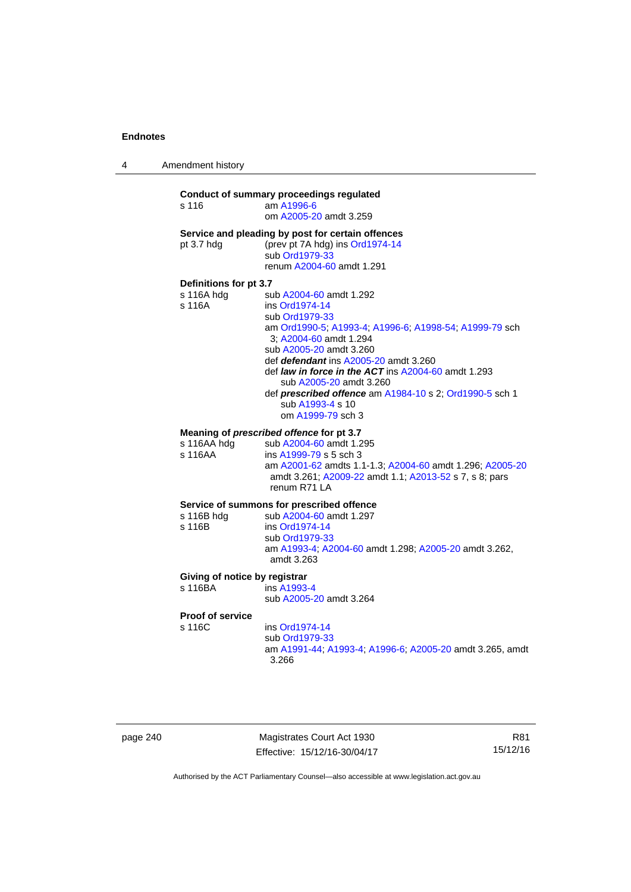4 Amendment history

### **Conduct of summary proceedings regulated**  s 116 am [A1996-6](http://www.legislation.act.gov.au/a/1996-6) om [A2005-20](http://www.legislation.act.gov.au/a/2005-20) amdt 3.259 **Service and pleading by post for certain offences**  pt 3.7 hdg (prev pt 7A hdg) ins [Ord1974-14](http://www.legislation.act.gov.au/a/1974-14) sub [Ord1979-33](http://www.legislation.act.gov.au/a/1979-33) renum [A2004-60](http://www.legislation.act.gov.au/a/2004-60) amdt 1.291 **Definitions for pt 3.7**  sub [A2004-60](http://www.legislation.act.gov.au/a/2004-60) amdt 1.292 s 116A ins [Ord1974-14](http://www.legislation.act.gov.au/a/1974-14) sub [Ord1979-33](http://www.legislation.act.gov.au/a/1979-33) am [Ord1990-5;](http://www.legislation.act.gov.au/a/alt_ord1990-5) [A1993-4](http://www.legislation.act.gov.au/a/1993-4); [A1996-6](http://www.legislation.act.gov.au/a/1996-6); [A1998-54](http://www.legislation.act.gov.au/a/1998-54); [A1999-79](http://www.legislation.act.gov.au/a/1999-79) sch 3; [A2004-60](http://www.legislation.act.gov.au/a/2004-60) amdt 1.294 sub [A2005-20](http://www.legislation.act.gov.au/a/2005-20) amdt 3.260 def *defendant* ins [A2005-20](http://www.legislation.act.gov.au/a/2005-20) amdt 3.260 def *law in force in the ACT* ins [A2004-60](http://www.legislation.act.gov.au/a/2004-60) amdt 1.293 sub [A2005-20](http://www.legislation.act.gov.au/a/2005-20) amdt 3.260 def *prescribed offence* am [A1984-10](http://www.legislation.act.gov.au/a/1984-10) s 2; [Ord1990-5](http://www.legislation.act.gov.au/a/alt_ord1990-5) sch 1 sub [A1993-4](http://www.legislation.act.gov.au/a/1993-4) s 10 om [A1999-79](http://www.legislation.act.gov.au/a/1999-79) sch 3 **Meaning of** *prescribed offence* **for pt 3.7**  s 116AA hdg sub [A2004-60](http://www.legislation.act.gov.au/a/2004-60) amdt 1.295 s 116AA ins [A1999-79](http://www.legislation.act.gov.au/a/1999-79) s 5 sch 3 am [A2001-62](http://www.legislation.act.gov.au/a/2001-62) amdts 1.1-1.3; [A2004-60](http://www.legislation.act.gov.au/a/2004-60) amdt 1.296; [A2005-20](http://www.legislation.act.gov.au/a/2005-20) amdt 3.261; [A2009-22](http://www.legislation.act.gov.au/a/2009-22) amdt 1.1; [A2013-52](http://www.legislation.act.gov.au/a/2013-52) s 7, s 8; pars renum R71 LA **Service of summons for prescribed offence**  s 116B hdg sub [A2004-60](http://www.legislation.act.gov.au/a/2004-60) amdt 1.297<br>s 116B ins Ord1974-14 ins [Ord1974-14](http://www.legislation.act.gov.au/a/1974-14) sub [Ord1979-33](http://www.legislation.act.gov.au/a/1979-33) am [A1993-4;](http://www.legislation.act.gov.au/a/1993-4) [A2004-60](http://www.legislation.act.gov.au/a/2004-60) amdt 1.298; [A2005-20](http://www.legislation.act.gov.au/a/2005-20) amdt 3.262, amdt 3.263 **Giving of notice by registrar**  s 116BA ins [A1993-4](http://www.legislation.act.gov.au/a/1993-4) sub [A2005-20](http://www.legislation.act.gov.au/a/2005-20) amdt 3.264

**Proof of service** 

s 116C ins [Ord1974-14](http://www.legislation.act.gov.au/a/1974-14)

 sub [Ord1979-33](http://www.legislation.act.gov.au/a/1979-33) am [A1991-44](http://www.legislation.act.gov.au/a/1991-44); [A1993-4](http://www.legislation.act.gov.au/a/1993-4); [A1996-6](http://www.legislation.act.gov.au/a/1996-6); [A2005-20](http://www.legislation.act.gov.au/a/2005-20) amdt 3.265, amdt 3.266

| page 240 |  |
|----------|--|
|----------|--|

page 240 Magistrates Court Act 1930 Effective: 15/12/16-30/04/17

R81 15/12/16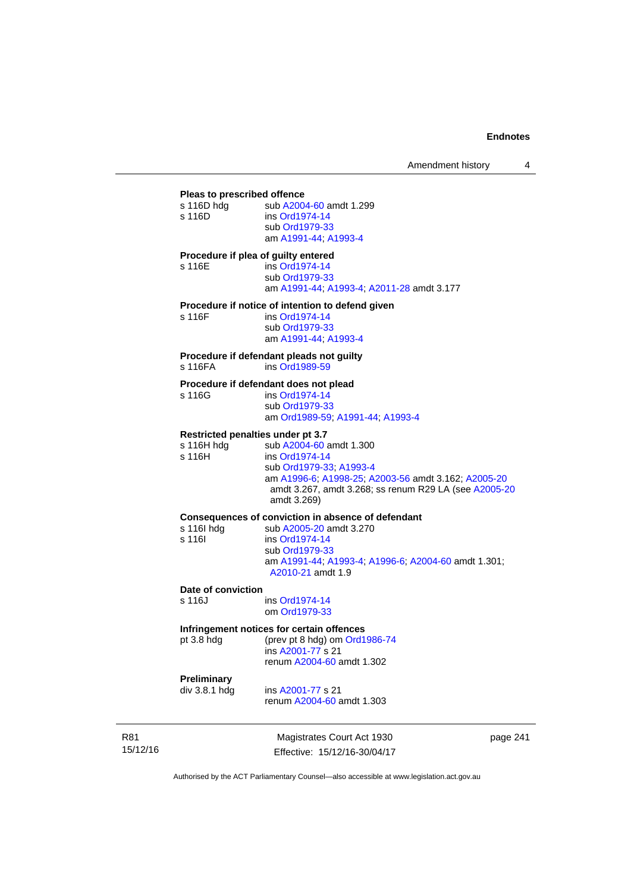| Pleas to prescribed offence       |                                                                               |
|-----------------------------------|-------------------------------------------------------------------------------|
| s 116D hdg<br>s 116D              | sub A2004-60 amdt 1.299<br>ins Ord1974-14                                     |
|                                   | sub Ord1979-33<br>am A1991-44; A1993-4                                        |
|                                   | Procedure if plea of guilty entered                                           |
| s 116E                            | ins Ord1974-14<br>sub Ord1979-33<br>am A1991-44, A1993-4, A2011-28 amdt 3.177 |
|                                   | Procedure if notice of intention to defend given                              |
| s 116F                            | ins Ord1974-14                                                                |
|                                   | sub Ord1979-33<br>am A1991-44, A1993-4                                        |
| s 116FA                           | Procedure if defendant pleads not guilty<br>ins Ord1989-59                    |
|                                   | Procedure if defendant does not plead                                         |
| s 116G                            | ins Ord1974-14<br>sub Ord1979-33                                              |
|                                   | am Ord1989-59; A1991-44; A1993-4                                              |
| Restricted penalties under pt 3.7 |                                                                               |
| s 116H hdg                        | sub A2004-60 amdt 1.300                                                       |
| s 116H                            | ins Ord1974-14<br>sub Ord1979-33, A1993-4                                     |
|                                   | am A1996-6, A1998-25; A2003-56 amdt 3.162; A2005-20                           |
|                                   | amdt 3.267, amdt 3.268; ss renum R29 LA (see A2005-20<br>amdt 3.269)          |
|                                   | Consequences of conviction in absence of defendant                            |
| s 116l hdg                        | sub A2005-20 amdt 3.270                                                       |
| s 116l                            | ins Ord1974-14<br>sub Ord1979-33                                              |
|                                   | am A1991-44; A1993-4; A1996-6; A2004-60 amdt 1.301;                           |
|                                   | A2010-21 amdt 1.9                                                             |
| Date of conviction                |                                                                               |
| s 116J                            | ins Ord1974-14<br>om Ord1979-33                                               |
|                                   | Infringement notices for certain offences                                     |
| pt 3.8 hdg                        | (prev pt 8 hdg) om Ord1986-74                                                 |

 ins [A2001-77](http://www.legislation.act.gov.au/a/2001-77) s 21 renum [A2004-60](http://www.legislation.act.gov.au/a/2004-60) amdt 1.302

**Preliminary** 

ins [A2001-77](http://www.legislation.act.gov.au/a/2001-77) s 21 renum [A2004-60](http://www.legislation.act.gov.au/a/2004-60) amdt 1.303

R81 15/12/16

Magistrates Court Act 1930 Effective: 15/12/16-30/04/17 page 241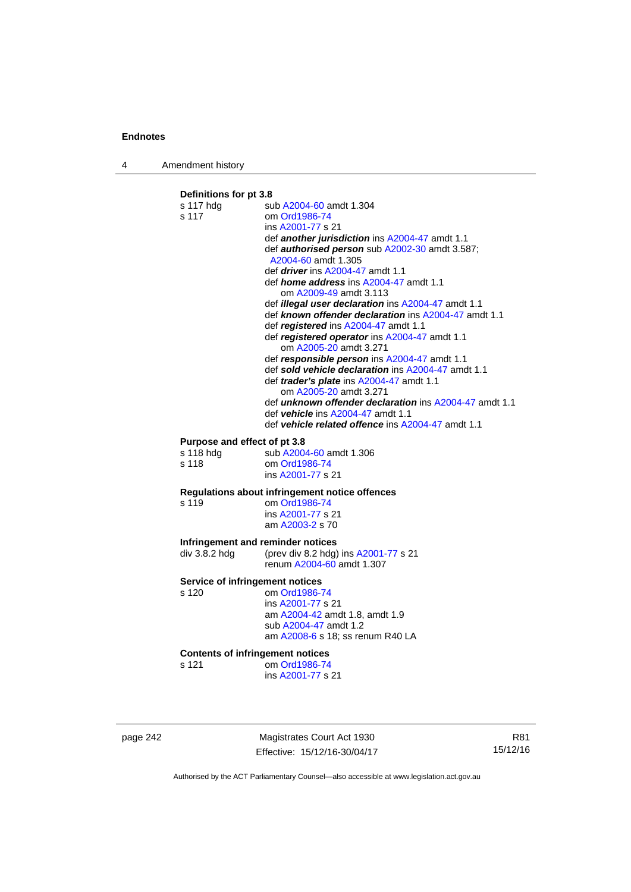4 Amendment history

### **Definitions for pt 3.8**  s 117 hdg sub [A2004-60](http://www.legislation.act.gov.au/a/2004-60) amdt 1.304 s 117 om [Ord1986-74](http://www.legislation.act.gov.au/a/1986-74) ins [A2001-77](http://www.legislation.act.gov.au/a/2001-77) s 21 def *another jurisdiction* ins [A2004-47](http://www.legislation.act.gov.au/a/2004-47) amdt 1.1 def *authorised person* sub [A2002-30](http://www.legislation.act.gov.au/a/2002-30) amdt 3.587; [A2004-60](http://www.legislation.act.gov.au/a/2004-60) amdt 1.305 def *driver* ins [A2004-47](http://www.legislation.act.gov.au/a/2004-47) amdt 1.1 def *home address* ins [A2004-47](http://www.legislation.act.gov.au/a/2004-47) amdt 1.1 om [A2009-49](http://www.legislation.act.gov.au/a/2009-49) amdt 3.113 def *illegal user declaration* ins [A2004-47](http://www.legislation.act.gov.au/a/2004-47) amdt 1.1 def *known offender declaration* ins [A2004-47](http://www.legislation.act.gov.au/a/2004-47) amdt 1.1 def *registered* ins [A2004-47](http://www.legislation.act.gov.au/a/2004-47) amdt 1.1 def *registered operator* ins [A2004-47](http://www.legislation.act.gov.au/a/2004-47) amdt 1.1 om [A2005-20](http://www.legislation.act.gov.au/a/2005-20) amdt 3.271 def *responsible person* ins [A2004-47](http://www.legislation.act.gov.au/a/2004-47) amdt 1.1 def *sold vehicle declaration* ins [A2004-47](http://www.legislation.act.gov.au/a/2004-47) amdt 1.1 def *trader's plate* ins [A2004-47](http://www.legislation.act.gov.au/a/2004-47) amdt 1.1 om [A2005-20](http://www.legislation.act.gov.au/a/2005-20) amdt 3.271 def *unknown offender declaration* ins [A2004-47](http://www.legislation.act.gov.au/a/2004-47) amdt 1.1 def *vehicle* ins [A2004-47](http://www.legislation.act.gov.au/a/2004-47) amdt 1.1 def *vehicle related offence* ins [A2004-47](http://www.legislation.act.gov.au/a/2004-47) amdt 1.1 **Purpose and effect of pt 3.8**<br>s 118 hdg sub A2004 sub [A2004-60](http://www.legislation.act.gov.au/a/2004-60) amdt 1.306 s 118 om [Ord1986-74](http://www.legislation.act.gov.au/a/1986-74) ins [A2001-77](http://www.legislation.act.gov.au/a/2001-77) s 21 **Regulations about infringement notice offences**  om [Ord1986-74](http://www.legislation.act.gov.au/a/1986-74) ins [A2001-77](http://www.legislation.act.gov.au/a/2001-77) s 21 am [A2003-2](http://www.legislation.act.gov.au/a/2003-2) s 70 **Infringement and reminder notices**<br>div 3.8.2 hdg (prev div 8.2 hdg) (prev div 8.2 hdg) ins  $A2001-77$  s 21 renum [A2004-60](http://www.legislation.act.gov.au/a/2004-60) amdt 1.307 **Service of infringement notices**  s 120 om [Ord1986-74](http://www.legislation.act.gov.au/a/1986-74) ins [A2001-77](http://www.legislation.act.gov.au/a/2001-77) s 21 am [A2004-42](http://www.legislation.act.gov.au/a/2004-42) amdt 1.8, amdt 1.9 sub [A2004-47](http://www.legislation.act.gov.au/a/2004-47) amdt 1.2 am [A2008-6](http://www.legislation.act.gov.au/a/2008-6) s 18; ss renum R40 LA **Contents of infringement notices**  s 121 om [Ord1986-74](http://www.legislation.act.gov.au/a/1986-74) ins [A2001-77](http://www.legislation.act.gov.au/a/2001-77) s 21

page 242 Magistrates Court Act 1930 Effective: 15/12/16-30/04/17

R81 15/12/16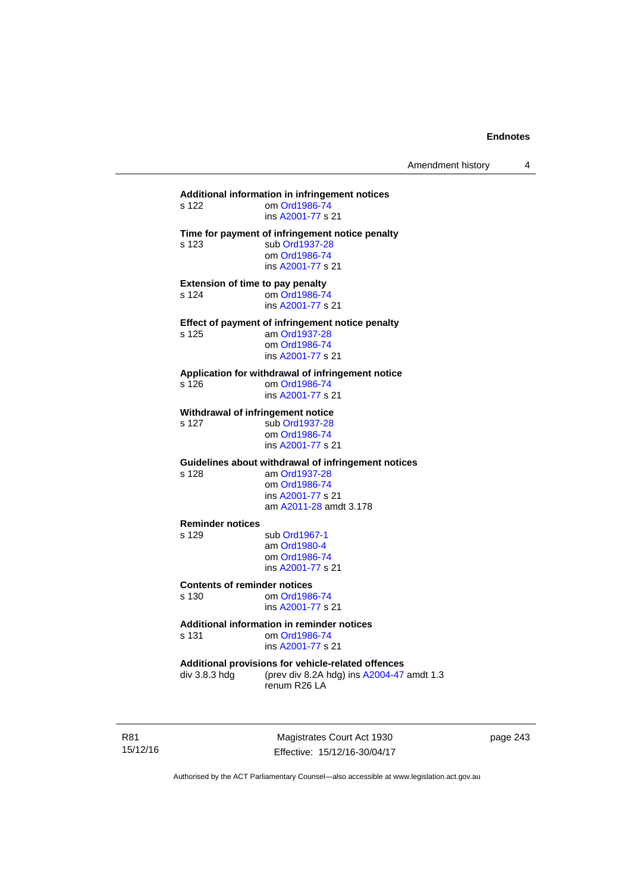| s 122                                            | Additional information in infringement notices<br>om Ord1986-74<br>ins A2001-77 s 21                                                 |
|--------------------------------------------------|--------------------------------------------------------------------------------------------------------------------------------------|
| s 123                                            | Time for payment of infringement notice penalty<br>sub Ord1937-28<br>om Ord1986-74<br>ins A2001-77 s 21                              |
| <b>Extension of time to pay penalty</b><br>s 124 | om Ord1986-74<br>ins A2001-77 s 21                                                                                                   |
| s 125                                            | Effect of payment of infringement notice penalty<br>am Ord1937-28<br>om Ord1986-74<br>ins A2001-77 s 21                              |
| s 126                                            | Application for withdrawal of infringement notice<br>om Ord1986-74<br>ins A2001-77 s 21                                              |
| s 127                                            | Withdrawal of infringement notice<br>sub Ord1937-28<br>om Ord1986-74<br>ins A2001-77 s 21                                            |
| s 128                                            | Guidelines about withdrawal of infringement notices<br>am Ord1937-28<br>om Ord1986-74<br>ins A2001-77 s 21<br>am A2011-28 amdt 3.178 |
| <b>Reminder notices</b><br>s 129                 | sub Ord1967-1<br>am Ord1980-4<br>om Ord1986-74<br>ins A2001-77 s 21                                                                  |
| <b>Contents of reminder notices</b><br>s 130     | om Ord1986-74<br>ins A2001-77 s 21                                                                                                   |
| s 131                                            | <b>Additional information in reminder notices</b><br>om Ord1986-74<br>ins A2001-77 s 21                                              |
| div 3.8.3 hdg                                    | Additional provisions for vehicle-related offences<br>(prev div 8.2A hdg) ins A2004-47 amdt 1.3<br>renum R26 LA                      |

R81 15/12/16

Magistrates Court Act 1930 Effective: 15/12/16-30/04/17 page 243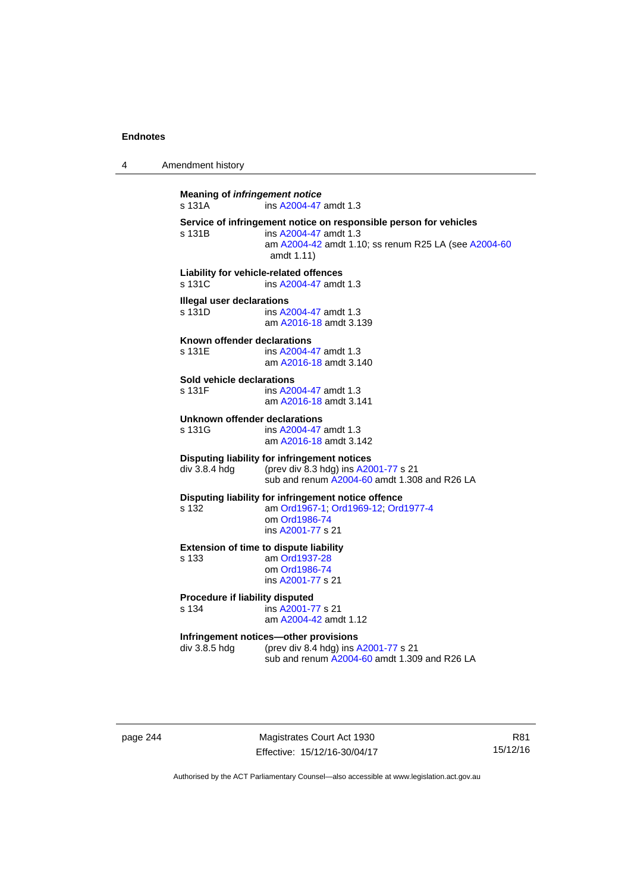4 Amendment history

**Meaning of** *infringement notice* s 131A ins [A2004-47](http://www.legislation.act.gov.au/a/2004-47) amdt 1.3 **Service of infringement notice on responsible person for vehicles**  ins [A2004-47](http://www.legislation.act.gov.au/a/2004-47) amdt 1.3 am [A2004-42](http://www.legislation.act.gov.au/a/2004-42) amdt 1.10; ss renum R25 LA (see [A2004-60](http://www.legislation.act.gov.au/a/2004-60) amdt 1.11) **Liability for vehicle-related offences**  s 131C ins [A2004-47](http://www.legislation.act.gov.au/a/2004-47) amdt 1.3 **Illegal user declarations**  s 131D ins [A2004-47](http://www.legislation.act.gov.au/a/2004-47) amdt 1.3 am [A2016-18](http://www.legislation.act.gov.au/a/2016-18/default.asp) amdt 3.139 **Known offender declarations**  s 131E ins [A2004-47](http://www.legislation.act.gov.au/a/2004-47) amdt 1.3 am [A2016-18](http://www.legislation.act.gov.au/a/2016-18/default.asp) amdt 3.140 **Sold vehicle declarations**  ins [A2004-47](http://www.legislation.act.gov.au/a/2004-47) amdt 1.3 am [A2016-18](http://www.legislation.act.gov.au/a/2016-18/default.asp) amdt 3.141 **Unknown offender declarations**  s 131G ins [A2004-47](http://www.legislation.act.gov.au/a/2004-47) amdt 1.3 am [A2016-18](http://www.legislation.act.gov.au/a/2016-18/default.asp) amdt 3.142 **Disputing liability for infringement notices**  div 3.8.4 hdg (prev div 8.3 hdg) ins [A2001-77](http://www.legislation.act.gov.au/a/2001-77) s 21 sub and renum [A2004-60](http://www.legislation.act.gov.au/a/2004-60) amdt 1.308 and R26 LA **Disputing liability for infringement notice offence**  s 132 am [Ord1967-1;](http://www.legislation.act.gov.au/a/1967-1) [Ord1969-12](http://www.legislation.act.gov.au/a/1969-12); [Ord1977-4](http://www.legislation.act.gov.au/a/1977-4) om [Ord1986-74](http://www.legislation.act.gov.au/a/1986-74) ins [A2001-77](http://www.legislation.act.gov.au/a/2001-77) s 21 **Extension of time to dispute liability**  s 133 am [Ord1937-28](http://www.legislation.act.gov.au/a/1937-28) om [Ord1986-74](http://www.legislation.act.gov.au/a/1986-74) ins [A2001-77](http://www.legislation.act.gov.au/a/2001-77) s 21 **Procedure if liability disputed**  s 134 ins [A2001-77](http://www.legislation.act.gov.au/a/2001-77) s 21 am [A2004-42](http://www.legislation.act.gov.au/a/2004-42) amdt 1.12 **Infringement notices—other provisions**  div 3.8.5 hdg (prev div 8.4 hdg) ins [A2001-77](http://www.legislation.act.gov.au/a/2001-77) s 21 sub and renum [A2004-60](http://www.legislation.act.gov.au/a/2004-60) amdt 1.309 and R26 LA

page 244 Magistrates Court Act 1930 Effective: 15/12/16-30/04/17

R81 15/12/16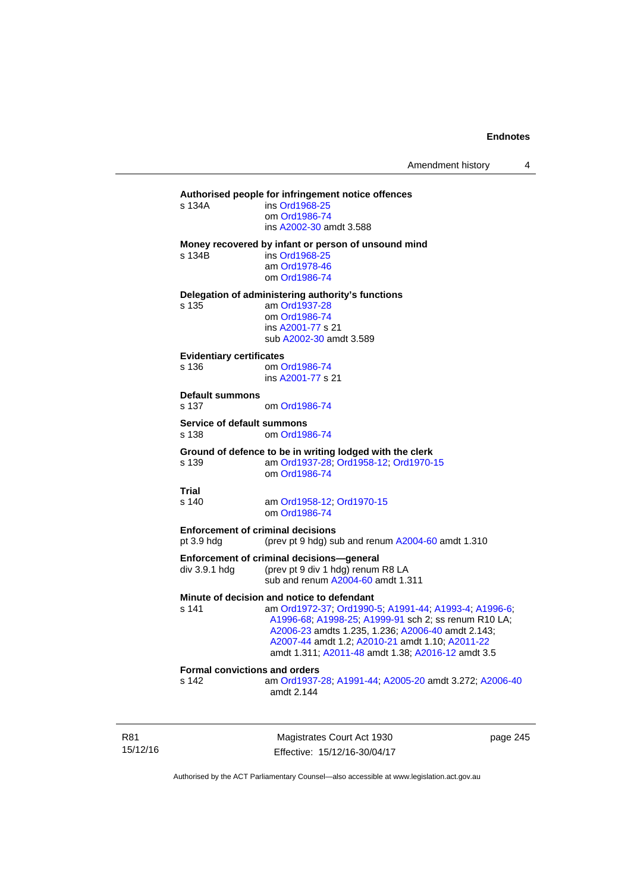#### **Authorised people for infringement notice offences**

| s 134A | ins Ord1968-25          |
|--------|-------------------------|
|        | om Ord1986-74           |
|        | ins A2002-30 amdt 3.588 |
|        |                         |

#### **Money recovered by infant or person of unsound mind**

s 134B ins [Ord1968-25](http://www.legislation.act.gov.au/a/1968-25)

 am [Ord1978-46](http://www.legislation.act.gov.au/a/1978-46) om [Ord1986-74](http://www.legislation.act.gov.au/a/1986-74)

**Delegation of administering authority's functions** 

s 135 am [Ord1937-28](http://www.legislation.act.gov.au/a/1937-28) om [Ord1986-74](http://www.legislation.act.gov.au/a/1986-74) ins [A2001-77](http://www.legislation.act.gov.au/a/2001-77) s 21 sub [A2002-30](http://www.legislation.act.gov.au/a/2002-30) amdt 3.589

#### **Evidentiary certificates**

s 136 om [Ord1986-74](http://www.legislation.act.gov.au/a/1986-74) ins [A2001-77](http://www.legislation.act.gov.au/a/2001-77) s 21

#### **Default summons**

s 137 om [Ord1986-74](http://www.legislation.act.gov.au/a/1986-74)

#### **Service of default summons**

s 138 om [Ord1986-74](http://www.legislation.act.gov.au/a/1986-74)

#### **Ground of defence to be in writing lodged with the clerk**

s 139 am [Ord1937-28](http://www.legislation.act.gov.au/a/1937-28); [Ord1958-12;](http://www.legislation.act.gov.au/a/1958-12) [Ord1970-15](http://www.legislation.act.gov.au/a/1970-15) om [Ord1986-74](http://www.legislation.act.gov.au/a/1986-74)

#### **Trial**

s 140 am [Ord1958-12](http://www.legislation.act.gov.au/a/1958-12); [Ord1970-15](http://www.legislation.act.gov.au/a/1970-15) om [Ord1986-74](http://www.legislation.act.gov.au/a/1986-74)

### **Enforcement of criminal decisions**

pt 3.9 hdg (prev pt 9 hdg) sub and renum [A2004-60](http://www.legislation.act.gov.au/a/2004-60) amdt 1.310

#### **Enforcement of criminal decisions—general**

div 3.9.1 hdg (prev pt 9 div 1 hdg) renum R8 LA sub and renum [A2004-60](http://www.legislation.act.gov.au/a/2004-60) amdt 1.311

#### **Minute of decision and notice to defendant**

s 141 am [Ord1972-37](http://www.legislation.act.gov.au/a/1972-37); [Ord1990-5](http://www.legislation.act.gov.au/a/alt_ord1990-5); [A1991-44](http://www.legislation.act.gov.au/a/1991-44); [A1993-4](http://www.legislation.act.gov.au/a/1993-4); [A1996-6](http://www.legislation.act.gov.au/a/1996-6); [A1996-68;](http://www.legislation.act.gov.au/a/1996-68) [A1998-25](http://www.legislation.act.gov.au/a/1998-25); [A1999-91](http://www.legislation.act.gov.au/a/1999-91) sch 2; ss renum R10 LA; [A2006-23](http://www.legislation.act.gov.au/a/2006-23) amdts 1.235, 1.236; [A2006-40](http://www.legislation.act.gov.au/a/2006-40) amdt 2.143; [A2007-44](http://www.legislation.act.gov.au/a/2007-44) amdt 1.2; [A2010-21](http://www.legislation.act.gov.au/a/2010-21) amdt 1.10; [A2011-22](http://www.legislation.act.gov.au/a/2011-22) amdt 1.311; [A2011-48](http://www.legislation.act.gov.au/a/2011-48) amdt 1.38; [A2016-12](http://www.legislation.act.gov.au/a/2016-12/default.asp) amdt 3.5

### **Formal convictions and orders**

s 142 am [Ord1937-28](http://www.legislation.act.gov.au/a/1937-28); [A1991-44;](http://www.legislation.act.gov.au/a/1991-44) [A2005-20](http://www.legislation.act.gov.au/a/2005-20) amdt 3.272; [A2006-40](http://www.legislation.act.gov.au/a/2006-40) amdt 2.144

R81 15/12/16

Magistrates Court Act 1930 Effective: 15/12/16-30/04/17 page 245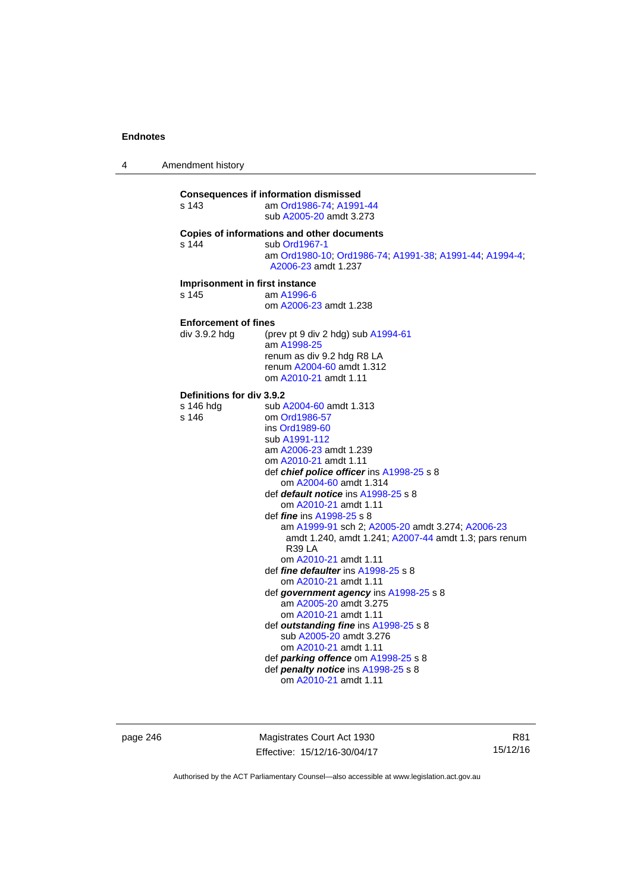4 Amendment history

| s 143                                           | <b>Consequences if information dismissed</b><br>am Ord1986-74; A1991-44<br>sub A2005-20 amdt 3.273                                                                                                                                                                                                                                                                                                                                                                                                                                                                                                                                                                                                                                                                                                                                                                 |
|-------------------------------------------------|--------------------------------------------------------------------------------------------------------------------------------------------------------------------------------------------------------------------------------------------------------------------------------------------------------------------------------------------------------------------------------------------------------------------------------------------------------------------------------------------------------------------------------------------------------------------------------------------------------------------------------------------------------------------------------------------------------------------------------------------------------------------------------------------------------------------------------------------------------------------|
| s 144                                           | Copies of informations and other documents<br>sub Ord1967-1<br>am Ord1980-10; Ord1986-74; A1991-38; A1991-44; A1994-4;<br>A2006-23 amdt 1.237                                                                                                                                                                                                                                                                                                                                                                                                                                                                                                                                                                                                                                                                                                                      |
| Imprisonment in first instance<br>s 145         | am A1996-6<br>om A2006-23 amdt 1.238                                                                                                                                                                                                                                                                                                                                                                                                                                                                                                                                                                                                                                                                                                                                                                                                                               |
| <b>Enforcement of fines</b><br>div 3.9.2 hdg    | (prev pt 9 div 2 hdg) sub $A1994-61$<br>am A1998-25<br>renum as div 9.2 hdg R8 LA<br>renum A2004-60 amdt 1.312<br>om A2010-21 amdt 1.11                                                                                                                                                                                                                                                                                                                                                                                                                                                                                                                                                                                                                                                                                                                            |
| Definitions for div 3.9.2<br>s 146 hdg<br>s 146 | sub A2004-60 amdt 1.313<br>om Ord1986-57<br>ins Ord1989-60<br>sub A1991-112<br>am A2006-23 amdt 1.239<br>om A2010-21 amdt 1.11<br>def <i>chief police officer</i> ins A1998-25 s 8<br>om A2004-60 amdt 1.314<br>def <i>default notice</i> ins A1998-25 s 8<br>om A2010-21 amdt 1.11<br>def <i>fine</i> ins A1998-25 s 8<br>am A1999-91 sch 2; A2005-20 amdt 3.274; A2006-23<br>amdt 1.240, amdt 1.241; A2007-44 amdt 1.3; pars renum<br>R <sub>39</sub> LA<br>om A2010-21 amdt 1.11<br>def <i>fine defaulter</i> ins A1998-25 s 8<br>om A2010-21 amdt 1.11<br>def government agency ins A1998-25 s 8<br>am A2005-20 amdt 3.275<br>om A2010-21 amdt 1.11<br>def outstanding fine ins A1998-25 s 8<br>sub A2005-20 amdt 3.276<br>om A2010-21 amdt 1.11<br>def <i>parking offence</i> om A1998-25 s 8<br>def penalty notice ins A1998-25 s 8<br>om A2010-21 amdt 1.11 |

page 246 Magistrates Court Act 1930 Effective: 15/12/16-30/04/17

R81 15/12/16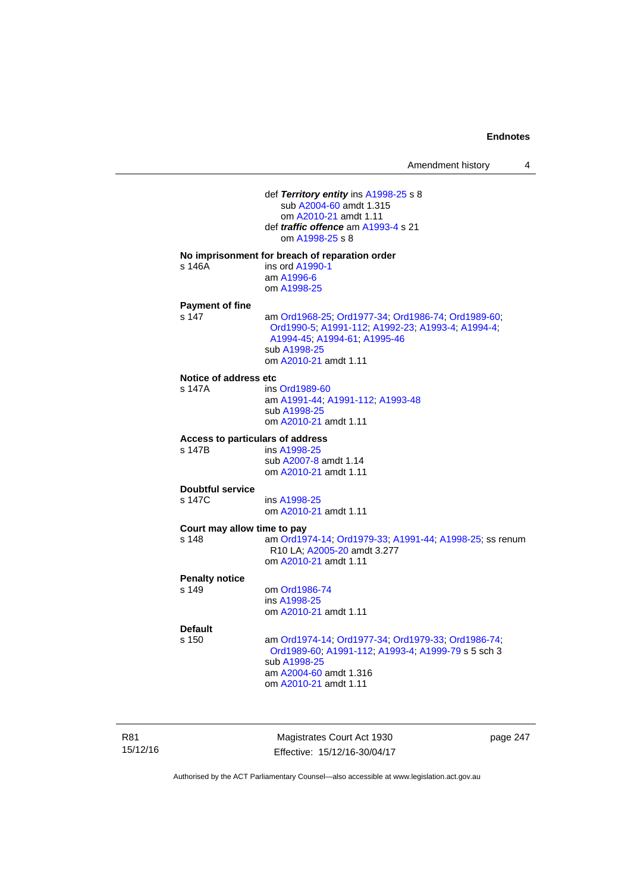| Amendment history |  |
|-------------------|--|
|-------------------|--|

 def *Territory entity* ins [A1998-25](http://www.legislation.act.gov.au/a/1998-25) s 8 sub [A2004-60](http://www.legislation.act.gov.au/a/2004-60) amdt 1.315 om [A2010-21](http://www.legislation.act.gov.au/a/2010-21) amdt 1.11 def *traffic offence* am [A1993-4](http://www.legislation.act.gov.au/a/1993-4) s 21 om [A1998-25](http://www.legislation.act.gov.au/a/1998-25) s 8 **No imprisonment for breach of reparation order**  s 146A ins ord [A1990-1](http://www.legislation.act.gov.au/a/alt_ord1990-1) am [A1996-6](http://www.legislation.act.gov.au/a/1996-6) om [A1998-25](http://www.legislation.act.gov.au/a/1998-25) **Payment of fine**  s 147 am [Ord1968-25](http://www.legislation.act.gov.au/a/1968-25); [Ord1977-34](http://www.legislation.act.gov.au/a/1977-34); [Ord1986-74](http://www.legislation.act.gov.au/a/1986-74); [Ord1989-60](http://www.legislation.act.gov.au/a/1989-60); [Ord1990-5;](http://www.legislation.act.gov.au/a/alt_ord1990-5) [A1991-112;](http://www.legislation.act.gov.au/a/1991-112) [A1992-23](http://www.legislation.act.gov.au/a/1992-23); [A1993-4](http://www.legislation.act.gov.au/a/1993-4); [A1994-4](http://www.legislation.act.gov.au/a/1994-4); [A1994-45;](http://www.legislation.act.gov.au/a/1994-45) [A1994-61](http://www.legislation.act.gov.au/a/1994-61); [A1995-46](http://www.legislation.act.gov.au/a/1995-46) sub [A1998-25](http://www.legislation.act.gov.au/a/1998-25) om [A2010-21](http://www.legislation.act.gov.au/a/2010-21) amdt 1.11 **Notice of address etc**  s 147A ins [Ord1989-60](http://www.legislation.act.gov.au/a/1989-60) am [A1991-44](http://www.legislation.act.gov.au/a/1991-44); [A1991-112](http://www.legislation.act.gov.au/a/1991-112); [A1993-48](http://www.legislation.act.gov.au/a/1993-48) sub [A1998-25](http://www.legislation.act.gov.au/a/1998-25) om [A2010-21](http://www.legislation.act.gov.au/a/2010-21) amdt 1.11 **Access to particulars of address**  ins [A1998-25](http://www.legislation.act.gov.au/a/1998-25) sub [A2007-8](http://www.legislation.act.gov.au/a/2007-8) amdt 1.14 om [A2010-21](http://www.legislation.act.gov.au/a/2010-21) amdt 1.11 **Doubtful service**  s 147C ins [A1998-25](http://www.legislation.act.gov.au/a/1998-25) om [A2010-21](http://www.legislation.act.gov.au/a/2010-21) amdt 1.11 **Court may allow time to pay**  s 148 am [Ord1974-14](http://www.legislation.act.gov.au/a/1974-14); [Ord1979-33](http://www.legislation.act.gov.au/a/1979-33); [A1991-44](http://www.legislation.act.gov.au/a/1991-44); [A1998-25](http://www.legislation.act.gov.au/a/1998-25); ss renum R10 LA; [A2005-20](http://www.legislation.act.gov.au/a/2005-20) amdt 3.277 om [A2010-21](http://www.legislation.act.gov.au/a/2010-21) amdt 1.11 **Penalty notice**  om [Ord1986-74](http://www.legislation.act.gov.au/a/1986-74) ins [A1998-25](http://www.legislation.act.gov.au/a/1998-25) om [A2010-21](http://www.legislation.act.gov.au/a/2010-21) amdt 1.11 **Default**  s 150 am [Ord1974-14](http://www.legislation.act.gov.au/a/1974-14); [Ord1977-34](http://www.legislation.act.gov.au/a/1977-34); [Ord1979-33](http://www.legislation.act.gov.au/a/1979-33); [Ord1986-74](http://www.legislation.act.gov.au/a/1986-74); [Ord1989-60](http://www.legislation.act.gov.au/a/1989-60); [A1991-112](http://www.legislation.act.gov.au/a/1991-112); [A1993-4](http://www.legislation.act.gov.au/a/1993-4); [A1999-79](http://www.legislation.act.gov.au/a/1999-79) s 5 sch 3 sub [A1998-25](http://www.legislation.act.gov.au/a/1998-25) am [A2004-60](http://www.legislation.act.gov.au/a/2004-60) amdt 1.316 om [A2010-21](http://www.legislation.act.gov.au/a/2010-21) amdt 1.11

R81 15/12/16

Magistrates Court Act 1930 Effective: 15/12/16-30/04/17 page 247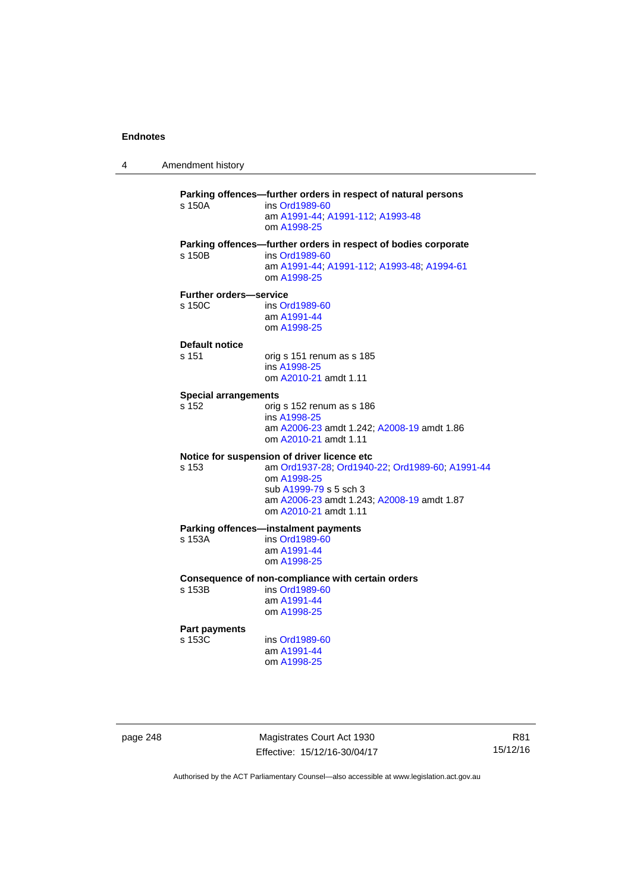4 Amendment history

**Parking offences—further orders in respect of natural persons**  s 150A ins [Ord1989-60](http://www.legislation.act.gov.au/a/1989-60) am [A1991-44](http://www.legislation.act.gov.au/a/1991-44); [A1991-112](http://www.legislation.act.gov.au/a/1991-112); [A1993-48](http://www.legislation.act.gov.au/a/1993-48) om [A1998-25](http://www.legislation.act.gov.au/a/1998-25) **Parking offences—further orders in respect of bodies corporate**  s 150B ins [Ord1989-60](http://www.legislation.act.gov.au/a/1989-60) am [A1991-44](http://www.legislation.act.gov.au/a/1991-44); [A1991-112](http://www.legislation.act.gov.au/a/1991-112); [A1993-48](http://www.legislation.act.gov.au/a/1993-48); [A1994-61](http://www.legislation.act.gov.au/a/1994-61) om [A1998-25](http://www.legislation.act.gov.au/a/1998-25) **Further orders—service**  s 150C ins [Ord1989-60](http://www.legislation.act.gov.au/a/1989-60) am [A1991-44](http://www.legislation.act.gov.au/a/1991-44) om [A1998-25](http://www.legislation.act.gov.au/a/1998-25) **Default notice**  s 151 orig s 151 renum as s 185 ins [A1998-25](http://www.legislation.act.gov.au/a/1998-25) om [A2010-21](http://www.legislation.act.gov.au/a/2010-21) amdt 1.11 **Special arrangements**  s 152 orig s 152 renum as s 186 ins [A1998-25](http://www.legislation.act.gov.au/a/1998-25) am [A2006-23](http://www.legislation.act.gov.au/a/2006-23) amdt 1.242; [A2008-19](http://www.legislation.act.gov.au/a/2008-19) amdt 1.86 om [A2010-21](http://www.legislation.act.gov.au/a/2010-21) amdt 1.11 **Notice for suspension of driver licence etc**  s 153 am [Ord1937-28](http://www.legislation.act.gov.au/a/1937-28); [Ord1940-22](http://www.legislation.act.gov.au/a/1940-22); [Ord1989-60](http://www.legislation.act.gov.au/a/1989-60); [A1991-44](http://www.legislation.act.gov.au/a/1991-44) om [A1998-25](http://www.legislation.act.gov.au/a/1998-25) sub [A1999-79](http://www.legislation.act.gov.au/a/1999-79) s 5 sch 3 am [A2006-23](http://www.legislation.act.gov.au/a/2006-23) amdt 1.243; [A2008-19](http://www.legislation.act.gov.au/a/2008-19) amdt 1.87 om [A2010-21](http://www.legislation.act.gov.au/a/2010-21) amdt 1.11 **Parking offences—instalment payments**<br>s 153A **ins Ord1989-60** ins [Ord1989-60](http://www.legislation.act.gov.au/a/1989-60) am [A1991-44](http://www.legislation.act.gov.au/a/1991-44) om [A1998-25](http://www.legislation.act.gov.au/a/1998-25) **Consequence of non-compliance with certain orders**  ins [Ord1989-60](http://www.legislation.act.gov.au/a/1989-60) am [A1991-44](http://www.legislation.act.gov.au/a/1991-44) om [A1998-25](http://www.legislation.act.gov.au/a/1998-25) **Part payments**  s 153C ins [Ord1989-60](http://www.legislation.act.gov.au/a/1989-60) am [A1991-44](http://www.legislation.act.gov.au/a/1991-44) om [A1998-25](http://www.legislation.act.gov.au/a/1998-25)

page 248 Magistrates Court Act 1930 Effective: 15/12/16-30/04/17

R81 15/12/16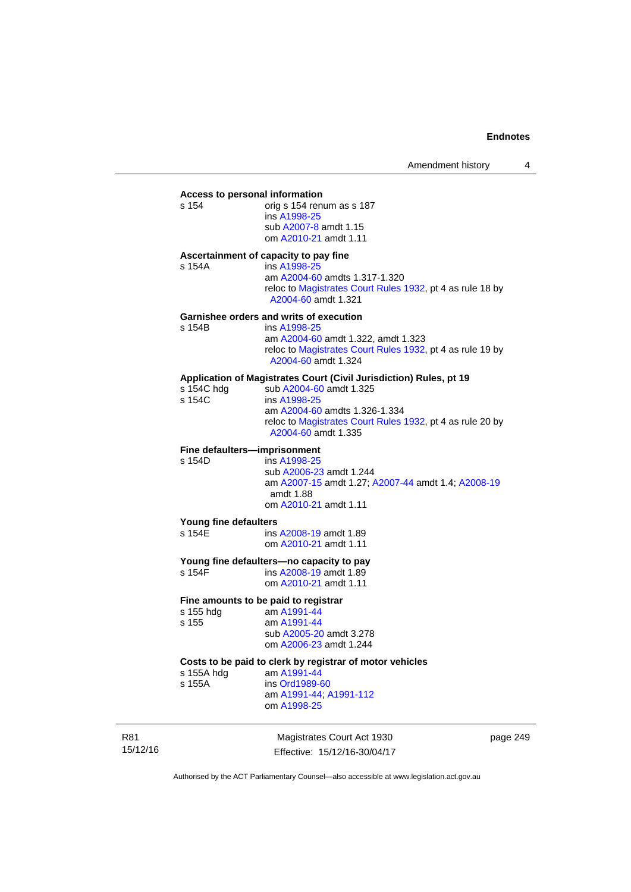# **Access to personal information**

orig s 154 renum as s 187 ins [A1998-25](http://www.legislation.act.gov.au/a/1998-25) sub [A2007-8](http://www.legislation.act.gov.au/a/2007-8) amdt 1.15 om [A2010-21](http://www.legislation.act.gov.au/a/2010-21) amdt 1.11

#### **Ascertainment of capacity to pay fine**

s 154A ins [A1998-25](http://www.legislation.act.gov.au/a/1998-25) am [A2004-60](http://www.legislation.act.gov.au/a/2004-60) amdts 1.317-1.320 reloc to [Magistrates Court Rules 1932](http://www.legislation.act.gov.au/sl/1932-4/default.asp), pt 4 as rule 18 by [A2004-60](http://www.legislation.act.gov.au/a/2004-60) amdt 1.321

#### **Garnishee orders and writs of execution**

| s 154B | ins A1998-25                                                                     |
|--------|----------------------------------------------------------------------------------|
|        | am A2004-60 amdt 1.322, amdt 1.323                                               |
|        | reloc to Magistrates Court Rules 1932, pt 4 as rule 19 by<br>A2004-60 amdt 1.324 |

### **Application of Magistrates Court (Civil Jurisdiction) Rules, pt 19**

| s 154C hdg | sub A2004-60 amdt 1.325                                                          |
|------------|----------------------------------------------------------------------------------|
| s 154C     | ins A1998-25                                                                     |
|            | am A2004-60 amdts 1.326-1.334                                                    |
|            | reloc to Magistrates Court Rules 1932, pt 4 as rule 20 by<br>A2004-60 amdt 1.335 |
|            |                                                                                  |

# **Fine defaulters—imprisonment**<br>s 154D **ins A1998-25**

ins [A1998-25](http://www.legislation.act.gov.au/a/1998-25) sub [A2006-23](http://www.legislation.act.gov.au/a/2006-23) amdt 1.244 am [A2007-15](http://www.legislation.act.gov.au/a/2007-15) amdt 1.27; [A2007-44](http://www.legislation.act.gov.au/a/2007-44) amdt 1.4; [A2008-19](http://www.legislation.act.gov.au/a/2008-19) amdt 1.88 om [A2010-21](http://www.legislation.act.gov.au/a/2010-21) amdt 1.11

#### **Young fine defaulters**

s 154E **ins [A2008-19](http://www.legislation.act.gov.au/a/2008-19)** amdt 1.89 om [A2010-21](http://www.legislation.act.gov.au/a/2010-21) amdt 1.11

# **Young fine defaulters—no capacity to pay**

ins [A2008-19](http://www.legislation.act.gov.au/a/2008-19) amdt 1.89 om [A2010-21](http://www.legislation.act.gov.au/a/2010-21) amdt 1.11

### **Fine amounts to be paid to registrar**

| s 155 hdg | am A1991-44             |
|-----------|-------------------------|
| s 155     | am A1991-44             |
|           | sub A2005-20 amdt 3.278 |
|           | om A2006-23 amdt 1.244  |
|           |                         |

# **Costs to be paid to clerk by registrar of motor vehicles**

s 155A ins [Ord1989-60](http://www.legislation.act.gov.au/a/1989-60)

am [A1991-44](http://www.legislation.act.gov.au/a/1991-44)

 am [A1991-44](http://www.legislation.act.gov.au/a/1991-44); [A1991-112](http://www.legislation.act.gov.au/a/1991-112) om [A1998-25](http://www.legislation.act.gov.au/a/1998-25)

R81 15/12/16

Magistrates Court Act 1930 Effective: 15/12/16-30/04/17 page 249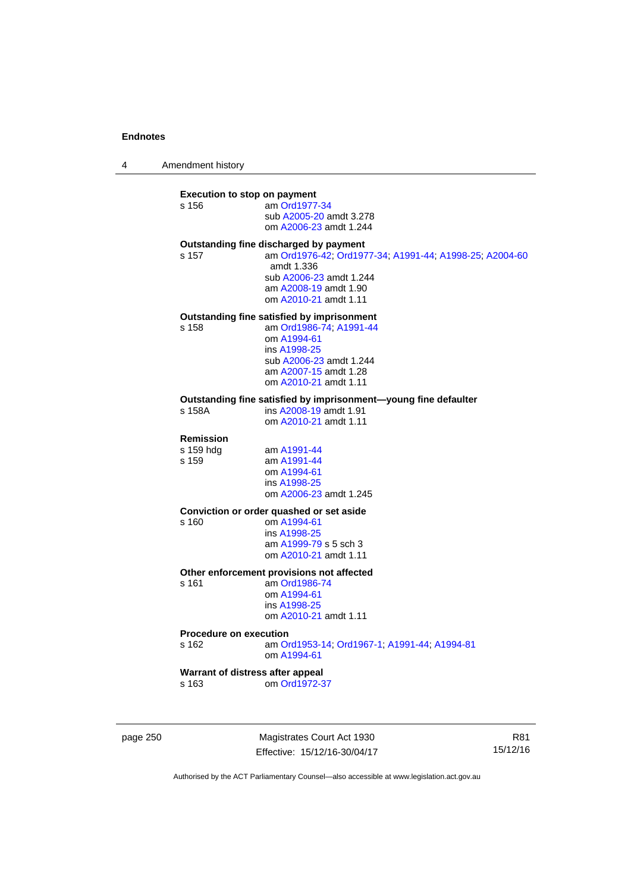4 Amendment history

#### **Execution to stop on payment**

| s 156 | am Ord1977-34           |
|-------|-------------------------|
|       | sub A2005-20 amdt 3.278 |
|       | om A2006-23 amdt 1.244  |

#### **Outstanding fine discharged by payment**

s 157 am [Ord1976-42](http://www.legislation.act.gov.au/a/1976-42); [Ord1977-34](http://www.legislation.act.gov.au/a/1977-34); [A1991-44](http://www.legislation.act.gov.au/a/1991-44); [A1998-25](http://www.legislation.act.gov.au/a/1998-25); [A2004-60](http://www.legislation.act.gov.au/a/2004-60) amdt 1.336 sub [A2006-23](http://www.legislation.act.gov.au/a/2006-23) amdt 1.244 am [A2008-19](http://www.legislation.act.gov.au/a/2008-19) amdt 1.90 om [A2010-21](http://www.legislation.act.gov.au/a/2010-21) amdt 1.11

# **Outstanding fine satisfied by imprisonment**

s 158 am [Ord1986-74](http://www.legislation.act.gov.au/a/1986-74); [A1991-44](http://www.legislation.act.gov.au/a/1991-44)

 om [A1994-61](http://www.legislation.act.gov.au/a/1994-61) ins [A1998-25](http://www.legislation.act.gov.au/a/1998-25) sub [A2006-23](http://www.legislation.act.gov.au/a/2006-23) amdt 1.244 am [A2007-15](http://www.legislation.act.gov.au/a/2007-15) amdt 1.28 om [A2010-21](http://www.legislation.act.gov.au/a/2010-21) amdt 1.11

# **Outstanding fine satisfied by imprisonment—young fine defaulter**

ins [A2008-19](http://www.legislation.act.gov.au/a/2008-19) amdt 1.91 om [A2010-21](http://www.legislation.act.gov.au/a/2010-21) amdt 1.11

# **Remission**

s 159 hdg am [A1991-44](http://www.legislation.act.gov.au/a/1991-44)<br>s 159 am A1991-44 am [A1991-44](http://www.legislation.act.gov.au/a/1991-44) om [A1994-61](http://www.legislation.act.gov.au/a/1994-61) ins [A1998-25](http://www.legislation.act.gov.au/a/1998-25) om [A2006-23](http://www.legislation.act.gov.au/a/2006-23) amdt 1.245

#### **Conviction or order quashed or set aside**

s 160 om [A1994-61](http://www.legislation.act.gov.au/a/1994-61) ins [A1998-25](http://www.legislation.act.gov.au/a/1998-25) am [A1999-79](http://www.legislation.act.gov.au/a/1999-79) s 5 sch 3 om [A2010-21](http://www.legislation.act.gov.au/a/2010-21) amdt 1.11

#### **Other enforcement provisions not affected**

s 161 am [Ord1986-74](http://www.legislation.act.gov.au/a/1986-74) om [A1994-61](http://www.legislation.act.gov.au/a/1994-61) ins [A1998-25](http://www.legislation.act.gov.au/a/1998-25) om [A2010-21](http://www.legislation.act.gov.au/a/2010-21) amdt 1.11

#### **Procedure on execution**

s 162 am [Ord1953-14](http://www.legislation.act.gov.au/a/1953-14); [Ord1967-1](http://www.legislation.act.gov.au/a/1967-1); [A1991-44](http://www.legislation.act.gov.au/a/1991-44); [A1994-81](http://www.legislation.act.gov.au/a/1994-81) om [A1994-61](http://www.legislation.act.gov.au/a/1994-61)

### **Warrant of distress after appeal**

s 163 om [Ord1972-37](http://www.legislation.act.gov.au/a/1972-37)

page 250 Magistrates Court Act 1930 Effective: 15/12/16-30/04/17

R81 15/12/16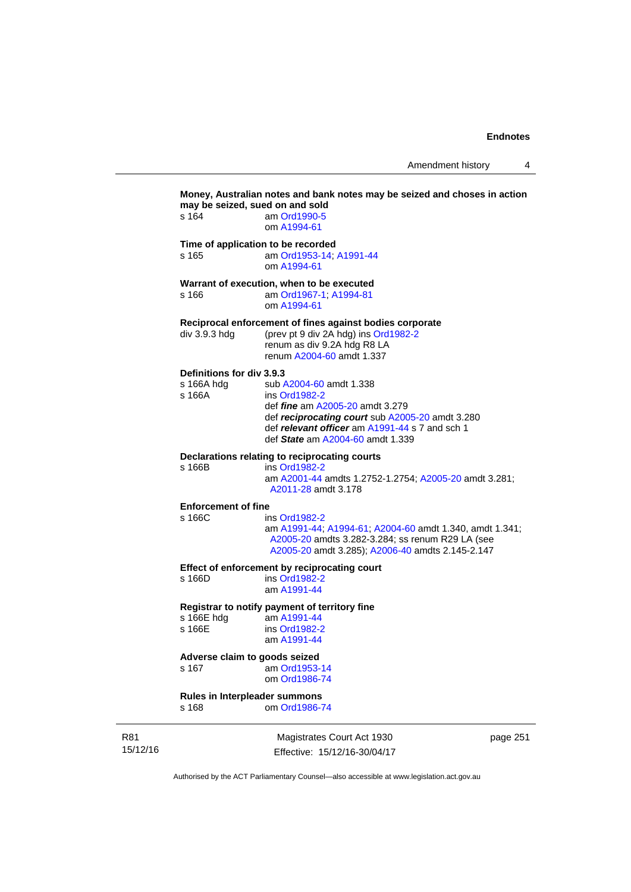Amendment history 4

|                 | s 164                                             | Money, Australian notes and bank notes may be seized and choses in action<br>may be seized, sued on and sold<br>am Ord1990-5<br>om A1994-61                                                                                 |
|-----------------|---------------------------------------------------|-----------------------------------------------------------------------------------------------------------------------------------------------------------------------------------------------------------------------------|
|                 | s 165                                             | Time of application to be recorded<br>am Ord1953-14; A1991-44<br>om A1994-61                                                                                                                                                |
|                 | s 166                                             | Warrant of execution, when to be executed<br>am Ord1967-1; A1994-81<br>om A1994-61                                                                                                                                          |
|                 | div 3.9.3 hdg                                     | Reciprocal enforcement of fines against bodies corporate<br>(prev pt 9 div 2A hdg) ins Ord1982-2<br>renum as div 9.2A hdg R8 LA<br>renum A2004-60 amdt 1.337                                                                |
|                 | Definitions for div 3.9.3<br>s 166A hdg<br>s 166A | sub A2004-60 amdt 1.338<br>ins Ord1982-2<br>def <i>fine</i> am A2005-20 amdt 3.279<br>def reciprocating court sub A2005-20 amdt 3.280<br>def relevant officer am A1991-44 s 7 and sch 1<br>def State am A2004-60 amdt 1.339 |
|                 | s 166B                                            | Declarations relating to reciprocating courts<br>ins Ord1982-2<br>am A2001-44 amdts 1.2752-1.2754; A2005-20 amdt 3.281;<br>A2011-28 amdt 3.178                                                                              |
|                 | <b>Enforcement of fine</b><br>s 166C              | ins Ord1982-2<br>am A1991-44; A1994-61; A2004-60 amdt 1.340, amdt 1.341;<br>A2005-20 amdts 3.282-3.284; ss renum R29 LA (see<br>A2005-20 amdt 3.285); A2006-40 amdts 2.145-2.147                                            |
|                 | s 166D                                            | Effect of enforcement by reciprocating court<br>ins Ord1982-2<br>am A1991-44                                                                                                                                                |
|                 | s 166E hdg<br>s 166E                              | Registrar to notify payment of territory fine<br>am A1991-44<br>ins Ord1982-2<br>am A1991-44                                                                                                                                |
|                 | Adverse claim to goods seized<br>s 167            | am Ord1953-14<br>om Ord1986-74                                                                                                                                                                                              |
|                 | Rules in Interpleader summons<br>s 168            | om Ord1986-74                                                                                                                                                                                                               |
| R81<br>15/12/16 |                                                   | Magistrates Court Act 1930<br>page 251<br>Effective: 15/12/16-30/04/17                                                                                                                                                      |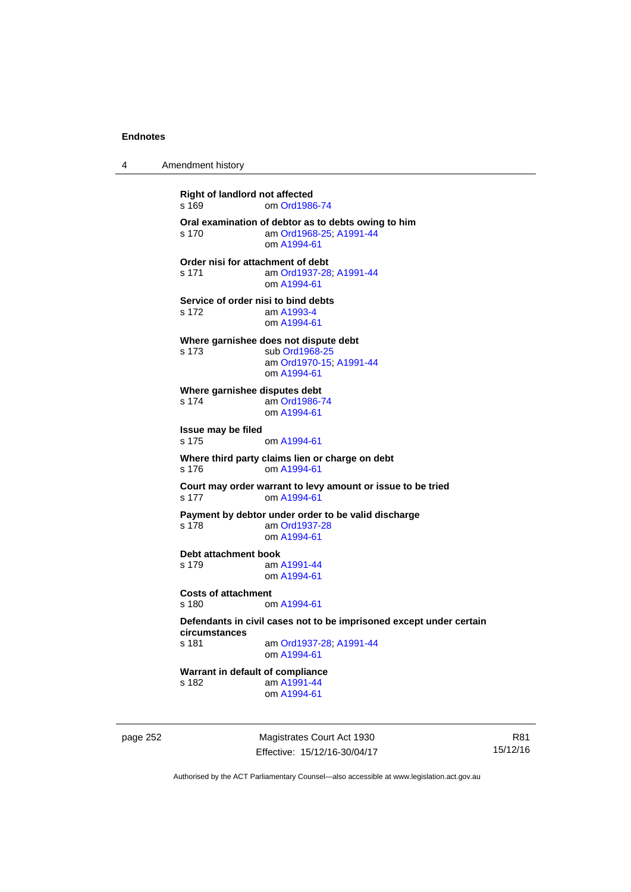4 Amendment history

**Right of landlord not affected**  s 169 om [Ord1986-74](http://www.legislation.act.gov.au/a/1986-74) **Oral examination of debtor as to debts owing to him**  s 170 am [Ord1968-25](http://www.legislation.act.gov.au/a/1968-25); [A1991-44](http://www.legislation.act.gov.au/a/1991-44) om [A1994-61](http://www.legislation.act.gov.au/a/1994-61) **Order nisi for attachment of debt**  s 171 am [Ord1937-28](http://www.legislation.act.gov.au/a/1937-28); [A1991-44](http://www.legislation.act.gov.au/a/1991-44) om [A1994-61](http://www.legislation.act.gov.au/a/1994-61) **Service of order nisi to bind debts**  s 172 am [A1993-4](http://www.legislation.act.gov.au/a/1993-4) om [A1994-61](http://www.legislation.act.gov.au/a/1994-61) **Where garnishee does not dispute debt**  s 173 sub [Ord1968-25](http://www.legislation.act.gov.au/a/1968-25) am [Ord1970-15](http://www.legislation.act.gov.au/a/1970-15); [A1991-44](http://www.legislation.act.gov.au/a/1991-44) om [A1994-61](http://www.legislation.act.gov.au/a/1994-61) **Where garnishee disputes debt**  s 174 am [Ord1986-74](http://www.legislation.act.gov.au/a/1986-74) om [A1994-61](http://www.legislation.act.gov.au/a/1994-61) **Issue may be filed**  s 175 om [A1994-61](http://www.legislation.act.gov.au/a/1994-61) **Where third party claims lien or charge on debt**  s 176 om [A1994-61](http://www.legislation.act.gov.au/a/1994-61) **Court may order warrant to levy amount or issue to be tried**  s 177 om [A1994-61](http://www.legislation.act.gov.au/a/1994-61) **Payment by debtor under order to be valid discharge**  s 178 am [Ord1937-28](http://www.legislation.act.gov.au/a/1937-28) om [A1994-61](http://www.legislation.act.gov.au/a/1994-61) **Debt attachment book**  s 179 am [A1991-44](http://www.legislation.act.gov.au/a/1991-44) om [A1994-61](http://www.legislation.act.gov.au/a/1994-61) **Costs of attachment**  s 180 om [A1994-61](http://www.legislation.act.gov.au/a/1994-61) **Defendants in civil cases not to be imprisoned except under certain circumstances**  am [Ord1937-28](http://www.legislation.act.gov.au/a/1937-28); [A1991-44](http://www.legislation.act.gov.au/a/1991-44) om [A1994-61](http://www.legislation.act.gov.au/a/1994-61) **Warrant in default of compliance**  s 182 am [A1991-44](http://www.legislation.act.gov.au/a/1991-44) om [A1994-61](http://www.legislation.act.gov.au/a/1994-61)

page 252 Magistrates Court Act 1930 Effective: 15/12/16-30/04/17

R81 15/12/16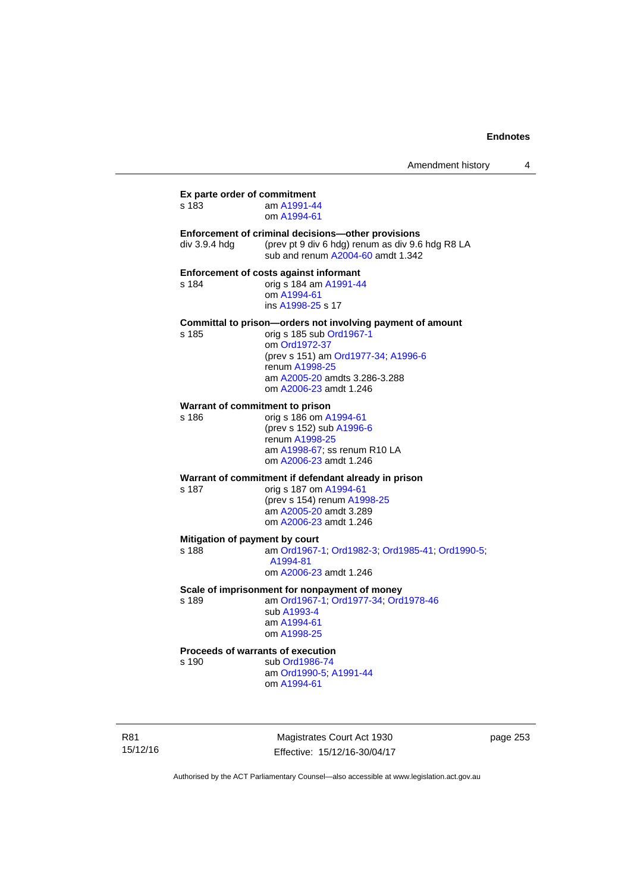| Amendment history |  |
|-------------------|--|
|-------------------|--|

**Ex parte order of commitment**  s 183 am [A1991-44](http://www.legislation.act.gov.au/a/1991-44) om [A1994-61](http://www.legislation.act.gov.au/a/1994-61) **Enforcement of criminal decisions—other provisions**  div 3.9.4 hdg (prev pt 9 div 6 hdg) renum as div 9.6 hdg R8 LA sub and renum [A2004-60](http://www.legislation.act.gov.au/a/2004-60) amdt 1.342 **Enforcement of costs against informant**  s 184 orig s 184 am [A1991-44](http://www.legislation.act.gov.au/a/1991-44) om [A1994-61](http://www.legislation.act.gov.au/a/1994-61) ins [A1998-25](http://www.legislation.act.gov.au/a/1998-25) s 17 **Committal to prison—orders not involving payment of amount**  s 185 orig s 185 sub [Ord1967-1](http://www.legislation.act.gov.au/a/1967-1) om [Ord1972-37](http://www.legislation.act.gov.au/a/1972-37) (prev s 151) am [Ord1977-34](http://www.legislation.act.gov.au/a/1977-34); [A1996-6](http://www.legislation.act.gov.au/a/1996-6) renum [A1998-25](http://www.legislation.act.gov.au/a/1998-25) am [A2005-20](http://www.legislation.act.gov.au/a/2005-20) amdts 3.286-3.288 om [A2006-23](http://www.legislation.act.gov.au/a/2006-23) amdt 1.246 **Warrant of commitment to prison**  s 186 orig s 186 om [A1994-61](http://www.legislation.act.gov.au/a/1994-61) (prev s 152) sub [A1996-6](http://www.legislation.act.gov.au/a/1996-6) renum [A1998-25](http://www.legislation.act.gov.au/a/1998-25) am [A1998-67](http://www.legislation.act.gov.au/a/1998-67); ss renum R10 LA om [A2006-23](http://www.legislation.act.gov.au/a/2006-23) amdt 1.246 **Warrant of commitment if defendant already in prison**  s 187 orig s 187 om [A1994-61](http://www.legislation.act.gov.au/a/1994-61) (prev s 154) renum [A1998-25](http://www.legislation.act.gov.au/a/1998-25) am [A2005-20](http://www.legislation.act.gov.au/a/2005-20) amdt 3.289 om [A2006-23](http://www.legislation.act.gov.au/a/2006-23) amdt 1.246 **Mitigation of payment by court**<br>s 188 am Ord1967-am [Ord1967-1;](http://www.legislation.act.gov.au/a/1967-1) [Ord1982-3](http://www.legislation.act.gov.au/a/1982-3); [Ord1985-41](http://www.legislation.act.gov.au/a/1985-41); [Ord1990-5](http://www.legislation.act.gov.au/a/alt_ord1990-5); [A1994-81](http://www.legislation.act.gov.au/a/1994-81) om [A2006-23](http://www.legislation.act.gov.au/a/2006-23) amdt 1.246 **Scale of imprisonment for nonpayment of money**  s 189 am [Ord1967-1;](http://www.legislation.act.gov.au/a/1967-1) [Ord1977-34](http://www.legislation.act.gov.au/a/1977-34); [Ord1978-46](http://www.legislation.act.gov.au/a/1978-46) sub [A1993-4](http://www.legislation.act.gov.au/a/1993-4) am [A1994-61](http://www.legislation.act.gov.au/a/1994-61) om [A1998-25](http://www.legislation.act.gov.au/a/1998-25) **Proceeds of warrants of execution**  s 190 sub [Ord1986-74](http://www.legislation.act.gov.au/a/1986-74) am [Ord1990-5;](http://www.legislation.act.gov.au/a/alt_ord1990-5) [A1991-44](http://www.legislation.act.gov.au/a/1991-44) om [A1994-61](http://www.legislation.act.gov.au/a/1994-61)

R81 15/12/16

Magistrates Court Act 1930 Effective: 15/12/16-30/04/17 page 253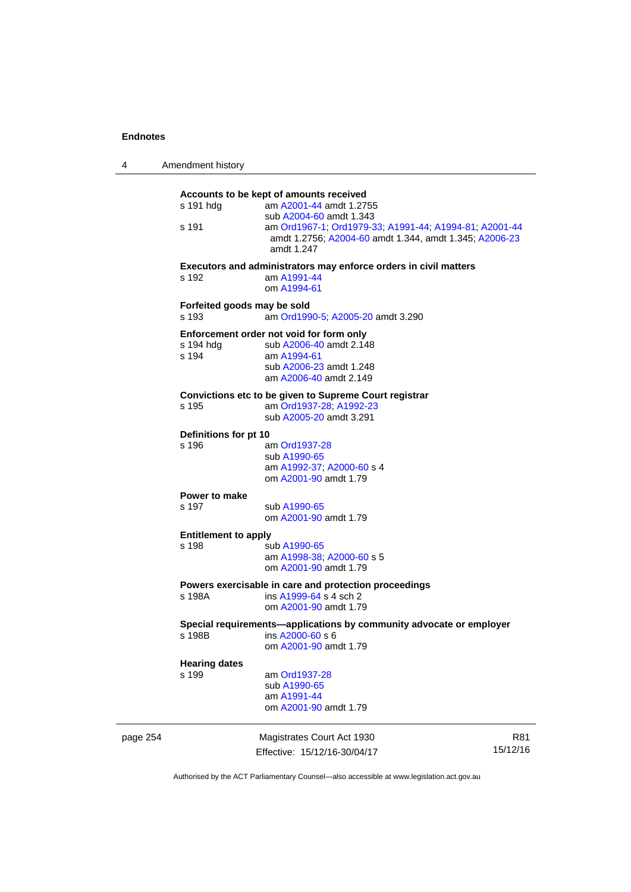| 4        | Amendment history                    |                                                                                                                                                                                                                                 |                 |  |  |
|----------|--------------------------------------|---------------------------------------------------------------------------------------------------------------------------------------------------------------------------------------------------------------------------------|-----------------|--|--|
|          | s 191 hdg<br>s 191                   | Accounts to be kept of amounts received<br>am A2001-44 amdt 1.2755<br>sub A2004-60 amdt 1.343<br>am Ord1967-1, Ord1979-33, A1991-44, A1994-81, A2001-44<br>amdt 1.2756; A2004-60 amdt 1.344, amdt 1.345; A2006-23<br>amdt 1.247 |                 |  |  |
|          | s 192                                | Executors and administrators may enforce orders in civil matters<br>am A1991-44<br>om A1994-61                                                                                                                                  |                 |  |  |
|          | Forfeited goods may be sold<br>s 193 | am Ord1990-5; A2005-20 amdt 3.290                                                                                                                                                                                               |                 |  |  |
|          | s 194 hdg<br>s 194                   | Enforcement order not void for form only<br>sub A2006-40 amdt 2.148<br>am A1994-61<br>sub A2006-23 amdt 1.248<br>am A2006-40 amdt 2.149                                                                                         |                 |  |  |
|          | s 195                                | Convictions etc to be given to Supreme Court registrar<br>am Ord1937-28; A1992-23<br>sub A2005-20 amdt 3.291                                                                                                                    |                 |  |  |
|          |                                      | Definitions for pt 10                                                                                                                                                                                                           |                 |  |  |
|          | s 196                                | am Ord1937-28<br>sub A1990-65<br>am A1992-37; A2000-60 s 4<br>om A2001-90 amdt 1.79                                                                                                                                             |                 |  |  |
|          | Power to make<br>s 197               | sub A1990-65<br>om A2001-90 amdt 1.79                                                                                                                                                                                           |                 |  |  |
|          | <b>Entitlement to apply</b><br>s 198 | sub A1990-65<br>am A1998-38; A2000-60 s 5<br>om A2001-90 amdt 1.79                                                                                                                                                              |                 |  |  |
|          | s 198A                               | Powers exercisable in care and protection proceedings<br>ins A1999-64 s 4 sch 2<br>om A2001-90 amdt 1.79                                                                                                                        |                 |  |  |
|          | s 198B                               | Special requirements-applications by community advocate or employer<br>ins A2000-60 s 6<br>om A2001-90 amdt 1.79                                                                                                                |                 |  |  |
|          | <b>Hearing dates</b><br>s 199        | am Ord1937-28<br>sub A1990-65<br>am A1991-44<br>om A2001-90 amdt 1.79                                                                                                                                                           |                 |  |  |
| page 254 |                                      | Magistrates Court Act 1930<br>Effective: 15/12/16-30/04/17                                                                                                                                                                      | R81<br>15/12/16 |  |  |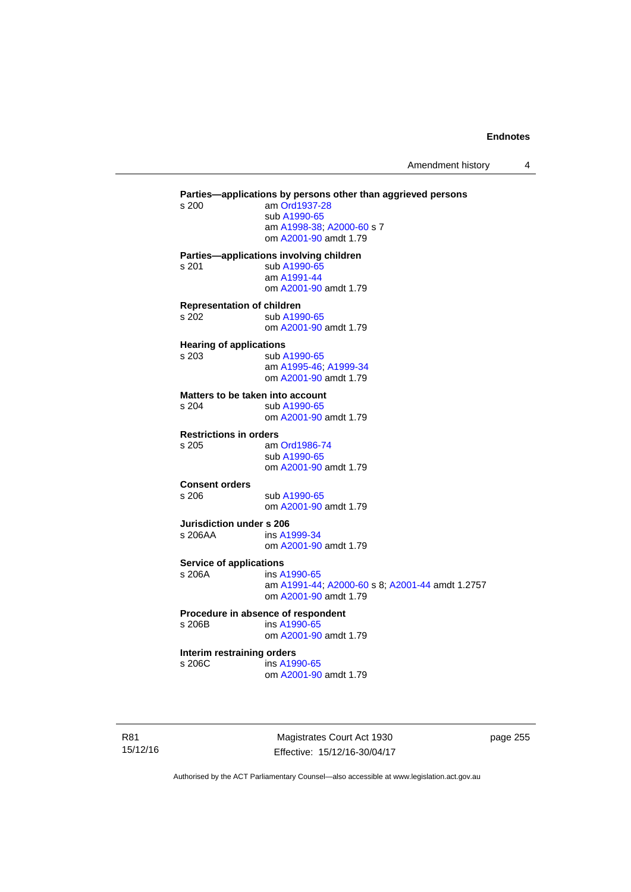Amendment history 4

**Parties—applications by persons other than aggrieved persons <br>s 200 am Ord1937-28** am [Ord1937-28](http://www.legislation.act.gov.au/a/1937-28) sub [A1990-65](http://www.legislation.act.gov.au/a/1990-65) am [A1998-38](http://www.legislation.act.gov.au/a/1998-38); [A2000-60](http://www.legislation.act.gov.au/a/2000-60) s 7 om [A2001-90](http://www.legislation.act.gov.au/a/2001-90) amdt 1.79 **Parties—applications involving children**  s 201 sub [A1990-65](http://www.legislation.act.gov.au/a/1990-65) am [A1991-44](http://www.legislation.act.gov.au/a/1991-44) om [A2001-90](http://www.legislation.act.gov.au/a/2001-90) amdt 1.79 **Representation of children**  s 202 sub [A1990-65](http://www.legislation.act.gov.au/a/1990-65) om [A2001-90](http://www.legislation.act.gov.au/a/2001-90) amdt 1.79 **Hearing of applications**  s 203 sub [A1990-65](http://www.legislation.act.gov.au/a/1990-65) am [A1995-46](http://www.legislation.act.gov.au/a/1995-46); [A1999-34](http://www.legislation.act.gov.au/a/1999-34) om [A2001-90](http://www.legislation.act.gov.au/a/2001-90) amdt 1.79 **Matters to be taken into account**  s 204 sub [A1990-65](http://www.legislation.act.gov.au/a/1990-65) om [A2001-90](http://www.legislation.act.gov.au/a/2001-90) amdt 1.79 **Restrictions in orders**  s 205 am [Ord1986-74](http://www.legislation.act.gov.au/a/1986-74) sub [A1990-65](http://www.legislation.act.gov.au/a/1990-65) om [A2001-90](http://www.legislation.act.gov.au/a/2001-90) amdt 1.79 **Consent orders**  s 206 sub [A1990-65](http://www.legislation.act.gov.au/a/1990-65) om [A2001-90](http://www.legislation.act.gov.au/a/2001-90) amdt 1.79 **Jurisdiction under s 206**  s 206AA ins [A1999-34](http://www.legislation.act.gov.au/a/1999-34) om [A2001-90](http://www.legislation.act.gov.au/a/2001-90) amdt 1.79 **Service of applications**<br> **s** 206A ins A ins [A1990-65](http://www.legislation.act.gov.au/a/1990-65) am [A1991-44](http://www.legislation.act.gov.au/a/1991-44); [A2000-60](http://www.legislation.act.gov.au/a/2000-60) s 8; [A2001-44](http://www.legislation.act.gov.au/a/2001-44) amdt 1.2757 om [A2001-90](http://www.legislation.act.gov.au/a/2001-90) amdt 1.79 **Procedure in absence of respondent**  s 206B ins [A1990-65](http://www.legislation.act.gov.au/a/1990-65) om [A2001-90](http://www.legislation.act.gov.au/a/2001-90) amdt 1.79 **Interim restraining orders**  s 206C ins [A1990-65](http://www.legislation.act.gov.au/a/1990-65) om [A2001-90](http://www.legislation.act.gov.au/a/2001-90) amdt 1.79

R81 15/12/16

Magistrates Court Act 1930 Effective: 15/12/16-30/04/17 page 255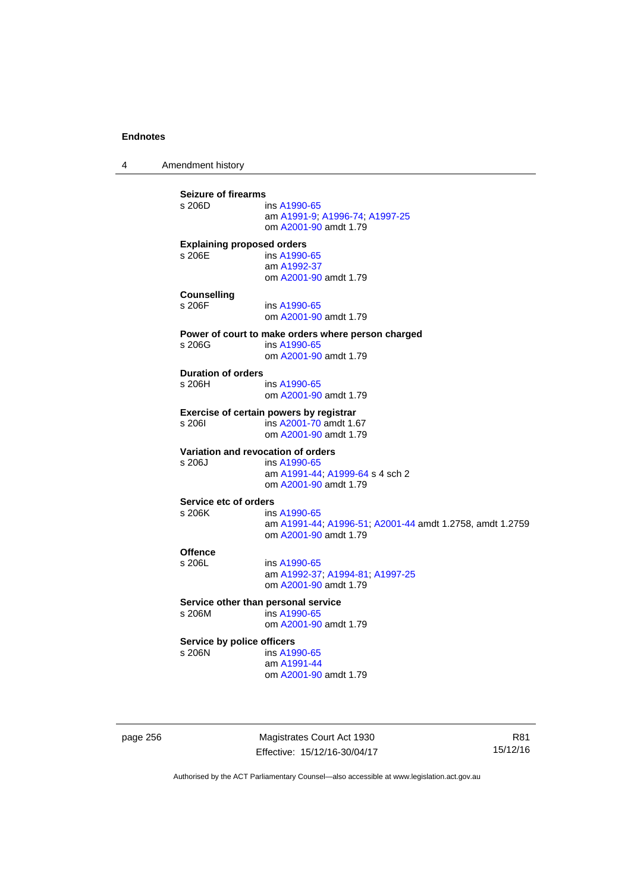4 Amendment history

**Seizure of firearms**  ins [A1990-65](http://www.legislation.act.gov.au/a/1990-65) am [A1991-9;](http://www.legislation.act.gov.au/a/1991-9) [A1996-74](http://www.legislation.act.gov.au/a/1996-74); [A1997-25](http://www.legislation.act.gov.au/a/1997-25) om [A2001-90](http://www.legislation.act.gov.au/a/2001-90) amdt 1.79 **Explaining proposed orders**  s 206E ins [A1990-65](http://www.legislation.act.gov.au/a/1990-65) am [A1992-37](http://www.legislation.act.gov.au/a/1992-37) om [A2001-90](http://www.legislation.act.gov.au/a/2001-90) amdt 1.79 **Counselling**  s 206F ins [A1990-65](http://www.legislation.act.gov.au/a/1990-65) om [A2001-90](http://www.legislation.act.gov.au/a/2001-90) amdt 1.79 **Power of court to make orders where person charged**  s 206G ins [A1990-65](http://www.legislation.act.gov.au/a/1990-65) om [A2001-90](http://www.legislation.act.gov.au/a/2001-90) amdt 1.79 **Duration of orders**  ins [A1990-65](http://www.legislation.act.gov.au/a/1990-65) om [A2001-90](http://www.legislation.act.gov.au/a/2001-90) amdt 1.79 **Exercise of certain powers by registrar**<br>s 206l **ins A2001-70** amdt 1.6 s 206I ins [A2001-70](http://www.legislation.act.gov.au/a/2001-70) amdt 1.67 om [A2001-90](http://www.legislation.act.gov.au/a/2001-90) amdt 1.79 **Variation and revocation of orders**  s 206J ins [A1990-65](http://www.legislation.act.gov.au/a/1990-65) am [A1991-44](http://www.legislation.act.gov.au/a/1991-44); [A1999-64](http://www.legislation.act.gov.au/a/1999-64) s 4 sch 2 om [A2001-90](http://www.legislation.act.gov.au/a/2001-90) amdt 1.79 **Service etc of orders**<br>s 206K ins ins [A1990-65](http://www.legislation.act.gov.au/a/1990-65) am [A1991-44](http://www.legislation.act.gov.au/a/1991-44); [A1996-51](http://www.legislation.act.gov.au/a/1996-51); [A2001-44](http://www.legislation.act.gov.au/a/2001-44) amdt 1.2758, amdt 1.2759 om [A2001-90](http://www.legislation.act.gov.au/a/2001-90) amdt 1.79 Offence<br>s 206L ins [A1990-65](http://www.legislation.act.gov.au/a/1990-65) am [A1992-37](http://www.legislation.act.gov.au/a/1992-37); [A1994-81](http://www.legislation.act.gov.au/a/1994-81); [A1997-25](http://www.legislation.act.gov.au/a/1997-25) om [A2001-90](http://www.legislation.act.gov.au/a/2001-90) amdt 1.79 **Service other than personal service**<br>s 206M ins A1990-65  $ins A1990-65$  $ins A1990-65$  om [A2001-90](http://www.legislation.act.gov.au/a/2001-90) amdt 1.79 **Service by police officers**  s 206N ins [A1990-65](http://www.legislation.act.gov.au/a/1990-65) am [A1991-44](http://www.legislation.act.gov.au/a/1991-44) om [A2001-90](http://www.legislation.act.gov.au/a/2001-90) amdt 1.79

page 256 Magistrates Court Act 1930 Effective: 15/12/16-30/04/17

R81 15/12/16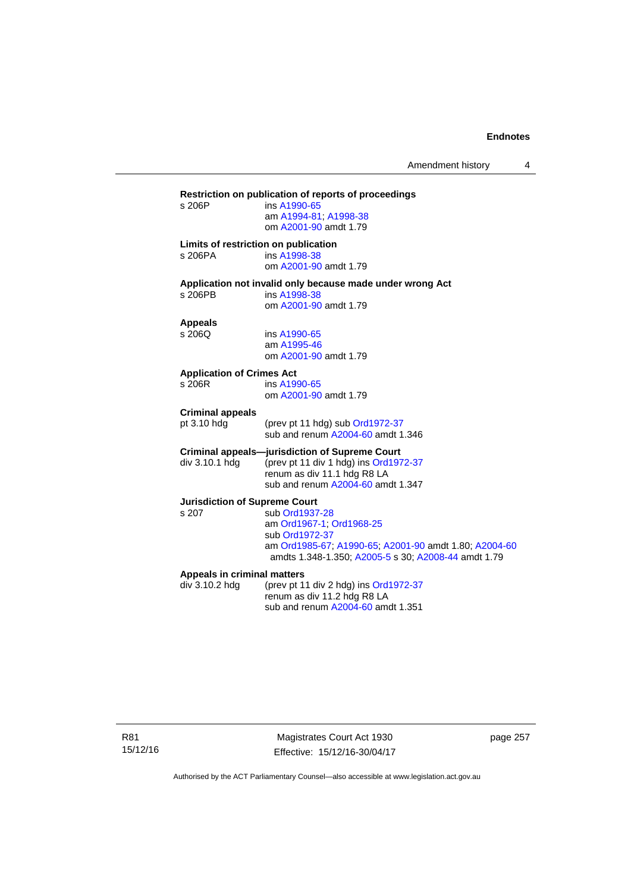# **Restriction on publication of reports of proceedings**  ins [A1990-65](http://www.legislation.act.gov.au/a/1990-65) am [A1994-81](http://www.legislation.act.gov.au/a/1994-81); [A1998-38](http://www.legislation.act.gov.au/a/1998-38) om [A2001-90](http://www.legislation.act.gov.au/a/2001-90) amdt 1.79 **Limits of restriction on publication**  s 206PA ins [A1998-38](http://www.legislation.act.gov.au/a/1998-38) om [A2001-90](http://www.legislation.act.gov.au/a/2001-90) amdt 1.79 **Application not invalid only because made under wrong Act**  ins [A1998-38](http://www.legislation.act.gov.au/a/1998-38) om [A2001-90](http://www.legislation.act.gov.au/a/2001-90) amdt 1.79 **Appeals**  ins [A1990-65](http://www.legislation.act.gov.au/a/1990-65) am [A1995-46](http://www.legislation.act.gov.au/a/1995-46) om [A2001-90](http://www.legislation.act.gov.au/a/2001-90) amdt 1.79 **Application of Crimes Act**  ins [A1990-65](http://www.legislation.act.gov.au/a/1990-65) om [A2001-90](http://www.legislation.act.gov.au/a/2001-90) amdt 1.79 **Criminal appeals**  (prev pt 11 hdg) sub [Ord1972-37](http://www.legislation.act.gov.au/a/1972-37) sub and renum [A2004-60](http://www.legislation.act.gov.au/a/2004-60) amdt 1.346 **Criminal appeals—jurisdiction of Supreme Court**  div 3.10.1 hdg (prev pt 11 div 1 hdg) ins [Ord1972-37](http://www.legislation.act.gov.au/a/1972-37) renum as div 11.1 hdg R8 LA sub and renum [A2004-60](http://www.legislation.act.gov.au/a/2004-60) amdt 1.347 **Jurisdiction of Supreme Court**  s 207 sub [Ord1937-28](http://www.legislation.act.gov.au/a/1937-28) am [Ord1967-1;](http://www.legislation.act.gov.au/a/1967-1) [Ord1968-25](http://www.legislation.act.gov.au/a/1968-25) sub [Ord1972-37](http://www.legislation.act.gov.au/a/1972-37) am [Ord1985-67](http://www.legislation.act.gov.au/a/1985-67); [A1990-65;](http://www.legislation.act.gov.au/a/1990-65) [A2001-90](http://www.legislation.act.gov.au/a/2001-90) amdt 1.80; [A2004-60](http://www.legislation.act.gov.au/a/2004-60) amdts 1.348-1.350; [A2005-5](http://www.legislation.act.gov.au/a/2005-5) s 30; [A2008-44](http://www.legislation.act.gov.au/a/2008-44) amdt 1.79 **Appeals in criminal matters**  div 3.10.2 hdg (prev pt 11 div 2 hdg) ins [Ord1972-37](http://www.legislation.act.gov.au/a/1972-37) renum as div 11.2 hdg R8 LA sub and renum [A2004-60](http://www.legislation.act.gov.au/a/2004-60) amdt 1.351

R81 15/12/16

Magistrates Court Act 1930 Effective: 15/12/16-30/04/17 page 257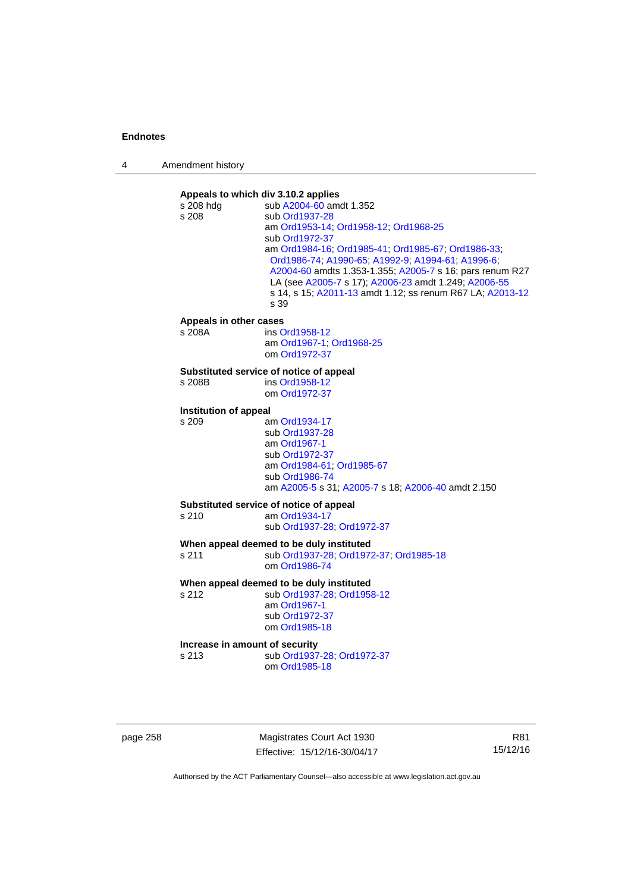| 4 | Amendment history |
|---|-------------------|
|---|-------------------|



page 258 Magistrates Court Act 1930 Effective: 15/12/16-30/04/17

R81 15/12/16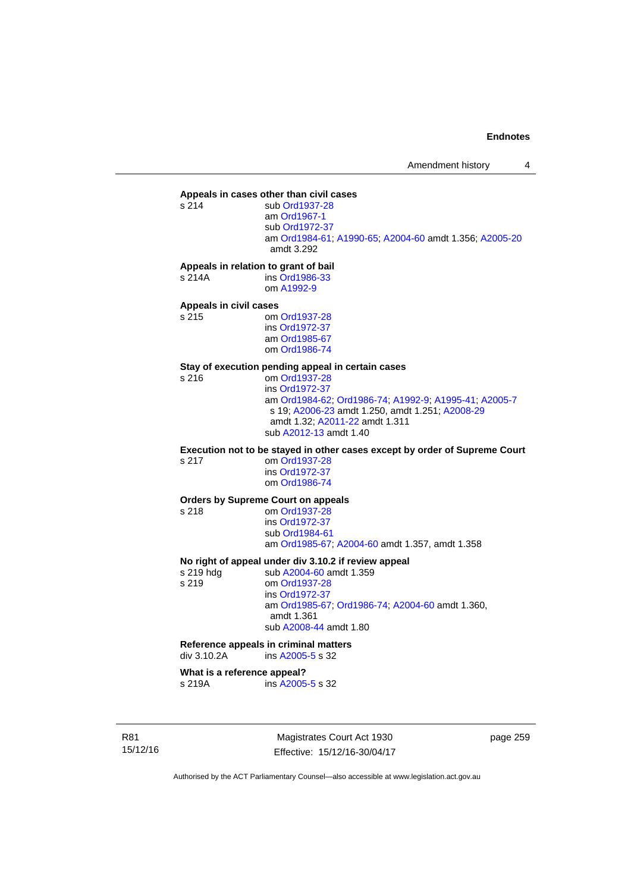# **Appeals in cases other than civil cases**

sub [Ord1937-28](http://www.legislation.act.gov.au/a/1937-28) am [Ord1967-1](http://www.legislation.act.gov.au/a/1967-1) sub [Ord1972-37](http://www.legislation.act.gov.au/a/1972-37) am [Ord1984-61](http://www.legislation.act.gov.au/a/1984-61); [A1990-65;](http://www.legislation.act.gov.au/a/1990-65) [A2004-60](http://www.legislation.act.gov.au/a/2004-60) amdt 1.356; [A2005-20](http://www.legislation.act.gov.au/a/2005-20) amdt 3.292

#### **Appeals in relation to grant of bail**

s 214A ins [Ord1986-33](http://www.legislation.act.gov.au/a/1986-33) om [A1992-9](http://www.legislation.act.gov.au/a/1992-9)

# **Appeals in civil cases**

om [Ord1937-28](http://www.legislation.act.gov.au/a/1937-28) ins [Ord1972-37](http://www.legislation.act.gov.au/a/1972-37) am [Ord1985-67](http://www.legislation.act.gov.au/a/1985-67) om [Ord1986-74](http://www.legislation.act.gov.au/a/1986-74)

# **Stay of execution pending appeal in certain cases**

om [Ord1937-28](http://www.legislation.act.gov.au/a/1937-28) ins [Ord1972-37](http://www.legislation.act.gov.au/a/1972-37) am [Ord1984-62](http://www.legislation.act.gov.au/a/1984-62); [Ord1986-74;](http://www.legislation.act.gov.au/a/1986-74) [A1992-9](http://www.legislation.act.gov.au/a/1992-9); [A1995-41](http://www.legislation.act.gov.au/a/1995-41); [A2005-7](http://www.legislation.act.gov.au/a/2005-7) s 19; [A2006-23](http://www.legislation.act.gov.au/a/2006-23) amdt 1.250, amdt 1.251; [A2008-29](http://www.legislation.act.gov.au/a/2008-29) amdt 1.32; [A2011-22](http://www.legislation.act.gov.au/a/2011-22) amdt 1.311 sub [A2012-13](http://www.legislation.act.gov.au/a/2012-13) amdt 1.40

**Execution not to be stayed in other cases except by order of Supreme Court** 

s 217 om [Ord1937-28](http://www.legislation.act.gov.au/a/1937-28) ins [Ord1972-37](http://www.legislation.act.gov.au/a/1972-37) om [Ord1986-74](http://www.legislation.act.gov.au/a/1986-74)

#### **Orders by Supreme Court on appeals**

s 218 om [Ord1937-28](http://www.legislation.act.gov.au/a/1937-28)

 ins [Ord1972-37](http://www.legislation.act.gov.au/a/1972-37) sub [Ord1984-61](http://www.legislation.act.gov.au/a/1984-61) am [Ord1985-67](http://www.legislation.act.gov.au/a/1985-67); [A2004-60](http://www.legislation.act.gov.au/a/2004-60) amdt 1.357, amdt 1.358

#### **No right of appeal under div 3.10.2 if review appeal**

s 219 hdg sub [A2004-60](http://www.legislation.act.gov.au/a/2004-60) amdt 1.359 s 219 om [Ord1937-28](http://www.legislation.act.gov.au/a/1937-28) ins [Ord1972-37](http://www.legislation.act.gov.au/a/1972-37) am [Ord1985-67;](http://www.legislation.act.gov.au/a/1985-67) [Ord1986-74;](http://www.legislation.act.gov.au/a/1986-74) [A2004-60](http://www.legislation.act.gov.au/a/2004-60) amdt 1.360, amdt 1.361 sub [A2008-44](http://www.legislation.act.gov.au/a/2008-44) amdt 1.80

### **Reference appeals in criminal matters**

div 3.10.2A ins [A2005-5](http://www.legislation.act.gov.au/a/2005-5) s 32

#### **What is a reference appeal?**

s 219A ins [A2005-5](http://www.legislation.act.gov.au/a/2005-5) s 32

R81 15/12/16

Magistrates Court Act 1930 Effective: 15/12/16-30/04/17 page 259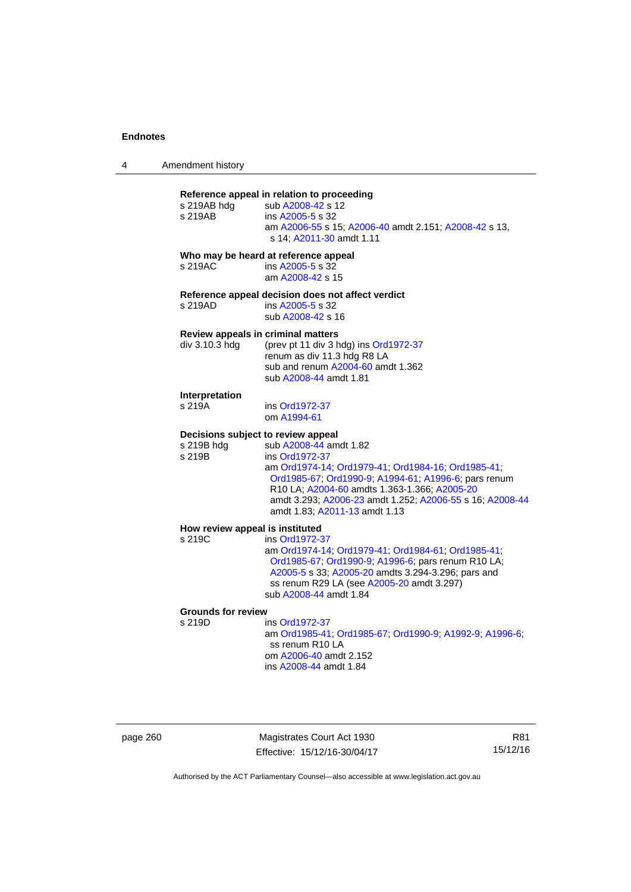| 4 | Amendment history |
|---|-------------------|
|   |                   |

### **Reference appeal in relation to proceeding**

| s 219AB                                                    | s 219AB hdg sub A2008-42 s 12<br>ins A2005-5 s 32<br>am A2006-55 s 15; A2006-40 amdt 2.151; A2008-42 s 13,<br>s 14; A2011-30 amdt 1.11                                                                                                                                                              |
|------------------------------------------------------------|-----------------------------------------------------------------------------------------------------------------------------------------------------------------------------------------------------------------------------------------------------------------------------------------------------|
| s 219AC                                                    | Who may be heard at reference appeal<br>ins A2005-5 s 32<br>am A2008-42 s 15                                                                                                                                                                                                                        |
| s 219AD                                                    | Reference appeal decision does not affect verdict<br>ins A2005-5 s 32<br>sub A2008-42 s 16                                                                                                                                                                                                          |
| Review appeals in criminal matters<br>div 3.10.3 hdg       | (prev pt 11 div 3 hdg) ins Ord1972-37<br>renum as div 11.3 hdg R8 LA<br>sub and renum A2004-60 amdt 1.362<br>sub A2008-44 amdt 1.81                                                                                                                                                                 |
| Interpretation<br>s 219A                                   | ins Ord1972-37<br>om A1994-61                                                                                                                                                                                                                                                                       |
| Decisions subject to review appeal<br>s 219B hdg<br>s 219B | sub A2008-44 amdt 1.82<br>ins Ord1972-37<br>am Ord1974-14; Ord1979-41; Ord1984-16; Ord1985-41;<br>Ord1985-67, Ord1990-9, A1994-61, A1996-6; pars renum<br>R10 LA; A2004-60 amdts 1.363-1.366; A2005-20<br>amdt 3.293; A2006-23 amdt 1.252; A2006-55 s 16; A2008-44<br>amdt 1.83; A2011-13 amdt 1.13 |
| How review appeal is instituted                            |                                                                                                                                                                                                                                                                                                     |
| s 219C                                                     | ins Ord1972-37<br>am Ord1974-14; Ord1979-41; Ord1984-61; Ord1985-41;<br>Ord1985-67; Ord1990-9; A1996-6; pars renum R10 LA;<br>A2005-5 s 33; A2005-20 amdts 3.294-3.296; pars and<br>ss renum R29 LA (see A2005-20 amdt 3.297)<br>$\sim$ $\mu$ $\sim$ 0.000 $\mu$ $\sim$ 0.44 $\mu$ 0.4              |

sub [A2008-44](http://www.legislation.act.gov.au/a/2008-44) amdt 1.84

# **Grounds for review**

ins [Ord1972-37](http://www.legislation.act.gov.au/a/1972-37) am [Ord1985-41](http://www.legislation.act.gov.au/a/1985-41); [Ord1985-67;](http://www.legislation.act.gov.au/a/1985-67) [Ord1990-9](http://www.legislation.act.gov.au/a/alt_ord1990-9); [A1992-9](http://www.legislation.act.gov.au/a/1992-9); [A1996-6](http://www.legislation.act.gov.au/a/1996-6); ss renum R10 LA om [A2006-40](http://www.legislation.act.gov.au/a/2006-40) amdt 2.152 ins [A2008-44](http://www.legislation.act.gov.au/a/2008-44) amdt 1.84

page 260 Magistrates Court Act 1930 Effective: 15/12/16-30/04/17

R81 15/12/16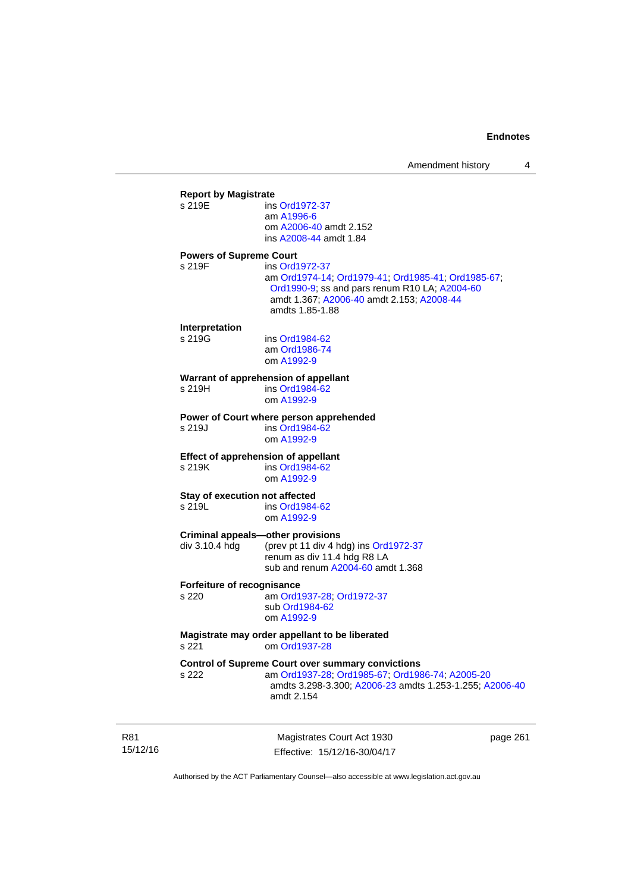|                | <b>Report by Magistrate</b>                              |
|----------------|----------------------------------------------------------|
| s 219E         | ins Ord1972-37                                           |
|                | am A1996-6                                               |
|                | om A2006-40 amdt 2.152                                   |
|                | ins A2008-44 amdt 1.84                                   |
|                | <b>Powers of Supreme Court</b>                           |
| s 219F         | ins Ord1972-37                                           |
|                | am Ord1974-14; Ord1979-41; Ord1985-41; Ord1985-67;       |
|                | Ord1990-9; ss and pars renum R10 LA; A2004-60            |
|                | amdt 1.367; A2006-40 amdt 2.153; A2008-44                |
|                | amdts 1.85-1.88                                          |
| Interpretation |                                                          |
| s 219G         | ins Ord1984-62                                           |
|                | am Ord1986-74                                            |
|                | om A1992-9                                               |
|                | Warrant of apprehension of appellant                     |
| s 219H         | ins Ord1984-62                                           |
|                | om A1992-9                                               |
|                |                                                          |
|                | Power of Court where person apprehended                  |
| s 219J         | ins Ord1984-62                                           |
|                | om A1992-9                                               |
|                | <b>Effect of apprehension of appellant</b>               |
| s 219K         | ins Ord1984-62                                           |
|                | om A1992-9                                               |
|                | Stay of execution not affected                           |
| s 219L         | ins Ord1984-62                                           |
|                | om A1992-9                                               |
|                | <b>Criminal appeals-other provisions</b>                 |
| div 3.10.4 hdg | (prev pt 11 div 4 hdg) ins Ord1972-37                    |
|                | renum as div 11.4 hdg R8 LA                              |
|                | sub and renum A2004-60 amdt 1.368                        |
|                |                                                          |
| s 220          | Forfeiture of recognisance                               |
|                | am Ord1937-28; Ord1972-37<br>sub Ord1984-62              |
|                | om A1992-9                                               |
|                |                                                          |
|                | Magistrate may order appellant to be liberated           |
| s 221          | om Ord1937-28                                            |
|                | <b>Control of Supreme Court over summary convictions</b> |
| s 222          | am Ord1937-28; Ord1985-67; Ord1986-74; A2005-20          |
|                | amdts 3.298-3.300; A2006-23 amdts 1.253-1.255; A2006-40  |
|                | amdt 2.154                                               |
|                |                                                          |
|                |                                                          |

R81 15/12/16

Magistrates Court Act 1930 Effective: 15/12/16-30/04/17 page 261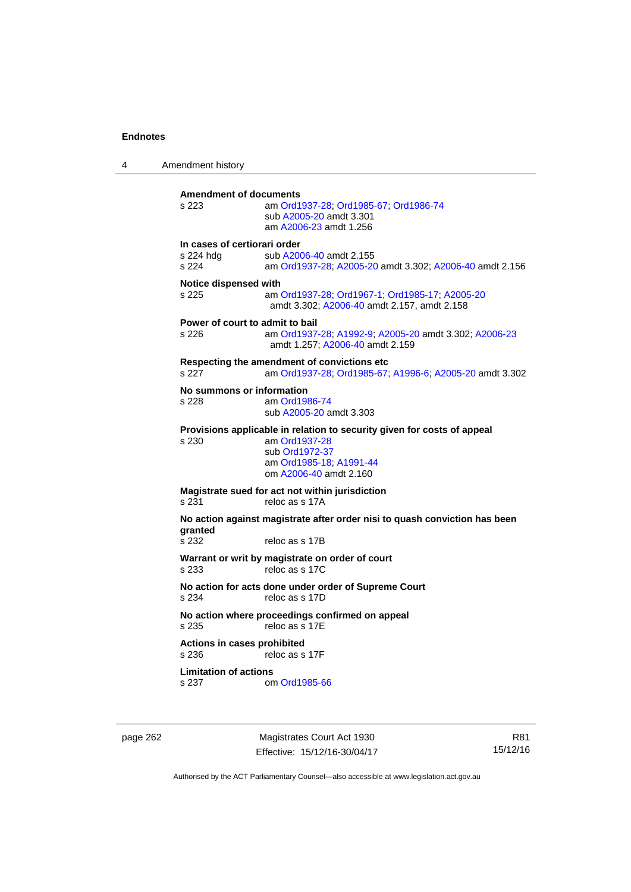4 Amendment history **Amendment of documents**  s 223 am [Ord1937-28](http://www.legislation.act.gov.au/a/1937-28); [Ord1985-67](http://www.legislation.act.gov.au/a/1985-67); [Ord1986-74](http://www.legislation.act.gov.au/a/1986-74) sub [A2005-20](http://www.legislation.act.gov.au/a/2005-20) amdt 3.301 am [A2006-23](http://www.legislation.act.gov.au/a/2006-23) amdt 1.256 **In cases of certiorari order**  s 224 hdg sub [A2006-40](http://www.legislation.act.gov.au/a/2006-40) amdt 2.155<br>s 224 am Ord1937-28: A2005-20 am [Ord1937-28](http://www.legislation.act.gov.au/a/1937-28); [A2005-20](http://www.legislation.act.gov.au/a/2005-20) amdt 3.302; [A2006-40](http://www.legislation.act.gov.au/a/2006-40) amdt 2.156 **Notice dispensed with**  s 225 am [Ord1937-28](http://www.legislation.act.gov.au/a/1937-28); [Ord1967-1](http://www.legislation.act.gov.au/a/1967-1); [Ord1985-17](http://www.legislation.act.gov.au/a/1985-17); [A2005-20](http://www.legislation.act.gov.au/a/2005-20) amdt 3.302; [A2006-40](http://www.legislation.act.gov.au/a/2006-40) amdt 2.157, amdt 2.158 **Power of court to admit to bail**  s 226 am [Ord1937-28](http://www.legislation.act.gov.au/a/1937-28); [A1992-9](http://www.legislation.act.gov.au/a/1992-9); [A2005-20](http://www.legislation.act.gov.au/a/2005-20) amdt 3.302; [A2006-23](http://www.legislation.act.gov.au/a/2006-23) amdt 1.257; [A2006-40](http://www.legislation.act.gov.au/a/2006-40) amdt 2.159 **Respecting the amendment of convictions etc**  s 227 am [Ord1937-28](http://www.legislation.act.gov.au/a/1937-28); [Ord1985-67;](http://www.legislation.act.gov.au/a/1985-67) [A1996-6](http://www.legislation.act.gov.au/a/1996-6); [A2005-20](http://www.legislation.act.gov.au/a/2005-20) amdt 3.302 **No summons or information**  s 228 am [Ord1986-74](http://www.legislation.act.gov.au/a/1986-74) sub [A2005-20](http://www.legislation.act.gov.au/a/2005-20) amdt 3.303 **Provisions applicable in relation to security given for costs of appeal**  s 230 am [Ord1937-28](http://www.legislation.act.gov.au/a/1937-28) sub [Ord1972-37](http://www.legislation.act.gov.au/a/1972-37) am [Ord1985-18;](http://www.legislation.act.gov.au/a/1985-18) [A1991-44](http://www.legislation.act.gov.au/a/1991-44) om [A2006-40](http://www.legislation.act.gov.au/a/2006-40) amdt 2.160 **Magistrate sued for act not within jurisdiction**  s 231 reloc as s 17A **No action against magistrate after order nisi to quash conviction has been granted**  reloc as s 17B **Warrant or writ by magistrate on order of court**  s 233 reloc as s 17C **No action for acts done under order of Supreme Court**<br>
s 234 reloc as s 17D reloc as s 17D **No action where proceedings confirmed on appeal**  s 235 reloc as s 17E **Actions in cases prohibited**  s 236 reloc as s 17F **Limitation of actions**  s 237 om [Ord1985-66](http://www.legislation.act.gov.au/a/1985-66)

page 262 Magistrates Court Act 1930 Effective: 15/12/16-30/04/17

R81 15/12/16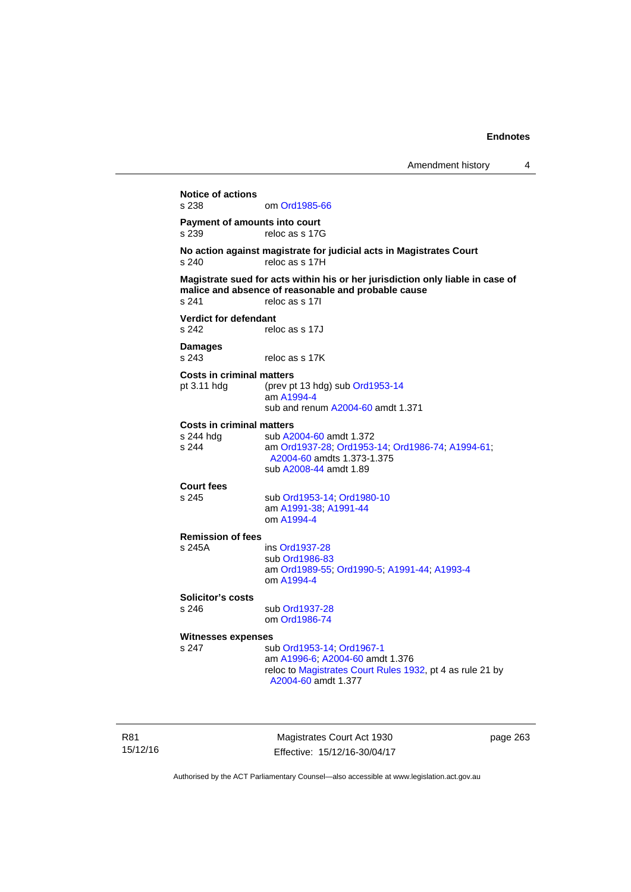**Notice of actions**  om [Ord1985-66](http://www.legislation.act.gov.au/a/1985-66) **Payment of amounts into court**  s 239 reloc as s 17G **No action against magistrate for judicial acts in Magistrates Court**  s 240 reloc as s 17H **Magistrate sued for acts within his or her jurisdiction only liable in case of malice and absence of reasonable and probable cause**  s 241 reloc as s 17I **Verdict for defendant**  s 242 reloc as s 17J **Damages**  s 243 reloc as s 17K **Costs in criminal matters**  pt 3.11 hdg (prev pt 13 hdg) sub [Ord1953-14](http://www.legislation.act.gov.au/a/1953-14) am [A1994-4](http://www.legislation.act.gov.au/a/1994-4) sub and renum [A2004-60](http://www.legislation.act.gov.au/a/2004-60) amdt 1.371 **Costs in criminal matters**  s 244 hdg sub [A2004-60](http://www.legislation.act.gov.au/a/2004-60) amdt 1.372<br>s 244 am Ord1937-28: Ord1953 s 244 am [Ord1937-28](http://www.legislation.act.gov.au/a/1937-28); [Ord1953-14;](http://www.legislation.act.gov.au/a/1953-14) [Ord1986-74](http://www.legislation.act.gov.au/a/1986-74); [A1994-61](http://www.legislation.act.gov.au/a/1994-61); [A2004-60](http://www.legislation.act.gov.au/a/2004-60) amdts 1.373-1.375 sub [A2008-44](http://www.legislation.act.gov.au/a/2008-44) amdt 1.89 **Court fees**  s 245 sub [Ord1953-14](http://www.legislation.act.gov.au/a/1953-14); [Ord1980-10](http://www.legislation.act.gov.au/a/1980-10) am [A1991-38;](http://www.legislation.act.gov.au/a/1991-38) [A1991-44](http://www.legislation.act.gov.au/a/1991-44) om [A1994-4](http://www.legislation.act.gov.au/a/1994-4) **Remission of fees**  s 245A ins [Ord1937-28](http://www.legislation.act.gov.au/a/1937-28) sub [Ord1986-83](http://www.legislation.act.gov.au/a/1986-83) am [Ord1989-55](http://www.legislation.act.gov.au/a/1989-55); [Ord1990-5](http://www.legislation.act.gov.au/a/alt_ord1990-5); [A1991-44](http://www.legislation.act.gov.au/a/1991-44); [A1993-4](http://www.legislation.act.gov.au/a/1993-4) om [A1994-4](http://www.legislation.act.gov.au/a/1994-4) **Solicitor's costs**  s 246 sub [Ord1937-28](http://www.legislation.act.gov.au/a/1937-28) om [Ord1986-74](http://www.legislation.act.gov.au/a/1986-74) **Witnesses expenses**  s 247 sub [Ord1953-14](http://www.legislation.act.gov.au/a/1953-14); [Ord1967-1](http://www.legislation.act.gov.au/a/1967-1) am [A1996-6;](http://www.legislation.act.gov.au/a/1996-6) [A2004-60](http://www.legislation.act.gov.au/a/2004-60) amdt 1.376 reloc to [Magistrates Court Rules 1932](http://www.legislation.act.gov.au/sl/1932-4/default.asp), pt 4 as rule 21 by [A2004-60](http://www.legislation.act.gov.au/a/2004-60) amdt 1.377

R81 15/12/16

Magistrates Court Act 1930 Effective: 15/12/16-30/04/17 page 263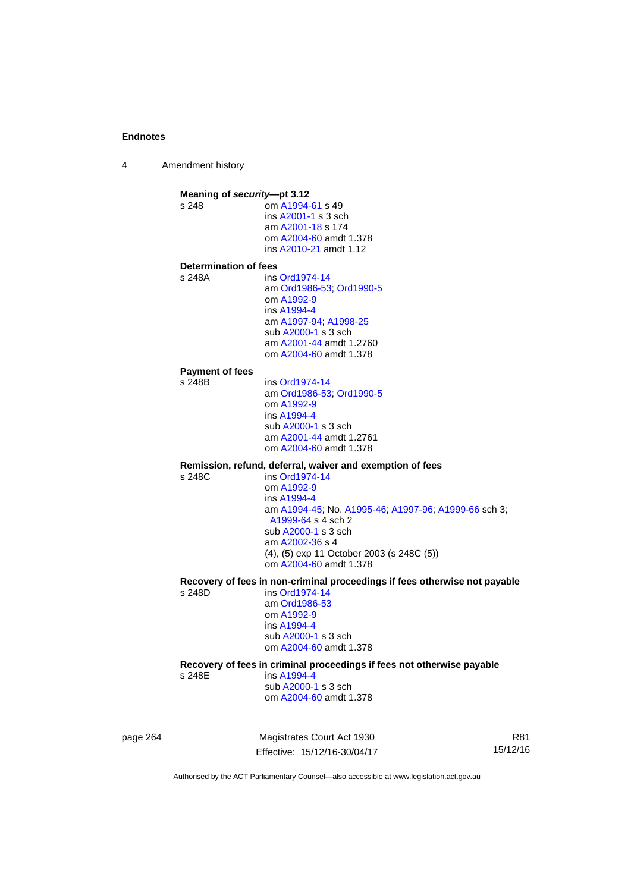4 Amendment history

**Meaning of** *security***—pt 3.12**<br>s 248 **com A1994** om [A1994-61](http://www.legislation.act.gov.au/a/1994-61) s 49 ins [A2001-1](http://www.legislation.act.gov.au/a/2001-1) s 3 sch am [A2001-18](http://www.legislation.act.gov.au/a/2001-18) s 174 om [A2004-60](http://www.legislation.act.gov.au/a/2004-60) amdt 1.378 ins [A2010-21](http://www.legislation.act.gov.au/a/2010-21) amdt 1.12 **Determination of fees**  s 248A ins [Ord1974-14](http://www.legislation.act.gov.au/a/1974-14) am [Ord1986-53](http://www.legislation.act.gov.au/a/1986-53); [Ord1990-5](http://www.legislation.act.gov.au/a/alt_ord1990-5) om [A1992-9](http://www.legislation.act.gov.au/a/1992-9) ins [A1994-4](http://www.legislation.act.gov.au/a/1994-4) am [A1997-94](http://www.legislation.act.gov.au/a/1997-94); [A1998-25](http://www.legislation.act.gov.au/a/1998-25) sub [A2000-1](http://www.legislation.act.gov.au/a/2000-1) s 3 sch am [A2001-44](http://www.legislation.act.gov.au/a/2001-44) amdt 1.2760 om [A2004-60](http://www.legislation.act.gov.au/a/2004-60) amdt 1.378 **Payment of fees**  s 248B ins [Ord1974-14](http://www.legislation.act.gov.au/a/1974-14) am [Ord1986-53](http://www.legislation.act.gov.au/a/1986-53); [Ord1990-5](http://www.legislation.act.gov.au/a/alt_ord1990-5) om [A1992-9](http://www.legislation.act.gov.au/a/1992-9) ins [A1994-4](http://www.legislation.act.gov.au/a/1994-4) sub [A2000-1](http://www.legislation.act.gov.au/a/2000-1) s 3 sch am [A2001-44](http://www.legislation.act.gov.au/a/2001-44) amdt 1.2761 om [A2004-60](http://www.legislation.act.gov.au/a/2004-60) amdt 1.378 **Remission, refund, deferral, waiver and exemption of fees**   $ins$  [Ord1974-14](http://www.legislation.act.gov.au/a/1974-14) om [A1992-9](http://www.legislation.act.gov.au/a/1992-9) ins [A1994-4](http://www.legislation.act.gov.au/a/1994-4) am [A1994-45](http://www.legislation.act.gov.au/a/1994-45); No. [A1995-46;](http://www.legislation.act.gov.au/a/1995-46) [A1997-96;](http://www.legislation.act.gov.au/a/1997-96) [A1999-66](http://www.legislation.act.gov.au/a/1999-66) sch 3; [A1999-64](http://www.legislation.act.gov.au/a/1999-64) s 4 sch 2 sub [A2000-1](http://www.legislation.act.gov.au/a/2000-1) s 3 sch am [A2002-36](http://www.legislation.act.gov.au/a/2002-36) s 4 (4), (5) exp 11 October 2003 (s 248C (5)) om [A2004-60](http://www.legislation.act.gov.au/a/2004-60) amdt 1.378 **Recovery of fees in non-criminal proceedings if fees otherwise not payable**  s 248D ins [Ord1974-14](http://www.legislation.act.gov.au/a/1974-14) am [Ord1986-53](http://www.legislation.act.gov.au/a/1986-53) om [A1992-9](http://www.legislation.act.gov.au/a/1992-9) ins [A1994-4](http://www.legislation.act.gov.au/a/1994-4) sub [A2000-1](http://www.legislation.act.gov.au/a/2000-1) s 3 sch om [A2004-60](http://www.legislation.act.gov.au/a/2004-60) amdt 1.378 **Recovery of fees in criminal proceedings if fees not otherwise payable**  s 248E ins [A1994-4](http://www.legislation.act.gov.au/a/1994-4) sub [A2000-1](http://www.legislation.act.gov.au/a/2000-1) s 3 sch om [A2004-60](http://www.legislation.act.gov.au/a/2004-60) amdt 1.378

page 264 Magistrates Court Act 1930 Effective: 15/12/16-30/04/17

R81 15/12/16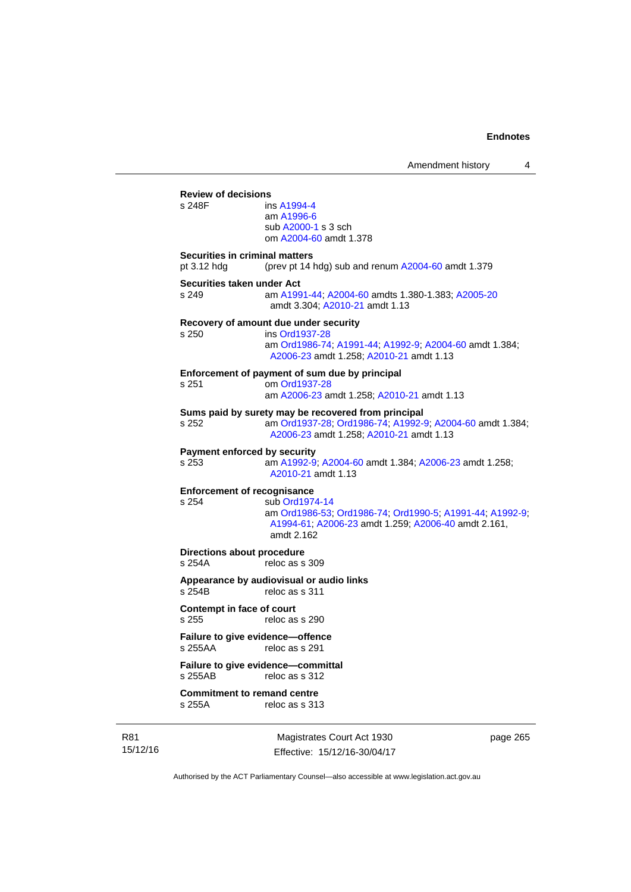|                                                      | Amendment history<br>4                                                                                                                                       |  |
|------------------------------------------------------|--------------------------------------------------------------------------------------------------------------------------------------------------------------|--|
| <b>Review of decisions</b><br>s 248F                 | ins A1994-4<br>am A1996-6<br>sub A2000-1 s 3 sch<br>om A2004-60 amdt 1.378                                                                                   |  |
| <b>Securities in criminal matters</b><br>pt 3.12 hdg | (prev pt 14 hdg) sub and renum A2004-60 amdt 1.379                                                                                                           |  |
| Securities taken under Act<br>s 249                  | am A1991-44; A2004-60 amdts 1.380-1.383; A2005-20<br>amdt 3.304; A2010-21 amdt 1.13                                                                          |  |
| s 250                                                | Recovery of amount due under security<br>ins Ord1937-28<br>am Ord1986-74; A1991-44; A1992-9; A2004-60 amdt 1.384;<br>A2006-23 amdt 1.258; A2010-21 amdt 1.13 |  |
| s 251                                                | Enforcement of payment of sum due by principal<br>om Ord1937-28<br>am A2006-23 amdt 1.258; A2010-21 amdt 1.13                                                |  |
| s 252                                                | Sums paid by surety may be recovered from principal<br>am Ord1937-28; Ord1986-74; A1992-9; A2004-60 amdt 1.384;<br>A2006-23 amdt 1.258; A2010-21 amdt 1.13   |  |
| <b>Payment enforced by security</b><br>s 253         | am A1992-9; A2004-60 amdt 1.384; A2006-23 amdt 1.258;<br>A2010-21 amdt 1.13                                                                                  |  |
| <b>Enforcement of recognisance</b><br>s 254          | sub Ord1974-14<br>am Ord1986-53, Ord1986-74, Ord1990-5, A1991-44, A1992-9,<br>A1994-61; A2006-23 amdt 1.259; A2006-40 amdt 2.161,<br>amdt 2.162              |  |
| Directions about procedure<br>s 254A                 | reloc as s 309                                                                                                                                               |  |
| s 254B                                               | Appearance by audiovisual or audio links<br>reloc as s 311                                                                                                   |  |
| Contempt in face of court<br>s 255                   | reloc as s 290                                                                                                                                               |  |
| Failure to give evidence-offence<br>s 255AA          | reloc as s 291                                                                                                                                               |  |
| s 255AB                                              | Failure to give evidence-committal<br>reloc as s 312                                                                                                         |  |
| <b>Commitment to remand centre</b><br>s 255A         | reloc as s 313                                                                                                                                               |  |

R81 15/12/16

Magistrates Court Act 1930 Effective: 15/12/16-30/04/17 page 265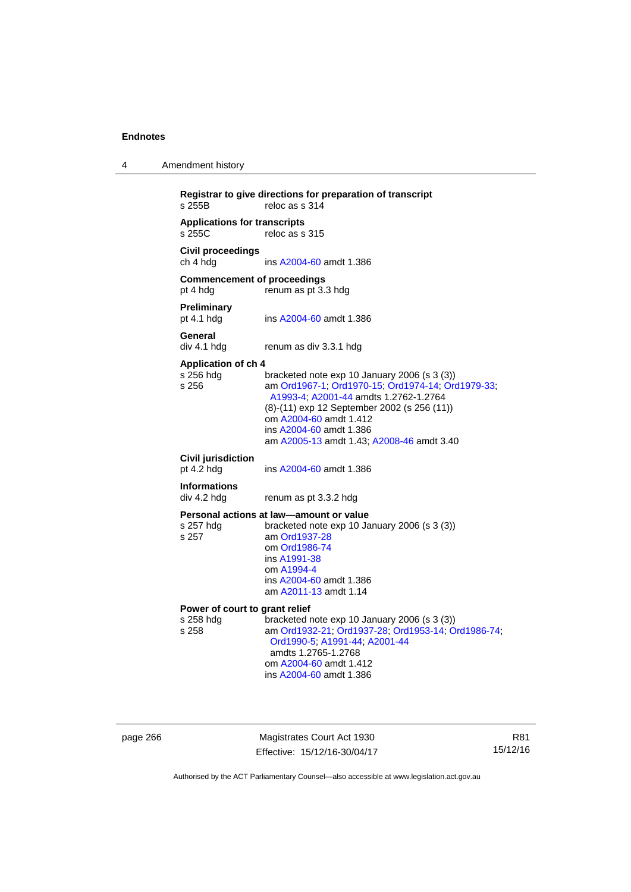| 4 | Amendment history |
|---|-------------------|
|---|-------------------|

```
Registrar to give directions for preparation of transcript 
                  reloc as s 314Applications for transcripts 
                  reloc as s 315
Civil proceedings 
ch 4 hdg ins A2004-60 amdt 1.386 
Commencement of proceedings 
pt 4 hdg renum as pt 3.3 hdg 
Preliminary 
                  A2004-60 amdt 1.386
General 
div 4.1 hdg renum as div 3.3.1 hdg 
Application of ch 4 
                  bracketed note exp 10 January 2006 (s 3 (3))
s 256 am Ord1967-1; Ord1970-15; Ord1974-14; Ord1979-33; 
                   A1993-4; A2001-44 amdts 1.2762-1.2764 
                  (8)-(11) exp 12 September 2002 (s 256 (11)) 
                   om A2004-60 amdt 1.412
                   ins A2004-60 amdt 1.386 
                   am A2005-13 amdt 1.43; A2008-46 amdt 3.40 
Civil jurisdiction 
A2004-60 amdt 1.386
Informations 
div 4.2 hdg renum as pt 3.3.2 hdg 
Personal actions at law—amount or value 
s 257 hdg bracketed note exp 10 January 2006 (s 3 (3))
s 257 am Ord1937-28
                   om Ord1986-74
                   ins A1991-38
                   om A1994-4
                   ins A2004-60 amdt 1.386 
                   am A2011-13 amdt 1.14
Power of court to grant relief<br>s 258 hdg bracketed r
s 258 hdg bracketed note exp 10 January 2006 (s 3 (3)) 
                  s 258 am Ord1932-21; Ord1937-28; Ord1953-14; Ord1986-74; 
                   Ord1990-5; A1991-44; A2001-44 
                   amdts 1.2765-1.2768 
                   om A2004-60 amdt 1.412
                   ins A2004-60 amdt 1.386
```
page 266 Magistrates Court Act 1930 Effective: 15/12/16-30/04/17

R81 15/12/16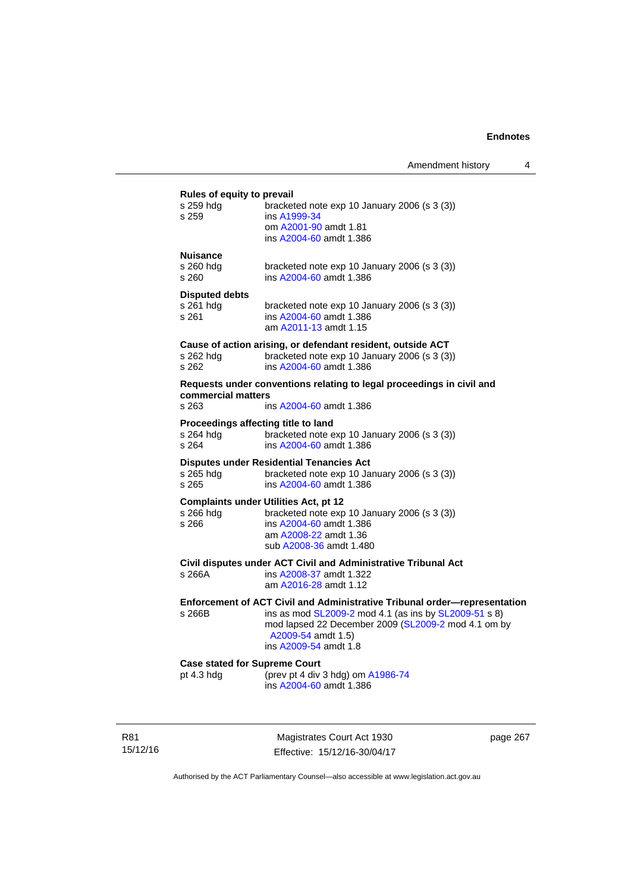#### **Rules of equity to prevail**

| s 259 hdg<br>s 259                                        | bracketed note exp 10 January 2006 (s 3 (3))<br>ins A1999-34<br>om A2001-90 amdt 1.81<br>ins A2004-60 amdt 1.386                                                                                                                         |
|-----------------------------------------------------------|------------------------------------------------------------------------------------------------------------------------------------------------------------------------------------------------------------------------------------------|
| <b>Nuisance</b><br>s 260 hda<br>s 260                     | bracketed note exp 10 January 2006 (s 3 (3))<br>ins A2004-60 amdt 1.386                                                                                                                                                                  |
| <b>Disputed debts</b><br>s 261 hdg<br>s 261               | bracketed note exp 10 January 2006 (s 3 (3))<br>ins A2004-60 amdt 1.386<br>am A2011-13 amdt 1.15                                                                                                                                         |
| s 262 hdg<br>s 262                                        | Cause of action arising, or defendant resident, outside ACT<br>bracketed note exp 10 January 2006 (s 3 (3))<br>ins A2004-60 amdt 1.386                                                                                                   |
| commercial matters<br>s 263                               | Requests under conventions relating to legal proceedings in civil and<br>ins A2004-60 amdt 1.386                                                                                                                                         |
| Proceedings affecting title to land<br>s 264 hdg<br>s 264 | bracketed note exp 10 January 2006 (s 3 (3))<br>ins A2004-60 amdt 1.386                                                                                                                                                                  |
| s 265 hdg<br>s 265                                        | <b>Disputes under Residential Tenancies Act</b><br>bracketed note exp 10 January 2006 (s 3 (3))<br>ins A2004-60 amdt 1.386                                                                                                               |
| s 266 hdg<br>s 266                                        | <b>Complaints under Utilities Act, pt 12</b><br>bracketed note exp 10 January 2006 (s 3 (3))<br>ins A2004-60 amdt 1.386<br>am A2008-22 amdt 1.36<br>sub A2008-36 amdt 1.480                                                              |
| s 266A                                                    | Civil disputes under ACT Civil and Administrative Tribunal Act<br>ins A2008-37 amdt 1.322<br>am A2016-28 amdt 1.12                                                                                                                       |
| s 266B                                                    | Enforcement of ACT Civil and Administrative Tribunal order-representation<br>ins as mod SL2009-2 mod 4.1 (as ins by SL2009-51 s 8)<br>mod lapsed 22 December 2009 (SL2009-2 mod 4.1 om by<br>A2009-54 amdt 1.5)<br>ins A2009-54 amdt 1.8 |
| <b>Case stated for Supreme Court</b><br>pt 4.3 hdg        | (prev pt 4 div 3 hdg) om A1986-74<br>ins A2004-60 amdt 1.386                                                                                                                                                                             |

R81 15/12/16

Magistrates Court Act 1930 Effective: 15/12/16-30/04/17 page 267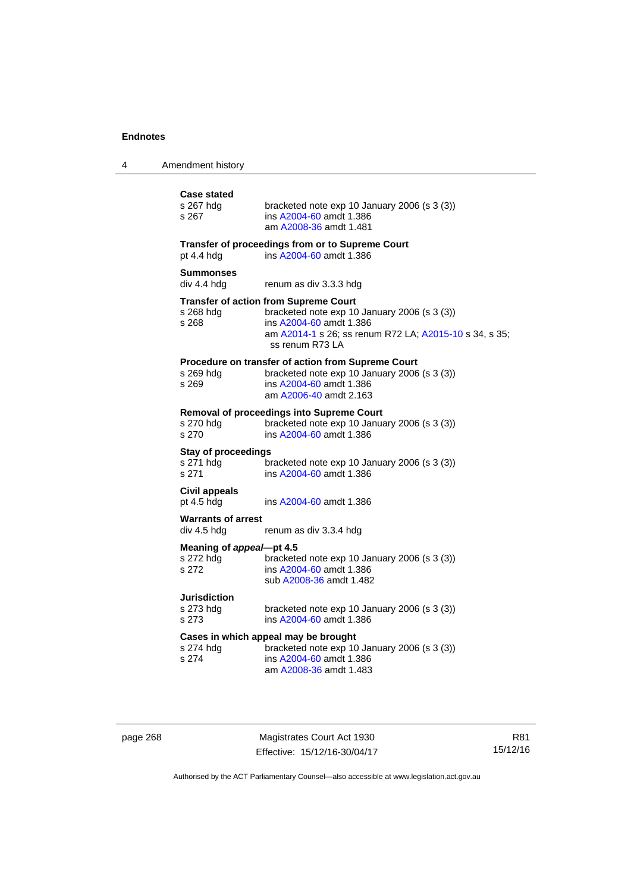| 4 | Amendment history |
|---|-------------------|
|---|-------------------|

| <b>Case stated</b><br>s 267 hdg<br>s 267         | bracketed note exp 10 January 2006 (s 3 (3))<br>ins A2004-60 amdt 1.386<br>am A2008-36 amdt 1.481                                                                                                    |
|--------------------------------------------------|------------------------------------------------------------------------------------------------------------------------------------------------------------------------------------------------------|
| pt 4.4 hdg                                       | Transfer of proceedings from or to Supreme Court<br>ins A2004-60 amdt 1.386                                                                                                                          |
| <b>Summonses</b><br>div 4.4 hdg                  | renum as div 3.3.3 hdg                                                                                                                                                                               |
| s 268 hdg<br>s 268                               | <b>Transfer of action from Supreme Court</b><br>bracketed note exp 10 January 2006 (s 3 (3))<br>ins A2004-60 amdt 1.386<br>am A2014-1 s 26; ss renum R72 LA; A2015-10 s 34, s 35;<br>ss renum R73 LA |
| s 269 hdg<br>s 269                               | Procedure on transfer of action from Supreme Court<br>bracketed note exp 10 January 2006 (s 3 (3))<br>ins A2004-60 amdt 1.386<br>am A2006-40 amdt 2.163                                              |
| s 270 hdg<br>s 270                               | <b>Removal of proceedings into Supreme Court</b><br>bracketed note exp 10 January 2006 (s 3 (3))<br>ins A2004-60 amdt 1.386                                                                          |
| <b>Stay of proceedings</b><br>s 271 hdg<br>s 271 | bracketed note exp 10 January 2006 (s 3 (3))<br>ins A2004-60 amdt 1.386                                                                                                                              |
| <b>Civil appeals</b><br>pt 4.5 hdg               | ins A2004-60 amdt 1.386                                                                                                                                                                              |
| <b>Warrants of arrest</b><br>div 4.5 hdg         | renum as div 3.3.4 hdg                                                                                                                                                                               |
| Meaning of appeal-pt 4.5<br>s 272 hdg<br>s 272   | bracketed note exp 10 January 2006 (s 3 (3))<br>ins A2004-60 amdt 1.386<br>sub A2008-36 amdt 1.482                                                                                                   |
| Jurisdiction<br>s 273 hdg<br>s 273               | bracketed note exp 10 January 2006 (s 3 (3))<br>ins A2004-60 amdt 1.386                                                                                                                              |
| s 274 hdg<br>s 274                               | Cases in which appeal may be brought<br>bracketed note exp 10 January 2006 (s 3 (3))<br>ins A2004-60 amdt 1.386<br>am A2008-36 amdt 1.483                                                            |

page 268 Magistrates Court Act 1930 Effective: 15/12/16-30/04/17

R81 15/12/16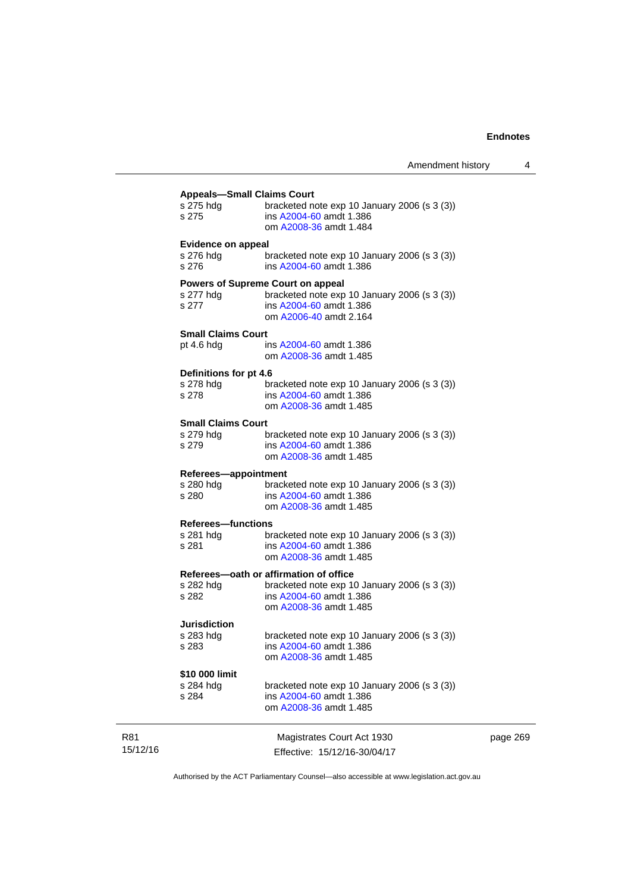| ins A2004-60 amdt 1.386<br>s 275<br>om A2008-36 amdt 1.484<br><b>Evidence on appeal</b><br>s 276 hdg<br>bracketed note $exp 10$ January 2006 (s 3 (3))<br>ins A2004-60 amdt 1.386<br>bracketed note exp 10 January 2006 (s 3 (3))<br>ins A2004-60 amdt 1.386<br>om A2006-40 amdt 2.164<br>ins A2004-60 amdt 1.386<br>om A2008-36 amdt 1.485<br>bracketed note $exp 10$ January 2006 (s 3 (3))<br>ins A2004-60 amdt 1.386<br>om A2008-36 amdt 1.485<br>bracketed note $exp 10$ January 2006 (s 3 (3))<br>ins A2004-60 amdt 1.386<br>om A2008-36 amdt 1.485<br>bracketed note $exp 10$ January 2006 (s 3 (3))<br>ins A2004-60 amdt 1.386<br>om A2008-36 amdt 1.485<br>bracketed note $exp 10$ January 2006 (s 3 (3))<br>ins A2004-60 amdt 1.386<br>om A2008-36 amdt 1.485<br>bracketed note $exp 10$ January 2006 (s 3 (3))<br>ins A2004-60 amdt 1.386<br>om A2008-36 amdt 1.485<br>bracketed note exp 10 January 2006 (s 3 (3))<br>ins A2004-60 amdt 1.386<br>om A2008-36 amdt 1.485<br>bracketed note exp 10 January 2006 (s 3 (3))<br>ins A2004-60 amdt 1.386 |  |
|----------------------------------------------------------------------------------------------------------------------------------------------------------------------------------------------------------------------------------------------------------------------------------------------------------------------------------------------------------------------------------------------------------------------------------------------------------------------------------------------------------------------------------------------------------------------------------------------------------------------------------------------------------------------------------------------------------------------------------------------------------------------------------------------------------------------------------------------------------------------------------------------------------------------------------------------------------------------------------------------------------------------------------------------------------------|--|
|                                                                                                                                                                                                                                                                                                                                                                                                                                                                                                                                                                                                                                                                                                                                                                                                                                                                                                                                                                                                                                                                |  |
|                                                                                                                                                                                                                                                                                                                                                                                                                                                                                                                                                                                                                                                                                                                                                                                                                                                                                                                                                                                                                                                                |  |
| s 276<br><b>Powers of Supreme Court on appeal</b>                                                                                                                                                                                                                                                                                                                                                                                                                                                                                                                                                                                                                                                                                                                                                                                                                                                                                                                                                                                                              |  |
|                                                                                                                                                                                                                                                                                                                                                                                                                                                                                                                                                                                                                                                                                                                                                                                                                                                                                                                                                                                                                                                                |  |
| s 277 hdg<br>s 277<br><b>Small Claims Court</b><br>pt $4.6$ hdg                                                                                                                                                                                                                                                                                                                                                                                                                                                                                                                                                                                                                                                                                                                                                                                                                                                                                                                                                                                                |  |
|                                                                                                                                                                                                                                                                                                                                                                                                                                                                                                                                                                                                                                                                                                                                                                                                                                                                                                                                                                                                                                                                |  |
|                                                                                                                                                                                                                                                                                                                                                                                                                                                                                                                                                                                                                                                                                                                                                                                                                                                                                                                                                                                                                                                                |  |
|                                                                                                                                                                                                                                                                                                                                                                                                                                                                                                                                                                                                                                                                                                                                                                                                                                                                                                                                                                                                                                                                |  |
|                                                                                                                                                                                                                                                                                                                                                                                                                                                                                                                                                                                                                                                                                                                                                                                                                                                                                                                                                                                                                                                                |  |
| Definitions for pt 4.6                                                                                                                                                                                                                                                                                                                                                                                                                                                                                                                                                                                                                                                                                                                                                                                                                                                                                                                                                                                                                                         |  |
| s 278 hdg<br>s 278                                                                                                                                                                                                                                                                                                                                                                                                                                                                                                                                                                                                                                                                                                                                                                                                                                                                                                                                                                                                                                             |  |
|                                                                                                                                                                                                                                                                                                                                                                                                                                                                                                                                                                                                                                                                                                                                                                                                                                                                                                                                                                                                                                                                |  |
| <b>Small Claims Court</b><br>s 279 hdg<br>s 279<br>Referees-appointment<br>s 280 hdg<br>s 280<br><b>Referees-functions</b><br>s 281 hdg<br>s 281<br>Referees-oath or affirmation of office<br>s 282 hdg<br>s 282<br>Jurisdiction<br>s 283 hdg<br>s 283<br>\$10 000 limit<br>s 284 hdg<br>s 284                                                                                                                                                                                                                                                                                                                                                                                                                                                                                                                                                                                                                                                                                                                                                                 |  |
|                                                                                                                                                                                                                                                                                                                                                                                                                                                                                                                                                                                                                                                                                                                                                                                                                                                                                                                                                                                                                                                                |  |
|                                                                                                                                                                                                                                                                                                                                                                                                                                                                                                                                                                                                                                                                                                                                                                                                                                                                                                                                                                                                                                                                |  |
|                                                                                                                                                                                                                                                                                                                                                                                                                                                                                                                                                                                                                                                                                                                                                                                                                                                                                                                                                                                                                                                                |  |
|                                                                                                                                                                                                                                                                                                                                                                                                                                                                                                                                                                                                                                                                                                                                                                                                                                                                                                                                                                                                                                                                |  |
|                                                                                                                                                                                                                                                                                                                                                                                                                                                                                                                                                                                                                                                                                                                                                                                                                                                                                                                                                                                                                                                                |  |
|                                                                                                                                                                                                                                                                                                                                                                                                                                                                                                                                                                                                                                                                                                                                                                                                                                                                                                                                                                                                                                                                |  |
|                                                                                                                                                                                                                                                                                                                                                                                                                                                                                                                                                                                                                                                                                                                                                                                                                                                                                                                                                                                                                                                                |  |
|                                                                                                                                                                                                                                                                                                                                                                                                                                                                                                                                                                                                                                                                                                                                                                                                                                                                                                                                                                                                                                                                |  |
|                                                                                                                                                                                                                                                                                                                                                                                                                                                                                                                                                                                                                                                                                                                                                                                                                                                                                                                                                                                                                                                                |  |
|                                                                                                                                                                                                                                                                                                                                                                                                                                                                                                                                                                                                                                                                                                                                                                                                                                                                                                                                                                                                                                                                |  |
|                                                                                                                                                                                                                                                                                                                                                                                                                                                                                                                                                                                                                                                                                                                                                                                                                                                                                                                                                                                                                                                                |  |
|                                                                                                                                                                                                                                                                                                                                                                                                                                                                                                                                                                                                                                                                                                                                                                                                                                                                                                                                                                                                                                                                |  |
|                                                                                                                                                                                                                                                                                                                                                                                                                                                                                                                                                                                                                                                                                                                                                                                                                                                                                                                                                                                                                                                                |  |
|                                                                                                                                                                                                                                                                                                                                                                                                                                                                                                                                                                                                                                                                                                                                                                                                                                                                                                                                                                                                                                                                |  |
|                                                                                                                                                                                                                                                                                                                                                                                                                                                                                                                                                                                                                                                                                                                                                                                                                                                                                                                                                                                                                                                                |  |
|                                                                                                                                                                                                                                                                                                                                                                                                                                                                                                                                                                                                                                                                                                                                                                                                                                                                                                                                                                                                                                                                |  |
|                                                                                                                                                                                                                                                                                                                                                                                                                                                                                                                                                                                                                                                                                                                                                                                                                                                                                                                                                                                                                                                                |  |
|                                                                                                                                                                                                                                                                                                                                                                                                                                                                                                                                                                                                                                                                                                                                                                                                                                                                                                                                                                                                                                                                |  |
|                                                                                                                                                                                                                                                                                                                                                                                                                                                                                                                                                                                                                                                                                                                                                                                                                                                                                                                                                                                                                                                                |  |
|                                                                                                                                                                                                                                                                                                                                                                                                                                                                                                                                                                                                                                                                                                                                                                                                                                                                                                                                                                                                                                                                |  |
|                                                                                                                                                                                                                                                                                                                                                                                                                                                                                                                                                                                                                                                                                                                                                                                                                                                                                                                                                                                                                                                                |  |
| om A2008-36 amdt 1.485                                                                                                                                                                                                                                                                                                                                                                                                                                                                                                                                                                                                                                                                                                                                                                                                                                                                                                                                                                                                                                         |  |
|                                                                                                                                                                                                                                                                                                                                                                                                                                                                                                                                                                                                                                                                                                                                                                                                                                                                                                                                                                                                                                                                |  |

page 269

Authorised by the ACT Parliamentary Counsel—also accessible at www.legislation.act.gov.au

R81 15/12/16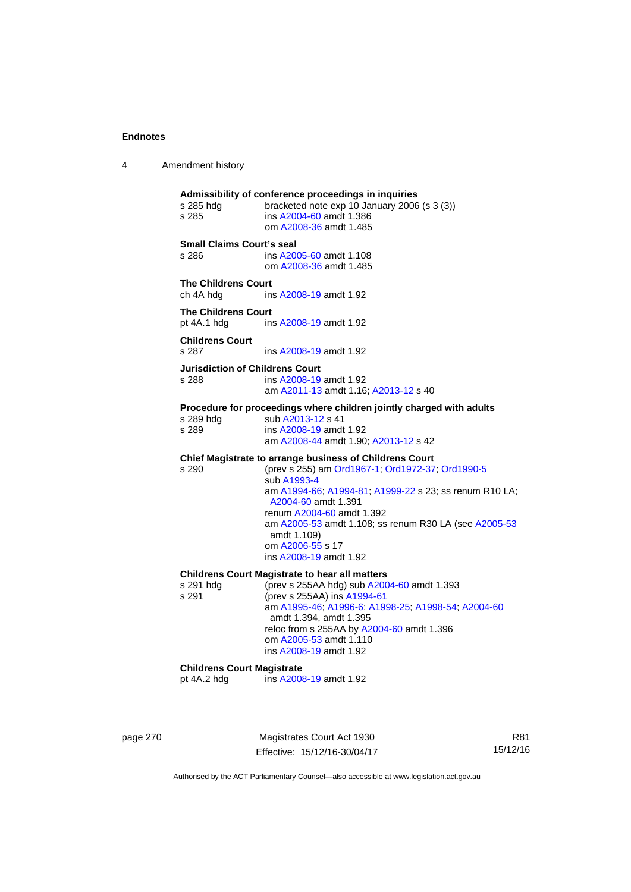4 Amendment history

**Admissibility of conference proceedings in inquiries**  bracketed note exp 10 January 2006 (s  $3$  (3)) s 285 ins [A2004-60](http://www.legislation.act.gov.au/a/2004-60) amdt 1.386 om [A2008-36](http://www.legislation.act.gov.au/a/2008-36) amdt 1.485 **Small Claims Court's seal**  s 286 ins [A2005-60](http://www.legislation.act.gov.au/a/2005-60) amdt 1.108 om [A2008-36](http://www.legislation.act.gov.au/a/2008-36) amdt 1.485 **The Childrens Court**  ch 4A hdg ins [A2008-19](http://www.legislation.act.gov.au/a/2008-19) amdt 1.92 **The Childrens Court**  pt 4A.1 hdg ins [A2008-19](http://www.legislation.act.gov.au/a/2008-19) amdt 1.92 **Childrens Court**  s 287 ins [A2008-19](http://www.legislation.act.gov.au/a/2008-19) amdt 1.92 **Jurisdiction of Childrens Court**  s 288 ins [A2008-19](http://www.legislation.act.gov.au/a/2008-19) amdt 1.92 am [A2011-13](http://www.legislation.act.gov.au/a/2011-13) amdt 1.16; [A2013-12](http://www.legislation.act.gov.au/a/2013-12) s 40 **Procedure for proceedings where children jointly charged with adults**  s 289 hdg sub [A2013-12](http://www.legislation.act.gov.au/a/2013-12) s 41 s 289 ins [A2008-19](http://www.legislation.act.gov.au/a/2008-19) amdt 1.92 am [A2008-44](http://www.legislation.act.gov.au/a/2008-44) amdt 1.90; [A2013-12](http://www.legislation.act.gov.au/a/2013-12) s 42 **Chief Magistrate to arrange business of Childrens Court**  s 290 (prev s 255) am [Ord1967-1](http://www.legislation.act.gov.au/a/1967-1); [Ord1972-37;](http://www.legislation.act.gov.au/a/1972-37) [Ord1990-5](http://www.legislation.act.gov.au/a/alt_ord1990-5) sub [A1993-4](http://www.legislation.act.gov.au/a/1993-4) am [A1994-66](http://www.legislation.act.gov.au/a/1994-66); [A1994-81](http://www.legislation.act.gov.au/a/1994-81); [A1999-22](http://www.legislation.act.gov.au/a/1999-22) s 23; ss renum R10 LA; [A2004-60](http://www.legislation.act.gov.au/a/2004-60) amdt 1.391 renum [A2004-60](http://www.legislation.act.gov.au/a/2004-60) amdt 1.392 am [A2005-53](http://www.legislation.act.gov.au/a/2005-53) amdt 1.108; ss renum R30 LA (see [A2005-53](http://www.legislation.act.gov.au/a/2005-53) amdt 1.109) om [A2006-55](http://www.legislation.act.gov.au/a/2006-55) s 17 ins [A2008-19](http://www.legislation.act.gov.au/a/2008-19) amdt 1.92 **Childrens Court Magistrate to hear all matters**  s 291 hdg (prev s 255AA hdg) sub [A2004-60](http://www.legislation.act.gov.au/a/2004-60) amdt 1.393<br>s 291 (prev s 255AA) ins A1994-61 (prev s 255AA) ins [A1994-61](http://www.legislation.act.gov.au/a/1994-61) am [A1995-46](http://www.legislation.act.gov.au/a/1995-46); [A1996-6;](http://www.legislation.act.gov.au/a/1996-6) [A1998-25](http://www.legislation.act.gov.au/a/1998-25); [A1998-54](http://www.legislation.act.gov.au/a/1998-54); [A2004-60](http://www.legislation.act.gov.au/a/2004-60) amdt 1.394, amdt 1.395 reloc from s 255AA by [A2004-60](http://www.legislation.act.gov.au/a/2004-60) amdt 1.396 om [A2005-53](http://www.legislation.act.gov.au/a/2005-53) amdt 1.110 ins [A2008-19](http://www.legislation.act.gov.au/a/2008-19) amdt 1.92 **Childrens Court Magistrate**<br>
ot 4A.2 hdg ins A200 ins [A2008-19](http://www.legislation.act.gov.au/a/2008-19) amdt 1.92

page 270 Magistrates Court Act 1930 Effective: 15/12/16-30/04/17

R81 15/12/16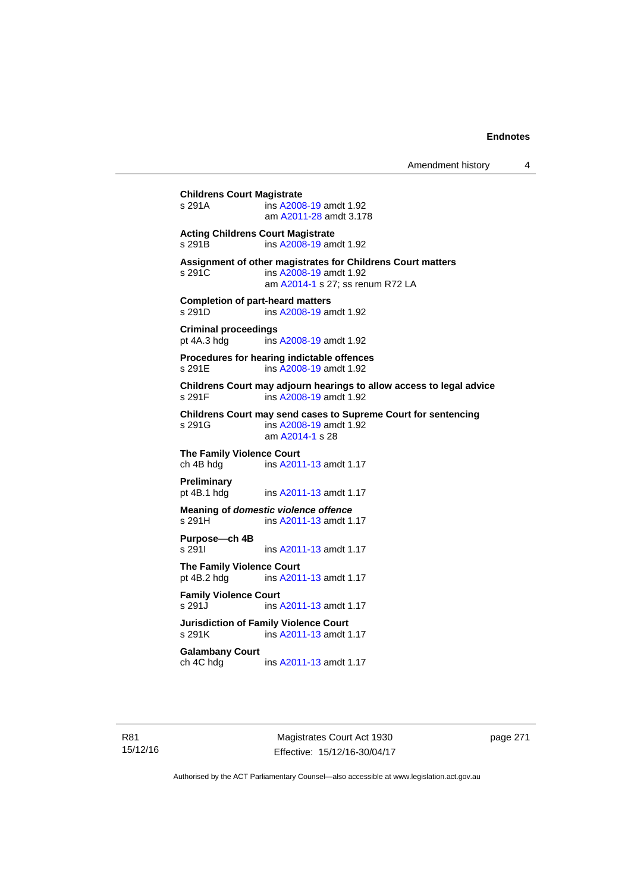# **Childrens Court Magistrate**  ins [A2008-19](http://www.legislation.act.gov.au/a/2008-19) amdt 1.92 am [A2011-28](http://www.legislation.act.gov.au/a/2011-28) amdt 3.178 **Acting Childrens Court Magistrate**  s 291B ins [A2008-19](http://www.legislation.act.gov.au/a/2008-19) amdt 1.92 **Assignment of other magistrates for Childrens Court matters**  s 291C ins [A2008-19](http://www.legislation.act.gov.au/a/2008-19) amdt 1.92 am [A2014-1](http://www.legislation.act.gov.au/a/2014-1) s 27; ss renum R72 LA **Completion of part-heard matters**  s 291D ins [A2008-19](http://www.legislation.act.gov.au/a/2008-19) amdt 1.92 **Criminal proceedings**  pt 4A.3 hdg ins [A2008-19](http://www.legislation.act.gov.au/a/2008-19) amdt 1.92 **Procedures for hearing indictable offences**  s 291E ins [A2008-19](http://www.legislation.act.gov.au/a/2008-19) amdt 1.92 **Childrens Court may adjourn hearings to allow access to legal advice**  ins [A2008-19](http://www.legislation.act.gov.au/a/2008-19) amdt 1.92 **Childrens Court may send cases to Supreme Court for sentencing**  ins [A2008-19](http://www.legislation.act.gov.au/a/2008-19) amdt 1.92 am [A2014-1](http://www.legislation.act.gov.au/a/2014-1) s 28 **The Family Violence Court**  ch 4B hdg ins [A2011-13](http://www.legislation.act.gov.au/a/2011-13) amdt 1.17 **Preliminary**  pt 4B.1 hdg ins [A2011-13](http://www.legislation.act.gov.au/a/2011-13) amdt 1.17 **Meaning of** *domestic violence offence* s 291H ins [A2011-13](http://www.legislation.act.gov.au/a/2011-13) amdt 1.17 **Purpose—ch 4B**  s 291I **ins [A2011-13](http://www.legislation.act.gov.au/a/2011-13) amdt 1.17 The Family Violence Court**  pt 4B.2 hdg ins [A2011-13](http://www.legislation.act.gov.au/a/2011-13) amdt 1.17 **Family Violence Court**  s 291J ins [A2011-13](http://www.legislation.act.gov.au/a/2011-13) amdt 1.17 **Jurisdiction of Family Violence Court**  ins [A2011-13](http://www.legislation.act.gov.au/a/2011-13) amdt 1.17 **Galambany Court**  ch 4C hdg ins [A2011-13](http://www.legislation.act.gov.au/a/2011-13) amdt 1.17

Magistrates Court Act 1930 Effective: 15/12/16-30/04/17 page 271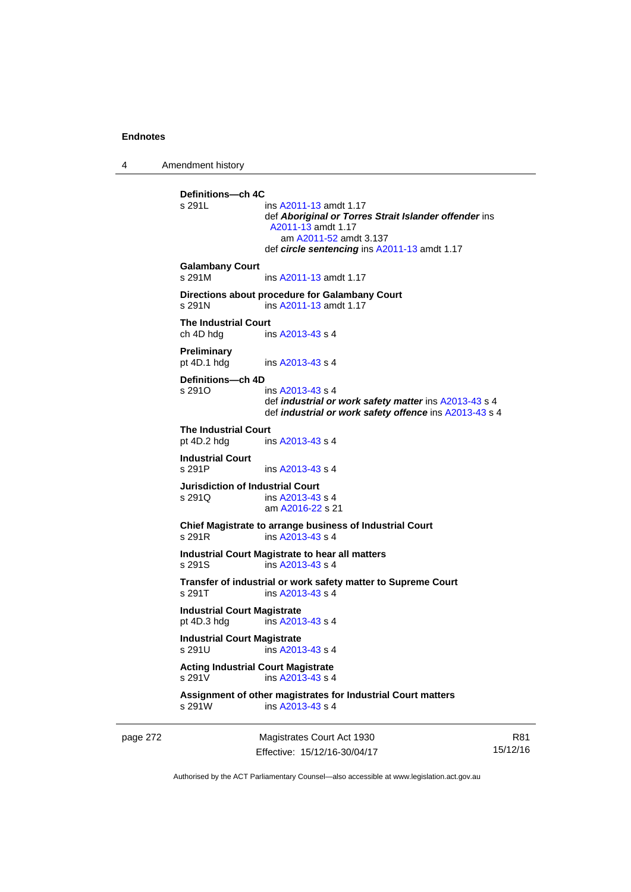4 Amendment history

page 272 Magistrates Court Act 1930 **Definitions—ch 4C**  ins [A2011-13](http://www.legislation.act.gov.au/a/2011-13) amdt 1.17 def *Aboriginal or Torres Strait Islander offender* ins [A2011-13](http://www.legislation.act.gov.au/a/2011-13) amdt 1.17 am [A2011-52](http://www.legislation.act.gov.au/a/2011-52) amdt 3.137 def *circle sentencing* ins [A2011-13](http://www.legislation.act.gov.au/a/2011-13) amdt 1.17 **Galambany Court**  s 291M ins [A2011-13](http://www.legislation.act.gov.au/a/2011-13) amdt 1.17 **Directions about procedure for Galambany Court**  s 291N ins [A2011-13](http://www.legislation.act.gov.au/a/2011-13) amdt 1.17 **The Industrial Court**  ch 4D hdg ins [A2013-43](http://www.legislation.act.gov.au/a/2013-43) s 4 **Preliminary**  pt 4D.1 hdg ins [A2013-43](http://www.legislation.act.gov.au/a/2013-43) s 4 **Definitions—ch 4D**   $ins A2013-43 s 4$  $ins A2013-43 s 4$  $ins A2013-43 s 4$  def *industrial or work safety matter* ins [A2013-43](http://www.legislation.act.gov.au/a/2013-43) s 4 def *industrial or work safety offence* ins [A2013-43](http://www.legislation.act.gov.au/a/2013-43) s 4 **The Industrial Court** pt 4D.2 hdg in ins  $A2013-43 s 4$ **Industrial Court**  s 291P ins [A2013-43](http://www.legislation.act.gov.au/a/2013-43) s 4 **Jurisdiction of Industrial Court**  s 291Q ins [A2013-43](http://www.legislation.act.gov.au/a/2013-43) s 4 am [A2016-22](http://www.legislation.act.gov.au/a/2016-22/default.asp) s 21 **Chief Magistrate to arrange business of Industrial Court**  s 291R ins [A2013-43](http://www.legislation.act.gov.au/a/2013-43) s 4 **Industrial Court Magistrate to hear all matters**  s 291S ins [A2013-43](http://www.legislation.act.gov.au/a/2013-43) s 4 **Transfer of industrial or work safety matter to Supreme Court**  s 291T ins [A2013-43](http://www.legislation.act.gov.au/a/2013-43) s 4 **Industrial Court Magistrate**  pt 4D.3 hdg ins [A2013-43](http://www.legislation.act.gov.au/a/2013-43) s 4 **Industrial Court Magistrate**   $ins$  [A2013-43](http://www.legislation.act.gov.au/a/2013-43) s 4 **Acting Industrial Court Magistrate**  s 291V ins [A2013-43](http://www.legislation.act.gov.au/a/2013-43) s 4 **Assignment of other magistrates for Industrial Court matters**  s 291W ins [A2013-43](http://www.legislation.act.gov.au/a/2013-43) s 4

Effective: 15/12/16-30/04/17

R81 15/12/16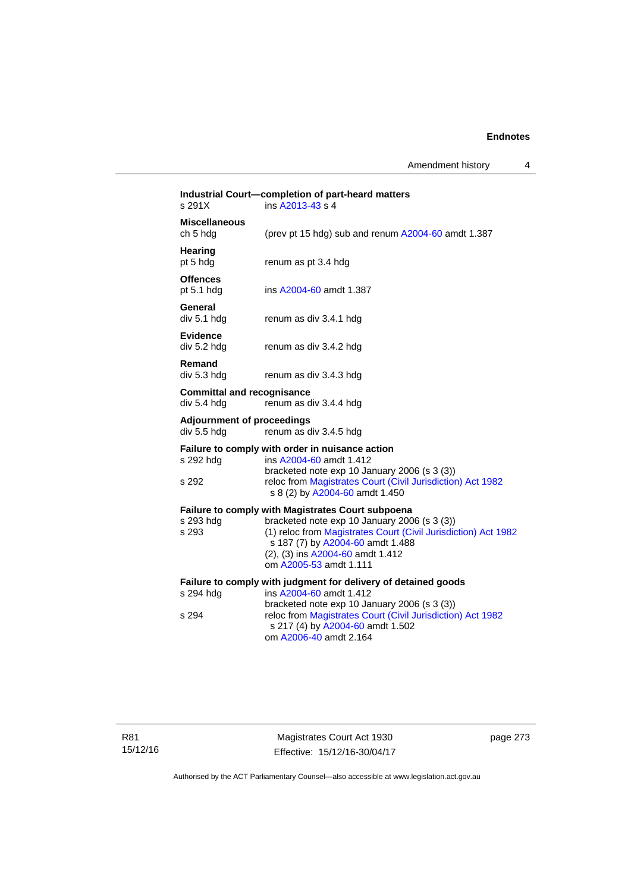Amendment history 4

| s 291X                                           | Industrial Court-completion of part-heard matters<br>ins A2013-43 s 4                                                                                                                                                                                                        |
|--------------------------------------------------|------------------------------------------------------------------------------------------------------------------------------------------------------------------------------------------------------------------------------------------------------------------------------|
| <b>Miscellaneous</b><br>ch 5 hdg                 | (prev pt 15 hdg) sub and renum A2004-60 amdt 1.387                                                                                                                                                                                                                           |
| Hearing<br>pt 5 hdg                              | renum as pt 3.4 hdg                                                                                                                                                                                                                                                          |
| <b>Offences</b><br>pt $5.1$ hdg                  | ins A2004-60 amdt 1.387                                                                                                                                                                                                                                                      |
| General<br>div 5.1 hdg                           | renum as div 3.4.1 hdg                                                                                                                                                                                                                                                       |
| <b>Evidence</b><br>div 5.2 hdg                   | renum as div 3.4.2 hdg                                                                                                                                                                                                                                                       |
| Remand<br>div 5.3 hdg                            | renum as div 3.4.3 hdg                                                                                                                                                                                                                                                       |
| <b>Committal and recognisance</b><br>div 5.4 hdg | renum as div 3.4.4 hdg                                                                                                                                                                                                                                                       |
| <b>Adjournment of proceedings</b><br>div 5.5 hdg | renum as div 3.4.5 hdg                                                                                                                                                                                                                                                       |
| s 292 hdg<br>s 292                               | Failure to comply with order in nuisance action<br>ins A2004-60 amdt 1.412<br>bracketed note exp 10 January 2006 (s 3 (3))<br>reloc from Magistrates Court (Civil Jurisdiction) Act 1982<br>s 8 (2) by A2004-60 amdt 1.450                                                   |
| s 293 hdg<br>s 293                               | <b>Failure to comply with Magistrates Court subpoena</b><br>bracketed note exp 10 January 2006 (s 3 (3))<br>(1) reloc from Magistrates Court (Civil Jurisdiction) Act 1982<br>s 187 (7) by A2004-60 amdt 1.488<br>(2), (3) ins A2004-60 amdt 1.412<br>om A2005-53 amdt 1.111 |
| s 294 hdg<br>s 294                               | Failure to comply with judgment for delivery of detained goods<br>ins A2004-60 amdt 1.412<br>bracketed note exp 10 January 2006 (s 3 (3))<br>reloc from Magistrates Court (Civil Jurisdiction) Act 1982<br>s 217 (4) by A2004-60 amdt 1.502<br>om A2006-40 amdt 2.164        |
|                                                  |                                                                                                                                                                                                                                                                              |

page 273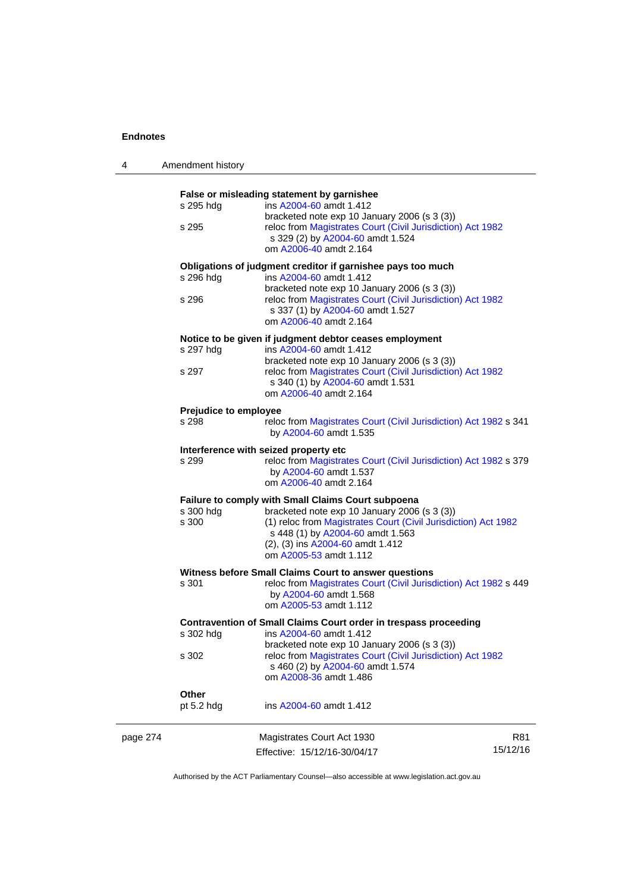4 Amendment history

|          |                       | False or misleading statement by garnishee                                                                                                                                                                       |          |
|----------|-----------------------|------------------------------------------------------------------------------------------------------------------------------------------------------------------------------------------------------------------|----------|
|          | s 295 hdg             | ins A2004-60 amdt 1.412                                                                                                                                                                                          |          |
|          | s 295                 | bracketed note exp 10 January 2006 (s 3 (3))<br>reloc from Magistrates Court (Civil Jurisdiction) Act 1982<br>s 329 (2) by A2004-60 amdt 1.524<br>om A2006-40 amdt 2.164                                         |          |
|          |                       | Obligations of judgment creditor if garnishee pays too much                                                                                                                                                      |          |
|          | s 296 hdg             | ins A2004-60 amdt 1.412<br>bracketed note exp 10 January 2006 (s 3 (3))                                                                                                                                          |          |
|          | s 296                 | reloc from Magistrates Court (Civil Jurisdiction) Act 1982<br>s 337 (1) by A2004-60 amdt 1.527<br>om A2006-40 amdt 2.164                                                                                         |          |
|          |                       | Notice to be given if judgment debtor ceases employment                                                                                                                                                          |          |
|          | s 297 hdg             | ins A2004-60 amdt 1.412<br>bracketed note exp 10 January 2006 (s 3 (3))                                                                                                                                          |          |
|          | s 297                 | reloc from Magistrates Court (Civil Jurisdiction) Act 1982<br>s 340 (1) by A2004-60 amdt 1.531<br>om A2006-40 amdt 2.164                                                                                         |          |
|          | Prejudice to employee |                                                                                                                                                                                                                  |          |
|          | s 298                 | reloc from Magistrates Court (Civil Jurisdiction) Act 1982 s 341<br>by A2004-60 amdt 1.535                                                                                                                       |          |
|          |                       | Interference with seized property etc                                                                                                                                                                            |          |
|          | s 299                 | reloc from Magistrates Court (Civil Jurisdiction) Act 1982 s 379<br>by A2004-60 amdt 1.537<br>om A2006-40 amdt 2.164                                                                                             |          |
|          |                       | Failure to comply with Small Claims Court subpoena                                                                                                                                                               |          |
|          | s 300 hdg<br>s 300    | bracketed note exp 10 January 2006 (s 3 (3))<br>(1) reloc from Magistrates Court (Civil Jurisdiction) Act 1982<br>s 448 (1) by A2004-60 amdt 1.563<br>(2), (3) ins A2004-60 amdt 1.412<br>om A2005-53 amdt 1.112 |          |
|          |                       | Witness before Small Claims Court to answer questions                                                                                                                                                            |          |
|          | s 301                 | reloc from Magistrates Court (Civil Jurisdiction) Act 1982 s 449<br>by A2004-60 amdt 1.568<br>om A2005-53 amdt 1.112                                                                                             |          |
|          |                       | Contravention of Small Claims Court order in trespass proceeding                                                                                                                                                 |          |
|          | s 302 hdg             | ins A2004-60 amdt 1.412<br>bracketed note exp 10 January 2006 (s 3 (3))                                                                                                                                          |          |
|          | s 302                 | reloc from Magistrates Court (Civil Jurisdiction) Act 1982<br>s 460 (2) by A2004-60 amdt 1.574<br>om A2008-36 amdt 1.486                                                                                         |          |
|          | Other                 |                                                                                                                                                                                                                  |          |
|          | pt $5.2$ hdg          | ins A2004-60 amdt 1.412                                                                                                                                                                                          |          |
| page 274 |                       | Magistrates Court Act 1930                                                                                                                                                                                       | R81      |
|          |                       | Effective: 15/12/16-30/04/17                                                                                                                                                                                     | 15/12/16 |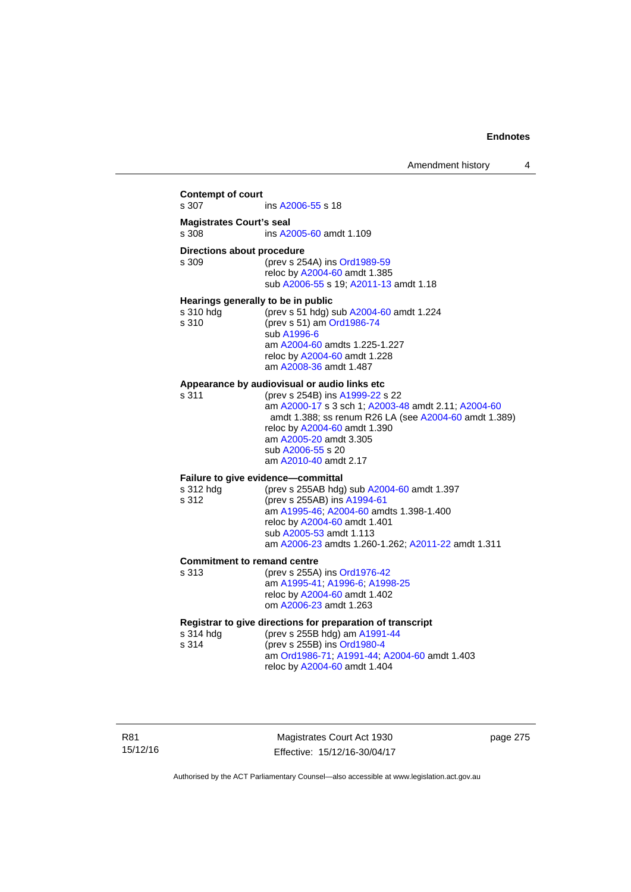## **Contempt of court**  s 307 ins [A2006-55](http://www.legislation.act.gov.au/a/2006-55) s 18 **Magistrates Court's seal**  s 308 ins [A2005-60](http://www.legislation.act.gov.au/a/2005-60) amdt 1.109 **Directions about procedure**<br>s 309 (prev s 25) (prev s 254A) ins [Ord1989-59](http://www.legislation.act.gov.au/a/1989-59) reloc by [A2004-60](http://www.legislation.act.gov.au/a/2004-60) amdt 1.385 sub [A2006-55](http://www.legislation.act.gov.au/a/2006-55) s 19; [A2011-13](http://www.legislation.act.gov.au/a/2011-13) amdt 1.18 **Hearings generally to be in public**  s 310 hdg (prev s 51 hdg) sub [A2004-60](http://www.legislation.act.gov.au/a/2004-60) amdt 1.224 s 310 (prev s 51) am [Ord1986-74](http://www.legislation.act.gov.au/a/1986-74) sub [A1996-6](http://www.legislation.act.gov.au/a/1996-6) am [A2004-60](http://www.legislation.act.gov.au/a/2004-60) amdts 1.225-1.227 reloc by [A2004-60](http://www.legislation.act.gov.au/a/2004-60) amdt 1.228 am [A2008-36](http://www.legislation.act.gov.au/a/2008-36) amdt 1.487 **Appearance by audiovisual or audio links etc**  s 311 (prev s 254B) ins [A1999-22](http://www.legislation.act.gov.au/a/1999-22) s 22 am [A2000-17](http://www.legislation.act.gov.au/a/2000-17) s 3 sch 1; [A2003-48](http://www.legislation.act.gov.au/a/2003-48) amdt 2.11; [A2004-60](http://www.legislation.act.gov.au/a/2004-60) amdt 1.388; ss renum R26 LA (see [A2004-60](http://www.legislation.act.gov.au/a/2004-60) amdt 1.389) reloc by [A2004-60](http://www.legislation.act.gov.au/a/2004-60) amdt 1.390 am [A2005-20](http://www.legislation.act.gov.au/a/2005-20) amdt 3.305 sub [A2006-55](http://www.legislation.act.gov.au/a/2006-55) s 20 am [A2010-40](http://www.legislation.act.gov.au/a/2010-40) amdt 2.17 **Failure to give evidence—committal**  s 312 hdg (prev s 255AB hdg) sub [A2004-60](http://www.legislation.act.gov.au/a/2004-60) amdt 1.397 s 312 (prev s 255AB) ins [A1994-61](http://www.legislation.act.gov.au/a/1994-61) am [A1995-46](http://www.legislation.act.gov.au/a/1995-46); [A2004-60](http://www.legislation.act.gov.au/a/2004-60) amdts 1.398-1.400 reloc by [A2004-60](http://www.legislation.act.gov.au/a/2004-60) amdt 1.401 sub [A2005-53](http://www.legislation.act.gov.au/a/2005-53) amdt 1.113 am [A2006-23](http://www.legislation.act.gov.au/a/2006-23) amdts 1.260-1.262; [A2011-22](http://www.legislation.act.gov.au/a/2011-22) amdt 1.311 **Commitment to remand centre**  s 313 (prev s 255A) ins [Ord1976-42](http://www.legislation.act.gov.au/a/1976-42) am [A1995-41](http://www.legislation.act.gov.au/a/1995-41); [A1996-6](http://www.legislation.act.gov.au/a/1996-6); [A1998-25](http://www.legislation.act.gov.au/a/1998-25) reloc by [A2004-60](http://www.legislation.act.gov.au/a/2004-60) amdt 1.402 om [A2006-23](http://www.legislation.act.gov.au/a/2006-23) amdt 1.263 **Registrar to give directions for preparation of transcript**<br>s 314 hdd (prev s 255B hdd) am A1991-44 (prev s 255B hdg) am [A1991-44](http://www.legislation.act.gov.au/a/1991-44) s 314 (prev s 255B) ins [Ord1980-4](http://www.legislation.act.gov.au/a/1980-4) am [Ord1986-71](http://www.legislation.act.gov.au/a/1986-71); [A1991-44](http://www.legislation.act.gov.au/a/1991-44); [A2004-60](http://www.legislation.act.gov.au/a/2004-60) amdt 1.403 reloc by [A2004-60](http://www.legislation.act.gov.au/a/2004-60) amdt 1.404

R81 15/12/16

Magistrates Court Act 1930 Effective: 15/12/16-30/04/17 page 275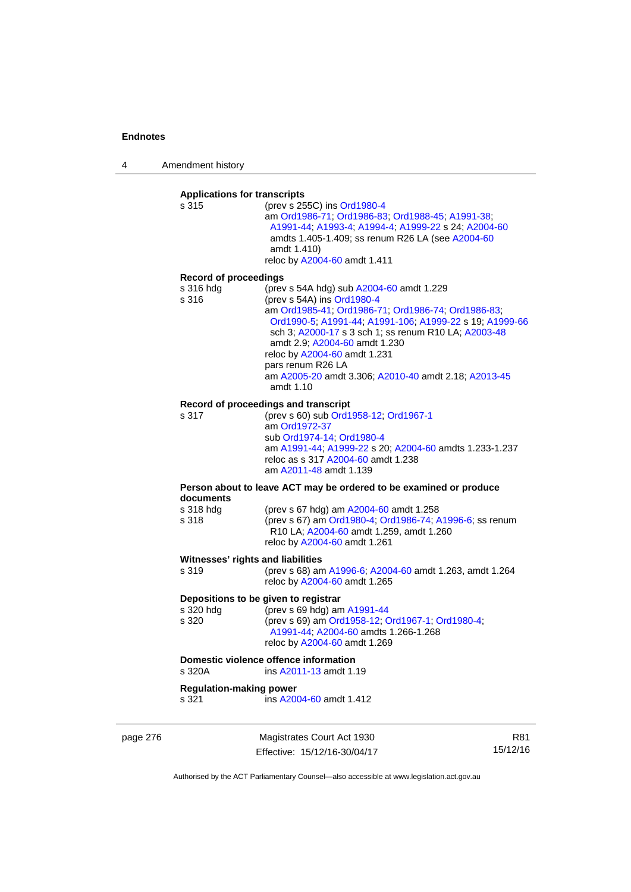4 Amendment history

# **Applications for transcripts**

s 315 (prev s 255C) ins [Ord1980-4](http://www.legislation.act.gov.au/a/1980-4) am [Ord1986-71](http://www.legislation.act.gov.au/a/1986-71); [Ord1986-83;](http://www.legislation.act.gov.au/a/1986-83) [Ord1988-45](http://www.legislation.act.gov.au/a/1988-45); [A1991-38](http://www.legislation.act.gov.au/a/1991-38); [A1991-44;](http://www.legislation.act.gov.au/a/1991-44) [A1993-4;](http://www.legislation.act.gov.au/a/1993-4) [A1994-4](http://www.legislation.act.gov.au/a/1994-4); [A1999-22](http://www.legislation.act.gov.au/a/1999-22) s 24; [A2004-60](http://www.legislation.act.gov.au/a/2004-60) amdts 1.405-1.409; ss renum R26 LA (see [A2004-60](http://www.legislation.act.gov.au/a/2004-60) amdt 1.410) reloc by [A2004-60](http://www.legislation.act.gov.au/a/2004-60) amdt 1.411

#### **Record of proceedings**

| s 316 hda | (prev s 54A hdg) sub A2004-60 amdt 1.229                |
|-----------|---------------------------------------------------------|
| s 316     | (prev s 54A) ins Ord1980-4                              |
|           | am Ord1985-41, Ord1986-71, Ord1986-74, Ord1986-83,      |
|           | Ord1990-5; A1991-44; A1991-106; A1999-22 s 19; A1999-66 |
|           | sch 3; A2000-17 s 3 sch 1; ss renum R10 LA; A2003-48    |
|           | amdt 2.9: A2004-60 amdt 1.230                           |
|           | reloc by A2004-60 amdt 1.231                            |
|           | pars renum R26 LA                                       |
|           | am A2005-20 amdt 3.306; A2010-40 amdt 2.18; A2013-45    |
|           | amdt 1.10                                               |

#### **Record of proceedings and transcript**

s 317 (prev s 60) sub [Ord1958-12](http://www.legislation.act.gov.au/a/1958-12); [Ord1967-1](http://www.legislation.act.gov.au/a/1967-1) am [Ord1972-37](http://www.legislation.act.gov.au/a/1972-37) sub [Ord1974-14](http://www.legislation.act.gov.au/a/1974-14); [Ord1980-4](http://www.legislation.act.gov.au/a/1980-4) am [A1991-44](http://www.legislation.act.gov.au/a/1991-44); [A1999-22](http://www.legislation.act.gov.au/a/1999-22) s 20; [A2004-60](http://www.legislation.act.gov.au/a/2004-60) amdts 1.233-1.237 reloc as s 317 [A2004-60](http://www.legislation.act.gov.au/a/2004-60) amdt 1.238 am [A2011-48](http://www.legislation.act.gov.au/a/2011-48) amdt 1.139

#### **Person about to leave ACT may be ordered to be examined or produce documents**

| s 318 hda | (prev s 67 hdg) am A2004-60 amdt 1.258                  |
|-----------|---------------------------------------------------------|
| s 318     | (prev s 67) am Ord1980-4; Ord1986-74; A1996-6; ss renum |
|           | R10 LA: A2004-60 amdt 1.259, amdt 1.260                 |
|           | reloc by A2004-60 amdt 1.261                            |

#### **Witnesses' rights and liabilities**

| s 319 | (prev s 68) am A1996-6, A2004-60 amdt 1.263, amdt 1.264 |
|-------|---------------------------------------------------------|
|       | reloc by A2004-60 amdt 1.265                            |

### **Depositions to be given to registrar**

| s 320 hdg | (prev s 69 hdg) am A1991-44                      |
|-----------|--------------------------------------------------|
| s 320     | (prev s 69) am Ord1958-12, Ord1967-1, Ord1980-4, |
|           | A1991-44: A2004-60 amdts 1.266-1.268             |
|           | reloc by A2004-60 amdt 1.269                     |

# **Domestic violence offence information**<br>s 320A **ins A2011-13** amdt 1.

ins [A2011-13](http://www.legislation.act.gov.au/a/2011-13) amdt 1.19

### **Regulation-making power**

s 321 ins [A2004-60](http://www.legislation.act.gov.au/a/2004-60) amdt 1.412

page 276 Magistrates Court Act 1930 Effective: 15/12/16-30/04/17

R81 15/12/16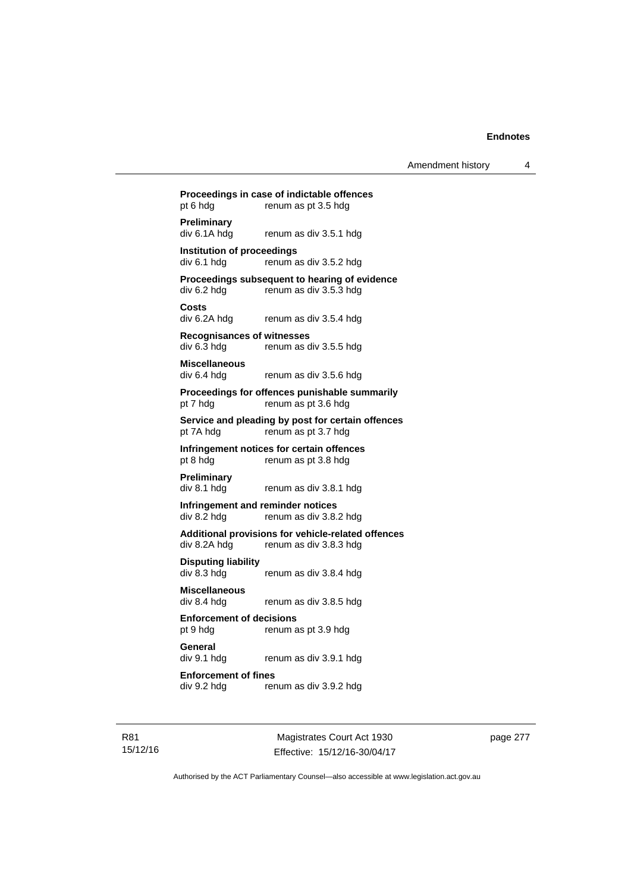# **Proceedings in case of indictable offences**  pt 6 hdg renum as pt 3.5 hdg **Preliminary**  div 6.1A hdg renum as div 3.5.1 hdg **Institution of proceedings**   $div 6.1$  hdg renum as div  $3.5.2$  hdg **Proceedings subsequent to hearing of evidence**  div 6.2 hdg renum as div 3.5.3 hdg **Costs**  renum as div 3.5.4 hdg **Recognisances of witnesses**  div 6.3 hdg renum as div 3.5.5 hdg **Miscellaneous**  div 6.4 hdg renum as div 3.5.6 hdg **Proceedings for offences punishable summarily**  pt 7 hdg renum as pt 3.6 hdg **Service and pleading by post for certain offences**  pt 7A hdg renum as pt 3.7 hdg **Infringement notices for certain offences**  pt 8 hdg renum as pt 3.8 hdg **Preliminary**  div 8.1 hdg renum as div 3.8.1 hdg **Infringement and reminder notices**  div 8.2 hdg renum as div 3.8.2 hdg **Additional provisions for vehicle-related offences**  div 8.2A hdg renum as div 3.8.3 hdg **Disputing liability**  div 8.3 hdg renum as div 3.8.4 hdg **Miscellaneous**  renum as div 3.8.5 hdg **Enforcement of decisions**  pt 9 hdg renum as pt 3.9 hdg **General**  div 9.1 hdg renum as div 3.9.1 hdg **Enforcement of fines**  div 9.2 hdg renum as div 3.9.2 hdg

Magistrates Court Act 1930 Effective: 15/12/16-30/04/17 page 277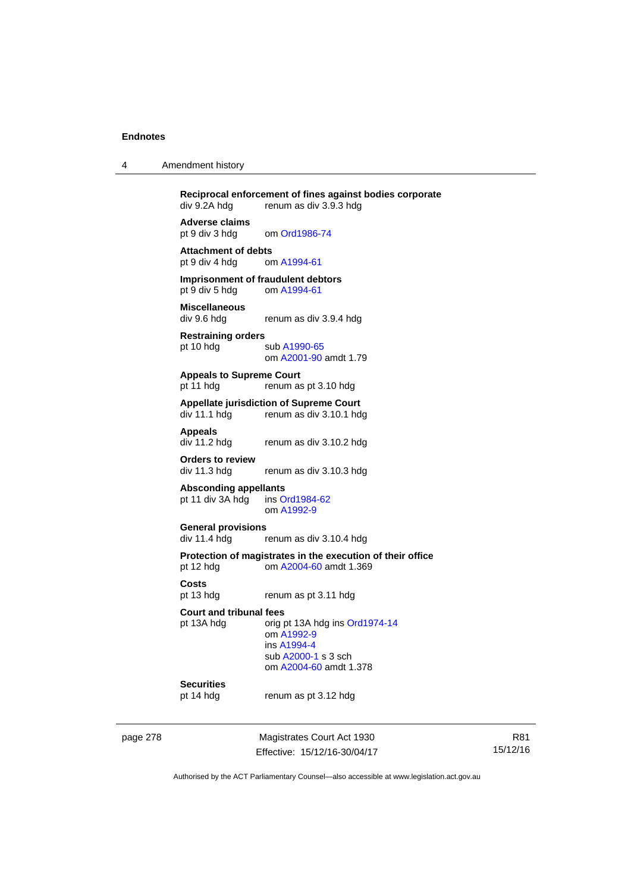| 4 | Amendment history |  |
|---|-------------------|--|
|---|-------------------|--|

**Reciprocal enforcement of fines against bodies corporate**<br>div 9.2A hdg renum as div 3.9.3 hdg renum as div 3.9.3 hdg **Adverse claims** 

pt 9 div 3 hdg om [Ord1986-74](http://www.legislation.act.gov.au/a/1986-74)

Attachment of debts<br>
pt 9 div 4 hdg om A1994-61 pt 9 div 4 hdg

**Imprisonment of fraudulent debtors**  pt 9 div 5 hdg om [A1994-61](http://www.legislation.act.gov.au/a/1994-61)

**Miscellaneous**  renum as div 3.9.4 hdg

**Restraining orders**  pt 10 hdg sub [A1990-65](http://www.legislation.act.gov.au/a/1990-65) om [A2001-90](http://www.legislation.act.gov.au/a/2001-90) amdt 1.79

**Appeals to Supreme Court**  pt 11 hdg renum as pt 3.10 hdg

# **Appellate jurisdiction of Supreme Court**

renum as div 3.10.1 hdg

**Appeals** 

renum as div 3.10.2 hdg

**Orders to review** 

renum as div 3.10.3 hdg **Absconding appellants** 

pt 11 div 3A hdg ins [Ord1984-62](http://www.legislation.act.gov.au/a/1984-62) om [A1992-9](http://www.legislation.act.gov.au/a/1992-9)

**General provisions**  renum as div 3.10.4 hdg

**Protection of magistrates in the execution of their office**  pt 12 hdg om [A2004-60](http://www.legislation.act.gov.au/a/2004-60) amdt 1.369

**Costs** 

pt 13 hdg renum as pt 3.11 hdg

**Court and tribunal fees** 

pt 13A hdg orig pt 13A hdg ins [Ord1974-14](http://www.legislation.act.gov.au/a/1974-14) om [A1992-9](http://www.legislation.act.gov.au/a/1992-9) ins [A1994-4](http://www.legislation.act.gov.au/a/1994-4) sub [A2000-1](http://www.legislation.act.gov.au/a/2000-1) s 3 sch om [A2004-60](http://www.legislation.act.gov.au/a/2004-60) amdt 1.378

# **Securities**

pt 14 hdg renum as pt 3.12 hdg

page 278 Magistrates Court Act 1930 Effective: 15/12/16-30/04/17

R81 15/12/16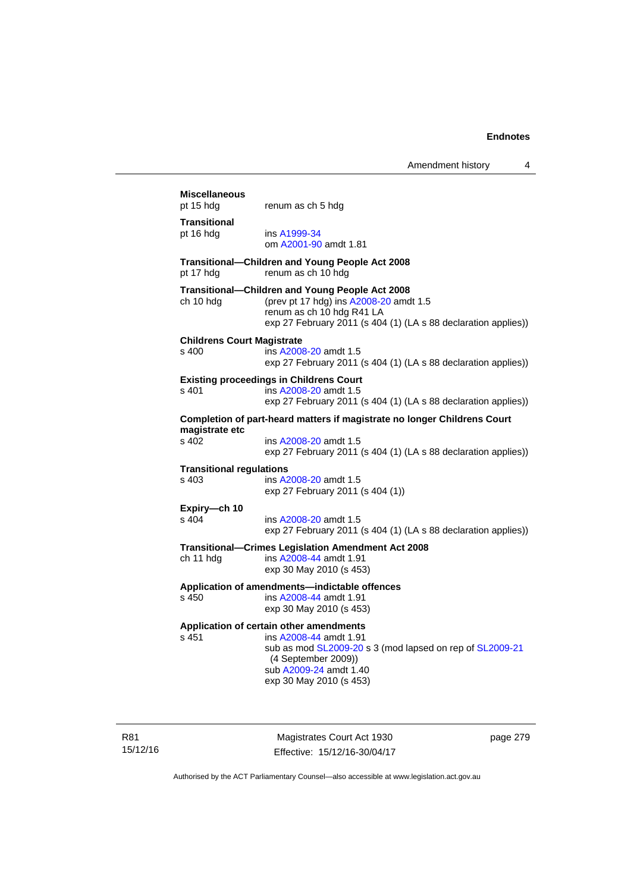| Amendment history |  |
|-------------------|--|
|-------------------|--|

# **Miscellaneous**  pt 15 hdg renum as ch 5 hdg **Transitional**  pt 16 hdg ins [A1999-34](http://www.legislation.act.gov.au/a/1999-34) om [A2001-90](http://www.legislation.act.gov.au/a/2001-90) amdt 1.81 **Transitional—Children and Young People Act 2008**  pt 17 hdg renum as ch 10 hdg **Transitional—Children and Young People Act 2008**  (prev pt 17 hdg) ins  $A2008-20$  amdt 1.5 renum as ch 10 hdg R41 LA exp 27 February 2011 (s 404 (1) (LA s 88 declaration applies)) **Childrens Court Magistrate**  s 400 ins [A2008-20](http://www.legislation.act.gov.au/a/2008-20) amdt 1.5 exp 27 February 2011 (s 404 (1) (LA s 88 declaration applies)) **Existing proceedings in Childrens Court**  s 401 ins [A2008-20](http://www.legislation.act.gov.au/a/2008-20) amdt 1.5 exp 27 February 2011 (s 404 (1) (LA s 88 declaration applies)) **Completion of part-heard matters if magistrate no longer Childrens Court magistrate etc**  s 402 ins [A2008-20](http://www.legislation.act.gov.au/a/2008-20) amdt 1.5 exp 27 February 2011 (s 404 (1) (LA s 88 declaration applies)) **Transitional regulations**  s 403 ins [A2008-20](http://www.legislation.act.gov.au/a/2008-20) amdt 1.5 exp 27 February 2011 (s 404 (1)) **Expiry—ch 10**  s 404 ins [A2008-20](http://www.legislation.act.gov.au/a/2008-20) amdt 1.5 exp 27 February 2011 (s 404 (1) (LA s 88 declaration applies)) **Transitional—Crimes Legislation Amendment Act 2008**  ch 11 hdg ins [A2008-44](http://www.legislation.act.gov.au/a/2008-44) amdt 1.91 exp 30 May 2010 (s 453) **Application of amendments—indictable offences**  s 450 ins [A2008-44](http://www.legislation.act.gov.au/a/2008-44) amdt 1.91 exp 30 May 2010 (s 453) **Application of certain other amendments**  s 451 ins [A2008-44](http://www.legislation.act.gov.au/a/2008-44) amdt 1.91 sub as mod [SL2009-20](http://www.legislation.act.gov.au/sl/2009-20) s 3 (mod lapsed on rep of [SL2009-21](http://www.legislation.act.gov.au/sl/2009-21) (4 September 2009)) sub [A2009-24](http://www.legislation.act.gov.au/a/2009-24) amdt 1.40 exp 30 May 2010 (s 453)

R81 15/12/16

Magistrates Court Act 1930 Effective: 15/12/16-30/04/17 page 279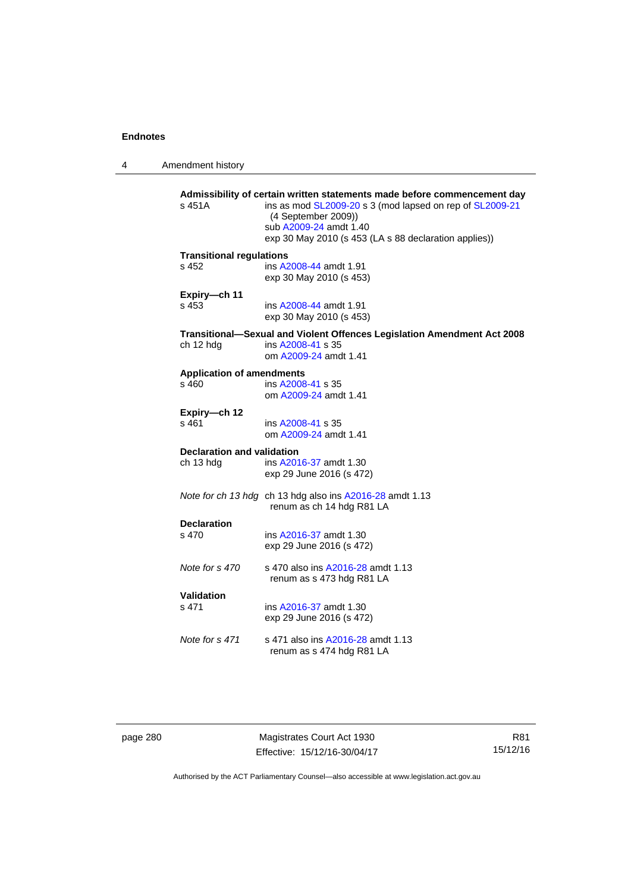4 Amendment history

| s 451A                            | Admissibility of certain written statements made before commencement day<br>ins as mod SL2009-20 s 3 (mod lapsed on rep of SL2009-21<br>(4 September 2009))<br>sub A2009-24 amdt 1.40<br>exp 30 May 2010 (s 453 (LA s 88 declaration applies)) |
|-----------------------------------|------------------------------------------------------------------------------------------------------------------------------------------------------------------------------------------------------------------------------------------------|
| <b>Transitional regulations</b>   | ins A2008-44 amdt 1.91                                                                                                                                                                                                                         |
| s 452                             | exp 30 May 2010 (s 453)                                                                                                                                                                                                                        |
| Expiry-ch 11                      | ins A2008-44 amdt 1.91                                                                                                                                                                                                                         |
| s 453                             | exp 30 May 2010 (s 453)                                                                                                                                                                                                                        |
| ch 12 hdg                         | Transitional-Sexual and Violent Offences Legislation Amendment Act 2008<br>ins A2008-41 s 35<br>om A2009-24 amdt 1.41                                                                                                                          |
| <b>Application of amendments</b>  | ins A2008-41 s 35                                                                                                                                                                                                                              |
| s 460                             | om A2009-24 amdt 1.41                                                                                                                                                                                                                          |
| Expiry-ch 12                      | ins A2008-41 s 35                                                                                                                                                                                                                              |
| s 461                             | om A2009-24 amdt 1.41                                                                                                                                                                                                                          |
| <b>Declaration and validation</b> | ins A2016-37 amdt 1.30                                                                                                                                                                                                                         |
| ch 13 hdg                         | exp 29 June 2016 (s 472)                                                                                                                                                                                                                       |
|                                   | Note for ch 13 hdg ch 13 hdg also ins A2016-28 amdt 1.13<br>renum as ch 14 hdg R81 LA                                                                                                                                                          |
| <b>Declaration</b>                | ins A2016-37 amdt 1.30                                                                                                                                                                                                                         |
| s 470                             | exp 29 June 2016 (s 472)                                                                                                                                                                                                                       |
| Note for s 470                    | s 470 also ins A2016-28 amdt 1.13<br>renum as s 473 hdg R81 LA                                                                                                                                                                                 |
| <b>Validation</b>                 | ins A2016-37 amdt 1.30                                                                                                                                                                                                                         |
| s 471                             | exp 29 June 2016 (s 472)                                                                                                                                                                                                                       |
| Note for s 471                    | s 471 also ins A2016-28 amdt 1.13<br>renum as s 474 hdg R81 LA                                                                                                                                                                                 |
|                                   |                                                                                                                                                                                                                                                |

page 280 Magistrates Court Act 1930 Effective: 15/12/16-30/04/17

R81 15/12/16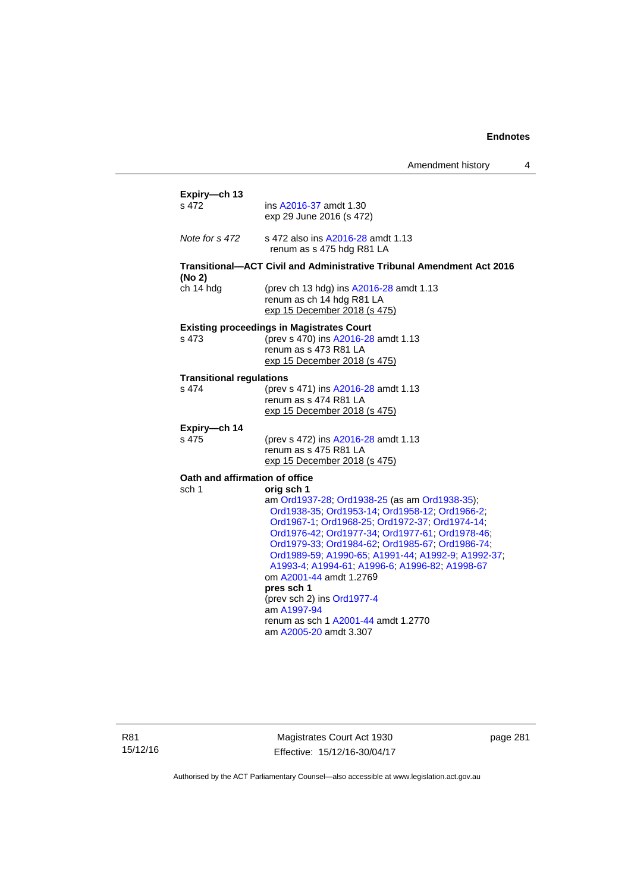| Amendment history |  |
|-------------------|--|
|-------------------|--|

| s 472                                    | ins A2016-37 amdt 1.30                                                |
|------------------------------------------|-----------------------------------------------------------------------|
|                                          | exp 29 June 2016 (s 472)                                              |
|                                          |                                                                       |
| Note for s 472                           | s 472 also ins A2016-28 amdt 1.13                                     |
|                                          | renum as s 475 hdg R81 LA                                             |
|                                          | Transitional-ACT Civil and Administrative Tribunal Amendment Act 2016 |
| (No 2)                                   |                                                                       |
| ch 14 hdg                                | (prev ch 13 hdg) ins A2016-28 amdt 1.13                               |
|                                          | renum as ch 14 hdg R81 LA                                             |
|                                          | exp 15 December 2018 (s 475)                                          |
|                                          | <b>Existing proceedings in Magistrates Court</b>                      |
| s 473                                    | (prev s 470) ins A2016-28 amdt 1.13                                   |
|                                          | renum as s 473 R81 LA                                                 |
|                                          | exp 15 December 2018 (s 475)                                          |
|                                          |                                                                       |
| <b>Transitional regulations</b><br>s 474 |                                                                       |
|                                          | (prev s 471) ins A2016-28 amdt 1.13<br>renum as s 474 R81 LA          |
|                                          | exp 15 December 2018 (s 475)                                          |
|                                          |                                                                       |
| Expiry-ch 14                             |                                                                       |
| s 475                                    | (prev s 472) ins A2016-28 amdt 1.13                                   |
|                                          | renum as s 475 R81 LA                                                 |
|                                          | exp 15 December 2018 (s 475)                                          |
| Oath and affirmation of office           |                                                                       |
| sch 1                                    | orig sch 1                                                            |
|                                          | am Ord1937-28; Ord1938-25 (as am Ord1938-35);                         |
|                                          | Ord1938-35; Ord1953-14; Ord1958-12; Ord1966-2;                        |
|                                          | Ord1967-1; Ord1968-25; Ord1972-37; Ord1974-14;                        |
|                                          | Ord1976-42; Ord1977-34; Ord1977-61; Ord1978-46;                       |
|                                          | Ord1979-33; Ord1984-62; Ord1985-67; Ord1986-74;                       |
|                                          | Ord1989-59, A1990-65, A1991-44, A1992-9, A1992-37,                    |
|                                          | A1993-4; A1994-61; A1996-6; A1996-82; A1998-67                        |
|                                          | om A2001-44 amdt 1.2769                                               |
|                                          | pres sch 1                                                            |
|                                          | (prev sch 2) ins Ord1977-4                                            |
|                                          | am A1997-94                                                           |
|                                          | renum as sch 1 A2001-44 amdt 1.2770                                   |
|                                          | am A2005-20 amdt 3.307                                                |

R81 15/12/16

Magistrates Court Act 1930 Effective: 15/12/16-30/04/17 page 281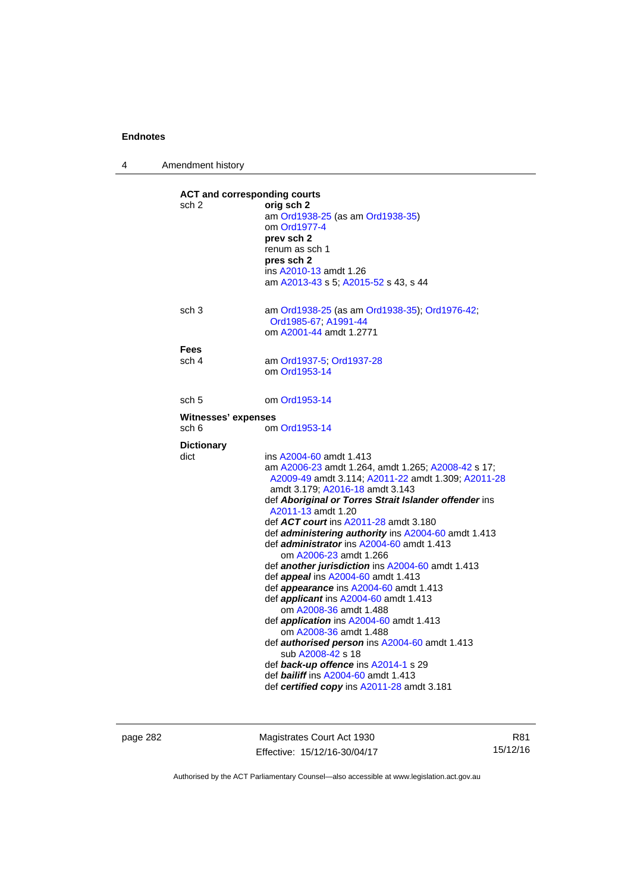4 Amendment history

| sch 2                      | orig sch 2<br>am Ord1938-25 (as am Ord1938-35)<br>om Ord1977-4<br>prev sch 2<br>renum as sch 1<br>pres sch 2<br>ins A2010-13 amdt 1.26<br>am A2013-43 s 5; A2015-52 s 43, s 44                                                                                                                                                                                                                                                                                                                                                                                                                                                                                                                                                                                                                                                                                                                                                   |
|----------------------------|----------------------------------------------------------------------------------------------------------------------------------------------------------------------------------------------------------------------------------------------------------------------------------------------------------------------------------------------------------------------------------------------------------------------------------------------------------------------------------------------------------------------------------------------------------------------------------------------------------------------------------------------------------------------------------------------------------------------------------------------------------------------------------------------------------------------------------------------------------------------------------------------------------------------------------|
| sch <sub>3</sub>           | am Ord1938-25 (as am Ord1938-35); Ord1976-42;<br>Ord1985-67, A1991-44<br>om A2001-44 amdt 1.2771                                                                                                                                                                                                                                                                                                                                                                                                                                                                                                                                                                                                                                                                                                                                                                                                                                 |
| <b>Fees</b>                |                                                                                                                                                                                                                                                                                                                                                                                                                                                                                                                                                                                                                                                                                                                                                                                                                                                                                                                                  |
| sch 4                      | am Ord1937-5; Ord1937-28<br>om Ord1953-14                                                                                                                                                                                                                                                                                                                                                                                                                                                                                                                                                                                                                                                                                                                                                                                                                                                                                        |
| sch 5                      | om Ord1953-14                                                                                                                                                                                                                                                                                                                                                                                                                                                                                                                                                                                                                                                                                                                                                                                                                                                                                                                    |
| <b>Witnesses' expenses</b> |                                                                                                                                                                                                                                                                                                                                                                                                                                                                                                                                                                                                                                                                                                                                                                                                                                                                                                                                  |
| sch 6                      | om Ord1953-14                                                                                                                                                                                                                                                                                                                                                                                                                                                                                                                                                                                                                                                                                                                                                                                                                                                                                                                    |
| <b>Dictionary</b>          |                                                                                                                                                                                                                                                                                                                                                                                                                                                                                                                                                                                                                                                                                                                                                                                                                                                                                                                                  |
| dict                       | ins A2004-60 amdt 1.413<br>am A2006-23 amdt 1.264, amdt 1.265; A2008-42 s 17;<br>A2009-49 amdt 3.114; A2011-22 amdt 1.309; A2011-28<br>amdt 3.179; A2016-18 amdt 3.143<br>def Aboriginal or Torres Strait Islander offender ins<br>A2011-13 amdt 1.20<br>def ACT court ins A2011-28 amdt 3.180<br>def administering authority ins A2004-60 amdt 1.413<br>def <i>administrator</i> ins A2004-60 amdt 1.413<br>om A2006-23 amdt 1.266<br>def another jurisdiction ins A2004-60 amdt 1.413<br>def <i>appeal</i> ins A2004-60 amdt 1.413<br>def appearance ins A2004-60 amdt 1.413<br>def applicant ins A2004-60 amdt 1.413<br>om A2008-36 amdt 1.488<br>def application ins A2004-60 amdt 1.413<br>om A2008-36 amdt 1.488<br>def authorised person ins A2004-60 amdt 1.413<br>sub A2008-42 s 18<br>def back-up offence ins A2014-1 s 29<br>def <b>bailiff</b> ins A2004-60 amdt 1.413<br>def certified copy ins A2011-28 amdt 3.181 |

page 282 Magistrates Court Act 1930 Effective: 15/12/16-30/04/17

R81 15/12/16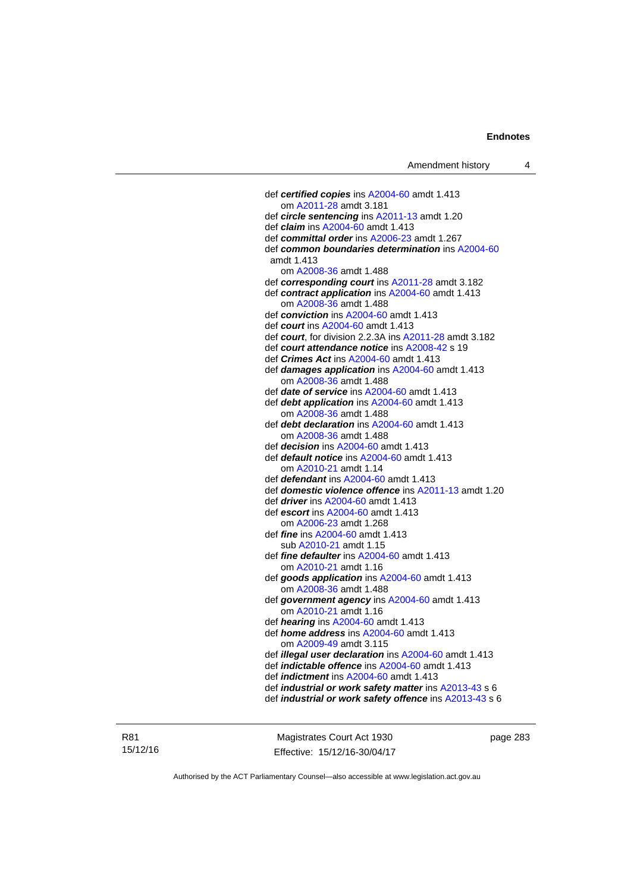def *certified copies* ins [A2004-60](http://www.legislation.act.gov.au/a/2004-60) amdt 1.413 om [A2011-28](http://www.legislation.act.gov.au/a/2011-28) amdt 3.181 def *circle sentencing* ins [A2011-13](http://www.legislation.act.gov.au/a/2011-13) amdt 1.20 def *claim* ins [A2004-60](http://www.legislation.act.gov.au/a/2004-60) amdt 1.413 def *committal order* ins [A2006-23](http://www.legislation.act.gov.au/a/2006-23) amdt 1.267 def *common boundaries determination* ins [A2004-60](http://www.legislation.act.gov.au/a/2004-60) amdt 1.413 om [A2008-36](http://www.legislation.act.gov.au/a/2008-36) amdt 1.488 def *corresponding court* ins [A2011-28](http://www.legislation.act.gov.au/a/2011-28) amdt 3.182 def *contract application* ins [A2004-60](http://www.legislation.act.gov.au/a/2004-60) amdt 1.413 om [A2008-36](http://www.legislation.act.gov.au/a/2008-36) amdt 1.488 def *conviction* ins [A2004-60](http://www.legislation.act.gov.au/a/2004-60) amdt 1.413 def *court* ins [A2004-60](http://www.legislation.act.gov.au/a/2004-60) amdt 1.413 def *court*, for division 2.2.3A ins [A2011-28](http://www.legislation.act.gov.au/a/2011-28) amdt 3.182 def *court attendance notice* ins [A2008-42](http://www.legislation.act.gov.au/a/2008-42) s 19 def *Crimes Act* ins [A2004-60](http://www.legislation.act.gov.au/a/2004-60) amdt 1.413 def *damages application* ins [A2004-60](http://www.legislation.act.gov.au/a/2004-60) amdt 1.413 om [A2008-36](http://www.legislation.act.gov.au/a/2008-36) amdt 1.488 def *date of service* ins [A2004-60](http://www.legislation.act.gov.au/a/2004-60) amdt 1.413 def *debt application* ins [A2004-60](http://www.legislation.act.gov.au/a/2004-60) amdt 1.413 om [A2008-36](http://www.legislation.act.gov.au/a/2008-36) amdt 1.488 def *debt declaration* ins [A2004-60](http://www.legislation.act.gov.au/a/2004-60) amdt 1.413 om [A2008-36](http://www.legislation.act.gov.au/a/2008-36) amdt 1.488 def *decision* ins [A2004-60](http://www.legislation.act.gov.au/a/2004-60) amdt 1.413 def *default notice* ins [A2004-60](http://www.legislation.act.gov.au/a/2004-60) amdt 1.413 om [A2010-21](http://www.legislation.act.gov.au/a/2010-21) amdt 1.14 def *defendant* ins [A2004-60](http://www.legislation.act.gov.au/a/2004-60) amdt 1.413 def *domestic violence offence* ins [A2011-13](http://www.legislation.act.gov.au/a/2011-13) amdt 1.20 def *driver* ins [A2004-60](http://www.legislation.act.gov.au/a/2004-60) amdt 1.413 def *escort* ins [A2004-60](http://www.legislation.act.gov.au/a/2004-60) amdt 1.413 om [A2006-23](http://www.legislation.act.gov.au/a/2006-23) amdt 1.268 def *fine* ins [A2004-60](http://www.legislation.act.gov.au/a/2004-60) amdt 1.413 sub [A2010-21](http://www.legislation.act.gov.au/a/2010-21) amdt 1.15 def *fine defaulter* ins [A2004-60](http://www.legislation.act.gov.au/a/2004-60) amdt 1.413 om [A2010-21](http://www.legislation.act.gov.au/a/2010-21) amdt 1.16 def *goods application* ins [A2004-60](http://www.legislation.act.gov.au/a/2004-60) amdt 1.413 om [A2008-36](http://www.legislation.act.gov.au/a/2008-36) amdt 1.488 def *government agency* ins [A2004-60](http://www.legislation.act.gov.au/a/2004-60) amdt 1.413 om [A2010-21](http://www.legislation.act.gov.au/a/2010-21) amdt 1.16 def *hearing* ins [A2004-60](http://www.legislation.act.gov.au/a/2004-60) amdt 1.413 def *home address* ins [A2004-60](http://www.legislation.act.gov.au/a/2004-60) amdt 1.413 om [A2009-49](http://www.legislation.act.gov.au/a/2009-49) amdt 3.115 def *illegal user declaration* ins [A2004-60](http://www.legislation.act.gov.au/a/2004-60) amdt 1.413 def *indictable offence* ins [A2004-60](http://www.legislation.act.gov.au/a/2004-60) amdt 1.413 def *indictment* ins [A2004-60](http://www.legislation.act.gov.au/a/2004-60) amdt 1.413 def *industrial or work safety matter* ins [A2013-43](http://www.legislation.act.gov.au/a/2013-43) s 6 def *industrial or work safety offence* ins [A2013-43](http://www.legislation.act.gov.au/a/2013-43) s 6

R81 15/12/16

Magistrates Court Act 1930 Effective: 15/12/16-30/04/17 page 283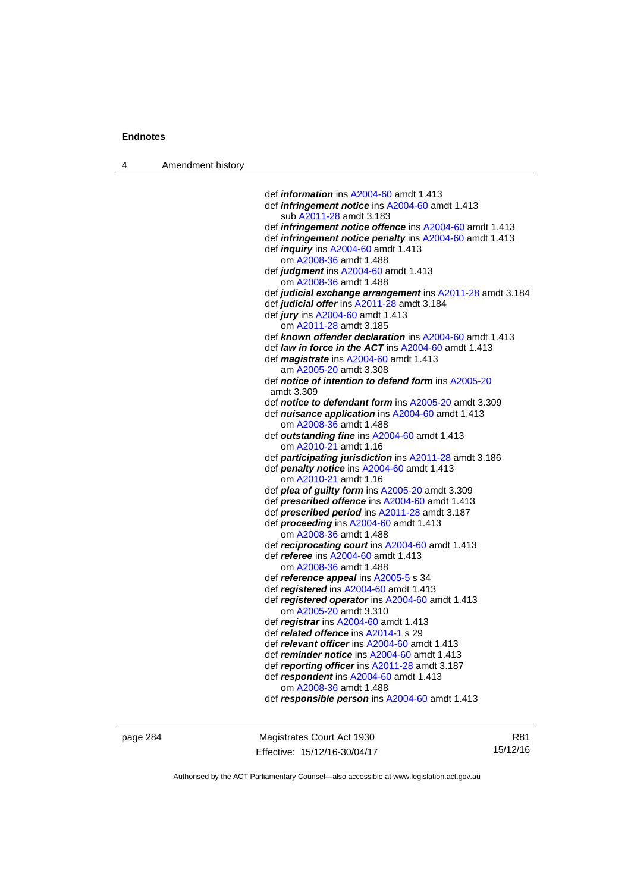4 Amendment history

 def *information* ins [A2004-60](http://www.legislation.act.gov.au/a/2004-60) amdt 1.413 def *infringement notice* ins [A2004-60](http://www.legislation.act.gov.au/a/2004-60) amdt 1.413 sub [A2011-28](http://www.legislation.act.gov.au/a/2011-28) amdt 3.183 def *infringement notice offence* ins [A2004-60](http://www.legislation.act.gov.au/a/2004-60) amdt 1.413 def *infringement notice penalty* ins [A2004-60](http://www.legislation.act.gov.au/a/2004-60) amdt 1.413 def *inquiry* ins [A2004-60](http://www.legislation.act.gov.au/a/2004-60) amdt 1.413 om [A2008-36](http://www.legislation.act.gov.au/a/2008-36) amdt 1.488 def *judgment* ins [A2004-60](http://www.legislation.act.gov.au/a/2004-60) amdt 1.413 om [A2008-36](http://www.legislation.act.gov.au/a/2008-36) amdt 1.488 def *judicial exchange arrangement* ins [A2011-28](http://www.legislation.act.gov.au/a/2011-28) amdt 3.184 def *judicial offer* ins [A2011-28](http://www.legislation.act.gov.au/a/2011-28) amdt 3.184 def *jury* ins [A2004-60](http://www.legislation.act.gov.au/a/2004-60) amdt 1.413 om [A2011-28](http://www.legislation.act.gov.au/a/2011-28) amdt 3.185 def *known offender declaration* ins [A2004-60](http://www.legislation.act.gov.au/a/2004-60) amdt 1.413 def *law in force in the ACT* ins [A2004-60](http://www.legislation.act.gov.au/a/2004-60) amdt 1.413 def *magistrate* ins [A2004-60](http://www.legislation.act.gov.au/a/2004-60) amdt 1.413 am [A2005-20](http://www.legislation.act.gov.au/a/2005-20) amdt 3.308 def *notice of intention to defend form* ins [A2005-20](http://www.legislation.act.gov.au/a/2005-20) amdt 3.309 def *notice to defendant form* ins [A2005-20](http://www.legislation.act.gov.au/a/2005-20) amdt 3.309 def *nuisance application* ins [A2004-60](http://www.legislation.act.gov.au/a/2004-60) amdt 1.413 om [A2008-36](http://www.legislation.act.gov.au/a/2008-36) amdt 1.488 def *outstanding fine* ins [A2004-60](http://www.legislation.act.gov.au/a/2004-60) amdt 1.413 om [A2010-21](http://www.legislation.act.gov.au/a/2010-21) amdt 1.16 def *participating jurisdiction* ins [A2011-28](http://www.legislation.act.gov.au/a/2011-28) amdt 3.186 def *penalty notice* ins [A2004-60](http://www.legislation.act.gov.au/a/2004-60) amdt 1.413 om [A2010-21](http://www.legislation.act.gov.au/a/2010-21) amdt 1.16 def *plea of guilty form* ins [A2005-20](http://www.legislation.act.gov.au/a/2005-20) amdt 3.309 def *prescribed offence* ins [A2004-60](http://www.legislation.act.gov.au/a/2004-60) amdt 1.413 def *prescribed period* ins [A2011-28](http://www.legislation.act.gov.au/a/2011-28) amdt 3.187 def *proceeding* ins [A2004-60](http://www.legislation.act.gov.au/a/2004-60) amdt 1.413 om [A2008-36](http://www.legislation.act.gov.au/a/2008-36) amdt 1.488 def *reciprocating court* ins [A2004-60](http://www.legislation.act.gov.au/a/2004-60) amdt 1.413 def *referee* ins [A2004-60](http://www.legislation.act.gov.au/a/2004-60) amdt 1.413 om [A2008-36](http://www.legislation.act.gov.au/a/2008-36) amdt 1.488 def *reference appeal* ins [A2005-5](http://www.legislation.act.gov.au/a/2005-5) s 34 def *registered* ins [A2004-60](http://www.legislation.act.gov.au/a/2004-60) amdt 1.413 def *registered operator* ins [A2004-60](http://www.legislation.act.gov.au/a/2004-60) amdt 1.413 om [A2005-20](http://www.legislation.act.gov.au/a/2005-20) amdt 3.310 def *registrar* ins [A2004-60](http://www.legislation.act.gov.au/a/2004-60) amdt 1.413 def *related offence* ins [A2014-1](http://www.legislation.act.gov.au/a/2014-1) s 29 def *relevant officer* ins [A2004-60](http://www.legislation.act.gov.au/a/2004-60) amdt 1.413 def *reminder notice* ins [A2004-60](http://www.legislation.act.gov.au/a/2004-60) amdt 1.413 def *reporting officer* ins [A2011-28](http://www.legislation.act.gov.au/a/2011-28) amdt 3.187 def *respondent* ins [A2004-60](http://www.legislation.act.gov.au/a/2004-60) amdt 1.413 om [A2008-36](http://www.legislation.act.gov.au/a/2008-36) amdt 1.488 def *responsible person* ins [A2004-60](http://www.legislation.act.gov.au/a/2004-60) amdt 1.413

page 284 Magistrates Court Act 1930 Effective: 15/12/16-30/04/17

R81 15/12/16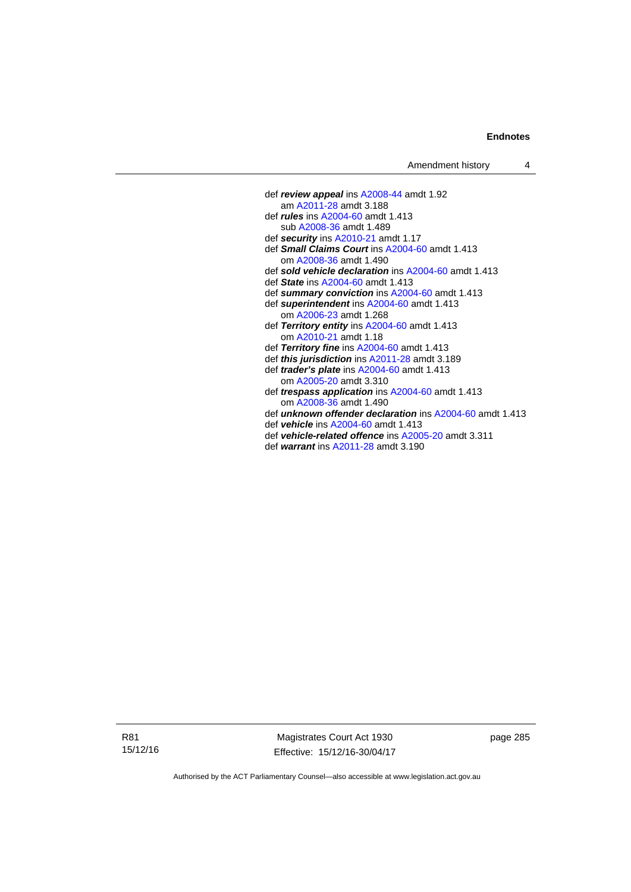- def *review appeal* ins [A2008-44](http://www.legislation.act.gov.au/a/2008-44) amdt 1.92 am [A2011-28](http://www.legislation.act.gov.au/a/2011-28) amdt 3.188 def *rules* ins [A2004-60](http://www.legislation.act.gov.au/a/2004-60) amdt 1.413 sub [A2008-36](http://www.legislation.act.gov.au/a/2008-36) amdt 1.489 def *security* ins [A2010-21](http://www.legislation.act.gov.au/a/2010-21) amdt 1.17 def *Small Claims Court* ins [A2004-60](http://www.legislation.act.gov.au/a/2004-60) amdt 1.413 om [A2008-36](http://www.legislation.act.gov.au/a/2008-36) amdt 1.490 def *sold vehicle declaration* ins [A2004-60](http://www.legislation.act.gov.au/a/2004-60) amdt 1.413 def *State* ins [A2004-60](http://www.legislation.act.gov.au/a/2004-60) amdt 1.413 def *summary conviction* ins [A2004-60](http://www.legislation.act.gov.au/a/2004-60) amdt 1.413 def *superintendent* ins [A2004-60](http://www.legislation.act.gov.au/a/2004-60) amdt 1.413 om [A2006-23](http://www.legislation.act.gov.au/a/2006-23) amdt 1.268 def *Territory entity* ins [A2004-60](http://www.legislation.act.gov.au/a/2004-60) amdt 1.413 om [A2010-21](http://www.legislation.act.gov.au/a/2010-21) amdt 1.18 def *Territory fine* ins [A2004-60](http://www.legislation.act.gov.au/a/2004-60) amdt 1.413 def *this jurisdiction* ins [A2011-28](http://www.legislation.act.gov.au/a/2011-28) amdt 3.189 def *trader's plate* ins [A2004-60](http://www.legislation.act.gov.au/a/2004-60) amdt 1.413 om [A2005-20](http://www.legislation.act.gov.au/a/2005-20) amdt 3.310 def *trespass application* ins [A2004-60](http://www.legislation.act.gov.au/a/2004-60) amdt 1.413 om [A2008-36](http://www.legislation.act.gov.au/a/2008-36) amdt 1.490 def *unknown offender declaration* ins [A2004-60](http://www.legislation.act.gov.au/a/2004-60) amdt 1.413 def *vehicle* ins [A2004-60](http://www.legislation.act.gov.au/a/2004-60) amdt 1.413 def *vehicle-related offence* ins [A2005-20](http://www.legislation.act.gov.au/a/2005-20) amdt 3.311
	- def *warrant* ins [A2011-28](http://www.legislation.act.gov.au/a/2011-28) amdt 3.190

R81 15/12/16

Magistrates Court Act 1930 Effective: 15/12/16-30/04/17 page 285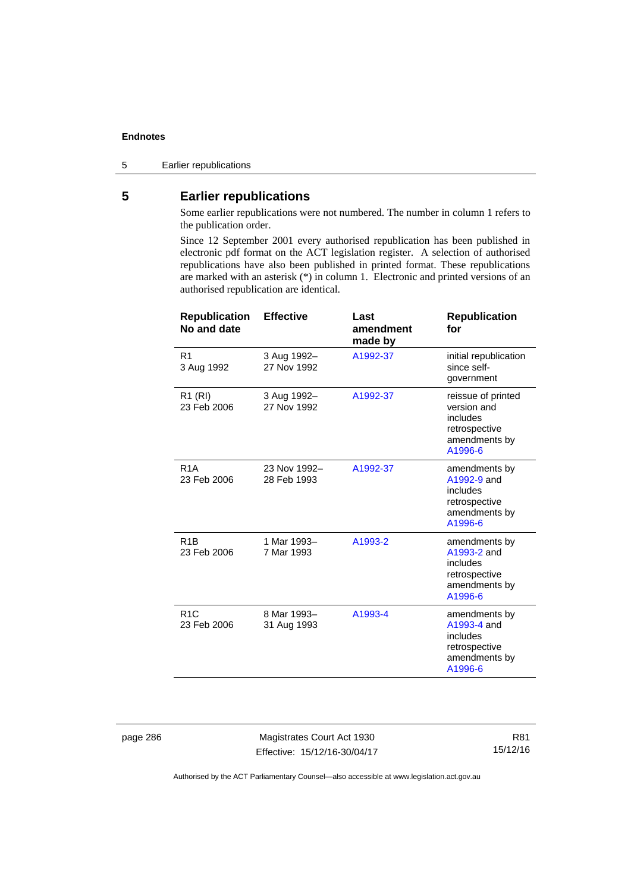5 Earlier republications

# **5 Earlier republications**

Some earlier republications were not numbered. The number in column 1 refers to the publication order.

Since 12 September 2001 every authorised republication has been published in electronic pdf format on the ACT legislation register. A selection of authorised republications have also been published in printed format. These republications are marked with an asterisk (\*) in column 1. Electronic and printed versions of an authorised republication are identical.

| <b>Republication</b><br>No and date | <b>Effective</b>            | Last<br>amendment<br>made by | <b>Republication</b><br>for                                                                |
|-------------------------------------|-----------------------------|------------------------------|--------------------------------------------------------------------------------------------|
| R <sub>1</sub><br>3 Aug 1992        | 3 Aug 1992-<br>27 Nov 1992  | A1992-37                     | initial republication<br>since self-<br>government                                         |
| R <sub>1</sub> (RI)<br>23 Feb 2006  | 3 Aug 1992-<br>27 Nov 1992  | A1992-37                     | reissue of printed<br>version and<br>includes<br>retrospective<br>amendments by<br>A1996-6 |
| R <sub>1</sub> A<br>23 Feb 2006     | 23 Nov 1992-<br>28 Feb 1993 | A1992-37                     | amendments by<br>A1992-9 and<br>includes<br>retrospective<br>amendments by<br>A1996-6      |
| R <sub>1</sub> B<br>23 Feb 2006     | 1 Mar 1993-<br>7 Mar 1993   | A1993-2                      | amendments by<br>A1993-2 and<br>includes<br>retrospective<br>amendments by<br>A1996-6      |
| R <sub>1</sub> C<br>23 Feb 2006     | 8 Mar 1993-<br>31 Aug 1993  | A1993-4                      | amendments by<br>A1993-4 and<br>includes<br>retrospective<br>amendments by<br>A1996-6      |

page 286 Magistrates Court Act 1930 Effective: 15/12/16-30/04/17

R81 15/12/16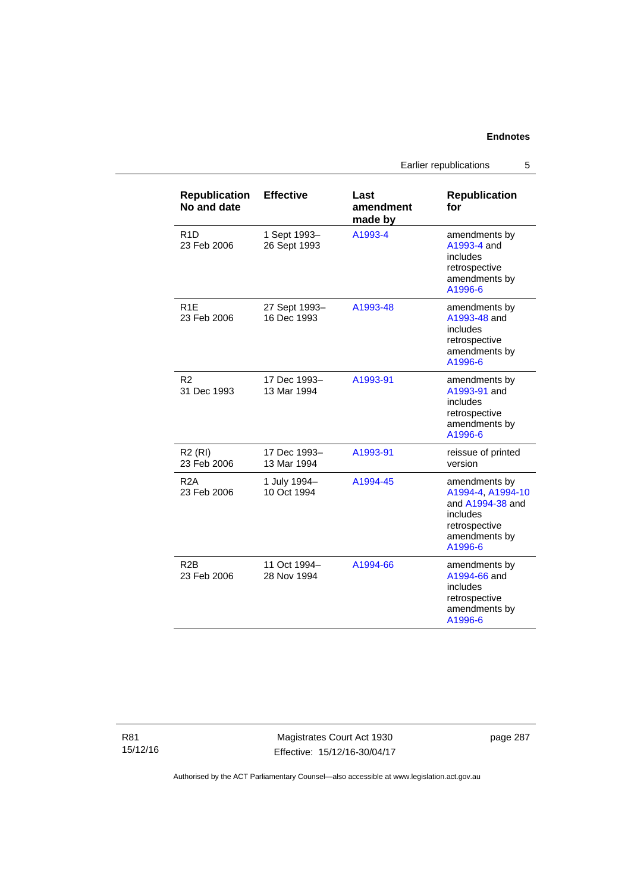Earlier republications 5

| <b>Republication</b><br>No and date | <b>Effective</b>             | Last<br>amendment<br>made by | <b>Republication</b><br>for                                                                                     |
|-------------------------------------|------------------------------|------------------------------|-----------------------------------------------------------------------------------------------------------------|
| R <sub>1</sub> D<br>23 Feb 2006     | 1 Sept 1993-<br>26 Sept 1993 | A1993-4                      | amendments by<br>A1993-4 and<br>includes<br>retrospective<br>amendments by<br>A1996-6                           |
| R <sub>1</sub> F<br>23 Feb 2006     | 27 Sept 1993-<br>16 Dec 1993 | A1993-48                     | amendments by<br>A1993-48 and<br>includes<br>retrospective<br>amendments by<br>A1996-6                          |
| R <sub>2</sub><br>31 Dec 1993       | 17 Dec 1993-<br>13 Mar 1994  | A1993-91                     | amendments by<br>A1993-91 and<br>includes<br>retrospective<br>amendments by<br>A1996-6                          |
| <b>R2 (RI)</b><br>23 Feb 2006       | 17 Dec 1993-<br>13 Mar 1994  | A1993-91                     | reissue of printed<br>version                                                                                   |
| R <sub>2</sub> A<br>23 Feb 2006     | 1 July 1994-<br>10 Oct 1994  | A1994-45                     | amendments by<br>A1994-4, A1994-10<br>and A1994-38 and<br>includes<br>retrospective<br>amendments by<br>A1996-6 |
| R2B<br>23 Feb 2006                  | 11 Oct 1994-<br>28 Nov 1994  | A1994-66                     | amendments by<br>A1994-66 and<br>includes<br>retrospective<br>amendments by<br>A1996-6                          |

R81 15/12/16

Magistrates Court Act 1930 Effective: 15/12/16-30/04/17 page 287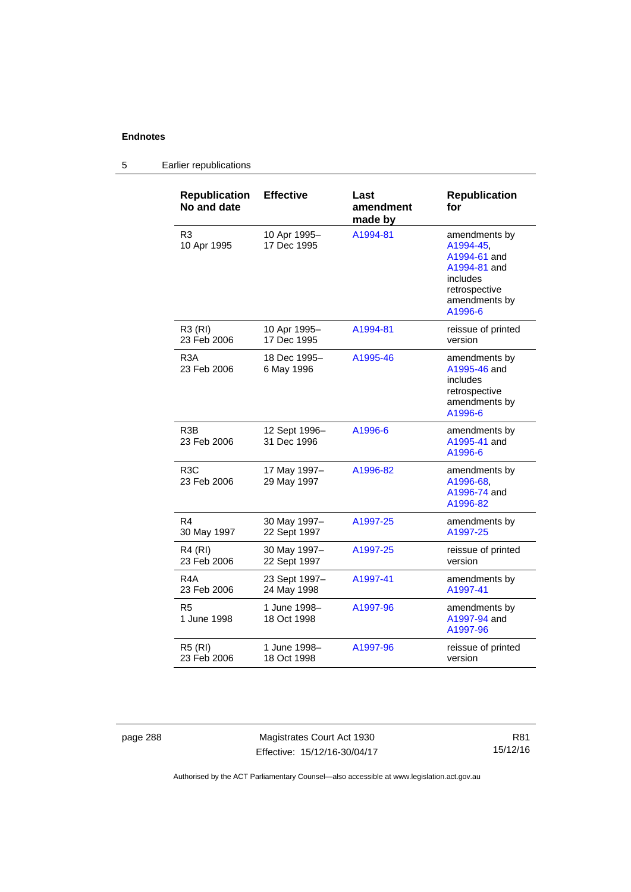#### **Republication No and date Effective Last amendment made by Republication for**  R3 10 Apr 1995 10 Apr 1995– 17 Dec 1995 [A1994-81](http://www.legislation.act.gov.au/a/1994-81) amendments by [A1994-45,](http://www.legislation.act.gov.au/a/1994-45) [A1994-61](http://www.legislation.act.gov.au/a/1994-61) and [A1994-81](http://www.legislation.act.gov.au/a/1994-81) and includes retrospective amendments by [A1996-6](http://www.legislation.act.gov.au/a/1996-6) R3 (RI) 23 Feb 2006 10 Apr 1995– 17 Dec 1995 [A1994-81](http://www.legislation.act.gov.au/a/1994-81) reissue of printed version R3A 23 Feb 2006 18 Dec 1995– 6 May 1996 [A1995-46](http://www.legislation.act.gov.au/a/1995-46) amendments by [A1995-46](http://www.legislation.act.gov.au/a/1995-46) and includes retrospective amendments by [A1996-6](http://www.legislation.act.gov.au/a/1996-6) R3B 23 Feb 2006 12 Sept 1996– 31 Dec 1996 [A1996-6](http://www.legislation.act.gov.au/a/1996-6) amendments by [A1995-41](http://www.legislation.act.gov.au/a/1995-41) and [A1996-6](http://www.legislation.act.gov.au/a/1996-6) R3C 23 Feb 2006 17 May 1997– 29 May 1997 [A1996-82](http://www.legislation.act.gov.au/a/1996-82) amendments by [A1996-68,](http://www.legislation.act.gov.au/a/1996-68) [A1996-74](http://www.legislation.act.gov.au/a/1996-74) and [A1996-82](http://www.legislation.act.gov.au/a/1996-82) R4 30 May 1997 30 May 1997– 22 Sept 1997 [A1997-25](http://www.legislation.act.gov.au/a/1997-25) amendments by [A1997-25](http://www.legislation.act.gov.au/a/1997-25) R4 (RI) 23 Feb 2006 30 May 1997– 22 Sept 1997 [A1997-25](http://www.legislation.act.gov.au/a/1997-25) reissue of printed version R4A 23 Feb 2006 23 Sept 1997– 24 May 1998 [A1997-41](http://www.legislation.act.gov.au/a/1997-41) amendments by [A1997-41](http://www.legislation.act.gov.au/a/1997-41) R5 1 June 1998 1 June 1998– 18 Oct 1998 [A1997-96](http://www.legislation.act.gov.au/a/1997-96) amendments by [A1997-94](http://www.legislation.act.gov.au/a/1997-94) and [A1997-96](http://www.legislation.act.gov.au/a/1997-96) R5 (RI) 23 Feb 2006 1 June 1998– 18 Oct 1998 [A1997-96](http://www.legislation.act.gov.au/a/1997-96) reissue of printed version

#### 5 Earlier republications

page 288 Magistrates Court Act 1930 Effective: 15/12/16-30/04/17

R81 15/12/16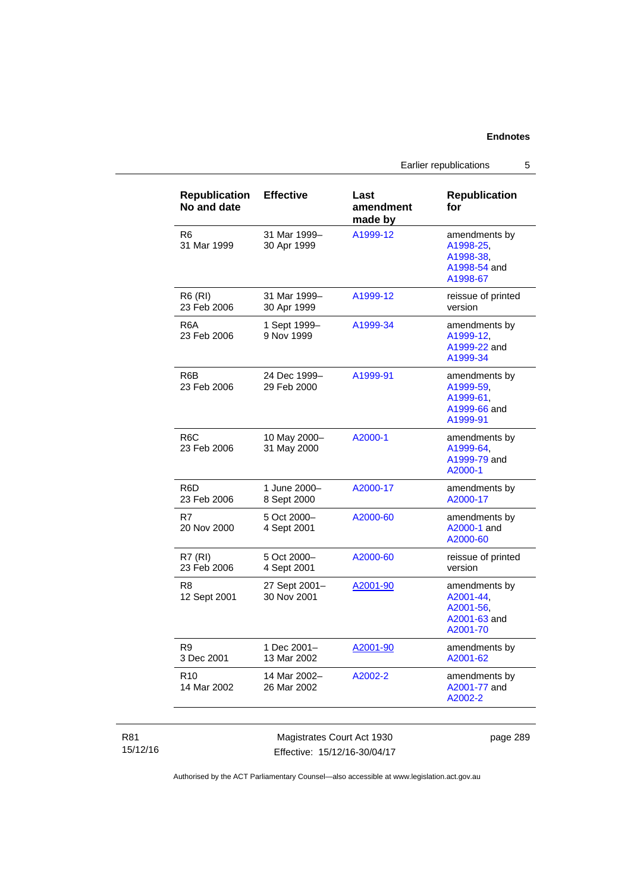Earlier republications 5

| <b>Republication</b><br>No and date | <b>Effective</b>             | Last<br>amendment<br>made by | <b>Republication</b><br>for                                         |
|-------------------------------------|------------------------------|------------------------------|---------------------------------------------------------------------|
| R <sub>6</sub><br>31 Mar 1999       | 31 Mar 1999-<br>30 Apr 1999  | A1999-12                     | amendments by<br>A1998-25,<br>A1998-38.<br>A1998-54 and<br>A1998-67 |
| <b>R6 (RI)</b><br>23 Feb 2006       | 31 Mar 1999-<br>30 Apr 1999  | A1999-12                     | reissue of printed<br>version                                       |
| R6A<br>23 Feb 2006                  | 1 Sept 1999-<br>9 Nov 1999   | A1999-34                     | amendments by<br>A1999-12,<br>A1999-22 and<br>A1999-34              |
| R6B<br>23 Feb 2006                  | 24 Dec 1999-<br>29 Feb 2000  | A1999-91                     | amendments by<br>A1999-59,<br>A1999-61,<br>A1999-66 and<br>A1999-91 |
| R <sub>6</sub> C<br>23 Feb 2006     | 10 May 2000-<br>31 May 2000  | A2000-1                      | amendments by<br>A1999-64.<br>A1999-79 and<br>A2000-1               |
| R6D<br>23 Feb 2006                  | 1 June 2000-<br>8 Sept 2000  | A2000-17                     | amendments by<br>A2000-17                                           |
| R7<br>20 Nov 2000                   | 5 Oct 2000-<br>4 Sept 2001   | A2000-60                     | amendments by<br>A2000-1 and<br>A2000-60                            |
| <b>R7 (RI)</b><br>23 Feb 2006       | 5 Oct 2000-<br>4 Sept 2001   | A2000-60                     | reissue of printed<br>version                                       |
| R8<br>12 Sept 2001                  | 27 Sept 2001-<br>30 Nov 2001 | A2001-90                     | amendments by<br>A2001-44,<br>A2001-56,<br>A2001-63 and<br>A2001-70 |
| R9<br>3 Dec 2001                    | 1 Dec 2001-<br>13 Mar 2002   | A2001-90                     | amendments by<br>A2001-62                                           |
| R <sub>10</sub><br>14 Mar 2002      | 14 Mar 2002-<br>26 Mar 2002  | A2002-2                      | amendments by<br>A2001-77 and<br>A2002-2                            |

### R81 15/12/16

Magistrates Court Act 1930 Effective: 15/12/16-30/04/17 page 289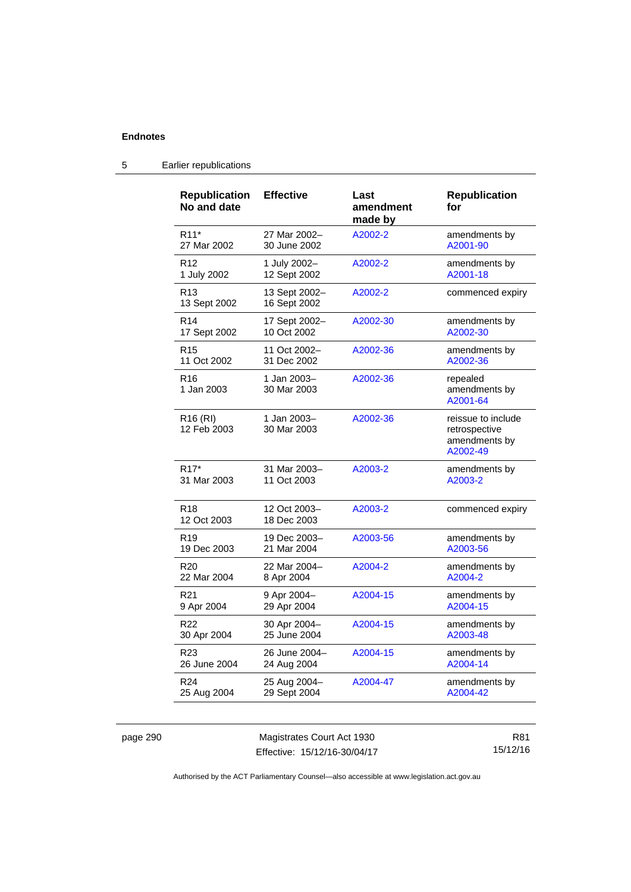| <b>Republication</b><br>No and date | <b>Effective</b>              | Last<br>amendment<br>made by | <b>Republication</b><br>for                                      |
|-------------------------------------|-------------------------------|------------------------------|------------------------------------------------------------------|
| R <sub>11</sub> *                   | 27 Mar 2002-                  | A2002-2                      | amendments by                                                    |
| 27 Mar 2002                         | 30 June 2002                  |                              | A2001-90                                                         |
| R <sub>12</sub>                     | 1 July 2002-                  | A2002-2                      | amendments by                                                    |
| 1 July 2002                         | 12 Sept 2002                  |                              | A2001-18                                                         |
| R <sub>13</sub><br>13 Sept 2002     | 13 Sept 2002-<br>16 Sept 2002 | A2002-2                      | commenced expiry                                                 |
| R <sub>14</sub>                     | 17 Sept 2002-                 | A2002-30                     | amendments by                                                    |
| 17 Sept 2002                        | 10 Oct 2002                   |                              | A2002-30                                                         |
| R <sub>15</sub>                     | 11 Oct 2002-                  | A2002-36                     | amendments by                                                    |
| 11 Oct 2002                         | 31 Dec 2002                   |                              | A2002-36                                                         |
| R <sub>16</sub><br>1 Jan 2003       | 1 Jan 2003-<br>30 Mar 2003    | A2002-36                     | repealed<br>amendments by<br>A2001-64                            |
| R <sub>16</sub> (RI)<br>12 Feb 2003 | 1 Jan 2003-<br>30 Mar 2003    | A2002-36                     | reissue to include<br>retrospective<br>amendments by<br>A2002-49 |
| R <sub>17</sub> *                   | 31 Mar 2003-                  | A2003-2                      | amendments by                                                    |
| 31 Mar 2003                         | 11 Oct 2003                   |                              | A2003-2                                                          |
| R <sub>18</sub><br>12 Oct 2003      | 12 Oct 2003-<br>18 Dec 2003   | A2003-2                      | commenced expiry                                                 |
| R <sub>19</sub>                     | 19 Dec 2003-                  | A2003-56                     | amendments by                                                    |
| 19 Dec 2003                         | 21 Mar 2004                   |                              | A2003-56                                                         |
| R <sub>20</sub>                     | 22 Mar 2004-                  | A2004-2                      | amendments by                                                    |
| 22 Mar 2004                         | 8 Apr 2004                    |                              | A2004-2                                                          |
| R <sub>21</sub>                     | 9 Apr 2004-                   | A2004-15                     | amendments by                                                    |
| 9 Apr 2004                          | 29 Apr 2004                   |                              | A2004-15                                                         |
| R <sub>22</sub>                     | 30 Apr 2004-                  | A2004-15                     | amendments by                                                    |
| 30 Apr 2004                         | 25 June 2004                  |                              | A2003-48                                                         |
| R <sub>23</sub>                     | 26 June 2004-                 | A2004-15                     | amendments by                                                    |
| 26 June 2004                        | 24 Aug 2004                   |                              | A2004-14                                                         |
| R <sub>24</sub>                     | 25 Aug 2004-                  | A2004-47                     | amendments by                                                    |
| 25 Aug 2004                         | 29 Sept 2004                  |                              | A2004-42                                                         |

# 5 Earlier republications

page 290 Magistrates Court Act 1930 Effective: 15/12/16-30/04/17

R81 15/12/16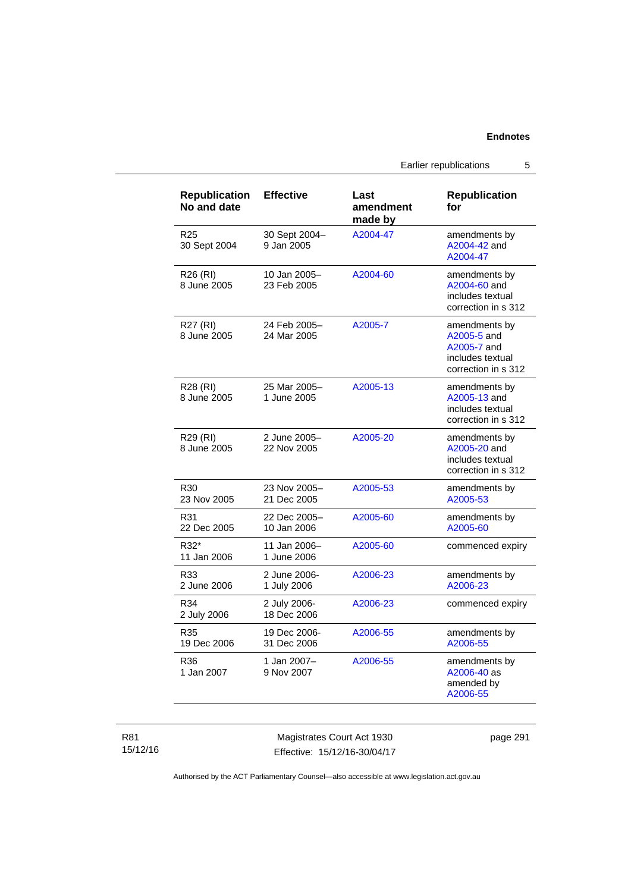Earlier republications 5

| <b>Republication</b><br>No and date | <b>Effective</b>            | Last<br>amendment<br>made by | <b>Republication</b><br>for                                                            |
|-------------------------------------|-----------------------------|------------------------------|----------------------------------------------------------------------------------------|
| R <sub>25</sub><br>30 Sept 2004     | 30 Sept 2004-<br>9 Jan 2005 | A2004-47                     | amendments by<br>A2004-42 and<br>A2004-47                                              |
| R26 (RI)<br>8 June 2005             | 10 Jan 2005-<br>23 Feb 2005 | A2004-60                     | amendments by<br>A2004-60 and<br>includes textual<br>correction in s 312               |
| R27 (RI)<br>8 June 2005             | 24 Feb 2005-<br>24 Mar 2005 | A2005-7                      | amendments by<br>A2005-5 and<br>A2005-7 and<br>includes textual<br>correction in s 312 |
| R28 (RI)<br>8 June 2005             | 25 Mar 2005-<br>1 June 2005 | A2005-13                     | amendments by<br>A2005-13 and<br>includes textual<br>correction in s 312               |
| R29 (RI)<br>8 June 2005             | 2 June 2005-<br>22 Nov 2005 | A2005-20                     | amendments by<br>A2005-20 and<br>includes textual<br>correction in s 312               |
| R <sub>30</sub><br>23 Nov 2005      | 23 Nov 2005-<br>21 Dec 2005 | A2005-53                     | amendments by<br>A2005-53                                                              |
| R31<br>22 Dec 2005                  | 22 Dec 2005-<br>10 Jan 2006 | A2005-60                     | amendments by<br>A2005-60                                                              |
| R32*<br>11 Jan 2006                 | 11 Jan 2006-<br>1 June 2006 | A2005-60                     | commenced expiry                                                                       |
| R33<br>2 June 2006                  | 2 June 2006-<br>1 July 2006 | A2006-23                     | amendments by<br>A2006-23                                                              |
| R34<br>2 July 2006                  | 2 July 2006-<br>18 Dec 2006 | A2006-23                     | commenced expiry                                                                       |
| R35<br>19 Dec 2006                  | 19 Dec 2006-<br>31 Dec 2006 | A2006-55                     | amendments by<br>A2006-55                                                              |
| R36<br>1 Jan 2007                   | 1 Jan 2007-<br>9 Nov 2007   | A2006-55                     | amendments by<br>A2006-40 as<br>amended by<br>A2006-55                                 |

R81 15/12/16

Magistrates Court Act 1930 Effective: 15/12/16-30/04/17 page 291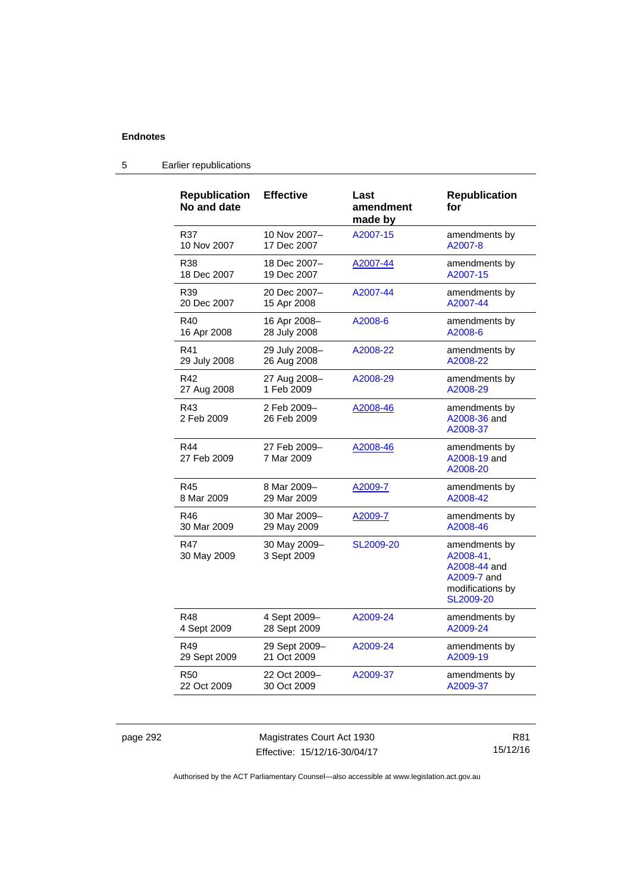| <b>Republication</b><br>No and date | <b>Effective</b>            | Last<br>amendment<br>made by | <b>Republication</b><br>for                                                                |
|-------------------------------------|-----------------------------|------------------------------|--------------------------------------------------------------------------------------------|
| R37                                 | 10 Nov 2007-                | A2007-15                     | amendments by                                                                              |
| 10 Nov 2007                         | 17 Dec 2007                 |                              | A2007-8                                                                                    |
| R38                                 | 18 Dec 2007-                | A2007-44                     | amendments by                                                                              |
| 18 Dec 2007                         | 19 Dec 2007                 |                              | A2007-15                                                                                   |
| R39                                 | 20 Dec 2007-                | A2007-44                     | amendments by                                                                              |
| 20 Dec 2007                         | 15 Apr 2008                 |                              | A2007-44                                                                                   |
| R40                                 | 16 Apr 2008-                | A2008-6                      | amendments by                                                                              |
| 16 Apr 2008                         | 28 July 2008                |                              | A2008-6                                                                                    |
| R41                                 | 29 July 2008-               | A2008-22                     | amendments by                                                                              |
| 29 July 2008                        | 26 Aug 2008                 |                              | A2008-22                                                                                   |
| R42                                 | 27 Aug 2008-                | A2008-29                     | amendments by                                                                              |
| 27 Aug 2008                         | 1 Feb 2009                  |                              | A2008-29                                                                                   |
| R43<br>2 Feb 2009                   | 2 Feb 2009-<br>26 Feb 2009  | A2008-46                     | amendments by<br>A2008-36 and<br>A2008-37                                                  |
| R44<br>27 Feb 2009                  | 27 Feb 2009–<br>7 Mar 2009  | A2008-46                     | amendments by<br>A2008-19 and<br>A2008-20                                                  |
| R45                                 | 8 Mar 2009-                 | A2009-7                      | amendments by                                                                              |
| 8 Mar 2009                          | 29 Mar 2009                 |                              | A2008-42                                                                                   |
| R46                                 | 30 Mar 2009-                | A2009-7                      | amendments by                                                                              |
| 30 Mar 2009                         | 29 May 2009                 |                              | A2008-46                                                                                   |
| <b>R47</b><br>30 May 2009           | 30 May 2009-<br>3 Sept 2009 | SL2009-20                    | amendments by<br>A2008-41.<br>A2008-44 and<br>A2009-7 and<br>modifications by<br>SL2009-20 |
| R48                                 | 4 Sept 2009-                | A2009-24                     | amendments by                                                                              |
| 4 Sept 2009                         | 28 Sept 2009                |                              | A2009-24                                                                                   |
| R49                                 | 29 Sept 2009-               | A2009-24                     | amendments by                                                                              |
| 29 Sept 2009                        | 21 Oct 2009                 |                              | A2009-19                                                                                   |
| <b>R50</b>                          | 22 Oct 2009-                | A2009-37                     | amendments by                                                                              |
| 22 Oct 2009                         | 30 Oct 2009                 |                              | A2009-37                                                                                   |

# 5 Earlier republications

page 292 Magistrates Court Act 1930 Effective: 15/12/16-30/04/17

R81 15/12/16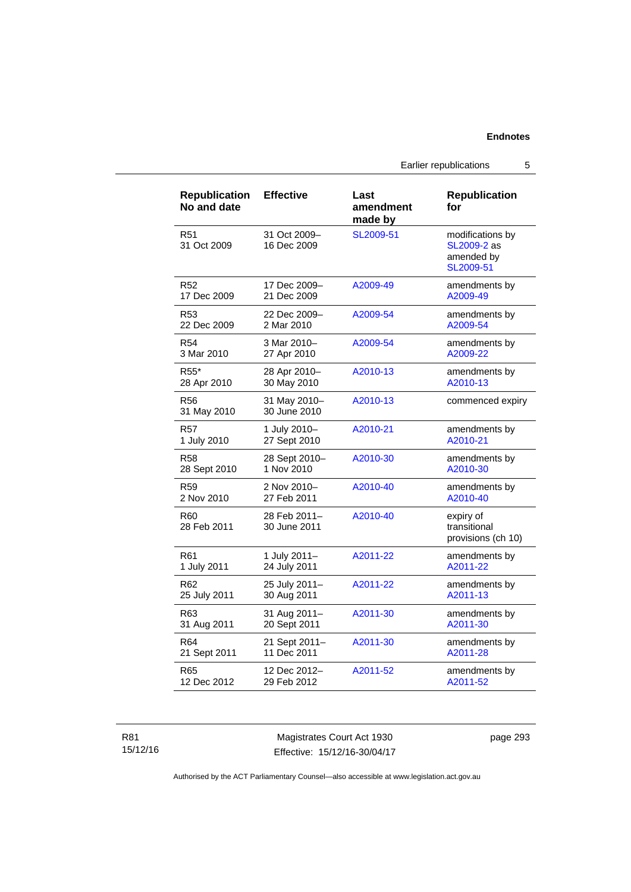Earlier republications 5

| <b>Republication</b><br>No and date | <b>Effective</b>             | Last<br>amendment<br>made by | <b>Republication</b><br>for                                |
|-------------------------------------|------------------------------|------------------------------|------------------------------------------------------------|
| R51<br>31 Oct 2009                  | 31 Oct 2009-<br>16 Dec 2009  | SL2009-51                    | modifications by<br>SL2009-2 as<br>amended by<br>SL2009-51 |
| R <sub>52</sub>                     | 17 Dec 2009-                 | A2009-49                     | amendments by                                              |
| 17 Dec 2009                         | 21 Dec 2009                  |                              | A2009-49                                                   |
| R <sub>53</sub>                     | 22 Dec 2009-                 | A2009-54                     | amendments by                                              |
| 22 Dec 2009                         | 2 Mar 2010                   |                              | A2009-54                                                   |
| R54                                 | 3 Mar 2010-                  | A2009-54                     | amendments by                                              |
| 3 Mar 2010                          | 27 Apr 2010                  |                              | A2009-22                                                   |
| R <sub>55</sub> *                   | 28 Apr 2010-                 | A2010-13                     | amendments by                                              |
| 28 Apr 2010                         | 30 May 2010                  |                              | A2010-13                                                   |
| R <sub>56</sub><br>31 May 2010      | 31 May 2010-<br>30 June 2010 | A2010-13                     | commenced expiry                                           |
| R57                                 | 1 July 2010-                 | A2010-21                     | amendments by                                              |
| 1 July 2010                         | 27 Sept 2010                 |                              | A2010-21                                                   |
| R58                                 | 28 Sept 2010-                | A2010-30                     | amendments by                                              |
| 28 Sept 2010                        | 1 Nov 2010                   |                              | A2010-30                                                   |
| R <sub>59</sub>                     | 2 Nov 2010-                  | A2010-40                     | amendments by                                              |
| 2 Nov 2010                          | 27 Feb 2011                  |                              | A2010-40                                                   |
| R60<br>28 Feb 2011                  | 28 Feb 2011–<br>30 June 2011 | A2010-40                     | expiry of<br>transitional<br>provisions (ch 10)            |
| R61                                 | 1 July 2011-                 | A2011-22                     | amendments by                                              |
| 1 July 2011                         | 24 July 2011                 |                              | A2011-22                                                   |
| R <sub>62</sub>                     | 25 July 2011-                | A2011-22                     | amendments by                                              |
| 25 July 2011                        | 30 Aug 2011                  |                              | A2011-13                                                   |
| R63                                 | 31 Aug 2011-                 | A2011-30                     | amendments by                                              |
| 31 Aug 2011                         | 20 Sept 2011                 |                              | A2011-30                                                   |
| R64                                 | 21 Sept 2011-                | A2011-30                     | amendments by                                              |
| 21 Sept 2011                        | 11 Dec 2011                  |                              | A2011-28                                                   |
| R65                                 | 12 Dec 2012-                 | A2011-52                     | amendments by                                              |
| 12 Dec 2012                         | 29 Feb 2012                  |                              | A2011-52                                                   |

R81 15/12/16

Magistrates Court Act 1930 Effective: 15/12/16-30/04/17 page 293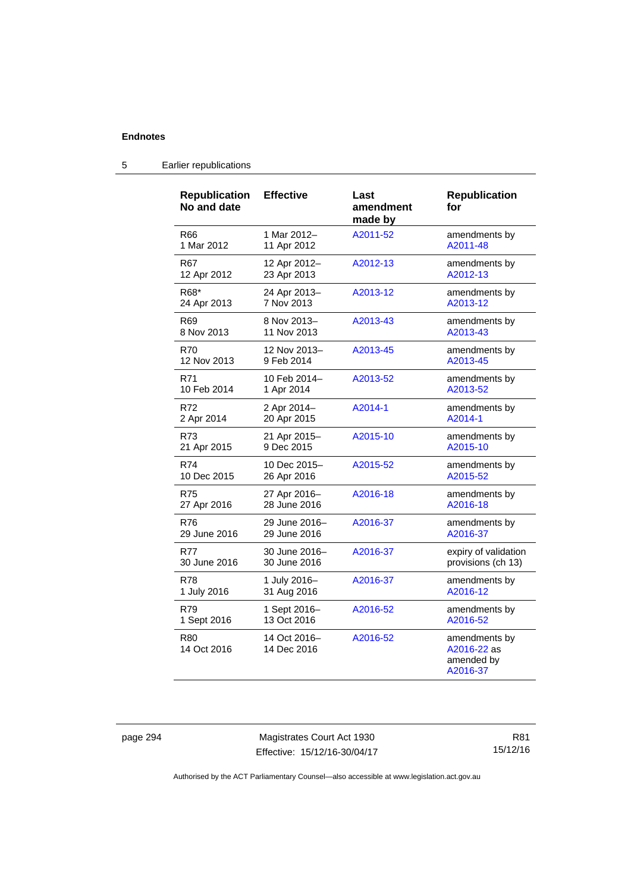| <b>Republication</b><br>No and date | <b>Effective</b>            | Last<br>amendment<br>made by | <b>Republication</b><br>for                            |
|-------------------------------------|-----------------------------|------------------------------|--------------------------------------------------------|
| R66                                 | 1 Mar 2012-                 | A2011-52                     | amendments by                                          |
| 1 Mar 2012                          | 11 Apr 2012                 |                              | A2011-48                                               |
| R67                                 | 12 Apr 2012-                | A2012-13                     | amendments by                                          |
| 12 Apr 2012                         | 23 Apr 2013                 |                              | A2012-13                                               |
| R68*                                | 24 Apr 2013-                | A2013-12                     | amendments by                                          |
| 24 Apr 2013                         | 7 Nov 2013                  |                              | A2013-12                                               |
| R69                                 | 8 Nov 2013-                 | A2013-43                     | amendments by                                          |
| 8 Nov 2013                          | 11 Nov 2013                 |                              | A2013-43                                               |
| R70                                 | 12 Nov 2013-                | A2013-45                     | amendments by                                          |
| 12 Nov 2013                         | 9 Feb 2014                  |                              | A2013-45                                               |
| R71                                 | 10 Feb 2014-                | A2013-52                     | amendments by                                          |
| 10 Feb 2014                         | 1 Apr 2014                  |                              | A2013-52                                               |
| R72                                 | 2 Apr 2014-                 | A2014-1                      | amendments by                                          |
| 2 Apr 2014                          | 20 Apr 2015                 |                              | A2014-1                                                |
| R73                                 | 21 Apr 2015-                | A2015-10                     | amendments by                                          |
| 21 Apr 2015                         | 9 Dec 2015                  |                              | A2015-10                                               |
| R74                                 | 10 Dec 2015-                | A2015-52                     | amendments by                                          |
| 10 Dec 2015                         | 26 Apr 2016                 |                              | A2015-52                                               |
| R75                                 | 27 Apr 2016-                | A2016-18                     | amendments by                                          |
| 27 Apr 2016                         | 28 June 2016                |                              | A2016-18                                               |
| R76                                 | 29 June 2016-               | A2016-37                     | amendments by                                          |
| 29 June 2016                        | 29 June 2016                |                              | A2016-37                                               |
| R77                                 | 30 June 2016-               | A2016-37                     | expiry of validation                                   |
| 30 June 2016                        | 30 June 2016                |                              | provisions (ch 13)                                     |
| R78                                 | 1 July 2016-                | A2016-37                     | amendments by                                          |
| 1 July 2016                         | 31 Aug 2016                 |                              | A2016-12                                               |
| R79                                 | 1 Sept 2016-                | A2016-52                     | amendments by                                          |
| 1 Sept 2016                         | 13 Oct 2016                 |                              | A2016-52                                               |
| R80<br>14 Oct 2016                  | 14 Oct 2016-<br>14 Dec 2016 | A2016-52                     | amendments by<br>A2016-22 as<br>amended by<br>A2016-37 |

# 5 Earlier republications

page 294 Magistrates Court Act 1930 Effective: 15/12/16-30/04/17

R81 15/12/16